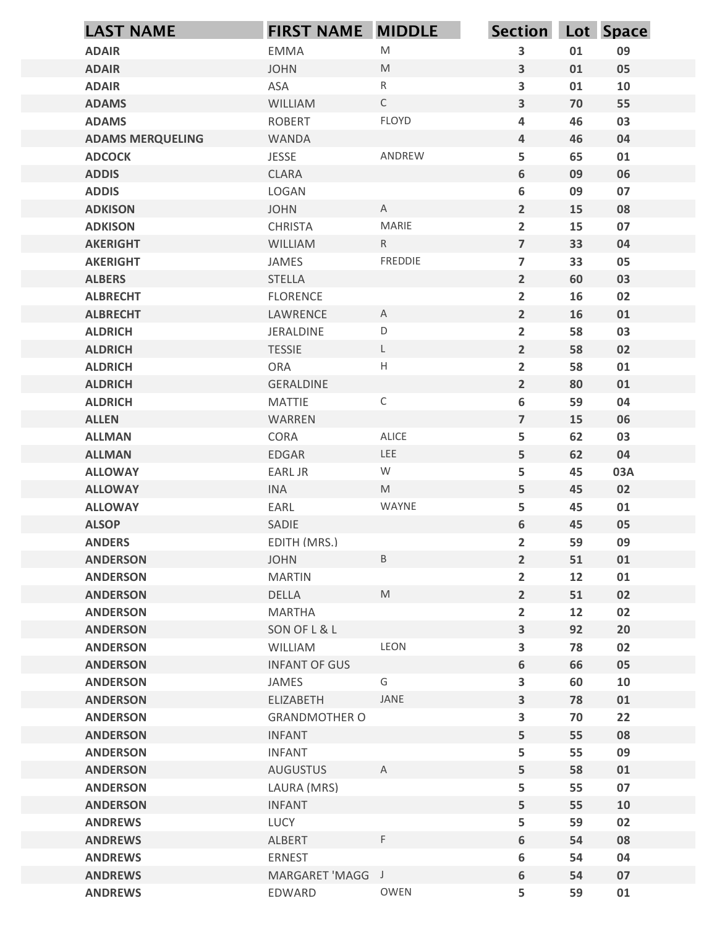| <b>LAST NAME</b>                         | <b>FIRST NAME MIDDLE</b>         |                                                                                                            | Section Lot Space                 |          |          |
|------------------------------------------|----------------------------------|------------------------------------------------------------------------------------------------------------|-----------------------------------|----------|----------|
| <b>ADAIR</b>                             | <b>EMMA</b>                      | ${\sf M}$                                                                                                  | 3                                 | 01       | 09       |
| <b>ADAIR</b>                             | <b>JOHN</b>                      | M                                                                                                          | 3                                 | 01       | 05       |
| <b>ADAIR</b>                             | ASA                              | $\mathsf{R}$                                                                                               | $\mathbf{3}$                      | 01       | 10       |
| <b>ADAMS</b>                             | WILLIAM                          | $\mathsf{C}$                                                                                               | 3                                 | 70       | 55       |
| <b>ADAMS</b>                             | <b>ROBERT</b>                    | FLOYD                                                                                                      | 4                                 | 46       | 03       |
| <b>ADAMS MERQUELING</b><br><b>ADCOCK</b> | WANDA<br><b>JESSE</b>            | ANDREW                                                                                                     | $\overline{4}$<br>5               | 46<br>65 | 04<br>01 |
| <b>ADDIS</b>                             | CLARA                            |                                                                                                            | 6                                 | 09       | 06       |
| <b>ADDIS</b>                             | LOGAN                            |                                                                                                            | 6                                 | 09       | 07       |
| <b>ADKISON</b>                           | <b>JOHN</b>                      | $\mathsf{A}$                                                                                               | $\overline{2}$                    | 15       | 08       |
| <b>ADKISON</b>                           | <b>CHRISTA</b>                   | MARIE                                                                                                      | $\overline{2}$                    | 15       | 07       |
| <b>AKERIGHT</b>                          | WILLIAM                          | R                                                                                                          | $\overline{7}$                    | 33       | 04       |
| <b>AKERIGHT</b>                          | JAMES                            | <b>FREDDIE</b>                                                                                             | $\overline{7}$                    | 33       | 05       |
| <b>ALBERS</b><br><b>ALBRECHT</b>         | <b>STELLA</b><br><b>FLORENCE</b> |                                                                                                            | $\overline{2}$<br>$\overline{2}$  | 60<br>16 | 03<br>02 |
| <b>ALBRECHT</b>                          | LAWRENCE                         | $\mathsf{A}$                                                                                               | $\overline{2}$                    | 16       | 01       |
| <b>ALDRICH</b>                           | JERALDINE                        | $\mathsf D$                                                                                                | $\overline{2}$                    | 58       | 03       |
| <b>ALDRICH</b>                           | <b>TESSIE</b>                    | $\mathsf{L}$                                                                                               | $2\overline{ }$                   | 58       | 02       |
| <b>ALDRICH</b>                           | ORA                              | $\mathsf H$                                                                                                | $\overline{2}$                    | 58       | 01       |
| <b>ALDRICH</b>                           | GERALDINE                        |                                                                                                            | $\overline{2}$                    | 80       | 01       |
| <b>ALDRICH</b>                           | MATTIE                           | $\mathsf C$                                                                                                | 6                                 | 59       | 04       |
| <b>ALLEN</b><br><b>ALLMAN</b>            | WARREN<br>CORA                   | ALICE                                                                                                      | $\overline{7}$<br>5               | 15<br>62 | 06<br>03 |
| <b>ALLMAN</b>                            | EDGAR                            | LEE                                                                                                        | 5                                 | 62       | 04       |
| <b>ALLOWAY</b>                           | EARL JR                          | W                                                                                                          | 5                                 | 45       | 03A      |
| <b>ALLOWAY</b>                           | <b>INA</b>                       | $\mathsf{M}% _{T}=\mathsf{M}_{T}\!\left( a,b\right) ,\ \mathsf{M}_{T}=\mathsf{M}_{T}\!\left( a,b\right) ,$ | 5                                 | 45       | 02       |
| <b>ALLOWAY</b>                           | EARL                             | WAYNE                                                                                                      | 5                                 | 45       | 01       |
| <b>ALSOP</b>                             | SADIE                            |                                                                                                            | 6                                 | 45       | 05       |
| <b>ANDERS</b>                            | EDITH (MRS.)                     |                                                                                                            | $\overline{2}$                    | 59       | 09       |
| <b>ANDERSON</b>                          | <b>JOHN</b>                      | $\mathsf B$                                                                                                | $\overline{2}$                    | 51       | 01       |
| <b>ANDERSON</b>                          | <b>MARTIN</b>                    | ${\sf M}$                                                                                                  | $\overline{2}$                    | 12       | 01       |
| <b>ANDERSON</b><br><b>ANDERSON</b>       | DELLA<br>MARTHA                  |                                                                                                            | $2\overline{ }$<br>$\overline{2}$ | 51<br>12 | 02<br>02 |
| <b>ANDERSON</b>                          | SON OF L & L                     |                                                                                                            | $\mathbf{3}$                      | 92       | 20       |
| <b>ANDERSON</b>                          | WILLIAM                          | LEON                                                                                                       | $\mathbf{3}$                      | 78       | 02       |
| <b>ANDERSON</b>                          | <b>INFANT OF GUS</b>             |                                                                                                            | 6                                 | 66       | 05       |
| <b>ANDERSON</b>                          | JAMES                            | G                                                                                                          | $\mathbf{3}$                      | 60       | 10       |
| <b>ANDERSON</b>                          | ELIZABETH                        | JANE                                                                                                       | $\mathbf{3}$                      | 78       | 01       |
| <b>ANDERSON</b>                          | <b>GRANDMOTHER O</b>             |                                                                                                            | $\mathbf{3}$                      | 70       | 22       |
| <b>ANDERSON</b>                          | <b>INFANT</b>                    |                                                                                                            | 5                                 | 55       | 08       |
| <b>ANDERSON</b><br><b>ANDERSON</b>       | <b>INFANT</b><br><b>AUGUSTUS</b> | $\mathsf{A}$                                                                                               | 5<br>5                            | 55<br>58 | 09<br>01 |
| <b>ANDERSON</b>                          | LAURA (MRS)                      |                                                                                                            | 5                                 | 55       | 07       |
| <b>ANDERSON</b>                          | <b>INFANT</b>                    |                                                                                                            | 5                                 | 55       | 10       |
| <b>ANDREWS</b>                           | LUCY                             |                                                                                                            | 5                                 | 59       | 02       |
| <b>ANDREWS</b>                           | ALBERT                           | $\mathsf F$                                                                                                | 6                                 | 54       | 08       |
| <b>ANDREWS</b>                           | ERNEST                           |                                                                                                            | 6                                 | 54       | 04       |
| <b>ANDREWS</b>                           | MARGARET 'MAGG J                 |                                                                                                            | 6                                 | 54       | 07       |
| <b>ANDREWS</b>                           | EDWARD                           | OWEN                                                                                                       | 5                                 | 59       | 01       |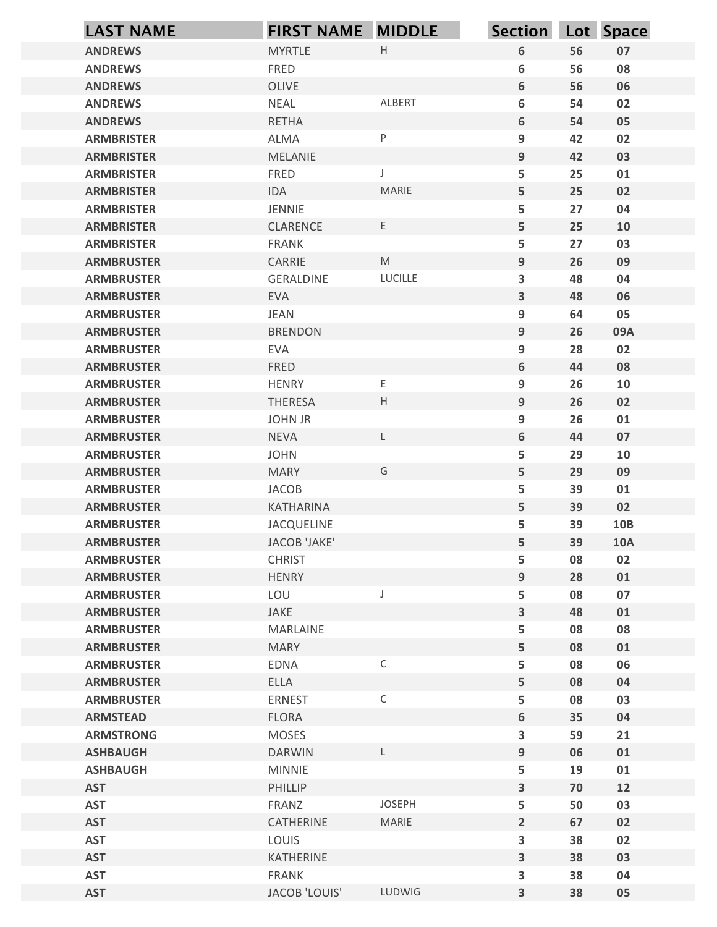| <b>LAST NAME</b>                       | <b>FIRST NAME MIDDLE</b>       |              | <b>Section</b>                       |          | Lot Space  |
|----------------------------------------|--------------------------------|--------------|--------------------------------------|----------|------------|
| <b>ANDREWS</b>                         | <b>MYRTLE</b>                  | $\mathsf H$  | $\boldsymbol{6}$                     | 56       | 07         |
| <b>ANDREWS</b>                         | FRED                           |              | 6                                    | 56       | 08         |
| <b>ANDREWS</b>                         | OLIVE                          |              | $\boldsymbol{6}$                     | 56       | 06         |
| <b>ANDREWS</b>                         | <b>NEAL</b>                    | ALBERT       | $\boldsymbol{6}$                     | 54       | 02         |
| <b>ANDREWS</b><br><b>ARMBRISTER</b>    | <b>RETHA</b><br>ALMA           | P            | $\boldsymbol{6}$<br>$\boldsymbol{9}$ | 54<br>42 | 05<br>02   |
| <b>ARMBRISTER</b>                      | MELANIE                        |              | 9                                    | 42       | 03         |
| <b>ARMBRISTER</b>                      | FRED                           | J            | 5                                    | 25       | 01         |
| <b>ARMBRISTER</b>                      | IDA                            | MARIE        | $\overline{5}$                       | 25       | 02         |
| <b>ARMBRISTER</b>                      | JENNIE                         |              | 5                                    | 27       | 04         |
| <b>ARMBRISTER</b>                      | CLARENCE                       | $\mathsf E$  | 5                                    | 25       | 10         |
| <b>ARMBRISTER</b>                      | <b>FRANK</b>                   |              | 5                                    | 27       | 03         |
| <b>ARMBRUSTER</b>                      | CARRIE                         | M            | $9\,$                                | 26       | 09         |
| <b>ARMBRUSTER</b><br><b>ARMBRUSTER</b> | GERALDINE<br><b>EVA</b>        | LUCILLE      | 3<br>$\mathbf{3}$                    | 48<br>48 | 04<br>06   |
| <b>ARMBRUSTER</b>                      | <b>JEAN</b>                    |              | 9                                    | 64       | 05         |
| <b>ARMBRUSTER</b>                      | <b>BRENDON</b>                 |              | $\boldsymbol{9}$                     | 26       | 09A        |
| <b>ARMBRUSTER</b>                      | EVA                            |              | $\boldsymbol{9}$                     | 28       | 02         |
| <b>ARMBRUSTER</b>                      | FRED                           |              | $\boldsymbol{6}$                     | 44       | 08         |
| <b>ARMBRUSTER</b>                      | <b>HENRY</b>                   | Е            | $\boldsymbol{9}$                     | 26       | 10         |
| <b>ARMBRUSTER</b>                      | THERESA                        | $\mathsf H$  | $\boldsymbol{9}$                     | 26       | 02         |
| <b>ARMBRUSTER</b><br><b>ARMBRUSTER</b> | <b>JOHN JR</b><br><b>NEVA</b>  | L            | $\boldsymbol{9}$<br>$\boldsymbol{6}$ | 26<br>44 | 01<br>07   |
| <b>ARMBRUSTER</b>                      | <b>JOHN</b>                    |              | 5                                    | 29       | 10         |
| <b>ARMBRUSTER</b>                      | <b>MARY</b>                    | G            | $\overline{5}$                       | 29       | 09         |
| <b>ARMBRUSTER</b>                      | JACOB                          |              | 5                                    | 39       | 01         |
| <b>ARMBRUSTER</b>                      | KATHARINA                      |              | $\overline{5}$                       | 39       | 02         |
| <b>ARMBRUSTER</b>                      | JACQUELINE                     |              | 5                                    | 39       | <b>10B</b> |
| <b>ARMBRUSTER</b>                      | JACOB 'JAKE'                   |              | $\overline{5}$                       | 39       | <b>10A</b> |
| <b>ARMBRUSTER</b>                      | <b>CHRIST</b>                  |              | 5                                    | 08       | 02         |
| <b>ARMBRUSTER</b>                      | <b>HENRY</b>                   | J            | $\boldsymbol{9}$                     | 28       | 01         |
| <b>ARMBRUSTER</b><br><b>ARMBRUSTER</b> | LOU<br>JAKE                    |              | ${\sf 5}$<br>$\overline{\mathbf{3}}$ | 08<br>48 | 07<br>01   |
| <b>ARMBRUSTER</b>                      | MARLAINE                       |              | 5                                    | 08       | 08         |
| <b>ARMBRUSTER</b>                      | <b>MARY</b>                    |              | $\overline{5}$                       | 08       | 01         |
| <b>ARMBRUSTER</b>                      | EDNA                           | $\mathsf{C}$ | ${\sf 5}$                            | 08       | 06         |
| <b>ARMBRUSTER</b>                      | <b>ELLA</b>                    |              | $\sqrt{5}$                           | 08       | 04         |
| <b>ARMBRUSTER</b>                      | ERNEST                         | $\mathsf{C}$ | 5                                    | 08       | 03         |
| <b>ARMSTEAD</b>                        | <b>FLORA</b>                   |              | $\boldsymbol{6}$                     | 35       | 04         |
| <b>ARMSTRONG</b>                       | <b>MOSES</b>                   |              | $\mathbf{3}$                         | 59       | 21         |
| <b>ASHBAUGH</b><br><b>ASHBAUGH</b>     | <b>DARWIN</b><br><b>MINNIE</b> | L            | $\boldsymbol{9}$<br>5                | 06<br>19 | 01<br>01   |
| <b>AST</b>                             | PHILLIP                        |              | $\overline{\mathbf{3}}$              | 70       | 12         |
| <b>AST</b>                             | FRANZ                          | JOSEPH       | 5                                    | 50       | 03         |
| <b>AST</b>                             | CATHERINE                      | MARIE        | $\overline{2}$                       | 67       | 02         |
| <b>AST</b>                             | LOUIS                          |              | 3                                    | 38       | 02         |
| <b>AST</b>                             | KATHERINE                      |              | 3                                    | 38       | 03         |
| <b>AST</b>                             | FRANK                          |              | 3                                    | 38       | 04         |
| <b>AST</b>                             | JACOB 'LOUIS'                  | LUDWIG       | 3                                    | 38       | 05         |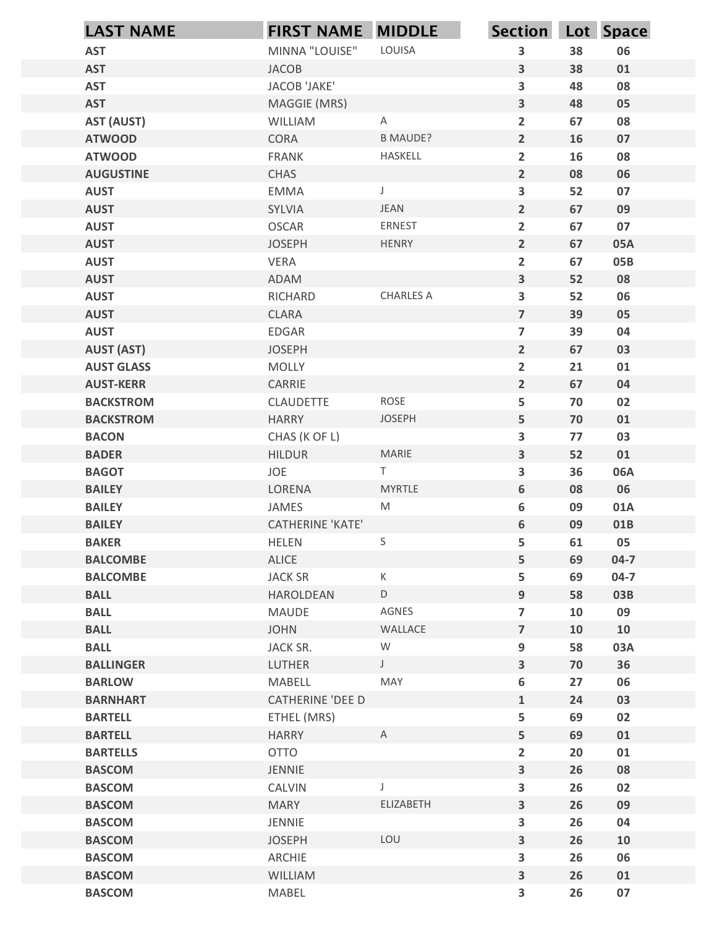| MINNA "LOUISE"<br>LOUISA<br>3<br>38<br>06<br><b>AST</b><br><b>JACOB</b><br>$\mathbf{3}$<br>38<br>01<br><b>AST</b><br>$\overline{\mathbf{3}}$<br>48<br><b>AST</b><br>JACOB 'JAKE'<br>08<br>$\mathbf{3}$<br>48<br><b>AST</b><br>MAGGIE (MRS)<br>05<br><b>AST (AUST)</b><br>$\overline{2}$<br>$\mathsf{A}$<br>67<br>08<br>WILLIAM<br><b>B MAUDE?</b><br>$2^{\circ}$<br>16<br><b>ATWOOD</b><br>CORA<br>$07\,$<br>$\overline{2}$<br><b>ATWOOD</b><br>16<br>08<br><b>FRANK</b><br>HASKELL<br>$\overline{2}$<br>08<br><b>AUGUSTINE</b><br>CHAS<br>06<br>$\overline{\mathbf{3}}$<br>52<br><b>AUST</b><br><b>EMMA</b><br>$\mathsf J$<br>07<br><b>JEAN</b><br>$\overline{2}$<br>67<br>09<br><b>AUST</b><br>SYLVIA<br>ERNEST<br>$\mathbf{2}$<br><b>OSCAR</b><br>67<br>07<br><b>AUST</b><br>HENRY<br>$\overline{2}$<br>67<br><b>AUST</b><br><b>JOSEPH</b><br>05A<br>$\overline{2}$<br>VERA<br>67<br><b>AUST</b><br>05B<br>$\overline{\mathbf{3}}$<br>52<br><b>AUST</b><br>ADAM<br>08<br>CHARLES A<br>$\mathbf{3}$<br><b>AUST</b><br>RICHARD<br>52<br>06<br>$\overline{7}$<br>39<br><b>AUST</b><br>CLARA<br>05<br>39<br><b>AUST</b><br>EDGAR<br>$\overline{7}$<br>04<br><b>AUST (AST)</b><br>67<br><b>JOSEPH</b><br>$2\overline{ }$<br>03<br>MOLLY<br>$\overline{2}$<br>21<br><b>AUST GLASS</b><br>${\bf 01}$<br>$2\overline{ }$<br>67<br><b>AUST-KERR</b><br>CARRIE<br>04<br>ROSE<br>5<br>70<br>02<br><b>BACKSTROM</b><br>CLAUDETTE<br><b>JOSEPH</b><br>5<br><b>BACKSTROM</b><br><b>HARRY</b><br>70<br>01<br>$\mathbf{3}$<br>77<br>03<br><b>BACON</b><br>CHAS (K OF L)<br>MARIE<br>$\mathbf{3}$<br>52<br>01<br><b>BADER</b><br>HILDUR<br>JOE<br>T<br>$\overline{\mathbf{3}}$<br>36<br>06A<br><b>BAGOT</b><br><b>MYRTLE</b><br>$\boldsymbol{6}$<br><b>BAILEY</b><br>LORENA<br>08<br>06<br>${\sf M}$<br><b>BAILEY</b><br>JAMES<br>6<br>09<br>01A<br><b>CATHERINE 'KATE'</b><br>6<br><b>BAILEY</b><br>09<br>01B<br>$\sf S$<br>05<br><b>BAKER</b><br>5<br>61<br>HELEN<br>5<br><b>BALCOMBE</b><br>ALICE<br>69<br>$04 - 7$<br>K<br><b>JACK SR</b><br>5<br>69<br>$04 - 7$<br><b>BALCOMBE</b><br>9<br>58<br><b>BALL</b><br>HAROLDEAN<br>D<br>03B<br><b>BALL</b><br>AGNES<br>$\overline{7}$<br>10<br>09<br>MAUDE<br>WALLACE<br><b>BALL</b><br><b>JOHN</b><br>$\overline{7}$<br>10<br>10<br><b>BALL</b><br>${\sf W}$<br>9<br>58<br>03A<br>JACK SR.<br>$\mathbf{3}$<br><b>BALLINGER</b><br>LUTHER<br>$\mathsf{J}$<br>70<br>36<br>$\boldsymbol{6}$<br>27<br>06<br><b>BARLOW</b><br>MABELL<br>MAY<br><b>BARNHART</b><br>CATHERINE 'DEE D<br>$\mathbf{1}$<br>24<br>03<br>5<br><b>BARTELL</b><br>69<br>02<br>ETHEL (MRS)<br>5 <sup>1</sup><br><b>BARTELL</b><br><b>HARRY</b><br>A<br>69<br>01<br><b>OTTO</b><br>$\overline{2}$<br>20<br><b>BARTELLS</b><br>${\bf 01}$<br><b>BASCOM</b><br>JENNIE<br>3 <sup>1</sup><br>26<br>08<br>$\mathbf{3}$<br>26<br>02<br><b>BASCOM</b><br>CALVIN<br>ELIZABETH<br>3<br>26<br>09<br><b>BASCOM</b><br><b>MARY</b><br>$\mathbf{3}$<br><b>BASCOM</b><br>JENNIE<br>26<br>04<br>$\overline{\mathbf{3}}$<br>LOU<br>26<br><b>BASCOM</b><br><b>JOSEPH</b><br>10<br>3<br>ARCHIE<br>26<br>06<br><b>BASCOM</b><br><b>BASCOM</b><br>WILLIAM<br>$\overline{\mathbf{3}}$<br>26<br>01<br>$\overline{\mathbf{3}}$<br>26<br>07<br><b>BASCOM</b><br>MABEL | <b>LAST NAME</b> | <b>FIRST NAME MIDDLE</b> | Section Lot Space |  |
|-------------------------------------------------------------------------------------------------------------------------------------------------------------------------------------------------------------------------------------------------------------------------------------------------------------------------------------------------------------------------------------------------------------------------------------------------------------------------------------------------------------------------------------------------------------------------------------------------------------------------------------------------------------------------------------------------------------------------------------------------------------------------------------------------------------------------------------------------------------------------------------------------------------------------------------------------------------------------------------------------------------------------------------------------------------------------------------------------------------------------------------------------------------------------------------------------------------------------------------------------------------------------------------------------------------------------------------------------------------------------------------------------------------------------------------------------------------------------------------------------------------------------------------------------------------------------------------------------------------------------------------------------------------------------------------------------------------------------------------------------------------------------------------------------------------------------------------------------------------------------------------------------------------------------------------------------------------------------------------------------------------------------------------------------------------------------------------------------------------------------------------------------------------------------------------------------------------------------------------------------------------------------------------------------------------------------------------------------------------------------------------------------------------------------------------------------------------------------------------------------------------------------------------------------------------------------------------------------------------------------------------------------------------------------------------------------------------------------------------------------------------------------------------------------------------------------------------------------------------------------------------------------------------------------------------------------------------------------------------------------------------------------------------------------------------------------------------------------------------------------------------------------------------------------------------------------------------------------------------------------|------------------|--------------------------|-------------------|--|
|                                                                                                                                                                                                                                                                                                                                                                                                                                                                                                                                                                                                                                                                                                                                                                                                                                                                                                                                                                                                                                                                                                                                                                                                                                                                                                                                                                                                                                                                                                                                                                                                                                                                                                                                                                                                                                                                                                                                                                                                                                                                                                                                                                                                                                                                                                                                                                                                                                                                                                                                                                                                                                                                                                                                                                                                                                                                                                                                                                                                                                                                                                                                                                                                                                                 |                  |                          |                   |  |
|                                                                                                                                                                                                                                                                                                                                                                                                                                                                                                                                                                                                                                                                                                                                                                                                                                                                                                                                                                                                                                                                                                                                                                                                                                                                                                                                                                                                                                                                                                                                                                                                                                                                                                                                                                                                                                                                                                                                                                                                                                                                                                                                                                                                                                                                                                                                                                                                                                                                                                                                                                                                                                                                                                                                                                                                                                                                                                                                                                                                                                                                                                                                                                                                                                                 |                  |                          |                   |  |
|                                                                                                                                                                                                                                                                                                                                                                                                                                                                                                                                                                                                                                                                                                                                                                                                                                                                                                                                                                                                                                                                                                                                                                                                                                                                                                                                                                                                                                                                                                                                                                                                                                                                                                                                                                                                                                                                                                                                                                                                                                                                                                                                                                                                                                                                                                                                                                                                                                                                                                                                                                                                                                                                                                                                                                                                                                                                                                                                                                                                                                                                                                                                                                                                                                                 |                  |                          |                   |  |
|                                                                                                                                                                                                                                                                                                                                                                                                                                                                                                                                                                                                                                                                                                                                                                                                                                                                                                                                                                                                                                                                                                                                                                                                                                                                                                                                                                                                                                                                                                                                                                                                                                                                                                                                                                                                                                                                                                                                                                                                                                                                                                                                                                                                                                                                                                                                                                                                                                                                                                                                                                                                                                                                                                                                                                                                                                                                                                                                                                                                                                                                                                                                                                                                                                                 |                  |                          |                   |  |
|                                                                                                                                                                                                                                                                                                                                                                                                                                                                                                                                                                                                                                                                                                                                                                                                                                                                                                                                                                                                                                                                                                                                                                                                                                                                                                                                                                                                                                                                                                                                                                                                                                                                                                                                                                                                                                                                                                                                                                                                                                                                                                                                                                                                                                                                                                                                                                                                                                                                                                                                                                                                                                                                                                                                                                                                                                                                                                                                                                                                                                                                                                                                                                                                                                                 |                  |                          |                   |  |
|                                                                                                                                                                                                                                                                                                                                                                                                                                                                                                                                                                                                                                                                                                                                                                                                                                                                                                                                                                                                                                                                                                                                                                                                                                                                                                                                                                                                                                                                                                                                                                                                                                                                                                                                                                                                                                                                                                                                                                                                                                                                                                                                                                                                                                                                                                                                                                                                                                                                                                                                                                                                                                                                                                                                                                                                                                                                                                                                                                                                                                                                                                                                                                                                                                                 |                  |                          |                   |  |
|                                                                                                                                                                                                                                                                                                                                                                                                                                                                                                                                                                                                                                                                                                                                                                                                                                                                                                                                                                                                                                                                                                                                                                                                                                                                                                                                                                                                                                                                                                                                                                                                                                                                                                                                                                                                                                                                                                                                                                                                                                                                                                                                                                                                                                                                                                                                                                                                                                                                                                                                                                                                                                                                                                                                                                                                                                                                                                                                                                                                                                                                                                                                                                                                                                                 |                  |                          |                   |  |
|                                                                                                                                                                                                                                                                                                                                                                                                                                                                                                                                                                                                                                                                                                                                                                                                                                                                                                                                                                                                                                                                                                                                                                                                                                                                                                                                                                                                                                                                                                                                                                                                                                                                                                                                                                                                                                                                                                                                                                                                                                                                                                                                                                                                                                                                                                                                                                                                                                                                                                                                                                                                                                                                                                                                                                                                                                                                                                                                                                                                                                                                                                                                                                                                                                                 |                  |                          |                   |  |
|                                                                                                                                                                                                                                                                                                                                                                                                                                                                                                                                                                                                                                                                                                                                                                                                                                                                                                                                                                                                                                                                                                                                                                                                                                                                                                                                                                                                                                                                                                                                                                                                                                                                                                                                                                                                                                                                                                                                                                                                                                                                                                                                                                                                                                                                                                                                                                                                                                                                                                                                                                                                                                                                                                                                                                                                                                                                                                                                                                                                                                                                                                                                                                                                                                                 |                  |                          |                   |  |
|                                                                                                                                                                                                                                                                                                                                                                                                                                                                                                                                                                                                                                                                                                                                                                                                                                                                                                                                                                                                                                                                                                                                                                                                                                                                                                                                                                                                                                                                                                                                                                                                                                                                                                                                                                                                                                                                                                                                                                                                                                                                                                                                                                                                                                                                                                                                                                                                                                                                                                                                                                                                                                                                                                                                                                                                                                                                                                                                                                                                                                                                                                                                                                                                                                                 |                  |                          |                   |  |
|                                                                                                                                                                                                                                                                                                                                                                                                                                                                                                                                                                                                                                                                                                                                                                                                                                                                                                                                                                                                                                                                                                                                                                                                                                                                                                                                                                                                                                                                                                                                                                                                                                                                                                                                                                                                                                                                                                                                                                                                                                                                                                                                                                                                                                                                                                                                                                                                                                                                                                                                                                                                                                                                                                                                                                                                                                                                                                                                                                                                                                                                                                                                                                                                                                                 |                  |                          |                   |  |
|                                                                                                                                                                                                                                                                                                                                                                                                                                                                                                                                                                                                                                                                                                                                                                                                                                                                                                                                                                                                                                                                                                                                                                                                                                                                                                                                                                                                                                                                                                                                                                                                                                                                                                                                                                                                                                                                                                                                                                                                                                                                                                                                                                                                                                                                                                                                                                                                                                                                                                                                                                                                                                                                                                                                                                                                                                                                                                                                                                                                                                                                                                                                                                                                                                                 |                  |                          |                   |  |
|                                                                                                                                                                                                                                                                                                                                                                                                                                                                                                                                                                                                                                                                                                                                                                                                                                                                                                                                                                                                                                                                                                                                                                                                                                                                                                                                                                                                                                                                                                                                                                                                                                                                                                                                                                                                                                                                                                                                                                                                                                                                                                                                                                                                                                                                                                                                                                                                                                                                                                                                                                                                                                                                                                                                                                                                                                                                                                                                                                                                                                                                                                                                                                                                                                                 |                  |                          |                   |  |
|                                                                                                                                                                                                                                                                                                                                                                                                                                                                                                                                                                                                                                                                                                                                                                                                                                                                                                                                                                                                                                                                                                                                                                                                                                                                                                                                                                                                                                                                                                                                                                                                                                                                                                                                                                                                                                                                                                                                                                                                                                                                                                                                                                                                                                                                                                                                                                                                                                                                                                                                                                                                                                                                                                                                                                                                                                                                                                                                                                                                                                                                                                                                                                                                                                                 |                  |                          |                   |  |
|                                                                                                                                                                                                                                                                                                                                                                                                                                                                                                                                                                                                                                                                                                                                                                                                                                                                                                                                                                                                                                                                                                                                                                                                                                                                                                                                                                                                                                                                                                                                                                                                                                                                                                                                                                                                                                                                                                                                                                                                                                                                                                                                                                                                                                                                                                                                                                                                                                                                                                                                                                                                                                                                                                                                                                                                                                                                                                                                                                                                                                                                                                                                                                                                                                                 |                  |                          |                   |  |
|                                                                                                                                                                                                                                                                                                                                                                                                                                                                                                                                                                                                                                                                                                                                                                                                                                                                                                                                                                                                                                                                                                                                                                                                                                                                                                                                                                                                                                                                                                                                                                                                                                                                                                                                                                                                                                                                                                                                                                                                                                                                                                                                                                                                                                                                                                                                                                                                                                                                                                                                                                                                                                                                                                                                                                                                                                                                                                                                                                                                                                                                                                                                                                                                                                                 |                  |                          |                   |  |
|                                                                                                                                                                                                                                                                                                                                                                                                                                                                                                                                                                                                                                                                                                                                                                                                                                                                                                                                                                                                                                                                                                                                                                                                                                                                                                                                                                                                                                                                                                                                                                                                                                                                                                                                                                                                                                                                                                                                                                                                                                                                                                                                                                                                                                                                                                                                                                                                                                                                                                                                                                                                                                                                                                                                                                                                                                                                                                                                                                                                                                                                                                                                                                                                                                                 |                  |                          |                   |  |
|                                                                                                                                                                                                                                                                                                                                                                                                                                                                                                                                                                                                                                                                                                                                                                                                                                                                                                                                                                                                                                                                                                                                                                                                                                                                                                                                                                                                                                                                                                                                                                                                                                                                                                                                                                                                                                                                                                                                                                                                                                                                                                                                                                                                                                                                                                                                                                                                                                                                                                                                                                                                                                                                                                                                                                                                                                                                                                                                                                                                                                                                                                                                                                                                                                                 |                  |                          |                   |  |
|                                                                                                                                                                                                                                                                                                                                                                                                                                                                                                                                                                                                                                                                                                                                                                                                                                                                                                                                                                                                                                                                                                                                                                                                                                                                                                                                                                                                                                                                                                                                                                                                                                                                                                                                                                                                                                                                                                                                                                                                                                                                                                                                                                                                                                                                                                                                                                                                                                                                                                                                                                                                                                                                                                                                                                                                                                                                                                                                                                                                                                                                                                                                                                                                                                                 |                  |                          |                   |  |
|                                                                                                                                                                                                                                                                                                                                                                                                                                                                                                                                                                                                                                                                                                                                                                                                                                                                                                                                                                                                                                                                                                                                                                                                                                                                                                                                                                                                                                                                                                                                                                                                                                                                                                                                                                                                                                                                                                                                                                                                                                                                                                                                                                                                                                                                                                                                                                                                                                                                                                                                                                                                                                                                                                                                                                                                                                                                                                                                                                                                                                                                                                                                                                                                                                                 |                  |                          |                   |  |
|                                                                                                                                                                                                                                                                                                                                                                                                                                                                                                                                                                                                                                                                                                                                                                                                                                                                                                                                                                                                                                                                                                                                                                                                                                                                                                                                                                                                                                                                                                                                                                                                                                                                                                                                                                                                                                                                                                                                                                                                                                                                                                                                                                                                                                                                                                                                                                                                                                                                                                                                                                                                                                                                                                                                                                                                                                                                                                                                                                                                                                                                                                                                                                                                                                                 |                  |                          |                   |  |
|                                                                                                                                                                                                                                                                                                                                                                                                                                                                                                                                                                                                                                                                                                                                                                                                                                                                                                                                                                                                                                                                                                                                                                                                                                                                                                                                                                                                                                                                                                                                                                                                                                                                                                                                                                                                                                                                                                                                                                                                                                                                                                                                                                                                                                                                                                                                                                                                                                                                                                                                                                                                                                                                                                                                                                                                                                                                                                                                                                                                                                                                                                                                                                                                                                                 |                  |                          |                   |  |
|                                                                                                                                                                                                                                                                                                                                                                                                                                                                                                                                                                                                                                                                                                                                                                                                                                                                                                                                                                                                                                                                                                                                                                                                                                                                                                                                                                                                                                                                                                                                                                                                                                                                                                                                                                                                                                                                                                                                                                                                                                                                                                                                                                                                                                                                                                                                                                                                                                                                                                                                                                                                                                                                                                                                                                                                                                                                                                                                                                                                                                                                                                                                                                                                                                                 |                  |                          |                   |  |
|                                                                                                                                                                                                                                                                                                                                                                                                                                                                                                                                                                                                                                                                                                                                                                                                                                                                                                                                                                                                                                                                                                                                                                                                                                                                                                                                                                                                                                                                                                                                                                                                                                                                                                                                                                                                                                                                                                                                                                                                                                                                                                                                                                                                                                                                                                                                                                                                                                                                                                                                                                                                                                                                                                                                                                                                                                                                                                                                                                                                                                                                                                                                                                                                                                                 |                  |                          |                   |  |
|                                                                                                                                                                                                                                                                                                                                                                                                                                                                                                                                                                                                                                                                                                                                                                                                                                                                                                                                                                                                                                                                                                                                                                                                                                                                                                                                                                                                                                                                                                                                                                                                                                                                                                                                                                                                                                                                                                                                                                                                                                                                                                                                                                                                                                                                                                                                                                                                                                                                                                                                                                                                                                                                                                                                                                                                                                                                                                                                                                                                                                                                                                                                                                                                                                                 |                  |                          |                   |  |
|                                                                                                                                                                                                                                                                                                                                                                                                                                                                                                                                                                                                                                                                                                                                                                                                                                                                                                                                                                                                                                                                                                                                                                                                                                                                                                                                                                                                                                                                                                                                                                                                                                                                                                                                                                                                                                                                                                                                                                                                                                                                                                                                                                                                                                                                                                                                                                                                                                                                                                                                                                                                                                                                                                                                                                                                                                                                                                                                                                                                                                                                                                                                                                                                                                                 |                  |                          |                   |  |
|                                                                                                                                                                                                                                                                                                                                                                                                                                                                                                                                                                                                                                                                                                                                                                                                                                                                                                                                                                                                                                                                                                                                                                                                                                                                                                                                                                                                                                                                                                                                                                                                                                                                                                                                                                                                                                                                                                                                                                                                                                                                                                                                                                                                                                                                                                                                                                                                                                                                                                                                                                                                                                                                                                                                                                                                                                                                                                                                                                                                                                                                                                                                                                                                                                                 |                  |                          |                   |  |
|                                                                                                                                                                                                                                                                                                                                                                                                                                                                                                                                                                                                                                                                                                                                                                                                                                                                                                                                                                                                                                                                                                                                                                                                                                                                                                                                                                                                                                                                                                                                                                                                                                                                                                                                                                                                                                                                                                                                                                                                                                                                                                                                                                                                                                                                                                                                                                                                                                                                                                                                                                                                                                                                                                                                                                                                                                                                                                                                                                                                                                                                                                                                                                                                                                                 |                  |                          |                   |  |
|                                                                                                                                                                                                                                                                                                                                                                                                                                                                                                                                                                                                                                                                                                                                                                                                                                                                                                                                                                                                                                                                                                                                                                                                                                                                                                                                                                                                                                                                                                                                                                                                                                                                                                                                                                                                                                                                                                                                                                                                                                                                                                                                                                                                                                                                                                                                                                                                                                                                                                                                                                                                                                                                                                                                                                                                                                                                                                                                                                                                                                                                                                                                                                                                                                                 |                  |                          |                   |  |
|                                                                                                                                                                                                                                                                                                                                                                                                                                                                                                                                                                                                                                                                                                                                                                                                                                                                                                                                                                                                                                                                                                                                                                                                                                                                                                                                                                                                                                                                                                                                                                                                                                                                                                                                                                                                                                                                                                                                                                                                                                                                                                                                                                                                                                                                                                                                                                                                                                                                                                                                                                                                                                                                                                                                                                                                                                                                                                                                                                                                                                                                                                                                                                                                                                                 |                  |                          |                   |  |
|                                                                                                                                                                                                                                                                                                                                                                                                                                                                                                                                                                                                                                                                                                                                                                                                                                                                                                                                                                                                                                                                                                                                                                                                                                                                                                                                                                                                                                                                                                                                                                                                                                                                                                                                                                                                                                                                                                                                                                                                                                                                                                                                                                                                                                                                                                                                                                                                                                                                                                                                                                                                                                                                                                                                                                                                                                                                                                                                                                                                                                                                                                                                                                                                                                                 |                  |                          |                   |  |
|                                                                                                                                                                                                                                                                                                                                                                                                                                                                                                                                                                                                                                                                                                                                                                                                                                                                                                                                                                                                                                                                                                                                                                                                                                                                                                                                                                                                                                                                                                                                                                                                                                                                                                                                                                                                                                                                                                                                                                                                                                                                                                                                                                                                                                                                                                                                                                                                                                                                                                                                                                                                                                                                                                                                                                                                                                                                                                                                                                                                                                                                                                                                                                                                                                                 |                  |                          |                   |  |
|                                                                                                                                                                                                                                                                                                                                                                                                                                                                                                                                                                                                                                                                                                                                                                                                                                                                                                                                                                                                                                                                                                                                                                                                                                                                                                                                                                                                                                                                                                                                                                                                                                                                                                                                                                                                                                                                                                                                                                                                                                                                                                                                                                                                                                                                                                                                                                                                                                                                                                                                                                                                                                                                                                                                                                                                                                                                                                                                                                                                                                                                                                                                                                                                                                                 |                  |                          |                   |  |
|                                                                                                                                                                                                                                                                                                                                                                                                                                                                                                                                                                                                                                                                                                                                                                                                                                                                                                                                                                                                                                                                                                                                                                                                                                                                                                                                                                                                                                                                                                                                                                                                                                                                                                                                                                                                                                                                                                                                                                                                                                                                                                                                                                                                                                                                                                                                                                                                                                                                                                                                                                                                                                                                                                                                                                                                                                                                                                                                                                                                                                                                                                                                                                                                                                                 |                  |                          |                   |  |
|                                                                                                                                                                                                                                                                                                                                                                                                                                                                                                                                                                                                                                                                                                                                                                                                                                                                                                                                                                                                                                                                                                                                                                                                                                                                                                                                                                                                                                                                                                                                                                                                                                                                                                                                                                                                                                                                                                                                                                                                                                                                                                                                                                                                                                                                                                                                                                                                                                                                                                                                                                                                                                                                                                                                                                                                                                                                                                                                                                                                                                                                                                                                                                                                                                                 |                  |                          |                   |  |
|                                                                                                                                                                                                                                                                                                                                                                                                                                                                                                                                                                                                                                                                                                                                                                                                                                                                                                                                                                                                                                                                                                                                                                                                                                                                                                                                                                                                                                                                                                                                                                                                                                                                                                                                                                                                                                                                                                                                                                                                                                                                                                                                                                                                                                                                                                                                                                                                                                                                                                                                                                                                                                                                                                                                                                                                                                                                                                                                                                                                                                                                                                                                                                                                                                                 |                  |                          |                   |  |
|                                                                                                                                                                                                                                                                                                                                                                                                                                                                                                                                                                                                                                                                                                                                                                                                                                                                                                                                                                                                                                                                                                                                                                                                                                                                                                                                                                                                                                                                                                                                                                                                                                                                                                                                                                                                                                                                                                                                                                                                                                                                                                                                                                                                                                                                                                                                                                                                                                                                                                                                                                                                                                                                                                                                                                                                                                                                                                                                                                                                                                                                                                                                                                                                                                                 |                  |                          |                   |  |
|                                                                                                                                                                                                                                                                                                                                                                                                                                                                                                                                                                                                                                                                                                                                                                                                                                                                                                                                                                                                                                                                                                                                                                                                                                                                                                                                                                                                                                                                                                                                                                                                                                                                                                                                                                                                                                                                                                                                                                                                                                                                                                                                                                                                                                                                                                                                                                                                                                                                                                                                                                                                                                                                                                                                                                                                                                                                                                                                                                                                                                                                                                                                                                                                                                                 |                  |                          |                   |  |
|                                                                                                                                                                                                                                                                                                                                                                                                                                                                                                                                                                                                                                                                                                                                                                                                                                                                                                                                                                                                                                                                                                                                                                                                                                                                                                                                                                                                                                                                                                                                                                                                                                                                                                                                                                                                                                                                                                                                                                                                                                                                                                                                                                                                                                                                                                                                                                                                                                                                                                                                                                                                                                                                                                                                                                                                                                                                                                                                                                                                                                                                                                                                                                                                                                                 |                  |                          |                   |  |
|                                                                                                                                                                                                                                                                                                                                                                                                                                                                                                                                                                                                                                                                                                                                                                                                                                                                                                                                                                                                                                                                                                                                                                                                                                                                                                                                                                                                                                                                                                                                                                                                                                                                                                                                                                                                                                                                                                                                                                                                                                                                                                                                                                                                                                                                                                                                                                                                                                                                                                                                                                                                                                                                                                                                                                                                                                                                                                                                                                                                                                                                                                                                                                                                                                                 |                  |                          |                   |  |
|                                                                                                                                                                                                                                                                                                                                                                                                                                                                                                                                                                                                                                                                                                                                                                                                                                                                                                                                                                                                                                                                                                                                                                                                                                                                                                                                                                                                                                                                                                                                                                                                                                                                                                                                                                                                                                                                                                                                                                                                                                                                                                                                                                                                                                                                                                                                                                                                                                                                                                                                                                                                                                                                                                                                                                                                                                                                                                                                                                                                                                                                                                                                                                                                                                                 |                  |                          |                   |  |
|                                                                                                                                                                                                                                                                                                                                                                                                                                                                                                                                                                                                                                                                                                                                                                                                                                                                                                                                                                                                                                                                                                                                                                                                                                                                                                                                                                                                                                                                                                                                                                                                                                                                                                                                                                                                                                                                                                                                                                                                                                                                                                                                                                                                                                                                                                                                                                                                                                                                                                                                                                                                                                                                                                                                                                                                                                                                                                                                                                                                                                                                                                                                                                                                                                                 |                  |                          |                   |  |
|                                                                                                                                                                                                                                                                                                                                                                                                                                                                                                                                                                                                                                                                                                                                                                                                                                                                                                                                                                                                                                                                                                                                                                                                                                                                                                                                                                                                                                                                                                                                                                                                                                                                                                                                                                                                                                                                                                                                                                                                                                                                                                                                                                                                                                                                                                                                                                                                                                                                                                                                                                                                                                                                                                                                                                                                                                                                                                                                                                                                                                                                                                                                                                                                                                                 |                  |                          |                   |  |
|                                                                                                                                                                                                                                                                                                                                                                                                                                                                                                                                                                                                                                                                                                                                                                                                                                                                                                                                                                                                                                                                                                                                                                                                                                                                                                                                                                                                                                                                                                                                                                                                                                                                                                                                                                                                                                                                                                                                                                                                                                                                                                                                                                                                                                                                                                                                                                                                                                                                                                                                                                                                                                                                                                                                                                                                                                                                                                                                                                                                                                                                                                                                                                                                                                                 |                  |                          |                   |  |
|                                                                                                                                                                                                                                                                                                                                                                                                                                                                                                                                                                                                                                                                                                                                                                                                                                                                                                                                                                                                                                                                                                                                                                                                                                                                                                                                                                                                                                                                                                                                                                                                                                                                                                                                                                                                                                                                                                                                                                                                                                                                                                                                                                                                                                                                                                                                                                                                                                                                                                                                                                                                                                                                                                                                                                                                                                                                                                                                                                                                                                                                                                                                                                                                                                                 |                  |                          |                   |  |
|                                                                                                                                                                                                                                                                                                                                                                                                                                                                                                                                                                                                                                                                                                                                                                                                                                                                                                                                                                                                                                                                                                                                                                                                                                                                                                                                                                                                                                                                                                                                                                                                                                                                                                                                                                                                                                                                                                                                                                                                                                                                                                                                                                                                                                                                                                                                                                                                                                                                                                                                                                                                                                                                                                                                                                                                                                                                                                                                                                                                                                                                                                                                                                                                                                                 |                  |                          |                   |  |
|                                                                                                                                                                                                                                                                                                                                                                                                                                                                                                                                                                                                                                                                                                                                                                                                                                                                                                                                                                                                                                                                                                                                                                                                                                                                                                                                                                                                                                                                                                                                                                                                                                                                                                                                                                                                                                                                                                                                                                                                                                                                                                                                                                                                                                                                                                                                                                                                                                                                                                                                                                                                                                                                                                                                                                                                                                                                                                                                                                                                                                                                                                                                                                                                                                                 |                  |                          |                   |  |
|                                                                                                                                                                                                                                                                                                                                                                                                                                                                                                                                                                                                                                                                                                                                                                                                                                                                                                                                                                                                                                                                                                                                                                                                                                                                                                                                                                                                                                                                                                                                                                                                                                                                                                                                                                                                                                                                                                                                                                                                                                                                                                                                                                                                                                                                                                                                                                                                                                                                                                                                                                                                                                                                                                                                                                                                                                                                                                                                                                                                                                                                                                                                                                                                                                                 |                  |                          |                   |  |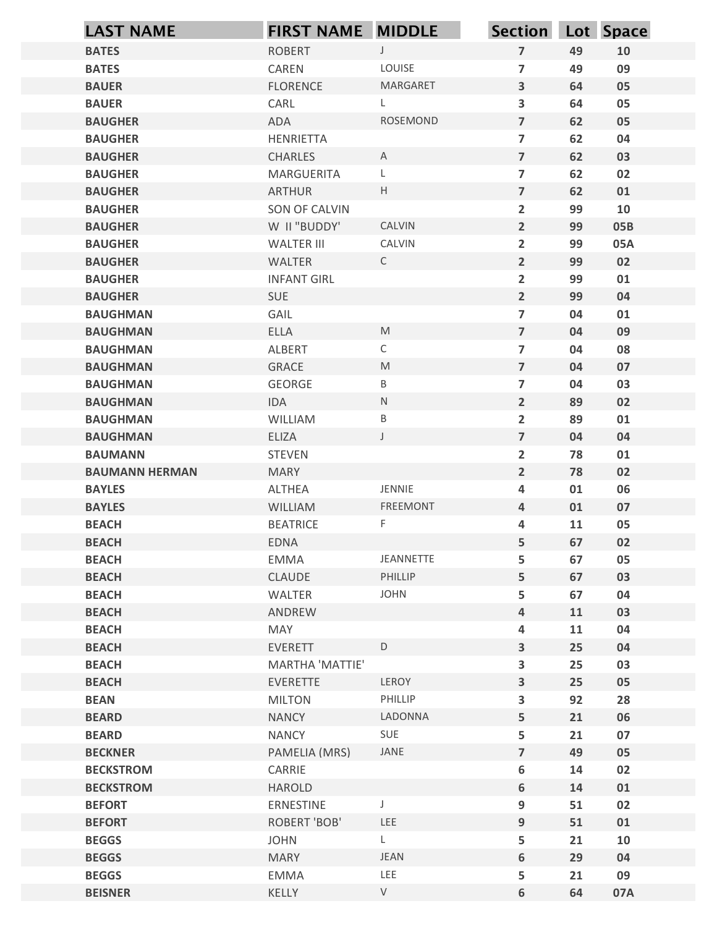|                                      | <b>FIRST NAME MIDDLE</b>    |                                                                                                            | Section Lot Space                                   |          |          |
|--------------------------------------|-----------------------------|------------------------------------------------------------------------------------------------------------|-----------------------------------------------------|----------|----------|
| <b>BATES</b>                         | <b>ROBERT</b>               | $\cup$                                                                                                     | $\overline{7}$                                      | 49       | 10       |
| <b>BATES</b>                         | CAREN                       | LOUISE                                                                                                     | $\overline{7}$                                      | 49       | 09       |
| <b>BAUER</b>                         | <b>FLORENCE</b>             | MARGARET                                                                                                   | $\overline{\mathbf{3}}$                             | 64       | 05       |
| <b>BAUER</b>                         | CARL                        | L.                                                                                                         | $\mathbf{3}$                                        | 64       | 05       |
| <b>BAUGHER</b>                       | ADA                         | <b>ROSEMOND</b>                                                                                            | $\overline{7}$                                      | 62       | 05       |
| <b>BAUGHER</b>                       | <b>HENRIETTA</b>            |                                                                                                            | $\overline{\mathbf{z}}$                             | 62       | 04       |
| <b>BAUGHER</b>                       | <b>CHARLES</b>              | A                                                                                                          | $\overline{7}$                                      | 62       | 03       |
| <b>BAUGHER</b><br><b>BAUGHER</b>     | MARGUERITA<br><b>ARTHUR</b> | L.<br>H                                                                                                    | $\overline{\mathbf{z}}$<br>$\overline{\phantom{a}}$ | 62<br>62 | 02<br>01 |
| <b>BAUGHER</b>                       | SON OF CALVIN               |                                                                                                            | $\overline{2}$                                      | 99       | 10       |
| <b>BAUGHER</b>                       | W II "BUDDY'                | CALVIN                                                                                                     | $\overline{2}$                                      | 99       | 05B      |
| <b>BAUGHER</b>                       | <b>WALTER III</b>           | CALVIN                                                                                                     | $\overline{2}$                                      | 99       | 05A      |
| <b>BAUGHER</b>                       | WALTER                      | $\mathsf{C}$                                                                                               | $\overline{2}$                                      | 99       | 02       |
| <b>BAUGHER</b>                       | <b>INFANT GIRL</b>          |                                                                                                            | $\overline{\mathbf{2}}$                             | 99       | 01       |
| <b>BAUGHER</b>                       | SUE                         |                                                                                                            | $\overline{2}$                                      | 99       | 04       |
| <b>BAUGHMAN</b>                      | GAIL                        |                                                                                                            | $\overline{7}$                                      | 04       | 01       |
| <b>BAUGHMAN</b>                      | ELLA                        | $\mathsf{M}% _{T}=\mathsf{M}_{T}\!\left( a,b\right) ,\ \mathsf{M}_{T}=\mathsf{M}_{T}\!\left( a,b\right) ,$ | $\overline{7}$                                      | 04       | 09       |
| <b>BAUGHMAN</b>                      | ALBERT                      | $\mathsf{C}$                                                                                               | $\overline{7}$<br>$\overline{7}$                    | 04       | 08       |
| <b>BAUGHMAN</b><br><b>BAUGHMAN</b>   | GRACE<br>GEORGE             | M<br>B                                                                                                     | $\overline{7}$                                      | 04<br>04 | 07<br>03 |
| <b>BAUGHMAN</b>                      | IDA                         | N                                                                                                          | $\overline{2}$                                      | 89       | 02       |
| <b>BAUGHMAN</b>                      | WILLIAM                     | B                                                                                                          | $\overline{2}$                                      | 89       | 01       |
| <b>BAUGHMAN</b>                      | ELIZA                       | $\perp$                                                                                                    | $\overline{7}$                                      | 04       | 04       |
| <b>BAUMANN</b>                       | STEVEN                      |                                                                                                            | $\overline{2}$                                      | 78       | 01       |
| <b>BAUMANN HERMAN</b>                | <b>MARY</b>                 |                                                                                                            | $\overline{2}$                                      | 78       | 02       |
| <b>BAYLES</b>                        | ALTHEA                      | JENNIE                                                                                                     | $\overline{\mathbf{r}}$                             | 01       | 06       |
| <b>BAYLES</b>                        | WILLIAM                     | FREEMONT                                                                                                   | $\overline{4}$                                      | 01       | 07       |
| <b>BEACH</b>                         | <b>BEATRICE</b>             | F.                                                                                                         | $\overline{\mathbf{4}}$                             | 11       | 05       |
| <b>BEACH</b>                         | EDNA                        |                                                                                                            | 5                                                   | 67       | 02       |
| <b>BEACH</b>                         | EMMA                        | JEANNETTE<br>PHILLIP                                                                                       | 5                                                   | 67       | 05       |
| <b>BEACH</b><br><b>BEACH</b>         | <b>CLAUDE</b><br>WALTER     | JOHN                                                                                                       | 5<br>5                                              | 67<br>67 | 03<br>04 |
| <b>BEACH</b>                         | ANDREW                      |                                                                                                            | $\overline{4}$                                      | 11       | 03       |
| <b>BEACH</b>                         | MAY                         |                                                                                                            | 4                                                   | 11       | 04       |
| <b>BEACH</b>                         | EVERETT                     | $\mathsf D$                                                                                                | $\mathbf{3}$                                        | 25       | 04       |
| <b>BEACH</b>                         | <b>MARTHA 'MATTIE'</b>      |                                                                                                            | $\mathbf{3}$                                        | 25       | 03       |
| <b>BEACH</b>                         | EVERETTE                    | LEROY                                                                                                      | $\mathbf{3}$                                        | 25       | 05       |
| <b>BEAN</b>                          | <b>MILTON</b>               | PHILLIP                                                                                                    | $\mathbf{3}$                                        | 92       | 28       |
| <b>BEARD</b>                         | <b>NANCY</b>                | LADONNA                                                                                                    | 5                                                   | 21       | 06       |
| <b>BEARD</b>                         | <b>NANCY</b>                | SUE                                                                                                        | 5                                                   | 21       | 07       |
| <b>BECKNER</b>                       | PAMELIA (MRS)               | JANE                                                                                                       | $\overline{7}$                                      | 49       | 05       |
| <b>BECKSTROM</b><br><b>BECKSTROM</b> | CARRIE<br>HAROLD            |                                                                                                            | 6<br>$\boldsymbol{6}$                               | 14<br>14 | 02<br>01 |
| <b>BEFORT</b>                        | ERNESTINE                   |                                                                                                            | 9                                                   | 51       | 02       |
| <b>BEFORT</b>                        | ROBERT 'BOB'                | LEE                                                                                                        | 9                                                   | 51       | 01       |
| <b>BEGGS</b>                         | <b>JOHN</b>                 | $\mathsf{L}$                                                                                               | 5                                                   | 21       | 10       |
| <b>BEGGS</b>                         | <b>MARY</b>                 | JEAN                                                                                                       | 6                                                   | 29       | 04       |
| <b>BEGGS</b>                         | EMMA                        | LEE                                                                                                        | 5                                                   | 21       | 09       |
| <b>BEISNER</b>                       | KELLY                       | $\vee$                                                                                                     | $\boldsymbol{6}$                                    | 64       | 07A      |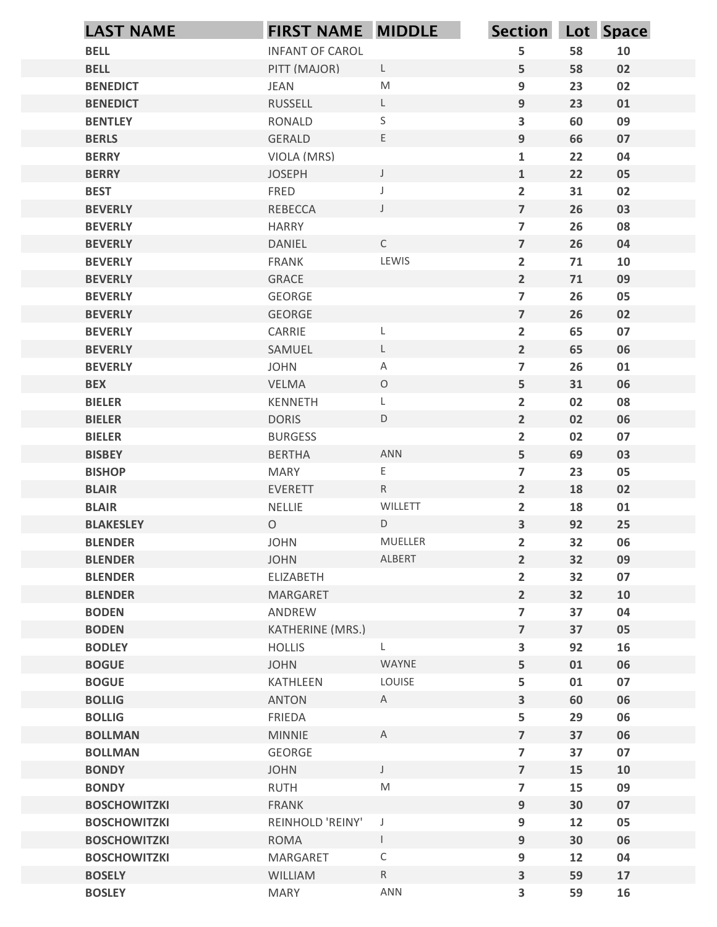|                                  | <b>LAST NAME</b>       | <b>FIRST NAME MIDDLE</b> |              | Section Lot Space                |          |          |
|----------------------------------|------------------------|--------------------------|--------------|----------------------------------|----------|----------|
| <b>BELL</b>                      |                        | <b>INFANT OF CAROL</b>   |              | 5                                | 58       | 10       |
| <b>BELL</b>                      |                        | PITT (MAJOR)             | L            | 5                                | 58       | 02       |
| <b>BENEDICT</b>                  | <b>JEAN</b>            |                          | ${\sf M}$    | 9                                | 23       | 02       |
| <b>BENEDICT</b>                  | <b>RUSSELL</b>         |                          | $\mathsf{L}$ | $9\,$                            | 23       | 01       |
| <b>BENTLEY</b>                   | <b>RONALD</b>          |                          | $\mathsf S$  | $\overline{\mathbf{3}}$          | 60       | 09       |
| <b>BERLS</b><br><b>BERRY</b>     | <b>GERALD</b>          | VIOLA (MRS)              | E            | $9\,$<br>$\mathbf{1}$            | 66<br>22 | 07<br>04 |
| <b>BERRY</b>                     | <b>JOSEPH</b>          |                          | $\mathsf{J}$ | $\mathbf{1}$                     | 22       | 05       |
| <b>BEST</b>                      | FRED                   |                          | $\mathsf J$  | $\overline{2}$                   | 31       | 02       |
| <b>BEVERLY</b>                   | <b>REBECCA</b>         |                          | $\mathsf{J}$ | $\overline{7}$                   | 26       | 03       |
| <b>BEVERLY</b>                   | <b>HARRY</b>           |                          |              | $\overline{7}$                   | 26       | 08       |
| <b>BEVERLY</b>                   | <b>DANIEL</b>          |                          | $\mathsf{C}$ | $\overline{7}$                   | 26       | 04       |
| <b>BEVERLY</b>                   | <b>FRANK</b>           |                          | LEWIS        | $\overline{2}$                   | 71       | 10       |
| <b>BEVERLY</b>                   | GRACE                  |                          |              | $\overline{2}$                   | 71       | 09       |
| <b>BEVERLY</b>                   | GEORGE                 |                          |              | $\overline{\mathbf{z}}$          | 26       | 05       |
| <b>BEVERLY</b><br><b>BEVERLY</b> | GEORGE<br>CARRIE       |                          | L            | $\overline{7}$<br>$\overline{2}$ | 26<br>65 | 02<br>07 |
| <b>BEVERLY</b>                   | SAMUEL                 |                          | L            | $\overline{2}$                   | 65       | 06       |
| <b>BEVERLY</b>                   | JOHN                   |                          | A            | $\overline{7}$                   | 26       | 01       |
| <b>BEX</b>                       | VELMA                  |                          | $\circ$      | 5                                | 31       | 06       |
| <b>BIELER</b>                    | KENNETH                |                          | L            | $\overline{2}$                   | 02       | 08       |
| <b>BIELER</b>                    | <b>DORIS</b>           |                          | D            | $\overline{2}$                   | 02       | 06       |
| <b>BIELER</b>                    | <b>BURGESS</b>         |                          |              | $\overline{2}$                   | 02       | 07       |
| <b>BISBEY</b>                    | <b>BERTHA</b>          |                          | ANN          | 5                                | 69       | 03       |
| <b>BISHOP</b>                    | MARY                   |                          | E.           | $\overline{\mathbf{z}}$          | 23       | 05       |
| <b>BLAIR</b><br><b>BLAIR</b>     | EVERETT<br>NELLIE      |                          | R<br>WILLETT | $2^{\circ}$                      | 18<br>18 | 02       |
| <b>BLAKESLEY</b>                 | $\circ$                |                          | $\mathsf D$  | $\overline{2}$<br>$\mathbf{3}$   | 92       | 01<br>25 |
| <b>BLENDER</b>                   | <b>JOHN</b>            |                          | MUELLER      | $\overline{2}$                   | 32       | 06       |
| <b>BLENDER</b>                   | <b>JOHN</b>            |                          | ALBERT       | $\overline{2}$                   | 32       | 09       |
| <b>BLENDER</b>                   | ELIZABETH              |                          |              | $\overline{2}$                   | 32       | 07       |
| <b>BLENDER</b>                   | MARGARET               |                          |              | $\overline{2}$                   | 32       | 10       |
| <b>BODEN</b>                     | ANDREW                 |                          |              | $\overline{\mathbf{z}}$          | 37       | 04       |
| <b>BODEN</b>                     |                        | KATHERINE (MRS.)         |              | $\overline{ }$                   | 37       | 05       |
| <b>BODLEY</b>                    | <b>HOLLIS</b>          |                          | L            | $\mathbf{3}$                     | 92       | 16       |
| <b>BOGUE</b>                     | <b>JOHN</b>            |                          | WAYNE        | 5                                | 01       | 06       |
| <b>BOGUE</b>                     | KATHLEEN               |                          | LOUISE       | 5                                | 01       | 07       |
| <b>BOLLIG</b><br><b>BOLLIG</b>   | <b>ANTON</b><br>FRIEDA |                          | A            | $\mathbf{3}$<br>5                | 60<br>29 | 06       |
| <b>BOLLMAN</b>                   | <b>MINNIE</b>          |                          | $\mathsf{A}$ | $\overline{7}$                   | 37       | 06<br>06 |
| <b>BOLLMAN</b>                   | GEORGE                 |                          |              | $\overline{\mathbf{z}}$          | 37       | 07       |
| <b>BONDY</b>                     | <b>JOHN</b>            |                          | $\mathsf J$  | $\overline{ }$                   | 15       | 10       |
| <b>BONDY</b>                     | <b>RUTH</b>            |                          | ${\sf M}$    | $\overline{7}$                   | 15       | 09       |
| <b>BOSCHOWITZKI</b>              | <b>FRANK</b>           |                          |              | $9\,$                            | 30       | 07       |
| <b>BOSCHOWITZKI</b>              |                        | REINHOLD 'REINY'         | $\mathsf{J}$ | $\boldsymbol{9}$                 | 12       | 05       |
| <b>BOSCHOWITZKI</b>              | <b>ROMA</b>            |                          | $\mathsf{I}$ | $9\,$                            | 30       | 06       |
| <b>BOSCHOWITZKI</b>              | MARGARET               |                          | $\mathsf C$  | 9                                | 12       | 04       |
| <b>BOSELY</b>                    | WILLIAM                |                          | R            | $\overline{\mathbf{3}}$          | 59       | 17       |
| <b>BOSLEY</b>                    | <b>MARY</b>            |                          | <b>ANN</b>   | $\overline{\mathbf{3}}$          | 59       | 16       |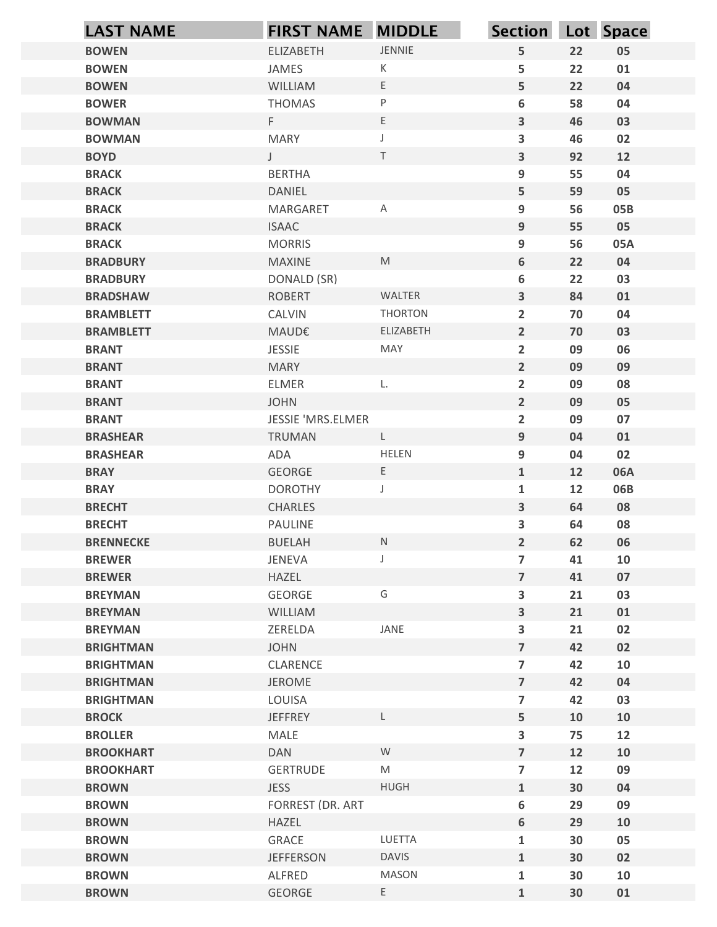| <b>LAST NAME</b>                   | <b>FIRST NAME MIDDLE</b>      |                                                                                                            | Section Lot Space                          |          |          |
|------------------------------------|-------------------------------|------------------------------------------------------------------------------------------------------------|--------------------------------------------|----------|----------|
| <b>BOWEN</b>                       | ELIZABETH                     | JENNIE                                                                                                     | 5                                          | 22       | 05       |
| <b>BOWEN</b>                       | JAMES                         | K                                                                                                          | 5                                          | 22       | 01       |
| <b>BOWEN</b>                       | WILLIAM                       | E                                                                                                          | 5                                          | 22       | 04       |
| <b>BOWER</b>                       | <b>THOMAS</b>                 | $\sf P$                                                                                                    | 6                                          | 58       | 04       |
| <b>BOWMAN</b>                      | F                             | $\mathsf E$                                                                                                | $\overline{\mathbf{3}}$                    | 46       | 03       |
| <b>BOWMAN</b>                      | <b>MARY</b>                   |                                                                                                            | 3                                          | 46       | 02       |
| <b>BOYD</b><br><b>BRACK</b>        | $\mathsf{J}$<br><b>BERTHA</b> | T                                                                                                          | $\overline{\mathbf{3}}$<br>9               | 92<br>55 | 12<br>04 |
| <b>BRACK</b>                       | DANIEL                        |                                                                                                            | 5                                          | 59       | 05       |
| <b>BRACK</b>                       | MARGARET                      | A                                                                                                          | 9                                          | 56       | 05B      |
| <b>BRACK</b>                       | <b>ISAAC</b>                  |                                                                                                            | 9                                          | 55       | 05       |
| <b>BRACK</b>                       | <b>MORRIS</b>                 |                                                                                                            | 9                                          | 56       | 05A      |
| <b>BRADBURY</b>                    | <b>MAXINE</b>                 | $\mathsf{M}% _{T}=\mathsf{M}_{T}\!\left( a,b\right) ,\ \mathsf{M}_{T}=\mathsf{M}_{T}\!\left( a,b\right) ,$ | 6                                          | 22       | 04       |
| <b>BRADBURY</b>                    | DONALD (SR)                   |                                                                                                            | 6                                          | 22       | 03       |
| <b>BRADSHAW</b>                    | ROBERT                        | WALTER                                                                                                     | $\mathbf{3}$                               | 84       | 01       |
| <b>BRAMBLETT</b>                   | CALVIN                        | THORTON                                                                                                    | $\overline{2}$                             | 70       | 04       |
| <b>BRAMBLETT</b><br><b>BRANT</b>   | MAUD€<br>JESSIE               | ELIZABETH<br>MAY                                                                                           | $\overline{2}$                             | 70<br>09 | 03<br>06 |
| <b>BRANT</b>                       | <b>MARY</b>                   |                                                                                                            | $\overline{2}$<br>$2^{\circ}$              | 09       | 09       |
| <b>BRANT</b>                       | ELMER                         | L.                                                                                                         | $\overline{2}$                             | 09       | 08       |
| <b>BRANT</b>                       | <b>JOHN</b>                   |                                                                                                            | $2\overline{ }$                            | 09       | 05       |
| <b>BRANT</b>                       | JESSIE 'MRS.ELMER             |                                                                                                            | $\overline{2}$                             | 09       | 07       |
| <b>BRASHEAR</b>                    | TRUMAN                        | $\mathsf{L}$                                                                                               | 9                                          | 04       | 01       |
| <b>BRASHEAR</b>                    | ADA                           | HELEN                                                                                                      | 9                                          | 04       | 02       |
| <b>BRAY</b>                        | GEORGE                        | E                                                                                                          | $\mathbf{1}$                               | 12       | 06A      |
| <b>BRAY</b>                        | <b>DOROTHY</b>                | J                                                                                                          | $\mathbf{1}$                               | 12       | 06B      |
| <b>BRECHT</b>                      | CHARLES                       |                                                                                                            | $\overline{\mathbf{3}}$                    | 64       | 08       |
| <b>BRECHT</b><br><b>BRENNECKE</b>  | PAULINE<br><b>BUELAH</b>      | ${\sf N}$                                                                                                  | $\overline{\mathbf{3}}$<br>$2\overline{ }$ | 64<br>62 | 08<br>06 |
| <b>BREWER</b>                      | JENEVA                        | $\mathsf J$                                                                                                | $\overline{7}$                             | 41       | 10       |
| <b>BREWER</b>                      | HAZEL                         |                                                                                                            | $\overline{7}$                             | 41       | 07       |
| <b>BREYMAN</b>                     | GEORGE                        | G                                                                                                          | $\overline{\mathbf{3}}$                    | 21       | 03       |
| <b>BREYMAN</b>                     | WILLIAM                       |                                                                                                            | $\overline{\mathbf{3}}$                    | 21       | 01       |
| <b>BREYMAN</b>                     | ZERELDA                       | JANE                                                                                                       | 3                                          | 21       | 02       |
| <b>BRIGHTMAN</b>                   | <b>JOHN</b>                   |                                                                                                            | $\overline{7}$                             | 42       | 02       |
| <b>BRIGHTMAN</b>                   | CLARENCE                      |                                                                                                            | $\overline{7}$                             | 42       | 10       |
| <b>BRIGHTMAN</b>                   | <b>JEROME</b>                 |                                                                                                            | $\overline{7}$                             | 42       | 04       |
| <b>BRIGHTMAN</b>                   | LOUISA                        |                                                                                                            | $\overline{7}$                             | 42       | 03       |
| <b>BROCK</b>                       | <b>JEFFREY</b>                | L.                                                                                                         | 5                                          | 10       | 10       |
| <b>BROLLER</b><br><b>BROOKHART</b> | MALE<br>DAN                   | W                                                                                                          | $\overline{\mathbf{3}}$<br>$\overline{7}$  | 75<br>12 | 12<br>10 |
| <b>BROOKHART</b>                   | GERTRUDE                      | M                                                                                                          | $\overline{7}$                             | 12       | 09       |
| <b>BROWN</b>                       | <b>JESS</b>                   | HUGH                                                                                                       | $\mathbf{1}$                               | 30       | 04       |
| <b>BROWN</b>                       | FORREST (DR. ART              |                                                                                                            | 6                                          | 29       | 09       |
| <b>BROWN</b>                       | HAZEL                         |                                                                                                            | 6                                          | 29       | 10       |
| <b>BROWN</b>                       | GRACE                         | LUETTA                                                                                                     | $\mathbf{1}$                               | $30\,$   | 05       |
| <b>BROWN</b>                       | <b>JEFFERSON</b>              | <b>DAVIS</b>                                                                                               | $\mathbf{1}$                               | $30$     | 02       |
| <b>BROWN</b>                       | ALFRED                        | MASON                                                                                                      | $\mathbf{1}$                               | 30       | 10       |
| <b>BROWN</b>                       | GEORGE                        | $\mathsf{E}^-$                                                                                             | $\mathbf{1}$                               | 30       | 01       |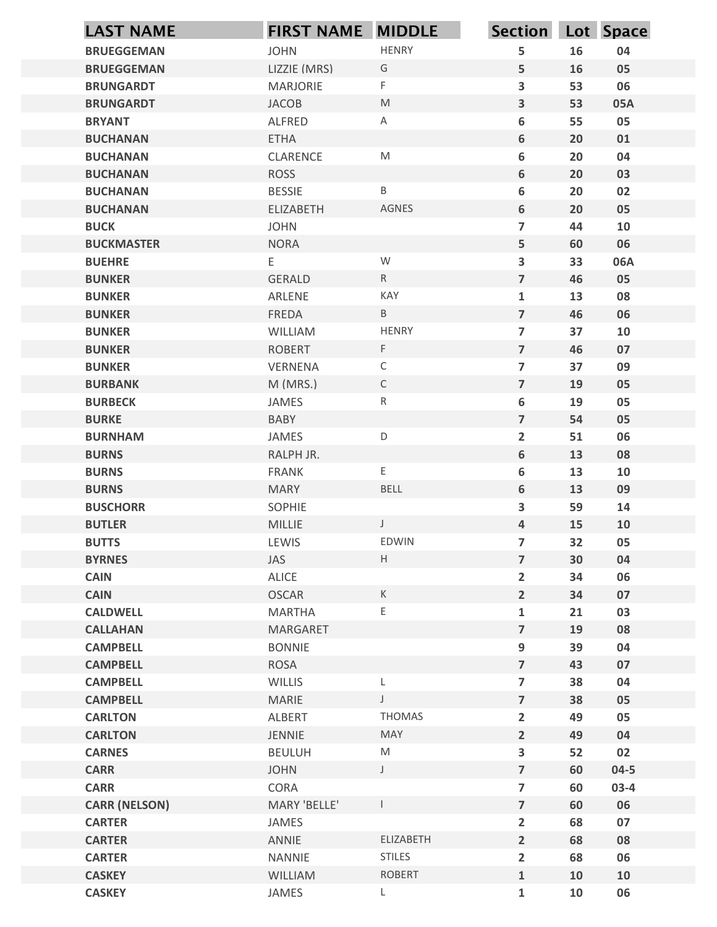| <b>LAST NAME</b>                   | <b>FIRST NAME MIDDLE</b> |                                                                                                            | Section Lot Space                         |          |          |
|------------------------------------|--------------------------|------------------------------------------------------------------------------------------------------------|-------------------------------------------|----------|----------|
| <b>BRUEGGEMAN</b>                  | <b>JOHN</b>              | <b>HENRY</b>                                                                                               | 5                                         | 16       | 04       |
| <b>BRUEGGEMAN</b>                  | LIZZIE (MRS)             | G                                                                                                          | 5                                         | 16       | 05       |
| <b>BRUNGARDT</b>                   | <b>MARJORIE</b>          | F                                                                                                          | $\mathbf{3}$                              | 53       | 06       |
| <b>BRUNGARDT</b>                   | <b>JACOB</b>             | M                                                                                                          | $\mathbf{3}$                              | 53       | 05A      |
| <b>BRYANT</b>                      | ALFRED                   | A                                                                                                          | 6                                         | 55       | 05       |
| <b>BUCHANAN</b><br><b>BUCHANAN</b> | <b>ETHA</b><br>CLARENCE  | $\mathsf{M}% _{T}=\mathsf{M}_{T}\!\left( a,b\right) ,\ \mathsf{M}_{T}=\mathsf{M}_{T}\!\left( a,b\right) ,$ | 6<br>6                                    | 20<br>20 | 01<br>04 |
| <b>BUCHANAN</b>                    | <b>ROSS</b>              |                                                                                                            | 6                                         | 20       | 03       |
| <b>BUCHANAN</b>                    | <b>BESSIE</b>            | B                                                                                                          | 6                                         | 20       | 02       |
| <b>BUCHANAN</b>                    | <b>ELIZABETH</b>         | <b>AGNES</b>                                                                                               | 6                                         | 20       | 05       |
| <b>BUCK</b>                        | <b>JOHN</b>              |                                                                                                            | $\overline{7}$                            | 44       | 10       |
| <b>BUCKMASTER</b>                  | <b>NORA</b>              |                                                                                                            | 5                                         | 60       | 06       |
| <b>BUEHRE</b>                      | E                        | W                                                                                                          | $\mathbf{3}$                              | 33       | 06A      |
| <b>BUNKER</b>                      | <b>GERALD</b>            | ${\sf R}$                                                                                                  | $\overline{7}$                            | 46       | 05       |
| <b>BUNKER</b>                      | ARLENE                   | KAY                                                                                                        | $\mathbf{1}$                              | 13       | 08       |
| <b>BUNKER</b><br><b>BUNKER</b>     | FREDA<br>WILLIAM         | $\sf B$<br><b>HENRY</b>                                                                                    | $\overline{7}$<br>$\overline{7}$          | 46<br>37 | 06<br>10 |
| <b>BUNKER</b>                      | <b>ROBERT</b>            | F                                                                                                          | $\overline{7}$                            | 46       | 07       |
| <b>BUNKER</b>                      | VERNENA                  | $\mathsf C$                                                                                                | $\overline{7}$                            | 37       | 09       |
| <b>BURBANK</b>                     | M (MRS.)                 | $\mathsf{C}$                                                                                               | $\overline{7}$                            | 19       | 05       |
| <b>BURBECK</b>                     | JAMES                    | ${\sf R}$                                                                                                  | 6                                         | 19       | 05       |
| <b>BURKE</b>                       | BABY                     |                                                                                                            | $\overline{7}$                            | 54       | 05       |
| <b>BURNHAM</b>                     | JAMES                    | $\mathsf D$                                                                                                | $\overline{2}$                            | 51       | 06       |
| <b>BURNS</b>                       | RALPH JR.                |                                                                                                            | 6                                         | 13       | 08       |
| <b>BURNS</b>                       | FRANK                    | E                                                                                                          | 6                                         | 13       | 10       |
| <b>BURNS</b>                       | <b>MARY</b>              | BELL                                                                                                       | 6                                         | 13       | 09       |
| <b>BUSCHORR</b>                    | SOPHIE                   | $\mathsf{J}$                                                                                               | $\mathbf{3}$                              | 59       | 14       |
| <b>BUTLER</b><br><b>BUTTS</b>      | MILLIE<br>LEWIS          | EDWIN                                                                                                      | $\overline{a}$<br>$\overline{\mathbf{z}}$ | 15<br>32 | 10<br>05 |
| <b>BYRNES</b>                      | JAS                      | H                                                                                                          | $\overline{7}$                            | 30       | 04       |
| <b>CAIN</b>                        | ALICE                    |                                                                                                            | $\overline{2}$                            | 34       | 06       |
| <b>CAIN</b>                        | <b>OSCAR</b>             | К                                                                                                          | $\overline{2}$                            | 34       | 07       |
| <b>CALDWELL</b>                    | <b>MARTHA</b>            | Ε                                                                                                          | $\mathbf{1}$                              | 21       | 03       |
| <b>CALLAHAN</b>                    | MARGARET                 |                                                                                                            | $\overline{7}$                            | 19       | 08       |
| <b>CAMPBELL</b>                    | <b>BONNIE</b>            |                                                                                                            | 9                                         | 39       | 04       |
| <b>CAMPBELL</b>                    | <b>ROSA</b>              |                                                                                                            | $\overline{\mathbf{z}}$                   | 43       | 07       |
| <b>CAMPBELL</b>                    | WILLIS                   | L                                                                                                          | $\overline{\mathbf{z}}$                   | 38       | 04       |
| <b>CAMPBELL</b>                    | MARIE                    | $\mathsf{J}$                                                                                               | $\overline{7}$                            | 38       | 05       |
| <b>CARLTON</b><br><b>CARLTON</b>   | ALBERT<br>JENNIE         | <b>THOMAS</b><br>MAY                                                                                       | $\overline{2}$                            | 49<br>49 | 05<br>04 |
| <b>CARNES</b>                      | <b>BEULUH</b>            | $\mathsf{M}% _{T}=\mathsf{M}_{T}\!\left( a,b\right) ,\ \mathsf{M}_{T}=\mathsf{M}_{T}\!\left( a,b\right) ,$ | $\overline{2}$<br>$\overline{\mathbf{3}}$ | 52       | 02       |
| <b>CARR</b>                        | <b>JOHN</b>              | $\mathsf{J}$                                                                                               | $\overline{7}$                            | 60       | $04 - 5$ |
| <b>CARR</b>                        | CORA                     |                                                                                                            | $\overline{\mathbf{z}}$                   | 60       | $03-4$   |
| <b>CARR (NELSON)</b>               | MARY 'BELLE'             |                                                                                                            | $\overline{7}$                            | 60       | 06       |
| <b>CARTER</b>                      | JAMES                    |                                                                                                            | $\overline{2}$                            | 68       | 07       |
| <b>CARTER</b>                      | ANNIE                    | ELIZABETH                                                                                                  | $\overline{2}$                            | 68       | 08       |
| <b>CARTER</b>                      | NANNIE                   | <b>STILES</b>                                                                                              | $\overline{2}$                            | 68       | 06       |
| <b>CASKEY</b>                      | WILLIAM                  | <b>ROBERT</b>                                                                                              | $\mathbf{1}$                              | 10       | 10       |
| <b>CASKEY</b>                      | JAMES                    | L                                                                                                          | $\mathbf 1$                               | 10       | 06       |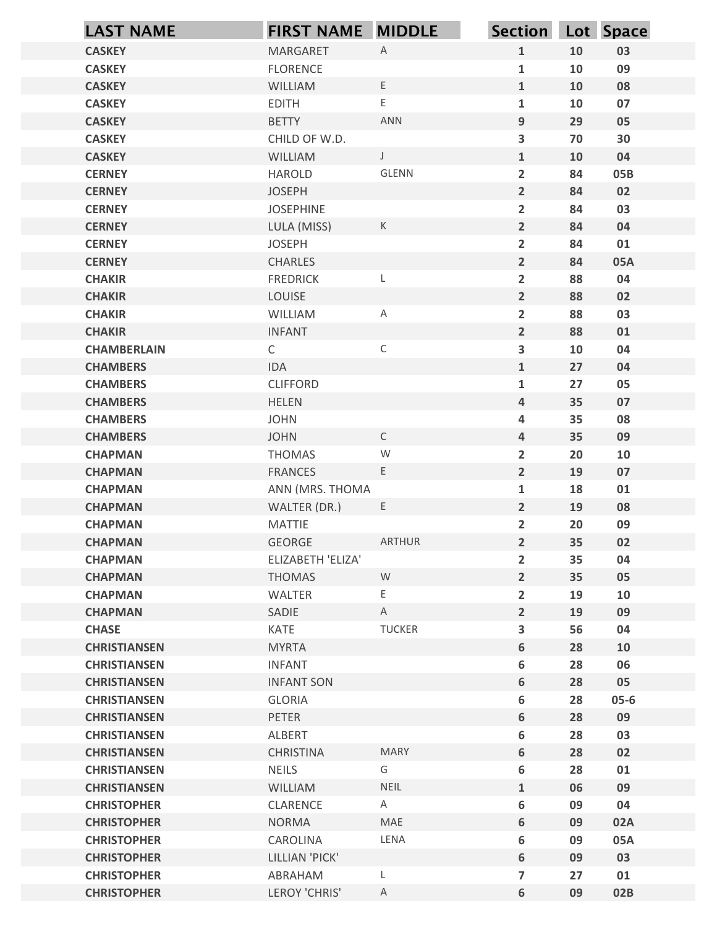|                                            | <b>FIRST NAME MIDDLE</b>      |                | Section Lot Space                |          |            |
|--------------------------------------------|-------------------------------|----------------|----------------------------------|----------|------------|
| <b>LAST NAME</b><br><b>CASKEY</b>          | MARGARET                      | $\mathsf{A}$   | $\mathbf{1}$                     | 10       | 03         |
| <b>CASKEY</b>                              | <b>FLORENCE</b>               |                | $\mathbf{1}$                     | 10       | 09         |
| <b>CASKEY</b>                              | WILLIAM                       | $\mathsf{E}$   | $\mathbf{1}$                     | 10       | 08         |
| <b>CASKEY</b>                              | <b>EDITH</b>                  | E              | $\mathbf{1}$                     | 10       | 07         |
| <b>CASKEY</b>                              | <b>BETTY</b>                  | ANN            | 9                                | 29       | 05         |
| <b>CASKEY</b>                              | CHILD OF W.D.                 |                | $\overline{\mathbf{3}}$          | 70       | 30         |
| <b>CASKEY</b>                              | WILLIAM                       | $\mathsf J$    | $\mathbf{1}$                     | 10       | 04         |
| <b>CERNEY</b>                              | <b>HAROLD</b>                 | GLENN          | $\overline{2}$                   | 84       | 05B        |
| <b>CERNEY</b>                              | <b>JOSEPH</b>                 |                | $\overline{2}$                   | 84       | 02         |
| <b>CERNEY</b>                              | <b>JOSEPHINE</b>              | $\mathsf K$    | $\overline{2}$                   | 84       | 03         |
| <b>CERNEY</b><br><b>CERNEY</b>             | LULA (MISS)<br><b>JOSEPH</b>  |                | $\overline{2}$<br>$\overline{2}$ | 84<br>84 | 04<br>01   |
| <b>CERNEY</b>                              | <b>CHARLES</b>                |                | $\overline{2}$                   | 84       | 05A        |
| <b>CHAKIR</b>                              | <b>FREDRICK</b>               |                | $\overline{2}$                   | 88       | 04         |
| <b>CHAKIR</b>                              | LOUISE                        |                | $\overline{2}$                   | 88       | 02         |
| <b>CHAKIR</b>                              | WILLIAM                       | A              | $\overline{2}$                   | 88       | 03         |
| <b>CHAKIR</b>                              | <b>INFANT</b>                 |                | $2^{\circ}$                      | 88       | ${\bf 01}$ |
| <b>CHAMBERLAIN</b>                         | $\mathsf{C}$                  | $\mathsf C$    | $\mathbf{3}$                     | 10       | 04         |
| <b>CHAMBERS</b>                            | IDA                           |                | $\mathbf{1}$                     | 27       | 04         |
| <b>CHAMBERS</b>                            | <b>CLIFFORD</b>               |                | $\mathbf{1}$                     | 27       | 05         |
| <b>CHAMBERS</b>                            | <b>HELEN</b>                  |                | $\overline{4}$                   | 35       | 07         |
| <b>CHAMBERS</b>                            | <b>JOHN</b>                   | $\mathsf C$    | 4                                | 35       | 08         |
| <b>CHAMBERS</b><br><b>CHAPMAN</b>          | <b>JOHN</b><br><b>THOMAS</b>  | W              | $\overline{4}$<br>$\overline{2}$ | 35<br>20 | 09<br>10   |
| <b>CHAPMAN</b>                             | <b>FRANCES</b>                | $\mathsf E$    | $2^{\circ}$                      | 19       | 07         |
| <b>CHAPMAN</b>                             | ANN (MRS. THOMA               |                | $\mathbf{1}$                     | 18       | 01         |
| <b>CHAPMAN</b>                             | WALTER (DR.)                  | E              | $2\overline{ }$                  | 19       | 08         |
| <b>CHAPMAN</b>                             | MATTIE                        |                | $\overline{2}$                   | 20       | 09         |
| <b>CHAPMAN</b>                             | GEORGE                        | ARTHUR         | $2^{\circ}$                      | 35       | 02         |
| <b>CHAPMAN</b>                             | ELIZABETH 'ELIZA'             |                | $\overline{2}$                   | 35       | 04         |
| <b>CHAPMAN</b>                             | <b>THOMAS</b>                 | W              | $2^{\circ}$                      | 35       | 05         |
| <b>CHAPMAN</b>                             | WALTER                        | E,             | $\overline{2}$                   | 19       | 10         |
| <b>CHAPMAN</b>                             | SADIE                         | $\mathsf{A}$   | $2^{\circ}$                      | 19       | 09         |
| <b>CHASE</b>                               | KATE                          | <b>TUCKER</b>  | $\mathbf{3}$                     | 56       | 04         |
| <b>CHRISTIANSEN</b>                        | <b>MYRTA</b><br><b>INFANT</b> |                | 6                                | 28       | 10         |
| <b>CHRISTIANSEN</b><br><b>CHRISTIANSEN</b> | <b>INFANT SON</b>             |                | 6<br>6                           | 28<br>28 | 06<br>05   |
| <b>CHRISTIANSEN</b>                        | GLORIA                        |                | 6                                | 28       | $05 - 6$   |
| <b>CHRISTIANSEN</b>                        | PETER                         |                | 6                                | 28       | 09         |
| <b>CHRISTIANSEN</b>                        | ALBERT                        |                | 6                                | 28       | 03         |
| <b>CHRISTIANSEN</b>                        | CHRISTINA                     | <b>MARY</b>    | 6                                | 28       | 02         |
| <b>CHRISTIANSEN</b>                        | <b>NEILS</b>                  | G              | 6                                | 28       | 01         |
| <b>CHRISTIANSEN</b>                        | WILLIAM                       | <b>NEIL</b>    | $\mathbf{1}$                     | 06       | 09         |
| <b>CHRISTOPHER</b>                         | CLARENCE                      | A              | 6                                | 09       | 04         |
| <b>CHRISTOPHER</b>                         | <b>NORMA</b>                  | MAE            | 6                                | 09       | 02A        |
| <b>CHRISTOPHER</b>                         | CAROLINA                      | LENA           | 6                                | 09       | 05A        |
| <b>CHRISTOPHER</b>                         | LILLIAN 'PICK'                |                | 6                                | 09       | 03         |
| <b>CHRISTOPHER</b>                         | ABRAHAM                       | L              | $\overline{7}$                   | 27       | 01         |
| <b>CHRISTOPHER</b>                         | LEROY 'CHRIS'                 | $\overline{A}$ | 6                                | 09       | 02B        |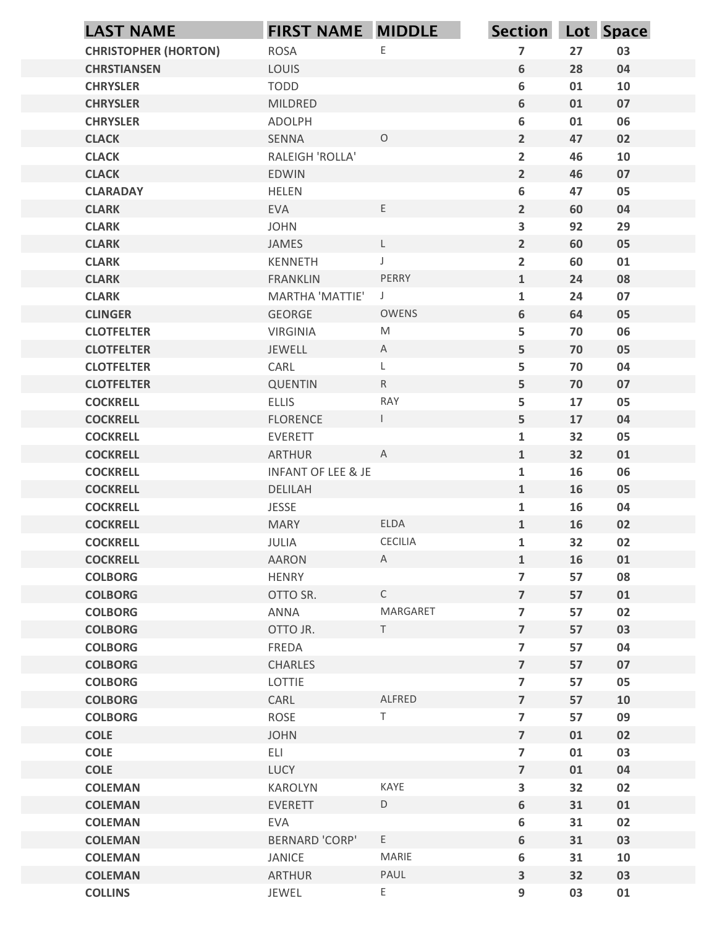| <b>LAST NAME</b>                   | <b>FIRST NAME MIDDLE</b>      |                                                                                                            | Section Lot Space                         |          |          |
|------------------------------------|-------------------------------|------------------------------------------------------------------------------------------------------------|-------------------------------------------|----------|----------|
| <b>CHRISTOPHER (HORTON)</b>        | <b>ROSA</b>                   | $\mathsf E$                                                                                                | $\overline{\mathbf{z}}$                   | 27       | 03       |
| <b>CHRSTIANSEN</b>                 | LOUIS                         |                                                                                                            | 6                                         | 28       | 04       |
| <b>CHRYSLER</b>                    | <b>TODD</b>                   |                                                                                                            | 6                                         | 01       | 10       |
| <b>CHRYSLER</b>                    | MILDRED                       |                                                                                                            | 6                                         | 01       | 07       |
| <b>CHRYSLER</b><br><b>CLACK</b>    | <b>ADOLPH</b><br>SENNA        | $\circ$                                                                                                    | 6<br>$\overline{2}$                       | 01<br>47 | 06<br>02 |
| <b>CLACK</b>                       | RALEIGH 'ROLLA'               |                                                                                                            | $\overline{2}$                            | 46       | 10       |
| <b>CLACK</b>                       | <b>EDWIN</b>                  |                                                                                                            | $\overline{2}$                            | 46       | 07       |
| <b>CLARADAY</b>                    | <b>HELEN</b>                  |                                                                                                            | 6                                         | 47       | 05       |
| <b>CLARK</b>                       | <b>EVA</b>                    | E                                                                                                          | $\overline{2}$                            | 60       | 04       |
| <b>CLARK</b>                       | <b>JOHN</b>                   |                                                                                                            | 3                                         | 92       | 29       |
| <b>CLARK</b>                       | JAMES                         | $\mathsf{L}$                                                                                               | $\overline{2}$                            | 60       | 05       |
| <b>CLARK</b>                       | KENNETH                       | J                                                                                                          | $\overline{2}$                            | 60       | 01       |
| <b>CLARK</b><br><b>CLARK</b>       | <b>FRANKLIN</b>               | PERRY<br>$\overline{\phantom{a}}$                                                                          | $\mathbf{1}$<br>$\mathbf{1}$              | 24<br>24 | 08<br>07 |
| <b>CLINGER</b>                     | MARTHA 'MATTIE'<br>GEORGE     | OWENS                                                                                                      | 6                                         | 64       | 05       |
| <b>CLOTFELTER</b>                  | <b>VIRGINIA</b>               | $\mathsf{M}% _{T}=\mathsf{M}_{T}\!\left( a,b\right) ,\ \mathsf{M}_{T}=\mathsf{M}_{T}\!\left( a,b\right) ,$ | ${\mathsf 5}$                             | 70       | 06       |
| <b>CLOTFELTER</b>                  | JEWELL                        | $\mathsf{A}$                                                                                               | 5                                         | 70       | 05       |
| <b>CLOTFELTER</b>                  | CARL                          | L                                                                                                          | ${\mathsf 5}$                             | 70       | 04       |
| <b>CLOTFELTER</b>                  | <b>QUENTIN</b>                | R                                                                                                          | ${\mathbf 5}$                             | 70       | 07       |
| <b>COCKRELL</b>                    | <b>ELLIS</b>                  | RAY                                                                                                        | ${\mathsf 5}$                             | $17\,$   | 05       |
| <b>COCKRELL</b>                    | <b>FLORENCE</b>               | $\mathbf{L}$                                                                                               | ${\mathbf 5}$                             | 17       | 04       |
| <b>COCKRELL</b>                    | EVERETT                       |                                                                                                            | $\mathbf{1}$                              | 32       | 05       |
| <b>COCKRELL</b>                    | <b>ARTHUR</b>                 | $\overline{A}$                                                                                             | $\mathbf{1}$                              | 32       | 01       |
| <b>COCKRELL</b>                    | <b>INFANT OF LEE &amp; JE</b> |                                                                                                            | ${\bf 1}$                                 | 16       | 06       |
| <b>COCKRELL</b><br><b>COCKRELL</b> | DELILAH<br>JESSE              |                                                                                                            | $\mathbf{1}$<br>$\mathbf 1$               | 16<br>16 | 05<br>04 |
| <b>COCKRELL</b>                    | <b>MARY</b>                   | ELDA                                                                                                       | $\mathbf{1}$                              | 16       | 02       |
| <b>COCKRELL</b>                    | JULIA                         | CECILIA                                                                                                    | ${\bf 1}$                                 | 32       | 02       |
| <b>COCKRELL</b>                    | AARON                         | A                                                                                                          | $\mathbf{1}$                              | 16       | 01       |
| <b>COLBORG</b>                     | <b>HENRY</b>                  |                                                                                                            | $\overline{\mathbf{z}}$                   | 57       | 08       |
| <b>COLBORG</b>                     | OTTO SR.                      | $\mathsf{C}$                                                                                               | $\overline{7}$                            | 57       | 01       |
| <b>COLBORG</b>                     | ANNA                          | MARGARET                                                                                                   | $\overline{\mathbf{z}}$                   | 57       | 02       |
| <b>COLBORG</b>                     | OTTO JR.                      | T                                                                                                          | $\overline{7}$                            | 57       | 03       |
| <b>COLBORG</b>                     | FREDA                         |                                                                                                            | $\overline{\mathbf{z}}$                   | 57       | 04       |
| <b>COLBORG</b>                     | CHARLES                       |                                                                                                            | $\overline{7}$                            | 57       | 07       |
| <b>COLBORG</b>                     | LOTTIE                        |                                                                                                            | $\overline{\mathbf{z}}$                   | 57       | 05       |
| <b>COLBORG</b><br><b>COLBORG</b>   | CARL<br>ROSE                  | ALFRED<br>$\top$                                                                                           | $\overline{7}$<br>$\overline{\mathbf{z}}$ | 57<br>57 | 10       |
| <b>COLE</b>                        | <b>JOHN</b>                   |                                                                                                            | $\overline{7}$                            | 01       | 09<br>02 |
| <b>COLE</b>                        | ELI                           |                                                                                                            | $\overline{\mathbf{z}}$                   | 01       | 03       |
| <b>COLE</b>                        | LUCY                          |                                                                                                            | $\overline{7}$                            | 01       | 04       |
| <b>COLEMAN</b>                     | KAROLYN                       | KAYE                                                                                                       | $\overline{\mathbf{3}}$                   | 32       | 02       |
| <b>COLEMAN</b>                     | <b>EVERETT</b>                | D                                                                                                          | 6                                         | 31       | 01       |
| <b>COLEMAN</b>                     | EVA                           |                                                                                                            | $\boldsymbol{6}$                          | 31       | 02       |
| <b>COLEMAN</b>                     | <b>BERNARD 'CORP'</b>         | $\mathsf E$                                                                                                | $\boldsymbol{6}$                          | 31       | 03       |
| <b>COLEMAN</b>                     | JANICE                        | MARIE                                                                                                      | $\boldsymbol{6}$                          | 31       | 10       |
| <b>COLEMAN</b>                     | <b>ARTHUR</b>                 | PAUL                                                                                                       | $\overline{\mathbf{3}}$                   | 32       | 03       |
| <b>COLLINS</b>                     | JEWEL                         | E                                                                                                          | 9                                         | 03       | 01       |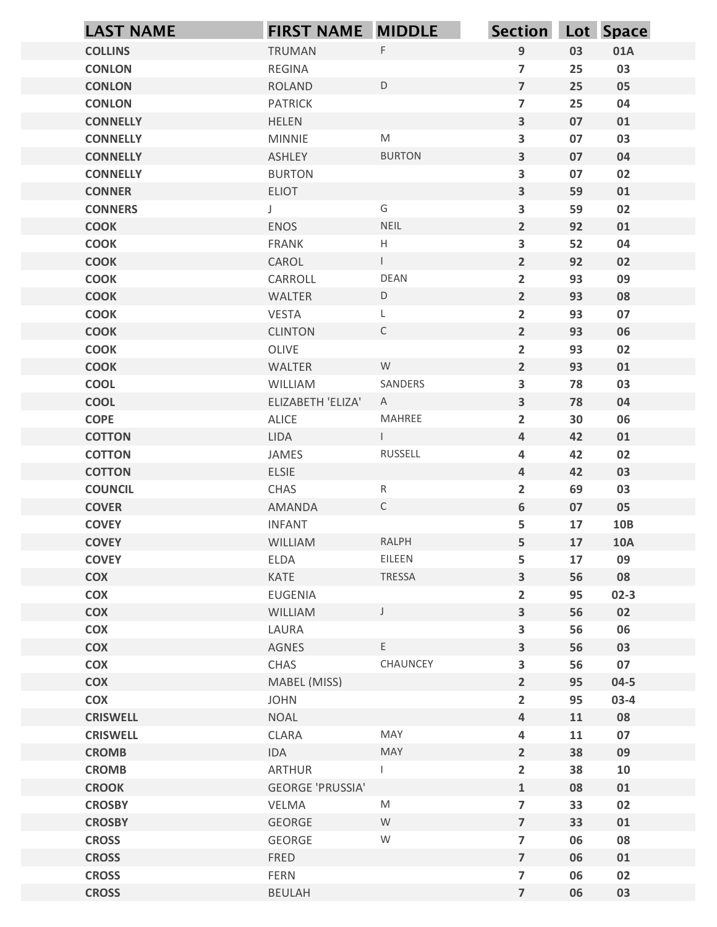| <b>LAST NAME</b>                | <b>FIRST NAME MIDDLE</b>   |                | Section Lot Space                |          |            |
|---------------------------------|----------------------------|----------------|----------------------------------|----------|------------|
| <b>COLLINS</b>                  | TRUMAN                     | $\mathsf F$    | $\overline{9}$                   | 03       | 01A        |
| <b>CONLON</b>                   | REGINA                     |                | $\overline{7}$                   | 25       | 03         |
| <b>CONLON</b>                   | <b>ROLAND</b>              | $\mathsf D$    | $\overline{7}$                   | 25       | 05         |
| <b>CONLON</b>                   | <b>PATRICK</b>             |                | $\overline{7}$                   | 25       | 04         |
| <b>CONNELLY</b>                 | <b>HELEN</b>               |                | $\mathbf{3}$                     | 07       | 01         |
| <b>CONNELLY</b>                 | <b>MINNIE</b>              | ${\sf M}$      | $\overline{\mathbf{3}}$          | 07       | 03         |
| <b>CONNELLY</b>                 | ASHLEY                     | <b>BURTON</b>  | $\mathbf{3}$                     | 07       | 04         |
| <b>CONNELLY</b>                 | <b>BURTON</b>              |                | $\overline{\mathbf{3}}$          | 07       | 02         |
| <b>CONNER</b><br><b>CONNERS</b> | <b>ELIOT</b>               | G              | $\mathbf{3}$<br>$\mathbf{3}$     | 59<br>59 | 01<br>02   |
| <b>COOK</b>                     | J<br><b>ENOS</b>           | NEIL           | $2^{\circ}$                      | 92       | 01         |
| <b>COOK</b>                     | <b>FRANK</b>               | Н              | $\mathbf{3}$                     | 52       | 04         |
| <b>COOK</b>                     | CAROL                      | $\mathbf{L}$   | $\overline{2}$                   | 92       | 02         |
| <b>COOK</b>                     | CARROLL                    | <b>DEAN</b>    | $\mathbf{2}$                     | 93       | 09         |
| <b>COOK</b>                     | WALTER                     | $\mathsf D$    | $2^{\circ}$                      | 93       | 08         |
| <b>COOK</b>                     | VESTA                      | L              | $\overline{2}$                   | 93       | 07         |
| <b>COOK</b>                     | <b>CLINTON</b>             | $\mathsf C$    | $\overline{2}$                   | 93       | 06         |
| <b>COOK</b>                     | OLIVE                      |                | $\overline{2}$                   | 93       | 02         |
| <b>COOK</b>                     | WALTER                     | W              | $2\overline{ }$                  | 93       | 01         |
| <b>COOL</b>                     | WILLIAM                    | SANDERS        | $\mathbf{3}$                     | 78       | 03         |
| <b>COOL</b><br><b>COPE</b>      | ELIZABETH 'ELIZA'<br>ALICE | A<br>MAHREE    | $\mathbf{3}$                     | 78<br>30 | 04<br>06   |
| <b>COTTON</b>                   | LIDA                       | $\mathbb{R}^n$ | $\overline{2}$<br>$\overline{4}$ | 42       | 01         |
| <b>COTTON</b>                   | JAMES                      | RUSSELL        | $\overline{\mathbf{4}}$          | 42       | 02         |
| <b>COTTON</b>                   | ELSIE                      |                | $\overline{4}$                   | 42       | 03         |
| <b>COUNCIL</b>                  | CHAS                       | R              | $\overline{2}$                   | 69       | 03         |
| <b>COVER</b>                    | AMANDA                     | $\mathsf C$    | $6\phantom{a}$                   | 07       | 05         |
| <b>COVEY</b>                    | <b>INFANT</b>              |                | 5                                | 17       | 10B        |
| <b>COVEY</b>                    | WILLIAM                    | RALPH          | 5 <sup>1</sup>                   | 17       | <b>10A</b> |
| <b>COVEY</b>                    | ELDA                       | EILEEN         | 5                                | 17       | 09         |
| COX                             | KATE                       | TRESSA         | $\mathbf{3}$                     | 56       | 08         |
| <b>COX</b>                      | <b>EUGENIA</b>             |                | $\overline{2}$                   | 95       | $02-3$     |
| <b>COX</b>                      | WILLIAM                    | $\mathsf J$    | $\mathbf{3}$                     | 56       | 02         |
| <b>COX</b><br><b>COX</b>        | LAURA<br>AGNES             | E.             | $\mathbf{3}$<br>$\mathbf{3}$     | 56<br>56 | 06<br>03   |
| <b>COX</b>                      | CHAS                       | CHAUNCEY       | $\mathbf{3}$                     | 56       | 07         |
| <b>COX</b>                      | MABEL (MISS)               |                | $2^{\circ}$                      | 95       | $04 - 5$   |
| <b>COX</b>                      | <b>JOHN</b>                |                | $\overline{2}$                   | 95       | $03-4$     |
| <b>CRISWELL</b>                 | <b>NOAL</b>                |                | $\overline{4}$                   | 11       | 08         |
| <b>CRISWELL</b>                 | CLARA                      | MAY            | $\overline{\mathbf{4}}$          | 11       | 07         |
| <b>CROMB</b>                    | <b>IDA</b>                 | MAY            | $2^{\circ}$                      | 38       | 09         |
| <b>CROMB</b>                    | ARTHUR                     | $\mathbf{L}$   | $\overline{2}$                   | 38       | 10         |
| <b>CROOK</b>                    | <b>GEORGE 'PRUSSIA'</b>    |                | $\mathbf{1}$                     | 08       | 01         |
| <b>CROSBY</b>                   | VELMA                      | M              | $\overline{7}$                   | 33       | 02         |
| <b>CROSBY</b>                   | GEORGE                     | W              | $\overline{7}$                   | 33       | 01         |
| <b>CROSS</b>                    | GEORGE                     | ${\mathsf W}$  | $\overline{7}$                   | 06       | 08         |
| <b>CROSS</b><br><b>CROSS</b>    | FRED<br><b>FERN</b>        |                | $\overline{7}$<br>$\overline{7}$ | 06<br>06 | 01<br>02   |
| <b>CROSS</b>                    | BEULAH                     |                | $\overline{7}$                   | 06       | 03         |
|                                 |                            |                |                                  |          |            |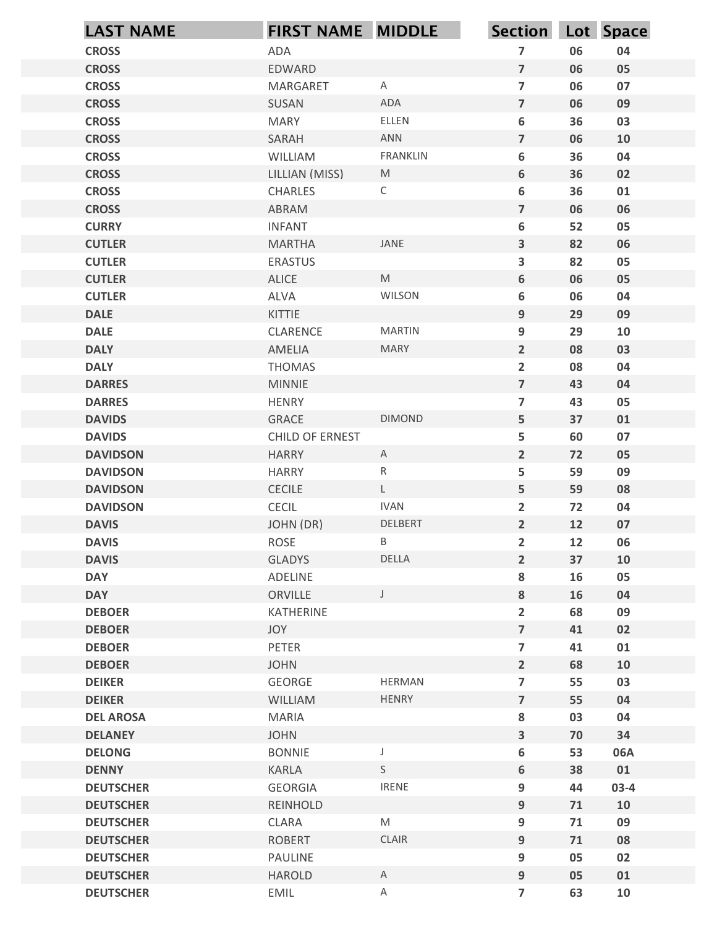| <b>LAST NAME</b>                     | <b>FIRST NAME MIDDLE</b>     |                                                                                                            | Section Lot Space                |          |                  |
|--------------------------------------|------------------------------|------------------------------------------------------------------------------------------------------------|----------------------------------|----------|------------------|
| <b>CROSS</b>                         | <b>ADA</b>                   |                                                                                                            | $\overline{7}$                   | 06       | 04               |
| <b>CROSS</b>                         | EDWARD                       |                                                                                                            | $\overline{7}$                   | 06       | 05               |
| <b>CROSS</b>                         | MARGARET                     | $\mathsf{A}$                                                                                               | $\overline{7}$                   | 06       | 07               |
| <b>CROSS</b>                         | SUSAN                        | ADA                                                                                                        | $\overline{7}$                   | 06       | 09               |
| <b>CROSS</b>                         | <b>MARY</b>                  | ELLEN                                                                                                      | 6                                | 36       | 03               |
| <b>CROSS</b>                         | SARAH                        | <b>ANN</b>                                                                                                 | $\overline{7}$                   | 06       | 10               |
| <b>CROSS</b><br><b>CROSS</b>         | WILLIAM<br>LILLIAN (MISS)    | <b>FRANKLIN</b><br>M                                                                                       | 6<br>6                           | 36<br>36 | 04<br>02         |
| <b>CROSS</b>                         | CHARLES                      | $\mathsf C$                                                                                                | 6                                | 36       | 01               |
| <b>CROSS</b>                         | ABRAM                        |                                                                                                            | $\overline{7}$                   | 06       | 06               |
| <b>CURRY</b>                         | <b>INFANT</b>                |                                                                                                            | 6                                | 52       | 05               |
| <b>CUTLER</b>                        | <b>MARTHA</b>                | JANE                                                                                                       | $\overline{\mathbf{3}}$          | 82       | 06               |
| <b>CUTLER</b>                        | <b>ERASTUS</b>               |                                                                                                            | $\overline{\mathbf{3}}$          | 82       | 05               |
| <b>CUTLER</b>                        | <b>ALICE</b>                 | $\mathsf{M}% _{T}=\mathsf{M}_{T}\!\left( a,b\right) ,\ \mathsf{M}_{T}=\mathsf{M}_{T}\!\left( a,b\right) ,$ | 6                                | 06       | 05               |
| <b>CUTLER</b>                        | ALVA                         | WILSON                                                                                                     | 6                                | 06       | 04               |
| <b>DALE</b><br><b>DALE</b>           | KITTIE<br>CLARENCE           | <b>MARTIN</b>                                                                                              | 9<br>9                           | 29<br>29 | 09<br>10         |
| <b>DALY</b>                          | AMELIA                       | MARY                                                                                                       | $\overline{2}$                   | 08       | 03               |
| <b>DALY</b>                          | THOMAS                       |                                                                                                            | $\overline{2}$                   | 08       | 04               |
| <b>DARRES</b>                        | <b>MINNIE</b>                |                                                                                                            | $\overline{\mathbf{z}}$          | 43       | 04               |
| <b>DARRES</b>                        | <b>HENRY</b>                 |                                                                                                            | $\overline{\mathbf{z}}$          | 43       | 05               |
| <b>DAVIDS</b>                        | GRACE                        | <b>DIMOND</b>                                                                                              | 5                                | 37       | 01               |
| <b>DAVIDS</b>                        | CHILD OF ERNEST              |                                                                                                            | 5                                | 60       | 07               |
| <b>DAVIDSON</b><br><b>DAVIDSON</b>   | <b>HARRY</b><br><b>HARRY</b> | $\mathsf{A}$<br>$\mathsf{R}$                                                                               | $\overline{2}$<br>5              | 72<br>59 | 05<br>09         |
| <b>DAVIDSON</b>                      | CECILE                       | $\mathsf{L}$                                                                                               | 5                                | 59       | 08               |
| <b>DAVIDSON</b>                      | CECIL                        | <b>IVAN</b>                                                                                                | $\overline{2}$                   | 72       | ${\bf 04}$       |
| <b>DAVIS</b>                         | JOHN (DR)                    | DELBERT                                                                                                    | $2^{\circ}$                      | 12       | 07               |
| <b>DAVIS</b>                         | ROSE                         | $\mathsf B$                                                                                                | $\overline{2}$                   | 12       | 06               |
| <b>DAVIS</b>                         | GLADYS                       | DELLA                                                                                                      | $\overline{2}$                   | 37       | 10               |
| <b>DAY</b>                           | ADELINE                      |                                                                                                            | 8                                | 16       | 05               |
| <b>DAY</b>                           | ORVILLE                      | $\mathsf{J}$                                                                                               | 8                                | 16       | 04               |
| <b>DEBOER</b>                        | KATHERINE                    |                                                                                                            | $\overline{2}$                   | 68       | 09               |
| <b>DEBOER</b>                        | JOY                          |                                                                                                            | $\overline{\mathbf{z}}$          | 41       | 02               |
| <b>DEBOER</b><br><b>DEBOER</b>       | PETER<br><b>JOHN</b>         |                                                                                                            | $\overline{7}$<br>$\overline{2}$ | 41<br>68 | ${\bf 01}$<br>10 |
| <b>DEIKER</b>                        | GEORGE                       | <b>HERMAN</b>                                                                                              | $\overline{\mathbf{z}}$          | 55       | 03               |
| <b>DEIKER</b>                        | WILLIAM                      | HENRY                                                                                                      | $\overline{7}$                   | 55       | 04               |
| <b>DEL AROSA</b>                     | MARIA                        |                                                                                                            | 8                                | 03       | 04               |
| <b>DELANEY</b>                       | <b>JOHN</b>                  |                                                                                                            | $\overline{\mathbf{3}}$          | 70       | 34               |
| <b>DELONG</b>                        | <b>BONNIE</b>                | $\mathsf J$                                                                                                | 6                                | 53       | 06A              |
| <b>DENNY</b>                         | KARLA                        | S                                                                                                          | 6                                | 38       | 01               |
| <b>DEUTSCHER</b>                     | GEORGIA                      | <b>IRENE</b>                                                                                               | 9                                | 44       | $03-4$           |
| <b>DEUTSCHER</b>                     | REINHOLD                     |                                                                                                            | 9                                | 71       | 10               |
| <b>DEUTSCHER</b>                     | CLARA                        | $\mathsf{M}% _{T}=\mathsf{M}_{T}\!\left( a,b\right) ,\ \mathsf{M}_{T}=\mathsf{M}_{T}\!\left( a,b\right) ,$ | 9                                | 71       | 09               |
| <b>DEUTSCHER</b>                     | <b>ROBERT</b>                | CLAIR                                                                                                      | 9                                | 71<br>05 | 08               |
| <b>DEUTSCHER</b><br><b>DEUTSCHER</b> | PAULINE<br>HAROLD            | $\mathsf{A}$                                                                                               | 9<br>9                           | 05       | 02<br>01         |
| <b>DEUTSCHER</b>                     | EMIL                         | $\mathsf{A}$                                                                                               | $\overline{7}$                   | 63       | 10               |
|                                      |                              |                                                                                                            |                                  |          |                  |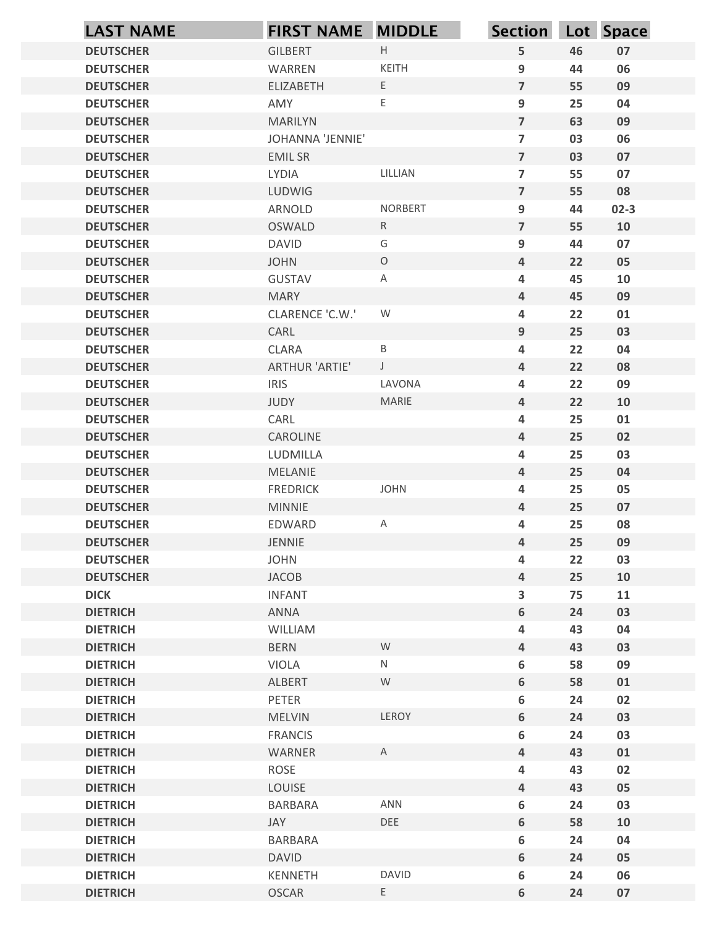| <b>LAST NAME</b>                     | <b>FIRST NAME MIDDLE</b>           |                | <b>Section</b>                            |          | Lot Space |
|--------------------------------------|------------------------------------|----------------|-------------------------------------------|----------|-----------|
| <b>DEUTSCHER</b>                     | <b>GILBERT</b>                     | $\mathsf H$    | ${\mathsf 5}$                             | 46       | 07        |
| <b>DEUTSCHER</b>                     | WARREN                             | KEITH          | 9                                         | 44       | 06        |
| <b>DEUTSCHER</b>                     | <b>ELIZABETH</b>                   | $\mathsf E$    | $\overline{7}$                            | 55       | 09        |
| <b>DEUTSCHER</b>                     | AMY                                | $\mathsf E$    | 9                                         | 25       | 04        |
| <b>DEUTSCHER</b><br><b>DEUTSCHER</b> | <b>MARILYN</b><br>JOHANNA 'JENNIE' |                | $\overline{7}$<br>$\overline{\mathbf{z}}$ | 63<br>03 | 09<br>06  |
| <b>DEUTSCHER</b>                     | <b>EMILSR</b>                      |                | $\overline{7}$                            | 03       | 07        |
| <b>DEUTSCHER</b>                     | LYDIA                              | LILLIAN        | $\overline{\mathbf{z}}$                   | 55       | 07        |
| <b>DEUTSCHER</b>                     | LUDWIG                             |                | $\overline{7}$                            | 55       | 08        |
| <b>DEUTSCHER</b>                     | ARNOLD                             | <b>NORBERT</b> | 9                                         | 44       | $02-3$    |
| <b>DEUTSCHER</b>                     | <b>OSWALD</b>                      | $\mathsf{R}$   | $\overline{7}$                            | 55       | 10        |
| <b>DEUTSCHER</b>                     | <b>DAVID</b>                       | G              | 9                                         | 44       | 07        |
| <b>DEUTSCHER</b>                     | <b>JOHN</b>                        | $\circ$        | $\overline{4}$                            | 22       | 05        |
| <b>DEUTSCHER</b><br><b>DEUTSCHER</b> | <b>GUSTAV</b><br><b>MARY</b>       | Α              | 4<br>$\overline{4}$                       | 45<br>45 | 10<br>09  |
| <b>DEUTSCHER</b>                     | CLARENCE 'C.W.'                    | W              | 4                                         | 22       | 01        |
| <b>DEUTSCHER</b>                     | CARL                               |                | $\boldsymbol{9}$                          | 25       | 03        |
| <b>DEUTSCHER</b>                     | CLARA                              | $\sf B$        | 4                                         | 22       | 04        |
| <b>DEUTSCHER</b>                     | ARTHUR 'ARTIE'                     | $\mathsf J$    | $\overline{4}$                            | 22       | 08        |
| <b>DEUTSCHER</b>                     | <b>IRIS</b>                        | LAVONA         | 4                                         | 22       | 09        |
| <b>DEUTSCHER</b>                     | JUDY                               | MARIE          | $\overline{4}$                            | 22       | 10        |
| <b>DEUTSCHER</b>                     | CARL                               |                | 4                                         | 25       | 01        |
| <b>DEUTSCHER</b>                     | CAROLINE                           |                | $\overline{4}$                            | 25       | 02        |
| <b>DEUTSCHER</b><br><b>DEUTSCHER</b> | LUDMILLA<br>MELANIE                |                | 4<br>$\pmb{4}$                            | 25<br>25 | 03<br>04  |
| <b>DEUTSCHER</b>                     | <b>FREDRICK</b>                    | JOHN           | 4                                         | 25       | 05        |
| <b>DEUTSCHER</b>                     | MINNIE                             |                | $\pmb{4}$                                 | 25       | 07        |
| <b>DEUTSCHER</b>                     | EDWARD                             | A              | $\overline{\mathbf{4}}$                   | 25       | 08        |
| <b>DEUTSCHER</b>                     | JENNIE                             |                | $\pmb{4}$                                 | 25       | 09        |
| <b>DEUTSCHER</b>                     | <b>JOHN</b>                        |                | 4                                         | 22       | 03        |
| <b>DEUTSCHER</b>                     | JACOB                              |                | $\pmb{4}$                                 | 25       | 10        |
| <b>DICK</b>                          | <b>INFANT</b>                      |                | $\overline{\mathbf{3}}$                   | 75       | 11        |
| <b>DIETRICH</b>                      | ANNA                               |                | $\boldsymbol{6}$                          | 24       | 03        |
| <b>DIETRICH</b>                      | WILLIAM                            | ${\mathsf W}$  | 4                                         | 43       | 04        |
| <b>DIETRICH</b><br><b>DIETRICH</b>   | <b>BERN</b><br>VIOLA               | N              | $\overline{4}$<br>$\boldsymbol{6}$        | 43<br>58 | 03<br>09  |
| <b>DIETRICH</b>                      | ALBERT                             | W              | $\boldsymbol{6}$                          | 58       | 01        |
| <b>DIETRICH</b>                      | PETER                              |                | $\boldsymbol{6}$                          | 24       | 02        |
| <b>DIETRICH</b>                      | MELVIN                             | LEROY          | $\boldsymbol{6}$                          | 24       | 03        |
| <b>DIETRICH</b>                      | <b>FRANCIS</b>                     |                | $\boldsymbol{6}$                          | 24       | 03        |
| <b>DIETRICH</b>                      | WARNER                             | $\mathsf{A}$   | $\overline{4}$                            | 43       | 01        |
| <b>DIETRICH</b>                      | ROSE                               |                | 4                                         | 43       | 02        |
| <b>DIETRICH</b>                      | LOUISE                             |                | $\overline{\mathbf{4}}$                   | 43       | 05        |
| <b>DIETRICH</b>                      | <b>BARBARA</b>                     | ANN            | 6                                         | 24       | 03        |
| <b>DIETRICH</b>                      | JAY                                | DEE            | $\boldsymbol{6}$                          | 58       | 10        |
| <b>DIETRICH</b><br><b>DIETRICH</b>   | BARBARA<br><b>DAVID</b>            |                | $\boldsymbol{6}$<br>$\boldsymbol{6}$      | 24<br>24 | 04<br>05  |
| <b>DIETRICH</b>                      | KENNETH                            | <b>DAVID</b>   | 6                                         | 24       | 06        |
| <b>DIETRICH</b>                      | OSCAR                              | $\mathsf E$    | $\boldsymbol{6}$                          | 24       | 07        |
|                                      |                                    |                |                                           |          |           |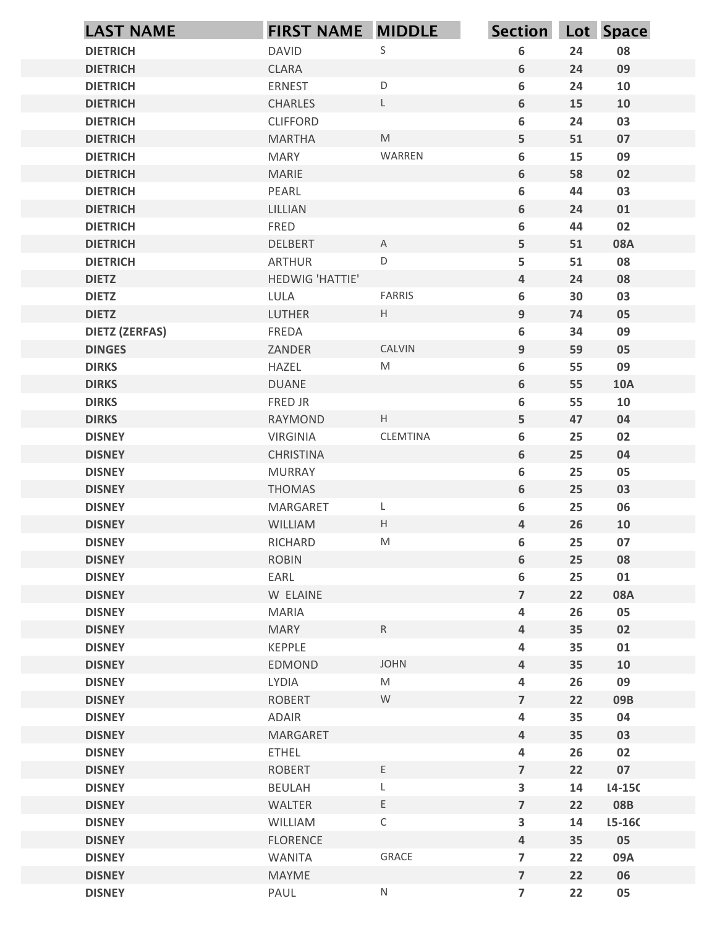|                                        | <b>LAST NAME</b> | <b>FIRST NAME MIDDLE</b> |                                                                                                            | Section Lot Space                         |          |              |
|----------------------------------------|------------------|--------------------------|------------------------------------------------------------------------------------------------------------|-------------------------------------------|----------|--------------|
| <b>DIETRICH</b>                        |                  | <b>DAVID</b>             | $\mathsf S$                                                                                                | 6                                         | 24       | 08           |
| <b>DIETRICH</b>                        |                  | <b>CLARA</b>             |                                                                                                            | 6                                         | 24       | 09           |
| <b>DIETRICH</b>                        |                  | <b>ERNEST</b>            | $\mathsf D$                                                                                                | 6                                         | 24       | 10           |
| <b>DIETRICH</b>                        |                  | <b>CHARLES</b>           | $\mathsf L$                                                                                                | 6                                         | 15       | 10           |
| <b>DIETRICH</b>                        |                  | <b>CLIFFORD</b>          |                                                                                                            | 6                                         | 24       | 03           |
| <b>DIETRICH</b>                        |                  | <b>MARTHA</b>            | $\mathsf{M}% _{T}=\mathsf{M}_{T}\!\left( a,b\right) ,\ \mathsf{M}_{T}=\mathsf{M}_{T}\!\left( a,b\right) ,$ | 5                                         | 51       | 07           |
| <b>DIETRICH</b>                        |                  | <b>MARY</b>              | WARREN                                                                                                     | 6                                         | 15       | 09           |
| <b>DIETRICH</b><br><b>DIETRICH</b>     |                  | <b>MARIE</b><br>PEARL    |                                                                                                            | 6<br>6                                    | 58<br>44 | 02<br>03     |
| <b>DIETRICH</b>                        |                  | LILLIAN                  |                                                                                                            | 6                                         | 24       | 01           |
| <b>DIETRICH</b>                        |                  | FRED                     |                                                                                                            | 6                                         | 44       | 02           |
| <b>DIETRICH</b>                        |                  | <b>DELBERT</b>           | $\mathsf{A}$                                                                                               | 5                                         | 51       | 08A          |
| <b>DIETRICH</b>                        |                  | <b>ARTHUR</b>            | $\mathsf D$                                                                                                | 5                                         | 51       | 08           |
| <b>DIETZ</b>                           |                  | HEDWIG 'HATTIE'          |                                                                                                            | 4                                         | 24       | 08           |
| <b>DIETZ</b>                           |                  | LULA                     | FARRIS                                                                                                     | 6                                         | 30       | 03           |
| <b>DIETZ</b>                           |                  | LUTHER                   | $\mathsf{H}^-$                                                                                             | $9\phantom{.0}$                           | 74       | 05           |
| <b>DIETZ (ZERFAS)</b><br><b>DINGES</b> |                  | FREDA<br>ZANDER          | CALVIN                                                                                                     | 6<br>9                                    | 34<br>59 | 09<br>05     |
| <b>DIRKS</b>                           |                  | HAZEL                    | ${\sf M}$                                                                                                  | 6                                         | 55       | 09           |
| <b>DIRKS</b>                           |                  | <b>DUANE</b>             |                                                                                                            | $6\phantom{.}$                            | 55       | <b>10A</b>   |
| <b>DIRKS</b>                           |                  | FRED JR                  |                                                                                                            | 6                                         | 55       | 10           |
| <b>DIRKS</b>                           |                  | RAYMOND                  | $\mathsf{H}^-$                                                                                             | 5                                         | 47       | 04           |
| <b>DISNEY</b>                          |                  | VIRGINIA                 | CLEMTINA                                                                                                   | 6                                         | 25       | 02           |
| <b>DISNEY</b>                          |                  | CHRISTINA                |                                                                                                            | $6\phantom{.}$                            | 25       | 04           |
| <b>DISNEY</b>                          |                  | <b>MURRAY</b>            |                                                                                                            | 6                                         | 25       | 05           |
| <b>DISNEY</b>                          |                  | THOMAS                   |                                                                                                            | 6                                         | $25\,$   | 03           |
| <b>DISNEY</b><br><b>DISNEY</b>         |                  | MARGARET<br>WILLIAM      | L<br>$\mathsf{H}% _{\mathsf{H}}^{\ast}(\mathcal{M}_{0})$                                                   | 6<br>$\overline{4}$                       | 25<br>26 | 06           |
| <b>DISNEY</b>                          |                  | RICHARD                  | ${\sf M}$                                                                                                  | $\boldsymbol{6}$                          | 25       | 10<br>$07\,$ |
| <b>DISNEY</b>                          |                  | <b>ROBIN</b>             |                                                                                                            | 6                                         | $25\,$   | 08           |
| <b>DISNEY</b>                          |                  | EARL                     |                                                                                                            | 6                                         | 25       | 01           |
| <b>DISNEY</b>                          |                  | W ELAINE                 |                                                                                                            | $\overline{7}$                            | 22       | <b>08A</b>   |
| <b>DISNEY</b>                          |                  | MARIA                    |                                                                                                            | $\overline{\mathbf{4}}$                   | 26       | 05           |
| <b>DISNEY</b>                          |                  | <b>MARY</b>              | ${\sf R}$                                                                                                  | $\overline{a}$                            | 35       | 02           |
| <b>DISNEY</b>                          |                  | KEPPLE                   |                                                                                                            | $\overline{\mathbf{4}}$                   | 35       | ${\bf 01}$   |
| <b>DISNEY</b>                          |                  | EDMOND                   | JOHN                                                                                                       | $\overline{4}$                            | 35       | 10           |
| <b>DISNEY</b>                          |                  | LYDIA                    | $\mathsf{M}% _{T}=\mathsf{M}_{T}\!\left( a,b\right) ,\ \mathsf{M}_{T}=\mathsf{M}_{T}\!\left( a,b\right) ,$ | $\overline{\mathbf{4}}$                   | 26       | 09           |
| <b>DISNEY</b><br><b>DISNEY</b>         |                  | ROBERT<br>ADAIR          | ${\sf W}$                                                                                                  | $\overline{7}$<br>$\overline{\mathbf{4}}$ | 22<br>35 | 09B<br>04    |
| <b>DISNEY</b>                          |                  | MARGARET                 |                                                                                                            | $\overline{4}$                            | 35       | 03           |
| <b>DISNEY</b>                          |                  | <b>ETHEL</b>             |                                                                                                            | $\overline{\mathbf{4}}$                   | 26       | 02           |
| <b>DISNEY</b>                          |                  | <b>ROBERT</b>            | $\mathsf E$                                                                                                | $\overline{7}$                            | 22       | 07           |
| <b>DISNEY</b>                          |                  | <b>BEULAH</b>            | L                                                                                                          | $\mathbf{3}$                              | 14       | $L4-15C$     |
| <b>DISNEY</b>                          |                  | WALTER                   | $\mathsf E$                                                                                                | $\overline{\mathbf{z}}$                   | 22       | 08B          |
| <b>DISNEY</b>                          |                  | WILLIAM                  | $\mathsf C$                                                                                                | $\mathbf{3}$                              | 14       | $15 - 160$   |
| <b>DISNEY</b>                          |                  | <b>FLORENCE</b>          |                                                                                                            | $\overline{4}$                            | 35       | 05           |
| <b>DISNEY</b>                          |                  | WANITA                   | GRACE                                                                                                      | $\overline{7}$                            | 22       | 09A          |
| <b>DISNEY</b>                          |                  | MAYME                    |                                                                                                            | $\overline{7}$                            | 22       | 06           |
| <b>DISNEY</b>                          |                  | PAUL                     | ${\sf N}$                                                                                                  | $\overline{7}$                            | 22       | 05           |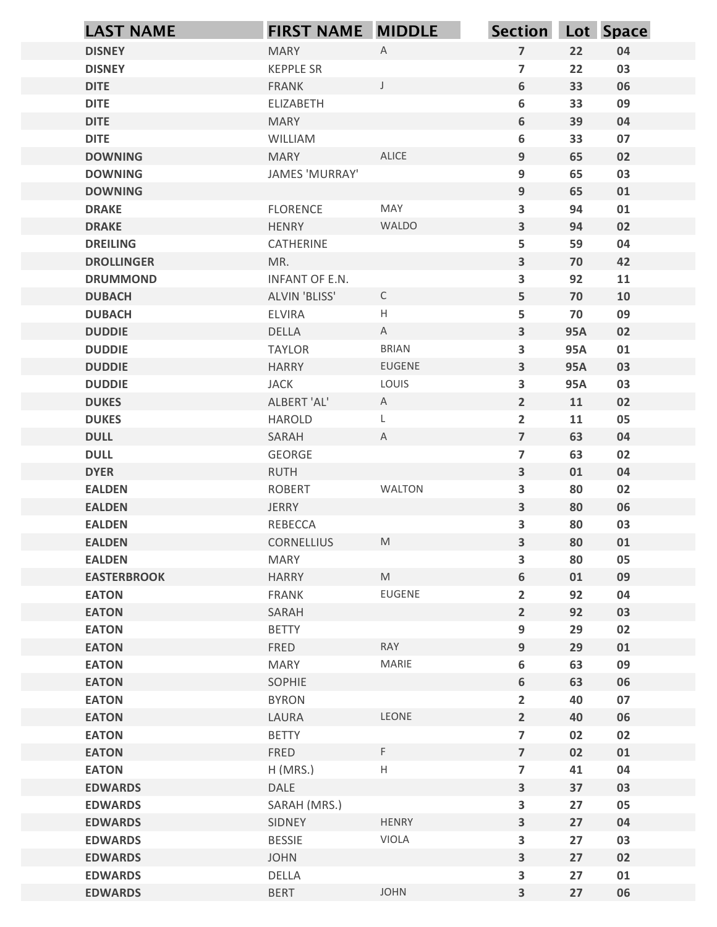| $\overline{7}$<br><b>DISNEY</b><br><b>MARY</b><br>$\mathsf{A}$<br>22<br>04<br>$\overline{7}$<br>22<br>03<br><b>DISNEY</b><br><b>KEPPLE SR</b><br>6<br><b>DITE</b><br>$\perp$<br>33<br>06<br><b>FRANK</b><br><b>DITE</b><br>6<br>33<br>09<br>ELIZABETH<br>6<br><b>DITE</b><br>39<br>04<br><b>MARY</b><br><b>DITE</b><br>6<br>33<br>07<br>WILLIAM<br>ALICE<br><b>DOWNING</b><br>9<br>65<br>02<br><b>MARY</b><br>JAMES 'MURRAY'<br>9<br>65<br>03<br><b>DOWNING</b><br>9<br><b>DOWNING</b><br>65<br>01<br>MAY<br><b>FLORENCE</b><br>3<br>94<br>01<br><b>DRAKE</b><br>WALDO<br><b>HENRY</b><br>$\mathbf{3}$<br>02<br><b>DRAKE</b><br>94<br>5<br><b>DREILING</b><br>CATHERINE<br>59<br>04<br>$\overline{\mathbf{3}}$<br>MR.<br>70<br>42<br><b>DROLLINGER</b><br>3<br>92<br>11<br>INFANT OF E.N.<br><b>DRUMMOND</b><br><b>DUBACH</b><br>ALVIN 'BLISS'<br>$\mathsf{C}$<br>5<br>70<br>10<br>H<br>09<br><b>DUBACH</b><br><b>ELVIRA</b><br>5<br>70<br>$\overline{\mathbf{3}}$<br>DELLA<br>A<br><b>95A</b><br>02<br><b>DUDDIE</b><br><b>DUDDIE</b><br><b>TAYLOR</b><br><b>BRIAN</b><br>95A<br>01<br>3<br>EUGENE<br>$\overline{\mathbf{3}}$<br><b>DUDDIE</b><br><b>HARRY</b><br><b>95A</b><br>03<br><b>DUDDIE</b><br><b>JACK</b><br>LOUIS<br>3<br><b>95A</b><br>03<br>ALBERT 'AL'<br>$2\overline{ }$<br><b>DUKES</b><br>A<br>11<br>02<br><b>DUKES</b><br>$\overline{2}$<br>05<br>HAROLD<br>11<br>L.<br>$\overline{7}$<br><b>DULL</b><br>$\mathsf{A}$<br>63<br>04<br>SARAH<br><b>DULL</b><br>GEORGE<br>$\overline{7}$<br>63<br>02<br>$\overline{\mathbf{3}}$<br><b>DYER</b><br>RUTH<br>01<br>04<br>WALTON<br><b>EALDEN</b><br>ROBERT<br>3<br>80<br>02<br>$\overline{\mathbf{3}}$<br><b>EALDEN</b><br>JERRY<br>80<br>06<br><b>EALDEN</b><br>REBECCA<br>3<br>80<br>03<br>$\mathsf{M}% _{T}=\mathsf{M}_{T}\!\left( a,b\right) ,\ \mathsf{M}_{T}=\mathsf{M}_{T}\!\left( a,b\right) ,$<br>$\overline{\mathbf{3}}$<br><b>EALDEN</b><br>80<br>01<br><b>CORNELLIUS</b><br><b>EALDEN</b><br><b>MARY</b><br>80<br>05<br>3<br>M<br>6<br><b>EASTERBROOK</b><br><b>HARRY</b><br>01<br>09<br><b>EATON</b><br>EUGENE<br>$\overline{2}$<br>92<br>04<br>FRANK<br>$2^{\circ}$<br>92<br><b>EATON</b><br>SARAH<br>03<br><b>EATON</b><br><b>BETTY</b><br>9<br>29<br>02<br>RAY<br>9<br><b>EATON</b><br>FRED<br>29<br>01<br><b>EATON</b><br><b>MARY</b><br>MARIE<br>6<br>63<br>09<br><b>EATON</b><br>SOPHIE<br>6<br>63<br>06<br><b>EATON</b><br><b>BYRON</b><br>07<br>$\overline{2}$<br>40<br>LEONE<br>$2^{\circ}$<br><b>EATON</b><br>LAURA<br>40<br>06<br><b>EATON</b><br><b>BETTY</b><br>$\overline{7}$<br>02<br>02<br>$\mathsf F$<br>$\overline{7}$<br><b>EATON</b><br>FRED<br>02<br>01<br><b>EATON</b><br>$H$ (MRS.)<br>H<br>$\overline{7}$<br>41<br>04<br>$\mathbf{3}$<br>37<br><b>EDWARDS</b><br>DALE<br>03<br><b>EDWARDS</b><br>SARAH (MRS.)<br>27<br>3<br>05<br>HENRY<br>04<br><b>EDWARDS</b><br>SIDNEY<br>$\mathbf{3}$<br>27<br>VIOLA<br>27<br>03<br><b>EDWARDS</b><br><b>BESSIE</b><br>3<br>$\overline{\mathbf{3}}$<br>27<br>02<br><b>EDWARDS</b><br><b>JOHN</b><br><b>EDWARDS</b><br>DELLA<br>3<br>27<br>01<br>JOHN<br>$\overline{\mathbf{3}}$<br>27<br>06<br><b>EDWARDS</b><br><b>BERT</b> | <b>LAST NAME</b> | <b>FIRST NAME MIDDLE</b> | Section Lot Space |  |
|-------------------------------------------------------------------------------------------------------------------------------------------------------------------------------------------------------------------------------------------------------------------------------------------------------------------------------------------------------------------------------------------------------------------------------------------------------------------------------------------------------------------------------------------------------------------------------------------------------------------------------------------------------------------------------------------------------------------------------------------------------------------------------------------------------------------------------------------------------------------------------------------------------------------------------------------------------------------------------------------------------------------------------------------------------------------------------------------------------------------------------------------------------------------------------------------------------------------------------------------------------------------------------------------------------------------------------------------------------------------------------------------------------------------------------------------------------------------------------------------------------------------------------------------------------------------------------------------------------------------------------------------------------------------------------------------------------------------------------------------------------------------------------------------------------------------------------------------------------------------------------------------------------------------------------------------------------------------------------------------------------------------------------------------------------------------------------------------------------------------------------------------------------------------------------------------------------------------------------------------------------------------------------------------------------------------------------------------------------------------------------------------------------------------------------------------------------------------------------------------------------------------------------------------------------------------------------------------------------------------------------------------------------------------------------------------------------------------------------------------------------------------------------------------------------------------------------------------------------------------------------------------------------------------------------------------------------------------------------------------------------------------------------------------------------------------------------------------------------------------------------------------------------------------|------------------|--------------------------|-------------------|--|
|                                                                                                                                                                                                                                                                                                                                                                                                                                                                                                                                                                                                                                                                                                                                                                                                                                                                                                                                                                                                                                                                                                                                                                                                                                                                                                                                                                                                                                                                                                                                                                                                                                                                                                                                                                                                                                                                                                                                                                                                                                                                                                                                                                                                                                                                                                                                                                                                                                                                                                                                                                                                                                                                                                                                                                                                                                                                                                                                                                                                                                                                                                                                                                   |                  |                          |                   |  |
|                                                                                                                                                                                                                                                                                                                                                                                                                                                                                                                                                                                                                                                                                                                                                                                                                                                                                                                                                                                                                                                                                                                                                                                                                                                                                                                                                                                                                                                                                                                                                                                                                                                                                                                                                                                                                                                                                                                                                                                                                                                                                                                                                                                                                                                                                                                                                                                                                                                                                                                                                                                                                                                                                                                                                                                                                                                                                                                                                                                                                                                                                                                                                                   |                  |                          |                   |  |
|                                                                                                                                                                                                                                                                                                                                                                                                                                                                                                                                                                                                                                                                                                                                                                                                                                                                                                                                                                                                                                                                                                                                                                                                                                                                                                                                                                                                                                                                                                                                                                                                                                                                                                                                                                                                                                                                                                                                                                                                                                                                                                                                                                                                                                                                                                                                                                                                                                                                                                                                                                                                                                                                                                                                                                                                                                                                                                                                                                                                                                                                                                                                                                   |                  |                          |                   |  |
|                                                                                                                                                                                                                                                                                                                                                                                                                                                                                                                                                                                                                                                                                                                                                                                                                                                                                                                                                                                                                                                                                                                                                                                                                                                                                                                                                                                                                                                                                                                                                                                                                                                                                                                                                                                                                                                                                                                                                                                                                                                                                                                                                                                                                                                                                                                                                                                                                                                                                                                                                                                                                                                                                                                                                                                                                                                                                                                                                                                                                                                                                                                                                                   |                  |                          |                   |  |
|                                                                                                                                                                                                                                                                                                                                                                                                                                                                                                                                                                                                                                                                                                                                                                                                                                                                                                                                                                                                                                                                                                                                                                                                                                                                                                                                                                                                                                                                                                                                                                                                                                                                                                                                                                                                                                                                                                                                                                                                                                                                                                                                                                                                                                                                                                                                                                                                                                                                                                                                                                                                                                                                                                                                                                                                                                                                                                                                                                                                                                                                                                                                                                   |                  |                          |                   |  |
|                                                                                                                                                                                                                                                                                                                                                                                                                                                                                                                                                                                                                                                                                                                                                                                                                                                                                                                                                                                                                                                                                                                                                                                                                                                                                                                                                                                                                                                                                                                                                                                                                                                                                                                                                                                                                                                                                                                                                                                                                                                                                                                                                                                                                                                                                                                                                                                                                                                                                                                                                                                                                                                                                                                                                                                                                                                                                                                                                                                                                                                                                                                                                                   |                  |                          |                   |  |
|                                                                                                                                                                                                                                                                                                                                                                                                                                                                                                                                                                                                                                                                                                                                                                                                                                                                                                                                                                                                                                                                                                                                                                                                                                                                                                                                                                                                                                                                                                                                                                                                                                                                                                                                                                                                                                                                                                                                                                                                                                                                                                                                                                                                                                                                                                                                                                                                                                                                                                                                                                                                                                                                                                                                                                                                                                                                                                                                                                                                                                                                                                                                                                   |                  |                          |                   |  |
|                                                                                                                                                                                                                                                                                                                                                                                                                                                                                                                                                                                                                                                                                                                                                                                                                                                                                                                                                                                                                                                                                                                                                                                                                                                                                                                                                                                                                                                                                                                                                                                                                                                                                                                                                                                                                                                                                                                                                                                                                                                                                                                                                                                                                                                                                                                                                                                                                                                                                                                                                                                                                                                                                                                                                                                                                                                                                                                                                                                                                                                                                                                                                                   |                  |                          |                   |  |
|                                                                                                                                                                                                                                                                                                                                                                                                                                                                                                                                                                                                                                                                                                                                                                                                                                                                                                                                                                                                                                                                                                                                                                                                                                                                                                                                                                                                                                                                                                                                                                                                                                                                                                                                                                                                                                                                                                                                                                                                                                                                                                                                                                                                                                                                                                                                                                                                                                                                                                                                                                                                                                                                                                                                                                                                                                                                                                                                                                                                                                                                                                                                                                   |                  |                          |                   |  |
|                                                                                                                                                                                                                                                                                                                                                                                                                                                                                                                                                                                                                                                                                                                                                                                                                                                                                                                                                                                                                                                                                                                                                                                                                                                                                                                                                                                                                                                                                                                                                                                                                                                                                                                                                                                                                                                                                                                                                                                                                                                                                                                                                                                                                                                                                                                                                                                                                                                                                                                                                                                                                                                                                                                                                                                                                                                                                                                                                                                                                                                                                                                                                                   |                  |                          |                   |  |
|                                                                                                                                                                                                                                                                                                                                                                                                                                                                                                                                                                                                                                                                                                                                                                                                                                                                                                                                                                                                                                                                                                                                                                                                                                                                                                                                                                                                                                                                                                                                                                                                                                                                                                                                                                                                                                                                                                                                                                                                                                                                                                                                                                                                                                                                                                                                                                                                                                                                                                                                                                                                                                                                                                                                                                                                                                                                                                                                                                                                                                                                                                                                                                   |                  |                          |                   |  |
|                                                                                                                                                                                                                                                                                                                                                                                                                                                                                                                                                                                                                                                                                                                                                                                                                                                                                                                                                                                                                                                                                                                                                                                                                                                                                                                                                                                                                                                                                                                                                                                                                                                                                                                                                                                                                                                                                                                                                                                                                                                                                                                                                                                                                                                                                                                                                                                                                                                                                                                                                                                                                                                                                                                                                                                                                                                                                                                                                                                                                                                                                                                                                                   |                  |                          |                   |  |
|                                                                                                                                                                                                                                                                                                                                                                                                                                                                                                                                                                                                                                                                                                                                                                                                                                                                                                                                                                                                                                                                                                                                                                                                                                                                                                                                                                                                                                                                                                                                                                                                                                                                                                                                                                                                                                                                                                                                                                                                                                                                                                                                                                                                                                                                                                                                                                                                                                                                                                                                                                                                                                                                                                                                                                                                                                                                                                                                                                                                                                                                                                                                                                   |                  |                          |                   |  |
|                                                                                                                                                                                                                                                                                                                                                                                                                                                                                                                                                                                                                                                                                                                                                                                                                                                                                                                                                                                                                                                                                                                                                                                                                                                                                                                                                                                                                                                                                                                                                                                                                                                                                                                                                                                                                                                                                                                                                                                                                                                                                                                                                                                                                                                                                                                                                                                                                                                                                                                                                                                                                                                                                                                                                                                                                                                                                                                                                                                                                                                                                                                                                                   |                  |                          |                   |  |
|                                                                                                                                                                                                                                                                                                                                                                                                                                                                                                                                                                                                                                                                                                                                                                                                                                                                                                                                                                                                                                                                                                                                                                                                                                                                                                                                                                                                                                                                                                                                                                                                                                                                                                                                                                                                                                                                                                                                                                                                                                                                                                                                                                                                                                                                                                                                                                                                                                                                                                                                                                                                                                                                                                                                                                                                                                                                                                                                                                                                                                                                                                                                                                   |                  |                          |                   |  |
|                                                                                                                                                                                                                                                                                                                                                                                                                                                                                                                                                                                                                                                                                                                                                                                                                                                                                                                                                                                                                                                                                                                                                                                                                                                                                                                                                                                                                                                                                                                                                                                                                                                                                                                                                                                                                                                                                                                                                                                                                                                                                                                                                                                                                                                                                                                                                                                                                                                                                                                                                                                                                                                                                                                                                                                                                                                                                                                                                                                                                                                                                                                                                                   |                  |                          |                   |  |
|                                                                                                                                                                                                                                                                                                                                                                                                                                                                                                                                                                                                                                                                                                                                                                                                                                                                                                                                                                                                                                                                                                                                                                                                                                                                                                                                                                                                                                                                                                                                                                                                                                                                                                                                                                                                                                                                                                                                                                                                                                                                                                                                                                                                                                                                                                                                                                                                                                                                                                                                                                                                                                                                                                                                                                                                                                                                                                                                                                                                                                                                                                                                                                   |                  |                          |                   |  |
|                                                                                                                                                                                                                                                                                                                                                                                                                                                                                                                                                                                                                                                                                                                                                                                                                                                                                                                                                                                                                                                                                                                                                                                                                                                                                                                                                                                                                                                                                                                                                                                                                                                                                                                                                                                                                                                                                                                                                                                                                                                                                                                                                                                                                                                                                                                                                                                                                                                                                                                                                                                                                                                                                                                                                                                                                                                                                                                                                                                                                                                                                                                                                                   |                  |                          |                   |  |
|                                                                                                                                                                                                                                                                                                                                                                                                                                                                                                                                                                                                                                                                                                                                                                                                                                                                                                                                                                                                                                                                                                                                                                                                                                                                                                                                                                                                                                                                                                                                                                                                                                                                                                                                                                                                                                                                                                                                                                                                                                                                                                                                                                                                                                                                                                                                                                                                                                                                                                                                                                                                                                                                                                                                                                                                                                                                                                                                                                                                                                                                                                                                                                   |                  |                          |                   |  |
|                                                                                                                                                                                                                                                                                                                                                                                                                                                                                                                                                                                                                                                                                                                                                                                                                                                                                                                                                                                                                                                                                                                                                                                                                                                                                                                                                                                                                                                                                                                                                                                                                                                                                                                                                                                                                                                                                                                                                                                                                                                                                                                                                                                                                                                                                                                                                                                                                                                                                                                                                                                                                                                                                                                                                                                                                                                                                                                                                                                                                                                                                                                                                                   |                  |                          |                   |  |
|                                                                                                                                                                                                                                                                                                                                                                                                                                                                                                                                                                                                                                                                                                                                                                                                                                                                                                                                                                                                                                                                                                                                                                                                                                                                                                                                                                                                                                                                                                                                                                                                                                                                                                                                                                                                                                                                                                                                                                                                                                                                                                                                                                                                                                                                                                                                                                                                                                                                                                                                                                                                                                                                                                                                                                                                                                                                                                                                                                                                                                                                                                                                                                   |                  |                          |                   |  |
|                                                                                                                                                                                                                                                                                                                                                                                                                                                                                                                                                                                                                                                                                                                                                                                                                                                                                                                                                                                                                                                                                                                                                                                                                                                                                                                                                                                                                                                                                                                                                                                                                                                                                                                                                                                                                                                                                                                                                                                                                                                                                                                                                                                                                                                                                                                                                                                                                                                                                                                                                                                                                                                                                                                                                                                                                                                                                                                                                                                                                                                                                                                                                                   |                  |                          |                   |  |
|                                                                                                                                                                                                                                                                                                                                                                                                                                                                                                                                                                                                                                                                                                                                                                                                                                                                                                                                                                                                                                                                                                                                                                                                                                                                                                                                                                                                                                                                                                                                                                                                                                                                                                                                                                                                                                                                                                                                                                                                                                                                                                                                                                                                                                                                                                                                                                                                                                                                                                                                                                                                                                                                                                                                                                                                                                                                                                                                                                                                                                                                                                                                                                   |                  |                          |                   |  |
|                                                                                                                                                                                                                                                                                                                                                                                                                                                                                                                                                                                                                                                                                                                                                                                                                                                                                                                                                                                                                                                                                                                                                                                                                                                                                                                                                                                                                                                                                                                                                                                                                                                                                                                                                                                                                                                                                                                                                                                                                                                                                                                                                                                                                                                                                                                                                                                                                                                                                                                                                                                                                                                                                                                                                                                                                                                                                                                                                                                                                                                                                                                                                                   |                  |                          |                   |  |
|                                                                                                                                                                                                                                                                                                                                                                                                                                                                                                                                                                                                                                                                                                                                                                                                                                                                                                                                                                                                                                                                                                                                                                                                                                                                                                                                                                                                                                                                                                                                                                                                                                                                                                                                                                                                                                                                                                                                                                                                                                                                                                                                                                                                                                                                                                                                                                                                                                                                                                                                                                                                                                                                                                                                                                                                                                                                                                                                                                                                                                                                                                                                                                   |                  |                          |                   |  |
|                                                                                                                                                                                                                                                                                                                                                                                                                                                                                                                                                                                                                                                                                                                                                                                                                                                                                                                                                                                                                                                                                                                                                                                                                                                                                                                                                                                                                                                                                                                                                                                                                                                                                                                                                                                                                                                                                                                                                                                                                                                                                                                                                                                                                                                                                                                                                                                                                                                                                                                                                                                                                                                                                                                                                                                                                                                                                                                                                                                                                                                                                                                                                                   |                  |                          |                   |  |
|                                                                                                                                                                                                                                                                                                                                                                                                                                                                                                                                                                                                                                                                                                                                                                                                                                                                                                                                                                                                                                                                                                                                                                                                                                                                                                                                                                                                                                                                                                                                                                                                                                                                                                                                                                                                                                                                                                                                                                                                                                                                                                                                                                                                                                                                                                                                                                                                                                                                                                                                                                                                                                                                                                                                                                                                                                                                                                                                                                                                                                                                                                                                                                   |                  |                          |                   |  |
|                                                                                                                                                                                                                                                                                                                                                                                                                                                                                                                                                                                                                                                                                                                                                                                                                                                                                                                                                                                                                                                                                                                                                                                                                                                                                                                                                                                                                                                                                                                                                                                                                                                                                                                                                                                                                                                                                                                                                                                                                                                                                                                                                                                                                                                                                                                                                                                                                                                                                                                                                                                                                                                                                                                                                                                                                                                                                                                                                                                                                                                                                                                                                                   |                  |                          |                   |  |
|                                                                                                                                                                                                                                                                                                                                                                                                                                                                                                                                                                                                                                                                                                                                                                                                                                                                                                                                                                                                                                                                                                                                                                                                                                                                                                                                                                                                                                                                                                                                                                                                                                                                                                                                                                                                                                                                                                                                                                                                                                                                                                                                                                                                                                                                                                                                                                                                                                                                                                                                                                                                                                                                                                                                                                                                                                                                                                                                                                                                                                                                                                                                                                   |                  |                          |                   |  |
|                                                                                                                                                                                                                                                                                                                                                                                                                                                                                                                                                                                                                                                                                                                                                                                                                                                                                                                                                                                                                                                                                                                                                                                                                                                                                                                                                                                                                                                                                                                                                                                                                                                                                                                                                                                                                                                                                                                                                                                                                                                                                                                                                                                                                                                                                                                                                                                                                                                                                                                                                                                                                                                                                                                                                                                                                                                                                                                                                                                                                                                                                                                                                                   |                  |                          |                   |  |
|                                                                                                                                                                                                                                                                                                                                                                                                                                                                                                                                                                                                                                                                                                                                                                                                                                                                                                                                                                                                                                                                                                                                                                                                                                                                                                                                                                                                                                                                                                                                                                                                                                                                                                                                                                                                                                                                                                                                                                                                                                                                                                                                                                                                                                                                                                                                                                                                                                                                                                                                                                                                                                                                                                                                                                                                                                                                                                                                                                                                                                                                                                                                                                   |                  |                          |                   |  |
|                                                                                                                                                                                                                                                                                                                                                                                                                                                                                                                                                                                                                                                                                                                                                                                                                                                                                                                                                                                                                                                                                                                                                                                                                                                                                                                                                                                                                                                                                                                                                                                                                                                                                                                                                                                                                                                                                                                                                                                                                                                                                                                                                                                                                                                                                                                                                                                                                                                                                                                                                                                                                                                                                                                                                                                                                                                                                                                                                                                                                                                                                                                                                                   |                  |                          |                   |  |
|                                                                                                                                                                                                                                                                                                                                                                                                                                                                                                                                                                                                                                                                                                                                                                                                                                                                                                                                                                                                                                                                                                                                                                                                                                                                                                                                                                                                                                                                                                                                                                                                                                                                                                                                                                                                                                                                                                                                                                                                                                                                                                                                                                                                                                                                                                                                                                                                                                                                                                                                                                                                                                                                                                                                                                                                                                                                                                                                                                                                                                                                                                                                                                   |                  |                          |                   |  |
|                                                                                                                                                                                                                                                                                                                                                                                                                                                                                                                                                                                                                                                                                                                                                                                                                                                                                                                                                                                                                                                                                                                                                                                                                                                                                                                                                                                                                                                                                                                                                                                                                                                                                                                                                                                                                                                                                                                                                                                                                                                                                                                                                                                                                                                                                                                                                                                                                                                                                                                                                                                                                                                                                                                                                                                                                                                                                                                                                                                                                                                                                                                                                                   |                  |                          |                   |  |
|                                                                                                                                                                                                                                                                                                                                                                                                                                                                                                                                                                                                                                                                                                                                                                                                                                                                                                                                                                                                                                                                                                                                                                                                                                                                                                                                                                                                                                                                                                                                                                                                                                                                                                                                                                                                                                                                                                                                                                                                                                                                                                                                                                                                                                                                                                                                                                                                                                                                                                                                                                                                                                                                                                                                                                                                                                                                                                                                                                                                                                                                                                                                                                   |                  |                          |                   |  |
|                                                                                                                                                                                                                                                                                                                                                                                                                                                                                                                                                                                                                                                                                                                                                                                                                                                                                                                                                                                                                                                                                                                                                                                                                                                                                                                                                                                                                                                                                                                                                                                                                                                                                                                                                                                                                                                                                                                                                                                                                                                                                                                                                                                                                                                                                                                                                                                                                                                                                                                                                                                                                                                                                                                                                                                                                                                                                                                                                                                                                                                                                                                                                                   |                  |                          |                   |  |
|                                                                                                                                                                                                                                                                                                                                                                                                                                                                                                                                                                                                                                                                                                                                                                                                                                                                                                                                                                                                                                                                                                                                                                                                                                                                                                                                                                                                                                                                                                                                                                                                                                                                                                                                                                                                                                                                                                                                                                                                                                                                                                                                                                                                                                                                                                                                                                                                                                                                                                                                                                                                                                                                                                                                                                                                                                                                                                                                                                                                                                                                                                                                                                   |                  |                          |                   |  |
|                                                                                                                                                                                                                                                                                                                                                                                                                                                                                                                                                                                                                                                                                                                                                                                                                                                                                                                                                                                                                                                                                                                                                                                                                                                                                                                                                                                                                                                                                                                                                                                                                                                                                                                                                                                                                                                                                                                                                                                                                                                                                                                                                                                                                                                                                                                                                                                                                                                                                                                                                                                                                                                                                                                                                                                                                                                                                                                                                                                                                                                                                                                                                                   |                  |                          |                   |  |
|                                                                                                                                                                                                                                                                                                                                                                                                                                                                                                                                                                                                                                                                                                                                                                                                                                                                                                                                                                                                                                                                                                                                                                                                                                                                                                                                                                                                                                                                                                                                                                                                                                                                                                                                                                                                                                                                                                                                                                                                                                                                                                                                                                                                                                                                                                                                                                                                                                                                                                                                                                                                                                                                                                                                                                                                                                                                                                                                                                                                                                                                                                                                                                   |                  |                          |                   |  |
|                                                                                                                                                                                                                                                                                                                                                                                                                                                                                                                                                                                                                                                                                                                                                                                                                                                                                                                                                                                                                                                                                                                                                                                                                                                                                                                                                                                                                                                                                                                                                                                                                                                                                                                                                                                                                                                                                                                                                                                                                                                                                                                                                                                                                                                                                                                                                                                                                                                                                                                                                                                                                                                                                                                                                                                                                                                                                                                                                                                                                                                                                                                                                                   |                  |                          |                   |  |
|                                                                                                                                                                                                                                                                                                                                                                                                                                                                                                                                                                                                                                                                                                                                                                                                                                                                                                                                                                                                                                                                                                                                                                                                                                                                                                                                                                                                                                                                                                                                                                                                                                                                                                                                                                                                                                                                                                                                                                                                                                                                                                                                                                                                                                                                                                                                                                                                                                                                                                                                                                                                                                                                                                                                                                                                                                                                                                                                                                                                                                                                                                                                                                   |                  |                          |                   |  |
|                                                                                                                                                                                                                                                                                                                                                                                                                                                                                                                                                                                                                                                                                                                                                                                                                                                                                                                                                                                                                                                                                                                                                                                                                                                                                                                                                                                                                                                                                                                                                                                                                                                                                                                                                                                                                                                                                                                                                                                                                                                                                                                                                                                                                                                                                                                                                                                                                                                                                                                                                                                                                                                                                                                                                                                                                                                                                                                                                                                                                                                                                                                                                                   |                  |                          |                   |  |
|                                                                                                                                                                                                                                                                                                                                                                                                                                                                                                                                                                                                                                                                                                                                                                                                                                                                                                                                                                                                                                                                                                                                                                                                                                                                                                                                                                                                                                                                                                                                                                                                                                                                                                                                                                                                                                                                                                                                                                                                                                                                                                                                                                                                                                                                                                                                                                                                                                                                                                                                                                                                                                                                                                                                                                                                                                                                                                                                                                                                                                                                                                                                                                   |                  |                          |                   |  |
|                                                                                                                                                                                                                                                                                                                                                                                                                                                                                                                                                                                                                                                                                                                                                                                                                                                                                                                                                                                                                                                                                                                                                                                                                                                                                                                                                                                                                                                                                                                                                                                                                                                                                                                                                                                                                                                                                                                                                                                                                                                                                                                                                                                                                                                                                                                                                                                                                                                                                                                                                                                                                                                                                                                                                                                                                                                                                                                                                                                                                                                                                                                                                                   |                  |                          |                   |  |
|                                                                                                                                                                                                                                                                                                                                                                                                                                                                                                                                                                                                                                                                                                                                                                                                                                                                                                                                                                                                                                                                                                                                                                                                                                                                                                                                                                                                                                                                                                                                                                                                                                                                                                                                                                                                                                                                                                                                                                                                                                                                                                                                                                                                                                                                                                                                                                                                                                                                                                                                                                                                                                                                                                                                                                                                                                                                                                                                                                                                                                                                                                                                                                   |                  |                          |                   |  |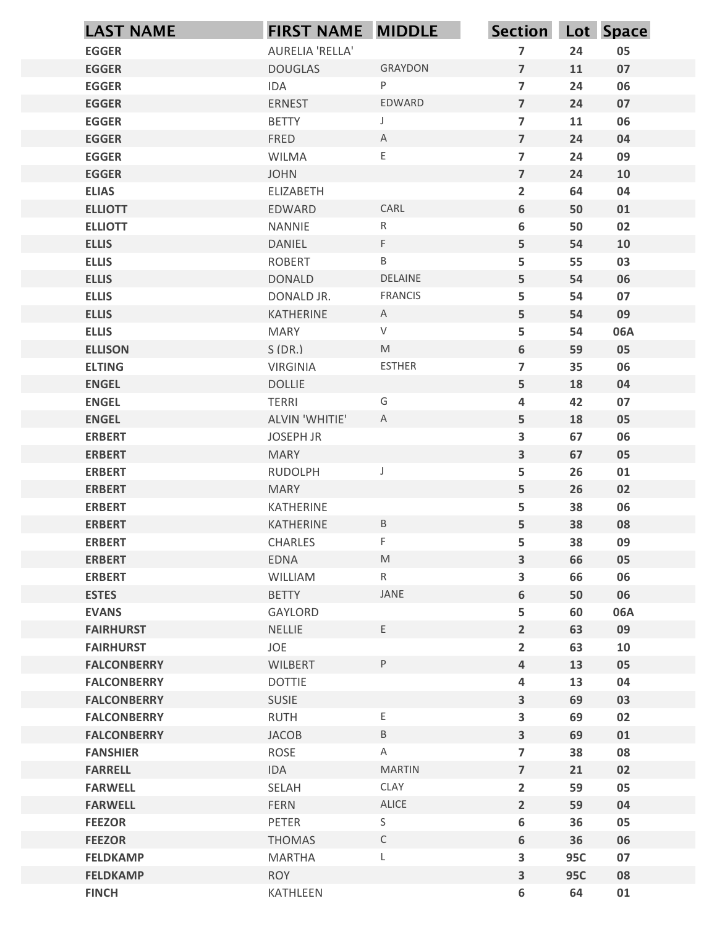| <b>LAST NAME</b>                     | FIRST NAME MIDDLE       |                                                                                                            | Section Lot Space                |            |            |
|--------------------------------------|-------------------------|------------------------------------------------------------------------------------------------------------|----------------------------------|------------|------------|
| <b>EGGER</b>                         | AURELIA 'RELLA'         |                                                                                                            | $\overline{7}$                   | 24         | 05         |
| <b>EGGER</b>                         | <b>DOUGLAS</b>          | <b>GRAYDON</b>                                                                                             | $\overline{7}$                   | 11         | 07         |
| <b>EGGER</b>                         | IDA                     | ${\sf P}$                                                                                                  | $\overline{7}$                   | 24         | 06         |
| <b>EGGER</b>                         | <b>ERNEST</b>           | EDWARD                                                                                                     | $\overline{7}$                   | 24         | 07         |
| <b>EGGER</b>                         | <b>BETTY</b>            | $\mathsf J$                                                                                                | $\overline{7}$                   | 11         | 06         |
| <b>EGGER</b>                         | FRED                    | A                                                                                                          | $\overline{7}$                   | 24         | 04         |
| <b>EGGER</b>                         | WILMA                   | $\mathsf E$                                                                                                | $\overline{7}$                   | 24         | 09         |
| <b>EGGER</b>                         | <b>JOHN</b>             |                                                                                                            | $\overline{7}$                   | 24         | 10         |
| <b>ELIAS</b>                         | <b>ELIZABETH</b>        |                                                                                                            | $\mathbf{2}$                     | 64         | 04         |
| <b>ELLIOTT</b>                       | EDWARD                  | CARL<br>${\sf R}$                                                                                          | 6                                | 50         | 01         |
| <b>ELLIOTT</b><br><b>ELLIS</b>       | <b>NANNIE</b><br>DANIEL | F                                                                                                          | 6<br>5                           | 50<br>54   | 02<br>10   |
| <b>ELLIS</b>                         | <b>ROBERT</b>           | $\sf B$                                                                                                    | 5                                | 55         | 03         |
| <b>ELLIS</b>                         | <b>DONALD</b>           | DELAINE                                                                                                    | 5                                | 54         | 06         |
| <b>ELLIS</b>                         | DONALD JR.              | <b>FRANCIS</b>                                                                                             | 5                                | 54         | 07         |
| <b>ELLIS</b>                         | KATHERINE               | $\mathsf{A}$                                                                                               | 5                                | 54         | 09         |
| <b>ELLIS</b>                         | <b>MARY</b>             | $\vee$                                                                                                     | 5                                | 54         | 06A        |
| <b>ELLISON</b>                       | S(DR.)                  | $\mathsf{M}% _{T}=\mathsf{M}_{T}\!\left( a,b\right) ,\ \mathsf{M}_{T}=\mathsf{M}_{T}\!\left( a,b\right) ,$ | $\boldsymbol{6}$                 | 59         | 05         |
| <b>ELTING</b>                        | <b>VIRGINIA</b>         | ESTHER                                                                                                     | $\overline{7}$                   | 35         | 06         |
| <b>ENGEL</b>                         | <b>DOLLIE</b>           |                                                                                                            | 5 <sub>1</sub>                   | 18         | 04         |
| <b>ENGEL</b>                         | <b>TERRI</b>            | G                                                                                                          | 4                                | 42         | 07         |
| <b>ENGEL</b>                         | ALVIN 'WHITIE'          | $\mathsf{A}$                                                                                               | 5                                | 18         | 05         |
| <b>ERBERT</b>                        | JOSEPH JR               |                                                                                                            | $\mathbf{3}$                     | 67         | 06         |
| <b>ERBERT</b>                        | <b>MARY</b>             |                                                                                                            | $\mathbf{3}$                     | 67         | 05         |
| <b>ERBERT</b>                        | RUDOLPH                 | IJ                                                                                                         | 5                                | 26         | ${\bf 01}$ |
| <b>ERBERT</b>                        | <b>MARY</b>             |                                                                                                            | 5                                | 26         | 02         |
| <b>ERBERT</b>                        | KATHERINE               |                                                                                                            | 5                                | 38         | 06         |
| <b>ERBERT</b>                        | KATHERINE               | $\mathsf B$                                                                                                | 5                                | 38         | 08         |
| <b>ERBERT</b>                        | CHARLES                 | F                                                                                                          | 5                                | 38         | 09         |
| <b>ERBERT</b>                        | EDNA                    | $\mathsf{M}% _{T}=\mathsf{M}_{T}\!\left( a,b\right) ,\ \mathsf{M}_{T}=\mathsf{M}_{T}\!\left( a,b\right) ,$ | $\overline{\mathbf{3}}$          | 66         | 05         |
| <b>ERBERT</b>                        | WILLIAM                 | $R_{\parallel}$                                                                                            | $\overline{\mathbf{3}}$          | 66         | 06         |
| <b>ESTES</b>                         | <b>BETTY</b>            | JANE                                                                                                       | $6\phantom{.}$                   | 50         | 06         |
| <b>EVANS</b>                         | GAYLORD                 |                                                                                                            | 5                                | 60         | 06A        |
| <b>FAIRHURST</b><br><b>FAIRHURST</b> | NELLIE<br>JOE           | E                                                                                                          | $2^{\circ}$                      | 63<br>63   | 09         |
| <b>FALCONBERRY</b>                   | WILBERT                 | P                                                                                                          | $\overline{2}$<br>$\overline{4}$ | 13         | 10<br>05   |
| <b>FALCONBERRY</b>                   | <b>DOTTIE</b>           |                                                                                                            | 4                                | 13         | 04         |
| <b>FALCONBERRY</b>                   | SUSIE                   |                                                                                                            | $\mathbf{3}$                     | 69         | 03         |
| <b>FALCONBERRY</b>                   | <b>RUTH</b>             | $\mathsf E$                                                                                                | $\overline{\mathbf{3}}$          | 69         | 02         |
| <b>FALCONBERRY</b>                   | <b>JACOB</b>            | $\sf B$                                                                                                    | $\mathbf{3}$                     | 69         | 01         |
| <b>FANSHIER</b>                      | ROSE                    | $\mathsf{A}$                                                                                               | $\overline{7}$                   | 38         | 08         |
| <b>FARRELL</b>                       | IDA                     | <b>MARTIN</b>                                                                                              | $\overline{7}$                   | 21         | 02         |
| <b>FARWELL</b>                       | SELAH                   | CLAY                                                                                                       | $\overline{2}$                   | 59         | 05         |
| <b>FARWELL</b>                       | <b>FERN</b>             | ALICE                                                                                                      | $\overline{2}$                   | 59         | 04         |
| <b>FEEZOR</b>                        | PETER                   | $\mathsf S$                                                                                                | $\boldsymbol{6}$                 | 36         | 05         |
| <b>FEEZOR</b>                        | <b>THOMAS</b>           | $\mathsf C$                                                                                                | $\boldsymbol{6}$                 | 36         | 06         |
| <b>FELDKAMP</b>                      | <b>MARTHA</b>           | L                                                                                                          | 3                                | <b>95C</b> | 07         |
| <b>FELDKAMP</b>                      | <b>ROY</b>              |                                                                                                            | $\overline{\mathbf{3}}$          | <b>95C</b> | 08         |
| <b>FINCH</b>                         | KATHLEEN                |                                                                                                            | $\boldsymbol{6}$                 | 64         | ${\bf 01}$ |
|                                      |                         |                                                                                                            |                                  |            |            |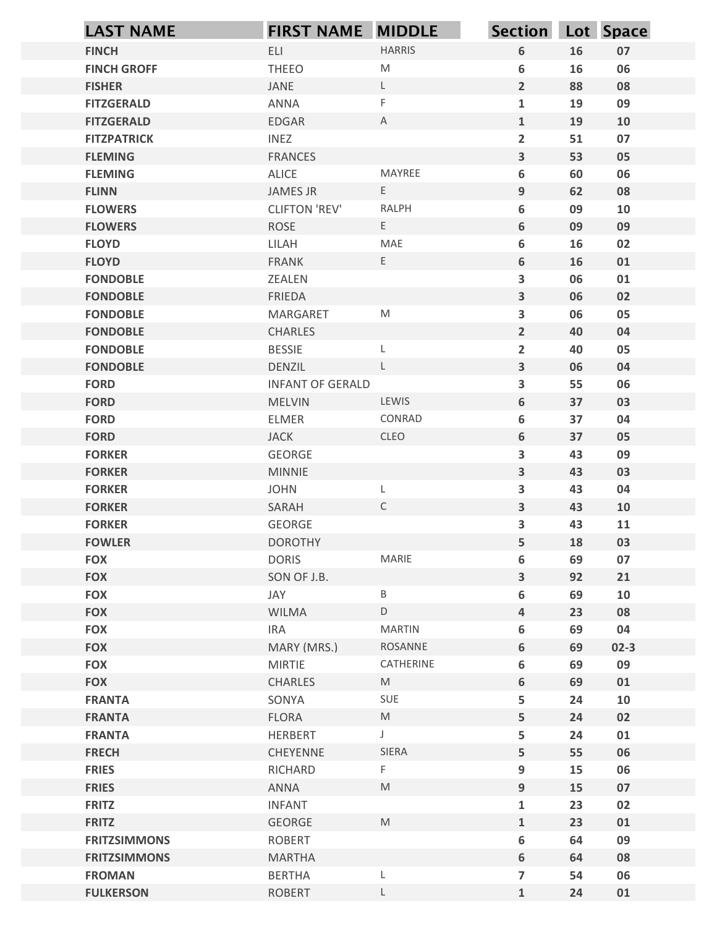| <b>LAST NAME</b>                           | <b>FIRST NAME MIDDLE</b>       |                | Section Lot Space                                  |          |          |
|--------------------------------------------|--------------------------------|----------------|----------------------------------------------------|----------|----------|
| <b>FINCH</b>                               | ELI                            | <b>HARRIS</b>  | $\boldsymbol{6}$                                   | 16       | 07       |
| <b>FINCH GROFF</b>                         | <b>THEEO</b>                   | M              | 6                                                  | 16       | 06       |
| <b>FISHER</b>                              | JANE                           | $\mathsf{L}$   | $\overline{2}$                                     | 88       | 08       |
| <b>FITZGERALD</b>                          | ANNA                           | F              | $\mathbf{1}$                                       | 19       | 09       |
| <b>FITZGERALD</b>                          | EDGAR                          | A              | $\mathbf{1}$                                       | 19       | 10       |
| <b>FITZPATRICK</b><br><b>FLEMING</b>       | <b>INEZ</b><br><b>FRANCES</b>  |                | $\overline{2}$<br>$\overline{\mathbf{3}}$          | 51<br>53 | 07<br>05 |
| <b>FLEMING</b>                             | ALICE                          | MAYREE         | 6                                                  | 60       | 06       |
| <b>FLINN</b>                               | JAMES JR                       | E              | $9$                                                | 62       | 08       |
| <b>FLOWERS</b>                             | <b>CLIFTON 'REV'</b>           | <b>RALPH</b>   | $\boldsymbol{6}$                                   | 09       | 10       |
| <b>FLOWERS</b>                             | <b>ROSE</b>                    | E              | 6                                                  | 09       | 09       |
| <b>FLOYD</b>                               | LILAH                          | MAE            | $\boldsymbol{6}$                                   | 16       | 02       |
| <b>FLOYD</b>                               | <b>FRANK</b>                   | $\mathsf E$    | $6\phantom{1}$                                     | 16       | 01       |
| <b>FONDOBLE</b><br><b>FONDOBLE</b>         | ZEALEN<br>FRIEDA               |                | 3<br>$\mathbf{3}$                                  | 06<br>06 | 01<br>02 |
| <b>FONDOBLE</b>                            | MARGARET                       | M              | $\overline{\mathbf{3}}$                            | 06       | 05       |
| <b>FONDOBLE</b>                            | CHARLES                        |                | $\overline{2}$                                     | 40       | 04       |
| <b>FONDOBLE</b>                            | <b>BESSIE</b>                  | L              | $\overline{\mathbf{2}}$                            | 40       | 05       |
| <b>FONDOBLE</b>                            | DENZIL                         | $\mathsf L$    | $\mathbf{3}$                                       | 06       | 04       |
| <b>FORD</b>                                | <b>INFANT OF GERALD</b>        |                | $\overline{\mathbf{3}}$                            | 55       | 06       |
| <b>FORD</b>                                | MELVIN                         | LEWIS          | $\boldsymbol{6}$                                   | 37       | 03       |
| <b>FORD</b>                                | ELMER                          | CONRAD         | $\boldsymbol{6}$                                   | 37       | 04       |
| <b>FORD</b>                                | <b>JACK</b>                    | CLEO           | $\boldsymbol{6}$                                   | 37       | 05       |
| <b>FORKER</b><br><b>FORKER</b>             | GEORGE<br><b>MINNIE</b>        |                | $\overline{\mathbf{3}}$<br>$\overline{\mathbf{3}}$ | 43<br>43 | 09<br>03 |
| <b>FORKER</b>                              | <b>JOHN</b>                    | L              | 3                                                  | 43       | 04       |
| <b>FORKER</b>                              | SARAH                          | $\mathsf C$    | $\overline{\mathbf{3}}$                            | 43       | 10       |
| <b>FORKER</b>                              | GEORGE                         |                | $\overline{\mathbf{3}}$                            | 43       | 11       |
| <b>FOWLER</b>                              | <b>DOROTHY</b>                 |                | $\overline{5}$                                     | 18       | 03       |
| <b>FOX</b>                                 | <b>DORIS</b>                   | MARIE          | $\boldsymbol{6}$                                   | 69       | 07       |
| <b>FOX</b>                                 | SON OF J.B.                    |                | $\overline{\mathbf{3}}$                            | 92       | 21       |
| <b>FOX</b>                                 | JAY                            | B              | $\boldsymbol{6}$                                   | 69       | 10       |
| <b>FOX</b>                                 | WILMA                          | $\mathsf D$    | $\pmb{4}$                                          | 23       | 08       |
| <b>FOX</b>                                 | <b>IRA</b>                     | <b>MARTIN</b>  | $\boldsymbol{6}$                                   | 69       | 04       |
| <b>FOX</b>                                 | MARY (MRS.)                    | ROSANNE        | $\boldsymbol{6}$                                   | 69       | $02-3$   |
| <b>FOX</b><br><b>FOX</b>                   | <b>MIRTIE</b><br>CHARLES       | CATHERINE<br>M | $\boldsymbol{6}$<br>$\boldsymbol{6}$               | 69<br>69 | 09<br>01 |
| <b>FRANTA</b>                              | SONYA                          | SUE            | 5                                                  | 24       | 10       |
| <b>FRANTA</b>                              | FLORA                          | M              | $\overline{5}$                                     | 24       | 02       |
| <b>FRANTA</b>                              | HERBERT                        | $\mathsf{J}$   | 5                                                  | 24       | 01       |
| <b>FRECH</b>                               | CHEYENNE                       | SIERA          | 5                                                  | 55       | 06       |
| <b>FRIES</b>                               | RICHARD                        | F.             | $\boldsymbol{9}$                                   | 15       | 06       |
| <b>FRIES</b>                               | ANNA                           | M              | $\boldsymbol{9}$                                   | 15       | 07       |
| <b>FRITZ</b>                               | <b>INFANT</b>                  |                | $\mathbf{1}$                                       | 23       | 02       |
| <b>FRITZ</b>                               | GEORGE                         | M              | $\mathbf{1}$                                       | 23       | 01       |
| <b>FRITZSIMMONS</b><br><b>FRITZSIMMONS</b> | <b>ROBERT</b><br><b>MARTHA</b> |                | $\boldsymbol{6}$<br>6                              | 64<br>64 | 09<br>08 |
| <b>FROMAN</b>                              | <b>BERTHA</b>                  | L              | $\overline{7}$                                     | 54       | 06       |
| <b>FULKERSON</b>                           | <b>ROBERT</b>                  | L              | $\mathbf{1}$                                       | 24       | 01       |
|                                            |                                |                |                                                    |          |          |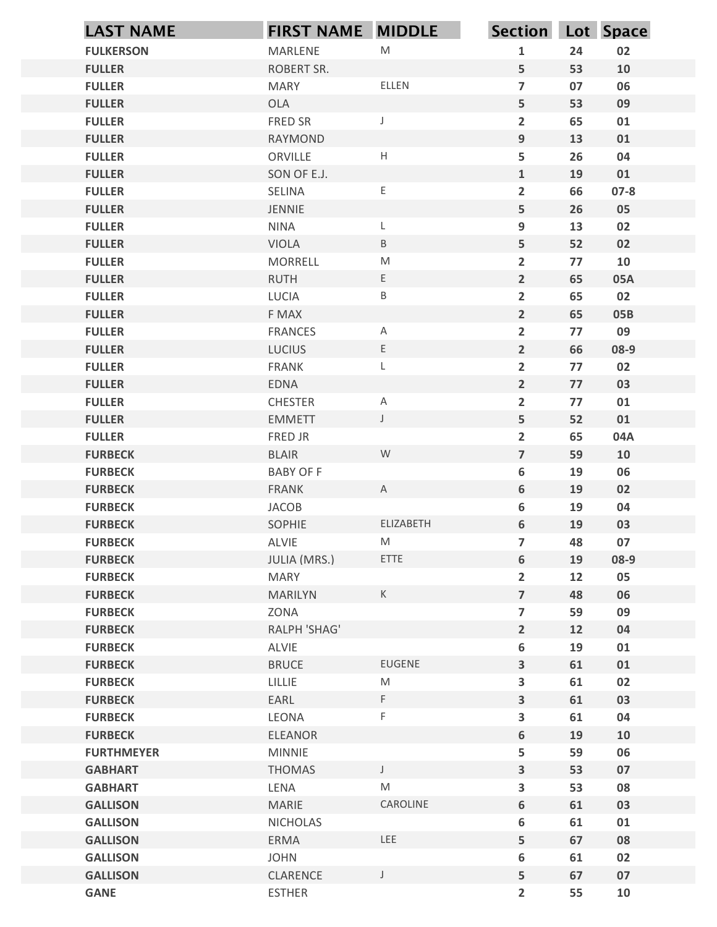| <b>FULLER</b><br><b>FULLER</b><br><b>FULLER</b><br><b>FULLER</b><br><b>FULLER</b><br><b>FULLER</b><br><b>FULLER</b> | <b>FULKERSON</b>                 | MARLENE                                                                                                                                                                                     | ${\sf M}$                                                                                                                 |                                           |          |                  |
|---------------------------------------------------------------------------------------------------------------------|----------------------------------|---------------------------------------------------------------------------------------------------------------------------------------------------------------------------------------------|---------------------------------------------------------------------------------------------------------------------------|-------------------------------------------|----------|------------------|
|                                                                                                                     |                                  |                                                                                                                                                                                             |                                                                                                                           | $\mathbf{1}$                              | 24       | 02               |
|                                                                                                                     |                                  | ROBERT SR.                                                                                                                                                                                  |                                                                                                                           | 5                                         | 53       | 10               |
|                                                                                                                     |                                  | <b>MARY</b>                                                                                                                                                                                 | ELLEN                                                                                                                     | $\overline{7}$                            | 07       | 06               |
|                                                                                                                     |                                  | <b>OLA</b>                                                                                                                                                                                  |                                                                                                                           | 5                                         | 53       | 09               |
|                                                                                                                     |                                  | FRED SR                                                                                                                                                                                     | J                                                                                                                         | $\overline{2}$                            | 65       | 01               |
|                                                                                                                     |                                  | <b>RAYMOND</b><br>ORVILLE                                                                                                                                                                   | $\mathsf H$                                                                                                               | 9<br>5                                    | 13<br>26 | 01<br>04         |
|                                                                                                                     |                                  | SON OF E.J.                                                                                                                                                                                 |                                                                                                                           | $\mathbf{1}$                              | 19       | 01               |
| <b>FULLER</b>                                                                                                       |                                  | SELINA                                                                                                                                                                                      | E                                                                                                                         | $\overline{2}$                            | 66       | $07 - 8$         |
| <b>FULLER</b>                                                                                                       |                                  | JENNIE                                                                                                                                                                                      |                                                                                                                           | 5                                         | 26       | 05               |
| <b>FULLER</b>                                                                                                       |                                  | <b>NINA</b>                                                                                                                                                                                 | L                                                                                                                         | 9                                         | 13       | 02               |
| <b>FULLER</b>                                                                                                       |                                  | <b>VIOLA</b>                                                                                                                                                                                | $\, {\sf B} \,$                                                                                                           | 5                                         | 52       | 02               |
| <b>FULLER</b>                                                                                                       |                                  | <b>MORRELL</b>                                                                                                                                                                              | ${\sf M}$                                                                                                                 | $\overline{2}$                            | 77       | 10               |
| <b>FULLER</b><br><b>FULLER</b>                                                                                      |                                  | <b>RUTH</b><br>LUCIA                                                                                                                                                                        | Ε<br>$\mathsf B$                                                                                                          | $\overline{2}$<br>$\overline{2}$          | 65<br>65 | <b>05A</b><br>02 |
| <b>FULLER</b>                                                                                                       |                                  | F MAX                                                                                                                                                                                       |                                                                                                                           | $\overline{2}$                            | 65       | <b>05B</b>       |
| <b>FULLER</b>                                                                                                       |                                  | <b>FRANCES</b>                                                                                                                                                                              | A                                                                                                                         | $\overline{2}$                            | 77       | 09               |
| <b>FULLER</b>                                                                                                       |                                  | LUCIUS                                                                                                                                                                                      | E                                                                                                                         | $\overline{2}$                            | 66       | 08-9             |
| <b>FULLER</b>                                                                                                       |                                  | FRANK                                                                                                                                                                                       | L                                                                                                                         | $\overline{2}$                            | 77       | 02               |
| <b>FULLER</b>                                                                                                       |                                  | EDNA                                                                                                                                                                                        |                                                                                                                           | $\overline{2}$                            | 77       | 03               |
| <b>FULLER</b>                                                                                                       |                                  | <b>CHESTER</b>                                                                                                                                                                              | $\mathsf{A}$                                                                                                              | $\overline{2}$                            | 77       | 01               |
| <b>FULLER</b>                                                                                                       |                                  | <b>EMMETT</b>                                                                                                                                                                               | $\mathsf J$                                                                                                               | 5                                         | 52       | 01               |
| <b>FULLER</b><br><b>FURBECK</b>                                                                                     |                                  | FRED JR<br><b>BLAIR</b>                                                                                                                                                                     | ${\mathsf W}$                                                                                                             | $\overline{2}$<br>$\overline{\mathbf{z}}$ | 65<br>59 | 04A<br>10        |
| <b>FURBECK</b>                                                                                                      |                                  | <b>BABY OF F</b>                                                                                                                                                                            |                                                                                                                           | 6                                         | 19       | 06               |
| <b>FURBECK</b>                                                                                                      |                                  | FRANK                                                                                                                                                                                       | $\mathsf{A}$                                                                                                              | 6                                         | 19       | 02               |
| <b>FURBECK</b>                                                                                                      |                                  | JACOB                                                                                                                                                                                       |                                                                                                                           | 6                                         | 19       | 04               |
| <b>FURBECK</b>                                                                                                      |                                  | SOPHIE                                                                                                                                                                                      | ELIZABETH                                                                                                                 | 6                                         | 19       | 03               |
| <b>FURBECK</b>                                                                                                      |                                  | ALVIE                                                                                                                                                                                       | $\mathsf{M}% _{T}=\mathsf{M}_{T}\!\left( a,b\right) ,\ \mathsf{M}_{T}=\mathsf{M}_{T}\!\left( a,b\right) ,$                | $\overline{7}$                            | 48       | 07               |
| <b>FURBECK</b>                                                                                                      |                                  | JULIA (MRS.)                                                                                                                                                                                | ETTE                                                                                                                      | 6                                         | 19       | 08-9             |
| <b>FURBECK</b>                                                                                                      |                                  | MARY                                                                                                                                                                                        |                                                                                                                           | $\overline{2}$                            | 12       | 05               |
| <b>FURBECK</b><br><b>FURBECK</b>                                                                                    |                                  | <b>MARILYN</b><br>ZONA                                                                                                                                                                      | $\mathsf K$                                                                                                               | $\overline{7}$<br>$\overline{\mathbf{z}}$ | 48<br>59 | 06<br>09         |
| <b>FURBECK</b>                                                                                                      |                                  | RALPH 'SHAG'                                                                                                                                                                                |                                                                                                                           | $\overline{2}$                            | 12       | 04               |
| <b>FURBECK</b>                                                                                                      |                                  | ALVIE                                                                                                                                                                                       |                                                                                                                           | 6                                         | 19       | 01               |
| <b>FURBECK</b>                                                                                                      |                                  | <b>BRUCE</b>                                                                                                                                                                                | EUGENE                                                                                                                    | $\overline{\mathbf{3}}$                   | 61       | 01               |
| <b>FURBECK</b>                                                                                                      |                                  | $\ensuremath{\mathsf{L}}\xspace \ensuremath{\mathsf{L}}\xspace \ensuremath{\mathsf{L}}\xspace \ensuremath{\mathsf{L}}\xspace \ensuremath{\mathsf{I}}\xspace \ensuremath{\mathsf{E}}\xspace$ | $\mathsf{M}% _{T}=\mathsf{M}_{T}\!\left( a,b\right) ,\ \mathsf{M}_{T}=\mathsf{M}_{T}\!\left( a,b\right) ,$                | 3                                         | 61       | 02               |
| <b>FURBECK</b>                                                                                                      |                                  | EARL                                                                                                                                                                                        | F.                                                                                                                        | $\overline{\mathbf{3}}$                   | 61       | 03               |
| <b>FURBECK</b>                                                                                                      |                                  | LEONA                                                                                                                                                                                       | $\mathsf F$                                                                                                               | $\overline{\mathbf{3}}$                   | 61       | 04               |
| <b>FURBECK</b>                                                                                                      |                                  | <b>ELEANOR</b>                                                                                                                                                                              |                                                                                                                           | 6                                         | 19       | 10               |
|                                                                                                                     | <b>FURTHMEYER</b>                | <b>MINNIE</b>                                                                                                                                                                               |                                                                                                                           | 5                                         | 59       | 06               |
|                                                                                                                     | <b>GABHART</b><br><b>GABHART</b> | THOMAS<br>LENA                                                                                                                                                                              | $\mathsf J$<br>$\mathsf{M}% _{T}=\mathsf{M}_{T}\!\left( a,b\right) ,\ \mathsf{M}_{T}=\mathsf{M}_{T}\!\left( a,b\right) ,$ | $\overline{\mathbf{3}}$<br>3              | 53<br>53 | 07<br>08         |
|                                                                                                                     | <b>GALLISON</b>                  | MARIE                                                                                                                                                                                       | CAROLINE                                                                                                                  | 6                                         | 61       | 03               |
|                                                                                                                     | <b>GALLISON</b>                  | <b>NICHOLAS</b>                                                                                                                                                                             |                                                                                                                           | 6                                         | 61       | 01               |
|                                                                                                                     | <b>GALLISON</b>                  | ERMA                                                                                                                                                                                        | LEE                                                                                                                       | 5                                         | 67       | 08               |
|                                                                                                                     | <b>GALLISON</b>                  | <b>JOHN</b>                                                                                                                                                                                 |                                                                                                                           | 6                                         | 61       | 02               |
|                                                                                                                     | <b>GALLISON</b>                  | CLARENCE                                                                                                                                                                                    | $\mathsf J$                                                                                                               | 5                                         | 67       | 07               |
| <b>GANE</b>                                                                                                         |                                  | <b>ESTHER</b>                                                                                                                                                                               |                                                                                                                           | $\overline{2}$                            | 55       | 10               |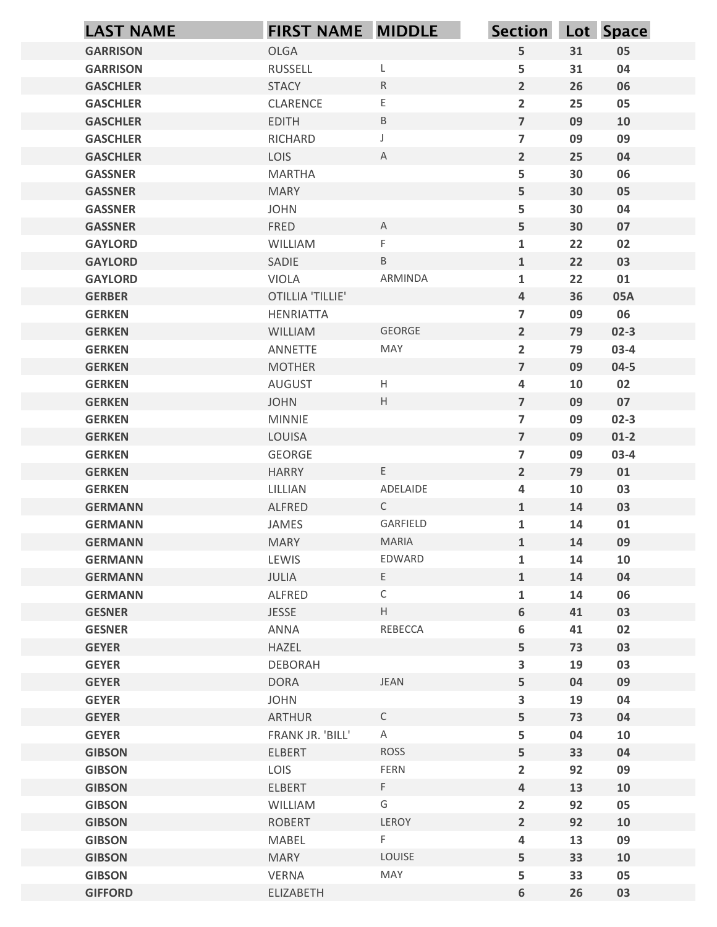|                                    | <b>FIRST NAME MIDDLE</b>         |                           | Section Lot Space                |          |                  |
|------------------------------------|----------------------------------|---------------------------|----------------------------------|----------|------------------|
| <b>GARRISON</b>                    | OLGA                             |                           | 5 <sub>1</sub>                   | 31       | 05               |
| <b>GARRISON</b>                    | <b>RUSSELL</b>                   | L                         | 5                                | 31       | 04               |
| <b>GASCHLER</b>                    | <b>STACY</b>                     | ${\sf R}$                 | $2^{\circ}$                      | 26       | 06               |
| <b>GASCHLER</b>                    | CLARENCE                         | E                         | $\overline{2}$                   | 25       | 05               |
| <b>GASCHLER</b>                    | <b>EDITH</b>                     | $\mathsf B$               | $\overline{7}$                   | 09       | 10               |
| <b>GASCHLER</b><br><b>GASCHLER</b> | RICHARD<br>LOIS                  | J<br>$\mathsf{A}$         | $\overline{7}$<br>$2^{\circ}$    | 09<br>25 | 09<br>04         |
| <b>GASSNER</b>                     | <b>MARTHA</b>                    |                           | 5                                | 30       | 06               |
| <b>GASSNER</b>                     | <b>MARY</b>                      |                           | 5                                | 30       | 05               |
| <b>GASSNER</b>                     | <b>JOHN</b>                      |                           | 5                                | 30       | 04               |
| <b>GASSNER</b>                     | FRED                             | $\mathsf{A}$              | 5                                | 30       | 07               |
| <b>GAYLORD</b>                     | WILLIAM                          | F.                        | $\mathbf{1}$                     | 22       | 02               |
| <b>GAYLORD</b>                     | SADIE                            | $\mathsf B$               | $\mathbf{1}$                     | 22       | 03               |
| <b>GAYLORD</b>                     | VIOLA<br><b>OTILLIA 'TILLIE'</b> | ARMINDA                   | $\mathbf{1}$<br>$\overline{4}$   | 22<br>36 | 01<br>05A        |
| <b>GERBER</b><br><b>GERKEN</b>     | HENRIATTA                        |                           | $\overline{7}$                   | 09       | 06               |
| <b>GERKEN</b>                      | WILLIAM                          | GEORGE                    | $2^{\circ}$                      | 79       | $02-3$           |
| <b>GERKEN</b>                      | ANNETTE                          | MAY                       | $\overline{2}$                   | 79       | $03-4$           |
| <b>GERKEN</b>                      | <b>MOTHER</b>                    |                           | $\overline{7}$                   | 09       | $04 - 5$         |
| <b>GERKEN</b>                      | AUGUST                           | H                         | $\overline{4}$                   | 10       | 02               |
| <b>GERKEN</b>                      | <b>JOHN</b>                      | $\mathsf H$               | $\overline{7}$                   | 09       | 07               |
| <b>GERKEN</b>                      | <b>MINNIE</b>                    |                           | $\overline{7}$                   | 09       | $02-3$           |
| <b>GERKEN</b><br><b>GERKEN</b>     | LOUISA<br>GEORGE                 |                           | $\overline{7}$<br>$\overline{7}$ | 09<br>09 | $01-2$<br>$03-4$ |
| <b>GERKEN</b>                      | <b>HARRY</b>                     | $\mathsf{E}^-$            | $2^{\circ}$                      | 79       | 01               |
| <b>GERKEN</b>                      | LILLIAN                          | ADELAIDE                  | 4                                | 10       | 03               |
| <b>GERMANN</b>                     | ALFRED                           | $\mathsf{C}$              | $\mathbf{1}$                     | 14       | 03               |
| <b>GERMANN</b>                     | JAMES                            | GARFIELD                  | $\mathbf{1}$                     | 14       | 01               |
| <b>GERMANN</b>                     | <b>MARY</b>                      | <b>MARIA</b>              | $\mathbf{1}$                     | 14       | 09               |
| <b>GERMANN</b>                     | LEWIS                            | EDWARD                    | $\mathbf{1}$                     | 14       | 10               |
| <b>GERMANN</b>                     | JULIA                            | E                         | $\mathbf{1}$                     | 14       | 04               |
| <b>GERMANN</b>                     | ALFRED                           | $\mathsf{C}$              | $\mathbf{1}$                     | 14       | 06               |
| <b>GESNER</b><br><b>GESNER</b>     | <b>JESSE</b><br>ANNA             | $\mathsf{H}^-$<br>REBECCA | 6<br>6                           | 41<br>41 | 03<br>02         |
| <b>GEYER</b>                       | HAZEL                            |                           | 5                                | 73       | 03               |
| <b>GEYER</b>                       | <b>DEBORAH</b>                   |                           | $\mathbf{3}$                     | 19       | 03               |
| <b>GEYER</b>                       | DORA                             | JEAN                      | 5                                | 04       | 09               |
| <b>GEYER</b>                       | <b>JOHN</b>                      |                           | $\mathbf{3}$                     | 19       | 04               |
| <b>GEYER</b>                       | ARTHUR                           | $\mathsf C$               | 5                                | 73       | 04               |
| <b>GEYER</b>                       | FRANK JR. 'BILL'                 | $\mathsf{A}$              | 5                                | 04       | 10               |
| <b>GIBSON</b>                      | ELBERT                           | ROSS                      | 5                                | 33       | 04               |
| <b>GIBSON</b><br><b>GIBSON</b>     | LOIS<br>ELBERT                   | FERN<br>F                 | $\overline{2}$<br>$\overline{4}$ | 92<br>13 | 09               |
| <b>GIBSON</b>                      | WILLIAM                          | G                         | $\overline{2}$                   | 92       | 10<br>05         |
| <b>GIBSON</b>                      | <b>ROBERT</b>                    | LEROY                     | $2\overline{ }$                  | 92       | 10               |
| <b>GIBSON</b>                      | MABEL                            | F.                        | 4                                | 13       | 09               |
| <b>GIBSON</b>                      | <b>MARY</b>                      | LOUISE                    | 5                                | 33       | 10               |
| <b>GIBSON</b>                      | VERNA                            | MAY                       | 5                                | 33       | 05               |
| <b>GIFFORD</b>                     | ELIZABETH                        |                           | $6\overline{6}$                  | 26       | 03               |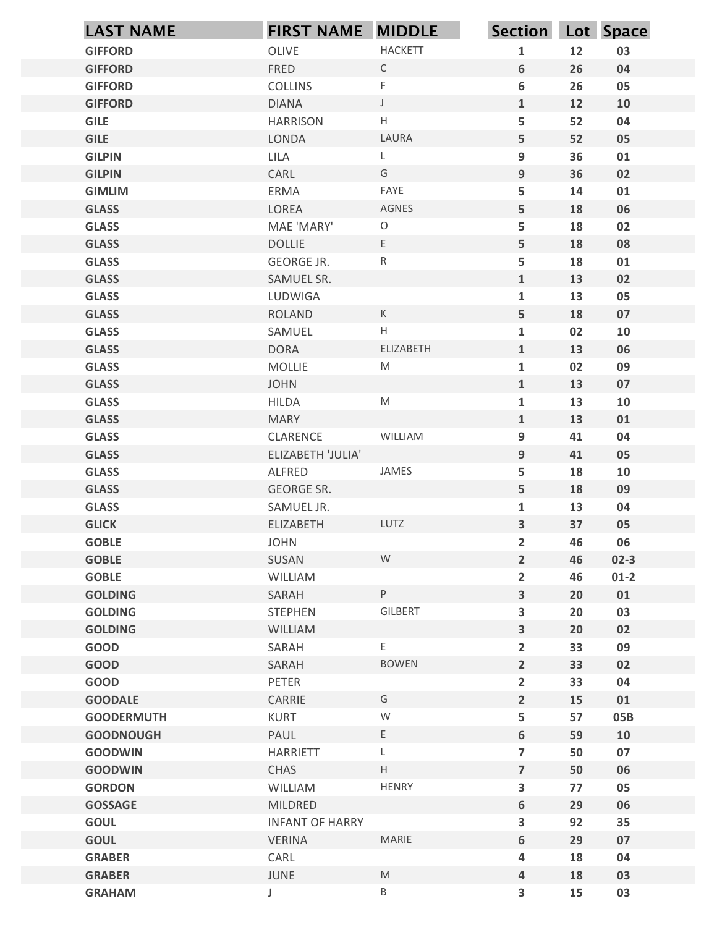| OLIVE<br><b>HACKETT</b><br>12<br><b>GIFFORD</b><br>03<br>$\mathbf{1}$<br>FRED<br>6<br>26<br><b>GIFFORD</b><br>$\mathsf{C}$<br>04<br>F<br>6<br>26<br><b>COLLINS</b><br>05<br><b>GIFFORD</b><br>$\mathsf J$<br>$\mathbf{1}$<br>12<br><b>GIFFORD</b><br><b>DIANA</b><br>10<br>5<br>H<br>52<br><b>GILE</b><br><b>HARRISON</b><br>04<br>LAURA<br>5<br><b>GILE</b><br>LONDA<br>52<br>05<br>9<br>36<br><b>GILPIN</b><br>LILA<br>01<br>L<br>G<br>9<br>36<br>02<br><b>GILPIN</b><br>CARL<br>FAYE<br>5<br><b>GIMLIM</b><br>ERMA<br>14<br>01<br>AGNES<br>5<br>LOREA<br>18<br>06<br><b>GLASS</b><br>5<br>$\circ$<br>18<br><b>GLASS</b><br>MAE 'MARY'<br>02<br>E<br>5<br>18<br><b>GLASS</b><br><b>DOLLIE</b><br>08<br>${\sf R}$<br>5<br><b>GLASS</b><br>18<br><b>GEORGE JR.</b><br>01<br>13<br><b>GLASS</b><br>$\mathbf{1}$<br>02<br>SAMUEL SR.<br>05<br><b>GLASS</b><br>LUDWIGA<br>$\mathbf{1}$<br>13<br><b>GLASS</b><br>5<br>18<br>ROLAND<br>$\mathsf K$<br>07<br>$\mathsf H$<br>02<br><b>GLASS</b><br>$\mathbf{1}$<br>${\bf 10}$<br>SAMUEL<br>ELIZABETH<br>13<br><b>GLASS</b><br><b>DORA</b><br>$\mathbf{1}$<br>06<br><b>GLASS</b><br>${\sf M}$<br>$\mathbf{1}$<br>02<br>09<br>MOLLIE<br><b>GLASS</b><br>$\mathbf{1}$<br>13<br><b>JOHN</b><br>07<br>13<br><b>GLASS</b><br><b>HILDA</b><br>$\mathsf{M}% _{T}=\mathsf{M}_{T}\!\left( a,b\right) ,\ \mathsf{M}_{T}=\mathsf{M}_{T}\!\left( a,b\right) ,$<br>$\mathbf{1}$<br>${\bf 10}$<br><b>GLASS</b><br>$\mathbf{1}$<br>13<br>01<br><b>MARY</b><br>9<br><b>GLASS</b><br>CLARENCE<br>41<br>04<br>WILLIAM<br>9<br>41<br>05<br><b>GLASS</b><br>ELIZABETH 'JULIA'<br>5<br><b>GLASS</b><br>18<br>${\bf 10}$<br>ALFRED<br>JAMES<br>5<br><b>GLASS</b><br>GEORGE SR.<br>18<br>09<br><b>GLASS</b><br>13<br>${\bf 04}$<br>SAMUEL JR.<br>$\mathbf{1}$<br>LUTZ<br>$\overline{\mathbf{3}}$<br>37<br>05<br><b>GLICK</b><br>ELIZABETH<br>46<br><b>GOBLE</b><br>$\overline{2}$<br>06<br><b>JOHN</b><br>W<br>$\overline{2}$<br>46<br><b>GOBLE</b><br>SUSAN<br>$02-3$<br><b>GOBLE</b><br>$\overline{2}$<br>WILLIAM<br>46<br>$01-2$<br>P<br>$\overline{\mathbf{3}}$<br><b>GOLDING</b><br>SARAH<br>20<br>01<br>$\overline{\mathbf{3}}$<br>03<br><b>GOLDING</b><br><b>STEPHEN</b><br>GILBERT<br>20<br>$\overline{\mathbf{3}}$<br><b>GOLDING</b><br>20<br>02<br>WILLIAM<br>GOOD<br>E.<br>$\overline{2}$<br>33<br>09<br>SARAH<br>$\overline{2}$<br><b>BOWEN</b><br>33<br><b>GOOD</b><br>SARAH<br>02<br>GOOD<br>PETER<br>$\overline{2}$<br>33<br>${\bf 04}$<br>$\overline{2}$<br><b>GOODALE</b><br>CARRIE<br>G<br>15<br>01<br>${\mathsf W}$<br>5<br>KURT<br>57<br>05B<br><b>GOODERMUTH</b><br>$6\phantom{1}$<br><b>GOODNOUGH</b><br>PAUL<br>$E_{\parallel}$<br>59<br>10<br>$\overline{7}$<br>50<br>07<br><b>GOODWIN</b><br>HARRIETT<br>L<br>H<br><b>GOODWIN</b><br>CHAS<br>$\overline{7}$<br>50<br>06<br>$\overline{\mathbf{3}}$<br>HENRY<br>05<br><b>GORDON</b><br>WILLIAM<br>77<br>6<br>29<br>06<br><b>GOSSAGE</b><br>MILDRED<br><b>GOUL</b><br>3<br>92<br>35<br><b>INFANT OF HARRY</b><br>$6\phantom{a}$<br>MARIE<br><b>GOUL</b><br><b>VERINA</b><br>29<br>07<br>CARL<br>18<br>04<br><b>GRABER</b><br>4<br><b>GRABER</b><br>JUNE<br>M<br>18<br>4<br>03<br>$\sf B$<br>$\overline{\mathbf{3}}$<br>15<br>03<br><b>GRAHAM</b><br>J | <b>LAST NAME</b> | <b>FIRST NAME MIDDLE</b> | Section Lot Space |  |
|-----------------------------------------------------------------------------------------------------------------------------------------------------------------------------------------------------------------------------------------------------------------------------------------------------------------------------------------------------------------------------------------------------------------------------------------------------------------------------------------------------------------------------------------------------------------------------------------------------------------------------------------------------------------------------------------------------------------------------------------------------------------------------------------------------------------------------------------------------------------------------------------------------------------------------------------------------------------------------------------------------------------------------------------------------------------------------------------------------------------------------------------------------------------------------------------------------------------------------------------------------------------------------------------------------------------------------------------------------------------------------------------------------------------------------------------------------------------------------------------------------------------------------------------------------------------------------------------------------------------------------------------------------------------------------------------------------------------------------------------------------------------------------------------------------------------------------------------------------------------------------------------------------------------------------------------------------------------------------------------------------------------------------------------------------------------------------------------------------------------------------------------------------------------------------------------------------------------------------------------------------------------------------------------------------------------------------------------------------------------------------------------------------------------------------------------------------------------------------------------------------------------------------------------------------------------------------------------------------------------------------------------------------------------------------------------------------------------------------------------------------------------------------------------------------------------------------------------------------------------------------------------------------------------------------------------------------------------------------------------------------------------------------------------------------------------------------------------------------------------------------------------------------------------------------------------------------------------------------------------------|------------------|--------------------------|-------------------|--|
|                                                                                                                                                                                                                                                                                                                                                                                                                                                                                                                                                                                                                                                                                                                                                                                                                                                                                                                                                                                                                                                                                                                                                                                                                                                                                                                                                                                                                                                                                                                                                                                                                                                                                                                                                                                                                                                                                                                                                                                                                                                                                                                                                                                                                                                                                                                                                                                                                                                                                                                                                                                                                                                                                                                                                                                                                                                                                                                                                                                                                                                                                                                                                                                                                                               |                  |                          |                   |  |
|                                                                                                                                                                                                                                                                                                                                                                                                                                                                                                                                                                                                                                                                                                                                                                                                                                                                                                                                                                                                                                                                                                                                                                                                                                                                                                                                                                                                                                                                                                                                                                                                                                                                                                                                                                                                                                                                                                                                                                                                                                                                                                                                                                                                                                                                                                                                                                                                                                                                                                                                                                                                                                                                                                                                                                                                                                                                                                                                                                                                                                                                                                                                                                                                                                               |                  |                          |                   |  |
|                                                                                                                                                                                                                                                                                                                                                                                                                                                                                                                                                                                                                                                                                                                                                                                                                                                                                                                                                                                                                                                                                                                                                                                                                                                                                                                                                                                                                                                                                                                                                                                                                                                                                                                                                                                                                                                                                                                                                                                                                                                                                                                                                                                                                                                                                                                                                                                                                                                                                                                                                                                                                                                                                                                                                                                                                                                                                                                                                                                                                                                                                                                                                                                                                                               |                  |                          |                   |  |
|                                                                                                                                                                                                                                                                                                                                                                                                                                                                                                                                                                                                                                                                                                                                                                                                                                                                                                                                                                                                                                                                                                                                                                                                                                                                                                                                                                                                                                                                                                                                                                                                                                                                                                                                                                                                                                                                                                                                                                                                                                                                                                                                                                                                                                                                                                                                                                                                                                                                                                                                                                                                                                                                                                                                                                                                                                                                                                                                                                                                                                                                                                                                                                                                                                               |                  |                          |                   |  |
|                                                                                                                                                                                                                                                                                                                                                                                                                                                                                                                                                                                                                                                                                                                                                                                                                                                                                                                                                                                                                                                                                                                                                                                                                                                                                                                                                                                                                                                                                                                                                                                                                                                                                                                                                                                                                                                                                                                                                                                                                                                                                                                                                                                                                                                                                                                                                                                                                                                                                                                                                                                                                                                                                                                                                                                                                                                                                                                                                                                                                                                                                                                                                                                                                                               |                  |                          |                   |  |
|                                                                                                                                                                                                                                                                                                                                                                                                                                                                                                                                                                                                                                                                                                                                                                                                                                                                                                                                                                                                                                                                                                                                                                                                                                                                                                                                                                                                                                                                                                                                                                                                                                                                                                                                                                                                                                                                                                                                                                                                                                                                                                                                                                                                                                                                                                                                                                                                                                                                                                                                                                                                                                                                                                                                                                                                                                                                                                                                                                                                                                                                                                                                                                                                                                               |                  |                          |                   |  |
|                                                                                                                                                                                                                                                                                                                                                                                                                                                                                                                                                                                                                                                                                                                                                                                                                                                                                                                                                                                                                                                                                                                                                                                                                                                                                                                                                                                                                                                                                                                                                                                                                                                                                                                                                                                                                                                                                                                                                                                                                                                                                                                                                                                                                                                                                                                                                                                                                                                                                                                                                                                                                                                                                                                                                                                                                                                                                                                                                                                                                                                                                                                                                                                                                                               |                  |                          |                   |  |
|                                                                                                                                                                                                                                                                                                                                                                                                                                                                                                                                                                                                                                                                                                                                                                                                                                                                                                                                                                                                                                                                                                                                                                                                                                                                                                                                                                                                                                                                                                                                                                                                                                                                                                                                                                                                                                                                                                                                                                                                                                                                                                                                                                                                                                                                                                                                                                                                                                                                                                                                                                                                                                                                                                                                                                                                                                                                                                                                                                                                                                                                                                                                                                                                                                               |                  |                          |                   |  |
|                                                                                                                                                                                                                                                                                                                                                                                                                                                                                                                                                                                                                                                                                                                                                                                                                                                                                                                                                                                                                                                                                                                                                                                                                                                                                                                                                                                                                                                                                                                                                                                                                                                                                                                                                                                                                                                                                                                                                                                                                                                                                                                                                                                                                                                                                                                                                                                                                                                                                                                                                                                                                                                                                                                                                                                                                                                                                                                                                                                                                                                                                                                                                                                                                                               |                  |                          |                   |  |
|                                                                                                                                                                                                                                                                                                                                                                                                                                                                                                                                                                                                                                                                                                                                                                                                                                                                                                                                                                                                                                                                                                                                                                                                                                                                                                                                                                                                                                                                                                                                                                                                                                                                                                                                                                                                                                                                                                                                                                                                                                                                                                                                                                                                                                                                                                                                                                                                                                                                                                                                                                                                                                                                                                                                                                                                                                                                                                                                                                                                                                                                                                                                                                                                                                               |                  |                          |                   |  |
|                                                                                                                                                                                                                                                                                                                                                                                                                                                                                                                                                                                                                                                                                                                                                                                                                                                                                                                                                                                                                                                                                                                                                                                                                                                                                                                                                                                                                                                                                                                                                                                                                                                                                                                                                                                                                                                                                                                                                                                                                                                                                                                                                                                                                                                                                                                                                                                                                                                                                                                                                                                                                                                                                                                                                                                                                                                                                                                                                                                                                                                                                                                                                                                                                                               |                  |                          |                   |  |
|                                                                                                                                                                                                                                                                                                                                                                                                                                                                                                                                                                                                                                                                                                                                                                                                                                                                                                                                                                                                                                                                                                                                                                                                                                                                                                                                                                                                                                                                                                                                                                                                                                                                                                                                                                                                                                                                                                                                                                                                                                                                                                                                                                                                                                                                                                                                                                                                                                                                                                                                                                                                                                                                                                                                                                                                                                                                                                                                                                                                                                                                                                                                                                                                                                               |                  |                          |                   |  |
|                                                                                                                                                                                                                                                                                                                                                                                                                                                                                                                                                                                                                                                                                                                                                                                                                                                                                                                                                                                                                                                                                                                                                                                                                                                                                                                                                                                                                                                                                                                                                                                                                                                                                                                                                                                                                                                                                                                                                                                                                                                                                                                                                                                                                                                                                                                                                                                                                                                                                                                                                                                                                                                                                                                                                                                                                                                                                                                                                                                                                                                                                                                                                                                                                                               |                  |                          |                   |  |
|                                                                                                                                                                                                                                                                                                                                                                                                                                                                                                                                                                                                                                                                                                                                                                                                                                                                                                                                                                                                                                                                                                                                                                                                                                                                                                                                                                                                                                                                                                                                                                                                                                                                                                                                                                                                                                                                                                                                                                                                                                                                                                                                                                                                                                                                                                                                                                                                                                                                                                                                                                                                                                                                                                                                                                                                                                                                                                                                                                                                                                                                                                                                                                                                                                               |                  |                          |                   |  |
|                                                                                                                                                                                                                                                                                                                                                                                                                                                                                                                                                                                                                                                                                                                                                                                                                                                                                                                                                                                                                                                                                                                                                                                                                                                                                                                                                                                                                                                                                                                                                                                                                                                                                                                                                                                                                                                                                                                                                                                                                                                                                                                                                                                                                                                                                                                                                                                                                                                                                                                                                                                                                                                                                                                                                                                                                                                                                                                                                                                                                                                                                                                                                                                                                                               |                  |                          |                   |  |
|                                                                                                                                                                                                                                                                                                                                                                                                                                                                                                                                                                                                                                                                                                                                                                                                                                                                                                                                                                                                                                                                                                                                                                                                                                                                                                                                                                                                                                                                                                                                                                                                                                                                                                                                                                                                                                                                                                                                                                                                                                                                                                                                                                                                                                                                                                                                                                                                                                                                                                                                                                                                                                                                                                                                                                                                                                                                                                                                                                                                                                                                                                                                                                                                                                               |                  |                          |                   |  |
|                                                                                                                                                                                                                                                                                                                                                                                                                                                                                                                                                                                                                                                                                                                                                                                                                                                                                                                                                                                                                                                                                                                                                                                                                                                                                                                                                                                                                                                                                                                                                                                                                                                                                                                                                                                                                                                                                                                                                                                                                                                                                                                                                                                                                                                                                                                                                                                                                                                                                                                                                                                                                                                                                                                                                                                                                                                                                                                                                                                                                                                                                                                                                                                                                                               |                  |                          |                   |  |
|                                                                                                                                                                                                                                                                                                                                                                                                                                                                                                                                                                                                                                                                                                                                                                                                                                                                                                                                                                                                                                                                                                                                                                                                                                                                                                                                                                                                                                                                                                                                                                                                                                                                                                                                                                                                                                                                                                                                                                                                                                                                                                                                                                                                                                                                                                                                                                                                                                                                                                                                                                                                                                                                                                                                                                                                                                                                                                                                                                                                                                                                                                                                                                                                                                               |                  |                          |                   |  |
|                                                                                                                                                                                                                                                                                                                                                                                                                                                                                                                                                                                                                                                                                                                                                                                                                                                                                                                                                                                                                                                                                                                                                                                                                                                                                                                                                                                                                                                                                                                                                                                                                                                                                                                                                                                                                                                                                                                                                                                                                                                                                                                                                                                                                                                                                                                                                                                                                                                                                                                                                                                                                                                                                                                                                                                                                                                                                                                                                                                                                                                                                                                                                                                                                                               |                  |                          |                   |  |
|                                                                                                                                                                                                                                                                                                                                                                                                                                                                                                                                                                                                                                                                                                                                                                                                                                                                                                                                                                                                                                                                                                                                                                                                                                                                                                                                                                                                                                                                                                                                                                                                                                                                                                                                                                                                                                                                                                                                                                                                                                                                                                                                                                                                                                                                                                                                                                                                                                                                                                                                                                                                                                                                                                                                                                                                                                                                                                                                                                                                                                                                                                                                                                                                                                               |                  |                          |                   |  |
|                                                                                                                                                                                                                                                                                                                                                                                                                                                                                                                                                                                                                                                                                                                                                                                                                                                                                                                                                                                                                                                                                                                                                                                                                                                                                                                                                                                                                                                                                                                                                                                                                                                                                                                                                                                                                                                                                                                                                                                                                                                                                                                                                                                                                                                                                                                                                                                                                                                                                                                                                                                                                                                                                                                                                                                                                                                                                                                                                                                                                                                                                                                                                                                                                                               |                  |                          |                   |  |
|                                                                                                                                                                                                                                                                                                                                                                                                                                                                                                                                                                                                                                                                                                                                                                                                                                                                                                                                                                                                                                                                                                                                                                                                                                                                                                                                                                                                                                                                                                                                                                                                                                                                                                                                                                                                                                                                                                                                                                                                                                                                                                                                                                                                                                                                                                                                                                                                                                                                                                                                                                                                                                                                                                                                                                                                                                                                                                                                                                                                                                                                                                                                                                                                                                               |                  |                          |                   |  |
|                                                                                                                                                                                                                                                                                                                                                                                                                                                                                                                                                                                                                                                                                                                                                                                                                                                                                                                                                                                                                                                                                                                                                                                                                                                                                                                                                                                                                                                                                                                                                                                                                                                                                                                                                                                                                                                                                                                                                                                                                                                                                                                                                                                                                                                                                                                                                                                                                                                                                                                                                                                                                                                                                                                                                                                                                                                                                                                                                                                                                                                                                                                                                                                                                                               |                  |                          |                   |  |
|                                                                                                                                                                                                                                                                                                                                                                                                                                                                                                                                                                                                                                                                                                                                                                                                                                                                                                                                                                                                                                                                                                                                                                                                                                                                                                                                                                                                                                                                                                                                                                                                                                                                                                                                                                                                                                                                                                                                                                                                                                                                                                                                                                                                                                                                                                                                                                                                                                                                                                                                                                                                                                                                                                                                                                                                                                                                                                                                                                                                                                                                                                                                                                                                                                               |                  |                          |                   |  |
|                                                                                                                                                                                                                                                                                                                                                                                                                                                                                                                                                                                                                                                                                                                                                                                                                                                                                                                                                                                                                                                                                                                                                                                                                                                                                                                                                                                                                                                                                                                                                                                                                                                                                                                                                                                                                                                                                                                                                                                                                                                                                                                                                                                                                                                                                                                                                                                                                                                                                                                                                                                                                                                                                                                                                                                                                                                                                                                                                                                                                                                                                                                                                                                                                                               |                  |                          |                   |  |
|                                                                                                                                                                                                                                                                                                                                                                                                                                                                                                                                                                                                                                                                                                                                                                                                                                                                                                                                                                                                                                                                                                                                                                                                                                                                                                                                                                                                                                                                                                                                                                                                                                                                                                                                                                                                                                                                                                                                                                                                                                                                                                                                                                                                                                                                                                                                                                                                                                                                                                                                                                                                                                                                                                                                                                                                                                                                                                                                                                                                                                                                                                                                                                                                                                               |                  |                          |                   |  |
|                                                                                                                                                                                                                                                                                                                                                                                                                                                                                                                                                                                                                                                                                                                                                                                                                                                                                                                                                                                                                                                                                                                                                                                                                                                                                                                                                                                                                                                                                                                                                                                                                                                                                                                                                                                                                                                                                                                                                                                                                                                                                                                                                                                                                                                                                                                                                                                                                                                                                                                                                                                                                                                                                                                                                                                                                                                                                                                                                                                                                                                                                                                                                                                                                                               |                  |                          |                   |  |
|                                                                                                                                                                                                                                                                                                                                                                                                                                                                                                                                                                                                                                                                                                                                                                                                                                                                                                                                                                                                                                                                                                                                                                                                                                                                                                                                                                                                                                                                                                                                                                                                                                                                                                                                                                                                                                                                                                                                                                                                                                                                                                                                                                                                                                                                                                                                                                                                                                                                                                                                                                                                                                                                                                                                                                                                                                                                                                                                                                                                                                                                                                                                                                                                                                               |                  |                          |                   |  |
|                                                                                                                                                                                                                                                                                                                                                                                                                                                                                                                                                                                                                                                                                                                                                                                                                                                                                                                                                                                                                                                                                                                                                                                                                                                                                                                                                                                                                                                                                                                                                                                                                                                                                                                                                                                                                                                                                                                                                                                                                                                                                                                                                                                                                                                                                                                                                                                                                                                                                                                                                                                                                                                                                                                                                                                                                                                                                                                                                                                                                                                                                                                                                                                                                                               |                  |                          |                   |  |
|                                                                                                                                                                                                                                                                                                                                                                                                                                                                                                                                                                                                                                                                                                                                                                                                                                                                                                                                                                                                                                                                                                                                                                                                                                                                                                                                                                                                                                                                                                                                                                                                                                                                                                                                                                                                                                                                                                                                                                                                                                                                                                                                                                                                                                                                                                                                                                                                                                                                                                                                                                                                                                                                                                                                                                                                                                                                                                                                                                                                                                                                                                                                                                                                                                               |                  |                          |                   |  |
|                                                                                                                                                                                                                                                                                                                                                                                                                                                                                                                                                                                                                                                                                                                                                                                                                                                                                                                                                                                                                                                                                                                                                                                                                                                                                                                                                                                                                                                                                                                                                                                                                                                                                                                                                                                                                                                                                                                                                                                                                                                                                                                                                                                                                                                                                                                                                                                                                                                                                                                                                                                                                                                                                                                                                                                                                                                                                                                                                                                                                                                                                                                                                                                                                                               |                  |                          |                   |  |
|                                                                                                                                                                                                                                                                                                                                                                                                                                                                                                                                                                                                                                                                                                                                                                                                                                                                                                                                                                                                                                                                                                                                                                                                                                                                                                                                                                                                                                                                                                                                                                                                                                                                                                                                                                                                                                                                                                                                                                                                                                                                                                                                                                                                                                                                                                                                                                                                                                                                                                                                                                                                                                                                                                                                                                                                                                                                                                                                                                                                                                                                                                                                                                                                                                               |                  |                          |                   |  |
|                                                                                                                                                                                                                                                                                                                                                                                                                                                                                                                                                                                                                                                                                                                                                                                                                                                                                                                                                                                                                                                                                                                                                                                                                                                                                                                                                                                                                                                                                                                                                                                                                                                                                                                                                                                                                                                                                                                                                                                                                                                                                                                                                                                                                                                                                                                                                                                                                                                                                                                                                                                                                                                                                                                                                                                                                                                                                                                                                                                                                                                                                                                                                                                                                                               |                  |                          |                   |  |
|                                                                                                                                                                                                                                                                                                                                                                                                                                                                                                                                                                                                                                                                                                                                                                                                                                                                                                                                                                                                                                                                                                                                                                                                                                                                                                                                                                                                                                                                                                                                                                                                                                                                                                                                                                                                                                                                                                                                                                                                                                                                                                                                                                                                                                                                                                                                                                                                                                                                                                                                                                                                                                                                                                                                                                                                                                                                                                                                                                                                                                                                                                                                                                                                                                               |                  |                          |                   |  |
|                                                                                                                                                                                                                                                                                                                                                                                                                                                                                                                                                                                                                                                                                                                                                                                                                                                                                                                                                                                                                                                                                                                                                                                                                                                                                                                                                                                                                                                                                                                                                                                                                                                                                                                                                                                                                                                                                                                                                                                                                                                                                                                                                                                                                                                                                                                                                                                                                                                                                                                                                                                                                                                                                                                                                                                                                                                                                                                                                                                                                                                                                                                                                                                                                                               |                  |                          |                   |  |
|                                                                                                                                                                                                                                                                                                                                                                                                                                                                                                                                                                                                                                                                                                                                                                                                                                                                                                                                                                                                                                                                                                                                                                                                                                                                                                                                                                                                                                                                                                                                                                                                                                                                                                                                                                                                                                                                                                                                                                                                                                                                                                                                                                                                                                                                                                                                                                                                                                                                                                                                                                                                                                                                                                                                                                                                                                                                                                                                                                                                                                                                                                                                                                                                                                               |                  |                          |                   |  |
|                                                                                                                                                                                                                                                                                                                                                                                                                                                                                                                                                                                                                                                                                                                                                                                                                                                                                                                                                                                                                                                                                                                                                                                                                                                                                                                                                                                                                                                                                                                                                                                                                                                                                                                                                                                                                                                                                                                                                                                                                                                                                                                                                                                                                                                                                                                                                                                                                                                                                                                                                                                                                                                                                                                                                                                                                                                                                                                                                                                                                                                                                                                                                                                                                                               |                  |                          |                   |  |
|                                                                                                                                                                                                                                                                                                                                                                                                                                                                                                                                                                                                                                                                                                                                                                                                                                                                                                                                                                                                                                                                                                                                                                                                                                                                                                                                                                                                                                                                                                                                                                                                                                                                                                                                                                                                                                                                                                                                                                                                                                                                                                                                                                                                                                                                                                                                                                                                                                                                                                                                                                                                                                                                                                                                                                                                                                                                                                                                                                                                                                                                                                                                                                                                                                               |                  |                          |                   |  |
|                                                                                                                                                                                                                                                                                                                                                                                                                                                                                                                                                                                                                                                                                                                                                                                                                                                                                                                                                                                                                                                                                                                                                                                                                                                                                                                                                                                                                                                                                                                                                                                                                                                                                                                                                                                                                                                                                                                                                                                                                                                                                                                                                                                                                                                                                                                                                                                                                                                                                                                                                                                                                                                                                                                                                                                                                                                                                                                                                                                                                                                                                                                                                                                                                                               |                  |                          |                   |  |
|                                                                                                                                                                                                                                                                                                                                                                                                                                                                                                                                                                                                                                                                                                                                                                                                                                                                                                                                                                                                                                                                                                                                                                                                                                                                                                                                                                                                                                                                                                                                                                                                                                                                                                                                                                                                                                                                                                                                                                                                                                                                                                                                                                                                                                                                                                                                                                                                                                                                                                                                                                                                                                                                                                                                                                                                                                                                                                                                                                                                                                                                                                                                                                                                                                               |                  |                          |                   |  |
|                                                                                                                                                                                                                                                                                                                                                                                                                                                                                                                                                                                                                                                                                                                                                                                                                                                                                                                                                                                                                                                                                                                                                                                                                                                                                                                                                                                                                                                                                                                                                                                                                                                                                                                                                                                                                                                                                                                                                                                                                                                                                                                                                                                                                                                                                                                                                                                                                                                                                                                                                                                                                                                                                                                                                                                                                                                                                                                                                                                                                                                                                                                                                                                                                                               |                  |                          |                   |  |
|                                                                                                                                                                                                                                                                                                                                                                                                                                                                                                                                                                                                                                                                                                                                                                                                                                                                                                                                                                                                                                                                                                                                                                                                                                                                                                                                                                                                                                                                                                                                                                                                                                                                                                                                                                                                                                                                                                                                                                                                                                                                                                                                                                                                                                                                                                                                                                                                                                                                                                                                                                                                                                                                                                                                                                                                                                                                                                                                                                                                                                                                                                                                                                                                                                               |                  |                          |                   |  |
|                                                                                                                                                                                                                                                                                                                                                                                                                                                                                                                                                                                                                                                                                                                                                                                                                                                                                                                                                                                                                                                                                                                                                                                                                                                                                                                                                                                                                                                                                                                                                                                                                                                                                                                                                                                                                                                                                                                                                                                                                                                                                                                                                                                                                                                                                                                                                                                                                                                                                                                                                                                                                                                                                                                                                                                                                                                                                                                                                                                                                                                                                                                                                                                                                                               |                  |                          |                   |  |
|                                                                                                                                                                                                                                                                                                                                                                                                                                                                                                                                                                                                                                                                                                                                                                                                                                                                                                                                                                                                                                                                                                                                                                                                                                                                                                                                                                                                                                                                                                                                                                                                                                                                                                                                                                                                                                                                                                                                                                                                                                                                                                                                                                                                                                                                                                                                                                                                                                                                                                                                                                                                                                                                                                                                                                                                                                                                                                                                                                                                                                                                                                                                                                                                                                               |                  |                          |                   |  |
|                                                                                                                                                                                                                                                                                                                                                                                                                                                                                                                                                                                                                                                                                                                                                                                                                                                                                                                                                                                                                                                                                                                                                                                                                                                                                                                                                                                                                                                                                                                                                                                                                                                                                                                                                                                                                                                                                                                                                                                                                                                                                                                                                                                                                                                                                                                                                                                                                                                                                                                                                                                                                                                                                                                                                                                                                                                                                                                                                                                                                                                                                                                                                                                                                                               |                  |                          |                   |  |
|                                                                                                                                                                                                                                                                                                                                                                                                                                                                                                                                                                                                                                                                                                                                                                                                                                                                                                                                                                                                                                                                                                                                                                                                                                                                                                                                                                                                                                                                                                                                                                                                                                                                                                                                                                                                                                                                                                                                                                                                                                                                                                                                                                                                                                                                                                                                                                                                                                                                                                                                                                                                                                                                                                                                                                                                                                                                                                                                                                                                                                                                                                                                                                                                                                               |                  |                          |                   |  |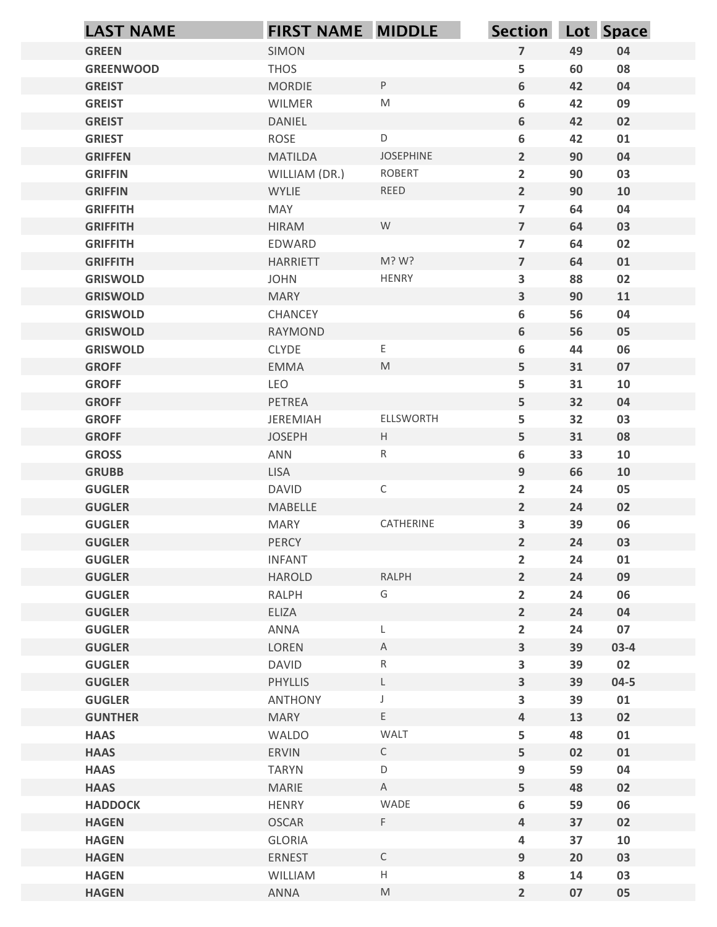| $\overline{7}$<br><b>GREEN</b><br>SIMON<br>49<br>04<br>5<br><b>THOS</b><br>08<br><b>GREENWOOD</b><br>60<br>P<br>6<br><b>GREIST</b><br><b>MORDIE</b><br>42<br>04<br>$\mathsf{M}% _{T}=\mathsf{M}_{T}\!\left( a,b\right) ,\ \mathsf{M}_{T}=\mathsf{M}_{T}\!\left( a,b\right) ,$<br>6<br>09<br><b>GREIST</b><br>WILMER<br>42<br>6<br>02<br><b>GREIST</b><br>DANIEL<br>42<br>D<br>6<br><b>GRIEST</b><br>ROSE<br>42<br>01<br>JOSEPHINE<br>$\overline{2}$<br><b>MATILDA</b><br>90<br>04<br><b>GRIFFEN</b><br>$\overline{2}$<br><b>ROBERT</b><br>03<br><b>GRIFFIN</b><br>WILLIAM (DR.)<br>90<br>$\overline{2}$<br>REED<br><b>GRIFFIN</b><br><b>WYLIE</b><br>90<br>10<br>$\overline{\mathbf{z}}$<br>04<br><b>GRIFFITH</b><br><b>MAY</b><br>64<br>W<br>$\overline{7}$<br>03<br><b>GRIFFITH</b><br><b>HIRAM</b><br>64<br>02<br><b>GRIFFITH</b><br>EDWARD<br>$\overline{\phantom{a}}$<br>64<br>M? W?<br>$\overline{7}$<br>64<br>01<br><b>GRIFFITH</b><br><b>HARRIETT</b><br><b>HENRY</b><br>JOHN<br>3<br>88<br>02<br><b>GRISWOLD</b><br>$\mathbf{3}$<br><b>GRISWOLD</b><br><b>MARY</b><br>90<br>11<br>56<br>04<br><b>GRISWOLD</b><br>CHANCEY<br>$\boldsymbol{6}$<br>$6\phantom{.}$<br>56<br>05<br><b>GRISWOLD</b><br>RAYMOND<br>06<br><b>GRISWOLD</b><br>CLYDE<br>E,<br>6<br>44<br>$5\phantom{.}$<br><b>GROFF</b><br>EMMA<br>M<br>31<br>07<br>5<br><b>GROFF</b><br>LEO<br>31<br>10<br>5<br>32<br>04<br><b>GROFF</b><br>PETREA<br><b>GROFF</b><br>JEREMIAH<br>ELLSWORTH<br>5<br>32<br>03<br><b>GROFF</b><br>5 <sub>5</sub><br><b>JOSEPH</b><br>H<br>31<br>08<br>6<br>33<br><b>GROSS</b><br>R<br>10<br>ANN<br>9<br>66<br><b>GRUBB</b><br><b>LISA</b><br>10<br>С<br><b>GUGLER</b><br>DAVID<br>$\overline{2}$<br>24<br>05<br>$\overline{2}$<br><b>GUGLER</b><br>MABELLE<br>24<br>02<br>CATHERINE<br>$\mathbf{3}$<br>39<br>06<br><b>GUGLER</b><br>MARY<br>$2\overline{ }$<br><b>GUGLER</b><br>PERCY<br>24<br>03<br><b>GUGLER</b><br><b>INFANT</b><br>$\overline{2}$<br>24<br>01<br>RALPH<br>$\overline{2}$<br><b>GUGLER</b><br><b>HAROLD</b><br>24<br>09<br>RALPH<br>G<br>$\overline{2}$<br>24<br>06<br><b>GUGLER</b><br>$2\overline{ }$<br><b>GUGLER</b><br>ELIZA<br>24<br>04<br><b>GUGLER</b><br>ANNA<br>$\overline{2}$<br>07<br>24<br>L<br>$\mathbf{3}$<br>39<br><b>GUGLER</b><br>LOREN<br>$\mathsf{A}$<br>$03-4$<br><b>GUGLER</b><br>DAVID<br>$\mathbf{3}$<br>39<br>02<br>R<br>$\mathbf{3}$<br><b>GUGLER</b><br>PHYLLIS<br>L.<br>39<br>$04 - 5$<br><b>GUGLER</b><br>ANTHONY<br>39<br>3<br>01<br>J<br>E,<br>02<br><b>GUNTHER</b><br>MARY<br>$\overline{4}$<br>13<br><b>HAAS</b><br>WALDO<br>WALT<br>5<br>48<br>01<br>5 <sub>1</sub><br><b>HAAS</b><br>ERVIN<br>$\mathsf{C}$<br>02<br>01<br><b>HAAS</b><br><b>TARYN</b><br>D<br>9<br>59<br>04<br>5<br><b>HAAS</b><br>$\mathsf{A}$<br>MARIE<br>48<br>02<br>WADE<br><b>HENRY</b><br>06<br><b>HADDOCK</b><br>6<br>59<br>F.<br><b>HAGEN</b><br><b>OSCAR</b><br>02<br>$\overline{4}$<br>37<br>37<br>10<br><b>HAGEN</b><br><b>GLORIA</b><br>4<br>$\mathsf C$<br><b>HAGEN</b><br>$9\,$<br>20<br>03<br>ERNEST<br>$\sf H$<br>${\bf 8}$<br>03<br><b>HAGEN</b><br>WILLIAM<br>14<br>$\mathsf{M}% _{T}=\mathsf{M}_{T}\!\left( a,b\right) ,\ \mathsf{M}_{T}=\mathsf{M}_{T}\!\left( a,b\right) ,$<br><b>HAGEN</b><br>$\overline{2}$<br>07<br>05<br>ANNA | <b>LAST NAME</b> | <b>FIRST NAME MIDDLE</b> | Section Lot Space |  |
|----------------------------------------------------------------------------------------------------------------------------------------------------------------------------------------------------------------------------------------------------------------------------------------------------------------------------------------------------------------------------------------------------------------------------------------------------------------------------------------------------------------------------------------------------------------------------------------------------------------------------------------------------------------------------------------------------------------------------------------------------------------------------------------------------------------------------------------------------------------------------------------------------------------------------------------------------------------------------------------------------------------------------------------------------------------------------------------------------------------------------------------------------------------------------------------------------------------------------------------------------------------------------------------------------------------------------------------------------------------------------------------------------------------------------------------------------------------------------------------------------------------------------------------------------------------------------------------------------------------------------------------------------------------------------------------------------------------------------------------------------------------------------------------------------------------------------------------------------------------------------------------------------------------------------------------------------------------------------------------------------------------------------------------------------------------------------------------------------------------------------------------------------------------------------------------------------------------------------------------------------------------------------------------------------------------------------------------------------------------------------------------------------------------------------------------------------------------------------------------------------------------------------------------------------------------------------------------------------------------------------------------------------------------------------------------------------------------------------------------------------------------------------------------------------------------------------------------------------------------------------------------------------------------------------------------------------------------------------------------------------------------------------------------------------------------------------------------------------------------------------------------------------------------------------------------------------------------------------------------------------------------------------|------------------|--------------------------|-------------------|--|
|                                                                                                                                                                                                                                                                                                                                                                                                                                                                                                                                                                                                                                                                                                                                                                                                                                                                                                                                                                                                                                                                                                                                                                                                                                                                                                                                                                                                                                                                                                                                                                                                                                                                                                                                                                                                                                                                                                                                                                                                                                                                                                                                                                                                                                                                                                                                                                                                                                                                                                                                                                                                                                                                                                                                                                                                                                                                                                                                                                                                                                                                                                                                                                                                                                                                            |                  |                          |                   |  |
|                                                                                                                                                                                                                                                                                                                                                                                                                                                                                                                                                                                                                                                                                                                                                                                                                                                                                                                                                                                                                                                                                                                                                                                                                                                                                                                                                                                                                                                                                                                                                                                                                                                                                                                                                                                                                                                                                                                                                                                                                                                                                                                                                                                                                                                                                                                                                                                                                                                                                                                                                                                                                                                                                                                                                                                                                                                                                                                                                                                                                                                                                                                                                                                                                                                                            |                  |                          |                   |  |
|                                                                                                                                                                                                                                                                                                                                                                                                                                                                                                                                                                                                                                                                                                                                                                                                                                                                                                                                                                                                                                                                                                                                                                                                                                                                                                                                                                                                                                                                                                                                                                                                                                                                                                                                                                                                                                                                                                                                                                                                                                                                                                                                                                                                                                                                                                                                                                                                                                                                                                                                                                                                                                                                                                                                                                                                                                                                                                                                                                                                                                                                                                                                                                                                                                                                            |                  |                          |                   |  |
|                                                                                                                                                                                                                                                                                                                                                                                                                                                                                                                                                                                                                                                                                                                                                                                                                                                                                                                                                                                                                                                                                                                                                                                                                                                                                                                                                                                                                                                                                                                                                                                                                                                                                                                                                                                                                                                                                                                                                                                                                                                                                                                                                                                                                                                                                                                                                                                                                                                                                                                                                                                                                                                                                                                                                                                                                                                                                                                                                                                                                                                                                                                                                                                                                                                                            |                  |                          |                   |  |
|                                                                                                                                                                                                                                                                                                                                                                                                                                                                                                                                                                                                                                                                                                                                                                                                                                                                                                                                                                                                                                                                                                                                                                                                                                                                                                                                                                                                                                                                                                                                                                                                                                                                                                                                                                                                                                                                                                                                                                                                                                                                                                                                                                                                                                                                                                                                                                                                                                                                                                                                                                                                                                                                                                                                                                                                                                                                                                                                                                                                                                                                                                                                                                                                                                                                            |                  |                          |                   |  |
|                                                                                                                                                                                                                                                                                                                                                                                                                                                                                                                                                                                                                                                                                                                                                                                                                                                                                                                                                                                                                                                                                                                                                                                                                                                                                                                                                                                                                                                                                                                                                                                                                                                                                                                                                                                                                                                                                                                                                                                                                                                                                                                                                                                                                                                                                                                                                                                                                                                                                                                                                                                                                                                                                                                                                                                                                                                                                                                                                                                                                                                                                                                                                                                                                                                                            |                  |                          |                   |  |
|                                                                                                                                                                                                                                                                                                                                                                                                                                                                                                                                                                                                                                                                                                                                                                                                                                                                                                                                                                                                                                                                                                                                                                                                                                                                                                                                                                                                                                                                                                                                                                                                                                                                                                                                                                                                                                                                                                                                                                                                                                                                                                                                                                                                                                                                                                                                                                                                                                                                                                                                                                                                                                                                                                                                                                                                                                                                                                                                                                                                                                                                                                                                                                                                                                                                            |                  |                          |                   |  |
|                                                                                                                                                                                                                                                                                                                                                                                                                                                                                                                                                                                                                                                                                                                                                                                                                                                                                                                                                                                                                                                                                                                                                                                                                                                                                                                                                                                                                                                                                                                                                                                                                                                                                                                                                                                                                                                                                                                                                                                                                                                                                                                                                                                                                                                                                                                                                                                                                                                                                                                                                                                                                                                                                                                                                                                                                                                                                                                                                                                                                                                                                                                                                                                                                                                                            |                  |                          |                   |  |
|                                                                                                                                                                                                                                                                                                                                                                                                                                                                                                                                                                                                                                                                                                                                                                                                                                                                                                                                                                                                                                                                                                                                                                                                                                                                                                                                                                                                                                                                                                                                                                                                                                                                                                                                                                                                                                                                                                                                                                                                                                                                                                                                                                                                                                                                                                                                                                                                                                                                                                                                                                                                                                                                                                                                                                                                                                                                                                                                                                                                                                                                                                                                                                                                                                                                            |                  |                          |                   |  |
|                                                                                                                                                                                                                                                                                                                                                                                                                                                                                                                                                                                                                                                                                                                                                                                                                                                                                                                                                                                                                                                                                                                                                                                                                                                                                                                                                                                                                                                                                                                                                                                                                                                                                                                                                                                                                                                                                                                                                                                                                                                                                                                                                                                                                                                                                                                                                                                                                                                                                                                                                                                                                                                                                                                                                                                                                                                                                                                                                                                                                                                                                                                                                                                                                                                                            |                  |                          |                   |  |
|                                                                                                                                                                                                                                                                                                                                                                                                                                                                                                                                                                                                                                                                                                                                                                                                                                                                                                                                                                                                                                                                                                                                                                                                                                                                                                                                                                                                                                                                                                                                                                                                                                                                                                                                                                                                                                                                                                                                                                                                                                                                                                                                                                                                                                                                                                                                                                                                                                                                                                                                                                                                                                                                                                                                                                                                                                                                                                                                                                                                                                                                                                                                                                                                                                                                            |                  |                          |                   |  |
|                                                                                                                                                                                                                                                                                                                                                                                                                                                                                                                                                                                                                                                                                                                                                                                                                                                                                                                                                                                                                                                                                                                                                                                                                                                                                                                                                                                                                                                                                                                                                                                                                                                                                                                                                                                                                                                                                                                                                                                                                                                                                                                                                                                                                                                                                                                                                                                                                                                                                                                                                                                                                                                                                                                                                                                                                                                                                                                                                                                                                                                                                                                                                                                                                                                                            |                  |                          |                   |  |
|                                                                                                                                                                                                                                                                                                                                                                                                                                                                                                                                                                                                                                                                                                                                                                                                                                                                                                                                                                                                                                                                                                                                                                                                                                                                                                                                                                                                                                                                                                                                                                                                                                                                                                                                                                                                                                                                                                                                                                                                                                                                                                                                                                                                                                                                                                                                                                                                                                                                                                                                                                                                                                                                                                                                                                                                                                                                                                                                                                                                                                                                                                                                                                                                                                                                            |                  |                          |                   |  |
|                                                                                                                                                                                                                                                                                                                                                                                                                                                                                                                                                                                                                                                                                                                                                                                                                                                                                                                                                                                                                                                                                                                                                                                                                                                                                                                                                                                                                                                                                                                                                                                                                                                                                                                                                                                                                                                                                                                                                                                                                                                                                                                                                                                                                                                                                                                                                                                                                                                                                                                                                                                                                                                                                                                                                                                                                                                                                                                                                                                                                                                                                                                                                                                                                                                                            |                  |                          |                   |  |
|                                                                                                                                                                                                                                                                                                                                                                                                                                                                                                                                                                                                                                                                                                                                                                                                                                                                                                                                                                                                                                                                                                                                                                                                                                                                                                                                                                                                                                                                                                                                                                                                                                                                                                                                                                                                                                                                                                                                                                                                                                                                                                                                                                                                                                                                                                                                                                                                                                                                                                                                                                                                                                                                                                                                                                                                                                                                                                                                                                                                                                                                                                                                                                                                                                                                            |                  |                          |                   |  |
|                                                                                                                                                                                                                                                                                                                                                                                                                                                                                                                                                                                                                                                                                                                                                                                                                                                                                                                                                                                                                                                                                                                                                                                                                                                                                                                                                                                                                                                                                                                                                                                                                                                                                                                                                                                                                                                                                                                                                                                                                                                                                                                                                                                                                                                                                                                                                                                                                                                                                                                                                                                                                                                                                                                                                                                                                                                                                                                                                                                                                                                                                                                                                                                                                                                                            |                  |                          |                   |  |
|                                                                                                                                                                                                                                                                                                                                                                                                                                                                                                                                                                                                                                                                                                                                                                                                                                                                                                                                                                                                                                                                                                                                                                                                                                                                                                                                                                                                                                                                                                                                                                                                                                                                                                                                                                                                                                                                                                                                                                                                                                                                                                                                                                                                                                                                                                                                                                                                                                                                                                                                                                                                                                                                                                                                                                                                                                                                                                                                                                                                                                                                                                                                                                                                                                                                            |                  |                          |                   |  |
|                                                                                                                                                                                                                                                                                                                                                                                                                                                                                                                                                                                                                                                                                                                                                                                                                                                                                                                                                                                                                                                                                                                                                                                                                                                                                                                                                                                                                                                                                                                                                                                                                                                                                                                                                                                                                                                                                                                                                                                                                                                                                                                                                                                                                                                                                                                                                                                                                                                                                                                                                                                                                                                                                                                                                                                                                                                                                                                                                                                                                                                                                                                                                                                                                                                                            |                  |                          |                   |  |
|                                                                                                                                                                                                                                                                                                                                                                                                                                                                                                                                                                                                                                                                                                                                                                                                                                                                                                                                                                                                                                                                                                                                                                                                                                                                                                                                                                                                                                                                                                                                                                                                                                                                                                                                                                                                                                                                                                                                                                                                                                                                                                                                                                                                                                                                                                                                                                                                                                                                                                                                                                                                                                                                                                                                                                                                                                                                                                                                                                                                                                                                                                                                                                                                                                                                            |                  |                          |                   |  |
|                                                                                                                                                                                                                                                                                                                                                                                                                                                                                                                                                                                                                                                                                                                                                                                                                                                                                                                                                                                                                                                                                                                                                                                                                                                                                                                                                                                                                                                                                                                                                                                                                                                                                                                                                                                                                                                                                                                                                                                                                                                                                                                                                                                                                                                                                                                                                                                                                                                                                                                                                                                                                                                                                                                                                                                                                                                                                                                                                                                                                                                                                                                                                                                                                                                                            |                  |                          |                   |  |
|                                                                                                                                                                                                                                                                                                                                                                                                                                                                                                                                                                                                                                                                                                                                                                                                                                                                                                                                                                                                                                                                                                                                                                                                                                                                                                                                                                                                                                                                                                                                                                                                                                                                                                                                                                                                                                                                                                                                                                                                                                                                                                                                                                                                                                                                                                                                                                                                                                                                                                                                                                                                                                                                                                                                                                                                                                                                                                                                                                                                                                                                                                                                                                                                                                                                            |                  |                          |                   |  |
|                                                                                                                                                                                                                                                                                                                                                                                                                                                                                                                                                                                                                                                                                                                                                                                                                                                                                                                                                                                                                                                                                                                                                                                                                                                                                                                                                                                                                                                                                                                                                                                                                                                                                                                                                                                                                                                                                                                                                                                                                                                                                                                                                                                                                                                                                                                                                                                                                                                                                                                                                                                                                                                                                                                                                                                                                                                                                                                                                                                                                                                                                                                                                                                                                                                                            |                  |                          |                   |  |
|                                                                                                                                                                                                                                                                                                                                                                                                                                                                                                                                                                                                                                                                                                                                                                                                                                                                                                                                                                                                                                                                                                                                                                                                                                                                                                                                                                                                                                                                                                                                                                                                                                                                                                                                                                                                                                                                                                                                                                                                                                                                                                                                                                                                                                                                                                                                                                                                                                                                                                                                                                                                                                                                                                                                                                                                                                                                                                                                                                                                                                                                                                                                                                                                                                                                            |                  |                          |                   |  |
|                                                                                                                                                                                                                                                                                                                                                                                                                                                                                                                                                                                                                                                                                                                                                                                                                                                                                                                                                                                                                                                                                                                                                                                                                                                                                                                                                                                                                                                                                                                                                                                                                                                                                                                                                                                                                                                                                                                                                                                                                                                                                                                                                                                                                                                                                                                                                                                                                                                                                                                                                                                                                                                                                                                                                                                                                                                                                                                                                                                                                                                                                                                                                                                                                                                                            |                  |                          |                   |  |
|                                                                                                                                                                                                                                                                                                                                                                                                                                                                                                                                                                                                                                                                                                                                                                                                                                                                                                                                                                                                                                                                                                                                                                                                                                                                                                                                                                                                                                                                                                                                                                                                                                                                                                                                                                                                                                                                                                                                                                                                                                                                                                                                                                                                                                                                                                                                                                                                                                                                                                                                                                                                                                                                                                                                                                                                                                                                                                                                                                                                                                                                                                                                                                                                                                                                            |                  |                          |                   |  |
|                                                                                                                                                                                                                                                                                                                                                                                                                                                                                                                                                                                                                                                                                                                                                                                                                                                                                                                                                                                                                                                                                                                                                                                                                                                                                                                                                                                                                                                                                                                                                                                                                                                                                                                                                                                                                                                                                                                                                                                                                                                                                                                                                                                                                                                                                                                                                                                                                                                                                                                                                                                                                                                                                                                                                                                                                                                                                                                                                                                                                                                                                                                                                                                                                                                                            |                  |                          |                   |  |
|                                                                                                                                                                                                                                                                                                                                                                                                                                                                                                                                                                                                                                                                                                                                                                                                                                                                                                                                                                                                                                                                                                                                                                                                                                                                                                                                                                                                                                                                                                                                                                                                                                                                                                                                                                                                                                                                                                                                                                                                                                                                                                                                                                                                                                                                                                                                                                                                                                                                                                                                                                                                                                                                                                                                                                                                                                                                                                                                                                                                                                                                                                                                                                                                                                                                            |                  |                          |                   |  |
|                                                                                                                                                                                                                                                                                                                                                                                                                                                                                                                                                                                                                                                                                                                                                                                                                                                                                                                                                                                                                                                                                                                                                                                                                                                                                                                                                                                                                                                                                                                                                                                                                                                                                                                                                                                                                                                                                                                                                                                                                                                                                                                                                                                                                                                                                                                                                                                                                                                                                                                                                                                                                                                                                                                                                                                                                                                                                                                                                                                                                                                                                                                                                                                                                                                                            |                  |                          |                   |  |
|                                                                                                                                                                                                                                                                                                                                                                                                                                                                                                                                                                                                                                                                                                                                                                                                                                                                                                                                                                                                                                                                                                                                                                                                                                                                                                                                                                                                                                                                                                                                                                                                                                                                                                                                                                                                                                                                                                                                                                                                                                                                                                                                                                                                                                                                                                                                                                                                                                                                                                                                                                                                                                                                                                                                                                                                                                                                                                                                                                                                                                                                                                                                                                                                                                                                            |                  |                          |                   |  |
|                                                                                                                                                                                                                                                                                                                                                                                                                                                                                                                                                                                                                                                                                                                                                                                                                                                                                                                                                                                                                                                                                                                                                                                                                                                                                                                                                                                                                                                                                                                                                                                                                                                                                                                                                                                                                                                                                                                                                                                                                                                                                                                                                                                                                                                                                                                                                                                                                                                                                                                                                                                                                                                                                                                                                                                                                                                                                                                                                                                                                                                                                                                                                                                                                                                                            |                  |                          |                   |  |
|                                                                                                                                                                                                                                                                                                                                                                                                                                                                                                                                                                                                                                                                                                                                                                                                                                                                                                                                                                                                                                                                                                                                                                                                                                                                                                                                                                                                                                                                                                                                                                                                                                                                                                                                                                                                                                                                                                                                                                                                                                                                                                                                                                                                                                                                                                                                                                                                                                                                                                                                                                                                                                                                                                                                                                                                                                                                                                                                                                                                                                                                                                                                                                                                                                                                            |                  |                          |                   |  |
|                                                                                                                                                                                                                                                                                                                                                                                                                                                                                                                                                                                                                                                                                                                                                                                                                                                                                                                                                                                                                                                                                                                                                                                                                                                                                                                                                                                                                                                                                                                                                                                                                                                                                                                                                                                                                                                                                                                                                                                                                                                                                                                                                                                                                                                                                                                                                                                                                                                                                                                                                                                                                                                                                                                                                                                                                                                                                                                                                                                                                                                                                                                                                                                                                                                                            |                  |                          |                   |  |
|                                                                                                                                                                                                                                                                                                                                                                                                                                                                                                                                                                                                                                                                                                                                                                                                                                                                                                                                                                                                                                                                                                                                                                                                                                                                                                                                                                                                                                                                                                                                                                                                                                                                                                                                                                                                                                                                                                                                                                                                                                                                                                                                                                                                                                                                                                                                                                                                                                                                                                                                                                                                                                                                                                                                                                                                                                                                                                                                                                                                                                                                                                                                                                                                                                                                            |                  |                          |                   |  |
|                                                                                                                                                                                                                                                                                                                                                                                                                                                                                                                                                                                                                                                                                                                                                                                                                                                                                                                                                                                                                                                                                                                                                                                                                                                                                                                                                                                                                                                                                                                                                                                                                                                                                                                                                                                                                                                                                                                                                                                                                                                                                                                                                                                                                                                                                                                                                                                                                                                                                                                                                                                                                                                                                                                                                                                                                                                                                                                                                                                                                                                                                                                                                                                                                                                                            |                  |                          |                   |  |
|                                                                                                                                                                                                                                                                                                                                                                                                                                                                                                                                                                                                                                                                                                                                                                                                                                                                                                                                                                                                                                                                                                                                                                                                                                                                                                                                                                                                                                                                                                                                                                                                                                                                                                                                                                                                                                                                                                                                                                                                                                                                                                                                                                                                                                                                                                                                                                                                                                                                                                                                                                                                                                                                                                                                                                                                                                                                                                                                                                                                                                                                                                                                                                                                                                                                            |                  |                          |                   |  |
|                                                                                                                                                                                                                                                                                                                                                                                                                                                                                                                                                                                                                                                                                                                                                                                                                                                                                                                                                                                                                                                                                                                                                                                                                                                                                                                                                                                                                                                                                                                                                                                                                                                                                                                                                                                                                                                                                                                                                                                                                                                                                                                                                                                                                                                                                                                                                                                                                                                                                                                                                                                                                                                                                                                                                                                                                                                                                                                                                                                                                                                                                                                                                                                                                                                                            |                  |                          |                   |  |
|                                                                                                                                                                                                                                                                                                                                                                                                                                                                                                                                                                                                                                                                                                                                                                                                                                                                                                                                                                                                                                                                                                                                                                                                                                                                                                                                                                                                                                                                                                                                                                                                                                                                                                                                                                                                                                                                                                                                                                                                                                                                                                                                                                                                                                                                                                                                                                                                                                                                                                                                                                                                                                                                                                                                                                                                                                                                                                                                                                                                                                                                                                                                                                                                                                                                            |                  |                          |                   |  |
|                                                                                                                                                                                                                                                                                                                                                                                                                                                                                                                                                                                                                                                                                                                                                                                                                                                                                                                                                                                                                                                                                                                                                                                                                                                                                                                                                                                                                                                                                                                                                                                                                                                                                                                                                                                                                                                                                                                                                                                                                                                                                                                                                                                                                                                                                                                                                                                                                                                                                                                                                                                                                                                                                                                                                                                                                                                                                                                                                                                                                                                                                                                                                                                                                                                                            |                  |                          |                   |  |
|                                                                                                                                                                                                                                                                                                                                                                                                                                                                                                                                                                                                                                                                                                                                                                                                                                                                                                                                                                                                                                                                                                                                                                                                                                                                                                                                                                                                                                                                                                                                                                                                                                                                                                                                                                                                                                                                                                                                                                                                                                                                                                                                                                                                                                                                                                                                                                                                                                                                                                                                                                                                                                                                                                                                                                                                                                                                                                                                                                                                                                                                                                                                                                                                                                                                            |                  |                          |                   |  |
|                                                                                                                                                                                                                                                                                                                                                                                                                                                                                                                                                                                                                                                                                                                                                                                                                                                                                                                                                                                                                                                                                                                                                                                                                                                                                                                                                                                                                                                                                                                                                                                                                                                                                                                                                                                                                                                                                                                                                                                                                                                                                                                                                                                                                                                                                                                                                                                                                                                                                                                                                                                                                                                                                                                                                                                                                                                                                                                                                                                                                                                                                                                                                                                                                                                                            |                  |                          |                   |  |
|                                                                                                                                                                                                                                                                                                                                                                                                                                                                                                                                                                                                                                                                                                                                                                                                                                                                                                                                                                                                                                                                                                                                                                                                                                                                                                                                                                                                                                                                                                                                                                                                                                                                                                                                                                                                                                                                                                                                                                                                                                                                                                                                                                                                                                                                                                                                                                                                                                                                                                                                                                                                                                                                                                                                                                                                                                                                                                                                                                                                                                                                                                                                                                                                                                                                            |                  |                          |                   |  |
|                                                                                                                                                                                                                                                                                                                                                                                                                                                                                                                                                                                                                                                                                                                                                                                                                                                                                                                                                                                                                                                                                                                                                                                                                                                                                                                                                                                                                                                                                                                                                                                                                                                                                                                                                                                                                                                                                                                                                                                                                                                                                                                                                                                                                                                                                                                                                                                                                                                                                                                                                                                                                                                                                                                                                                                                                                                                                                                                                                                                                                                                                                                                                                                                                                                                            |                  |                          |                   |  |
|                                                                                                                                                                                                                                                                                                                                                                                                                                                                                                                                                                                                                                                                                                                                                                                                                                                                                                                                                                                                                                                                                                                                                                                                                                                                                                                                                                                                                                                                                                                                                                                                                                                                                                                                                                                                                                                                                                                                                                                                                                                                                                                                                                                                                                                                                                                                                                                                                                                                                                                                                                                                                                                                                                                                                                                                                                                                                                                                                                                                                                                                                                                                                                                                                                                                            |                  |                          |                   |  |
|                                                                                                                                                                                                                                                                                                                                                                                                                                                                                                                                                                                                                                                                                                                                                                                                                                                                                                                                                                                                                                                                                                                                                                                                                                                                                                                                                                                                                                                                                                                                                                                                                                                                                                                                                                                                                                                                                                                                                                                                                                                                                                                                                                                                                                                                                                                                                                                                                                                                                                                                                                                                                                                                                                                                                                                                                                                                                                                                                                                                                                                                                                                                                                                                                                                                            |                  |                          |                   |  |
|                                                                                                                                                                                                                                                                                                                                                                                                                                                                                                                                                                                                                                                                                                                                                                                                                                                                                                                                                                                                                                                                                                                                                                                                                                                                                                                                                                                                                                                                                                                                                                                                                                                                                                                                                                                                                                                                                                                                                                                                                                                                                                                                                                                                                                                                                                                                                                                                                                                                                                                                                                                                                                                                                                                                                                                                                                                                                                                                                                                                                                                                                                                                                                                                                                                                            |                  |                          |                   |  |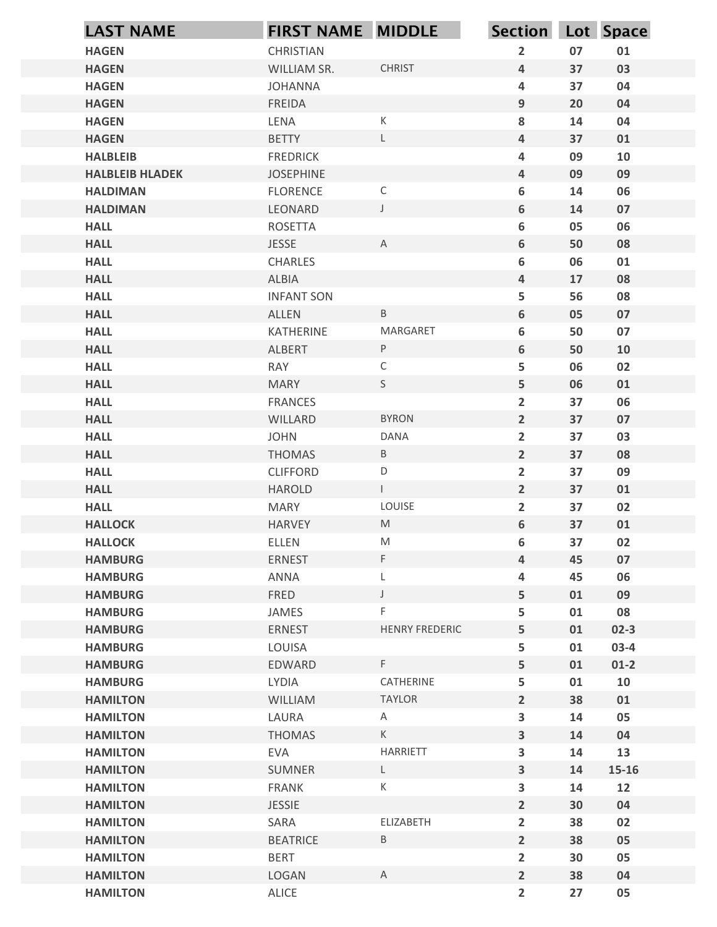| <b>LAST NAME</b>                 | FIRST NAME MIDDLE |                                                                                                            | Section Lot Space       |          |            |
|----------------------------------|-------------------|------------------------------------------------------------------------------------------------------------|-------------------------|----------|------------|
| <b>HAGEN</b>                     | CHRISTIAN         |                                                                                                            | $\overline{2}$          | 07       | 01         |
| <b>HAGEN</b>                     | WILLIAM SR.       | <b>CHRIST</b>                                                                                              | 4                       | 37       | 03         |
| <b>HAGEN</b>                     | <b>JOHANNA</b>    |                                                                                                            | 4                       | 37       | 04         |
| <b>HAGEN</b>                     | <b>FREIDA</b>     |                                                                                                            | 9                       | 20       | 04         |
| <b>HAGEN</b>                     | LENA              | $\mathsf K$                                                                                                | 8                       | 14       | 04         |
| <b>HAGEN</b>                     | <b>BETTY</b>      | L                                                                                                          | 4                       | 37       | 01         |
| <b>HALBLEIB</b>                  | <b>FREDRICK</b>   |                                                                                                            | 4                       | 09       | 10         |
| <b>HALBLEIB HLADEK</b>           | <b>JOSEPHINE</b>  |                                                                                                            | 4                       | 09       | 09         |
| <b>HALDIMAN</b>                  | <b>FLORENCE</b>   | $\mathsf C$                                                                                                | 6                       | 14       | 06         |
| <b>HALDIMAN</b>                  | LEONARD           | $\mathsf{J}$                                                                                               | 6                       | 14       | 07         |
| <b>HALL</b>                      | <b>ROSETTA</b>    |                                                                                                            | 6                       | 05       | 06         |
| <b>HALL</b>                      | <b>JESSE</b>      | A                                                                                                          | 6                       | 50       | 08         |
| <b>HALL</b>                      | <b>CHARLES</b>    |                                                                                                            | 6                       | 06       | 01         |
| <b>HALL</b>                      | <b>ALBIA</b>      |                                                                                                            | 4                       | 17       | 08         |
| <b>HALL</b>                      | <b>INFANT SON</b> |                                                                                                            | 5                       | 56       | 08         |
| <b>HALL</b>                      | ALLEN             | $\mathsf B$                                                                                                | $\boldsymbol{6}$        | 05       | 07         |
| <b>HALL</b>                      | KATHERINE         | MARGARET                                                                                                   | 6                       | 50       | 07         |
| <b>HALL</b>                      | ALBERT            | P                                                                                                          | 6                       | 50       | 10         |
| <b>HALL</b>                      | RAY               | $\mathsf C$                                                                                                | 5                       | 06       | 02         |
| <b>HALL</b>                      | <b>MARY</b>       | S                                                                                                          | 5                       | 06       | 01         |
| <b>HALL</b>                      | <b>FRANCES</b>    |                                                                                                            | $\overline{2}$          | 37       | 06         |
| <b>HALL</b>                      | WILLARD           | <b>BYRON</b>                                                                                               | $\overline{2}$          | 37       | 07         |
| <b>HALL</b>                      | <b>JOHN</b>       | DANA                                                                                                       | $\overline{2}$          | 37       | 03         |
| <b>HALL</b>                      | THOMAS            | $\mathsf B$                                                                                                | $\overline{2}$          | 37       | 08         |
| <b>HALL</b>                      | <b>CLIFFORD</b>   | $\mathsf D$                                                                                                | $\overline{2}$          | 37       | 09         |
| <b>HALL</b>                      | HAROLD            | $\mathbf{L}$                                                                                               | $\overline{2}$          | 37       | 01         |
| <b>HALL</b>                      | <b>MARY</b>       | LOUISE                                                                                                     | $\overline{2}$          | 37       | 02         |
| <b>HALLOCK</b>                   | HARVEY            | ${\sf M}$                                                                                                  | $6\phantom{a}$          | 37       | 01         |
| <b>HALLOCK</b>                   | ELLEN             | $\mathsf{M}% _{T}=\mathsf{M}_{T}\!\left( a,b\right) ,\ \mathsf{M}_{T}=\mathsf{M}_{T}\!\left( a,b\right) ,$ | 6                       | 37       | 02         |
| <b>HAMBURG</b>                   | ERNEST            | F.                                                                                                         | 4                       | 45       | 07         |
| <b>HAMBURG</b>                   | ANNA              |                                                                                                            | 4                       | 45       | 06         |
| <b>HAMBURG</b><br><b>HAMBURG</b> | FRED<br>JAMES     | $\cup$<br>F                                                                                                | 5<br>5                  | 01<br>01 | 09<br>08   |
| <b>HAMBURG</b>                   | ERNEST            | HENRY FREDERIC                                                                                             | 5                       | 01       | $02 - 3$   |
| <b>HAMBURG</b>                   | LOUISA            |                                                                                                            | 5                       | 01       | $03-4$     |
| <b>HAMBURG</b>                   | EDWARD            | F                                                                                                          | 5                       | 01       | $01-2$     |
| <b>HAMBURG</b>                   | LYDIA             | CATHERINE                                                                                                  | 5                       | 01       | ${\bf 10}$ |
| <b>HAMILTON</b>                  | <b>WILLIAM</b>    | TAYLOR                                                                                                     | $2^{\circ}$             | 38       | 01         |
| <b>HAMILTON</b>                  | LAURA             | A                                                                                                          | $\overline{\mathbf{3}}$ | 14       | 05         |
| <b>HAMILTON</b>                  | THOMAS            | $\mathsf K$                                                                                                | $\mathbf{3}$            | 14       | 04         |
| <b>HAMILTON</b>                  | EVA               | HARRIETT                                                                                                   | 3                       | 14       | 13         |
| <b>HAMILTON</b>                  | SUMNER            | L.                                                                                                         | 3 <sup>1</sup>          | 14       | $15 - 16$  |
| <b>HAMILTON</b>                  | FRANK             | К                                                                                                          | $\overline{\mathbf{3}}$ | 14       | 12         |
| <b>HAMILTON</b>                  | <b>JESSIE</b>     |                                                                                                            | $\overline{\mathbf{2}}$ | 30       | 04         |
| <b>HAMILTON</b>                  | SARA              | ELIZABETH                                                                                                  | $\overline{2}$          | 38       | 02         |
| <b>HAMILTON</b>                  | <b>BEATRICE</b>   | $\mathsf B$                                                                                                | $\overline{2}$          | 38       | 05         |
| <b>HAMILTON</b>                  | <b>BERT</b>       |                                                                                                            | $\overline{2}$          | 30       | 05         |
| <b>HAMILTON</b>                  | LOGAN             | $\mathsf{A}$                                                                                               | $2^{\circ}$             | 38       | 04         |
| <b>HAMILTON</b>                  | ALICE             |                                                                                                            | $\overline{2}$          | 27       | 05         |
|                                  |                   |                                                                                                            |                         |          |            |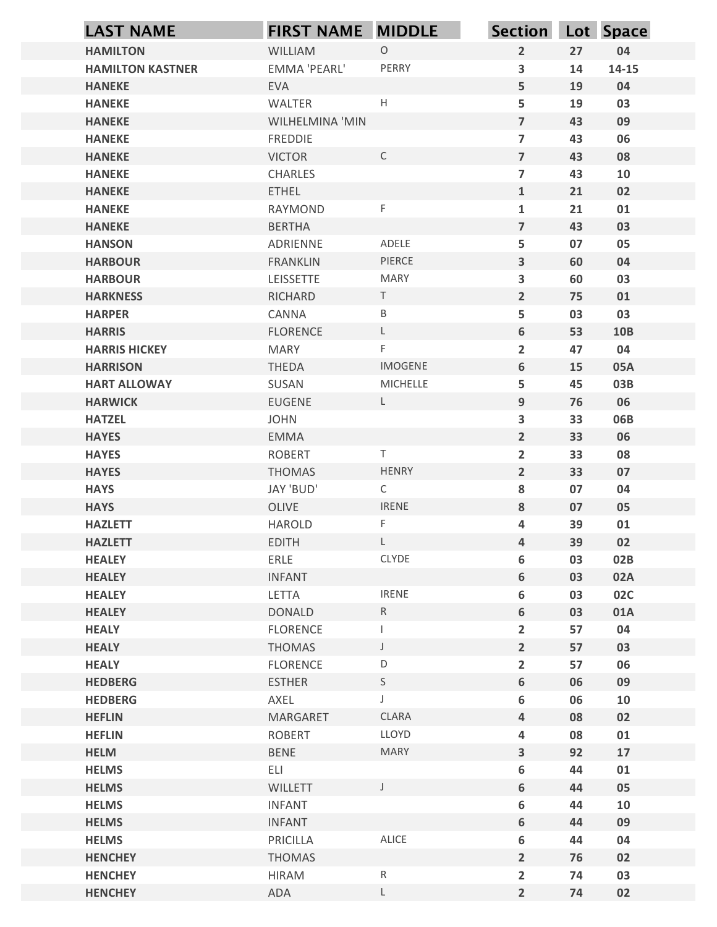|                                   | <b>LAST NAME</b>        | <b>FIRST NAME MIDDLE</b>          |                       | <b>Section</b>                            |          | Lot Space  |
|-----------------------------------|-------------------------|-----------------------------------|-----------------------|-------------------------------------------|----------|------------|
| <b>HAMILTON</b>                   |                         | WILLIAM                           | $\circ$               | $\overline{2}$                            | 27       | 04         |
|                                   | <b>HAMILTON KASTNER</b> | EMMA 'PEARL'                      | PERRY                 | 3                                         | 14       | $14 - 15$  |
| <b>HANEKE</b>                     |                         | <b>EVA</b>                        |                       | 5                                         | 19       | 04         |
| <b>HANEKE</b>                     |                         | WALTER                            | $\mathsf H$           | 5                                         | 19       | 03         |
| <b>HANEKE</b><br><b>HANEKE</b>    |                         | WILHELMINA 'MIN<br><b>FREDDIE</b> |                       | $\overline{7}$<br>$\overline{\mathbf{z}}$ | 43<br>43 | 09<br>06   |
| <b>HANEKE</b>                     |                         | <b>VICTOR</b>                     | $\mathsf C$           | $\overline{7}$                            | 43       | 08         |
| <b>HANEKE</b>                     |                         | CHARLES                           |                       | $\overline{\mathbf{z}}$                   | 43       | 10         |
| <b>HANEKE</b>                     |                         | <b>ETHEL</b>                      |                       | $\mathbf 1$                               | 21       | 02         |
| <b>HANEKE</b>                     |                         | <b>RAYMOND</b>                    | $\mathsf F$           | $\mathbf{1}$                              | 21       | 01         |
| <b>HANEKE</b>                     |                         | <b>BERTHA</b>                     |                       | $\overline{7}$                            | 43       | 03         |
| <b>HANSON</b>                     |                         | ADRIENNE                          | ADELE                 | 5                                         | 07       | 05         |
| <b>HARBOUR</b>                    |                         | <b>FRANKLIN</b>                   | PIERCE                | $\overline{\mathbf{3}}$                   | 60       | 04         |
| <b>HARBOUR</b><br><b>HARKNESS</b> |                         | LEISSETTE<br>RICHARD              | <b>MARY</b><br>$\top$ | 3<br>$\overline{2}$                       | 60<br>75 | 03<br>01   |
| <b>HARPER</b>                     |                         | CANNA                             | $\sf B$               | 5                                         | 03       | 03         |
| <b>HARRIS</b>                     |                         | <b>FLORENCE</b>                   | $\mathsf L$           | $\boldsymbol{6}$                          | 53       | <b>10B</b> |
| <b>HARRIS HICKEY</b>              |                         | MARY                              | F.                    | $\overline{2}$                            | 47       | 04         |
| <b>HARRISON</b>                   |                         | THEDA                             | IMOGENE               | 6                                         | 15       | 05A        |
| <b>HART ALLOWAY</b>               |                         | SUSAN                             | MICHELLE              | 5                                         | 45       | 03B        |
| <b>HARWICK</b>                    |                         | <b>EUGENE</b>                     | $\mathsf{L}$          | $\boldsymbol{9}$                          | 76       | 06         |
| <b>HATZEL</b>                     |                         | <b>JOHN</b>                       |                       | 3                                         | 33       | 06B        |
| <b>HAYES</b>                      |                         | EMMA                              |                       | $\overline{2}$                            | 33       | 06         |
| <b>HAYES</b><br><b>HAYES</b>      |                         | <b>ROBERT</b>                     | Τ<br>HENRY            | $\overline{2}$<br>$\overline{2}$          | 33<br>33 | 08<br>07   |
| <b>HAYS</b>                       |                         | THOMAS<br>JAY 'BUD'               | $\mathsf{C}$          | ${\bf 8}$                                 | 07       | 04         |
| <b>HAYS</b>                       |                         | OLIVE                             | <b>IRENE</b>          | 8                                         | 07       | 05         |
| <b>HAZLETT</b>                    |                         | HAROLD                            | F.                    | 4                                         | 39       | 01         |
| <b>HAZLETT</b>                    |                         | <b>EDITH</b>                      | $\mathsf{L}^-$        | $\overline{4}$                            | 39       | 02         |
| <b>HEALEY</b>                     |                         | ERLE                              | CLYDE                 | $\boldsymbol{6}$                          | 03       | 02B        |
| <b>HEALEY</b>                     |                         | <b>INFANT</b>                     |                       | 6                                         | 03       | 02A        |
| <b>HEALEY</b>                     |                         | LETTA                             | <b>IRENE</b>          | $\boldsymbol{6}$                          | 03       | <b>02C</b> |
| <b>HEALEY</b>                     |                         | <b>DONALD</b>                     | R                     | $\boldsymbol{6}$                          | 03       | 01A        |
| <b>HEALY</b>                      |                         | FLORENCE                          | $\mathbf{I}$          | $\overline{2}$                            | 57       | 04         |
| <b>HEALY</b>                      |                         | THOMAS                            | $\mathsf J$<br>D      | $\overline{2}$                            | 57       | 03         |
| <b>HEALY</b><br><b>HEDBERG</b>    |                         | FLORENCE<br><b>ESTHER</b>         | S                     | $\overline{2}$<br>$\boldsymbol{6}$        | 57<br>06 | 06<br>09   |
| <b>HEDBERG</b>                    |                         | AXEL                              | J                     | $\boldsymbol{6}$                          | 06       | 10         |
| <b>HEFLIN</b>                     |                         | MARGARET                          | <b>CLARA</b>          | $\overline{4}$                            | 08       | 02         |
| <b>HEFLIN</b>                     |                         | ROBERT                            | LLOYD                 | 4                                         | 08       | 01         |
| <b>HELM</b>                       |                         | BENE                              | <b>MARY</b>           | $\mathbf{3}$                              | 92       | 17         |
| <b>HELMS</b>                      |                         | ELI                               |                       | 6                                         | 44       | 01         |
| <b>HELMS</b>                      |                         | WILLETT                           | J                     | $\boldsymbol{6}$                          | 44       | 05         |
| <b>HELMS</b>                      |                         | <b>INFANT</b>                     |                       | 6                                         | 44       | 10         |
| <b>HELMS</b>                      |                         | <b>INFANT</b>                     |                       | $\boldsymbol{6}$                          | 44       | 09         |
| <b>HELMS</b><br><b>HENCHEY</b>    |                         | PRICILLA<br><b>THOMAS</b>         | ALICE                 | $\boldsymbol{6}$<br>$\overline{2}$        | 44<br>76 | 04<br>02   |
| <b>HENCHEY</b>                    |                         | <b>HIRAM</b>                      | ${\sf R}$             | $\overline{2}$                            | 74       | 03         |
| <b>HENCHEY</b>                    |                         | ADA                               | $\mathsf L$           | $\overline{2}$                            | 74       | 02         |
|                                   |                         |                                   |                       |                                           |          |            |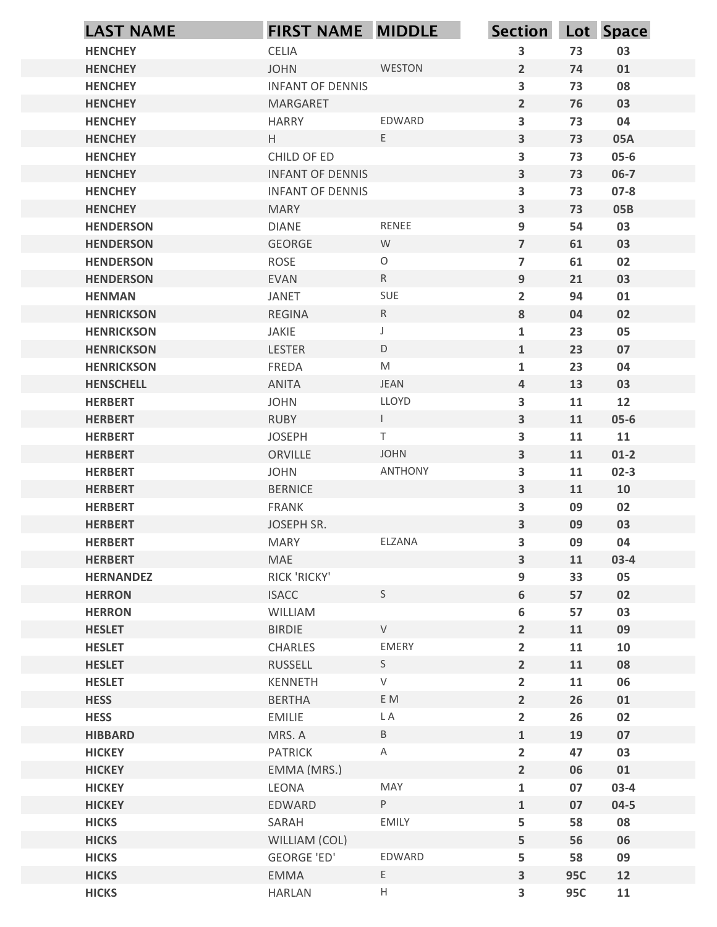|                                      | FIRST NAME MIDDLE            |                                                                                                            | Section Lot Space       |            |            |
|--------------------------------------|------------------------------|------------------------------------------------------------------------------------------------------------|-------------------------|------------|------------|
| <b>HENCHEY</b>                       | CELIA                        |                                                                                                            | 3                       | 73         | 03         |
| <b>HENCHEY</b>                       | <b>JOHN</b>                  | WESTON                                                                                                     | $2^{\circ}$             | 74         | 01         |
| <b>HENCHEY</b>                       | <b>INFANT OF DENNIS</b>      |                                                                                                            | $\overline{\mathbf{3}}$ | 73         | 08         |
| <b>HENCHEY</b>                       | MARGARET                     |                                                                                                            | $2^{\circ}$             | 76         | 03         |
| <b>HENCHEY</b>                       | <b>HARRY</b>                 | EDWARD                                                                                                     | $\overline{\mathbf{3}}$ | 73         | 04         |
| <b>HENCHEY</b>                       | H                            | E                                                                                                          | 3                       | 73         | 05A        |
| <b>HENCHEY</b>                       | CHILD OF ED                  |                                                                                                            | $\overline{\mathbf{3}}$ | 73         | $05 - 6$   |
| <b>HENCHEY</b>                       | <b>INFANT OF DENNIS</b>      |                                                                                                            | 3                       | 73         | $06-7$     |
| <b>HENCHEY</b>                       | <b>INFANT OF DENNIS</b>      |                                                                                                            | $\overline{\mathbf{3}}$ | 73         | $07 - 8$   |
| <b>HENCHEY</b>                       | <b>MARY</b>                  |                                                                                                            | $\overline{\mathbf{3}}$ | 73         | <b>05B</b> |
| <b>HENDERSON</b>                     | <b>DIANE</b>                 | RENEE                                                                                                      | 9                       | 54         | 03         |
| <b>HENDERSON</b>                     | GEORGE                       | W<br>$\circ$                                                                                               | $\overline{7}$          | 61         | 03         |
| <b>HENDERSON</b><br><b>HENDERSON</b> | <b>ROSE</b><br><b>EVAN</b>   | ${\sf R}$                                                                                                  | $\overline{7}$<br>9     | 61<br>21   | 02<br>03   |
| <b>HENMAN</b>                        | JANET                        | SUE                                                                                                        | $\overline{2}$          | 94         | 01         |
| <b>HENRICKSON</b>                    | <b>REGINA</b>                | R                                                                                                          | $\bf{8}$                | 04         | 02         |
| <b>HENRICKSON</b>                    | JAKIE                        | $\mathsf J$                                                                                                | $\mathbf{1}$            | 23         | 05         |
| <b>HENRICKSON</b>                    | LESTER                       | $\mathsf D$                                                                                                | $\mathbf{1}$            | 23         | 07         |
| <b>HENRICKSON</b>                    | FREDA                        | $\mathsf{M}% _{T}=\mathsf{M}_{T}\!\left( a,b\right) ,\ \mathsf{M}_{T}=\mathsf{M}_{T}\!\left( a,b\right) ,$ | $\mathbf{1}$            | 23         | 04         |
| <b>HENSCHELL</b>                     | ANITA                        | JEAN                                                                                                       | $\overline{4}$          | 13         | 03         |
| <b>HERBERT</b>                       | <b>JOHN</b>                  | LLOYD                                                                                                      | 3                       | 11         | 12         |
| <b>HERBERT</b>                       | <b>RUBY</b>                  | $\mathbf{L}$                                                                                               | $\mathbf{3}$            | 11         | $05 - 6$   |
| <b>HERBERT</b>                       | <b>JOSEPH</b>                | $\mathsf T$                                                                                                | $\overline{\mathbf{3}}$ | 11         | 11         |
| <b>HERBERT</b>                       | ORVILLE                      | JOHN                                                                                                       | $\mathbf{3}$            | 11         | $01-2$     |
| <b>HERBERT</b>                       | <b>JOHN</b>                  | ANTHONY                                                                                                    | $\overline{\mathbf{3}}$ | 11         | $02-3$     |
| <b>HERBERT</b>                       | <b>BERNICE</b>               |                                                                                                            | $\mathbf{3}$            | 11         | 10         |
| <b>HERBERT</b>                       | FRANK                        |                                                                                                            | $\overline{\mathbf{3}}$ | 09         | 02         |
| <b>HERBERT</b>                       | JOSEPH SR.                   |                                                                                                            | $\mathbf{3}$            | 09         | 03         |
| <b>HERBERT</b>                       | <b>MARY</b>                  | ELZANA                                                                                                     | 3                       | 09         | 04         |
| <b>HERBERT</b>                       | MAE                          |                                                                                                            | $\mathbf{3}$            | 11         | $03-4$     |
| <b>HERNANDEZ</b><br><b>HERRON</b>    | RICK 'RICKY'<br><b>ISACC</b> | S                                                                                                          | 9<br>$\boldsymbol{6}$   | 33<br>57   | 05<br>02   |
| <b>HERRON</b>                        | WILLIAM                      |                                                                                                            | 6                       | 57         | 03         |
| <b>HESLET</b>                        | <b>BIRDIE</b>                | ${\sf V}$                                                                                                  | $\overline{2}$          | 11         | 09         |
| <b>HESLET</b>                        | CHARLES                      | EMERY                                                                                                      | $\overline{2}$          | 11         | 10         |
| <b>HESLET</b>                        | RUSSELL                      | S                                                                                                          | $\overline{2}$          | 11         | 08         |
| <b>HESLET</b>                        | KENNETH                      | $\mathsf{V}$                                                                                               | $\overline{2}$          | 11         | 06         |
| <b>HESS</b>                          | <b>BERTHA</b>                | E M                                                                                                        | $2^{\circ}$             | 26         | 01         |
| <b>HESS</b>                          | EMILIE                       | L A                                                                                                        | $\overline{2}$          | 26         | 02         |
| <b>HIBBARD</b>                       | MRS. A                       | $\mathsf{B}$                                                                                               | $1\,$                   | 19         | 07         |
| <b>HICKEY</b>                        | <b>PATRICK</b>               | A                                                                                                          | $\overline{2}$          | 47         | 03         |
| <b>HICKEY</b>                        | EMMA (MRS.)                  |                                                                                                            | $\overline{2}$          | 06         | 01         |
| <b>HICKEY</b>                        | LEONA                        | MAY                                                                                                        | $\mathbf{1}$            | 07         | $03-4$     |
| <b>HICKEY</b>                        | EDWARD                       | P                                                                                                          | $\mathbf{1}$            | 07         | $04 - 5$   |
| <b>HICKS</b>                         | SARAH                        | EMILY                                                                                                      | 5                       | 58         | 08         |
| <b>HICKS</b>                         | WILLIAM (COL)                |                                                                                                            | 5                       | 56         | 06         |
| <b>HICKS</b>                         | <b>GEORGE 'ED'</b>           | EDWARD                                                                                                     | 5                       | 58         | 09         |
| <b>HICKS</b>                         | EMMA                         | $E_{\perp}$                                                                                                | $\overline{\mathbf{3}}$ | <b>95C</b> | 12         |
| <b>HICKS</b>                         | <b>HARLAN</b>                | $\mathsf{H}% _{\mathsf{H}}^{\ast}(\mathcal{M}_{0})$                                                        | 3                       | <b>95C</b> | 11         |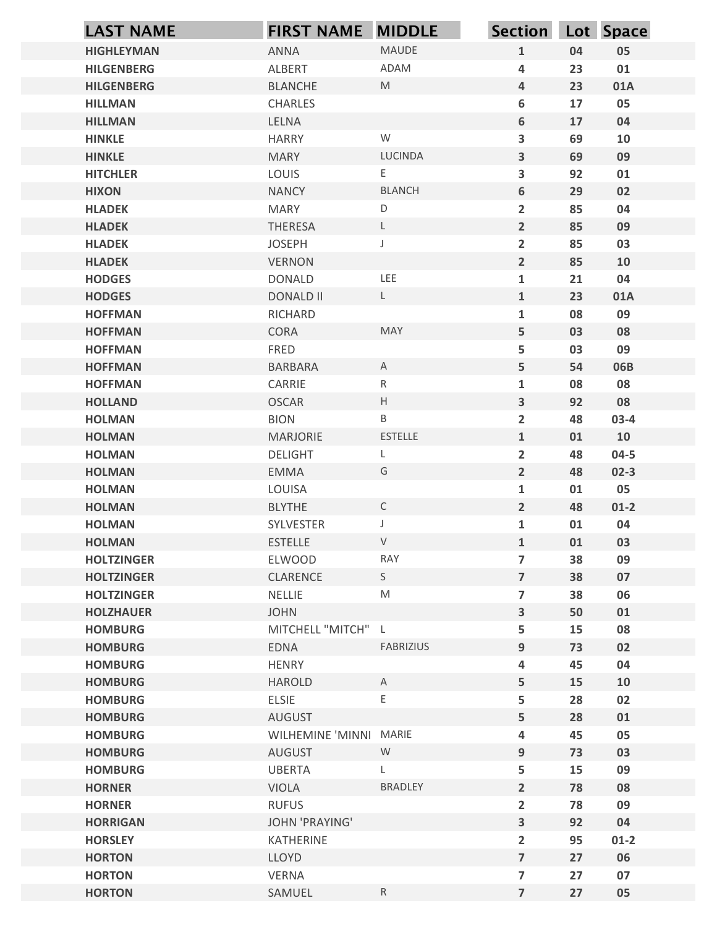| <b>LAST NAME</b>                 | <b>FIRST NAME MIDDLE</b>          |                   | <b>Section</b>                                     |          | Lot Space      |
|----------------------------------|-----------------------------------|-------------------|----------------------------------------------------|----------|----------------|
| <b>HIGHLEYMAN</b>                | ANNA                              | MAUDE             | $\mathbf{1}$                                       | 04       | 05             |
| <b>HILGENBERG</b>                | ALBERT                            | ADAM              | 4                                                  | 23       | 01             |
| <b>HILGENBERG</b>                | <b>BLANCHE</b>                    | M                 | $\overline{4}$                                     | 23       | 01A            |
| <b>HILLMAN</b>                   | CHARLES                           |                   | 6                                                  | 17       | 05             |
| <b>HILLMAN</b>                   | LELNA                             | W                 | $\boldsymbol{6}$                                   | 17       | 04             |
| <b>HINKLE</b><br><b>HINKLE</b>   | <b>HARRY</b><br><b>MARY</b>       | <b>LUCINDA</b>    | $\overline{\mathbf{3}}$<br>$\overline{\mathbf{3}}$ | 69<br>69 | 10<br>09       |
| <b>HITCHLER</b>                  | LOUIS                             | E                 | 3                                                  | 92       | 01             |
| <b>HIXON</b>                     | <b>NANCY</b>                      | <b>BLANCH</b>     | 6                                                  | 29       | 02             |
| <b>HLADEK</b>                    | <b>MARY</b>                       | $\mathsf D$       | $\overline{2}$                                     | 85       | 04             |
| <b>HLADEK</b>                    | THERESA                           | L                 | $\overline{2}$                                     | 85       | 09             |
| <b>HLADEK</b>                    | <b>JOSEPH</b>                     | J                 | $\overline{2}$                                     | 85       | 03             |
| <b>HLADEK</b>                    | <b>VERNON</b>                     |                   | $\overline{2}$                                     | 85       | 10             |
| <b>HODGES</b><br><b>HODGES</b>   | <b>DONALD</b><br><b>DONALD II</b> | LEE<br>L          | $\mathbf{1}$<br>$\mathbf{1}$                       | 21<br>23 | 04<br>01A      |
| <b>HOFFMAN</b>                   | RICHARD                           |                   | $\mathbf{1}$                                       | 08       | 09             |
| <b>HOFFMAN</b>                   | CORA                              | MAY               | $\overline{\mathbf{5}}$                            | 03       | 08             |
| <b>HOFFMAN</b>                   | FRED                              |                   | 5                                                  | 03       | 09             |
| <b>HOFFMAN</b>                   | <b>BARBARA</b>                    | $\mathsf{A}$      | 5                                                  | 54       | 06B            |
| <b>HOFFMAN</b>                   | CARRIE                            | $R_{\parallel}$   | $\mathbf{1}$                                       | 08       | 08             |
| <b>HOLLAND</b>                   | <b>OSCAR</b>                      | $\mathsf H$       | $\mathbf{3}$                                       | 92       | 08             |
| <b>HOLMAN</b>                    | <b>BION</b>                       | B                 | $\overline{2}$                                     | 48       | $03-4$         |
| <b>HOLMAN</b>                    | MARJORIE                          | ESTELLE           | $\mathbf{1}$                                       | 01       | 10             |
| <b>HOLMAN</b>                    | <b>DELIGHT</b>                    | L                 | $\overline{2}$                                     | 48       | $04 - 5$       |
| <b>HOLMAN</b><br><b>HOLMAN</b>   | EMMA<br>LOUISA                    | G                 | $\overline{2}$<br>$\mathbf{1}$                     | 48<br>01 | $02 - 3$<br>05 |
| <b>HOLMAN</b>                    | <b>BLYTHE</b>                     | $\mathsf{C}$      | $\overline{2}$                                     | 48       | $01-2$         |
| <b>HOLMAN</b>                    | SYLVESTER                         | $\mathsf{J}$      | $\mathbf{1}$                                       | 01       | 04             |
| <b>HOLMAN</b>                    | <b>ESTELLE</b>                    | ${\sf V}$         | $\mathbf{1}$                                       | 01       | 03             |
| <b>HOLTZINGER</b>                | ELWOOD                            | RAY               | $\overline{7}$                                     | 38       | 09             |
| <b>HOLTZINGER</b>                | CLARENCE                          | S                 | $\overline{7}$                                     | 38       | 07             |
| <b>HOLTZINGER</b>                | NELLIE                            | ${\sf M}$         | $\overline{7}$                                     | 38       | 06             |
| <b>HOLZHAUER</b>                 | <b>JOHN</b>                       |                   | $\mathbf{3}$                                       | 50       | 01             |
| <b>HOMBURG</b>                   | MITCHELL "MITCH" L                |                   | 5                                                  | 15       | 08             |
| <b>HOMBURG</b>                   | EDNA                              | FABRIZIUS         | $9\,$                                              | 73       | 02             |
| <b>HOMBURG</b>                   | HENRY                             |                   | 4                                                  | 45       | 04             |
| <b>HOMBURG</b><br><b>HOMBURG</b> | HAROLD<br>ELSIE                   | $\mathsf{A}$<br>Е | 5<br>5                                             | 15<br>28 | 10<br>02       |
| <b>HOMBURG</b>                   | <b>AUGUST</b>                     |                   | 5                                                  | 28       | 01             |
| <b>HOMBURG</b>                   | WILHEMINE 'MINNI MARIE            |                   | 4                                                  | 45       | 05             |
| <b>HOMBURG</b>                   | AUGUST                            | W                 | $9\,$                                              | 73       | 03             |
| <b>HOMBURG</b>                   | <b>UBERTA</b>                     |                   | 5                                                  | 15       | 09             |
| <b>HORNER</b>                    | <b>VIOLA</b>                      | <b>BRADLEY</b>    | $\overline{2}$                                     | 78       | 08             |
| <b>HORNER</b>                    | <b>RUFUS</b>                      |                   | $\overline{2}$                                     | 78       | 09             |
| <b>HORRIGAN</b>                  | <b>JOHN 'PRAYING'</b>             |                   | $\overline{\mathbf{3}}$                            | 92       | 04             |
| <b>HORSLEY</b>                   | KATHERINE                         |                   | $\overline{2}$                                     | 95       | $01-2$         |
| <b>HORTON</b>                    | LLOYD                             |                   | $\overline{7}$<br>$\overline{\mathbf{z}}$          | 27       | 06<br>07       |
| <b>HORTON</b><br><b>HORTON</b>   | VERNA<br>SAMUEL                   | R                 | $\overline{7}$                                     | 27<br>27 | 05             |
|                                  |                                   |                   |                                                    |          |                |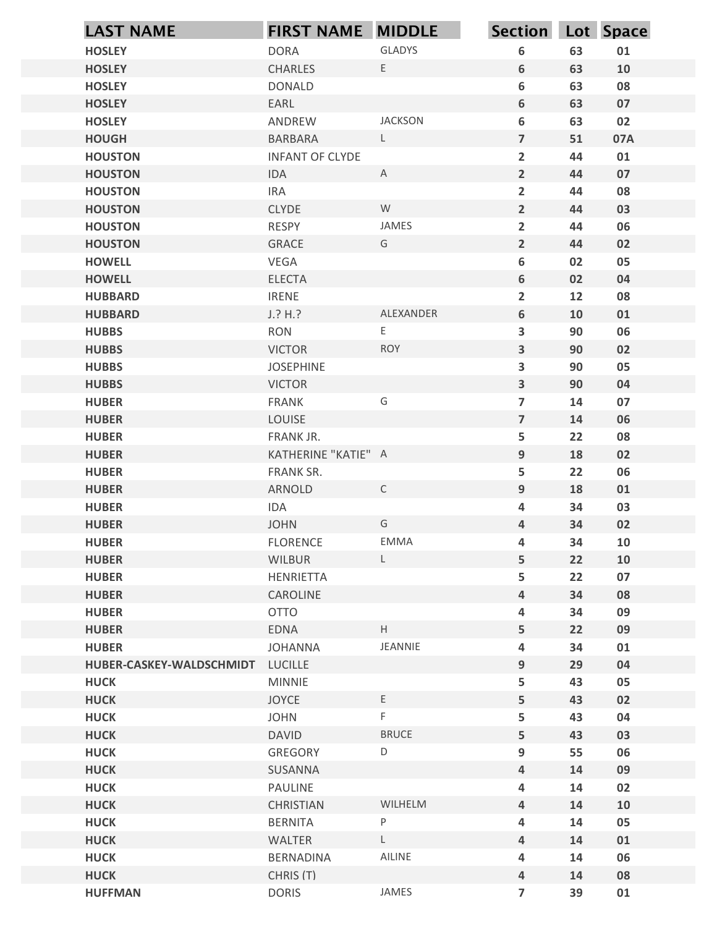| <b>LAST NAME</b>                         | <b>FIRST NAME MIDDLE</b>  |                                            | Section Lot Space                |          |          |
|------------------------------------------|---------------------------|--------------------------------------------|----------------------------------|----------|----------|
| <b>HOSLEY</b>                            | <b>DORA</b>               | <b>GLADYS</b>                              | 6                                | 63       | 01       |
| <b>HOSLEY</b>                            | <b>CHARLES</b>            | E                                          | 6                                | 63       | 10       |
| <b>HOSLEY</b>                            | <b>DONALD</b>             |                                            | 6                                | 63       | 08       |
| <b>HOSLEY</b>                            | EARL                      |                                            | 6                                | 63       | 07       |
| <b>HOSLEY</b>                            | ANDREW                    | <b>JACKSON</b>                             | 6                                | 63       | 02       |
| <b>HOUGH</b>                             | <b>BARBARA</b>            | L                                          | $\overline{7}$                   | 51       | 07A      |
| <b>HOUSTON</b>                           | <b>INFANT OF CLYDE</b>    |                                            | $\overline{2}$                   | 44       | 01       |
| <b>HOUSTON</b>                           | IDA                       | $\mathsf{A}$                               | $\overline{2}$                   | 44       | 07       |
| <b>HOUSTON</b>                           | <b>IRA</b>                |                                            | $\overline{2}$                   | 44       | 08       |
| <b>HOUSTON</b>                           | <b>CLYDE</b>              | W<br>JAMES                                 | $\overline{2}$                   | 44       | 03       |
| <b>HOUSTON</b><br><b>HOUSTON</b>         | RESPY<br><b>GRACE</b>     | G                                          | $\overline{2}$<br>$\overline{2}$ | 44<br>44 | 06<br>02 |
| <b>HOWELL</b>                            | VEGA                      |                                            | 6                                | 02       | 05       |
| <b>HOWELL</b>                            | ELECTA                    |                                            | 6                                | 02       | 04       |
| <b>HUBBARD</b>                           | <b>IRENE</b>              |                                            | $\overline{\mathbf{2}}$          | 12       | 08       |
| <b>HUBBARD</b>                           | J.? H.?                   | ALEXANDER                                  | $6\phantom{a}$                   | 10       | 01       |
| <b>HUBBS</b>                             | <b>RON</b>                | $\mathsf{E}% _{0}\left( \mathsf{E}\right)$ | $\overline{\mathbf{3}}$          | 90       | 06       |
| <b>HUBBS</b>                             | <b>VICTOR</b>             | <b>ROY</b>                                 | $\overline{\mathbf{3}}$          | 90       | 02       |
| <b>HUBBS</b>                             | <b>JOSEPHINE</b>          |                                            | $\overline{\mathbf{3}}$          | 90       | 05       |
| <b>HUBBS</b>                             | <b>VICTOR</b>             |                                            | $\overline{\mathbf{3}}$          | 90       | 04       |
| <b>HUBER</b>                             | FRANK                     | G                                          | $\overline{7}$                   | 14       | 07       |
| <b>HUBER</b><br><b>HUBER</b>             | LOUISE<br>FRANK JR.       |                                            | $\overline{\mathbf{z}}$          | 14<br>22 | 06<br>08 |
| <b>HUBER</b>                             | KATHERINE "KATIE" A       |                                            | 5<br>9                           | 18       | 02       |
| <b>HUBER</b>                             | FRANK SR.                 |                                            | 5                                | 22       | 06       |
| <b>HUBER</b>                             | ARNOLD                    | $\mathsf{C}$                               | 9                                | 18       | 01       |
| <b>HUBER</b>                             | IDA                       |                                            | $\overline{\mathbf{4}}$          | 34       | 03       |
| <b>HUBER</b>                             | <b>JOHN</b>               | G                                          | $\overline{\mathbf{4}}$          | 34       | 02       |
| <b>HUBER</b>                             | <b>FLORENCE</b>           | EMMA                                       | 4                                | 34       | 10       |
| <b>HUBER</b>                             | WILBUR                    | $\mathsf{L}$                               | 5                                | 22       | 10       |
| <b>HUBER</b>                             | HENRIETTA                 |                                            | 5                                | 22       | 07       |
| <b>HUBER</b>                             | CAROLINE                  |                                            | $\overline{\mathbf{4}}$          | 34       | 08       |
| <b>HUBER</b>                             | <b>OTTO</b>               |                                            | 4                                | 34       | 09       |
| <b>HUBER</b>                             | <b>EDNA</b>               | $\mathsf H$                                | 5                                | 22       | 09       |
| <b>HUBER</b><br>HUBER-CASKEY-WALDSCHMIDT | <b>JOHANNA</b><br>LUCILLE | JEANNIE                                    | $\overline{\mathbf{4}}$<br>9     | 34<br>29 | 01<br>04 |
| <b>HUCK</b>                              | <b>MINNIE</b>             |                                            | 5                                | 43       | 05       |
| <b>HUCK</b>                              | <b>JOYCE</b>              | E                                          | 5                                | 43       | 02       |
| <b>HUCK</b>                              | <b>JOHN</b>               | $\mathsf F$                                | 5                                | 43       | 04       |
| <b>HUCK</b>                              | <b>DAVID</b>              | <b>BRUCE</b>                               | 5                                | 43       | 03       |
| <b>HUCK</b>                              | GREGORY                   | $\mathsf D$                                | 9                                | 55       | 06       |
| <b>HUCK</b>                              | SUSANNA                   |                                            | $\overline{\mathbf{4}}$          | 14       | 09       |
| <b>HUCK</b>                              | PAULINE                   |                                            | 4                                | 14       | 02       |
| <b>HUCK</b>                              | <b>CHRISTIAN</b>          | WILHELM                                    | $\overline{\mathbf{4}}$          | 14       | 10       |
| <b>HUCK</b>                              | <b>BERNITA</b>            | $\sf P$                                    | 4                                | 14       | 05       |
| <b>HUCK</b>                              | WALTER                    | $\mathsf L$                                | $\overline{\mathbf{4}}$          | 14       | 01       |
| <b>HUCK</b>                              | BERNADINA                 | AILINE                                     | 4                                | 14       | 06       |
| <b>HUCK</b>                              | CHRIS (T)                 | JAMES                                      | 4                                | 14       | 08       |
| <b>HUFFMAN</b>                           | <b>DORIS</b>              |                                            | $\overline{7}$                   | 39       | 01       |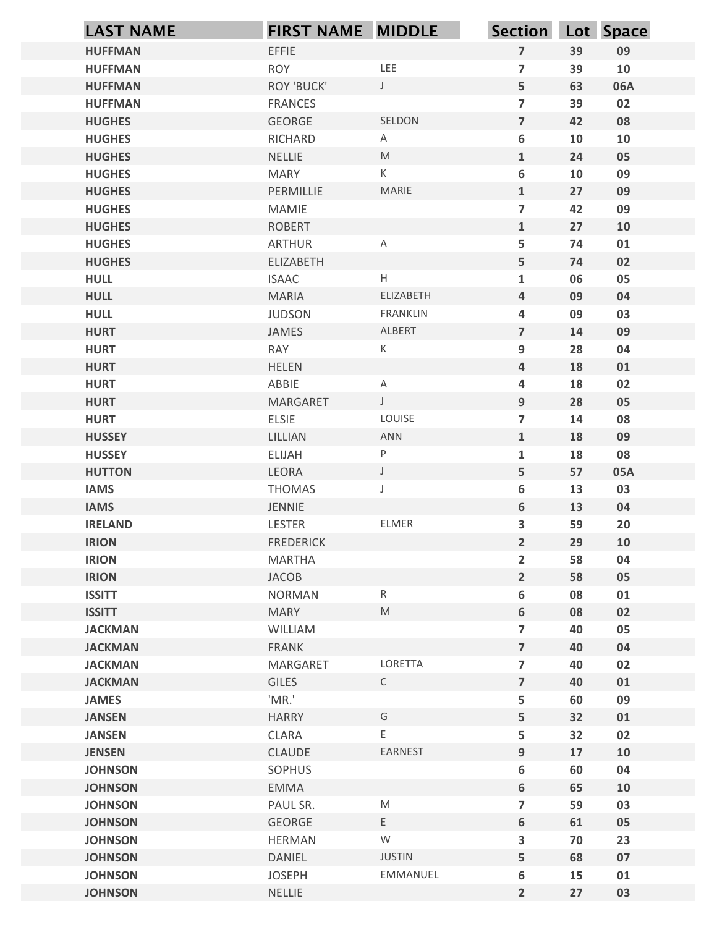| <b>LAST NAME</b>               | <b>FIRST NAME MIDDLE</b>   |                                                                                                            | Section Lot Space                |          |          |
|--------------------------------|----------------------------|------------------------------------------------------------------------------------------------------------|----------------------------------|----------|----------|
| <b>HUFFMAN</b>                 | <b>EFFIE</b>               |                                                                                                            | $\overline{7}$                   | 39       | 09       |
| <b>HUFFMAN</b>                 | <b>ROY</b>                 | LEE                                                                                                        | $\overline{7}$                   | 39       | 10       |
| <b>HUFFMAN</b>                 | <b>ROY 'BUCK'</b>          | $\mathsf{J}$                                                                                               | 5 <sup>1</sup>                   | 63       | 06A      |
| <b>HUFFMAN</b>                 | <b>FRANCES</b>             |                                                                                                            | $\overline{7}$                   | 39       | 02       |
| <b>HUGHES</b>                  | GEORGE                     | SELDON                                                                                                     | $\overline{7}$                   | 42       | 08       |
| <b>HUGHES</b>                  | RICHARD                    | A                                                                                                          | 6                                | 10       | 10       |
| <b>HUGHES</b>                  | NELLIE                     | $\mathsf{M}% _{T}=\mathsf{M}_{T}\!\left( a,b\right) ,\ \mathsf{M}_{T}=\mathsf{M}_{T}\!\left( a,b\right) ,$ | $\mathbf{1}$                     | 24       | 05       |
| <b>HUGHES</b>                  | <b>MARY</b>                | K                                                                                                          | $\bf 6$                          | 10       | 09       |
| <b>HUGHES</b>                  | PERMILLIE                  | MARIE                                                                                                      | $\mathbf{1}$                     | 27       | 09       |
| <b>HUGHES</b><br><b>HUGHES</b> | MAMIE<br><b>ROBERT</b>     |                                                                                                            | $\overline{7}$<br>$\mathbf{1}$   | 42<br>27 | 09<br>10 |
| <b>HUGHES</b>                  | ARTHUR                     | A                                                                                                          | 5                                | 74       | 01       |
| <b>HUGHES</b>                  | ELIZABETH                  |                                                                                                            | 5                                | 74       | 02       |
| <b>HULL</b>                    | <b>ISAAC</b>               | $\boldsymbol{\mathsf{H}}$                                                                                  | $\mathbf 1$                      | 06       | 05       |
| <b>HULL</b>                    | MARIA                      | ELIZABETH                                                                                                  | $\overline{4}$                   | 09       | 04       |
| <b>HULL</b>                    | <b>JUDSON</b>              | FRANKLIN                                                                                                   | 4                                | 09       | 03       |
| <b>HURT</b>                    | JAMES                      | ALBERT                                                                                                     | $\overline{7}$                   | 14       | 09       |
| <b>HURT</b>                    | <b>RAY</b>                 | K                                                                                                          | 9                                | 28       | 04       |
| <b>HURT</b>                    | <b>HELEN</b>               |                                                                                                            | $\overline{4}$                   | 18       | 01       |
| <b>HURT</b>                    | ABBIE                      | $\mathsf{A}$                                                                                               | 4                                | 18       | 02       |
| <b>HURT</b>                    | MARGARET                   | $\mathsf J$                                                                                                | 9                                | 28       | 05       |
| <b>HURT</b>                    | ELSIE                      | LOUISE                                                                                                     | $\overline{7}$                   | 14       | 08       |
| <b>HUSSEY</b>                  | LILLIAN                    | ANN                                                                                                        | $\mathbf{1}$                     | 18       | 09       |
| <b>HUSSEY</b>                  | ELIJAH                     | P                                                                                                          | $\mathbf{1}$                     | 18       | 08       |
| <b>HUTTON</b>                  | LEORA                      | $\mathsf J$                                                                                                | 5                                | 57       | 05A      |
| <b>IAMS</b>                    | <b>THOMAS</b>              | J                                                                                                          | 6                                | 13       | 03       |
| <b>IAMS</b>                    | JENNIE                     | ELMER                                                                                                      | $6\phantom{.}$                   | 13       | 04       |
| <b>IRELAND</b><br><b>IRION</b> | LESTER<br><b>FREDERICK</b> |                                                                                                            | $\mathbf{3}$<br>$2^{\circ}$      | 59<br>29 | 20       |
| <b>IRION</b>                   | MARTHA                     |                                                                                                            |                                  | 58       | 10<br>04 |
| <b>IRION</b>                   | JACOB                      |                                                                                                            | $\overline{2}$<br>$\overline{2}$ | 58       | 05       |
| <b>ISSITT</b>                  | <b>NORMAN</b>              | $R_{\parallel}$                                                                                            | 6                                | 08       | 01       |
| <b>ISSITT</b>                  | MARY                       | $\mathsf{M}% _{T}=\mathsf{M}_{T}\!\left( a,b\right) ,\ \mathsf{M}_{T}=\mathsf{M}_{T}\!\left( a,b\right) ,$ | $6\phantom{.}$                   | 08       | 02       |
| <b>JACKMAN</b>                 | WILLIAM                    |                                                                                                            | $\overline{7}$                   | 40       | 05       |
| <b>JACKMAN</b>                 | FRANK                      |                                                                                                            | $\overline{7}$                   | 40       | 04       |
| <b>JACKMAN</b>                 | MARGARET                   | LORETTA                                                                                                    | $\overline{7}$                   | 40       | 02       |
| <b>JACKMAN</b>                 | <b>GILES</b>               | $\mathsf{C}$                                                                                               | $\overline{7}$                   | 40       | 01       |
| <b>JAMES</b>                   | 'MR.'                      |                                                                                                            | 5                                | 60       | 09       |
| <b>JANSEN</b>                  | <b>HARRY</b>               | G                                                                                                          | 5 <sub>1</sub>                   | 32       | 01       |
| <b>JANSEN</b>                  | CLARA                      | E.                                                                                                         | 5                                | 32       | 02       |
| <b>JENSEN</b>                  | CLAUDE                     | EARNEST                                                                                                    | 9                                | 17       | 10       |
| <b>JOHNSON</b>                 | SOPHUS                     |                                                                                                            | 6                                | 60       | 04       |
| <b>JOHNSON</b>                 | EMMA                       |                                                                                                            | $6\overline{6}$                  | 65       | 10       |
| <b>JOHNSON</b>                 | PAUL SR.                   | M                                                                                                          | $\overline{7}$                   | 59       | 03       |
| <b>JOHNSON</b>                 | GEORGE                     | $\mathsf{E}$                                                                                               | $6\phantom{.}$                   | 61       | 05       |
| <b>JOHNSON</b>                 | <b>HERMAN</b>              | ${\mathsf W}$                                                                                              | 3                                | 70       | 23       |
| <b>JOHNSON</b>                 | DANIEL                     | <b>JUSTIN</b>                                                                                              | 5                                | 68       | 07       |
| <b>JOHNSON</b>                 | <b>JOSEPH</b>              | EMMANUEL                                                                                                   | $\boldsymbol{6}$                 | 15       | 01       |
| <b>JOHNSON</b>                 | NELLIE                     |                                                                                                            | $\overline{2}$                   | 27       | 03       |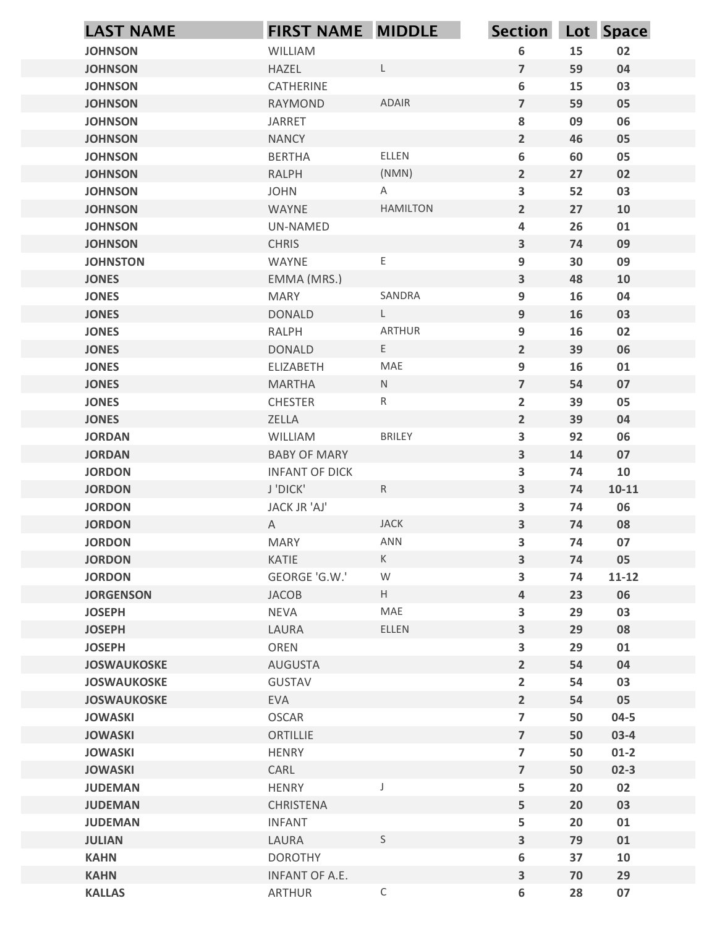| <b>LAST NAME</b>                    | <b>FIRST NAME MIDDLE</b>                     |                          | Section Lot Space            |          |           |
|-------------------------------------|----------------------------------------------|--------------------------|------------------------------|----------|-----------|
| <b>JOHNSON</b>                      | WILLIAM                                      |                          | 6                            | 15       | 02        |
| <b>JOHNSON</b>                      | HAZEL                                        | $\mathsf{L}$             | $\overline{\mathbf{z}}$      | 59       | 04        |
| <b>JOHNSON</b>                      | CATHERINE                                    |                          | 6                            | 15       | 03        |
| <b>JOHNSON</b>                      | <b>RAYMOND</b>                               | <b>ADAIR</b>             | $\overline{7}$               | 59       | 05        |
| <b>JOHNSON</b>                      | <b>JARRET</b>                                |                          | 8                            | 09       | 06        |
| <b>JOHNSON</b>                      | <b>NANCY</b>                                 |                          | $\overline{2}$               | 46       | 05        |
| <b>JOHNSON</b><br><b>JOHNSON</b>    | <b>BERTHA</b><br><b>RALPH</b>                | ELLEN<br>(NMN)           | 6<br>$\overline{2}$          | 60<br>27 | 05<br>02  |
| <b>JOHNSON</b>                      | <b>JOHN</b>                                  | Α                        | $\overline{\mathbf{3}}$      | 52       | 03        |
| <b>JOHNSON</b>                      | WAYNE                                        | <b>HAMILTON</b>          | $\overline{2}$               | 27       | 10        |
| <b>JOHNSON</b>                      | UN-NAMED                                     |                          | 4                            | 26       | 01        |
| <b>JOHNSON</b>                      | <b>CHRIS</b>                                 |                          | $\overline{\mathbf{3}}$      | 74       | 09        |
| <b>JOHNSTON</b>                     | WAYNE                                        | $\mathsf E$              | 9                            | 30       | 09        |
| <b>JONES</b>                        | EMMA (MRS.)                                  |                          | 3                            | 48       | 10        |
| <b>JONES</b><br><b>JONES</b>        | <b>MARY</b><br><b>DONALD</b>                 | SANDRA<br>$\mathsf{L}^-$ | 9<br>9                       | 16<br>16 | 04<br>03  |
| <b>JONES</b>                        | RALPH                                        | ARTHUR                   | 9                            | 16       | 02        |
| <b>JONES</b>                        | <b>DONALD</b>                                | E                        | $2^{\circ}$                  | 39       | 06        |
| <b>JONES</b>                        | ELIZABETH                                    | MAE                      | 9                            | 16       | 01        |
| <b>JONES</b>                        | <b>MARTHA</b>                                | ${\sf N}$                | $\overline{\mathbf{z}}$      | 54       | 07        |
| <b>JONES</b>                        | <b>CHESTER</b>                               | $\mathsf{R}$             | $\overline{2}$               | 39       | 05        |
| <b>JONES</b>                        | ZELLA                                        |                          | $\overline{2}$               | 39       | 04        |
| <b>JORDAN</b>                       | WILLIAM                                      | <b>BRILEY</b>            | 3                            | 92       | 06        |
| <b>JORDAN</b><br><b>JORDON</b>      | <b>BABY OF MARY</b><br><b>INFANT OF DICK</b> |                          | $\overline{\mathbf{3}}$<br>3 | 14<br>74 | 07<br>10  |
| <b>JORDON</b>                       | J'DICK'                                      | R                        | $\overline{\mathbf{3}}$      | 74       | $10 - 11$ |
| <b>JORDON</b>                       | JACK JR 'AJ'                                 |                          | 3                            | 74       | 06        |
| <b>JORDON</b>                       | A                                            | <b>JACK</b>              | $\overline{\mathbf{3}}$      | 74       | 08        |
| <b>JORDON</b>                       | <b>MARY</b>                                  | ANN                      | $\overline{\mathbf{3}}$      | 74       | 07        |
| <b>JORDON</b>                       | KATIE                                        | K                        | $\overline{\mathbf{3}}$      | 74       | 05        |
| <b>JORDON</b>                       | GEORGE 'G.W.'                                | ${\mathsf W}$            | 3                            | 74       | $11 - 12$ |
| <b>JORGENSON</b>                    | JACOB                                        | $\mathsf H$              | $\overline{\mathbf{4}}$      | 23       | 06        |
| <b>JOSEPH</b>                       | <b>NEVA</b>                                  | MAE                      | $\overline{\mathbf{3}}$      | 29       | 03        |
| <b>JOSEPH</b>                       | LAURA                                        | ELLEN                    | $\overline{\mathbf{3}}$      | 29       | 08        |
| <b>JOSEPH</b><br><b>JOSWAUKOSKE</b> | OREN<br>AUGUSTA                              |                          | 3<br>$\overline{2}$          | 29<br>54 | 01<br>04  |
| <b>JOSWAUKOSKE</b>                  | GUSTAV                                       |                          | $\overline{\mathbf{2}}$      | 54       | 03        |
| <b>JOSWAUKOSKE</b>                  | <b>EVA</b>                                   |                          | $\overline{2}$               | 54       | 05        |
| <b>JOWASKI</b>                      | OSCAR                                        |                          | $\overline{7}$               | 50       | $04 - 5$  |
| <b>JOWASKI</b>                      | ORTILLIE                                     |                          | $\overline{\mathbf{z}}$      | 50       | $03-4$    |
| <b>JOWASKI</b>                      | <b>HENRY</b>                                 |                          | $\overline{7}$               | 50       | $01-2$    |
| <b>JOWASKI</b>                      | CARL                                         |                          | $\overline{7}$               | 50       | $02 - 3$  |
| <b>JUDEMAN</b>                      | <b>HENRY</b>                                 |                          | 5                            | 20       | 02        |
| <b>JUDEMAN</b>                      | CHRISTENA                                    |                          | 5                            | 20       | 03        |
| <b>JUDEMAN</b><br><b>JULIAN</b>     | <b>INFANT</b><br>LAURA                       | $\mathsf{S}$             | 5<br>$\overline{\mathbf{3}}$ | 20<br>79 | 01<br>01  |
| <b>KAHN</b>                         | <b>DOROTHY</b>                               |                          | 6                            | 37       | 10        |
| <b>KAHN</b>                         | INFANT OF A.E.                               |                          | $\overline{\mathbf{3}}$      | 70       | 29        |
| <b>KALLAS</b>                       | ARTHUR                                       | $\mathsf C$              | 6                            | 28       | 07        |
|                                     |                                              |                          |                              |          |           |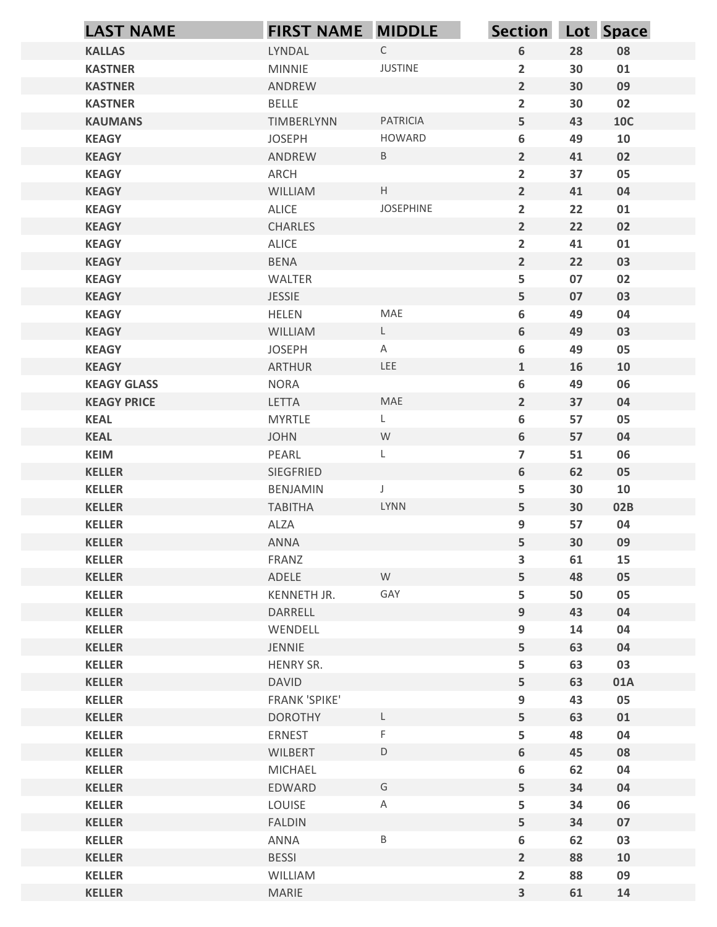| <b>LAST NAME</b>               | <b>FIRST NAME MIDDLE</b> |                           | Section Lot Space   |          |            |
|--------------------------------|--------------------------|---------------------------|---------------------|----------|------------|
| <b>KALLAS</b>                  | LYNDAL                   | $\mathsf C$               | 6                   | 28       | 08         |
| <b>KASTNER</b>                 | <b>MINNIE</b>            | <b>JUSTINE</b>            | $\overline{2}$      | 30       | 01         |
| <b>KASTNER</b>                 | ANDREW                   |                           | $\overline{2}$      | 30       | 09         |
| <b>KASTNER</b>                 | <b>BELLE</b>             |                           | $\overline{2}$      | 30       | 02         |
| <b>KAUMANS</b>                 | TIMBERLYNN               | PATRICIA                  | 5                   | 43       | <b>10C</b> |
| <b>KEAGY</b>                   | <b>JOSEPH</b>            | HOWARD<br>$\, {\sf B} \,$ | 6<br>$\overline{2}$ | 49       | 10         |
| <b>KEAGY</b><br><b>KEAGY</b>   | ANDREW<br>ARCH           |                           | $\overline{2}$      | 41<br>37 | 02<br>05   |
| <b>KEAGY</b>                   | WILLIAM                  | $\mathsf{H}^-$            | $\overline{2}$      | 41       | 04         |
| <b>KEAGY</b>                   | ALICE                    | JOSEPHINE                 | $\overline{2}$      | 22       | 01         |
| <b>KEAGY</b>                   | <b>CHARLES</b>           |                           | $\overline{2}$      | 22       | 02         |
| <b>KEAGY</b>                   | ALICE                    |                           | $\overline{2}$      | 41       | 01         |
| <b>KEAGY</b>                   | <b>BENA</b>              |                           | $\overline{2}$      | 22       | 03         |
| <b>KEAGY</b>                   | WALTER                   |                           | 5                   | 07       | 02         |
| <b>KEAGY</b><br><b>KEAGY</b>   | JESSIE<br>HELEN          | MAE                       | 5<br>6              | 07<br>49 | 03<br>04   |
| <b>KEAGY</b>                   | WILLIAM                  | $\mathsf{L}^-$            | $\boldsymbol{6}$    | 49       | 03         |
| <b>KEAGY</b>                   | <b>JOSEPH</b>            | $\mathsf{A}$              | 6                   | 49       | 05         |
| <b>KEAGY</b>                   | <b>ARTHUR</b>            | LEE                       | $\mathbf{1}$        | 16       | 10         |
| <b>KEAGY GLASS</b>             | <b>NORA</b>              |                           | 6                   | 49       | 06         |
| <b>KEAGY PRICE</b>             | LETTA                    | MAE                       | $\overline{2}$      | 37       | 04         |
| <b>KEAL</b>                    | <b>MYRTLE</b>            | L.                        | 6                   | 57       | 05         |
| <b>KEAL</b>                    | <b>JOHN</b>              | W                         | 6                   | 57       | 04         |
| <b>KEIM</b><br><b>KELLER</b>   | PEARL<br>SIEGFRIED       | L                         | $\overline{7}$<br>6 | 51<br>62 | 06<br>05   |
| <b>KELLER</b>                  | BENJAMIN                 |                           | 5                   | 30       | 10         |
| <b>KELLER</b>                  | <b>TABITHA</b>           | LYNN                      | $5\phantom{.}$      | 30       | 02B        |
| <b>KELLER</b>                  | ALZA                     |                           | 9                   | 57       | 04         |
| <b>KELLER</b>                  | ANNA                     |                           | 5                   | 30       | 09         |
| <b>KELLER</b>                  | FRANZ                    |                           | $\mathbf{3}$        | 61       | 15         |
| <b>KELLER</b>                  | ADELE                    | W                         | 5                   | 48       | 05         |
| <b>KELLER</b>                  | KENNETH JR.              | GAY                       | 5                   | 50       | 05         |
| <b>KELLER</b><br><b>KELLER</b> | DARRELL<br>WENDELL       |                           | 9<br>9              | 43<br>14 | 04<br>04   |
| <b>KELLER</b>                  | JENNIE                   |                           | 5                   | 63       | 04         |
| <b>KELLER</b>                  | HENRY SR.                |                           | 5                   | 63       | 03         |
| <b>KELLER</b>                  | <b>DAVID</b>             |                           | 5                   | 63       | 01A        |
| <b>KELLER</b>                  | <b>FRANK 'SPIKE'</b>     |                           | 9                   | 43       | 05         |
| <b>KELLER</b>                  | <b>DOROTHY</b>           | L.                        | $5\phantom{.}$      | 63       | 01         |
| <b>KELLER</b>                  | ERNEST                   | F                         | 5                   | 48       | 04         |
| <b>KELLER</b>                  | <b>WILBERT</b>           | $\mathsf D$               | $\boldsymbol{6}$    | 45       | 08         |
| <b>KELLER</b>                  | MICHAEL                  |                           | 6                   | 62       | 04         |
| <b>KELLER</b><br><b>KELLER</b> | EDWARD<br>LOUISE         | G<br>Α                    | 5<br>5              | 34<br>34 | 04<br>06   |
| <b>KELLER</b>                  | <b>FALDIN</b>            |                           | 5                   | 34       | 07         |
| <b>KELLER</b>                  | ANNA                     | $\sf B$                   | $\boldsymbol{6}$    | 62       | 03         |
| <b>KELLER</b>                  | <b>BESSI</b>             |                           | $\overline{2}$      | 88       | 10         |
| <b>KELLER</b>                  | WILLIAM                  |                           | $\overline{2}$      | 88       | 09         |
| <b>KELLER</b>                  | MARIE                    |                           | $\mathbf{3}$        | 61       | 14         |
|                                |                          |                           |                     |          |            |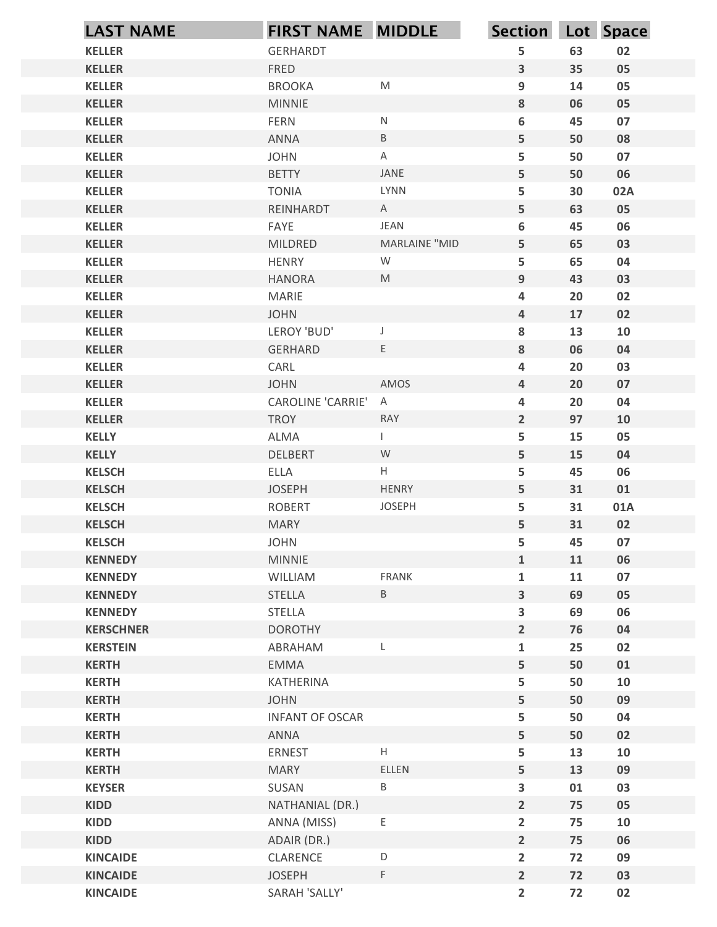| <b>KELLER</b>                    |                             | FIRST NAME MIDDLE                                                                                          | Section Lot Space            |          |            |
|----------------------------------|-----------------------------|------------------------------------------------------------------------------------------------------------|------------------------------|----------|------------|
|                                  | <b>GERHARDT</b>             |                                                                                                            | 5                            | 63       | 02         |
| <b>KELLER</b>                    | <b>FRED</b>                 |                                                                                                            | $\mathbf{3}$                 | 35       | 05         |
| <b>KELLER</b>                    | <b>BROOKA</b>               | ${\sf M}$                                                                                                  | $\boldsymbol{9}$             | 14       | 05         |
| <b>KELLER</b>                    | <b>MINNIE</b>               |                                                                                                            | 8                            | 06       | 05         |
| <b>KELLER</b>                    | FERN                        | ${\sf N}$                                                                                                  | 6                            | 45       | 07         |
| <b>KELLER</b>                    | ANNA                        | $\sf B$                                                                                                    | 5                            | 50       | 08         |
| <b>KELLER</b><br><b>KELLER</b>   | <b>JOHN</b><br><b>BETTY</b> | A<br>JANE                                                                                                  | 5<br>5                       | 50<br>50 | 07<br>06   |
| <b>KELLER</b>                    | <b>TONIA</b>                | LYNN                                                                                                       | 5                            | 30       | 02A        |
| <b>KELLER</b>                    | REINHARDT                   | A                                                                                                          | 5                            | 63       | 05         |
| <b>KELLER</b>                    | FAYE                        | <b>JEAN</b>                                                                                                | 6                            | 45       | 06         |
| <b>KELLER</b>                    | MILDRED                     | <b>MARLAINE "MID</b>                                                                                       | 5                            | 65       | 03         |
| <b>KELLER</b>                    | <b>HENRY</b>                | ${\mathsf W}$                                                                                              | 5                            | 65       | 04         |
| <b>KELLER</b>                    | <b>HANORA</b>               | $\mathsf{M}% _{T}=\mathsf{M}_{T}\!\left( a,b\right) ,\ \mathsf{M}_{T}=\mathsf{M}_{T}\!\left( a,b\right) ,$ | 9                            | 43       | 03         |
| <b>KELLER</b>                    | MARIE                       |                                                                                                            | 4                            | 20       | 02         |
| <b>KELLER</b>                    | <b>JOHN</b>                 |                                                                                                            | $\overline{a}$               | 17       | 02         |
| <b>KELLER</b>                    | LEROY 'BUD'                 | J                                                                                                          | 8                            | 13       | 10         |
| <b>KELLER</b><br><b>KELLER</b>   | <b>GERHARD</b><br>CARL      | $\mathsf E$                                                                                                | 8<br>4                       | 06<br>20 | 04<br>03   |
| <b>KELLER</b>                    | <b>JOHN</b>                 | AMOS                                                                                                       | $\overline{a}$               | 20       | 07         |
| <b>KELLER</b>                    | CAROLINE 'CARRIE'           | $\mathsf{A}$                                                                                               | $\overline{\mathbf{4}}$      | 20       | 04         |
| <b>KELLER</b>                    | <b>TROY</b>                 | RAY                                                                                                        | $\overline{2}$               | 97       | 10         |
| <b>KELLY</b>                     | ALMA                        | $\mathbf{L}$                                                                                               | 5                            | 15       | 05         |
| <b>KELLY</b>                     | <b>DELBERT</b>              | ${\mathsf W}$                                                                                              | 5                            | 15       | 04         |
| <b>KELSCH</b>                    | ELLA                        | $\mathsf{H}$                                                                                               | 5                            | 45       | 06         |
| <b>KELSCH</b>                    | <b>JOSEPH</b>               | HENRY                                                                                                      | 5                            | 31       | 01         |
| <b>KELSCH</b>                    | ROBERT                      | JOSEPH                                                                                                     | 5                            | 31       | 01A        |
| <b>KELSCH</b>                    | <b>MARY</b>                 |                                                                                                            | 5 <sub>1</sub>               | 31       | 02         |
| <b>KELSCH</b>                    | <b>JOHN</b>                 |                                                                                                            | 5                            | 45       | 07         |
| <b>KENNEDY</b><br><b>KENNEDY</b> | MINNIE<br>WILLIAM           | FRANK                                                                                                      | $\mathbf{1}$<br>$\mathbf{1}$ | 11<br>11 | 06<br>07   |
| <b>KENNEDY</b>                   | STELLA                      | $\,$ B                                                                                                     | $\mathbf{3}$                 | 69       | 05         |
| <b>KENNEDY</b>                   | STELLA                      |                                                                                                            | $\mathbf{3}$                 | 69       | 06         |
| <b>KERSCHNER</b>                 | <b>DOROTHY</b>              |                                                                                                            | $\overline{2}$               | 76       | 04         |
| <b>KERSTEIN</b>                  | ABRAHAM                     |                                                                                                            | $\mathbf{1}$                 | 25       | 02         |
| <b>KERTH</b>                     | EMMA                        |                                                                                                            | 5 <sub>1</sub>               | 50       | 01         |
| <b>KERTH</b>                     | KATHERINA                   |                                                                                                            | 5                            | 50       | 10         |
| <b>KERTH</b>                     | <b>JOHN</b>                 |                                                                                                            | 5                            | 50       | 09         |
| <b>KERTH</b>                     | <b>INFANT OF OSCAR</b>      |                                                                                                            | 5                            | 50       | 04         |
| <b>KERTH</b>                     | ANNA                        |                                                                                                            | 5                            | 50       | 02         |
| <b>KERTH</b>                     | ERNEST<br><b>MARY</b>       | $\mathsf{H}^-$<br>ELLEN                                                                                    | 5                            | 13       | ${\bf 10}$ |
| <b>KERTH</b><br><b>KEYSER</b>    | SUSAN                       | B                                                                                                          | 5<br>$\overline{\mathbf{3}}$ | 13<br>01 | 09<br>03   |
| <b>KIDD</b>                      | NATHANIAL (DR.)             |                                                                                                            | $\overline{2}$               | 75       | 05         |
| <b>KIDD</b>                      | ANNA (MISS)                 | $\mathsf E$                                                                                                | $\overline{2}$               | 75       | 10         |
| KIDD                             | ADAIR (DR.)                 |                                                                                                            | $2^{\circ}$                  | 75       | 06         |
| <b>KINCAIDE</b>                  | CLARENCE                    | $\mathsf D$                                                                                                | $\overline{2}$               | 72       | 09         |
| <b>KINCAIDE</b>                  | <b>JOSEPH</b>               | $\mathsf F$                                                                                                | $2^{\circ}$                  | 72       | 03         |
| <b>KINCAIDE</b>                  | SARAH 'SALLY'               |                                                                                                            | $\overline{2}$               | 72       | 02         |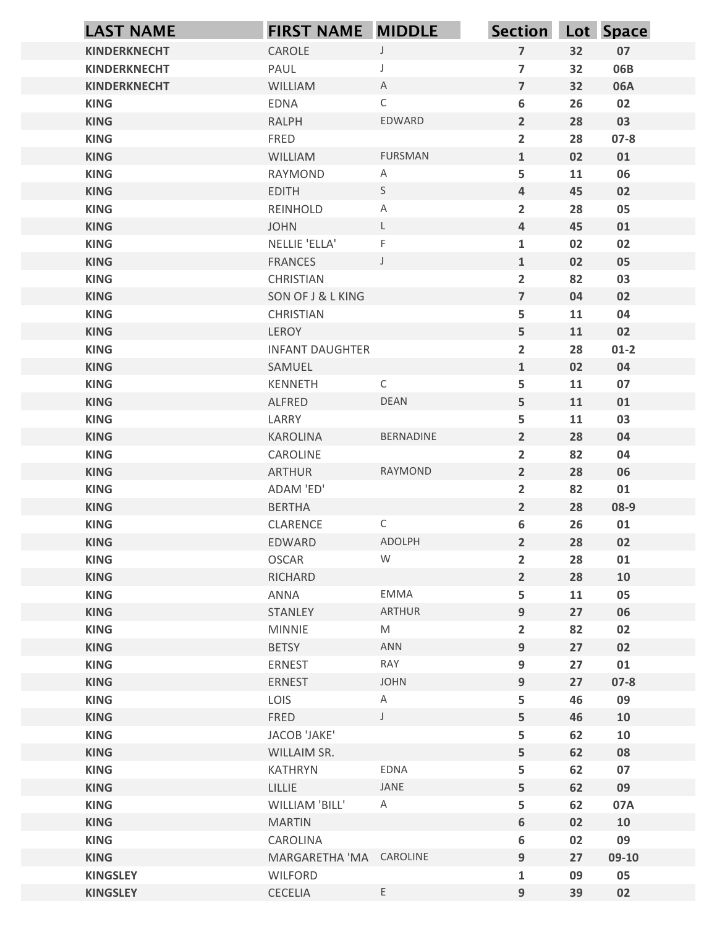| <b>LAST NAME</b>           | <b>FIRST NAME MIDDLE</b>  |                     | Section Lot Space                  |          |            |
|----------------------------|---------------------------|---------------------|------------------------------------|----------|------------|
| <b>KINDERKNECHT</b>        | CAROLE                    | $\mathsf{J}$        | $\overline{7}$                     | 32       | 07         |
| <b>KINDERKNECHT</b>        | PAUL                      | J                   | $\overline{\mathbf{z}}$            | 32       | 06B        |
| <b>KINDERKNECHT</b>        | WILLIAM                   | A                   | $\overline{7}$                     | 32       | 06A        |
| <b>KING</b>                | <b>EDNA</b>               | $\mathsf{C}$        | 6                                  | 26       | 02         |
| <b>KING</b>                | <b>RALPH</b>              | EDWARD              | $\overline{2}$                     | 28       | 03         |
| <b>KING</b>                | FRED                      |                     | $\overline{2}$                     | 28       | $07 - 8$   |
| <b>KING</b><br><b>KING</b> | WILLIAM<br>RAYMOND        | <b>FURSMAN</b><br>A | $\mathbf{1}$<br>5                  | 02<br>11 | 01<br>06   |
| <b>KING</b>                | <b>EDITH</b>              | S                   | $\overline{4}$                     | 45       | 02         |
| <b>KING</b>                | REINHOLD                  | A                   | $\overline{2}$                     | 28       | 05         |
| <b>KING</b>                | <b>JOHN</b>               | L                   | $\overline{4}$                     | 45       | 01         |
| <b>KING</b>                | NELLIE 'ELLA'             | F                   | $\mathbf{1}$                       | 02       | 02         |
| <b>KING</b>                | <b>FRANCES</b>            | $\mathsf{J}$        | $\mathbf{1}$                       | 02       | 05         |
| <b>KING</b>                | CHRISTIAN                 |                     | $\overline{\mathbf{2}}$            | 82       | 03         |
| <b>KING</b>                | SON OF J & L KING         |                     | $\overline{7}$                     | 04       | 02         |
| <b>KING</b><br><b>KING</b> | CHRISTIAN<br>LEROY        |                     | 5<br>5                             | 11<br>11 | 04<br>02   |
| <b>KING</b>                | <b>INFANT DAUGHTER</b>    |                     | $\overline{2}$                     | 28       | $01-2$     |
| <b>KING</b>                | SAMUEL                    |                     | $\mathbf{1}$                       | 02       | 04         |
| <b>KING</b>                | KENNETH                   | $\mathsf{C}$        | 5                                  | 11       | 07         |
| <b>KING</b>                | ALFRED                    | DEAN                | 5                                  | 11       | 01         |
| <b>KING</b>                | LARRY                     |                     | 5                                  | 11       | 03         |
| <b>KING</b>                | KAROLINA                  | BERNADINE           | $\overline{2}$                     | 28       | 04         |
| <b>KING</b>                | CAROLINE                  |                     | $\overline{2}$                     | 82       | 04         |
| <b>KING</b>                | ARTHUR                    | RAYMOND             | $\overline{2}$                     | 28       | 06         |
| <b>KING</b>                | ADAM 'ED'                 |                     | $\overline{2}$                     | 82       | 01         |
| <b>KING</b><br><b>KING</b> | <b>BERTHA</b><br>CLARENCE | $\mathsf{C}$        | $\overline{2}$<br>$\boldsymbol{6}$ | 28<br>26 | 08-9<br>01 |
| <b>KING</b>                | EDWARD                    | ADOLPH              | $\overline{2}$                     | 28       | 02         |
| <b>KING</b>                | OSCAR                     | W                   | $\overline{2}$                     | 28       | 01         |
| <b>KING</b>                | RICHARD                   |                     | $\overline{2}$                     | 28       | 10         |
| <b>KING</b>                | ANNA                      | EMMA                | 5                                  | 11       | 05         |
| <b>KING</b>                | STANLEY                   | ARTHUR              | 9                                  | 27       | 06         |
| <b>KING</b>                | MINNIE                    | M                   | $\overline{2}$                     | 82       | 02         |
| <b>KING</b>                | <b>BETSY</b>              | ANN                 | 9                                  | 27       | 02         |
| <b>KING</b>                | ERNEST                    | RAY                 | $\boldsymbol{9}$                   | 27       | 01         |
| <b>KING</b>                | ERNEST                    | JOHN                | 9                                  | 27       | $07 - 8$   |
| <b>KING</b>                | LOIS                      | $\mathsf{A}$        | 5                                  | 46       | 09         |
| <b>KING</b><br><b>KING</b> | FRED<br>JACOB 'JAKE'      | $\mathsf J$         | 5<br>5                             | 46<br>62 | 10<br>10   |
| <b>KING</b>                | WILLAIM SR.               |                     | 5                                  | 62       | 08         |
| <b>KING</b>                | KATHRYN                   | EDNA                | 5                                  | 62       | 07         |
| <b>KING</b>                | LILLIE                    | JANE                | 5                                  | 62       | 09         |
| <b>KING</b>                | WILLIAM 'BILL'            | $\mathsf{A}$        | 5                                  | 62       | 07A        |
| <b>KING</b>                | <b>MARTIN</b>             |                     | 6                                  | 02       | 10         |
| <b>KING</b>                | CAROLINA                  |                     | $\boldsymbol{6}$                   | 02       | 09         |
| <b>KING</b>                | MARGARETHA 'MA CAROLINE   |                     | $\boldsymbol{9}$                   | 27       | 09-10      |
| <b>KINGSLEY</b>            | <b>WILFORD</b>            |                     | $\mathbf{1}$                       | 09       | 05         |
| <b>KINGSLEY</b>            | CECELIA                   | E                   | 9                                  | 39       | 02         |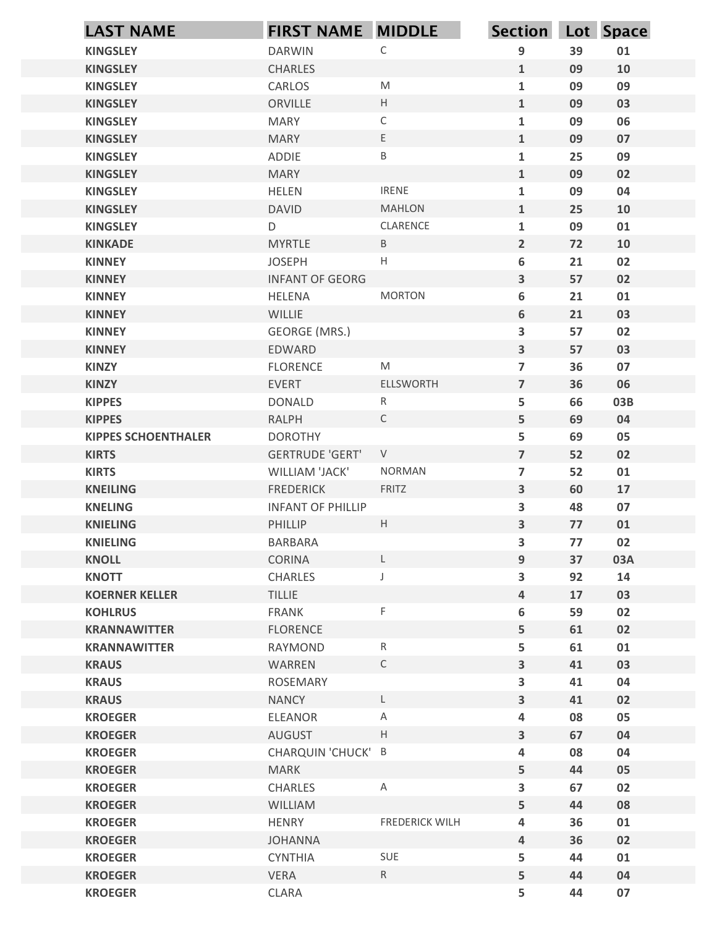| <b>LAST NAME</b>                 | <b>FIRST NAME MIDDLE</b>          |                                                                                                            | Section Lot Space            |          |          |
|----------------------------------|-----------------------------------|------------------------------------------------------------------------------------------------------------|------------------------------|----------|----------|
| <b>KINGSLEY</b>                  | <b>DARWIN</b>                     | С                                                                                                          | $\boldsymbol{9}$             | 39       | 01       |
| <b>KINGSLEY</b>                  | <b>CHARLES</b>                    |                                                                                                            | $\mathbf{1}$                 | 09       | 10       |
| <b>KINGSLEY</b>                  | CARLOS                            | $\mathsf{M}% _{T}=\mathsf{M}_{T}\!\left( a,b\right) ,\ \mathsf{M}_{T}=\mathsf{M}_{T}\!\left( a,b\right) ,$ | $\mathbf 1$                  | 09       | 09       |
| <b>KINGSLEY</b>                  | ORVILLE                           | H                                                                                                          | $\mathbf{1}$                 | 09       | 03       |
| <b>KINGSLEY</b>                  | <b>MARY</b>                       | $\mathsf C$                                                                                                | $\mathbf 1$                  | 09       | 06       |
| <b>KINGSLEY</b>                  | <b>MARY</b>                       | E                                                                                                          | $\mathbf{1}$                 | 09       | 07       |
| <b>KINGSLEY</b>                  | <b>ADDIE</b>                      | B                                                                                                          | $\mathbf 1$                  | 25       | 09       |
| <b>KINGSLEY</b>                  | <b>MARY</b>                       |                                                                                                            | $\mathbf{1}$                 | 09       | 02       |
| <b>KINGSLEY</b>                  | <b>HELEN</b>                      | <b>IRENE</b>                                                                                               | $\mathbf{1}$                 | 09       | 04       |
| <b>KINGSLEY</b>                  | <b>DAVID</b>                      | <b>MAHLON</b>                                                                                              | $\mathbf{1}$                 | 25       | 10       |
| <b>KINGSLEY</b>                  | D                                 | CLARENCE                                                                                                   | $\mathbf{1}$                 | 09       | 01       |
| <b>KINKADE</b>                   | <b>MYRTLE</b>                     | B                                                                                                          | $\overline{2}$               | 72       | 10       |
| <b>KINNEY</b>                    | <b>JOSEPH</b>                     | $\boldsymbol{\mathsf{H}}$                                                                                  | $\boldsymbol{6}$             | 21       | 02       |
| <b>KINNEY</b>                    | <b>INFANT OF GEORG</b>            | <b>MORTON</b>                                                                                              | 3                            | 57       | 02       |
| <b>KINNEY</b><br><b>KINNEY</b>   | HELENA<br>WILLIE                  |                                                                                                            | 6<br>6                       | 21<br>21 | 01<br>03 |
| <b>KINNEY</b>                    | GEORGE (MRS.)                     |                                                                                                            | $\mathbf{3}$                 | 57       | 02       |
| <b>KINNEY</b>                    | EDWARD                            |                                                                                                            | $\overline{\mathbf{3}}$      | 57       | 03       |
| <b>KINZY</b>                     | <b>FLORENCE</b>                   | $\mathsf{M}% _{T}=\mathsf{M}_{T}\!\left( a,b\right) ,\ \mathsf{M}_{T}=\mathsf{M}_{T}\!\left( a,b\right) ,$ | $\overline{7}$               | 36       | 07       |
| <b>KINZY</b>                     | EVERT                             | <b>ELLSWORTH</b>                                                                                           | $\overline{7}$               | 36       | 06       |
| <b>KIPPES</b>                    | <b>DONALD</b>                     | $R_{\parallel}$                                                                                            | 5                            | 66       | 03B      |
| <b>KIPPES</b>                    | RALPH                             | $\mathsf{C}$                                                                                               | 5                            | 69       | 04       |
| <b>KIPPES SCHOENTHALER</b>       | <b>DOROTHY</b>                    |                                                                                                            | 5                            | 69       | 05       |
| <b>KIRTS</b>                     | <b>GERTRUDE 'GERT'</b>            | $\vee$                                                                                                     | $\overline{7}$               | 52       | 02       |
| <b>KIRTS</b>                     | WILLIAM 'JACK'                    | <b>NORMAN</b>                                                                                              | $\overline{7}$               | 52       | 01       |
| <b>KNEILING</b>                  | <b>FREDERICK</b>                  | FRITZ                                                                                                      | $\mathbf{3}$                 | 60       | 17       |
| <b>KNELING</b>                   | <b>INFANT OF PHILLIP</b>          |                                                                                                            | $\mathbf{3}$                 | 48       | 07       |
| <b>KNIELING</b>                  | PHILLIP                           | H                                                                                                          | $\overline{\mathbf{3}}$      | 77       | 01       |
| <b>KNIELING</b>                  | <b>BARBARA</b>                    |                                                                                                            | $\mathbf{3}$                 | 77       | 02       |
| <b>KNOLL</b>                     | CORINA                            | L.                                                                                                         | 9                            | 37       | 03A      |
| <b>KNOTT</b>                     | CHARLES                           |                                                                                                            | $\mathbf{3}$                 | 92       | 14       |
| <b>KOERNER KELLER</b>            | <b>TILLIE</b>                     |                                                                                                            | $\pmb{4}$                    | 17       | 03       |
| <b>KOHLRUS</b>                   | FRANK                             | F                                                                                                          | $\boldsymbol{6}$             | 59       | 02       |
| <b>KRANNAWITTER</b>              | <b>FLORENCE</b>                   |                                                                                                            | 5                            | 61       | 02       |
| <b>KRANNAWITTER</b>              | RAYMOND                           | R                                                                                                          | 5                            | 61       | 01       |
| <b>KRAUS</b>                     | WARREN                            | $\mathsf{C}$                                                                                               | $\mathbf{3}$                 | 41       | 03       |
| <b>KRAUS</b>                     | ROSEMARY                          |                                                                                                            | $\mathbf{3}$                 | 41       | 04       |
| <b>KRAUS</b>                     | <b>NANCY</b>                      | L.                                                                                                         | $\overline{\mathbf{3}}$      | 41       | 02       |
| <b>KROEGER</b>                   | <b>ELEANOR</b>                    | Α                                                                                                          | $\overline{\mathbf{4}}$      | 08       | 05       |
| <b>KROEGER</b>                   | AUGUST                            | H                                                                                                          | $\mathbf{3}$                 | 67       | 04       |
| <b>KROEGER</b><br><b>KROEGER</b> | CHARQUIN 'CHUCK' B<br><b>MARK</b> |                                                                                                            | $\overline{\mathbf{4}}$<br>5 | 08<br>44 | 04<br>05 |
| <b>KROEGER</b>                   | CHARLES                           | A                                                                                                          | $\mathbf{3}$                 | 67       | 02       |
| <b>KROEGER</b>                   | <b>WILLIAM</b>                    |                                                                                                            | 5                            | 44       | 08       |
| <b>KROEGER</b>                   | <b>HENRY</b>                      | <b>FREDERICK WILH</b>                                                                                      | $\overline{\mathbf{4}}$      | 36       | 01       |
| <b>KROEGER</b>                   | <b>JOHANNA</b>                    |                                                                                                            | $\overline{a}$               | 36       | 02       |
| <b>KROEGER</b>                   | <b>CYNTHIA</b>                    | SUE                                                                                                        | 5                            | 44       | 01       |
| <b>KROEGER</b>                   | VERA                              | $R_{\parallel}$                                                                                            | 5                            | 44       | 04       |
| <b>KROEGER</b>                   | CLARA                             |                                                                                                            | 5                            | 44       | 07       |
|                                  |                                   |                                                                                                            |                              |          |          |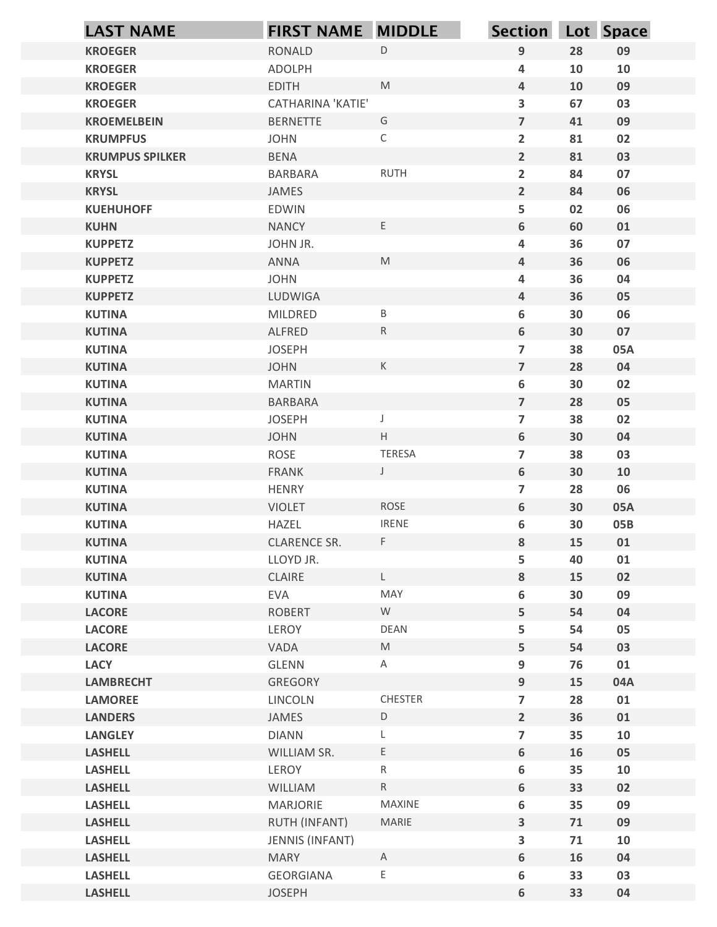| <b>LAST NAME</b>                       | <b>FIRST NAME MIDDLE</b>      |                        | <b>Section</b>                               |          | Lot Space  |
|----------------------------------------|-------------------------------|------------------------|----------------------------------------------|----------|------------|
| <b>KROEGER</b>                         | <b>RONALD</b>                 | $\mathsf D$            | $\boldsymbol{9}$                             | 28       | 09         |
| <b>KROEGER</b>                         | ADOLPH                        |                        | 4                                            | 10       | 10         |
| <b>KROEGER</b>                         | <b>EDITH</b>                  | M                      | $\overline{\mathbf{4}}$                      | 10       | 09         |
| <b>KROEGER</b>                         | CATHARINA 'KATIE'             |                        | 3                                            | 67       | 03         |
| <b>KROEMELBEIN</b>                     | <b>BERNETTE</b>               | G                      | $\overline{7}$                               | 41       | 09         |
| <b>KRUMPFUS</b>                        | <b>JOHN</b>                   | $\mathsf C$            | $\overline{2}$<br>$\overline{2}$             | 81       | 02         |
| <b>KRUMPUS SPILKER</b><br><b>KRYSL</b> | <b>BENA</b><br><b>BARBARA</b> | <b>RUTH</b>            | $\overline{2}$                               | 81<br>84 | 03<br>07   |
| <b>KRYSL</b>                           | JAMES                         |                        | $\overline{2}$                               | 84       | 06         |
| <b>KUEHUHOFF</b>                       | <b>EDWIN</b>                  |                        | 5                                            | 02       | 06         |
| <b>KUHN</b>                            | <b>NANCY</b>                  | $\mathsf E$            | 6                                            | 60       | 01         |
| <b>KUPPETZ</b>                         | JOHN JR.                      |                        | 4                                            | 36       | 07         |
| <b>KUPPETZ</b>                         | ANNA                          | M                      | $\overline{4}$                               | 36       | 06         |
| <b>KUPPETZ</b>                         | <b>JOHN</b>                   |                        | 4                                            | 36       | 04         |
| <b>KUPPETZ</b>                         | LUDWIGA<br>MILDRED            |                        | $\overline{\mathbf{4}}$                      | 36<br>30 | 05<br>06   |
| <b>KUTINA</b><br><b>KUTINA</b>         | ALFRED                        | Β<br>${\sf R}$         | 6<br>$\boldsymbol{6}$                        | 30       | 07         |
| <b>KUTINA</b>                          | <b>JOSEPH</b>                 |                        | $\overline{\phantom{a}}$                     | 38       | 05A        |
| <b>KUTINA</b>                          | <b>JOHN</b>                   | $\mathsf K$            | $\overline{7}$                               | 28       | 04         |
| <b>KUTINA</b>                          | <b>MARTIN</b>                 |                        | $\boldsymbol{6}$                             | 30       | 02         |
| <b>KUTINA</b>                          | BARBARA                       |                        | $\overline{7}$                               | 28       | 05         |
| <b>KUTINA</b>                          | <b>JOSEPH</b>                 | J                      | $\overline{\phantom{a}}$                     | 38       | 02         |
| <b>KUTINA</b>                          | <b>JOHN</b>                   | $\mathsf{H}^-$         | $\boldsymbol{6}$                             | 30       | 04         |
| <b>KUTINA</b>                          | ROSE                          | <b>TERESA</b>          | $\overline{\phantom{a}}$                     | 38       | 03         |
| <b>KUTINA</b>                          | FRANK                         | J                      | $\boldsymbol{6}$                             | 30       | 10         |
| <b>KUTINA</b>                          | HENRY                         | ROSE                   | $\overline{\phantom{a}}$<br>$\boldsymbol{6}$ | 28       | 06         |
| <b>KUTINA</b><br><b>KUTINA</b>         | <b>VIOLET</b><br>HAZEL        | <b>IRENE</b>           | $\boldsymbol{6}$                             | 30<br>30 | 05A<br>05B |
| <b>KUTINA</b>                          | CLARENCE SR.                  | F.                     | ${\bf 8}$                                    | 15       | 01         |
| <b>KUTINA</b>                          | LLOYD JR.                     |                        | 5                                            | 40       | 01         |
| <b>KUTINA</b>                          | CLAIRE                        | $\mathsf{L}$           | $\bf 8$                                      | 15       | 02         |
| <b>KUTINA</b>                          | EVA                           | MAY                    | 6                                            | 30       | 09         |
| <b>LACORE</b>                          | <b>ROBERT</b>                 | W                      | 5                                            | 54       | 04         |
| <b>LACORE</b>                          | LEROY                         | DEAN                   | 5                                            | 54       | 05         |
| <b>LACORE</b>                          | VADA                          | M                      | 5                                            | 54       | 03         |
| <b>LACY</b>                            | GLENN                         | $\mathsf{A}$           | $\boldsymbol{9}$                             | 76       | 01         |
| <b>LAMBRECHT</b>                       | GREGORY                       |                        | $\boldsymbol{9}$                             | 15       | 04A        |
| <b>LAMOREE</b>                         | LINCOLN                       | CHESTER<br>$\mathsf D$ | $\overline{\phantom{a}}$<br>$\overline{2}$   | 28       | 01         |
| <b>LANDERS</b><br><b>LANGLEY</b>       | JAMES<br><b>DIANN</b>         | L                      | $\overline{\phantom{a}}$                     | 36<br>35 | 01<br>10   |
| <b>LASHELL</b>                         | WILLIAM SR.                   | $\mathsf E$            | $\boldsymbol{6}$                             | 16       | 05         |
| <b>LASHELL</b>                         | LEROY                         | $R_{\parallel}$        | 6                                            | 35       | 10         |
| <b>LASHELL</b>                         | <b>WILLIAM</b>                | ${\sf R}$              | $\boldsymbol{6}$                             | 33       | 02         |
| <b>LASHELL</b>                         | <b>MARJORIE</b>               | MAXINE                 | 6                                            | 35       | 09         |
| <b>LASHELL</b>                         | RUTH (INFANT)                 | MARIE                  | $\mathbf{3}$                                 | 71       | 09         |
| <b>LASHELL</b>                         | <b>JENNIS (INFANT)</b>        |                        | 3                                            | 71       | 10         |
| <b>LASHELL</b>                         | <b>MARY</b>                   | $\mathsf{A}$           | $\boldsymbol{6}$                             | 16       | 04         |
| <b>LASHELL</b>                         | <b>GEORGIANA</b>              | $\mathsf E$            | 6                                            | 33       | 03         |
| <b>LASHELL</b>                         | <b>JOSEPH</b>                 |                        | $\boldsymbol{6}$                             | 33       | 04         |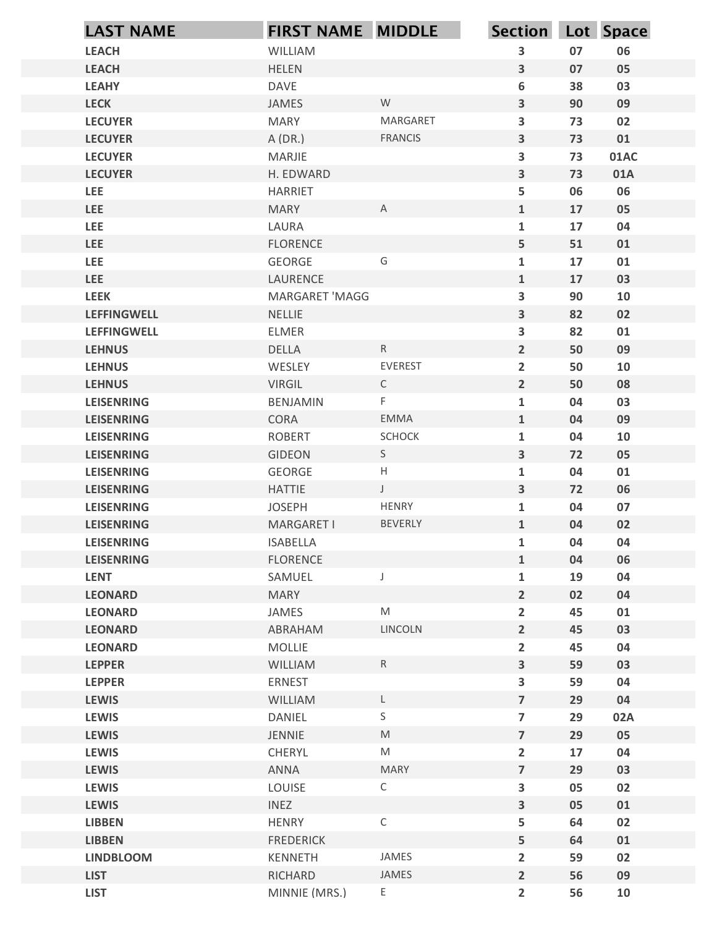| <b>LEACH</b><br>WILLIAM<br>3<br>07<br>06<br><b>LEACH</b><br><b>HELEN</b><br>$\overline{\mathbf{3}}$<br>07<br>05<br>6<br>38<br><b>LEAHY</b><br><b>DAVE</b><br>03<br>W<br><b>LECK</b><br>$\overline{\mathbf{3}}$<br>90<br>09<br>JAMES<br><b>LECUYER</b><br>$\overline{\mathbf{3}}$<br><b>MARY</b><br><b>MARGARET</b><br>73<br>02<br>$\overline{\mathbf{3}}$<br><b>LECUYER</b><br>A(DR.)<br><b>FRANCIS</b><br>73<br>01<br>$\overline{\mathbf{3}}$<br>73<br>01AC<br><b>LECUYER</b><br>MARJIE<br>$\overline{\mathbf{3}}$<br><b>LECUYER</b><br>H. EDWARD<br>73<br>01A<br>5<br>06<br>LEE<br><b>HARRIET</b><br>06<br>$\overline{A}$<br>$\mathbf{1}$<br>17<br>05<br><b>LEE</b><br><b>MARY</b><br>$\mathbf{1}$<br>17<br><b>LEE</b><br>LAURA<br>04<br>5<br><b>LEE</b><br><b>FLORENCE</b><br>51<br>01<br>G<br>$\mathbf 1$<br><b>LEE</b><br>GEORGE<br>17<br>01<br><b>LEE</b><br>17<br>LAURENCE<br>$\mathbf{1}$<br>03<br>3<br><b>LEEK</b><br>MARGARET 'MAGG<br>90<br>10<br><b>LEFFINGWELL</b><br>$\overline{\mathbf{3}}$<br>NELLIE<br>82<br>02<br>82<br>3<br>01<br><b>LEFFINGWELL</b><br>ELMER<br><b>LEHNUS</b><br>DELLA<br>R<br>$\overline{2}$<br>50<br>09<br><b>LEHNUS</b><br>EVEREST<br>$\overline{2}$<br>WESLEY<br>50<br>10<br>$\overline{2}$<br><b>LEHNUS</b><br>VIRGIL<br>$\mathsf{C}$<br>50<br>08<br>$\mathsf F$<br>$\mathbf{1}$<br>04<br>03<br><b>LEISENRING</b><br>BENJAMIN<br><b>LEISENRING</b><br>CORA<br>EMMA<br>04<br>09<br>$\mathbf{1}$<br>ROBERT<br>SCHOCK<br>$\mathbf{1}$<br>10<br><b>LEISENRING</b><br>04<br><b>LEISENRING</b><br>GIDEON<br>S<br>$\overline{\mathbf{3}}$<br>72<br>05<br>H<br>04<br>01<br><b>LEISENRING</b><br>GEORGE<br>$\mathbf{1}$<br>$\mathsf J$<br><b>LEISENRING</b><br><b>HATTIE</b><br>$\overline{\mathbf{3}}$<br>72<br>06<br>HENRY<br>07<br><b>LEISENRING</b><br><b>JOSEPH</b><br>$\mathbf{1}$<br>04<br><b>BEVERLY</b><br><b>LEISENRING</b><br>MARGARET I<br>$\mathbf{1}$<br>04<br>02<br>$\mathbf{1}$<br>04<br><b>LEISENRING</b><br><b>ISABELLA</b><br>04<br><b>LEISENRING</b><br><b>FLORENCE</b><br>$\mathbf{1}$<br>04<br>06<br><b>LENT</b><br>$\mathbf{1}$<br>04<br>SAMUEL<br>J<br>19<br>$\overline{2}$<br><b>LEONARD</b><br><b>MARY</b><br>02<br>04<br>$\mathsf{M}% _{T}=\mathsf{M}_{T}\!\left( a,b\right) ,\ \mathsf{M}_{T}=\mathsf{M}_{T}\!\left( a,b\right) ,$<br>$\overline{2}$<br>45<br><b>LEONARD</b><br>JAMES<br>01<br><b>LEONARD</b><br>LINCOLN<br>$\overline{2}$<br>45<br>03<br>ABRAHAM<br>MOLLIE<br>$\overline{2}$<br><b>LEONARD</b><br>45<br>04<br>$\overline{\mathbf{3}}$<br><b>LEPPER</b><br>WILLIAM<br>R<br>59<br>03<br>3<br>59<br>04<br><b>LEPPER</b><br>ERNEST<br>$\overline{7}$<br>29<br>04<br><b>LEWIS</b><br>WILLIAM<br>$\mathsf{L}$<br>$\mathsf S$<br>$\overline{\mathbf{z}}$<br>DANIEL<br>29<br><b>LEWIS</b><br>02A<br>$\overline{\mathbf{z}}$<br><b>LEWIS</b><br>JENNIE<br>$\mathsf{M}% _{T}=\mathsf{M}_{T}\!\left( a,b\right) ,\ \mathsf{M}_{T}=\mathsf{M}_{T}\!\left( a,b\right) ,$<br>29<br>05<br>$\mathsf{M}% _{T}=\mathsf{M}_{T}\!\left( a,b\right) ,\ \mathsf{M}_{T}=\mathsf{M}_{T}\!\left( a,b\right) ,$<br>$\overline{2}$<br>17<br><b>LEWIS</b><br>CHERYL<br>04<br>ANNA<br><b>MARY</b><br>$\overline{7}$<br>29<br>03<br><b>LEWIS</b><br>$\mathsf{C}$<br>3<br>05<br>02<br><b>LEWIS</b><br>LOUISE<br>3<br><b>LEWIS</b><br><b>INEZ</b><br>05<br>01<br>$\mathsf C$<br><b>LIBBEN</b><br><b>HENRY</b><br>5<br>64<br>02<br>5<br><b>LIBBEN</b><br><b>FREDERICK</b><br>64<br>01<br>JAMES<br><b>LINDBLOOM</b><br>$\overline{2}$<br>59<br>02<br>KENNETH<br>JAMES<br>RICHARD<br>$2^{\circ}$<br>56<br>09<br><b>LIST</b><br>E<br>$\overline{2}$<br>56<br>${\bf 10}$<br><b>LIST</b><br>MINNIE (MRS.) | <b>LAST NAME</b> | FIRST NAME MIDDLE | <b>Section</b> | Lot Space |
|--------------------------------------------------------------------------------------------------------------------------------------------------------------------------------------------------------------------------------------------------------------------------------------------------------------------------------------------------------------------------------------------------------------------------------------------------------------------------------------------------------------------------------------------------------------------------------------------------------------------------------------------------------------------------------------------------------------------------------------------------------------------------------------------------------------------------------------------------------------------------------------------------------------------------------------------------------------------------------------------------------------------------------------------------------------------------------------------------------------------------------------------------------------------------------------------------------------------------------------------------------------------------------------------------------------------------------------------------------------------------------------------------------------------------------------------------------------------------------------------------------------------------------------------------------------------------------------------------------------------------------------------------------------------------------------------------------------------------------------------------------------------------------------------------------------------------------------------------------------------------------------------------------------------------------------------------------------------------------------------------------------------------------------------------------------------------------------------------------------------------------------------------------------------------------------------------------------------------------------------------------------------------------------------------------------------------------------------------------------------------------------------------------------------------------------------------------------------------------------------------------------------------------------------------------------------------------------------------------------------------------------------------------------------------------------------------------------------------------------------------------------------------------------------------------------------------------------------------------------------------------------------------------------------------------------------------------------------------------------------------------------------------------------------------------------------------------------------------------------------------------------------------------------------------------------------------------------------------------------------------------------------------------------------------------------------------------------------------------------------------------------------------------------------------------------------------------------------------------------------------------------------------------------------------------------------------------------------------------------------------------------------------|------------------|-------------------|----------------|-----------|
|                                                                                                                                                                                                                                                                                                                                                                                                                                                                                                                                                                                                                                                                                                                                                                                                                                                                                                                                                                                                                                                                                                                                                                                                                                                                                                                                                                                                                                                                                                                                                                                                                                                                                                                                                                                                                                                                                                                                                                                                                                                                                                                                                                                                                                                                                                                                                                                                                                                                                                                                                                                                                                                                                                                                                                                                                                                                                                                                                                                                                                                                                                                                                                                                                                                                                                                                                                                                                                                                                                                                                                                                                                                  |                  |                   |                |           |
|                                                                                                                                                                                                                                                                                                                                                                                                                                                                                                                                                                                                                                                                                                                                                                                                                                                                                                                                                                                                                                                                                                                                                                                                                                                                                                                                                                                                                                                                                                                                                                                                                                                                                                                                                                                                                                                                                                                                                                                                                                                                                                                                                                                                                                                                                                                                                                                                                                                                                                                                                                                                                                                                                                                                                                                                                                                                                                                                                                                                                                                                                                                                                                                                                                                                                                                                                                                                                                                                                                                                                                                                                                                  |                  |                   |                |           |
|                                                                                                                                                                                                                                                                                                                                                                                                                                                                                                                                                                                                                                                                                                                                                                                                                                                                                                                                                                                                                                                                                                                                                                                                                                                                                                                                                                                                                                                                                                                                                                                                                                                                                                                                                                                                                                                                                                                                                                                                                                                                                                                                                                                                                                                                                                                                                                                                                                                                                                                                                                                                                                                                                                                                                                                                                                                                                                                                                                                                                                                                                                                                                                                                                                                                                                                                                                                                                                                                                                                                                                                                                                                  |                  |                   |                |           |
|                                                                                                                                                                                                                                                                                                                                                                                                                                                                                                                                                                                                                                                                                                                                                                                                                                                                                                                                                                                                                                                                                                                                                                                                                                                                                                                                                                                                                                                                                                                                                                                                                                                                                                                                                                                                                                                                                                                                                                                                                                                                                                                                                                                                                                                                                                                                                                                                                                                                                                                                                                                                                                                                                                                                                                                                                                                                                                                                                                                                                                                                                                                                                                                                                                                                                                                                                                                                                                                                                                                                                                                                                                                  |                  |                   |                |           |
|                                                                                                                                                                                                                                                                                                                                                                                                                                                                                                                                                                                                                                                                                                                                                                                                                                                                                                                                                                                                                                                                                                                                                                                                                                                                                                                                                                                                                                                                                                                                                                                                                                                                                                                                                                                                                                                                                                                                                                                                                                                                                                                                                                                                                                                                                                                                                                                                                                                                                                                                                                                                                                                                                                                                                                                                                                                                                                                                                                                                                                                                                                                                                                                                                                                                                                                                                                                                                                                                                                                                                                                                                                                  |                  |                   |                |           |
|                                                                                                                                                                                                                                                                                                                                                                                                                                                                                                                                                                                                                                                                                                                                                                                                                                                                                                                                                                                                                                                                                                                                                                                                                                                                                                                                                                                                                                                                                                                                                                                                                                                                                                                                                                                                                                                                                                                                                                                                                                                                                                                                                                                                                                                                                                                                                                                                                                                                                                                                                                                                                                                                                                                                                                                                                                                                                                                                                                                                                                                                                                                                                                                                                                                                                                                                                                                                                                                                                                                                                                                                                                                  |                  |                   |                |           |
|                                                                                                                                                                                                                                                                                                                                                                                                                                                                                                                                                                                                                                                                                                                                                                                                                                                                                                                                                                                                                                                                                                                                                                                                                                                                                                                                                                                                                                                                                                                                                                                                                                                                                                                                                                                                                                                                                                                                                                                                                                                                                                                                                                                                                                                                                                                                                                                                                                                                                                                                                                                                                                                                                                                                                                                                                                                                                                                                                                                                                                                                                                                                                                                                                                                                                                                                                                                                                                                                                                                                                                                                                                                  |                  |                   |                |           |
|                                                                                                                                                                                                                                                                                                                                                                                                                                                                                                                                                                                                                                                                                                                                                                                                                                                                                                                                                                                                                                                                                                                                                                                                                                                                                                                                                                                                                                                                                                                                                                                                                                                                                                                                                                                                                                                                                                                                                                                                                                                                                                                                                                                                                                                                                                                                                                                                                                                                                                                                                                                                                                                                                                                                                                                                                                                                                                                                                                                                                                                                                                                                                                                                                                                                                                                                                                                                                                                                                                                                                                                                                                                  |                  |                   |                |           |
|                                                                                                                                                                                                                                                                                                                                                                                                                                                                                                                                                                                                                                                                                                                                                                                                                                                                                                                                                                                                                                                                                                                                                                                                                                                                                                                                                                                                                                                                                                                                                                                                                                                                                                                                                                                                                                                                                                                                                                                                                                                                                                                                                                                                                                                                                                                                                                                                                                                                                                                                                                                                                                                                                                                                                                                                                                                                                                                                                                                                                                                                                                                                                                                                                                                                                                                                                                                                                                                                                                                                                                                                                                                  |                  |                   |                |           |
|                                                                                                                                                                                                                                                                                                                                                                                                                                                                                                                                                                                                                                                                                                                                                                                                                                                                                                                                                                                                                                                                                                                                                                                                                                                                                                                                                                                                                                                                                                                                                                                                                                                                                                                                                                                                                                                                                                                                                                                                                                                                                                                                                                                                                                                                                                                                                                                                                                                                                                                                                                                                                                                                                                                                                                                                                                                                                                                                                                                                                                                                                                                                                                                                                                                                                                                                                                                                                                                                                                                                                                                                                                                  |                  |                   |                |           |
|                                                                                                                                                                                                                                                                                                                                                                                                                                                                                                                                                                                                                                                                                                                                                                                                                                                                                                                                                                                                                                                                                                                                                                                                                                                                                                                                                                                                                                                                                                                                                                                                                                                                                                                                                                                                                                                                                                                                                                                                                                                                                                                                                                                                                                                                                                                                                                                                                                                                                                                                                                                                                                                                                                                                                                                                                                                                                                                                                                                                                                                                                                                                                                                                                                                                                                                                                                                                                                                                                                                                                                                                                                                  |                  |                   |                |           |
|                                                                                                                                                                                                                                                                                                                                                                                                                                                                                                                                                                                                                                                                                                                                                                                                                                                                                                                                                                                                                                                                                                                                                                                                                                                                                                                                                                                                                                                                                                                                                                                                                                                                                                                                                                                                                                                                                                                                                                                                                                                                                                                                                                                                                                                                                                                                                                                                                                                                                                                                                                                                                                                                                                                                                                                                                                                                                                                                                                                                                                                                                                                                                                                                                                                                                                                                                                                                                                                                                                                                                                                                                                                  |                  |                   |                |           |
|                                                                                                                                                                                                                                                                                                                                                                                                                                                                                                                                                                                                                                                                                                                                                                                                                                                                                                                                                                                                                                                                                                                                                                                                                                                                                                                                                                                                                                                                                                                                                                                                                                                                                                                                                                                                                                                                                                                                                                                                                                                                                                                                                                                                                                                                                                                                                                                                                                                                                                                                                                                                                                                                                                                                                                                                                                                                                                                                                                                                                                                                                                                                                                                                                                                                                                                                                                                                                                                                                                                                                                                                                                                  |                  |                   |                |           |
|                                                                                                                                                                                                                                                                                                                                                                                                                                                                                                                                                                                                                                                                                                                                                                                                                                                                                                                                                                                                                                                                                                                                                                                                                                                                                                                                                                                                                                                                                                                                                                                                                                                                                                                                                                                                                                                                                                                                                                                                                                                                                                                                                                                                                                                                                                                                                                                                                                                                                                                                                                                                                                                                                                                                                                                                                                                                                                                                                                                                                                                                                                                                                                                                                                                                                                                                                                                                                                                                                                                                                                                                                                                  |                  |                   |                |           |
|                                                                                                                                                                                                                                                                                                                                                                                                                                                                                                                                                                                                                                                                                                                                                                                                                                                                                                                                                                                                                                                                                                                                                                                                                                                                                                                                                                                                                                                                                                                                                                                                                                                                                                                                                                                                                                                                                                                                                                                                                                                                                                                                                                                                                                                                                                                                                                                                                                                                                                                                                                                                                                                                                                                                                                                                                                                                                                                                                                                                                                                                                                                                                                                                                                                                                                                                                                                                                                                                                                                                                                                                                                                  |                  |                   |                |           |
|                                                                                                                                                                                                                                                                                                                                                                                                                                                                                                                                                                                                                                                                                                                                                                                                                                                                                                                                                                                                                                                                                                                                                                                                                                                                                                                                                                                                                                                                                                                                                                                                                                                                                                                                                                                                                                                                                                                                                                                                                                                                                                                                                                                                                                                                                                                                                                                                                                                                                                                                                                                                                                                                                                                                                                                                                                                                                                                                                                                                                                                                                                                                                                                                                                                                                                                                                                                                                                                                                                                                                                                                                                                  |                  |                   |                |           |
|                                                                                                                                                                                                                                                                                                                                                                                                                                                                                                                                                                                                                                                                                                                                                                                                                                                                                                                                                                                                                                                                                                                                                                                                                                                                                                                                                                                                                                                                                                                                                                                                                                                                                                                                                                                                                                                                                                                                                                                                                                                                                                                                                                                                                                                                                                                                                                                                                                                                                                                                                                                                                                                                                                                                                                                                                                                                                                                                                                                                                                                                                                                                                                                                                                                                                                                                                                                                                                                                                                                                                                                                                                                  |                  |                   |                |           |
|                                                                                                                                                                                                                                                                                                                                                                                                                                                                                                                                                                                                                                                                                                                                                                                                                                                                                                                                                                                                                                                                                                                                                                                                                                                                                                                                                                                                                                                                                                                                                                                                                                                                                                                                                                                                                                                                                                                                                                                                                                                                                                                                                                                                                                                                                                                                                                                                                                                                                                                                                                                                                                                                                                                                                                                                                                                                                                                                                                                                                                                                                                                                                                                                                                                                                                                                                                                                                                                                                                                                                                                                                                                  |                  |                   |                |           |
|                                                                                                                                                                                                                                                                                                                                                                                                                                                                                                                                                                                                                                                                                                                                                                                                                                                                                                                                                                                                                                                                                                                                                                                                                                                                                                                                                                                                                                                                                                                                                                                                                                                                                                                                                                                                                                                                                                                                                                                                                                                                                                                                                                                                                                                                                                                                                                                                                                                                                                                                                                                                                                                                                                                                                                                                                                                                                                                                                                                                                                                                                                                                                                                                                                                                                                                                                                                                                                                                                                                                                                                                                                                  |                  |                   |                |           |
|                                                                                                                                                                                                                                                                                                                                                                                                                                                                                                                                                                                                                                                                                                                                                                                                                                                                                                                                                                                                                                                                                                                                                                                                                                                                                                                                                                                                                                                                                                                                                                                                                                                                                                                                                                                                                                                                                                                                                                                                                                                                                                                                                                                                                                                                                                                                                                                                                                                                                                                                                                                                                                                                                                                                                                                                                                                                                                                                                                                                                                                                                                                                                                                                                                                                                                                                                                                                                                                                                                                                                                                                                                                  |                  |                   |                |           |
|                                                                                                                                                                                                                                                                                                                                                                                                                                                                                                                                                                                                                                                                                                                                                                                                                                                                                                                                                                                                                                                                                                                                                                                                                                                                                                                                                                                                                                                                                                                                                                                                                                                                                                                                                                                                                                                                                                                                                                                                                                                                                                                                                                                                                                                                                                                                                                                                                                                                                                                                                                                                                                                                                                                                                                                                                                                                                                                                                                                                                                                                                                                                                                                                                                                                                                                                                                                                                                                                                                                                                                                                                                                  |                  |                   |                |           |
|                                                                                                                                                                                                                                                                                                                                                                                                                                                                                                                                                                                                                                                                                                                                                                                                                                                                                                                                                                                                                                                                                                                                                                                                                                                                                                                                                                                                                                                                                                                                                                                                                                                                                                                                                                                                                                                                                                                                                                                                                                                                                                                                                                                                                                                                                                                                                                                                                                                                                                                                                                                                                                                                                                                                                                                                                                                                                                                                                                                                                                                                                                                                                                                                                                                                                                                                                                                                                                                                                                                                                                                                                                                  |                  |                   |                |           |
|                                                                                                                                                                                                                                                                                                                                                                                                                                                                                                                                                                                                                                                                                                                                                                                                                                                                                                                                                                                                                                                                                                                                                                                                                                                                                                                                                                                                                                                                                                                                                                                                                                                                                                                                                                                                                                                                                                                                                                                                                                                                                                                                                                                                                                                                                                                                                                                                                                                                                                                                                                                                                                                                                                                                                                                                                                                                                                                                                                                                                                                                                                                                                                                                                                                                                                                                                                                                                                                                                                                                                                                                                                                  |                  |                   |                |           |
|                                                                                                                                                                                                                                                                                                                                                                                                                                                                                                                                                                                                                                                                                                                                                                                                                                                                                                                                                                                                                                                                                                                                                                                                                                                                                                                                                                                                                                                                                                                                                                                                                                                                                                                                                                                                                                                                                                                                                                                                                                                                                                                                                                                                                                                                                                                                                                                                                                                                                                                                                                                                                                                                                                                                                                                                                                                                                                                                                                                                                                                                                                                                                                                                                                                                                                                                                                                                                                                                                                                                                                                                                                                  |                  |                   |                |           |
|                                                                                                                                                                                                                                                                                                                                                                                                                                                                                                                                                                                                                                                                                                                                                                                                                                                                                                                                                                                                                                                                                                                                                                                                                                                                                                                                                                                                                                                                                                                                                                                                                                                                                                                                                                                                                                                                                                                                                                                                                                                                                                                                                                                                                                                                                                                                                                                                                                                                                                                                                                                                                                                                                                                                                                                                                                                                                                                                                                                                                                                                                                                                                                                                                                                                                                                                                                                                                                                                                                                                                                                                                                                  |                  |                   |                |           |
|                                                                                                                                                                                                                                                                                                                                                                                                                                                                                                                                                                                                                                                                                                                                                                                                                                                                                                                                                                                                                                                                                                                                                                                                                                                                                                                                                                                                                                                                                                                                                                                                                                                                                                                                                                                                                                                                                                                                                                                                                                                                                                                                                                                                                                                                                                                                                                                                                                                                                                                                                                                                                                                                                                                                                                                                                                                                                                                                                                                                                                                                                                                                                                                                                                                                                                                                                                                                                                                                                                                                                                                                                                                  |                  |                   |                |           |
|                                                                                                                                                                                                                                                                                                                                                                                                                                                                                                                                                                                                                                                                                                                                                                                                                                                                                                                                                                                                                                                                                                                                                                                                                                                                                                                                                                                                                                                                                                                                                                                                                                                                                                                                                                                                                                                                                                                                                                                                                                                                                                                                                                                                                                                                                                                                                                                                                                                                                                                                                                                                                                                                                                                                                                                                                                                                                                                                                                                                                                                                                                                                                                                                                                                                                                                                                                                                                                                                                                                                                                                                                                                  |                  |                   |                |           |
|                                                                                                                                                                                                                                                                                                                                                                                                                                                                                                                                                                                                                                                                                                                                                                                                                                                                                                                                                                                                                                                                                                                                                                                                                                                                                                                                                                                                                                                                                                                                                                                                                                                                                                                                                                                                                                                                                                                                                                                                                                                                                                                                                                                                                                                                                                                                                                                                                                                                                                                                                                                                                                                                                                                                                                                                                                                                                                                                                                                                                                                                                                                                                                                                                                                                                                                                                                                                                                                                                                                                                                                                                                                  |                  |                   |                |           |
|                                                                                                                                                                                                                                                                                                                                                                                                                                                                                                                                                                                                                                                                                                                                                                                                                                                                                                                                                                                                                                                                                                                                                                                                                                                                                                                                                                                                                                                                                                                                                                                                                                                                                                                                                                                                                                                                                                                                                                                                                                                                                                                                                                                                                                                                                                                                                                                                                                                                                                                                                                                                                                                                                                                                                                                                                                                                                                                                                                                                                                                                                                                                                                                                                                                                                                                                                                                                                                                                                                                                                                                                                                                  |                  |                   |                |           |
|                                                                                                                                                                                                                                                                                                                                                                                                                                                                                                                                                                                                                                                                                                                                                                                                                                                                                                                                                                                                                                                                                                                                                                                                                                                                                                                                                                                                                                                                                                                                                                                                                                                                                                                                                                                                                                                                                                                                                                                                                                                                                                                                                                                                                                                                                                                                                                                                                                                                                                                                                                                                                                                                                                                                                                                                                                                                                                                                                                                                                                                                                                                                                                                                                                                                                                                                                                                                                                                                                                                                                                                                                                                  |                  |                   |                |           |
|                                                                                                                                                                                                                                                                                                                                                                                                                                                                                                                                                                                                                                                                                                                                                                                                                                                                                                                                                                                                                                                                                                                                                                                                                                                                                                                                                                                                                                                                                                                                                                                                                                                                                                                                                                                                                                                                                                                                                                                                                                                                                                                                                                                                                                                                                                                                                                                                                                                                                                                                                                                                                                                                                                                                                                                                                                                                                                                                                                                                                                                                                                                                                                                                                                                                                                                                                                                                                                                                                                                                                                                                                                                  |                  |                   |                |           |
|                                                                                                                                                                                                                                                                                                                                                                                                                                                                                                                                                                                                                                                                                                                                                                                                                                                                                                                                                                                                                                                                                                                                                                                                                                                                                                                                                                                                                                                                                                                                                                                                                                                                                                                                                                                                                                                                                                                                                                                                                                                                                                                                                                                                                                                                                                                                                                                                                                                                                                                                                                                                                                                                                                                                                                                                                                                                                                                                                                                                                                                                                                                                                                                                                                                                                                                                                                                                                                                                                                                                                                                                                                                  |                  |                   |                |           |
|                                                                                                                                                                                                                                                                                                                                                                                                                                                                                                                                                                                                                                                                                                                                                                                                                                                                                                                                                                                                                                                                                                                                                                                                                                                                                                                                                                                                                                                                                                                                                                                                                                                                                                                                                                                                                                                                                                                                                                                                                                                                                                                                                                                                                                                                                                                                                                                                                                                                                                                                                                                                                                                                                                                                                                                                                                                                                                                                                                                                                                                                                                                                                                                                                                                                                                                                                                                                                                                                                                                                                                                                                                                  |                  |                   |                |           |
|                                                                                                                                                                                                                                                                                                                                                                                                                                                                                                                                                                                                                                                                                                                                                                                                                                                                                                                                                                                                                                                                                                                                                                                                                                                                                                                                                                                                                                                                                                                                                                                                                                                                                                                                                                                                                                                                                                                                                                                                                                                                                                                                                                                                                                                                                                                                                                                                                                                                                                                                                                                                                                                                                                                                                                                                                                                                                                                                                                                                                                                                                                                                                                                                                                                                                                                                                                                                                                                                                                                                                                                                                                                  |                  |                   |                |           |
|                                                                                                                                                                                                                                                                                                                                                                                                                                                                                                                                                                                                                                                                                                                                                                                                                                                                                                                                                                                                                                                                                                                                                                                                                                                                                                                                                                                                                                                                                                                                                                                                                                                                                                                                                                                                                                                                                                                                                                                                                                                                                                                                                                                                                                                                                                                                                                                                                                                                                                                                                                                                                                                                                                                                                                                                                                                                                                                                                                                                                                                                                                                                                                                                                                                                                                                                                                                                                                                                                                                                                                                                                                                  |                  |                   |                |           |
|                                                                                                                                                                                                                                                                                                                                                                                                                                                                                                                                                                                                                                                                                                                                                                                                                                                                                                                                                                                                                                                                                                                                                                                                                                                                                                                                                                                                                                                                                                                                                                                                                                                                                                                                                                                                                                                                                                                                                                                                                                                                                                                                                                                                                                                                                                                                                                                                                                                                                                                                                                                                                                                                                                                                                                                                                                                                                                                                                                                                                                                                                                                                                                                                                                                                                                                                                                                                                                                                                                                                                                                                                                                  |                  |                   |                |           |
|                                                                                                                                                                                                                                                                                                                                                                                                                                                                                                                                                                                                                                                                                                                                                                                                                                                                                                                                                                                                                                                                                                                                                                                                                                                                                                                                                                                                                                                                                                                                                                                                                                                                                                                                                                                                                                                                                                                                                                                                                                                                                                                                                                                                                                                                                                                                                                                                                                                                                                                                                                                                                                                                                                                                                                                                                                                                                                                                                                                                                                                                                                                                                                                                                                                                                                                                                                                                                                                                                                                                                                                                                                                  |                  |                   |                |           |
|                                                                                                                                                                                                                                                                                                                                                                                                                                                                                                                                                                                                                                                                                                                                                                                                                                                                                                                                                                                                                                                                                                                                                                                                                                                                                                                                                                                                                                                                                                                                                                                                                                                                                                                                                                                                                                                                                                                                                                                                                                                                                                                                                                                                                                                                                                                                                                                                                                                                                                                                                                                                                                                                                                                                                                                                                                                                                                                                                                                                                                                                                                                                                                                                                                                                                                                                                                                                                                                                                                                                                                                                                                                  |                  |                   |                |           |
|                                                                                                                                                                                                                                                                                                                                                                                                                                                                                                                                                                                                                                                                                                                                                                                                                                                                                                                                                                                                                                                                                                                                                                                                                                                                                                                                                                                                                                                                                                                                                                                                                                                                                                                                                                                                                                                                                                                                                                                                                                                                                                                                                                                                                                                                                                                                                                                                                                                                                                                                                                                                                                                                                                                                                                                                                                                                                                                                                                                                                                                                                                                                                                                                                                                                                                                                                                                                                                                                                                                                                                                                                                                  |                  |                   |                |           |
|                                                                                                                                                                                                                                                                                                                                                                                                                                                                                                                                                                                                                                                                                                                                                                                                                                                                                                                                                                                                                                                                                                                                                                                                                                                                                                                                                                                                                                                                                                                                                                                                                                                                                                                                                                                                                                                                                                                                                                                                                                                                                                                                                                                                                                                                                                                                                                                                                                                                                                                                                                                                                                                                                                                                                                                                                                                                                                                                                                                                                                                                                                                                                                                                                                                                                                                                                                                                                                                                                                                                                                                                                                                  |                  |                   |                |           |
|                                                                                                                                                                                                                                                                                                                                                                                                                                                                                                                                                                                                                                                                                                                                                                                                                                                                                                                                                                                                                                                                                                                                                                                                                                                                                                                                                                                                                                                                                                                                                                                                                                                                                                                                                                                                                                                                                                                                                                                                                                                                                                                                                                                                                                                                                                                                                                                                                                                                                                                                                                                                                                                                                                                                                                                                                                                                                                                                                                                                                                                                                                                                                                                                                                                                                                                                                                                                                                                                                                                                                                                                                                                  |                  |                   |                |           |
|                                                                                                                                                                                                                                                                                                                                                                                                                                                                                                                                                                                                                                                                                                                                                                                                                                                                                                                                                                                                                                                                                                                                                                                                                                                                                                                                                                                                                                                                                                                                                                                                                                                                                                                                                                                                                                                                                                                                                                                                                                                                                                                                                                                                                                                                                                                                                                                                                                                                                                                                                                                                                                                                                                                                                                                                                                                                                                                                                                                                                                                                                                                                                                                                                                                                                                                                                                                                                                                                                                                                                                                                                                                  |                  |                   |                |           |
|                                                                                                                                                                                                                                                                                                                                                                                                                                                                                                                                                                                                                                                                                                                                                                                                                                                                                                                                                                                                                                                                                                                                                                                                                                                                                                                                                                                                                                                                                                                                                                                                                                                                                                                                                                                                                                                                                                                                                                                                                                                                                                                                                                                                                                                                                                                                                                                                                                                                                                                                                                                                                                                                                                                                                                                                                                                                                                                                                                                                                                                                                                                                                                                                                                                                                                                                                                                                                                                                                                                                                                                                                                                  |                  |                   |                |           |
|                                                                                                                                                                                                                                                                                                                                                                                                                                                                                                                                                                                                                                                                                                                                                                                                                                                                                                                                                                                                                                                                                                                                                                                                                                                                                                                                                                                                                                                                                                                                                                                                                                                                                                                                                                                                                                                                                                                                                                                                                                                                                                                                                                                                                                                                                                                                                                                                                                                                                                                                                                                                                                                                                                                                                                                                                                                                                                                                                                                                                                                                                                                                                                                                                                                                                                                                                                                                                                                                                                                                                                                                                                                  |                  |                   |                |           |
|                                                                                                                                                                                                                                                                                                                                                                                                                                                                                                                                                                                                                                                                                                                                                                                                                                                                                                                                                                                                                                                                                                                                                                                                                                                                                                                                                                                                                                                                                                                                                                                                                                                                                                                                                                                                                                                                                                                                                                                                                                                                                                                                                                                                                                                                                                                                                                                                                                                                                                                                                                                                                                                                                                                                                                                                                                                                                                                                                                                                                                                                                                                                                                                                                                                                                                                                                                                                                                                                                                                                                                                                                                                  |                  |                   |                |           |
|                                                                                                                                                                                                                                                                                                                                                                                                                                                                                                                                                                                                                                                                                                                                                                                                                                                                                                                                                                                                                                                                                                                                                                                                                                                                                                                                                                                                                                                                                                                                                                                                                                                                                                                                                                                                                                                                                                                                                                                                                                                                                                                                                                                                                                                                                                                                                                                                                                                                                                                                                                                                                                                                                                                                                                                                                                                                                                                                                                                                                                                                                                                                                                                                                                                                                                                                                                                                                                                                                                                                                                                                                                                  |                  |                   |                |           |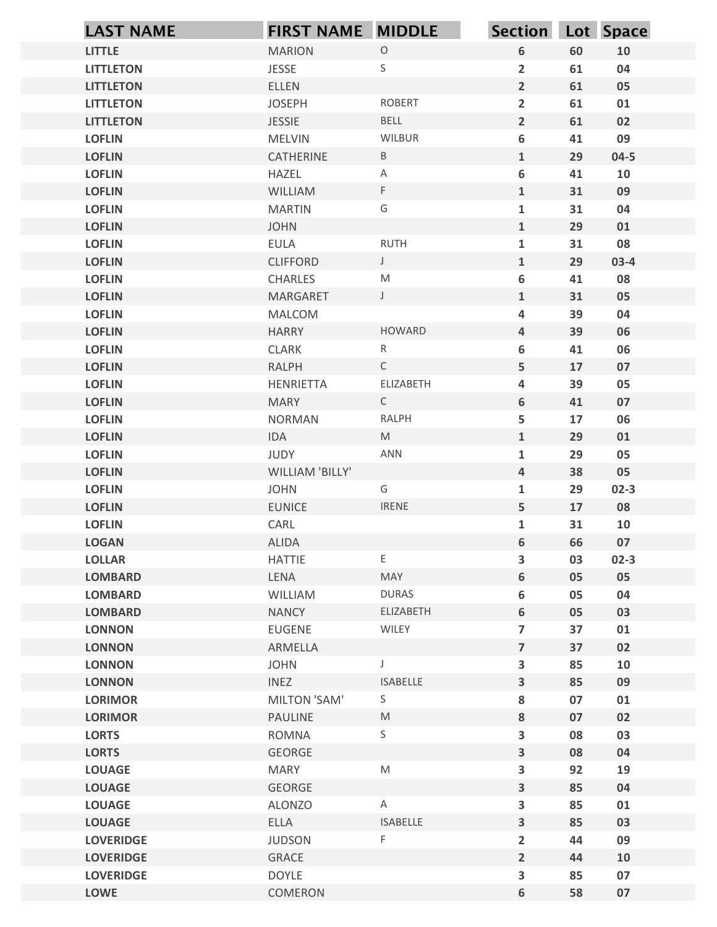|                                      | <b>FIRST NAME MIDDLE</b>       |                                                                                                            |                               |          |              |
|--------------------------------------|--------------------------------|------------------------------------------------------------------------------------------------------------|-------------------------------|----------|--------------|
| <b>LAST NAME</b>                     |                                |                                                                                                            | <b>Section</b>                |          | Lot Space    |
| <b>LITTLE</b>                        | <b>MARION</b>                  | $\mathsf O$                                                                                                | 6                             | 60       | 10           |
| <b>LITTLETON</b>                     | <b>JESSE</b>                   | $\mathsf S$                                                                                                | $\overline{2}$<br>$2^{\circ}$ | 61       | 04           |
| <b>LITTLETON</b><br><b>LITTLETON</b> | <b>ELLEN</b><br><b>JOSEPH</b>  | <b>ROBERT</b>                                                                                              | $\mathbf{2}$                  | 61<br>61 | 05           |
| <b>LITTLETON</b>                     | <b>JESSIE</b>                  | BELL                                                                                                       | $\overline{2}$                | 61       | 01<br>02     |
| <b>LOFLIN</b>                        | <b>MELVIN</b>                  | WILBUR                                                                                                     | 6                             | 41       | 09           |
| <b>LOFLIN</b>                        | CATHERINE                      | $\, {\sf B} \,$                                                                                            | $\mathbf{1}$                  | 29       | $04 - 5$     |
| <b>LOFLIN</b>                        | <b>HAZEL</b>                   | $\mathsf{A}$                                                                                               | 6                             | 41       | 10           |
| <b>LOFLIN</b>                        | WILLIAM                        | $\mathsf F$                                                                                                | $\mathbf{1}$                  | 31       | 09           |
| <b>LOFLIN</b>                        | <b>MARTIN</b>                  | G                                                                                                          | $\mathbf{1}$                  | 31       | 04           |
| <b>LOFLIN</b>                        | <b>JOHN</b>                    |                                                                                                            | $\mathbf{1}$                  | 29       | 01           |
| <b>LOFLIN</b>                        | EULA                           | <b>RUTH</b>                                                                                                | $\mathbf{1}$                  | 31       | 08           |
| <b>LOFLIN</b>                        | <b>CLIFFORD</b>                | $\mathsf J$                                                                                                | $\mathbf{1}$                  | 29       | $03-4$       |
| <b>LOFLIN</b>                        | CHARLES                        | $\mathsf{M}% _{T}=\mathsf{M}_{T}\!\left( a,b\right) ,\ \mathsf{M}_{T}=\mathsf{M}_{T}\!\left( a,b\right) ,$ | 6                             | 41       | 08           |
| <b>LOFLIN</b>                        | MARGARET                       | $\mathsf{J}$                                                                                               | $\mathbf{1}$                  | 31       | 05           |
| <b>LOFLIN</b>                        | MALCOM                         |                                                                                                            | 4                             | 39       | 04           |
| <b>LOFLIN</b>                        | <b>HARRY</b>                   | <b>HOWARD</b>                                                                                              | $\overline{4}$                | 39       | 06           |
| <b>LOFLIN</b>                        | CLARK                          | $R_{\perp}$                                                                                                | 6                             | 41       | 06           |
| <b>LOFLIN</b>                        | RALPH                          | $\mathsf{C}$                                                                                               | 5                             | 17       | 07           |
| <b>LOFLIN</b>                        | HENRIETTA                      | ELIZABETH                                                                                                  | 4                             | 39       | 05           |
| <b>LOFLIN</b>                        | <b>MARY</b>                    | $\mathsf{C}$                                                                                               | $6\phantom{.}$                | 41       | 07           |
| <b>LOFLIN</b>                        | NORMAN                         | RALPH                                                                                                      | 5                             | 17       | 06           |
| <b>LOFLIN</b>                        | IDA                            | M                                                                                                          | $\mathbf{1}$                  | 29       | 01           |
| <b>LOFLIN</b>                        | JUDY                           | ANN                                                                                                        | $\mathbf{1}$                  | 29       | 05           |
| <b>LOFLIN</b>                        | WILLIAM 'BILLY'<br><b>JOHN</b> | G                                                                                                          | $\overline{\mathbf{4}}$       | 38<br>29 | 05           |
| <b>LOFLIN</b><br><b>LOFLIN</b>       | <b>EUNICE</b>                  | <b>IRENE</b>                                                                                               | $\mathbf{1}$<br>5             | 17       | $02-3$<br>08 |
| <b>LOFLIN</b>                        | CARL                           |                                                                                                            | $\mathbf{1}$                  | 31       | 10           |
| <b>LOGAN</b>                         | ALIDA                          |                                                                                                            | $6\phantom{a}$                | 66       | 07           |
| <b>LOLLAR</b>                        | HATTIE                         | E.                                                                                                         | 3                             | 03       | $02-3$       |
| <b>LOMBARD</b>                       | LENA                           | MAY                                                                                                        | $6\phantom{a}$                | 05       | 05           |
| <b>LOMBARD</b>                       | WILLIAM                        | <b>DURAS</b>                                                                                               | 6                             | 05       | 04           |
| <b>LOMBARD</b>                       | <b>NANCY</b>                   | ELIZABETH                                                                                                  | 6                             | 05       | 03           |
| <b>LONNON</b>                        | EUGENE                         | WILEY                                                                                                      | $\overline{7}$                | 37       | 01           |
| <b>LONNON</b>                        | ARMELLA                        |                                                                                                            | $\overline{7}$                | 37       | 02           |
| <b>LONNON</b>                        | <b>JOHN</b>                    | $\mathsf{L}$                                                                                               | $\overline{\mathbf{3}}$       | 85       | 10           |
| <b>LONNON</b>                        | <b>INEZ</b>                    | ISABELLE                                                                                                   | $\overline{\mathbf{3}}$       | 85       | 09           |
| <b>LORIMOR</b>                       | MILTON 'SAM'                   | S                                                                                                          | 8                             | 07       | 01           |
| <b>LORIMOR</b>                       | PAULINE                        | $\mathsf{M}% _{T}=\mathsf{M}_{T}\!\left( a,b\right) ,\ \mathsf{M}_{T}=\mathsf{M}_{T}\!\left( a,b\right) ,$ | 8                             | 07       | 02           |
| <b>LORTS</b>                         | ROMNA                          | S                                                                                                          | $\overline{\mathbf{3}}$       | 08       | 03           |
| <b>LORTS</b>                         | GEORGE                         |                                                                                                            | $\overline{\mathbf{3}}$       | 08       | 04           |
| <b>LOUAGE</b>                        | MARY                           | M                                                                                                          | 3                             | 92       | 19           |
| <b>LOUAGE</b>                        | GEORGE                         |                                                                                                            | $\overline{\mathbf{3}}$       | 85       | 04           |
| <b>LOUAGE</b>                        | ALONZO                         | A                                                                                                          | 3                             | 85       | 01           |
| <b>LOUAGE</b>                        | <b>ELLA</b>                    | <b>ISABELLE</b>                                                                                            | $\mathbf{3}$                  | 85       | 03           |
| <b>LOVERIDGE</b>                     | <b>JUDSON</b>                  | F                                                                                                          | $\overline{2}$                | 44       | 09           |
| <b>LOVERIDGE</b>                     | GRACE                          |                                                                                                            | 2 <sup>1</sup>                | 44       | 10           |
| <b>LOVERIDGE</b>                     | <b>DOYLE</b>                   |                                                                                                            | $\overline{\mathbf{3}}$       | 85       | 07           |
| <b>LOWE</b>                          | COMERON                        |                                                                                                            | 6                             | 58       | $07\,$       |
|                                      |                                |                                                                                                            |                               |          |              |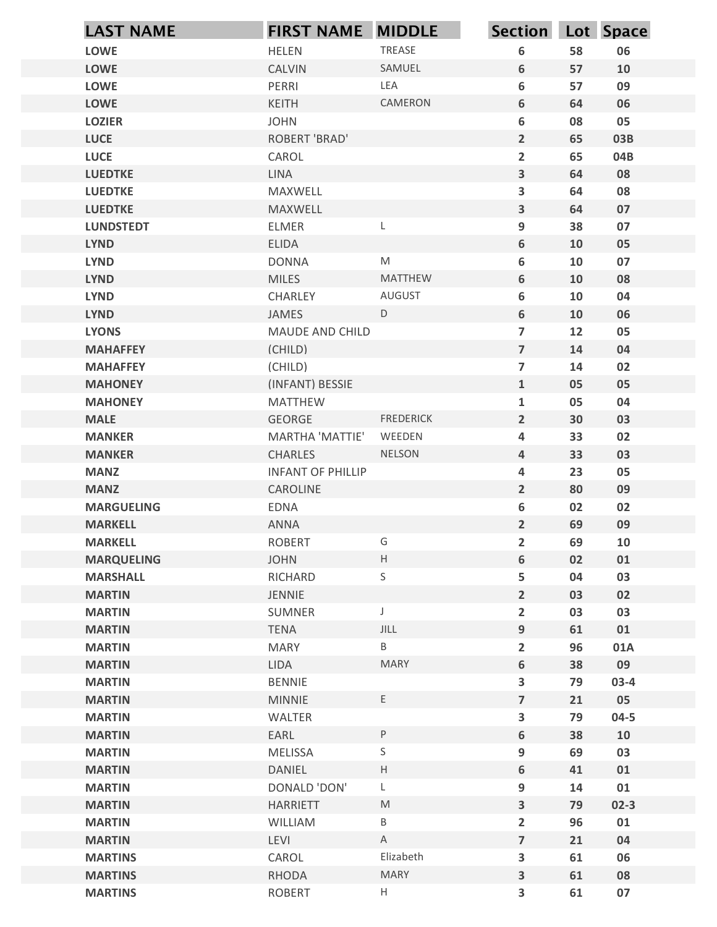| <b>LOWE</b><br><b>LOWE</b><br><b>LOWE</b> | <b>FIRST NAME MIDDLE</b><br><b>HELEN</b> | TREASE           | Section Lot Space                |          |          |
|-------------------------------------------|------------------------------------------|------------------|----------------------------------|----------|----------|
|                                           |                                          |                  | 6                                | 58       | 06       |
|                                           | CALVIN                                   | SAMUEL           | 6                                | 57       | 10       |
|                                           | PERRI                                    | LEA              | 6                                | 57       | 09       |
| <b>LOWE</b>                               | KEITH                                    | CAMERON          | 6                                | 64       | 06       |
| <b>LOZIER</b>                             | <b>JOHN</b>                              |                  | 6                                | 08       | 05       |
| <b>LUCE</b>                               | <b>ROBERT 'BRAD'</b>                     |                  | $2^{\circ}$                      | 65       | 03B      |
| <b>LUCE</b>                               | CAROL                                    |                  | $\overline{2}$                   | 65       | 04B      |
| <b>LUEDTKE</b>                            | LINA                                     |                  | $\mathbf{3}$                     | 64       | 08       |
| <b>LUEDTKE</b>                            | MAXWELL                                  |                  | $\mathbf{3}$                     | 64       | 08       |
| <b>LUEDTKE</b>                            | MAXWELL                                  |                  | $\mathbf{3}$                     | 64       | 07       |
| <b>LUNDSTEDT</b>                          | <b>ELMER</b>                             | L                | 9                                | 38       | 07       |
| <b>LYND</b>                               | <b>ELIDA</b>                             |                  | 6                                | 10       | 05       |
| <b>LYND</b>                               | <b>DONNA</b>                             | M                | 6                                | 10       | 07       |
| <b>LYND</b>                               | <b>MILES</b>                             | MATTHEW          | 6                                | 10       | 08       |
| <b>LYND</b>                               | CHARLEY                                  | AUGUST           | 6                                | 10       | 04       |
| <b>LYND</b>                               | JAMES                                    | $\mathsf D$      | 6                                | 10       | 06       |
| <b>LYONS</b>                              | MAUDE AND CHILD<br>(CHILD)               |                  | $\overline{7}$                   | 12       | 05       |
| <b>MAHAFFEY</b><br><b>MAHAFFEY</b>        | (CHILD)                                  |                  | $\overline{7}$<br>$\overline{7}$ | 14<br>14 | 04<br>02 |
| <b>MAHONEY</b>                            | (INFANT) BESSIE                          |                  | $\mathbf{1}$                     | 05       | 05       |
| <b>MAHONEY</b>                            | MATTHEW                                  |                  | $\mathbf{1}$                     | 05       | 04       |
| <b>MALE</b>                               | GEORGE                                   | <b>FREDERICK</b> | $\overline{2}$                   | 30       | 03       |
| <b>MANKER</b>                             | MARTHA 'MATTIE'                          | WEEDEN           | $\overline{\mathbf{4}}$          | 33       | 02       |
| <b>MANKER</b>                             | CHARLES                                  | NELSON           | $\overline{4}$                   | 33       | 03       |
| <b>MANZ</b>                               | <b>INFANT OF PHILLIP</b>                 |                  | 4                                | 23       | 05       |
| <b>MANZ</b>                               | CAROLINE                                 |                  | $\overline{2}$                   | 80       | 09       |
| <b>MARGUELING</b>                         | EDNA                                     |                  | 6                                | 02       | 02       |
| <b>MARKELL</b>                            | ANNA                                     |                  | $\overline{2}$                   | 69       | 09       |
| <b>MARKELL</b>                            | <b>ROBERT</b>                            | G                | $\mathbf{2}$                     | 69       | 10       |
| <b>MARQUELING</b>                         | <b>JOHN</b>                              | H                | 6                                | 02       | 01       |
| <b>MARSHALL</b>                           | RICHARD                                  | $\mathsf S$      | 5                                | 04       | 03       |
| <b>MARTIN</b>                             | JENNIE                                   |                  | $\overline{2}$                   | 03       | 02       |
| <b>MARTIN</b>                             | SUMNER                                   | $\mathsf J$      | $\overline{2}$                   | 03       | 03       |
| <b>MARTIN</b>                             | TENA                                     | JILL             | 9                                | 61       | 01       |
| <b>MARTIN</b>                             | MARY                                     | B                | $\overline{2}$                   | 96       | 01A      |
| <b>MARTIN</b>                             | LIDA                                     | <b>MARY</b>      | 6                                | 38       | 09       |
| <b>MARTIN</b>                             | BENNIE                                   |                  | $\mathbf{3}$                     | 79       | $03-4$   |
| <b>MARTIN</b>                             | <b>MINNIE</b>                            | E                | $\overline{7}$                   | 21       | 05       |
| <b>MARTIN</b>                             | WALTER                                   |                  | $\mathbf{3}$                     | 79       | $04 - 5$ |
| <b>MARTIN</b>                             | EARL                                     | $\sf P$          | $6\phantom{.}$                   | 38       | 10       |
| <b>MARTIN</b>                             | <b>MELISSA</b>                           | $\mathsf S$      | 9                                | 69       | 03       |
| <b>MARTIN</b>                             | DANIEL                                   | H                | 6                                | 41       | 01       |
| <b>MARTIN</b>                             | DONALD 'DON'                             | L                | 9                                | 14       | 01       |
| <b>MARTIN</b>                             | <b>HARRIETT</b>                          | M                | $\mathbf{3}$                     | 79       | $02-3$   |
| <b>MARTIN</b>                             | WILLIAM                                  | B                | $\overline{2}$                   | 96       | 01       |
| <b>MARTIN</b>                             | LEVI                                     | $\mathsf{A}$     | $\overline{7}$                   | 21       | 04       |
| <b>MARTINS</b>                            | CAROL                                    | Elizabeth        | $\mathbf{3}$                     | 61       | 06       |
| <b>MARTINS</b>                            | RHODA                                    | <b>MARY</b>      | $\mathbf{3}$                     | 61       | 08       |
| <b>MARTINS</b>                            | ROBERT                                   | H                | $\mathbf{3}$                     | 61       | 07       |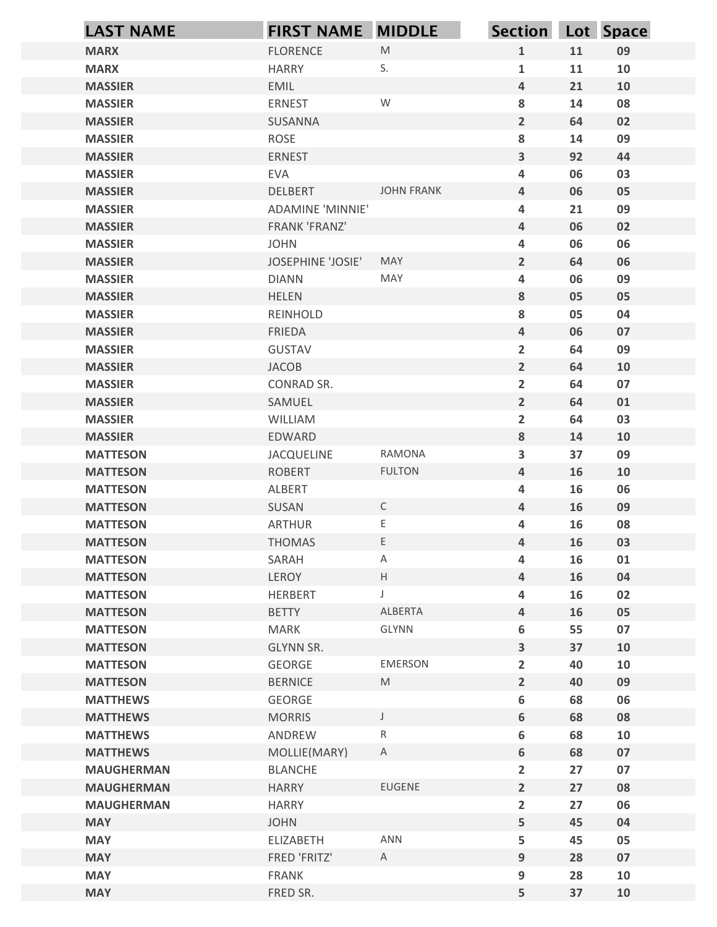| <b>LAST NAME</b>                   | <b>FIRST NAME MIDDLE</b>     |                   | Section Lot Space                |          |          |
|------------------------------------|------------------------------|-------------------|----------------------------------|----------|----------|
| <b>MARX</b>                        | <b>FLORENCE</b>              | M                 | $\mathbf{1}$                     | 11       | 09       |
| <b>MARX</b>                        | <b>HARRY</b>                 | S.                | $\mathbf{1}$                     | 11       | 10       |
| <b>MASSIER</b>                     | EMIL                         |                   | $\overline{4}$                   | 21       | 10       |
| <b>MASSIER</b>                     | ERNEST                       | W                 | 8                                | 14       | 08       |
| <b>MASSIER</b>                     | SUSANNA                      |                   | $\overline{2}$                   | 64       | 02       |
| <b>MASSIER</b>                     | ROSE                         |                   | ${\bf 8}$                        | 14       | 09       |
| <b>MASSIER</b>                     | <b>ERNEST</b>                |                   | $\overline{\mathbf{3}}$          | 92       | 44       |
| <b>MASSIER</b><br><b>MASSIER</b>   | <b>EVA</b><br><b>DELBERT</b> | <b>JOHN FRANK</b> | $\overline{a}$<br>$\overline{4}$ | 06<br>06 | 03<br>05 |
| <b>MASSIER</b>                     | <b>ADAMINE 'MINNIE'</b>      |                   | 4                                | 21       | 09       |
| <b>MASSIER</b>                     | FRANK 'FRANZ'                |                   | 4                                | 06       | 02       |
| <b>MASSIER</b>                     | <b>JOHN</b>                  |                   | 4                                | 06       | 06       |
| <b>MASSIER</b>                     | <b>JOSEPHINE 'JOSIE'</b>     | <b>MAY</b>        | $\overline{2}$                   | 64       | 06       |
| <b>MASSIER</b>                     | <b>DIANN</b>                 | MAY               | $\overline{a}$                   | 06       | 09       |
| <b>MASSIER</b>                     | <b>HELEN</b>                 |                   | 8                                | 05       | 05       |
| <b>MASSIER</b>                     | REINHOLD                     |                   | 8                                | 05       | 04       |
| <b>MASSIER</b>                     | FRIEDA                       |                   | $\overline{a}$                   | 06       | 07       |
| <b>MASSIER</b>                     | GUSTAV                       |                   | $\overline{2}$                   | 64       | 09       |
| <b>MASSIER</b>                     | JACOB                        |                   | $\overline{2}$                   | 64       | 10       |
| <b>MASSIER</b><br><b>MASSIER</b>   | CONRAD SR.<br>SAMUEL         |                   | $\overline{2}$<br>$\overline{2}$ | 64<br>64 | 07<br>01 |
| <b>MASSIER</b>                     | WILLIAM                      |                   | $\overline{2}$                   | 64       | 03       |
| <b>MASSIER</b>                     | EDWARD                       |                   | 8                                | 14       | 10       |
| <b>MATTESON</b>                    | JACQUELINE                   | RAMONA            | $\mathbf{3}$                     | 37       | 09       |
| <b>MATTESON</b>                    | ROBERT                       | <b>FULTON</b>     | $\overline{a}$                   | 16       | 10       |
| <b>MATTESON</b>                    | ALBERT                       |                   | 4                                | 16       | 06       |
| <b>MATTESON</b>                    | SUSAN                        | $\mathsf{C}$      | $\overline{a}$                   | 16       | 09       |
| <b>MATTESON</b>                    | ARTHUR                       | E,                | 4                                | 16       | 08       |
| <b>MATTESON</b>                    | <b>THOMAS</b>                | E,                | $\overline{a}$                   | 16       | 03       |
| <b>MATTESON</b>                    | SARAH                        | A                 | 4                                | 16       | 01       |
| <b>MATTESON</b>                    | LEROY                        | $\mathsf{H}^-$    | $\overline{a}$                   | 16       | 04       |
| <b>MATTESON</b>                    | HERBERT                      | J.                | 4                                | 16       | 02       |
| <b>MATTESON</b>                    | <b>BETTY</b>                 | ALBERTA<br>GLYNN  | 4                                | 16       | 05       |
| <b>MATTESON</b><br><b>MATTESON</b> | MARK<br>GLYNN SR.            |                   | 6<br>$\mathbf{3}$                | 55<br>37 | 07<br>10 |
| <b>MATTESON</b>                    | GEORGE                       | EMERSON           | $\overline{2}$                   | 40       | 10       |
| <b>MATTESON</b>                    | <b>BERNICE</b>               | M                 | $\overline{2}$                   | 40       | 09       |
| <b>MATTHEWS</b>                    | GEORGE                       |                   | 6                                | 68       | 06       |
| <b>MATTHEWS</b>                    | <b>MORRIS</b>                | $\mathsf{J}$      | 6                                | 68       | 08       |
| <b>MATTHEWS</b>                    | ANDREW                       | R                 | 6                                | 68       | 10       |
| <b>MATTHEWS</b>                    | MOLLIE(MARY)                 | $\mathsf{A}$      | 6                                | 68       | 07       |
| <b>MAUGHERMAN</b>                  | <b>BLANCHE</b>               |                   | $\overline{2}$                   | 27       | 07       |
| <b>MAUGHERMAN</b>                  | <b>HARRY</b>                 | EUGENE            | $\overline{2}$                   | 27       | 08       |
| <b>MAUGHERMAN</b>                  | <b>HARRY</b>                 |                   | $\overline{2}$                   | 27       | 06       |
| <b>MAY</b>                         | <b>JOHN</b>                  | ANN               | 5                                | 45       | 04       |
| <b>MAY</b><br><b>MAY</b>           | ELIZABETH<br>FRED 'FRITZ'    | A                 | 5<br>9                           | 45<br>28 | 05<br>07 |
| <b>MAY</b>                         | FRANK                        |                   | 9                                | 28       | 10       |
| <b>MAY</b>                         | FRED SR.                     |                   | 5                                | 37       | 10       |
|                                    |                              |                   |                                  |          |          |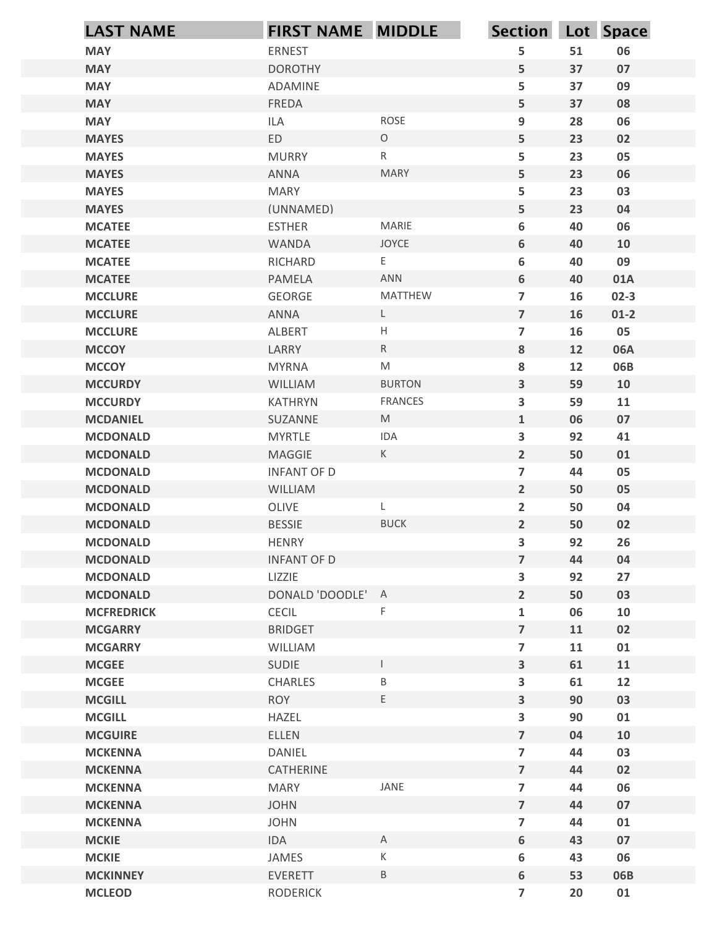| <b>LAST NAME</b>                   | <b>FIRST NAME MIDDLE</b>      |                                                                                                            | Section Lot Space                         |            |                  |
|------------------------------------|-------------------------------|------------------------------------------------------------------------------------------------------------|-------------------------------------------|------------|------------------|
| <b>MAY</b>                         | ERNEST                        |                                                                                                            | 5                                         | 51         | 06               |
| <b>MAY</b>                         | <b>DOROTHY</b>                |                                                                                                            | 5                                         | 37         | 07               |
| <b>MAY</b>                         | ADAMINE                       |                                                                                                            | 5                                         | 37         | 09               |
| <b>MAY</b>                         | FREDA                         |                                                                                                            | 5                                         | 37         | 08               |
| <b>MAY</b>                         | <b>ILA</b>                    | ROSE                                                                                                       | 9                                         | 28         | 06               |
| <b>MAYES</b>                       | ED                            | $\circ$                                                                                                    | 5                                         | 23         | 02               |
| <b>MAYES</b><br><b>MAYES</b>       | <b>MURRY</b><br><b>ANNA</b>   | $\mathsf{R}$<br><b>MARY</b>                                                                                | 5<br>5                                    | 23<br>23   | 05<br>06         |
| <b>MAYES</b>                       | <b>MARY</b>                   |                                                                                                            | 5                                         | 23         | 03               |
| <b>MAYES</b>                       | (UNNAMED)                     |                                                                                                            | 5                                         | 23         | 04               |
| <b>MCATEE</b>                      | <b>ESTHER</b>                 | <b>MARIE</b>                                                                                               | 6                                         | 40         | 06               |
| <b>MCATEE</b>                      | <b>WANDA</b>                  | <b>JOYCE</b>                                                                                               | 6                                         | 40         | 10               |
| <b>MCATEE</b>                      | RICHARD                       | E                                                                                                          | 6                                         | 40         | 09               |
| <b>MCATEE</b>                      | <b>PAMELA</b>                 | ANN                                                                                                        | 6                                         | 40         | 01A              |
| <b>MCCLURE</b><br><b>MCCLURE</b>   | GEORGE<br>ANNA                | MATTHEW<br>L                                                                                               | $\overline{7}$<br>$\overline{7}$          | 16<br>16   | $02-3$<br>$01-2$ |
| <b>MCCLURE</b>                     | ALBERT                        | $\mathsf{H}% _{\mathbb{R}}^{1}\left( \mathbb{R}^{2}\right)$                                                | $\overline{7}$                            | 16         | 05               |
| <b>MCCOY</b>                       | LARRY                         | $\mathsf{R}$                                                                                               | 8                                         | 12         | 06A              |
| <b>MCCOY</b>                       | <b>MYRNA</b>                  | $\mathsf{M}% _{T}=\mathsf{M}_{T}\!\left( a,b\right) ,\ \mathsf{M}_{T}=\mathsf{M}_{T}\!\left( a,b\right) ,$ | 8                                         | 12         | 06B              |
| <b>MCCURDY</b>                     | WILLIAM                       | <b>BURTON</b>                                                                                              | $\overline{\mathbf{3}}$                   | 59         | 10               |
| <b>MCCURDY</b>                     | KATHRYN                       | <b>FRANCES</b>                                                                                             | $\overline{\mathbf{3}}$                   | 59         | 11               |
| <b>MCDANIEL</b>                    | SUZANNE                       | M                                                                                                          | $\mathbf{1}$                              | 06         | 07               |
| <b>MCDONALD</b>                    | MYRTLE                        | IDA                                                                                                        | 3                                         | 92         | 41               |
| <b>MCDONALD</b>                    | MAGGIE                        | $\mathsf{K}$                                                                                               | $2^{\circ}$                               | 50         | 01               |
| <b>MCDONALD</b><br><b>MCDONALD</b> | <b>INFANT OF D</b><br>WILLIAM |                                                                                                            | $\overline{\mathbf{z}}$<br>$\overline{2}$ | 44<br>50   | 05<br>05         |
| <b>MCDONALD</b>                    | OLIVE                         | L                                                                                                          | $\overline{2}$                            | 50         | 04               |
| <b>MCDONALD</b>                    | <b>BESSIE</b>                 | <b>BUCK</b>                                                                                                | $2^{\circ}$                               | 50         | 02               |
| <b>MCDONALD</b>                    | <b>HENRY</b>                  |                                                                                                            | $\overline{\mathbf{3}}$                   | 92         | 26               |
| <b>MCDONALD</b>                    | <b>INFANT OF D</b>            |                                                                                                            | $\overline{\mathbf{z}}$                   | 44         | 04               |
| <b>MCDONALD</b>                    | LIZZIE                        |                                                                                                            | $\overline{\mathbf{3}}$                   | 92         | 27               |
| <b>MCDONALD</b>                    | DONALD 'DOODLE' A             |                                                                                                            | $\overline{2}$                            | 50         | 03               |
| <b>MCFREDRICK</b>                  | CECIL                         | $\mathsf F$                                                                                                | $\mathbf{1}$                              | 06         | 10               |
| <b>MCGARRY</b>                     | <b>BRIDGET</b>                |                                                                                                            | $\overline{7}$                            | 11         | 02               |
| <b>MCGARRY</b>                     | WILLIAM                       |                                                                                                            | $\overline{\mathbf{z}}$                   | ${\bf 11}$ | 01               |
| <b>MCGEE</b>                       | SUDIE<br>CHARLES              | $\mathbf{I}$                                                                                               | $\overline{\mathbf{3}}$                   | 61         | 11               |
| <b>MCGEE</b><br><b>MCGILL</b>      | <b>ROY</b>                    | $\mathsf B$<br>E                                                                                           | 3<br>$\overline{\mathbf{3}}$              | 61<br>90   | 12<br>03         |
| <b>MCGILL</b>                      | HAZEL                         |                                                                                                            | $\overline{\mathbf{3}}$                   | 90         | 01               |
| <b>MCGUIRE</b>                     | ELLEN                         |                                                                                                            | $\overline{\mathbf{z}}$                   | 04         | 10               |
| <b>MCKENNA</b>                     | DANIEL                        |                                                                                                            | $\overline{\mathbf{z}}$                   | 44         | 03               |
| <b>MCKENNA</b>                     | CATHERINE                     |                                                                                                            | $\overline{7}$                            | 44         | 02               |
| <b>MCKENNA</b>                     | MARY                          | JANE                                                                                                       | $\overline{\mathbf{z}}$                   | 44         | 06               |
| <b>MCKENNA</b>                     | <b>JOHN</b>                   |                                                                                                            | $\overline{7}$                            | 44         | 07               |
| <b>MCKENNA</b>                     | <b>JOHN</b>                   |                                                                                                            | $\overline{7}$                            | 44         | 01               |
| <b>MCKIE</b>                       | IDA                           | $\mathsf{A}$                                                                                               | 6                                         | 43         | 07               |
| <b>MCKIE</b><br><b>MCKINNEY</b>    | JAMES<br>EVERETT              | $\mathsf K$<br>$\sf B$                                                                                     | 6                                         | 43<br>53   | 06<br>06B        |
| <b>MCLEOD</b>                      | <b>RODERICK</b>               |                                                                                                            | 6<br>$\overline{7}$                       | ${\bf 20}$ | 01               |
|                                    |                               |                                                                                                            |                                           |            |                  |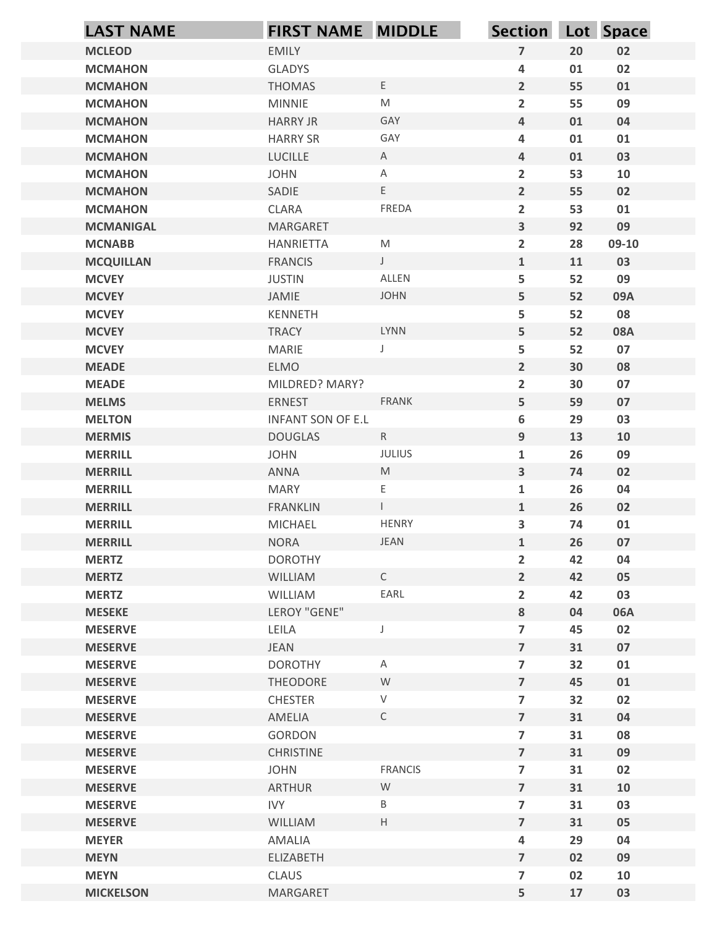| <b>MCLEOD</b><br><b>MCMAHON</b><br><b>MCMAHON</b><br><b>MCMAHON</b> | EMILY                           |                   |                                                    | Section Lot Space |                  |
|---------------------------------------------------------------------|---------------------------------|-------------------|----------------------------------------------------|-------------------|------------------|
|                                                                     |                                 |                   | $\boldsymbol{7}$                                   | 20                | 02               |
|                                                                     | <b>GLADYS</b>                   |                   | $\overline{\mathbf{r}}$                            | 01                | 02               |
|                                                                     | <b>THOMAS</b>                   | $\mathsf{E}$      | $\overline{2}$                                     | 55                | 01               |
|                                                                     | <b>MINNIE</b>                   | M                 | $\overline{2}$                                     | 55                | 09               |
| <b>MCMAHON</b>                                                      | <b>HARRY JR</b>                 | GAY               | $\overline{\mathbf{4}}$                            | 01                | 04               |
| <b>MCMAHON</b>                                                      | <b>HARRY SR</b>                 | GAY               | $\overline{\mathbf{r}}$                            | 01                | 01               |
| <b>MCMAHON</b><br><b>MCMAHON</b>                                    | LUCILLE<br><b>JOHN</b>          | $\mathsf{A}$<br>A | $\overline{\mathbf{4}}$<br>$\overline{\mathbf{2}}$ | 01<br>53          | 03<br>10         |
| <b>MCMAHON</b>                                                      | SADIE                           | E                 | $\overline{2}$                                     | 55                | 02               |
| <b>MCMAHON</b>                                                      | CLARA                           | FREDA             | $\overline{2}$                                     | 53                | 01               |
| <b>MCMANIGAL</b>                                                    | MARGARET                        |                   | $\mathbf{3}$                                       | 92                | 09               |
| <b>MCNABB</b>                                                       | HANRIETTA                       | M                 | $\overline{2}$                                     | 28                | 09-10            |
| <b>MCQUILLAN</b>                                                    | <b>FRANCIS</b>                  | $\mathsf J$       | $\mathbf 1$                                        | 11                | 03               |
| <b>MCVEY</b>                                                        | <b>JUSTIN</b>                   | ALLEN             | 5                                                  | 52                | 09               |
| <b>MCVEY</b>                                                        | JAMIE                           | <b>JOHN</b>       | 5                                                  | 52                | 09A              |
| <b>MCVEY</b>                                                        | KENNETH                         | LYNN              | 5                                                  | 52                | 08               |
| <b>MCVEY</b><br><b>MCVEY</b>                                        | <b>TRACY</b><br>MARIE           | J                 | 5<br>5                                             | 52<br>52          | <b>08A</b><br>07 |
| <b>MEADE</b>                                                        | ELMO                            |                   | $\overline{2}$                                     | 30                | 08               |
| <b>MEADE</b>                                                        | MILDRED? MARY?                  |                   | $\overline{2}$                                     | 30                | 07               |
| <b>MELMS</b>                                                        | ERNEST                          | FRANK             | 5                                                  | 59                | 07               |
| <b>MELTON</b>                                                       | INFANT SON OF E.L               |                   | 6                                                  | 29                | 03               |
| <b>MERMIS</b>                                                       | <b>DOUGLAS</b>                  | R                 | $\boldsymbol{9}$                                   | 13                | 10               |
| <b>MERRILL</b>                                                      | <b>JOHN</b>                     | <b>JULIUS</b>     | $\mathbf{1}$                                       | 26                | 09               |
| <b>MERRILL</b>                                                      | ANNA                            | M                 | $\mathbf{3}$                                       | 74                | 02               |
| <b>MERRILL</b>                                                      | <b>MARY</b>                     | E.                | $\mathbf{1}$                                       | 26                | 04               |
| <b>MERRILL</b>                                                      | FRANKLIN                        | $\mathbb{R}^n$    | $\mathbf{1}$                                       | 26                | 02               |
| <b>MERRILL</b>                                                      | MICHAEL                         | <b>HENRY</b>      | $\mathbf{3}$                                       | 74                | 01               |
| <b>MERRILL</b><br><b>MERTZ</b>                                      | <b>NORA</b><br><b>DOROTHY</b>   | JEAN              | $\mathbf{1}$                                       | 26<br>42          | 07<br>04         |
| <b>MERTZ</b>                                                        | WILLIAM                         | $\mathsf{C}$      | $\overline{2}$<br>$\overline{2}$                   | 42                | 05               |
| <b>MERTZ</b>                                                        | WILLIAM                         | EARL              | $\overline{2}$                                     | 42                | 03               |
| <b>MESEKE</b>                                                       | LEROY "GENE"                    |                   | 8                                                  | 04                | 06A              |
| <b>MESERVE</b>                                                      | LEILA                           | $\int$            | $\overline{7}$                                     | 45                | 02               |
| <b>MESERVE</b>                                                      | JEAN                            |                   | $\overline{7}$                                     | 31                | 07               |
| <b>MESERVE</b>                                                      | <b>DOROTHY</b>                  | $\mathsf{A}$      | $\overline{7}$                                     | 32                | 01               |
| <b>MESERVE</b>                                                      | THEODORE                        | W                 | $\overline{7}$                                     | 45                | 01               |
| <b>MESERVE</b>                                                      | CHESTER                         | $\vee$            | $\overline{7}$                                     | 32                | 02               |
| <b>MESERVE</b>                                                      | AMELIA                          | $\mathsf{C}$      | $\overline{7}$                                     | 31                | 04               |
| <b>MESERVE</b>                                                      | GORDON                          |                   | $\overline{7}$                                     | 31                | 08               |
| <b>MESERVE</b><br><b>MESERVE</b>                                    | <b>CHRISTINE</b><br><b>JOHN</b> | <b>FRANCIS</b>    | $\overline{7}$<br>$\overline{7}$                   | 31<br>31          | 09<br>02         |
| <b>MESERVE</b>                                                      | ARTHUR                          | W                 | $\overline{7}$                                     | 31                | 10               |
| <b>MESERVE</b>                                                      | <b>IVY</b>                      | B                 | $\overline{7}$                                     | 31                | 03               |
| <b>MESERVE</b>                                                      | WILLIAM                         | H                 | $\overline{7}$                                     | 31                | 05               |
| <b>MEYER</b>                                                        | AMALIA                          |                   | $\pmb{4}$                                          | 29                | 04               |
| <b>MEYN</b>                                                         | ELIZABETH                       |                   | $\overline{7}$                                     | 02                | 09               |
| <b>MEYN</b>                                                         | CLAUS                           |                   | $\overline{\mathbf{z}}$                            | 02                | 10               |
| <b>MICKELSON</b>                                                    | MARGARET                        |                   | 5                                                  | 17                | 03               |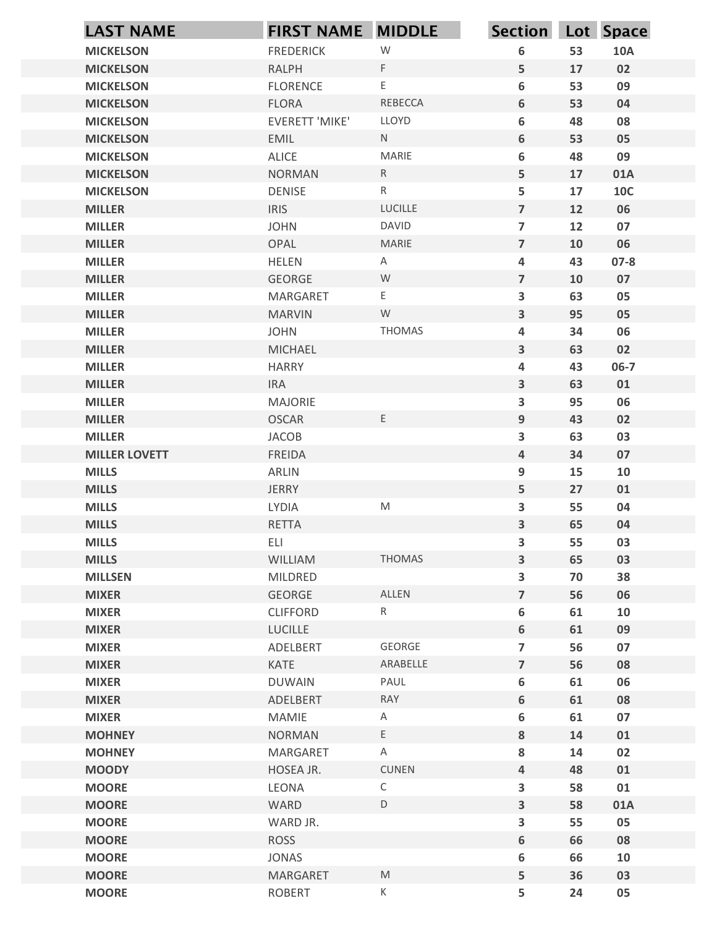| <b>LAST NAME</b>                     | FIRST NAME MIDDLE         |                    | Section Lot Space                                  |          |            |
|--------------------------------------|---------------------------|--------------------|----------------------------------------------------|----------|------------|
| <b>MICKELSON</b>                     | <b>FREDERICK</b>          | ${\mathsf W}$      | 6                                                  | 53       | <b>10A</b> |
| <b>MICKELSON</b>                     | <b>RALPH</b>              | F                  | 5                                                  | 17       | 02         |
| <b>MICKELSON</b>                     | <b>FLORENCE</b>           | E                  | 6                                                  | 53       | 09         |
| <b>MICKELSON</b>                     | <b>FLORA</b>              | REBECCA            | 6                                                  | 53       | 04         |
| <b>MICKELSON</b>                     | EVERETT 'MIKE'            | LLOYD<br>N         | 6                                                  | 48       | 08         |
| <b>MICKELSON</b><br><b>MICKELSON</b> | <b>EMIL</b><br>ALICE      | MARIE              | 6<br>6                                             | 53<br>48 | 05<br>09   |
| <b>MICKELSON</b>                     | <b>NORMAN</b>             | $\mathsf{R}$       | 5                                                  | 17       | 01A        |
| <b>MICKELSON</b>                     | <b>DENISE</b>             | $R_{\parallel}$    | 5                                                  | 17       | <b>10C</b> |
| <b>MILLER</b>                        | <b>IRIS</b>               | LUCILLE            | $\overline{7}$                                     | 12       | 06         |
| <b>MILLER</b>                        | <b>JOHN</b>               | <b>DAVID</b>       | $\overline{7}$                                     | 12       | 07         |
| <b>MILLER</b>                        | OPAL                      | <b>MARIE</b>       | $\overline{7}$                                     | 10       | 06         |
| <b>MILLER</b>                        | <b>HELEN</b>              | A                  | 4                                                  | 43       | $07 - 8$   |
| <b>MILLER</b>                        | GEORGE                    | W                  | $\overline{7}$                                     | 10       | 07         |
| <b>MILLER</b><br><b>MILLER</b>       | MARGARET<br><b>MARVIN</b> | E<br>${\mathsf W}$ | $\overline{\mathbf{3}}$<br>$\overline{\mathbf{3}}$ | 63<br>95 | 05<br>05   |
| <b>MILLER</b>                        | <b>JOHN</b>               | THOMAS             | 4                                                  | 34       | 06         |
| <b>MILLER</b>                        | MICHAEL                   |                    | $\overline{\mathbf{3}}$                            | 63       | 02         |
| <b>MILLER</b>                        | <b>HARRY</b>              |                    | 4                                                  | 43       | $06 - 7$   |
| <b>MILLER</b>                        | <b>IRA</b>                |                    | $\mathbf{3}$                                       | 63       | 01         |
| <b>MILLER</b>                        | MAJORIE                   |                    | $\overline{\mathbf{3}}$                            | 95       | 06         |
| <b>MILLER</b>                        | <b>OSCAR</b>              | $\mathsf E$        | 9                                                  | 43       | 02         |
| <b>MILLER</b>                        | JACOB                     |                    | $\mathbf{3}$                                       | 63       | 03         |
| <b>MILLER LOVETT</b><br><b>MILLS</b> | FREIDA<br>ARLIN           |                    | $\overline{a}$                                     | 34<br>15 | 07<br>10   |
| <b>MILLS</b>                         | <b>JERRY</b>              |                    | 9<br>5                                             | 27       | 01         |
| <b>MILLS</b>                         | LYDIA                     | ${\sf M}$          | $\overline{\mathbf{3}}$                            | 55       | 04         |
| <b>MILLS</b>                         | RETTA                     |                    | $\overline{\mathbf{3}}$                            | 65       | 04         |
| <b>MILLS</b>                         | ELI                       |                    | $\overline{\mathbf{3}}$                            | 55       | 03         |
| <b>MILLS</b>                         | WILLIAM                   | <b>THOMAS</b>      | $\overline{\mathbf{3}}$                            | 65       | 03         |
| <b>MILLSEN</b>                       | MILDRED                   |                    | $\mathbf{3}$                                       | 70       | 38         |
| <b>MIXER</b>                         | GEORGE                    | ALLEN              | $\overline{\mathbf{z}}$                            | 56       | 06         |
| <b>MIXER</b>                         | <b>CLIFFORD</b>           | $R_{\parallel}$    | $\bf 6$                                            | 61       | 10         |
| <b>MIXER</b>                         | LUCILLE                   |                    | 6                                                  | 61       | 09         |
| <b>MIXER</b><br><b>MIXER</b>         | ADELBERT<br>KATE          | GEORGE<br>ARABELLE | $\overline{7}$<br>$\overline{7}$                   | 56<br>56 | 07<br>08   |
| <b>MIXER</b>                         | <b>DUWAIN</b>             | PAUL               | $\bf 6$                                            | 61       | 06         |
| <b>MIXER</b>                         | ADELBERT                  | RAY                | 6                                                  | 61       | 08         |
| <b>MIXER</b>                         | MAMIE                     | $\mathsf{A}$       | $\bf 6$                                            | 61       | 07         |
| <b>MOHNEY</b>                        | <b>NORMAN</b>             | E                  | 8                                                  | 14       | 01         |
| <b>MOHNEY</b>                        | MARGARET                  | $\mathsf{A}$       | 8                                                  | 14       | 02         |
| <b>MOODY</b>                         | HOSEA JR.                 | CUNEN              | $\overline{4}$                                     | 48       | 01         |
| <b>MOORE</b>                         | LEONA                     | $\mathsf{C}$       | $\overline{\mathbf{3}}$                            | 58       | 01         |
| <b>MOORE</b>                         | WARD                      | D                  | $\overline{\mathbf{3}}$                            | 58       | 01A        |
| <b>MOORE</b>                         | WARD JR.                  |                    | $\mathbf{3}$                                       | 55       | 05         |
| <b>MOORE</b><br><b>MOORE</b>         | ROSS<br>JONAS             |                    | 6<br>6                                             | 66<br>66 | 08<br>10   |
| <b>MOORE</b>                         | MARGARET                  | M                  | 5                                                  | 36       | 03         |
| <b>MOORE</b>                         | ROBERT                    | K                  | 5                                                  | 24       | 05         |
|                                      |                           |                    |                                                    |          |            |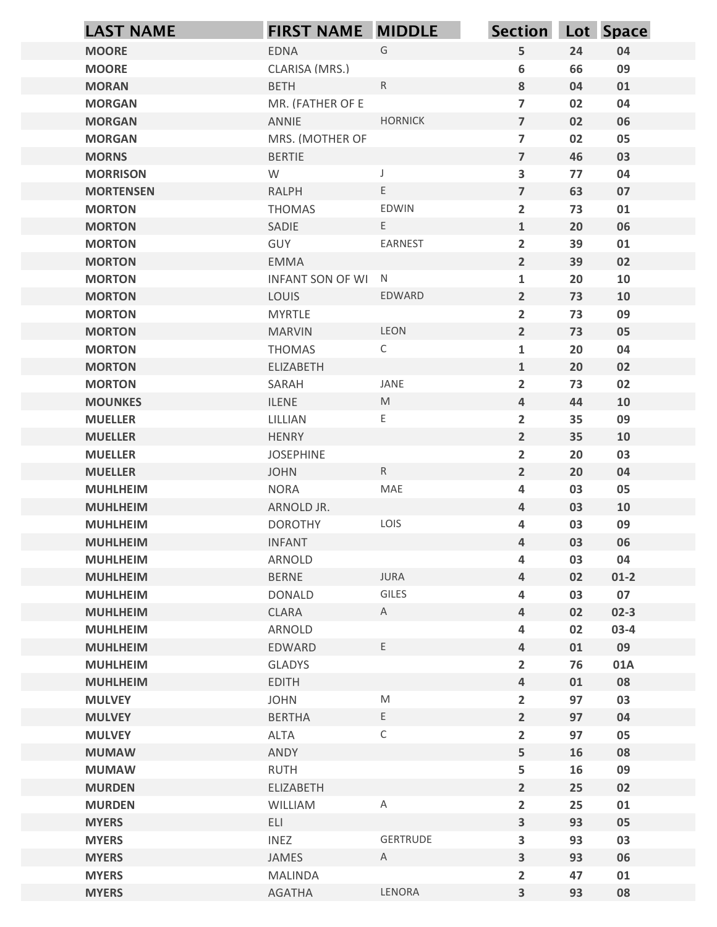| G<br>5<br>24<br><b>MOORE</b><br>EDNA<br>04<br>CLARISA (MRS.)<br>6<br>66<br>09<br><b>MOORE</b><br>${\sf R}$<br>8<br><b>BETH</b><br>04<br>01<br><b>MORAN</b><br>MR. (FATHER OF E<br>$\overline{7}$<br>02<br>04<br><b>MORGAN</b><br><b>HORNICK</b><br>$\overline{7}$<br>ANNIE<br>02<br>06<br><b>MORGAN</b><br>$\overline{7}$<br>MRS. (MOTHER OF<br>02<br>05<br><b>MORGAN</b><br>$\overline{7}$<br>46<br><b>MORNS</b><br><b>BERTIE</b><br>03<br>W<br>3<br>77<br>04<br><b>MORRISON</b><br>E<br>$\overline{7}$<br><b>RALPH</b><br>63<br>07<br><b>MORTENSEN</b><br>EDWIN<br>$\overline{2}$<br>73<br><b>MORTON</b><br><b>THOMAS</b><br>01<br>E<br>$\mathbf{1}$<br>20<br>06<br><b>MORTON</b><br>SADIE<br>EARNEST<br>GUY<br>$\overline{2}$<br><b>MORTON</b><br>39<br>01<br>$2^{\circ}$<br><b>EMMA</b><br>39<br>02<br><b>MORTON</b><br>$\mathbf{1}$<br>20<br><b>MORTON</b><br>INFANT SON OF WI N<br>10<br><b>MORTON</b><br>LOUIS<br>EDWARD<br>$\overline{2}$<br>73<br>10<br>09<br><b>MORTON</b><br><b>MYRTLE</b><br>$\overline{2}$<br>73<br>LEON<br>$2^{\circ}$<br>73<br>05<br><b>MORTON</b><br><b>MARVIN</b><br><b>MORTON</b><br><b>THOMAS</b><br>$\mathsf{C}$<br>20<br>04<br>$\mathbf{1}$<br>$\mathbf{1}$<br>ELIZABETH<br>20<br>02<br><b>MORTON</b><br><b>MORTON</b><br>JANE<br>$\overline{2}$<br>73<br>02<br>SARAH<br>$\mathsf{M}% _{T}=\mathsf{M}_{T}\!\left( a,b\right) ,\ \mathsf{M}_{T}=\mathsf{M}_{T}\!\left( a,b\right) ,$<br>$\overline{4}$<br>44<br>ILENE<br>10<br><b>MOUNKES</b><br><b>MUELLER</b><br>LILLIAN<br>E<br>$\overline{2}$<br>35<br>09<br>$2^{\circ}$<br><b>MUELLER</b><br>HENRY<br>35<br>10<br>JOSEPHINE<br>$\overline{2}$<br>20<br>03<br><b>MUELLER</b><br>$\mathsf R$<br>$2^{\circ}$<br>20<br><b>MUELLER</b><br><b>JOHN</b><br>04<br>MAE<br><b>NORA</b><br>03<br>05<br><b>MUHLHEIM</b><br>4<br>$\overline{4}$<br>03<br>ARNOLD JR.<br>10<br><b>MUHLHEIM</b><br>LOIS<br>09<br><b>DOROTHY</b><br>03<br><b>MUHLHEIM</b><br>4<br>$\overline{4}$<br>03<br>06<br><b>MUHLHEIM</b><br><b>INFANT</b><br>ARNOLD<br>03<br>04<br><b>MUHLHEIM</b><br>4<br>JURA<br>$\overline{a}$<br>02<br><b>BERNE</b><br>$01-2$<br><b>MUHLHEIM</b><br>GILES<br>03<br>07<br><b>MUHLHEIM</b><br><b>DONALD</b><br>4<br>CLARA<br>$\overline{4}$<br>02<br>$02 - 3$<br><b>MUHLHEIM</b><br>$\mathsf{A}$<br>ARNOLD<br>02<br>$03-4$<br><b>MUHLHEIM</b><br>4<br>$\mathsf{E}$<br>EDWARD<br>$\overline{4}$<br>01<br>09<br><b>MUHLHEIM</b><br>$\overline{2}$<br>76<br><b>MUHLHEIM</b><br>GLADYS<br>01A<br><b>EDITH</b><br>$\overline{4}$<br>01<br>08<br><b>MUHLHEIM</b><br><b>JOHN</b><br>${\sf M}$<br>$\overline{2}$<br>97<br>03<br><b>MULVEY</b><br>E<br>$\overline{2}$<br>97<br><b>MULVEY</b><br><b>BERTHA</b><br>04<br>$\mathsf C$<br>$\overline{2}$<br>ALTA<br>97<br>05<br><b>MULVEY</b><br>5<br><b>MUMAW</b><br>ANDY<br>16<br>08<br>RUTH<br>09<br><b>MUMAW</b><br>5<br>16<br>$2^{\circ}$<br>25<br><b>MURDEN</b><br>ELIZABETH<br>02<br>$\overline{2}$<br>25<br><b>MURDEN</b><br>WILLIAM<br>Α<br>01<br>ELI<br><b>MYERS</b><br>$\overline{\mathbf{3}}$<br>93<br>05<br><b>INEZ</b><br>GERTRUDE<br>$\overline{\mathbf{3}}$<br>93<br>03<br><b>MYERS</b> | <b>LAST NAME</b> | <b>FIRST NAME MIDDLE</b> |              | Section Lot Space |    |    |
|-----------------------------------------------------------------------------------------------------------------------------------------------------------------------------------------------------------------------------------------------------------------------------------------------------------------------------------------------------------------------------------------------------------------------------------------------------------------------------------------------------------------------------------------------------------------------------------------------------------------------------------------------------------------------------------------------------------------------------------------------------------------------------------------------------------------------------------------------------------------------------------------------------------------------------------------------------------------------------------------------------------------------------------------------------------------------------------------------------------------------------------------------------------------------------------------------------------------------------------------------------------------------------------------------------------------------------------------------------------------------------------------------------------------------------------------------------------------------------------------------------------------------------------------------------------------------------------------------------------------------------------------------------------------------------------------------------------------------------------------------------------------------------------------------------------------------------------------------------------------------------------------------------------------------------------------------------------------------------------------------------------------------------------------------------------------------------------------------------------------------------------------------------------------------------------------------------------------------------------------------------------------------------------------------------------------------------------------------------------------------------------------------------------------------------------------------------------------------------------------------------------------------------------------------------------------------------------------------------------------------------------------------------------------------------------------------------------------------------------------------------------------------------------------------------------------------------------------------------------------------------------------------------------------------------------------------------------------------------------------------------------------------------------------------------------------------------------------------------------------------------|------------------|--------------------------|--------------|-------------------|----|----|
|                                                                                                                                                                                                                                                                                                                                                                                                                                                                                                                                                                                                                                                                                                                                                                                                                                                                                                                                                                                                                                                                                                                                                                                                                                                                                                                                                                                                                                                                                                                                                                                                                                                                                                                                                                                                                                                                                                                                                                                                                                                                                                                                                                                                                                                                                                                                                                                                                                                                                                                                                                                                                                                                                                                                                                                                                                                                                                                                                                                                                                                                                                                             |                  |                          |              |                   |    |    |
|                                                                                                                                                                                                                                                                                                                                                                                                                                                                                                                                                                                                                                                                                                                                                                                                                                                                                                                                                                                                                                                                                                                                                                                                                                                                                                                                                                                                                                                                                                                                                                                                                                                                                                                                                                                                                                                                                                                                                                                                                                                                                                                                                                                                                                                                                                                                                                                                                                                                                                                                                                                                                                                                                                                                                                                                                                                                                                                                                                                                                                                                                                                             |                  |                          |              |                   |    |    |
|                                                                                                                                                                                                                                                                                                                                                                                                                                                                                                                                                                                                                                                                                                                                                                                                                                                                                                                                                                                                                                                                                                                                                                                                                                                                                                                                                                                                                                                                                                                                                                                                                                                                                                                                                                                                                                                                                                                                                                                                                                                                                                                                                                                                                                                                                                                                                                                                                                                                                                                                                                                                                                                                                                                                                                                                                                                                                                                                                                                                                                                                                                                             |                  |                          |              |                   |    |    |
|                                                                                                                                                                                                                                                                                                                                                                                                                                                                                                                                                                                                                                                                                                                                                                                                                                                                                                                                                                                                                                                                                                                                                                                                                                                                                                                                                                                                                                                                                                                                                                                                                                                                                                                                                                                                                                                                                                                                                                                                                                                                                                                                                                                                                                                                                                                                                                                                                                                                                                                                                                                                                                                                                                                                                                                                                                                                                                                                                                                                                                                                                                                             |                  |                          |              |                   |    |    |
|                                                                                                                                                                                                                                                                                                                                                                                                                                                                                                                                                                                                                                                                                                                                                                                                                                                                                                                                                                                                                                                                                                                                                                                                                                                                                                                                                                                                                                                                                                                                                                                                                                                                                                                                                                                                                                                                                                                                                                                                                                                                                                                                                                                                                                                                                                                                                                                                                                                                                                                                                                                                                                                                                                                                                                                                                                                                                                                                                                                                                                                                                                                             |                  |                          |              |                   |    |    |
|                                                                                                                                                                                                                                                                                                                                                                                                                                                                                                                                                                                                                                                                                                                                                                                                                                                                                                                                                                                                                                                                                                                                                                                                                                                                                                                                                                                                                                                                                                                                                                                                                                                                                                                                                                                                                                                                                                                                                                                                                                                                                                                                                                                                                                                                                                                                                                                                                                                                                                                                                                                                                                                                                                                                                                                                                                                                                                                                                                                                                                                                                                                             |                  |                          |              |                   |    |    |
|                                                                                                                                                                                                                                                                                                                                                                                                                                                                                                                                                                                                                                                                                                                                                                                                                                                                                                                                                                                                                                                                                                                                                                                                                                                                                                                                                                                                                                                                                                                                                                                                                                                                                                                                                                                                                                                                                                                                                                                                                                                                                                                                                                                                                                                                                                                                                                                                                                                                                                                                                                                                                                                                                                                                                                                                                                                                                                                                                                                                                                                                                                                             |                  |                          |              |                   |    |    |
|                                                                                                                                                                                                                                                                                                                                                                                                                                                                                                                                                                                                                                                                                                                                                                                                                                                                                                                                                                                                                                                                                                                                                                                                                                                                                                                                                                                                                                                                                                                                                                                                                                                                                                                                                                                                                                                                                                                                                                                                                                                                                                                                                                                                                                                                                                                                                                                                                                                                                                                                                                                                                                                                                                                                                                                                                                                                                                                                                                                                                                                                                                                             |                  |                          |              |                   |    |    |
|                                                                                                                                                                                                                                                                                                                                                                                                                                                                                                                                                                                                                                                                                                                                                                                                                                                                                                                                                                                                                                                                                                                                                                                                                                                                                                                                                                                                                                                                                                                                                                                                                                                                                                                                                                                                                                                                                                                                                                                                                                                                                                                                                                                                                                                                                                                                                                                                                                                                                                                                                                                                                                                                                                                                                                                                                                                                                                                                                                                                                                                                                                                             |                  |                          |              |                   |    |    |
|                                                                                                                                                                                                                                                                                                                                                                                                                                                                                                                                                                                                                                                                                                                                                                                                                                                                                                                                                                                                                                                                                                                                                                                                                                                                                                                                                                                                                                                                                                                                                                                                                                                                                                                                                                                                                                                                                                                                                                                                                                                                                                                                                                                                                                                                                                                                                                                                                                                                                                                                                                                                                                                                                                                                                                                                                                                                                                                                                                                                                                                                                                                             |                  |                          |              |                   |    |    |
|                                                                                                                                                                                                                                                                                                                                                                                                                                                                                                                                                                                                                                                                                                                                                                                                                                                                                                                                                                                                                                                                                                                                                                                                                                                                                                                                                                                                                                                                                                                                                                                                                                                                                                                                                                                                                                                                                                                                                                                                                                                                                                                                                                                                                                                                                                                                                                                                                                                                                                                                                                                                                                                                                                                                                                                                                                                                                                                                                                                                                                                                                                                             |                  |                          |              |                   |    |    |
|                                                                                                                                                                                                                                                                                                                                                                                                                                                                                                                                                                                                                                                                                                                                                                                                                                                                                                                                                                                                                                                                                                                                                                                                                                                                                                                                                                                                                                                                                                                                                                                                                                                                                                                                                                                                                                                                                                                                                                                                                                                                                                                                                                                                                                                                                                                                                                                                                                                                                                                                                                                                                                                                                                                                                                                                                                                                                                                                                                                                                                                                                                                             |                  |                          |              |                   |    |    |
|                                                                                                                                                                                                                                                                                                                                                                                                                                                                                                                                                                                                                                                                                                                                                                                                                                                                                                                                                                                                                                                                                                                                                                                                                                                                                                                                                                                                                                                                                                                                                                                                                                                                                                                                                                                                                                                                                                                                                                                                                                                                                                                                                                                                                                                                                                                                                                                                                                                                                                                                                                                                                                                                                                                                                                                                                                                                                                                                                                                                                                                                                                                             |                  |                          |              |                   |    |    |
|                                                                                                                                                                                                                                                                                                                                                                                                                                                                                                                                                                                                                                                                                                                                                                                                                                                                                                                                                                                                                                                                                                                                                                                                                                                                                                                                                                                                                                                                                                                                                                                                                                                                                                                                                                                                                                                                                                                                                                                                                                                                                                                                                                                                                                                                                                                                                                                                                                                                                                                                                                                                                                                                                                                                                                                                                                                                                                                                                                                                                                                                                                                             |                  |                          |              |                   |    |    |
|                                                                                                                                                                                                                                                                                                                                                                                                                                                                                                                                                                                                                                                                                                                                                                                                                                                                                                                                                                                                                                                                                                                                                                                                                                                                                                                                                                                                                                                                                                                                                                                                                                                                                                                                                                                                                                                                                                                                                                                                                                                                                                                                                                                                                                                                                                                                                                                                                                                                                                                                                                                                                                                                                                                                                                                                                                                                                                                                                                                                                                                                                                                             |                  |                          |              |                   |    |    |
|                                                                                                                                                                                                                                                                                                                                                                                                                                                                                                                                                                                                                                                                                                                                                                                                                                                                                                                                                                                                                                                                                                                                                                                                                                                                                                                                                                                                                                                                                                                                                                                                                                                                                                                                                                                                                                                                                                                                                                                                                                                                                                                                                                                                                                                                                                                                                                                                                                                                                                                                                                                                                                                                                                                                                                                                                                                                                                                                                                                                                                                                                                                             |                  |                          |              |                   |    |    |
|                                                                                                                                                                                                                                                                                                                                                                                                                                                                                                                                                                                                                                                                                                                                                                                                                                                                                                                                                                                                                                                                                                                                                                                                                                                                                                                                                                                                                                                                                                                                                                                                                                                                                                                                                                                                                                                                                                                                                                                                                                                                                                                                                                                                                                                                                                                                                                                                                                                                                                                                                                                                                                                                                                                                                                                                                                                                                                                                                                                                                                                                                                                             |                  |                          |              |                   |    |    |
|                                                                                                                                                                                                                                                                                                                                                                                                                                                                                                                                                                                                                                                                                                                                                                                                                                                                                                                                                                                                                                                                                                                                                                                                                                                                                                                                                                                                                                                                                                                                                                                                                                                                                                                                                                                                                                                                                                                                                                                                                                                                                                                                                                                                                                                                                                                                                                                                                                                                                                                                                                                                                                                                                                                                                                                                                                                                                                                                                                                                                                                                                                                             |                  |                          |              |                   |    |    |
|                                                                                                                                                                                                                                                                                                                                                                                                                                                                                                                                                                                                                                                                                                                                                                                                                                                                                                                                                                                                                                                                                                                                                                                                                                                                                                                                                                                                                                                                                                                                                                                                                                                                                                                                                                                                                                                                                                                                                                                                                                                                                                                                                                                                                                                                                                                                                                                                                                                                                                                                                                                                                                                                                                                                                                                                                                                                                                                                                                                                                                                                                                                             |                  |                          |              |                   |    |    |
|                                                                                                                                                                                                                                                                                                                                                                                                                                                                                                                                                                                                                                                                                                                                                                                                                                                                                                                                                                                                                                                                                                                                                                                                                                                                                                                                                                                                                                                                                                                                                                                                                                                                                                                                                                                                                                                                                                                                                                                                                                                                                                                                                                                                                                                                                                                                                                                                                                                                                                                                                                                                                                                                                                                                                                                                                                                                                                                                                                                                                                                                                                                             |                  |                          |              |                   |    |    |
|                                                                                                                                                                                                                                                                                                                                                                                                                                                                                                                                                                                                                                                                                                                                                                                                                                                                                                                                                                                                                                                                                                                                                                                                                                                                                                                                                                                                                                                                                                                                                                                                                                                                                                                                                                                                                                                                                                                                                                                                                                                                                                                                                                                                                                                                                                                                                                                                                                                                                                                                                                                                                                                                                                                                                                                                                                                                                                                                                                                                                                                                                                                             |                  |                          |              |                   |    |    |
|                                                                                                                                                                                                                                                                                                                                                                                                                                                                                                                                                                                                                                                                                                                                                                                                                                                                                                                                                                                                                                                                                                                                                                                                                                                                                                                                                                                                                                                                                                                                                                                                                                                                                                                                                                                                                                                                                                                                                                                                                                                                                                                                                                                                                                                                                                                                                                                                                                                                                                                                                                                                                                                                                                                                                                                                                                                                                                                                                                                                                                                                                                                             |                  |                          |              |                   |    |    |
|                                                                                                                                                                                                                                                                                                                                                                                                                                                                                                                                                                                                                                                                                                                                                                                                                                                                                                                                                                                                                                                                                                                                                                                                                                                                                                                                                                                                                                                                                                                                                                                                                                                                                                                                                                                                                                                                                                                                                                                                                                                                                                                                                                                                                                                                                                                                                                                                                                                                                                                                                                                                                                                                                                                                                                                                                                                                                                                                                                                                                                                                                                                             |                  |                          |              |                   |    |    |
|                                                                                                                                                                                                                                                                                                                                                                                                                                                                                                                                                                                                                                                                                                                                                                                                                                                                                                                                                                                                                                                                                                                                                                                                                                                                                                                                                                                                                                                                                                                                                                                                                                                                                                                                                                                                                                                                                                                                                                                                                                                                                                                                                                                                                                                                                                                                                                                                                                                                                                                                                                                                                                                                                                                                                                                                                                                                                                                                                                                                                                                                                                                             |                  |                          |              |                   |    |    |
|                                                                                                                                                                                                                                                                                                                                                                                                                                                                                                                                                                                                                                                                                                                                                                                                                                                                                                                                                                                                                                                                                                                                                                                                                                                                                                                                                                                                                                                                                                                                                                                                                                                                                                                                                                                                                                                                                                                                                                                                                                                                                                                                                                                                                                                                                                                                                                                                                                                                                                                                                                                                                                                                                                                                                                                                                                                                                                                                                                                                                                                                                                                             |                  |                          |              |                   |    |    |
|                                                                                                                                                                                                                                                                                                                                                                                                                                                                                                                                                                                                                                                                                                                                                                                                                                                                                                                                                                                                                                                                                                                                                                                                                                                                                                                                                                                                                                                                                                                                                                                                                                                                                                                                                                                                                                                                                                                                                                                                                                                                                                                                                                                                                                                                                                                                                                                                                                                                                                                                                                                                                                                                                                                                                                                                                                                                                                                                                                                                                                                                                                                             |                  |                          |              |                   |    |    |
|                                                                                                                                                                                                                                                                                                                                                                                                                                                                                                                                                                                                                                                                                                                                                                                                                                                                                                                                                                                                                                                                                                                                                                                                                                                                                                                                                                                                                                                                                                                                                                                                                                                                                                                                                                                                                                                                                                                                                                                                                                                                                                                                                                                                                                                                                                                                                                                                                                                                                                                                                                                                                                                                                                                                                                                                                                                                                                                                                                                                                                                                                                                             |                  |                          |              |                   |    |    |
|                                                                                                                                                                                                                                                                                                                                                                                                                                                                                                                                                                                                                                                                                                                                                                                                                                                                                                                                                                                                                                                                                                                                                                                                                                                                                                                                                                                                                                                                                                                                                                                                                                                                                                                                                                                                                                                                                                                                                                                                                                                                                                                                                                                                                                                                                                                                                                                                                                                                                                                                                                                                                                                                                                                                                                                                                                                                                                                                                                                                                                                                                                                             |                  |                          |              |                   |    |    |
|                                                                                                                                                                                                                                                                                                                                                                                                                                                                                                                                                                                                                                                                                                                                                                                                                                                                                                                                                                                                                                                                                                                                                                                                                                                                                                                                                                                                                                                                                                                                                                                                                                                                                                                                                                                                                                                                                                                                                                                                                                                                                                                                                                                                                                                                                                                                                                                                                                                                                                                                                                                                                                                                                                                                                                                                                                                                                                                                                                                                                                                                                                                             |                  |                          |              |                   |    |    |
|                                                                                                                                                                                                                                                                                                                                                                                                                                                                                                                                                                                                                                                                                                                                                                                                                                                                                                                                                                                                                                                                                                                                                                                                                                                                                                                                                                                                                                                                                                                                                                                                                                                                                                                                                                                                                                                                                                                                                                                                                                                                                                                                                                                                                                                                                                                                                                                                                                                                                                                                                                                                                                                                                                                                                                                                                                                                                                                                                                                                                                                                                                                             |                  |                          |              |                   |    |    |
|                                                                                                                                                                                                                                                                                                                                                                                                                                                                                                                                                                                                                                                                                                                                                                                                                                                                                                                                                                                                                                                                                                                                                                                                                                                                                                                                                                                                                                                                                                                                                                                                                                                                                                                                                                                                                                                                                                                                                                                                                                                                                                                                                                                                                                                                                                                                                                                                                                                                                                                                                                                                                                                                                                                                                                                                                                                                                                                                                                                                                                                                                                                             |                  |                          |              |                   |    |    |
|                                                                                                                                                                                                                                                                                                                                                                                                                                                                                                                                                                                                                                                                                                                                                                                                                                                                                                                                                                                                                                                                                                                                                                                                                                                                                                                                                                                                                                                                                                                                                                                                                                                                                                                                                                                                                                                                                                                                                                                                                                                                                                                                                                                                                                                                                                                                                                                                                                                                                                                                                                                                                                                                                                                                                                                                                                                                                                                                                                                                                                                                                                                             |                  |                          |              |                   |    |    |
|                                                                                                                                                                                                                                                                                                                                                                                                                                                                                                                                                                                                                                                                                                                                                                                                                                                                                                                                                                                                                                                                                                                                                                                                                                                                                                                                                                                                                                                                                                                                                                                                                                                                                                                                                                                                                                                                                                                                                                                                                                                                                                                                                                                                                                                                                                                                                                                                                                                                                                                                                                                                                                                                                                                                                                                                                                                                                                                                                                                                                                                                                                                             |                  |                          |              |                   |    |    |
|                                                                                                                                                                                                                                                                                                                                                                                                                                                                                                                                                                                                                                                                                                                                                                                                                                                                                                                                                                                                                                                                                                                                                                                                                                                                                                                                                                                                                                                                                                                                                                                                                                                                                                                                                                                                                                                                                                                                                                                                                                                                                                                                                                                                                                                                                                                                                                                                                                                                                                                                                                                                                                                                                                                                                                                                                                                                                                                                                                                                                                                                                                                             |                  |                          |              |                   |    |    |
|                                                                                                                                                                                                                                                                                                                                                                                                                                                                                                                                                                                                                                                                                                                                                                                                                                                                                                                                                                                                                                                                                                                                                                                                                                                                                                                                                                                                                                                                                                                                                                                                                                                                                                                                                                                                                                                                                                                                                                                                                                                                                                                                                                                                                                                                                                                                                                                                                                                                                                                                                                                                                                                                                                                                                                                                                                                                                                                                                                                                                                                                                                                             |                  |                          |              |                   |    |    |
|                                                                                                                                                                                                                                                                                                                                                                                                                                                                                                                                                                                                                                                                                                                                                                                                                                                                                                                                                                                                                                                                                                                                                                                                                                                                                                                                                                                                                                                                                                                                                                                                                                                                                                                                                                                                                                                                                                                                                                                                                                                                                                                                                                                                                                                                                                                                                                                                                                                                                                                                                                                                                                                                                                                                                                                                                                                                                                                                                                                                                                                                                                                             |                  |                          |              |                   |    |    |
|                                                                                                                                                                                                                                                                                                                                                                                                                                                                                                                                                                                                                                                                                                                                                                                                                                                                                                                                                                                                                                                                                                                                                                                                                                                                                                                                                                                                                                                                                                                                                                                                                                                                                                                                                                                                                                                                                                                                                                                                                                                                                                                                                                                                                                                                                                                                                                                                                                                                                                                                                                                                                                                                                                                                                                                                                                                                                                                                                                                                                                                                                                                             |                  |                          |              |                   |    |    |
|                                                                                                                                                                                                                                                                                                                                                                                                                                                                                                                                                                                                                                                                                                                                                                                                                                                                                                                                                                                                                                                                                                                                                                                                                                                                                                                                                                                                                                                                                                                                                                                                                                                                                                                                                                                                                                                                                                                                                                                                                                                                                                                                                                                                                                                                                                                                                                                                                                                                                                                                                                                                                                                                                                                                                                                                                                                                                                                                                                                                                                                                                                                             |                  |                          |              |                   |    |    |
|                                                                                                                                                                                                                                                                                                                                                                                                                                                                                                                                                                                                                                                                                                                                                                                                                                                                                                                                                                                                                                                                                                                                                                                                                                                                                                                                                                                                                                                                                                                                                                                                                                                                                                                                                                                                                                                                                                                                                                                                                                                                                                                                                                                                                                                                                                                                                                                                                                                                                                                                                                                                                                                                                                                                                                                                                                                                                                                                                                                                                                                                                                                             |                  |                          |              |                   |    |    |
|                                                                                                                                                                                                                                                                                                                                                                                                                                                                                                                                                                                                                                                                                                                                                                                                                                                                                                                                                                                                                                                                                                                                                                                                                                                                                                                                                                                                                                                                                                                                                                                                                                                                                                                                                                                                                                                                                                                                                                                                                                                                                                                                                                                                                                                                                                                                                                                                                                                                                                                                                                                                                                                                                                                                                                                                                                                                                                                                                                                                                                                                                                                             |                  |                          |              |                   |    |    |
|                                                                                                                                                                                                                                                                                                                                                                                                                                                                                                                                                                                                                                                                                                                                                                                                                                                                                                                                                                                                                                                                                                                                                                                                                                                                                                                                                                                                                                                                                                                                                                                                                                                                                                                                                                                                                                                                                                                                                                                                                                                                                                                                                                                                                                                                                                                                                                                                                                                                                                                                                                                                                                                                                                                                                                                                                                                                                                                                                                                                                                                                                                                             |                  |                          |              |                   |    |    |
|                                                                                                                                                                                                                                                                                                                                                                                                                                                                                                                                                                                                                                                                                                                                                                                                                                                                                                                                                                                                                                                                                                                                                                                                                                                                                                                                                                                                                                                                                                                                                                                                                                                                                                                                                                                                                                                                                                                                                                                                                                                                                                                                                                                                                                                                                                                                                                                                                                                                                                                                                                                                                                                                                                                                                                                                                                                                                                                                                                                                                                                                                                                             |                  |                          |              |                   |    |    |
|                                                                                                                                                                                                                                                                                                                                                                                                                                                                                                                                                                                                                                                                                                                                                                                                                                                                                                                                                                                                                                                                                                                                                                                                                                                                                                                                                                                                                                                                                                                                                                                                                                                                                                                                                                                                                                                                                                                                                                                                                                                                                                                                                                                                                                                                                                                                                                                                                                                                                                                                                                                                                                                                                                                                                                                                                                                                                                                                                                                                                                                                                                                             | <b>MYERS</b>     | JAMES                    | $\mathsf{A}$ | $\mathbf{3}$      | 93 | 06 |
| $\overline{2}$<br><b>MYERS</b><br>MALINDA<br>47<br>01                                                                                                                                                                                                                                                                                                                                                                                                                                                                                                                                                                                                                                                                                                                                                                                                                                                                                                                                                                                                                                                                                                                                                                                                                                                                                                                                                                                                                                                                                                                                                                                                                                                                                                                                                                                                                                                                                                                                                                                                                                                                                                                                                                                                                                                                                                                                                                                                                                                                                                                                                                                                                                                                                                                                                                                                                                                                                                                                                                                                                                                                       |                  |                          |              |                   |    |    |
| $\overline{\mathbf{3}}$<br>LENORA<br>93<br>08<br><b>MYERS</b><br><b>AGATHA</b>                                                                                                                                                                                                                                                                                                                                                                                                                                                                                                                                                                                                                                                                                                                                                                                                                                                                                                                                                                                                                                                                                                                                                                                                                                                                                                                                                                                                                                                                                                                                                                                                                                                                                                                                                                                                                                                                                                                                                                                                                                                                                                                                                                                                                                                                                                                                                                                                                                                                                                                                                                                                                                                                                                                                                                                                                                                                                                                                                                                                                                              |                  |                          |              |                   |    |    |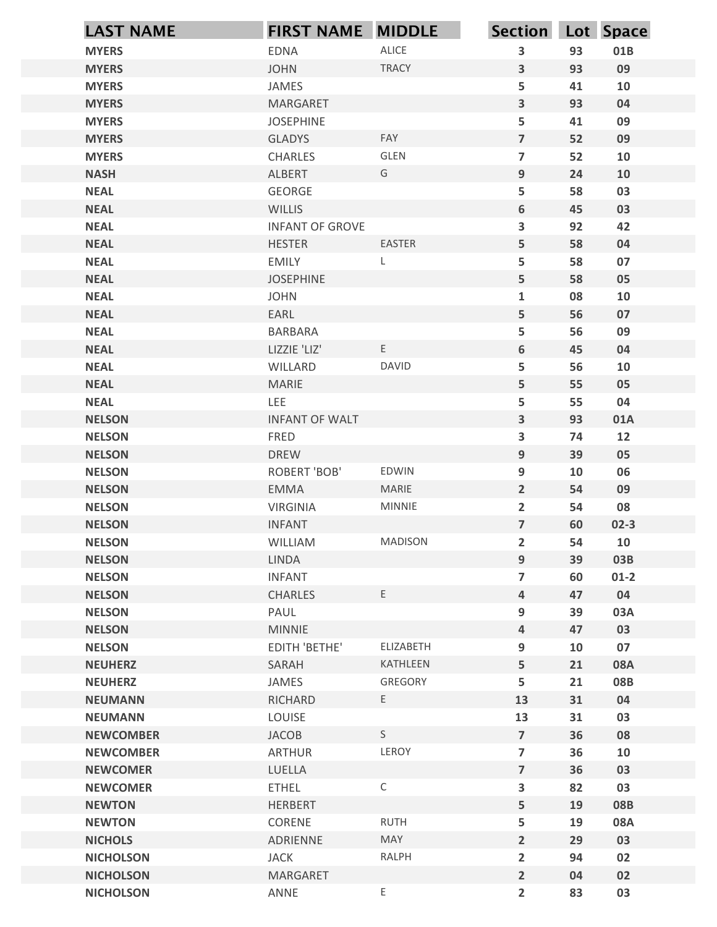| ALICE<br><b>MYERS</b><br>$\mathbf{3}$<br>93<br>01B<br><b>EDNA</b><br><b>TRACY</b><br>$\mathbf{3}$<br>93<br>09<br><b>MYERS</b><br><b>JOHN</b><br>5<br>41<br><b>MYERS</b><br>JAMES<br>10<br>$\mathbf{3}$<br>93<br>04<br><b>MYERS</b><br><b>MARGARET</b><br>5<br><b>MYERS</b><br><b>JOSEPHINE</b><br>41<br>09<br>$\overline{7}$<br><b>GLADYS</b><br>FAY<br>52<br>09<br><b>MYERS</b><br>GLEN<br>$\overline{7}$<br>52<br><b>MYERS</b><br>10<br><b>CHARLES</b><br>9<br>ALBERT<br>24<br><b>NASH</b><br>G<br>10<br>5<br>58<br>03<br><b>NEAL</b><br>GEORGE<br>$6\phantom{1}$<br><b>WILLIS</b><br>45<br>03<br><b>NEAL</b><br>$\mathbf{3}$<br>92<br><b>NEAL</b><br><b>INFANT OF GROVE</b><br>42<br><b>EASTER</b><br>5<br>58<br>04<br><b>NEAL</b><br><b>HESTER</b><br>5<br><b>NEAL</b><br>58<br>07<br><b>EMILY</b><br>5<br>58<br><b>NEAL</b><br><b>JOSEPHINE</b><br>05<br><b>NEAL</b><br><b>JOHN</b><br>$\mathbf{1}$<br>08<br>10<br>5<br>56<br>07<br><b>NEAL</b><br>EARL<br>5<br>56<br>09<br><b>NEAL</b><br>BARBARA<br>E.<br>6<br><b>NEAL</b><br>LIZZIE 'LIZ'<br>45<br>04<br>5<br><b>NEAL</b><br>WILLARD<br>DAVID<br>56<br>10<br>$5\phantom{a}$<br>55<br>05<br><b>NEAL</b><br>MARIE<br>LEE<br>$5\phantom{a}$<br><b>NEAL</b><br>55<br>04<br>$\mathbf{3}$<br>93<br><b>NELSON</b><br><b>INFANT OF WALT</b><br>01A<br>$\overline{\mathbf{3}}$<br><b>NELSON</b><br>12<br>FRED<br>74<br>9<br>39<br>05<br><b>NELSON</b><br><b>DREW</b><br>$9\phantom{.0}$<br><b>NELSON</b><br>EDWIN<br>10<br>06<br><b>ROBERT 'BOB'</b><br>MARIE<br>$\overline{2}$<br><b>NELSON</b><br>EMMA<br>54<br>09<br>MINNIE<br>$\overline{2}$<br><b>NELSON</b><br><b>VIRGINIA</b><br>08<br>54<br>$\overline{7}$<br>60<br><b>NELSON</b><br><b>INFANT</b><br>$02-3$<br>$\overline{2}$<br><b>NELSON</b><br><b>MADISON</b><br>54<br>10<br>WILLIAM<br>9<br>39<br><b>NELSON</b><br>LINDA<br>03B<br>$\overline{7}$<br><b>NELSON</b><br>$01 - 2$<br><b>INFANT</b><br>60<br>$\overline{a}$<br>04<br><b>NELSON</b><br>CHARLES<br>Ε<br>47<br>$9\phantom{.0}$<br>PAUL<br>39<br>03A<br><b>NELSON</b><br><b>NELSON</b><br><b>MINNIE</b><br>$\overline{a}$<br>47<br>03<br>$9\phantom{.0}$<br><b>NELSON</b><br>EDITH 'BETHE'<br>ELIZABETH<br>07<br>10<br>$5\phantom{a}$<br><b>NEUHERZ</b><br>SARAH<br>KATHLEEN<br>21<br><b>08A</b><br>5<br>21<br>08B<br><b>NEUHERZ</b><br>JAMES<br>GREGORY<br><b>NEUMANN</b><br>RICHARD<br>E<br>13<br>31<br>04<br>LOUISE<br>13<br>03<br><b>NEUMANN</b><br>31<br>S<br>$\overline{7}$<br>36<br>JACOB<br>08<br><b>NEWCOMBER</b><br>LEROY<br>$\overline{7}$<br>36<br><b>ARTHUR</b><br>10<br><b>NEWCOMBER</b><br><b>NEWCOMER</b><br>LUELLA<br>$\overline{7}$<br>36<br>03<br>$\mathsf C$<br>$\overline{\mathbf{3}}$<br>82<br>03<br><b>NEWCOMER</b><br><b>ETHEL</b><br>5<br>19<br><b>08B</b><br><b>NEWTON</b><br><b>HERBERT</b><br><b>RUTH</b><br>5<br><b>NEWTON</b><br>CORENE<br>19<br>08A<br>$\overline{2}$<br>MAY<br>29<br>03<br><b>NICHOLS</b><br>ADRIENNE<br>RALPH<br>$\overline{2}$<br><b>JACK</b><br>94<br>02<br><b>NICHOLSON</b> | <b>LAST NAME</b> | <b>FIRST NAME MIDDLE</b> | Section Lot Space |  |
|-----------------------------------------------------------------------------------------------------------------------------------------------------------------------------------------------------------------------------------------------------------------------------------------------------------------------------------------------------------------------------------------------------------------------------------------------------------------------------------------------------------------------------------------------------------------------------------------------------------------------------------------------------------------------------------------------------------------------------------------------------------------------------------------------------------------------------------------------------------------------------------------------------------------------------------------------------------------------------------------------------------------------------------------------------------------------------------------------------------------------------------------------------------------------------------------------------------------------------------------------------------------------------------------------------------------------------------------------------------------------------------------------------------------------------------------------------------------------------------------------------------------------------------------------------------------------------------------------------------------------------------------------------------------------------------------------------------------------------------------------------------------------------------------------------------------------------------------------------------------------------------------------------------------------------------------------------------------------------------------------------------------------------------------------------------------------------------------------------------------------------------------------------------------------------------------------------------------------------------------------------------------------------------------------------------------------------------------------------------------------------------------------------------------------------------------------------------------------------------------------------------------------------------------------------------------------------------------------------------------------------------------------------------------------------------------------------------------------------------------------------------------------------------------------------------------------------------------------------------------------------------------------------------------------------------------------------------------------------------------------------|------------------|--------------------------|-------------------|--|
|                                                                                                                                                                                                                                                                                                                                                                                                                                                                                                                                                                                                                                                                                                                                                                                                                                                                                                                                                                                                                                                                                                                                                                                                                                                                                                                                                                                                                                                                                                                                                                                                                                                                                                                                                                                                                                                                                                                                                                                                                                                                                                                                                                                                                                                                                                                                                                                                                                                                                                                                                                                                                                                                                                                                                                                                                                                                                                                                                                                                     |                  |                          |                   |  |
|                                                                                                                                                                                                                                                                                                                                                                                                                                                                                                                                                                                                                                                                                                                                                                                                                                                                                                                                                                                                                                                                                                                                                                                                                                                                                                                                                                                                                                                                                                                                                                                                                                                                                                                                                                                                                                                                                                                                                                                                                                                                                                                                                                                                                                                                                                                                                                                                                                                                                                                                                                                                                                                                                                                                                                                                                                                                                                                                                                                                     |                  |                          |                   |  |
|                                                                                                                                                                                                                                                                                                                                                                                                                                                                                                                                                                                                                                                                                                                                                                                                                                                                                                                                                                                                                                                                                                                                                                                                                                                                                                                                                                                                                                                                                                                                                                                                                                                                                                                                                                                                                                                                                                                                                                                                                                                                                                                                                                                                                                                                                                                                                                                                                                                                                                                                                                                                                                                                                                                                                                                                                                                                                                                                                                                                     |                  |                          |                   |  |
|                                                                                                                                                                                                                                                                                                                                                                                                                                                                                                                                                                                                                                                                                                                                                                                                                                                                                                                                                                                                                                                                                                                                                                                                                                                                                                                                                                                                                                                                                                                                                                                                                                                                                                                                                                                                                                                                                                                                                                                                                                                                                                                                                                                                                                                                                                                                                                                                                                                                                                                                                                                                                                                                                                                                                                                                                                                                                                                                                                                                     |                  |                          |                   |  |
|                                                                                                                                                                                                                                                                                                                                                                                                                                                                                                                                                                                                                                                                                                                                                                                                                                                                                                                                                                                                                                                                                                                                                                                                                                                                                                                                                                                                                                                                                                                                                                                                                                                                                                                                                                                                                                                                                                                                                                                                                                                                                                                                                                                                                                                                                                                                                                                                                                                                                                                                                                                                                                                                                                                                                                                                                                                                                                                                                                                                     |                  |                          |                   |  |
|                                                                                                                                                                                                                                                                                                                                                                                                                                                                                                                                                                                                                                                                                                                                                                                                                                                                                                                                                                                                                                                                                                                                                                                                                                                                                                                                                                                                                                                                                                                                                                                                                                                                                                                                                                                                                                                                                                                                                                                                                                                                                                                                                                                                                                                                                                                                                                                                                                                                                                                                                                                                                                                                                                                                                                                                                                                                                                                                                                                                     |                  |                          |                   |  |
|                                                                                                                                                                                                                                                                                                                                                                                                                                                                                                                                                                                                                                                                                                                                                                                                                                                                                                                                                                                                                                                                                                                                                                                                                                                                                                                                                                                                                                                                                                                                                                                                                                                                                                                                                                                                                                                                                                                                                                                                                                                                                                                                                                                                                                                                                                                                                                                                                                                                                                                                                                                                                                                                                                                                                                                                                                                                                                                                                                                                     |                  |                          |                   |  |
|                                                                                                                                                                                                                                                                                                                                                                                                                                                                                                                                                                                                                                                                                                                                                                                                                                                                                                                                                                                                                                                                                                                                                                                                                                                                                                                                                                                                                                                                                                                                                                                                                                                                                                                                                                                                                                                                                                                                                                                                                                                                                                                                                                                                                                                                                                                                                                                                                                                                                                                                                                                                                                                                                                                                                                                                                                                                                                                                                                                                     |                  |                          |                   |  |
|                                                                                                                                                                                                                                                                                                                                                                                                                                                                                                                                                                                                                                                                                                                                                                                                                                                                                                                                                                                                                                                                                                                                                                                                                                                                                                                                                                                                                                                                                                                                                                                                                                                                                                                                                                                                                                                                                                                                                                                                                                                                                                                                                                                                                                                                                                                                                                                                                                                                                                                                                                                                                                                                                                                                                                                                                                                                                                                                                                                                     |                  |                          |                   |  |
|                                                                                                                                                                                                                                                                                                                                                                                                                                                                                                                                                                                                                                                                                                                                                                                                                                                                                                                                                                                                                                                                                                                                                                                                                                                                                                                                                                                                                                                                                                                                                                                                                                                                                                                                                                                                                                                                                                                                                                                                                                                                                                                                                                                                                                                                                                                                                                                                                                                                                                                                                                                                                                                                                                                                                                                                                                                                                                                                                                                                     |                  |                          |                   |  |
|                                                                                                                                                                                                                                                                                                                                                                                                                                                                                                                                                                                                                                                                                                                                                                                                                                                                                                                                                                                                                                                                                                                                                                                                                                                                                                                                                                                                                                                                                                                                                                                                                                                                                                                                                                                                                                                                                                                                                                                                                                                                                                                                                                                                                                                                                                                                                                                                                                                                                                                                                                                                                                                                                                                                                                                                                                                                                                                                                                                                     |                  |                          |                   |  |
|                                                                                                                                                                                                                                                                                                                                                                                                                                                                                                                                                                                                                                                                                                                                                                                                                                                                                                                                                                                                                                                                                                                                                                                                                                                                                                                                                                                                                                                                                                                                                                                                                                                                                                                                                                                                                                                                                                                                                                                                                                                                                                                                                                                                                                                                                                                                                                                                                                                                                                                                                                                                                                                                                                                                                                                                                                                                                                                                                                                                     |                  |                          |                   |  |
|                                                                                                                                                                                                                                                                                                                                                                                                                                                                                                                                                                                                                                                                                                                                                                                                                                                                                                                                                                                                                                                                                                                                                                                                                                                                                                                                                                                                                                                                                                                                                                                                                                                                                                                                                                                                                                                                                                                                                                                                                                                                                                                                                                                                                                                                                                                                                                                                                                                                                                                                                                                                                                                                                                                                                                                                                                                                                                                                                                                                     |                  |                          |                   |  |
|                                                                                                                                                                                                                                                                                                                                                                                                                                                                                                                                                                                                                                                                                                                                                                                                                                                                                                                                                                                                                                                                                                                                                                                                                                                                                                                                                                                                                                                                                                                                                                                                                                                                                                                                                                                                                                                                                                                                                                                                                                                                                                                                                                                                                                                                                                                                                                                                                                                                                                                                                                                                                                                                                                                                                                                                                                                                                                                                                                                                     |                  |                          |                   |  |
|                                                                                                                                                                                                                                                                                                                                                                                                                                                                                                                                                                                                                                                                                                                                                                                                                                                                                                                                                                                                                                                                                                                                                                                                                                                                                                                                                                                                                                                                                                                                                                                                                                                                                                                                                                                                                                                                                                                                                                                                                                                                                                                                                                                                                                                                                                                                                                                                                                                                                                                                                                                                                                                                                                                                                                                                                                                                                                                                                                                                     |                  |                          |                   |  |
|                                                                                                                                                                                                                                                                                                                                                                                                                                                                                                                                                                                                                                                                                                                                                                                                                                                                                                                                                                                                                                                                                                                                                                                                                                                                                                                                                                                                                                                                                                                                                                                                                                                                                                                                                                                                                                                                                                                                                                                                                                                                                                                                                                                                                                                                                                                                                                                                                                                                                                                                                                                                                                                                                                                                                                                                                                                                                                                                                                                                     |                  |                          |                   |  |
|                                                                                                                                                                                                                                                                                                                                                                                                                                                                                                                                                                                                                                                                                                                                                                                                                                                                                                                                                                                                                                                                                                                                                                                                                                                                                                                                                                                                                                                                                                                                                                                                                                                                                                                                                                                                                                                                                                                                                                                                                                                                                                                                                                                                                                                                                                                                                                                                                                                                                                                                                                                                                                                                                                                                                                                                                                                                                                                                                                                                     |                  |                          |                   |  |
|                                                                                                                                                                                                                                                                                                                                                                                                                                                                                                                                                                                                                                                                                                                                                                                                                                                                                                                                                                                                                                                                                                                                                                                                                                                                                                                                                                                                                                                                                                                                                                                                                                                                                                                                                                                                                                                                                                                                                                                                                                                                                                                                                                                                                                                                                                                                                                                                                                                                                                                                                                                                                                                                                                                                                                                                                                                                                                                                                                                                     |                  |                          |                   |  |
|                                                                                                                                                                                                                                                                                                                                                                                                                                                                                                                                                                                                                                                                                                                                                                                                                                                                                                                                                                                                                                                                                                                                                                                                                                                                                                                                                                                                                                                                                                                                                                                                                                                                                                                                                                                                                                                                                                                                                                                                                                                                                                                                                                                                                                                                                                                                                                                                                                                                                                                                                                                                                                                                                                                                                                                                                                                                                                                                                                                                     |                  |                          |                   |  |
|                                                                                                                                                                                                                                                                                                                                                                                                                                                                                                                                                                                                                                                                                                                                                                                                                                                                                                                                                                                                                                                                                                                                                                                                                                                                                                                                                                                                                                                                                                                                                                                                                                                                                                                                                                                                                                                                                                                                                                                                                                                                                                                                                                                                                                                                                                                                                                                                                                                                                                                                                                                                                                                                                                                                                                                                                                                                                                                                                                                                     |                  |                          |                   |  |
|                                                                                                                                                                                                                                                                                                                                                                                                                                                                                                                                                                                                                                                                                                                                                                                                                                                                                                                                                                                                                                                                                                                                                                                                                                                                                                                                                                                                                                                                                                                                                                                                                                                                                                                                                                                                                                                                                                                                                                                                                                                                                                                                                                                                                                                                                                                                                                                                                                                                                                                                                                                                                                                                                                                                                                                                                                                                                                                                                                                                     |                  |                          |                   |  |
|                                                                                                                                                                                                                                                                                                                                                                                                                                                                                                                                                                                                                                                                                                                                                                                                                                                                                                                                                                                                                                                                                                                                                                                                                                                                                                                                                                                                                                                                                                                                                                                                                                                                                                                                                                                                                                                                                                                                                                                                                                                                                                                                                                                                                                                                                                                                                                                                                                                                                                                                                                                                                                                                                                                                                                                                                                                                                                                                                                                                     |                  |                          |                   |  |
|                                                                                                                                                                                                                                                                                                                                                                                                                                                                                                                                                                                                                                                                                                                                                                                                                                                                                                                                                                                                                                                                                                                                                                                                                                                                                                                                                                                                                                                                                                                                                                                                                                                                                                                                                                                                                                                                                                                                                                                                                                                                                                                                                                                                                                                                                                                                                                                                                                                                                                                                                                                                                                                                                                                                                                                                                                                                                                                                                                                                     |                  |                          |                   |  |
|                                                                                                                                                                                                                                                                                                                                                                                                                                                                                                                                                                                                                                                                                                                                                                                                                                                                                                                                                                                                                                                                                                                                                                                                                                                                                                                                                                                                                                                                                                                                                                                                                                                                                                                                                                                                                                                                                                                                                                                                                                                                                                                                                                                                                                                                                                                                                                                                                                                                                                                                                                                                                                                                                                                                                                                                                                                                                                                                                                                                     |                  |                          |                   |  |
|                                                                                                                                                                                                                                                                                                                                                                                                                                                                                                                                                                                                                                                                                                                                                                                                                                                                                                                                                                                                                                                                                                                                                                                                                                                                                                                                                                                                                                                                                                                                                                                                                                                                                                                                                                                                                                                                                                                                                                                                                                                                                                                                                                                                                                                                                                                                                                                                                                                                                                                                                                                                                                                                                                                                                                                                                                                                                                                                                                                                     |                  |                          |                   |  |
|                                                                                                                                                                                                                                                                                                                                                                                                                                                                                                                                                                                                                                                                                                                                                                                                                                                                                                                                                                                                                                                                                                                                                                                                                                                                                                                                                                                                                                                                                                                                                                                                                                                                                                                                                                                                                                                                                                                                                                                                                                                                                                                                                                                                                                                                                                                                                                                                                                                                                                                                                                                                                                                                                                                                                                                                                                                                                                                                                                                                     |                  |                          |                   |  |
|                                                                                                                                                                                                                                                                                                                                                                                                                                                                                                                                                                                                                                                                                                                                                                                                                                                                                                                                                                                                                                                                                                                                                                                                                                                                                                                                                                                                                                                                                                                                                                                                                                                                                                                                                                                                                                                                                                                                                                                                                                                                                                                                                                                                                                                                                                                                                                                                                                                                                                                                                                                                                                                                                                                                                                                                                                                                                                                                                                                                     |                  |                          |                   |  |
|                                                                                                                                                                                                                                                                                                                                                                                                                                                                                                                                                                                                                                                                                                                                                                                                                                                                                                                                                                                                                                                                                                                                                                                                                                                                                                                                                                                                                                                                                                                                                                                                                                                                                                                                                                                                                                                                                                                                                                                                                                                                                                                                                                                                                                                                                                                                                                                                                                                                                                                                                                                                                                                                                                                                                                                                                                                                                                                                                                                                     |                  |                          |                   |  |
|                                                                                                                                                                                                                                                                                                                                                                                                                                                                                                                                                                                                                                                                                                                                                                                                                                                                                                                                                                                                                                                                                                                                                                                                                                                                                                                                                                                                                                                                                                                                                                                                                                                                                                                                                                                                                                                                                                                                                                                                                                                                                                                                                                                                                                                                                                                                                                                                                                                                                                                                                                                                                                                                                                                                                                                                                                                                                                                                                                                                     |                  |                          |                   |  |
|                                                                                                                                                                                                                                                                                                                                                                                                                                                                                                                                                                                                                                                                                                                                                                                                                                                                                                                                                                                                                                                                                                                                                                                                                                                                                                                                                                                                                                                                                                                                                                                                                                                                                                                                                                                                                                                                                                                                                                                                                                                                                                                                                                                                                                                                                                                                                                                                                                                                                                                                                                                                                                                                                                                                                                                                                                                                                                                                                                                                     |                  |                          |                   |  |
|                                                                                                                                                                                                                                                                                                                                                                                                                                                                                                                                                                                                                                                                                                                                                                                                                                                                                                                                                                                                                                                                                                                                                                                                                                                                                                                                                                                                                                                                                                                                                                                                                                                                                                                                                                                                                                                                                                                                                                                                                                                                                                                                                                                                                                                                                                                                                                                                                                                                                                                                                                                                                                                                                                                                                                                                                                                                                                                                                                                                     |                  |                          |                   |  |
|                                                                                                                                                                                                                                                                                                                                                                                                                                                                                                                                                                                                                                                                                                                                                                                                                                                                                                                                                                                                                                                                                                                                                                                                                                                                                                                                                                                                                                                                                                                                                                                                                                                                                                                                                                                                                                                                                                                                                                                                                                                                                                                                                                                                                                                                                                                                                                                                                                                                                                                                                                                                                                                                                                                                                                                                                                                                                                                                                                                                     |                  |                          |                   |  |
|                                                                                                                                                                                                                                                                                                                                                                                                                                                                                                                                                                                                                                                                                                                                                                                                                                                                                                                                                                                                                                                                                                                                                                                                                                                                                                                                                                                                                                                                                                                                                                                                                                                                                                                                                                                                                                                                                                                                                                                                                                                                                                                                                                                                                                                                                                                                                                                                                                                                                                                                                                                                                                                                                                                                                                                                                                                                                                                                                                                                     |                  |                          |                   |  |
|                                                                                                                                                                                                                                                                                                                                                                                                                                                                                                                                                                                                                                                                                                                                                                                                                                                                                                                                                                                                                                                                                                                                                                                                                                                                                                                                                                                                                                                                                                                                                                                                                                                                                                                                                                                                                                                                                                                                                                                                                                                                                                                                                                                                                                                                                                                                                                                                                                                                                                                                                                                                                                                                                                                                                                                                                                                                                                                                                                                                     |                  |                          |                   |  |
|                                                                                                                                                                                                                                                                                                                                                                                                                                                                                                                                                                                                                                                                                                                                                                                                                                                                                                                                                                                                                                                                                                                                                                                                                                                                                                                                                                                                                                                                                                                                                                                                                                                                                                                                                                                                                                                                                                                                                                                                                                                                                                                                                                                                                                                                                                                                                                                                                                                                                                                                                                                                                                                                                                                                                                                                                                                                                                                                                                                                     |                  |                          |                   |  |
|                                                                                                                                                                                                                                                                                                                                                                                                                                                                                                                                                                                                                                                                                                                                                                                                                                                                                                                                                                                                                                                                                                                                                                                                                                                                                                                                                                                                                                                                                                                                                                                                                                                                                                                                                                                                                                                                                                                                                                                                                                                                                                                                                                                                                                                                                                                                                                                                                                                                                                                                                                                                                                                                                                                                                                                                                                                                                                                                                                                                     |                  |                          |                   |  |
|                                                                                                                                                                                                                                                                                                                                                                                                                                                                                                                                                                                                                                                                                                                                                                                                                                                                                                                                                                                                                                                                                                                                                                                                                                                                                                                                                                                                                                                                                                                                                                                                                                                                                                                                                                                                                                                                                                                                                                                                                                                                                                                                                                                                                                                                                                                                                                                                                                                                                                                                                                                                                                                                                                                                                                                                                                                                                                                                                                                                     |                  |                          |                   |  |
|                                                                                                                                                                                                                                                                                                                                                                                                                                                                                                                                                                                                                                                                                                                                                                                                                                                                                                                                                                                                                                                                                                                                                                                                                                                                                                                                                                                                                                                                                                                                                                                                                                                                                                                                                                                                                                                                                                                                                                                                                                                                                                                                                                                                                                                                                                                                                                                                                                                                                                                                                                                                                                                                                                                                                                                                                                                                                                                                                                                                     |                  |                          |                   |  |
|                                                                                                                                                                                                                                                                                                                                                                                                                                                                                                                                                                                                                                                                                                                                                                                                                                                                                                                                                                                                                                                                                                                                                                                                                                                                                                                                                                                                                                                                                                                                                                                                                                                                                                                                                                                                                                                                                                                                                                                                                                                                                                                                                                                                                                                                                                                                                                                                                                                                                                                                                                                                                                                                                                                                                                                                                                                                                                                                                                                                     |                  |                          |                   |  |
|                                                                                                                                                                                                                                                                                                                                                                                                                                                                                                                                                                                                                                                                                                                                                                                                                                                                                                                                                                                                                                                                                                                                                                                                                                                                                                                                                                                                                                                                                                                                                                                                                                                                                                                                                                                                                                                                                                                                                                                                                                                                                                                                                                                                                                                                                                                                                                                                                                                                                                                                                                                                                                                                                                                                                                                                                                                                                                                                                                                                     |                  |                          |                   |  |
|                                                                                                                                                                                                                                                                                                                                                                                                                                                                                                                                                                                                                                                                                                                                                                                                                                                                                                                                                                                                                                                                                                                                                                                                                                                                                                                                                                                                                                                                                                                                                                                                                                                                                                                                                                                                                                                                                                                                                                                                                                                                                                                                                                                                                                                                                                                                                                                                                                                                                                                                                                                                                                                                                                                                                                                                                                                                                                                                                                                                     |                  |                          |                   |  |
|                                                                                                                                                                                                                                                                                                                                                                                                                                                                                                                                                                                                                                                                                                                                                                                                                                                                                                                                                                                                                                                                                                                                                                                                                                                                                                                                                                                                                                                                                                                                                                                                                                                                                                                                                                                                                                                                                                                                                                                                                                                                                                                                                                                                                                                                                                                                                                                                                                                                                                                                                                                                                                                                                                                                                                                                                                                                                                                                                                                                     |                  |                          |                   |  |
|                                                                                                                                                                                                                                                                                                                                                                                                                                                                                                                                                                                                                                                                                                                                                                                                                                                                                                                                                                                                                                                                                                                                                                                                                                                                                                                                                                                                                                                                                                                                                                                                                                                                                                                                                                                                                                                                                                                                                                                                                                                                                                                                                                                                                                                                                                                                                                                                                                                                                                                                                                                                                                                                                                                                                                                                                                                                                                                                                                                                     |                  |                          |                   |  |
|                                                                                                                                                                                                                                                                                                                                                                                                                                                                                                                                                                                                                                                                                                                                                                                                                                                                                                                                                                                                                                                                                                                                                                                                                                                                                                                                                                                                                                                                                                                                                                                                                                                                                                                                                                                                                                                                                                                                                                                                                                                                                                                                                                                                                                                                                                                                                                                                                                                                                                                                                                                                                                                                                                                                                                                                                                                                                                                                                                                                     |                  |                          |                   |  |
|                                                                                                                                                                                                                                                                                                                                                                                                                                                                                                                                                                                                                                                                                                                                                                                                                                                                                                                                                                                                                                                                                                                                                                                                                                                                                                                                                                                                                                                                                                                                                                                                                                                                                                                                                                                                                                                                                                                                                                                                                                                                                                                                                                                                                                                                                                                                                                                                                                                                                                                                                                                                                                                                                                                                                                                                                                                                                                                                                                                                     |                  |                          |                   |  |
|                                                                                                                                                                                                                                                                                                                                                                                                                                                                                                                                                                                                                                                                                                                                                                                                                                                                                                                                                                                                                                                                                                                                                                                                                                                                                                                                                                                                                                                                                                                                                                                                                                                                                                                                                                                                                                                                                                                                                                                                                                                                                                                                                                                                                                                                                                                                                                                                                                                                                                                                                                                                                                                                                                                                                                                                                                                                                                                                                                                                     |                  |                          |                   |  |
| <b>NICHOLSON</b><br>MARGARET<br>$\overline{2}$<br>04<br>02                                                                                                                                                                                                                                                                                                                                                                                                                                                                                                                                                                                                                                                                                                                                                                                                                                                                                                                                                                                                                                                                                                                                                                                                                                                                                                                                                                                                                                                                                                                                                                                                                                                                                                                                                                                                                                                                                                                                                                                                                                                                                                                                                                                                                                                                                                                                                                                                                                                                                                                                                                                                                                                                                                                                                                                                                                                                                                                                          |                  |                          |                   |  |
| E<br>$\overline{2}$<br>03<br>ANNE<br>83<br><b>NICHOLSON</b>                                                                                                                                                                                                                                                                                                                                                                                                                                                                                                                                                                                                                                                                                                                                                                                                                                                                                                                                                                                                                                                                                                                                                                                                                                                                                                                                                                                                                                                                                                                                                                                                                                                                                                                                                                                                                                                                                                                                                                                                                                                                                                                                                                                                                                                                                                                                                                                                                                                                                                                                                                                                                                                                                                                                                                                                                                                                                                                                         |                  |                          |                   |  |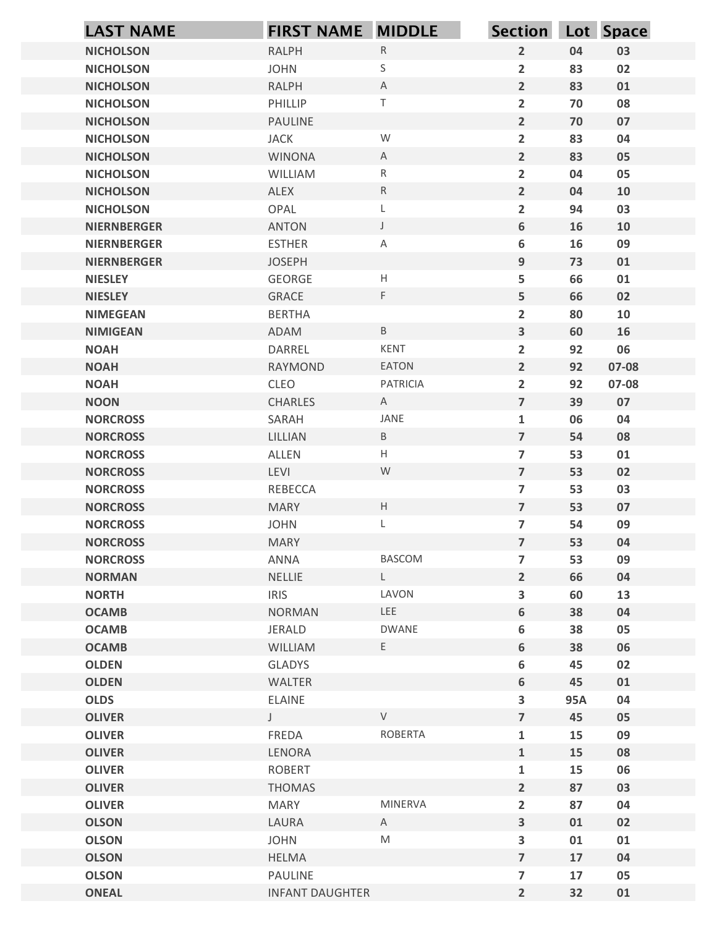|                                      | <b>LAST NAME</b> | <b>FIRST NAME MIDDLE</b> |                                                                                                            | Section Lot Space                         |           |          |
|--------------------------------------|------------------|--------------------------|------------------------------------------------------------------------------------------------------------|-------------------------------------------|-----------|----------|
| <b>NICHOLSON</b>                     |                  | RALPH                    | ${\sf R}$                                                                                                  | $\overline{2}$                            | 04        | 03       |
| <b>NICHOLSON</b>                     |                  | <b>JOHN</b>              | S                                                                                                          | $\overline{2}$                            | 83        | 02       |
| <b>NICHOLSON</b>                     |                  | RALPH                    | $\mathsf{A}$                                                                                               | $\overline{2}$                            | 83        | 01       |
| <b>NICHOLSON</b>                     |                  | PHILLIP                  | $\top$                                                                                                     | $\overline{2}$                            | 70        | 08       |
| <b>NICHOLSON</b>                     |                  | PAULINE                  |                                                                                                            | $\overline{2}$                            | 70        | 07       |
| <b>NICHOLSON</b>                     |                  | <b>JACK</b>              | ${\mathsf W}$                                                                                              | $\overline{2}$                            | 83        | 04       |
| <b>NICHOLSON</b><br><b>NICHOLSON</b> |                  | <b>WINONA</b><br>WILLIAM | $\mathsf{A}$<br>$\mathsf{R}$                                                                               | $\overline{2}$<br>$\overline{2}$          | 83<br>04  | 05<br>05 |
| <b>NICHOLSON</b>                     |                  | ALEX                     | ${\sf R}$                                                                                                  | $\overline{2}$                            | 04        | 10       |
| <b>NICHOLSON</b>                     |                  | OPAL                     | L                                                                                                          | $\overline{2}$                            | 94        | 03       |
| <b>NIERNBERGER</b>                   |                  | <b>ANTON</b>             | $\mathsf{J}$                                                                                               | $\boldsymbol{6}$                          | 16        | 10       |
| <b>NIERNBERGER</b>                   |                  | <b>ESTHER</b>            | A                                                                                                          | 6                                         | 16        | 09       |
| <b>NIERNBERGER</b>                   |                  | <b>JOSEPH</b>            |                                                                                                            | $9\,$                                     | 73        | 01       |
| <b>NIESLEY</b>                       |                  | GEORGE                   | Н                                                                                                          | 5                                         | 66        | 01       |
| <b>NIESLEY</b>                       |                  | GRACE                    | F.                                                                                                         | 5                                         | 66        | 02       |
| <b>NIMEGEAN</b><br><b>NIMIGEAN</b>   |                  | <b>BERTHA</b><br>ADAM    | $\, {\sf B} \,$                                                                                            | $\overline{2}$<br>$\mathbf{3}$            | 80<br>60  | 10<br>16 |
| <b>NOAH</b>                          |                  | DARREL                   | KENT                                                                                                       | $\overline{2}$                            | 92        | 06       |
| <b>NOAH</b>                          |                  | RAYMOND                  | EATON                                                                                                      | $\overline{2}$                            | 92        | 07-08    |
| <b>NOAH</b>                          |                  | CLEO                     | PATRICIA                                                                                                   | $\overline{2}$                            | 92        | 07-08    |
| <b>NOON</b>                          |                  | CHARLES                  | A                                                                                                          | $\overline{7}$                            | 39        | 07       |
| <b>NORCROSS</b>                      |                  | SARAH                    | JANE                                                                                                       | $\mathbf{1}$                              | 06        | 04       |
| <b>NORCROSS</b>                      |                  | LILLIAN                  | B                                                                                                          | $\overline{7}$                            | 54        | 08       |
| <b>NORCROSS</b>                      |                  | ALLEN                    | H                                                                                                          | $\overline{7}$                            | 53        | 01       |
| <b>NORCROSS</b>                      |                  | LEVI                     | W                                                                                                          | $\overline{7}$                            | 53        | 02       |
| <b>NORCROSS</b><br><b>NORCROSS</b>   |                  | REBECCA<br><b>MARY</b>   | $\mathsf{H}^-$                                                                                             | $\overline{\mathbf{z}}$<br>$\overline{7}$ | 53<br>53  | 03<br>07 |
| <b>NORCROSS</b>                      |                  | <b>JOHN</b>              | L                                                                                                          | $\overline{7}$                            | 54        | 09       |
| <b>NORCROSS</b>                      |                  | <b>MARY</b>              |                                                                                                            | $\overline{7}$                            | 53        | 04       |
| <b>NORCROSS</b>                      |                  | ANNA                     | BASCOM                                                                                                     | $\overline{7}$                            | 53        | 09       |
| <b>NORMAN</b>                        |                  | NELLIE                   | L                                                                                                          | $\overline{2}$                            | 66        | 04       |
| <b>NORTH</b>                         |                  | <b>IRIS</b>              | LAVON                                                                                                      | 3                                         | 60        | 13       |
| <b>OCAMB</b>                         |                  | <b>NORMAN</b>            | LEE                                                                                                        | $6\phantom{1}$                            | 38        | 04       |
| <b>OCAMB</b>                         |                  | JERALD                   | DWANE                                                                                                      | 6                                         | 38        | 05       |
| <b>OCAMB</b>                         |                  | WILLIAM                  | E                                                                                                          | $6\phantom{1}$                            | 38        | 06       |
| <b>OLDEN</b>                         |                  | <b>GLADYS</b>            |                                                                                                            | 6                                         | 45        | 02       |
| <b>OLDEN</b>                         |                  | WALTER                   |                                                                                                            | $6\phantom{1}$                            | 45        | 01       |
| <b>OLDS</b><br><b>OLIVER</b>         |                  | ELAINE<br>$J$ and $\sim$ | V                                                                                                          | 3<br>$\overline{7}$                       | 95A<br>45 | 04<br>05 |
| <b>OLIVER</b>                        |                  | FREDA                    | ROBERTA                                                                                                    | $\mathbf{1}$                              | 15        | 09       |
| <b>OLIVER</b>                        |                  | LENORA                   |                                                                                                            | $\mathbf{1}$                              | 15        | 08       |
| <b>OLIVER</b>                        |                  | ROBERT                   |                                                                                                            | $\mathbf{1}$                              | 15        | 06       |
| <b>OLIVER</b>                        |                  | <b>THOMAS</b>            |                                                                                                            | $\overline{2}$                            | 87        | 03       |
| <b>OLIVER</b>                        |                  | <b>MARY</b>              | MINERVA                                                                                                    | $\overline{2}$                            | 87        | 04       |
| <b>OLSON</b>                         |                  | LAURA                    | $\mathsf{A}$                                                                                               | $\overline{\mathbf{3}}$                   | 01        | 02       |
| <b>OLSON</b>                         |                  | <b>JOHN</b>              | $\mathsf{M}% _{T}=\mathsf{M}_{T}\!\left( a,b\right) ,\ \mathsf{M}_{T}=\mathsf{M}_{T}\!\left( a,b\right) ,$ | $\overline{\mathbf{3}}$                   | 01        | 01       |
| <b>OLSON</b>                         |                  | HELMA                    |                                                                                                            | $\overline{7}$                            | 17        | 04       |
| <b>OLSON</b>                         |                  | PAULINE                  |                                                                                                            | $\overline{7}$                            | 17        | 05       |
| <b>ONEAL</b>                         |                  | <b>INFANT DAUGHTER</b>   |                                                                                                            | $\overline{2}$                            | 32        | 01       |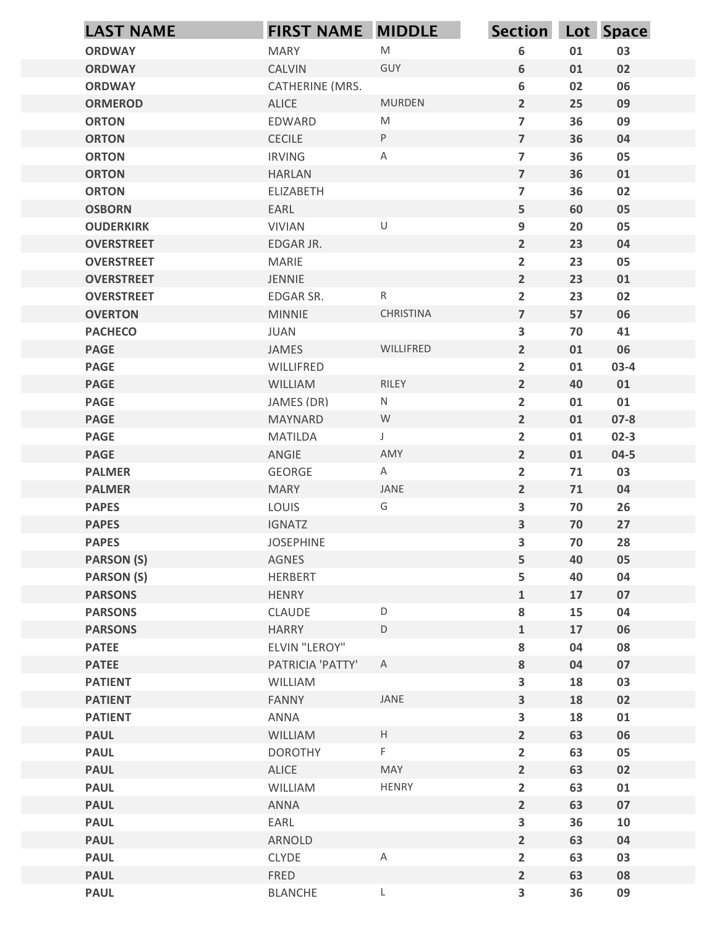| $\mathsf{M}% _{T}=\mathsf{M}_{T}\!\left( a,b\right) ,\ \mathsf{M}_{T}=\mathsf{M}_{T}\!\left( a,b\right) ,$<br>03<br><b>ORDWAY</b><br><b>MARY</b><br>6<br>01<br>CALVIN<br>GUY<br>02<br><b>ORDWAY</b><br>6<br>01<br>6<br>02<br>CATHERINE (MRS.<br>06<br><b>ORDWAY</b><br><b>MURDEN</b><br><b>ALICE</b><br>$2^{\circ}$<br>25<br>09<br><b>ORMEROD</b><br>$\overline{7}$<br>36<br>EDWARD<br>M<br>09<br><b>ORTON</b><br>$\overline{7}$<br><b>CECILE</b><br>P<br>36<br>04<br><b>ORTON</b><br>$\boldsymbol{\mathsf{A}}$<br>$\overline{7}$<br>05<br><b>IRVING</b><br>36<br><b>ORTON</b><br>$\overline{7}$<br>36<br>01<br><b>ORTON</b><br><b>HARLAN</b><br>$\overline{\mathbf{z}}$<br>36<br>02<br><b>ORTON</b><br><b>ELIZABETH</b><br>5<br>60<br>05<br><b>OSBORN</b><br>EARL<br>$\cup$<br>9<br>05<br><b>VIVIAN</b><br>20<br><b>OUDERKIRK</b><br>$\overline{2}$<br><b>OVERSTREET</b><br>EDGAR JR.<br>23<br>04<br>$\overline{2}$<br>23<br>05<br><b>OVERSTREET</b><br><b>MARIE</b><br>$\overline{2}$<br>23<br><b>OVERSTREET</b><br>JENNIE<br>01<br>$\overline{2}$<br>23<br>02<br><b>OVERSTREET</b><br>EDGAR SR.<br>$\mathsf{R}$<br>CHRISTINA<br>$\overline{\mathbf{z}}$<br>57<br>06<br><b>OVERTON</b><br><b>MINNIE</b><br>JUAN<br>$\mathbf{3}$<br>70<br>41<br><b>PACHECO</b><br><b>PAGE</b><br>JAMES<br>WILLIFRED<br>$\overline{2}$<br>01<br>06<br><b>PAGE</b><br>WILLIFRED<br>$\overline{2}$<br>01<br>$03-4$<br>$\overline{2}$<br><b>PAGE</b><br>WILLIAM<br>RILEY<br>40<br>01<br><b>PAGE</b><br>${\sf N}$<br>$\overline{2}$<br>01<br>01<br>JAMES (DR)<br>${\mathsf W}$<br><b>PAGE</b><br>MAYNARD<br>$\overline{2}$<br>01<br>$07 - 8$<br><b>PAGE</b><br>MATILDA<br>$\overline{2}$<br>01<br>$02-3$<br>$\mathsf J$<br>AMY<br>$\overline{2}$<br>$04 - 5$<br><b>PAGE</b><br>ANGIE<br>01<br>$\overline{2}$<br><b>PALMER</b><br>GEORGE<br>$\mathsf{A}$<br>71<br>03<br>JANE<br><b>PALMER</b><br><b>MARY</b><br>$\overline{2}$<br>71<br>04<br>G<br><b>PAPES</b><br>LOUIS<br>$\mathbf{3}$<br>70<br>26<br>$\mathbf{3}$<br><b>PAPES</b><br>IGNATZ<br>70<br>27<br><b>PAPES</b><br>$\mathbf{3}$<br>70<br>28<br><b>JOSEPHINE</b><br><b>PARSON (S)</b><br>5<br>AGNES<br>40<br>05<br><b>PARSON (S)</b><br>5<br>40<br>04<br>HERBERT<br><b>PARSONS</b><br>HENRY<br>$\mathbf{1}$<br>17<br>07<br>$\mathsf D$<br>8<br>15<br>${\bf 04}$<br><b>PARSONS</b><br>CLAUDE<br><b>PARSONS</b><br><b>HARRY</b><br>$\mathsf D$<br>17<br>06<br>$\mathbf{1}$<br>ELVIN "LEROY"<br><b>PATEE</b><br>8<br>04<br>08<br>8<br><b>PATEE</b><br>PATRICIA 'PATTY'<br>$\mathsf{A}$<br>04<br>07<br>$\mathbf{3}$<br>18<br>03<br><b>PATIENT</b><br>WILLIAM<br><b>PATIENT</b><br><b>FANNY</b><br>JANE<br>$\mathbf{3}$<br>18<br>02<br><b>PATIENT</b><br>$\mathbf{3}$<br>18<br>ANNA<br>01<br>$\mathsf H$<br>$\overline{2}$<br>06<br><b>PAUL</b><br>WILLIAM<br>63<br>F.<br><b>PAUL</b><br>$\overline{2}$<br>63<br>05<br><b>DOROTHY</b><br><b>PAUL</b><br>ALICE<br>MAY<br>$\overline{2}$<br>02<br>63<br>$\overline{2}$<br><b>PAUL</b><br>HENRY<br>63<br>WILLIAM<br>01<br><b>PAUL</b><br>ANNA<br>$\overline{2}$<br>63<br>07<br>$\mathbf{3}$<br>36<br>10<br><b>PAUL</b><br>EARL<br>ARNOLD<br>$2^{\circ}$<br>04<br><b>PAUL</b><br>63<br>A<br>$\overline{2}$<br><b>PAUL</b><br><b>CLYDE</b><br>63<br>03<br><b>PAUL</b><br>FRED<br>$2^{\circ}$<br>63<br>08<br>$\mathbf{3}$<br>36<br>09<br><b>PAUL</b><br><b>BLANCHE</b><br>L | <b>LAST NAME</b> | <b>FIRST NAME MIDDLE</b> | Section Lot Space |  |
|-------------------------------------------------------------------------------------------------------------------------------------------------------------------------------------------------------------------------------------------------------------------------------------------------------------------------------------------------------------------------------------------------------------------------------------------------------------------------------------------------------------------------------------------------------------------------------------------------------------------------------------------------------------------------------------------------------------------------------------------------------------------------------------------------------------------------------------------------------------------------------------------------------------------------------------------------------------------------------------------------------------------------------------------------------------------------------------------------------------------------------------------------------------------------------------------------------------------------------------------------------------------------------------------------------------------------------------------------------------------------------------------------------------------------------------------------------------------------------------------------------------------------------------------------------------------------------------------------------------------------------------------------------------------------------------------------------------------------------------------------------------------------------------------------------------------------------------------------------------------------------------------------------------------------------------------------------------------------------------------------------------------------------------------------------------------------------------------------------------------------------------------------------------------------------------------------------------------------------------------------------------------------------------------------------------------------------------------------------------------------------------------------------------------------------------------------------------------------------------------------------------------------------------------------------------------------------------------------------------------------------------------------------------------------------------------------------------------------------------------------------------------------------------------------------------------------------------------------------------------------------------------------------------------------------------------------------------------------------------------------------------------------------------------------------------------------------------------------------------------------------------------------------------------------------------------------------------------------------------------------------------------------------------------------------------------------------------------------------|------------------|--------------------------|-------------------|--|
|                                                                                                                                                                                                                                                                                                                                                                                                                                                                                                                                                                                                                                                                                                                                                                                                                                                                                                                                                                                                                                                                                                                                                                                                                                                                                                                                                                                                                                                                                                                                                                                                                                                                                                                                                                                                                                                                                                                                                                                                                                                                                                                                                                                                                                                                                                                                                                                                                                                                                                                                                                                                                                                                                                                                                                                                                                                                                                                                                                                                                                                                                                                                                                                                                                                                                                                                                       |                  |                          |                   |  |
|                                                                                                                                                                                                                                                                                                                                                                                                                                                                                                                                                                                                                                                                                                                                                                                                                                                                                                                                                                                                                                                                                                                                                                                                                                                                                                                                                                                                                                                                                                                                                                                                                                                                                                                                                                                                                                                                                                                                                                                                                                                                                                                                                                                                                                                                                                                                                                                                                                                                                                                                                                                                                                                                                                                                                                                                                                                                                                                                                                                                                                                                                                                                                                                                                                                                                                                                                       |                  |                          |                   |  |
|                                                                                                                                                                                                                                                                                                                                                                                                                                                                                                                                                                                                                                                                                                                                                                                                                                                                                                                                                                                                                                                                                                                                                                                                                                                                                                                                                                                                                                                                                                                                                                                                                                                                                                                                                                                                                                                                                                                                                                                                                                                                                                                                                                                                                                                                                                                                                                                                                                                                                                                                                                                                                                                                                                                                                                                                                                                                                                                                                                                                                                                                                                                                                                                                                                                                                                                                                       |                  |                          |                   |  |
|                                                                                                                                                                                                                                                                                                                                                                                                                                                                                                                                                                                                                                                                                                                                                                                                                                                                                                                                                                                                                                                                                                                                                                                                                                                                                                                                                                                                                                                                                                                                                                                                                                                                                                                                                                                                                                                                                                                                                                                                                                                                                                                                                                                                                                                                                                                                                                                                                                                                                                                                                                                                                                                                                                                                                                                                                                                                                                                                                                                                                                                                                                                                                                                                                                                                                                                                                       |                  |                          |                   |  |
|                                                                                                                                                                                                                                                                                                                                                                                                                                                                                                                                                                                                                                                                                                                                                                                                                                                                                                                                                                                                                                                                                                                                                                                                                                                                                                                                                                                                                                                                                                                                                                                                                                                                                                                                                                                                                                                                                                                                                                                                                                                                                                                                                                                                                                                                                                                                                                                                                                                                                                                                                                                                                                                                                                                                                                                                                                                                                                                                                                                                                                                                                                                                                                                                                                                                                                                                                       |                  |                          |                   |  |
|                                                                                                                                                                                                                                                                                                                                                                                                                                                                                                                                                                                                                                                                                                                                                                                                                                                                                                                                                                                                                                                                                                                                                                                                                                                                                                                                                                                                                                                                                                                                                                                                                                                                                                                                                                                                                                                                                                                                                                                                                                                                                                                                                                                                                                                                                                                                                                                                                                                                                                                                                                                                                                                                                                                                                                                                                                                                                                                                                                                                                                                                                                                                                                                                                                                                                                                                                       |                  |                          |                   |  |
|                                                                                                                                                                                                                                                                                                                                                                                                                                                                                                                                                                                                                                                                                                                                                                                                                                                                                                                                                                                                                                                                                                                                                                                                                                                                                                                                                                                                                                                                                                                                                                                                                                                                                                                                                                                                                                                                                                                                                                                                                                                                                                                                                                                                                                                                                                                                                                                                                                                                                                                                                                                                                                                                                                                                                                                                                                                                                                                                                                                                                                                                                                                                                                                                                                                                                                                                                       |                  |                          |                   |  |
|                                                                                                                                                                                                                                                                                                                                                                                                                                                                                                                                                                                                                                                                                                                                                                                                                                                                                                                                                                                                                                                                                                                                                                                                                                                                                                                                                                                                                                                                                                                                                                                                                                                                                                                                                                                                                                                                                                                                                                                                                                                                                                                                                                                                                                                                                                                                                                                                                                                                                                                                                                                                                                                                                                                                                                                                                                                                                                                                                                                                                                                                                                                                                                                                                                                                                                                                                       |                  |                          |                   |  |
|                                                                                                                                                                                                                                                                                                                                                                                                                                                                                                                                                                                                                                                                                                                                                                                                                                                                                                                                                                                                                                                                                                                                                                                                                                                                                                                                                                                                                                                                                                                                                                                                                                                                                                                                                                                                                                                                                                                                                                                                                                                                                                                                                                                                                                                                                                                                                                                                                                                                                                                                                                                                                                                                                                                                                                                                                                                                                                                                                                                                                                                                                                                                                                                                                                                                                                                                                       |                  |                          |                   |  |
|                                                                                                                                                                                                                                                                                                                                                                                                                                                                                                                                                                                                                                                                                                                                                                                                                                                                                                                                                                                                                                                                                                                                                                                                                                                                                                                                                                                                                                                                                                                                                                                                                                                                                                                                                                                                                                                                                                                                                                                                                                                                                                                                                                                                                                                                                                                                                                                                                                                                                                                                                                                                                                                                                                                                                                                                                                                                                                                                                                                                                                                                                                                                                                                                                                                                                                                                                       |                  |                          |                   |  |
|                                                                                                                                                                                                                                                                                                                                                                                                                                                                                                                                                                                                                                                                                                                                                                                                                                                                                                                                                                                                                                                                                                                                                                                                                                                                                                                                                                                                                                                                                                                                                                                                                                                                                                                                                                                                                                                                                                                                                                                                                                                                                                                                                                                                                                                                                                                                                                                                                                                                                                                                                                                                                                                                                                                                                                                                                                                                                                                                                                                                                                                                                                                                                                                                                                                                                                                                                       |                  |                          |                   |  |
|                                                                                                                                                                                                                                                                                                                                                                                                                                                                                                                                                                                                                                                                                                                                                                                                                                                                                                                                                                                                                                                                                                                                                                                                                                                                                                                                                                                                                                                                                                                                                                                                                                                                                                                                                                                                                                                                                                                                                                                                                                                                                                                                                                                                                                                                                                                                                                                                                                                                                                                                                                                                                                                                                                                                                                                                                                                                                                                                                                                                                                                                                                                                                                                                                                                                                                                                                       |                  |                          |                   |  |
|                                                                                                                                                                                                                                                                                                                                                                                                                                                                                                                                                                                                                                                                                                                                                                                                                                                                                                                                                                                                                                                                                                                                                                                                                                                                                                                                                                                                                                                                                                                                                                                                                                                                                                                                                                                                                                                                                                                                                                                                                                                                                                                                                                                                                                                                                                                                                                                                                                                                                                                                                                                                                                                                                                                                                                                                                                                                                                                                                                                                                                                                                                                                                                                                                                                                                                                                                       |                  |                          |                   |  |
|                                                                                                                                                                                                                                                                                                                                                                                                                                                                                                                                                                                                                                                                                                                                                                                                                                                                                                                                                                                                                                                                                                                                                                                                                                                                                                                                                                                                                                                                                                                                                                                                                                                                                                                                                                                                                                                                                                                                                                                                                                                                                                                                                                                                                                                                                                                                                                                                                                                                                                                                                                                                                                                                                                                                                                                                                                                                                                                                                                                                                                                                                                                                                                                                                                                                                                                                                       |                  |                          |                   |  |
|                                                                                                                                                                                                                                                                                                                                                                                                                                                                                                                                                                                                                                                                                                                                                                                                                                                                                                                                                                                                                                                                                                                                                                                                                                                                                                                                                                                                                                                                                                                                                                                                                                                                                                                                                                                                                                                                                                                                                                                                                                                                                                                                                                                                                                                                                                                                                                                                                                                                                                                                                                                                                                                                                                                                                                                                                                                                                                                                                                                                                                                                                                                                                                                                                                                                                                                                                       |                  |                          |                   |  |
|                                                                                                                                                                                                                                                                                                                                                                                                                                                                                                                                                                                                                                                                                                                                                                                                                                                                                                                                                                                                                                                                                                                                                                                                                                                                                                                                                                                                                                                                                                                                                                                                                                                                                                                                                                                                                                                                                                                                                                                                                                                                                                                                                                                                                                                                                                                                                                                                                                                                                                                                                                                                                                                                                                                                                                                                                                                                                                                                                                                                                                                                                                                                                                                                                                                                                                                                                       |                  |                          |                   |  |
|                                                                                                                                                                                                                                                                                                                                                                                                                                                                                                                                                                                                                                                                                                                                                                                                                                                                                                                                                                                                                                                                                                                                                                                                                                                                                                                                                                                                                                                                                                                                                                                                                                                                                                                                                                                                                                                                                                                                                                                                                                                                                                                                                                                                                                                                                                                                                                                                                                                                                                                                                                                                                                                                                                                                                                                                                                                                                                                                                                                                                                                                                                                                                                                                                                                                                                                                                       |                  |                          |                   |  |
|                                                                                                                                                                                                                                                                                                                                                                                                                                                                                                                                                                                                                                                                                                                                                                                                                                                                                                                                                                                                                                                                                                                                                                                                                                                                                                                                                                                                                                                                                                                                                                                                                                                                                                                                                                                                                                                                                                                                                                                                                                                                                                                                                                                                                                                                                                                                                                                                                                                                                                                                                                                                                                                                                                                                                                                                                                                                                                                                                                                                                                                                                                                                                                                                                                                                                                                                                       |                  |                          |                   |  |
|                                                                                                                                                                                                                                                                                                                                                                                                                                                                                                                                                                                                                                                                                                                                                                                                                                                                                                                                                                                                                                                                                                                                                                                                                                                                                                                                                                                                                                                                                                                                                                                                                                                                                                                                                                                                                                                                                                                                                                                                                                                                                                                                                                                                                                                                                                                                                                                                                                                                                                                                                                                                                                                                                                                                                                                                                                                                                                                                                                                                                                                                                                                                                                                                                                                                                                                                                       |                  |                          |                   |  |
|                                                                                                                                                                                                                                                                                                                                                                                                                                                                                                                                                                                                                                                                                                                                                                                                                                                                                                                                                                                                                                                                                                                                                                                                                                                                                                                                                                                                                                                                                                                                                                                                                                                                                                                                                                                                                                                                                                                                                                                                                                                                                                                                                                                                                                                                                                                                                                                                                                                                                                                                                                                                                                                                                                                                                                                                                                                                                                                                                                                                                                                                                                                                                                                                                                                                                                                                                       |                  |                          |                   |  |
|                                                                                                                                                                                                                                                                                                                                                                                                                                                                                                                                                                                                                                                                                                                                                                                                                                                                                                                                                                                                                                                                                                                                                                                                                                                                                                                                                                                                                                                                                                                                                                                                                                                                                                                                                                                                                                                                                                                                                                                                                                                                                                                                                                                                                                                                                                                                                                                                                                                                                                                                                                                                                                                                                                                                                                                                                                                                                                                                                                                                                                                                                                                                                                                                                                                                                                                                                       |                  |                          |                   |  |
|                                                                                                                                                                                                                                                                                                                                                                                                                                                                                                                                                                                                                                                                                                                                                                                                                                                                                                                                                                                                                                                                                                                                                                                                                                                                                                                                                                                                                                                                                                                                                                                                                                                                                                                                                                                                                                                                                                                                                                                                                                                                                                                                                                                                                                                                                                                                                                                                                                                                                                                                                                                                                                                                                                                                                                                                                                                                                                                                                                                                                                                                                                                                                                                                                                                                                                                                                       |                  |                          |                   |  |
|                                                                                                                                                                                                                                                                                                                                                                                                                                                                                                                                                                                                                                                                                                                                                                                                                                                                                                                                                                                                                                                                                                                                                                                                                                                                                                                                                                                                                                                                                                                                                                                                                                                                                                                                                                                                                                                                                                                                                                                                                                                                                                                                                                                                                                                                                                                                                                                                                                                                                                                                                                                                                                                                                                                                                                                                                                                                                                                                                                                                                                                                                                                                                                                                                                                                                                                                                       |                  |                          |                   |  |
|                                                                                                                                                                                                                                                                                                                                                                                                                                                                                                                                                                                                                                                                                                                                                                                                                                                                                                                                                                                                                                                                                                                                                                                                                                                                                                                                                                                                                                                                                                                                                                                                                                                                                                                                                                                                                                                                                                                                                                                                                                                                                                                                                                                                                                                                                                                                                                                                                                                                                                                                                                                                                                                                                                                                                                                                                                                                                                                                                                                                                                                                                                                                                                                                                                                                                                                                                       |                  |                          |                   |  |
|                                                                                                                                                                                                                                                                                                                                                                                                                                                                                                                                                                                                                                                                                                                                                                                                                                                                                                                                                                                                                                                                                                                                                                                                                                                                                                                                                                                                                                                                                                                                                                                                                                                                                                                                                                                                                                                                                                                                                                                                                                                                                                                                                                                                                                                                                                                                                                                                                                                                                                                                                                                                                                                                                                                                                                                                                                                                                                                                                                                                                                                                                                                                                                                                                                                                                                                                                       |                  |                          |                   |  |
|                                                                                                                                                                                                                                                                                                                                                                                                                                                                                                                                                                                                                                                                                                                                                                                                                                                                                                                                                                                                                                                                                                                                                                                                                                                                                                                                                                                                                                                                                                                                                                                                                                                                                                                                                                                                                                                                                                                                                                                                                                                                                                                                                                                                                                                                                                                                                                                                                                                                                                                                                                                                                                                                                                                                                                                                                                                                                                                                                                                                                                                                                                                                                                                                                                                                                                                                                       |                  |                          |                   |  |
|                                                                                                                                                                                                                                                                                                                                                                                                                                                                                                                                                                                                                                                                                                                                                                                                                                                                                                                                                                                                                                                                                                                                                                                                                                                                                                                                                                                                                                                                                                                                                                                                                                                                                                                                                                                                                                                                                                                                                                                                                                                                                                                                                                                                                                                                                                                                                                                                                                                                                                                                                                                                                                                                                                                                                                                                                                                                                                                                                                                                                                                                                                                                                                                                                                                                                                                                                       |                  |                          |                   |  |
|                                                                                                                                                                                                                                                                                                                                                                                                                                                                                                                                                                                                                                                                                                                                                                                                                                                                                                                                                                                                                                                                                                                                                                                                                                                                                                                                                                                                                                                                                                                                                                                                                                                                                                                                                                                                                                                                                                                                                                                                                                                                                                                                                                                                                                                                                                                                                                                                                                                                                                                                                                                                                                                                                                                                                                                                                                                                                                                                                                                                                                                                                                                                                                                                                                                                                                                                                       |                  |                          |                   |  |
|                                                                                                                                                                                                                                                                                                                                                                                                                                                                                                                                                                                                                                                                                                                                                                                                                                                                                                                                                                                                                                                                                                                                                                                                                                                                                                                                                                                                                                                                                                                                                                                                                                                                                                                                                                                                                                                                                                                                                                                                                                                                                                                                                                                                                                                                                                                                                                                                                                                                                                                                                                                                                                                                                                                                                                                                                                                                                                                                                                                                                                                                                                                                                                                                                                                                                                                                                       |                  |                          |                   |  |
|                                                                                                                                                                                                                                                                                                                                                                                                                                                                                                                                                                                                                                                                                                                                                                                                                                                                                                                                                                                                                                                                                                                                                                                                                                                                                                                                                                                                                                                                                                                                                                                                                                                                                                                                                                                                                                                                                                                                                                                                                                                                                                                                                                                                                                                                                                                                                                                                                                                                                                                                                                                                                                                                                                                                                                                                                                                                                                                                                                                                                                                                                                                                                                                                                                                                                                                                                       |                  |                          |                   |  |
|                                                                                                                                                                                                                                                                                                                                                                                                                                                                                                                                                                                                                                                                                                                                                                                                                                                                                                                                                                                                                                                                                                                                                                                                                                                                                                                                                                                                                                                                                                                                                                                                                                                                                                                                                                                                                                                                                                                                                                                                                                                                                                                                                                                                                                                                                                                                                                                                                                                                                                                                                                                                                                                                                                                                                                                                                                                                                                                                                                                                                                                                                                                                                                                                                                                                                                                                                       |                  |                          |                   |  |
|                                                                                                                                                                                                                                                                                                                                                                                                                                                                                                                                                                                                                                                                                                                                                                                                                                                                                                                                                                                                                                                                                                                                                                                                                                                                                                                                                                                                                                                                                                                                                                                                                                                                                                                                                                                                                                                                                                                                                                                                                                                                                                                                                                                                                                                                                                                                                                                                                                                                                                                                                                                                                                                                                                                                                                                                                                                                                                                                                                                                                                                                                                                                                                                                                                                                                                                                                       |                  |                          |                   |  |
|                                                                                                                                                                                                                                                                                                                                                                                                                                                                                                                                                                                                                                                                                                                                                                                                                                                                                                                                                                                                                                                                                                                                                                                                                                                                                                                                                                                                                                                                                                                                                                                                                                                                                                                                                                                                                                                                                                                                                                                                                                                                                                                                                                                                                                                                                                                                                                                                                                                                                                                                                                                                                                                                                                                                                                                                                                                                                                                                                                                                                                                                                                                                                                                                                                                                                                                                                       |                  |                          |                   |  |
|                                                                                                                                                                                                                                                                                                                                                                                                                                                                                                                                                                                                                                                                                                                                                                                                                                                                                                                                                                                                                                                                                                                                                                                                                                                                                                                                                                                                                                                                                                                                                                                                                                                                                                                                                                                                                                                                                                                                                                                                                                                                                                                                                                                                                                                                                                                                                                                                                                                                                                                                                                                                                                                                                                                                                                                                                                                                                                                                                                                                                                                                                                                                                                                                                                                                                                                                                       |                  |                          |                   |  |
|                                                                                                                                                                                                                                                                                                                                                                                                                                                                                                                                                                                                                                                                                                                                                                                                                                                                                                                                                                                                                                                                                                                                                                                                                                                                                                                                                                                                                                                                                                                                                                                                                                                                                                                                                                                                                                                                                                                                                                                                                                                                                                                                                                                                                                                                                                                                                                                                                                                                                                                                                                                                                                                                                                                                                                                                                                                                                                                                                                                                                                                                                                                                                                                                                                                                                                                                                       |                  |                          |                   |  |
|                                                                                                                                                                                                                                                                                                                                                                                                                                                                                                                                                                                                                                                                                                                                                                                                                                                                                                                                                                                                                                                                                                                                                                                                                                                                                                                                                                                                                                                                                                                                                                                                                                                                                                                                                                                                                                                                                                                                                                                                                                                                                                                                                                                                                                                                                                                                                                                                                                                                                                                                                                                                                                                                                                                                                                                                                                                                                                                                                                                                                                                                                                                                                                                                                                                                                                                                                       |                  |                          |                   |  |
|                                                                                                                                                                                                                                                                                                                                                                                                                                                                                                                                                                                                                                                                                                                                                                                                                                                                                                                                                                                                                                                                                                                                                                                                                                                                                                                                                                                                                                                                                                                                                                                                                                                                                                                                                                                                                                                                                                                                                                                                                                                                                                                                                                                                                                                                                                                                                                                                                                                                                                                                                                                                                                                                                                                                                                                                                                                                                                                                                                                                                                                                                                                                                                                                                                                                                                                                                       |                  |                          |                   |  |
|                                                                                                                                                                                                                                                                                                                                                                                                                                                                                                                                                                                                                                                                                                                                                                                                                                                                                                                                                                                                                                                                                                                                                                                                                                                                                                                                                                                                                                                                                                                                                                                                                                                                                                                                                                                                                                                                                                                                                                                                                                                                                                                                                                                                                                                                                                                                                                                                                                                                                                                                                                                                                                                                                                                                                                                                                                                                                                                                                                                                                                                                                                                                                                                                                                                                                                                                                       |                  |                          |                   |  |
|                                                                                                                                                                                                                                                                                                                                                                                                                                                                                                                                                                                                                                                                                                                                                                                                                                                                                                                                                                                                                                                                                                                                                                                                                                                                                                                                                                                                                                                                                                                                                                                                                                                                                                                                                                                                                                                                                                                                                                                                                                                                                                                                                                                                                                                                                                                                                                                                                                                                                                                                                                                                                                                                                                                                                                                                                                                                                                                                                                                                                                                                                                                                                                                                                                                                                                                                                       |                  |                          |                   |  |
|                                                                                                                                                                                                                                                                                                                                                                                                                                                                                                                                                                                                                                                                                                                                                                                                                                                                                                                                                                                                                                                                                                                                                                                                                                                                                                                                                                                                                                                                                                                                                                                                                                                                                                                                                                                                                                                                                                                                                                                                                                                                                                                                                                                                                                                                                                                                                                                                                                                                                                                                                                                                                                                                                                                                                                                                                                                                                                                                                                                                                                                                                                                                                                                                                                                                                                                                                       |                  |                          |                   |  |
|                                                                                                                                                                                                                                                                                                                                                                                                                                                                                                                                                                                                                                                                                                                                                                                                                                                                                                                                                                                                                                                                                                                                                                                                                                                                                                                                                                                                                                                                                                                                                                                                                                                                                                                                                                                                                                                                                                                                                                                                                                                                                                                                                                                                                                                                                                                                                                                                                                                                                                                                                                                                                                                                                                                                                                                                                                                                                                                                                                                                                                                                                                                                                                                                                                                                                                                                                       |                  |                          |                   |  |
|                                                                                                                                                                                                                                                                                                                                                                                                                                                                                                                                                                                                                                                                                                                                                                                                                                                                                                                                                                                                                                                                                                                                                                                                                                                                                                                                                                                                                                                                                                                                                                                                                                                                                                                                                                                                                                                                                                                                                                                                                                                                                                                                                                                                                                                                                                                                                                                                                                                                                                                                                                                                                                                                                                                                                                                                                                                                                                                                                                                                                                                                                                                                                                                                                                                                                                                                                       |                  |                          |                   |  |
|                                                                                                                                                                                                                                                                                                                                                                                                                                                                                                                                                                                                                                                                                                                                                                                                                                                                                                                                                                                                                                                                                                                                                                                                                                                                                                                                                                                                                                                                                                                                                                                                                                                                                                                                                                                                                                                                                                                                                                                                                                                                                                                                                                                                                                                                                                                                                                                                                                                                                                                                                                                                                                                                                                                                                                                                                                                                                                                                                                                                                                                                                                                                                                                                                                                                                                                                                       |                  |                          |                   |  |
|                                                                                                                                                                                                                                                                                                                                                                                                                                                                                                                                                                                                                                                                                                                                                                                                                                                                                                                                                                                                                                                                                                                                                                                                                                                                                                                                                                                                                                                                                                                                                                                                                                                                                                                                                                                                                                                                                                                                                                                                                                                                                                                                                                                                                                                                                                                                                                                                                                                                                                                                                                                                                                                                                                                                                                                                                                                                                                                                                                                                                                                                                                                                                                                                                                                                                                                                                       |                  |                          |                   |  |
|                                                                                                                                                                                                                                                                                                                                                                                                                                                                                                                                                                                                                                                                                                                                                                                                                                                                                                                                                                                                                                                                                                                                                                                                                                                                                                                                                                                                                                                                                                                                                                                                                                                                                                                                                                                                                                                                                                                                                                                                                                                                                                                                                                                                                                                                                                                                                                                                                                                                                                                                                                                                                                                                                                                                                                                                                                                                                                                                                                                                                                                                                                                                                                                                                                                                                                                                                       |                  |                          |                   |  |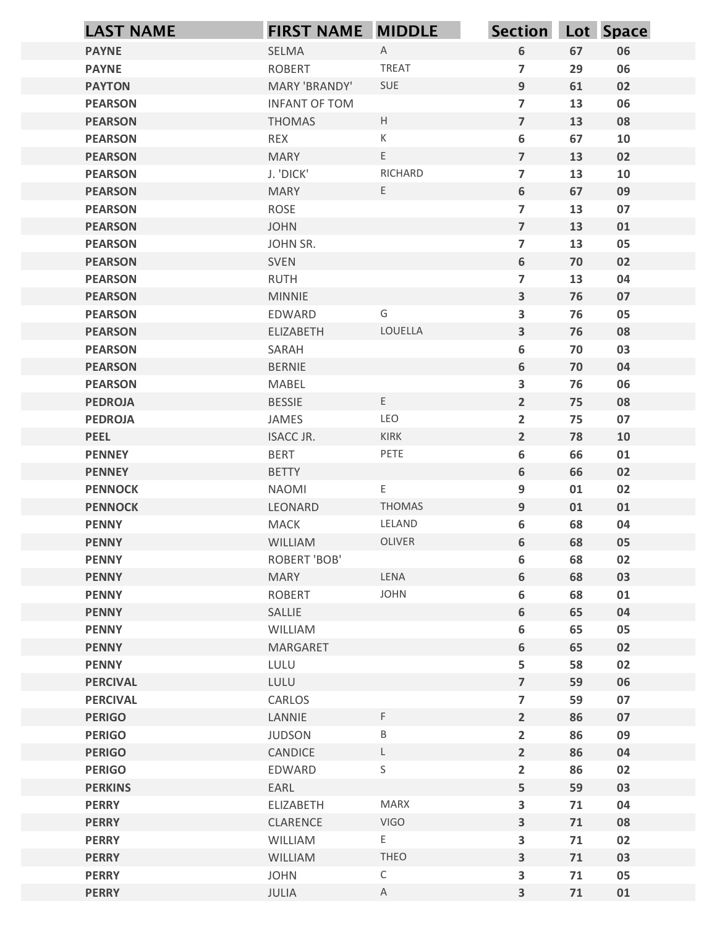| $\mathsf{A}$<br>6<br>06<br><b>PAYNE</b><br>SELMA<br>67<br><b>TREAT</b><br>$\overline{7}$<br>06<br><b>PAYNE</b><br><b>ROBERT</b><br>29<br>9<br>MARY 'BRANDY'<br>SUE<br>61<br>02<br><b>PAYTON</b><br>06<br><b>INFANT OF TOM</b><br>$\overline{7}$<br>13<br><b>PEARSON</b><br>$\mathsf{H}$<br>$\overline{7}$<br>08<br><b>THOMAS</b><br>13<br><b>PEARSON</b><br>$\mathsf{K}$<br>6<br><b>REX</b><br>67<br>10<br><b>PEARSON</b><br>$\mathsf{E}^-$<br>$\overline{7}$<br>02<br><b>PEARSON</b><br><b>MARY</b><br>13<br>RICHARD<br>J. 'DICK'<br>$\overline{7}$<br>13<br>10<br><b>PEARSON</b><br>E<br>6<br>67<br>09<br><b>MARY</b><br><b>PEARSON</b><br>$\overline{\mathbf{z}}$<br>07<br>ROSE<br>13<br><b>PEARSON</b><br>$\overline{7}$<br><b>JOHN</b><br>13<br>01<br><b>PEARSON</b><br>$\overline{7}$<br>05<br><b>PEARSON</b><br>JOHN SR.<br>13<br>$\boldsymbol{6}$<br>SVEN<br>70<br>02<br><b>PEARSON</b><br>RUTH<br>$\overline{7}$<br>13<br>04<br><b>PEARSON</b><br>$\mathbf{3}$<br>07<br><b>PEARSON</b><br><b>MINNIE</b><br>76<br>05<br><b>PEARSON</b><br>EDWARD<br>G<br>$\mathbf{3}$<br>76<br>LOUELLA<br>$\mathbf{3}$<br>76<br>08<br><b>PEARSON</b><br>ELIZABETH<br><b>PEARSON</b><br>SARAH<br>6<br>03<br>70<br>6<br><b>PEARSON</b><br><b>BERNIE</b><br>70<br>04<br><b>PEARSON</b><br>MABEL<br>$\mathbf{3}$<br>76<br>06<br>$\mathsf{E}^-$<br>$\overline{2}$<br><b>PEDROJA</b><br><b>BESSIE</b><br>75<br>08<br><b>PEDROJA</b><br>JAMES<br>LEO<br>$\overline{2}$<br>07<br>75<br>$\overline{2}$<br><b>PEEL</b><br><b>ISACC JR.</b><br>KIRK<br>78<br>10<br><b>BERT</b><br>PETE<br>6<br>66<br>01<br><b>PENNEY</b><br>6<br>02<br><b>PENNEY</b><br><b>BETTY</b><br>66<br>E.<br><b>PENNOCK</b><br><b>NAOMI</b><br>9<br>02<br>01<br><b>THOMAS</b><br>9<br><b>PENNOCK</b><br>LEONARD<br>01<br>01<br>LELAND<br><b>PENNY</b><br>MACK<br>6<br>68<br>04<br>OLIVER<br>6<br><b>PENNY</b><br>WILLIAM<br>68<br>05<br><b>PENNY</b><br>ROBERT 'BOB'<br>02<br>6<br>68<br>LENA<br>6<br><b>PENNY</b><br><b>MARY</b><br>68<br>03<br>JOHN<br>6<br>68<br>01<br><b>PENNY</b><br>ROBERT<br>6<br><b>PENNY</b><br>SALLIE<br>65<br>04<br><b>PENNY</b><br>$6\phantom{1}$<br>65<br>05<br>WILLIAM<br>6<br><b>PENNY</b><br>65<br>02<br>MARGARET<br>5<br>58<br>02<br><b>PENNY</b><br>LULU<br>$\overline{7}$<br>LULU<br>59<br>06<br><b>PERCIVAL</b><br>CARLOS<br>07<br><b>PERCIVAL</b><br>$\overline{7}$<br>59<br>F.<br>$\overline{2}$<br><b>PERIGO</b><br>LANNIE<br>86<br>07<br><b>PERIGO</b><br>$\overline{2}$<br>86<br>09<br><b>JUDSON</b><br>B<br><b>PERIGO</b><br>$\mathsf{L}^-$<br>$\overline{2}$<br>86<br>04<br>CANDICE<br>S<br><b>PERIGO</b><br>02<br>EDWARD<br>$\overline{2}$<br>86<br>5<br><b>PERKINS</b><br>EARL<br>59<br>03<br><b>PERRY</b><br><b>MARX</b><br><b>ELIZABETH</b><br>3<br>04<br>71<br><b>VIGO</b><br>08<br><b>PERRY</b><br>CLARENCE<br>$\mathbf{3}$<br>71<br>$\mathsf{E}^-$<br>$\mathbf{3}$<br>02<br><b>PERRY</b><br>WILLIAM<br>71<br>THEO<br>$\overline{\mathbf{3}}$<br>$71$<br>03<br><b>PERRY</b><br>WILLIAM<br>$\mathsf C$<br>05<br><b>PERRY</b><br><b>JOHN</b><br>$\mathbf{3}$<br>71 | <b>LAST NAME</b> | FIRST NAME MIDDLE |              | Section Lot Space |      |    |
|-----------------------------------------------------------------------------------------------------------------------------------------------------------------------------------------------------------------------------------------------------------------------------------------------------------------------------------------------------------------------------------------------------------------------------------------------------------------------------------------------------------------------------------------------------------------------------------------------------------------------------------------------------------------------------------------------------------------------------------------------------------------------------------------------------------------------------------------------------------------------------------------------------------------------------------------------------------------------------------------------------------------------------------------------------------------------------------------------------------------------------------------------------------------------------------------------------------------------------------------------------------------------------------------------------------------------------------------------------------------------------------------------------------------------------------------------------------------------------------------------------------------------------------------------------------------------------------------------------------------------------------------------------------------------------------------------------------------------------------------------------------------------------------------------------------------------------------------------------------------------------------------------------------------------------------------------------------------------------------------------------------------------------------------------------------------------------------------------------------------------------------------------------------------------------------------------------------------------------------------------------------------------------------------------------------------------------------------------------------------------------------------------------------------------------------------------------------------------------------------------------------------------------------------------------------------------------------------------------------------------------------------------------------------------------------------------------------------------------------------------------------------------------------------------------------------------------------------------------------------------------------------------------------------------------------------------------------------------------------------------------------------------------------------------------------------------|------------------|-------------------|--------------|-------------------|------|----|
|                                                                                                                                                                                                                                                                                                                                                                                                                                                                                                                                                                                                                                                                                                                                                                                                                                                                                                                                                                                                                                                                                                                                                                                                                                                                                                                                                                                                                                                                                                                                                                                                                                                                                                                                                                                                                                                                                                                                                                                                                                                                                                                                                                                                                                                                                                                                                                                                                                                                                                                                                                                                                                                                                                                                                                                                                                                                                                                                                                                                                                                                       |                  |                   |              |                   |      |    |
|                                                                                                                                                                                                                                                                                                                                                                                                                                                                                                                                                                                                                                                                                                                                                                                                                                                                                                                                                                                                                                                                                                                                                                                                                                                                                                                                                                                                                                                                                                                                                                                                                                                                                                                                                                                                                                                                                                                                                                                                                                                                                                                                                                                                                                                                                                                                                                                                                                                                                                                                                                                                                                                                                                                                                                                                                                                                                                                                                                                                                                                                       |                  |                   |              |                   |      |    |
|                                                                                                                                                                                                                                                                                                                                                                                                                                                                                                                                                                                                                                                                                                                                                                                                                                                                                                                                                                                                                                                                                                                                                                                                                                                                                                                                                                                                                                                                                                                                                                                                                                                                                                                                                                                                                                                                                                                                                                                                                                                                                                                                                                                                                                                                                                                                                                                                                                                                                                                                                                                                                                                                                                                                                                                                                                                                                                                                                                                                                                                                       |                  |                   |              |                   |      |    |
|                                                                                                                                                                                                                                                                                                                                                                                                                                                                                                                                                                                                                                                                                                                                                                                                                                                                                                                                                                                                                                                                                                                                                                                                                                                                                                                                                                                                                                                                                                                                                                                                                                                                                                                                                                                                                                                                                                                                                                                                                                                                                                                                                                                                                                                                                                                                                                                                                                                                                                                                                                                                                                                                                                                                                                                                                                                                                                                                                                                                                                                                       |                  |                   |              |                   |      |    |
|                                                                                                                                                                                                                                                                                                                                                                                                                                                                                                                                                                                                                                                                                                                                                                                                                                                                                                                                                                                                                                                                                                                                                                                                                                                                                                                                                                                                                                                                                                                                                                                                                                                                                                                                                                                                                                                                                                                                                                                                                                                                                                                                                                                                                                                                                                                                                                                                                                                                                                                                                                                                                                                                                                                                                                                                                                                                                                                                                                                                                                                                       |                  |                   |              |                   |      |    |
|                                                                                                                                                                                                                                                                                                                                                                                                                                                                                                                                                                                                                                                                                                                                                                                                                                                                                                                                                                                                                                                                                                                                                                                                                                                                                                                                                                                                                                                                                                                                                                                                                                                                                                                                                                                                                                                                                                                                                                                                                                                                                                                                                                                                                                                                                                                                                                                                                                                                                                                                                                                                                                                                                                                                                                                                                                                                                                                                                                                                                                                                       |                  |                   |              |                   |      |    |
|                                                                                                                                                                                                                                                                                                                                                                                                                                                                                                                                                                                                                                                                                                                                                                                                                                                                                                                                                                                                                                                                                                                                                                                                                                                                                                                                                                                                                                                                                                                                                                                                                                                                                                                                                                                                                                                                                                                                                                                                                                                                                                                                                                                                                                                                                                                                                                                                                                                                                                                                                                                                                                                                                                                                                                                                                                                                                                                                                                                                                                                                       |                  |                   |              |                   |      |    |
|                                                                                                                                                                                                                                                                                                                                                                                                                                                                                                                                                                                                                                                                                                                                                                                                                                                                                                                                                                                                                                                                                                                                                                                                                                                                                                                                                                                                                                                                                                                                                                                                                                                                                                                                                                                                                                                                                                                                                                                                                                                                                                                                                                                                                                                                                                                                                                                                                                                                                                                                                                                                                                                                                                                                                                                                                                                                                                                                                                                                                                                                       |                  |                   |              |                   |      |    |
|                                                                                                                                                                                                                                                                                                                                                                                                                                                                                                                                                                                                                                                                                                                                                                                                                                                                                                                                                                                                                                                                                                                                                                                                                                                                                                                                                                                                                                                                                                                                                                                                                                                                                                                                                                                                                                                                                                                                                                                                                                                                                                                                                                                                                                                                                                                                                                                                                                                                                                                                                                                                                                                                                                                                                                                                                                                                                                                                                                                                                                                                       |                  |                   |              |                   |      |    |
|                                                                                                                                                                                                                                                                                                                                                                                                                                                                                                                                                                                                                                                                                                                                                                                                                                                                                                                                                                                                                                                                                                                                                                                                                                                                                                                                                                                                                                                                                                                                                                                                                                                                                                                                                                                                                                                                                                                                                                                                                                                                                                                                                                                                                                                                                                                                                                                                                                                                                                                                                                                                                                                                                                                                                                                                                                                                                                                                                                                                                                                                       |                  |                   |              |                   |      |    |
|                                                                                                                                                                                                                                                                                                                                                                                                                                                                                                                                                                                                                                                                                                                                                                                                                                                                                                                                                                                                                                                                                                                                                                                                                                                                                                                                                                                                                                                                                                                                                                                                                                                                                                                                                                                                                                                                                                                                                                                                                                                                                                                                                                                                                                                                                                                                                                                                                                                                                                                                                                                                                                                                                                                                                                                                                                                                                                                                                                                                                                                                       |                  |                   |              |                   |      |    |
|                                                                                                                                                                                                                                                                                                                                                                                                                                                                                                                                                                                                                                                                                                                                                                                                                                                                                                                                                                                                                                                                                                                                                                                                                                                                                                                                                                                                                                                                                                                                                                                                                                                                                                                                                                                                                                                                                                                                                                                                                                                                                                                                                                                                                                                                                                                                                                                                                                                                                                                                                                                                                                                                                                                                                                                                                                                                                                                                                                                                                                                                       |                  |                   |              |                   |      |    |
|                                                                                                                                                                                                                                                                                                                                                                                                                                                                                                                                                                                                                                                                                                                                                                                                                                                                                                                                                                                                                                                                                                                                                                                                                                                                                                                                                                                                                                                                                                                                                                                                                                                                                                                                                                                                                                                                                                                                                                                                                                                                                                                                                                                                                                                                                                                                                                                                                                                                                                                                                                                                                                                                                                                                                                                                                                                                                                                                                                                                                                                                       |                  |                   |              |                   |      |    |
|                                                                                                                                                                                                                                                                                                                                                                                                                                                                                                                                                                                                                                                                                                                                                                                                                                                                                                                                                                                                                                                                                                                                                                                                                                                                                                                                                                                                                                                                                                                                                                                                                                                                                                                                                                                                                                                                                                                                                                                                                                                                                                                                                                                                                                                                                                                                                                                                                                                                                                                                                                                                                                                                                                                                                                                                                                                                                                                                                                                                                                                                       |                  |                   |              |                   |      |    |
|                                                                                                                                                                                                                                                                                                                                                                                                                                                                                                                                                                                                                                                                                                                                                                                                                                                                                                                                                                                                                                                                                                                                                                                                                                                                                                                                                                                                                                                                                                                                                                                                                                                                                                                                                                                                                                                                                                                                                                                                                                                                                                                                                                                                                                                                                                                                                                                                                                                                                                                                                                                                                                                                                                                                                                                                                                                                                                                                                                                                                                                                       |                  |                   |              |                   |      |    |
|                                                                                                                                                                                                                                                                                                                                                                                                                                                                                                                                                                                                                                                                                                                                                                                                                                                                                                                                                                                                                                                                                                                                                                                                                                                                                                                                                                                                                                                                                                                                                                                                                                                                                                                                                                                                                                                                                                                                                                                                                                                                                                                                                                                                                                                                                                                                                                                                                                                                                                                                                                                                                                                                                                                                                                                                                                                                                                                                                                                                                                                                       |                  |                   |              |                   |      |    |
|                                                                                                                                                                                                                                                                                                                                                                                                                                                                                                                                                                                                                                                                                                                                                                                                                                                                                                                                                                                                                                                                                                                                                                                                                                                                                                                                                                                                                                                                                                                                                                                                                                                                                                                                                                                                                                                                                                                                                                                                                                                                                                                                                                                                                                                                                                                                                                                                                                                                                                                                                                                                                                                                                                                                                                                                                                                                                                                                                                                                                                                                       |                  |                   |              |                   |      |    |
|                                                                                                                                                                                                                                                                                                                                                                                                                                                                                                                                                                                                                                                                                                                                                                                                                                                                                                                                                                                                                                                                                                                                                                                                                                                                                                                                                                                                                                                                                                                                                                                                                                                                                                                                                                                                                                                                                                                                                                                                                                                                                                                                                                                                                                                                                                                                                                                                                                                                                                                                                                                                                                                                                                                                                                                                                                                                                                                                                                                                                                                                       |                  |                   |              |                   |      |    |
|                                                                                                                                                                                                                                                                                                                                                                                                                                                                                                                                                                                                                                                                                                                                                                                                                                                                                                                                                                                                                                                                                                                                                                                                                                                                                                                                                                                                                                                                                                                                                                                                                                                                                                                                                                                                                                                                                                                                                                                                                                                                                                                                                                                                                                                                                                                                                                                                                                                                                                                                                                                                                                                                                                                                                                                                                                                                                                                                                                                                                                                                       |                  |                   |              |                   |      |    |
|                                                                                                                                                                                                                                                                                                                                                                                                                                                                                                                                                                                                                                                                                                                                                                                                                                                                                                                                                                                                                                                                                                                                                                                                                                                                                                                                                                                                                                                                                                                                                                                                                                                                                                                                                                                                                                                                                                                                                                                                                                                                                                                                                                                                                                                                                                                                                                                                                                                                                                                                                                                                                                                                                                                                                                                                                                                                                                                                                                                                                                                                       |                  |                   |              |                   |      |    |
|                                                                                                                                                                                                                                                                                                                                                                                                                                                                                                                                                                                                                                                                                                                                                                                                                                                                                                                                                                                                                                                                                                                                                                                                                                                                                                                                                                                                                                                                                                                                                                                                                                                                                                                                                                                                                                                                                                                                                                                                                                                                                                                                                                                                                                                                                                                                                                                                                                                                                                                                                                                                                                                                                                                                                                                                                                                                                                                                                                                                                                                                       |                  |                   |              |                   |      |    |
|                                                                                                                                                                                                                                                                                                                                                                                                                                                                                                                                                                                                                                                                                                                                                                                                                                                                                                                                                                                                                                                                                                                                                                                                                                                                                                                                                                                                                                                                                                                                                                                                                                                                                                                                                                                                                                                                                                                                                                                                                                                                                                                                                                                                                                                                                                                                                                                                                                                                                                                                                                                                                                                                                                                                                                                                                                                                                                                                                                                                                                                                       |                  |                   |              |                   |      |    |
|                                                                                                                                                                                                                                                                                                                                                                                                                                                                                                                                                                                                                                                                                                                                                                                                                                                                                                                                                                                                                                                                                                                                                                                                                                                                                                                                                                                                                                                                                                                                                                                                                                                                                                                                                                                                                                                                                                                                                                                                                                                                                                                                                                                                                                                                                                                                                                                                                                                                                                                                                                                                                                                                                                                                                                                                                                                                                                                                                                                                                                                                       |                  |                   |              |                   |      |    |
|                                                                                                                                                                                                                                                                                                                                                                                                                                                                                                                                                                                                                                                                                                                                                                                                                                                                                                                                                                                                                                                                                                                                                                                                                                                                                                                                                                                                                                                                                                                                                                                                                                                                                                                                                                                                                                                                                                                                                                                                                                                                                                                                                                                                                                                                                                                                                                                                                                                                                                                                                                                                                                                                                                                                                                                                                                                                                                                                                                                                                                                                       |                  |                   |              |                   |      |    |
|                                                                                                                                                                                                                                                                                                                                                                                                                                                                                                                                                                                                                                                                                                                                                                                                                                                                                                                                                                                                                                                                                                                                                                                                                                                                                                                                                                                                                                                                                                                                                                                                                                                                                                                                                                                                                                                                                                                                                                                                                                                                                                                                                                                                                                                                                                                                                                                                                                                                                                                                                                                                                                                                                                                                                                                                                                                                                                                                                                                                                                                                       |                  |                   |              |                   |      |    |
|                                                                                                                                                                                                                                                                                                                                                                                                                                                                                                                                                                                                                                                                                                                                                                                                                                                                                                                                                                                                                                                                                                                                                                                                                                                                                                                                                                                                                                                                                                                                                                                                                                                                                                                                                                                                                                                                                                                                                                                                                                                                                                                                                                                                                                                                                                                                                                                                                                                                                                                                                                                                                                                                                                                                                                                                                                                                                                                                                                                                                                                                       |                  |                   |              |                   |      |    |
|                                                                                                                                                                                                                                                                                                                                                                                                                                                                                                                                                                                                                                                                                                                                                                                                                                                                                                                                                                                                                                                                                                                                                                                                                                                                                                                                                                                                                                                                                                                                                                                                                                                                                                                                                                                                                                                                                                                                                                                                                                                                                                                                                                                                                                                                                                                                                                                                                                                                                                                                                                                                                                                                                                                                                                                                                                                                                                                                                                                                                                                                       |                  |                   |              |                   |      |    |
|                                                                                                                                                                                                                                                                                                                                                                                                                                                                                                                                                                                                                                                                                                                                                                                                                                                                                                                                                                                                                                                                                                                                                                                                                                                                                                                                                                                                                                                                                                                                                                                                                                                                                                                                                                                                                                                                                                                                                                                                                                                                                                                                                                                                                                                                                                                                                                                                                                                                                                                                                                                                                                                                                                                                                                                                                                                                                                                                                                                                                                                                       |                  |                   |              |                   |      |    |
|                                                                                                                                                                                                                                                                                                                                                                                                                                                                                                                                                                                                                                                                                                                                                                                                                                                                                                                                                                                                                                                                                                                                                                                                                                                                                                                                                                                                                                                                                                                                                                                                                                                                                                                                                                                                                                                                                                                                                                                                                                                                                                                                                                                                                                                                                                                                                                                                                                                                                                                                                                                                                                                                                                                                                                                                                                                                                                                                                                                                                                                                       |                  |                   |              |                   |      |    |
|                                                                                                                                                                                                                                                                                                                                                                                                                                                                                                                                                                                                                                                                                                                                                                                                                                                                                                                                                                                                                                                                                                                                                                                                                                                                                                                                                                                                                                                                                                                                                                                                                                                                                                                                                                                                                                                                                                                                                                                                                                                                                                                                                                                                                                                                                                                                                                                                                                                                                                                                                                                                                                                                                                                                                                                                                                                                                                                                                                                                                                                                       |                  |                   |              |                   |      |    |
|                                                                                                                                                                                                                                                                                                                                                                                                                                                                                                                                                                                                                                                                                                                                                                                                                                                                                                                                                                                                                                                                                                                                                                                                                                                                                                                                                                                                                                                                                                                                                                                                                                                                                                                                                                                                                                                                                                                                                                                                                                                                                                                                                                                                                                                                                                                                                                                                                                                                                                                                                                                                                                                                                                                                                                                                                                                                                                                                                                                                                                                                       |                  |                   |              |                   |      |    |
|                                                                                                                                                                                                                                                                                                                                                                                                                                                                                                                                                                                                                                                                                                                                                                                                                                                                                                                                                                                                                                                                                                                                                                                                                                                                                                                                                                                                                                                                                                                                                                                                                                                                                                                                                                                                                                                                                                                                                                                                                                                                                                                                                                                                                                                                                                                                                                                                                                                                                                                                                                                                                                                                                                                                                                                                                                                                                                                                                                                                                                                                       |                  |                   |              |                   |      |    |
|                                                                                                                                                                                                                                                                                                                                                                                                                                                                                                                                                                                                                                                                                                                                                                                                                                                                                                                                                                                                                                                                                                                                                                                                                                                                                                                                                                                                                                                                                                                                                                                                                                                                                                                                                                                                                                                                                                                                                                                                                                                                                                                                                                                                                                                                                                                                                                                                                                                                                                                                                                                                                                                                                                                                                                                                                                                                                                                                                                                                                                                                       |                  |                   |              |                   |      |    |
|                                                                                                                                                                                                                                                                                                                                                                                                                                                                                                                                                                                                                                                                                                                                                                                                                                                                                                                                                                                                                                                                                                                                                                                                                                                                                                                                                                                                                                                                                                                                                                                                                                                                                                                                                                                                                                                                                                                                                                                                                                                                                                                                                                                                                                                                                                                                                                                                                                                                                                                                                                                                                                                                                                                                                                                                                                                                                                                                                                                                                                                                       |                  |                   |              |                   |      |    |
|                                                                                                                                                                                                                                                                                                                                                                                                                                                                                                                                                                                                                                                                                                                                                                                                                                                                                                                                                                                                                                                                                                                                                                                                                                                                                                                                                                                                                                                                                                                                                                                                                                                                                                                                                                                                                                                                                                                                                                                                                                                                                                                                                                                                                                                                                                                                                                                                                                                                                                                                                                                                                                                                                                                                                                                                                                                                                                                                                                                                                                                                       |                  |                   |              |                   |      |    |
|                                                                                                                                                                                                                                                                                                                                                                                                                                                                                                                                                                                                                                                                                                                                                                                                                                                                                                                                                                                                                                                                                                                                                                                                                                                                                                                                                                                                                                                                                                                                                                                                                                                                                                                                                                                                                                                                                                                                                                                                                                                                                                                                                                                                                                                                                                                                                                                                                                                                                                                                                                                                                                                                                                                                                                                                                                                                                                                                                                                                                                                                       |                  |                   |              |                   |      |    |
|                                                                                                                                                                                                                                                                                                                                                                                                                                                                                                                                                                                                                                                                                                                                                                                                                                                                                                                                                                                                                                                                                                                                                                                                                                                                                                                                                                                                                                                                                                                                                                                                                                                                                                                                                                                                                                                                                                                                                                                                                                                                                                                                                                                                                                                                                                                                                                                                                                                                                                                                                                                                                                                                                                                                                                                                                                                                                                                                                                                                                                                                       |                  |                   |              |                   |      |    |
|                                                                                                                                                                                                                                                                                                                                                                                                                                                                                                                                                                                                                                                                                                                                                                                                                                                                                                                                                                                                                                                                                                                                                                                                                                                                                                                                                                                                                                                                                                                                                                                                                                                                                                                                                                                                                                                                                                                                                                                                                                                                                                                                                                                                                                                                                                                                                                                                                                                                                                                                                                                                                                                                                                                                                                                                                                                                                                                                                                                                                                                                       |                  |                   |              |                   |      |    |
|                                                                                                                                                                                                                                                                                                                                                                                                                                                                                                                                                                                                                                                                                                                                                                                                                                                                                                                                                                                                                                                                                                                                                                                                                                                                                                                                                                                                                                                                                                                                                                                                                                                                                                                                                                                                                                                                                                                                                                                                                                                                                                                                                                                                                                                                                                                                                                                                                                                                                                                                                                                                                                                                                                                                                                                                                                                                                                                                                                                                                                                                       |                  |                   |              |                   |      |    |
|                                                                                                                                                                                                                                                                                                                                                                                                                                                                                                                                                                                                                                                                                                                                                                                                                                                                                                                                                                                                                                                                                                                                                                                                                                                                                                                                                                                                                                                                                                                                                                                                                                                                                                                                                                                                                                                                                                                                                                                                                                                                                                                                                                                                                                                                                                                                                                                                                                                                                                                                                                                                                                                                                                                                                                                                                                                                                                                                                                                                                                                                       |                  |                   |              |                   |      |    |
|                                                                                                                                                                                                                                                                                                                                                                                                                                                                                                                                                                                                                                                                                                                                                                                                                                                                                                                                                                                                                                                                                                                                                                                                                                                                                                                                                                                                                                                                                                                                                                                                                                                                                                                                                                                                                                                                                                                                                                                                                                                                                                                                                                                                                                                                                                                                                                                                                                                                                                                                                                                                                                                                                                                                                                                                                                                                                                                                                                                                                                                                       |                  |                   |              |                   |      |    |
|                                                                                                                                                                                                                                                                                                                                                                                                                                                                                                                                                                                                                                                                                                                                                                                                                                                                                                                                                                                                                                                                                                                                                                                                                                                                                                                                                                                                                                                                                                                                                                                                                                                                                                                                                                                                                                                                                                                                                                                                                                                                                                                                                                                                                                                                                                                                                                                                                                                                                                                                                                                                                                                                                                                                                                                                                                                                                                                                                                                                                                                                       |                  |                   |              |                   |      |    |
|                                                                                                                                                                                                                                                                                                                                                                                                                                                                                                                                                                                                                                                                                                                                                                                                                                                                                                                                                                                                                                                                                                                                                                                                                                                                                                                                                                                                                                                                                                                                                                                                                                                                                                                                                                                                                                                                                                                                                                                                                                                                                                                                                                                                                                                                                                                                                                                                                                                                                                                                                                                                                                                                                                                                                                                                                                                                                                                                                                                                                                                                       |                  |                   |              |                   |      |    |
|                                                                                                                                                                                                                                                                                                                                                                                                                                                                                                                                                                                                                                                                                                                                                                                                                                                                                                                                                                                                                                                                                                                                                                                                                                                                                                                                                                                                                                                                                                                                                                                                                                                                                                                                                                                                                                                                                                                                                                                                                                                                                                                                                                                                                                                                                                                                                                                                                                                                                                                                                                                                                                                                                                                                                                                                                                                                                                                                                                                                                                                                       |                  |                   |              |                   |      |    |
| <b>PERRY</b>                                                                                                                                                                                                                                                                                                                                                                                                                                                                                                                                                                                                                                                                                                                                                                                                                                                                                                                                                                                                                                                                                                                                                                                                                                                                                                                                                                                                                                                                                                                                                                                                                                                                                                                                                                                                                                                                                                                                                                                                                                                                                                                                                                                                                                                                                                                                                                                                                                                                                                                                                                                                                                                                                                                                                                                                                                                                                                                                                                                                                                                          |                  | JULIA             | $\mathsf{A}$ | $\mathbf{3}$      | $71$ | 01 |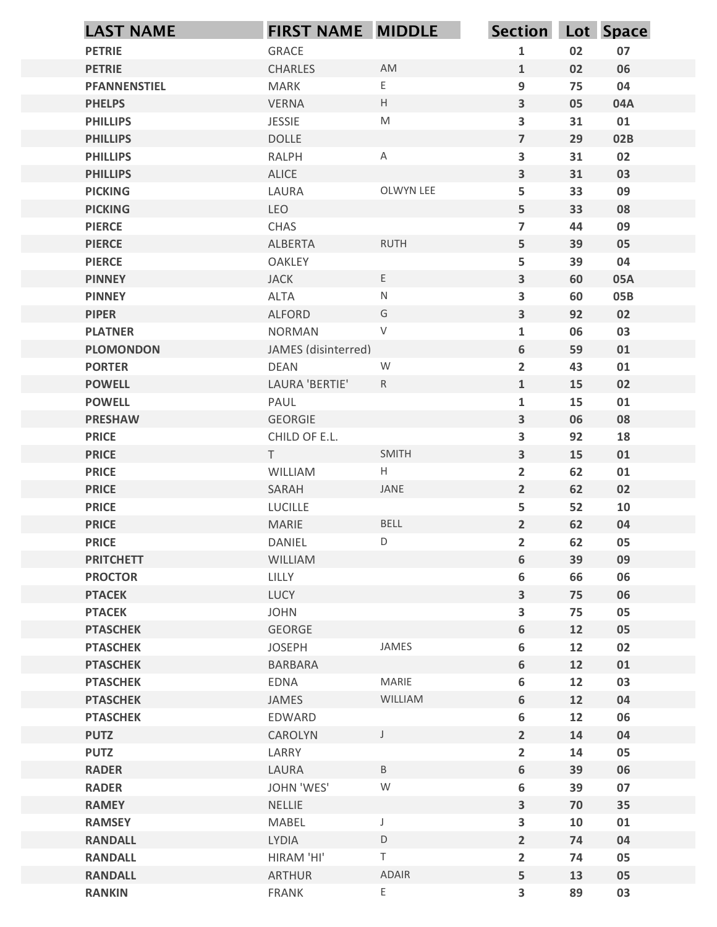| <b>PETRIE</b><br>GRACE<br>CHARLES<br><b>PETRIE</b><br><b>PFANNENSTIEL</b><br><b>MARK</b><br><b>VERNA</b><br><b>PHELPS</b><br><b>PHILLIPS</b><br><b>JESSIE</b><br><b>DOLLE</b><br><b>PHILLIPS</b><br><b>RALPH</b><br><b>PHILLIPS</b> | AM<br>E.         | $\mathbf{1}$                            | 02       | 07         |
|-------------------------------------------------------------------------------------------------------------------------------------------------------------------------------------------------------------------------------------|------------------|-----------------------------------------|----------|------------|
|                                                                                                                                                                                                                                     |                  |                                         |          |            |
|                                                                                                                                                                                                                                     |                  | $\mathbf{1}$                            | 02       | 06         |
|                                                                                                                                                                                                                                     |                  | $\boldsymbol{9}$                        | 75       | 04         |
|                                                                                                                                                                                                                                     | H                | $\mathbf{3}$                            | 05       | 04A        |
|                                                                                                                                                                                                                                     | M                | $\overline{\mathbf{3}}$                 | 31       | 01         |
|                                                                                                                                                                                                                                     |                  | $\overline{7}$                          | 29       | 02B        |
| ALICE<br><b>PHILLIPS</b>                                                                                                                                                                                                            | A                | $\overline{\mathbf{3}}$<br>$\mathbf{3}$ | 31<br>31 | 02<br>03   |
| <b>PICKING</b><br>LAURA                                                                                                                                                                                                             | OLWYN LEE        | 5                                       | 33       | 09         |
| LEO<br><b>PICKING</b>                                                                                                                                                                                                               |                  | 5                                       | 33       | 08         |
| <b>PIERCE</b><br>CHAS                                                                                                                                                                                                               |                  | $\overline{\mathbf{z}}$                 | 44       | 09         |
| <b>ALBERTA</b><br><b>PIERCE</b>                                                                                                                                                                                                     | <b>RUTH</b>      | 5                                       | 39       | 05         |
| <b>PIERCE</b><br>OAKLEY                                                                                                                                                                                                             |                  | 5                                       | 39       | 04         |
| <b>JACK</b><br><b>PINNEY</b><br><b>PINNEY</b>                                                                                                                                                                                       | E<br>${\sf N}$   | 3<br>$\mathbf{3}$                       | 60<br>60 | 05A<br>05B |
| ALTA<br><b>PIPER</b><br>ALFORD                                                                                                                                                                                                      | G                | $\mathbf{3}$                            | 92       | 02         |
| <b>PLATNER</b><br><b>NORMAN</b>                                                                                                                                                                                                     | V                | $\mathbf{1}$                            | 06       | 03         |
| JAMES (disinterred)<br><b>PLOMONDON</b>                                                                                                                                                                                             |                  | $\boldsymbol{6}$                        | 59       | 01         |
| <b>PORTER</b><br>DEAN                                                                                                                                                                                                               | ${\mathsf W}$    | $\overline{2}$                          | 43       | 01         |
| LAURA 'BERTIE'<br><b>POWELL</b>                                                                                                                                                                                                     | R                | $\mathbf{1}$                            | 15       | 02         |
| <b>POWELL</b><br>PAUL                                                                                                                                                                                                               |                  | $\mathbf 1$                             | 15       | 01         |
| GEORGIE<br><b>PRESHAW</b>                                                                                                                                                                                                           |                  | $\overline{\mathbf{3}}$                 | 06       | 08         |
| <b>PRICE</b><br>CHILD OF E.L.<br><b>PRICE</b><br>T                                                                                                                                                                                  | SMITH            | $\mathbf{3}$<br>$\mathbf{3}$            | 92<br>15 | 18<br>01   |
| <b>PRICE</b><br>WILLIAM                                                                                                                                                                                                             | H                | $\overline{2}$                          | 62       | 01         |
| <b>PRICE</b><br>SARAH                                                                                                                                                                                                               | JANE             | $\overline{2}$                          | 62       | 02         |
| <b>PRICE</b><br>LUCILLE                                                                                                                                                                                                             |                  | 5                                       | 52       | 10         |
| <b>PRICE</b><br>MARIE                                                                                                                                                                                                               | BELL             | $\overline{2}$                          | 62       | 04         |
| <b>PRICE</b><br>DANIEL                                                                                                                                                                                                              | D                | $\overline{2}$                          | 62       | 05         |
| <b>PRITCHETT</b><br>WILLIAM                                                                                                                                                                                                         |                  | 6                                       | 39       | 09         |
| <b>PROCTOR</b><br>LILLY                                                                                                                                                                                                             |                  | $\boldsymbol{6}$                        | 66       | 06         |
| LUCY<br><b>PTACEK</b>                                                                                                                                                                                                               |                  | $\mathbf{3}$                            | 75       | 06         |
| <b>PTACEK</b><br><b>JOHN</b><br>GEORGE<br><b>PTASCHEK</b>                                                                                                                                                                           |                  | $\mathbf{3}$<br>6                       | 75<br>12 | 05<br>05   |
| <b>PTASCHEK</b><br><b>JOSEPH</b>                                                                                                                                                                                                    | JAMES            | $\boldsymbol{6}$                        | 12       | 02         |
| <b>PTASCHEK</b><br>BARBARA                                                                                                                                                                                                          |                  | 6                                       | 12       | 01         |
| EDNA<br><b>PTASCHEK</b>                                                                                                                                                                                                             | MARIE            | $\boldsymbol{6}$                        | 12       | 03         |
| <b>PTASCHEK</b><br>JAMES                                                                                                                                                                                                            | WILLIAM          | 6                                       | 12       | 04         |
| <b>PTASCHEK</b><br>EDWARD                                                                                                                                                                                                           |                  | $\boldsymbol{6}$                        | 12       | 06         |
| <b>PUTZ</b><br>CAROLYN                                                                                                                                                                                                              | $\mathsf{J}$     | $\overline{2}$                          | 14       | 04         |
| <b>PUTZ</b><br>LARRY                                                                                                                                                                                                                |                  | $\overline{2}$                          | 14       | 05         |
| <b>RADER</b><br>LAURA<br><b>RADER</b><br>JOHN 'WES'                                                                                                                                                                                 | $\mathsf B$<br>W | $\boldsymbol{6}$<br>$\boldsymbol{6}$    | 39<br>39 | 06<br>07   |
| <b>NELLIE</b><br><b>RAMEY</b>                                                                                                                                                                                                       |                  | 3                                       | 70       | 35         |
| <b>RAMSEY</b><br>MABEL                                                                                                                                                                                                              |                  | $\mathbf{3}$                            | 10       | 01         |
| <b>RANDALL</b><br>LYDIA                                                                                                                                                                                                             | $\mathsf D$      | $\overline{2}$                          | 74       | 04         |
| HIRAM 'HI'<br><b>RANDALL</b>                                                                                                                                                                                                        | T                | $\overline{2}$                          | 74       | 05         |
| <b>RANDALL</b><br><b>ARTHUR</b>                                                                                                                                                                                                     | ADAIR            | 5                                       | 13       | 05         |
| FRANK<br><b>RANKIN</b>                                                                                                                                                                                                              | E                | $\overline{\mathbf{3}}$                 | 89       | 03         |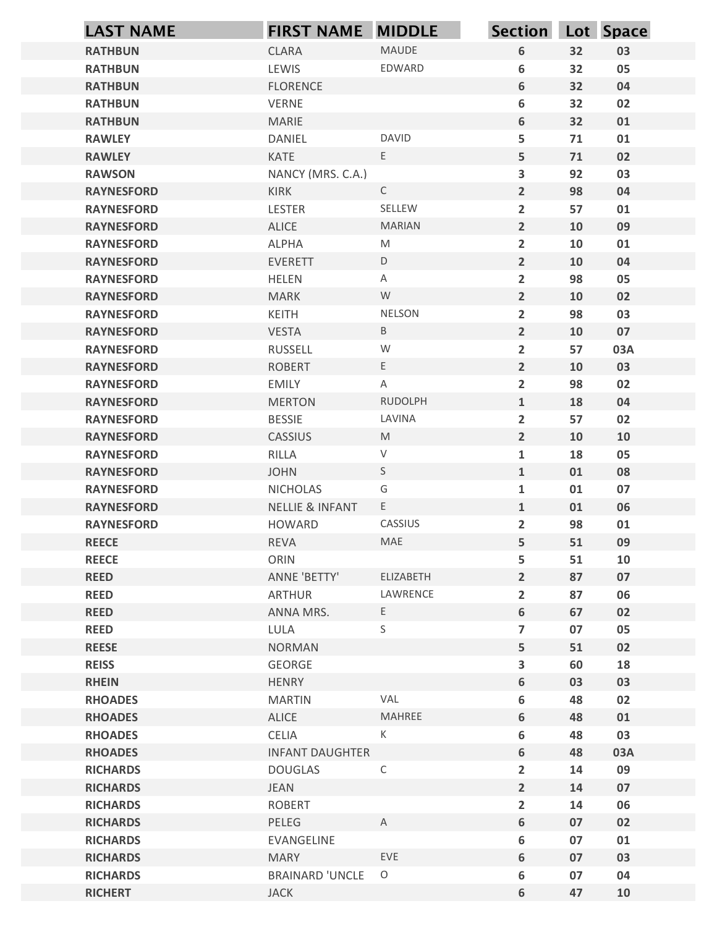| <b>LAST NAME</b>                       | <b>FIRST NAME MIDDLE</b>                      |                   | <b>Section</b>                            |          | Lot Space |
|----------------------------------------|-----------------------------------------------|-------------------|-------------------------------------------|----------|-----------|
| <b>RATHBUN</b>                         | <b>CLARA</b>                                  | MAUDE             | $\boldsymbol{6}$                          | 32       | 03        |
| <b>RATHBUN</b>                         | LEWIS                                         | EDWARD            | 6                                         | 32       | 05        |
| <b>RATHBUN</b>                         | <b>FLORENCE</b>                               |                   | $\boldsymbol{6}$                          | 32       | 04        |
| <b>RATHBUN</b>                         | VERNE                                         |                   | $\boldsymbol{6}$                          | 32       | 02        |
| <b>RATHBUN</b>                         | <b>MARIE</b>                                  |                   | $\boldsymbol{6}$                          | 32       | 01        |
| <b>RAWLEY</b><br><b>RAWLEY</b>         | DANIEL<br>KATE                                | <b>DAVID</b><br>E | 5<br>5                                    | 71<br>71 | 01<br>02  |
| <b>RAWSON</b>                          | NANCY (MRS. C.A.)                             |                   | 3                                         | 92       | 03        |
| <b>RAYNESFORD</b>                      | KIRK                                          | $\mathsf{C}$      | $\overline{2}$                            | 98       | 04        |
| <b>RAYNESFORD</b>                      | LESTER                                        | SELLEW            | $\overline{2}$                            | 57       | 01        |
| <b>RAYNESFORD</b>                      | ALICE                                         | <b>MARIAN</b>     | $\overline{2}$                            | 10       | 09        |
| <b>RAYNESFORD</b>                      | ALPHA                                         | M                 | $\overline{2}$                            | 10       | 01        |
| <b>RAYNESFORD</b>                      | EVERETT                                       | D                 | $\overline{2}$                            | 10       | 04        |
| <b>RAYNESFORD</b>                      | HELEN                                         | Α                 | $\overline{2}$                            | 98       | 05        |
| <b>RAYNESFORD</b>                      | <b>MARK</b>                                   | W                 | $2^{\circ}$                               | 10       | 02        |
| <b>RAYNESFORD</b><br><b>RAYNESFORD</b> | KEITH<br><b>VESTA</b>                         | NELSON<br>B       | $\overline{\mathbf{2}}$<br>$\overline{2}$ | 98<br>10 | 03<br>07  |
| <b>RAYNESFORD</b>                      | RUSSELL                                       | W                 | $\overline{2}$                            | 57       | 03A       |
| <b>RAYNESFORD</b>                      | <b>ROBERT</b>                                 | E                 | $\overline{2}$                            | 10       | 03        |
| <b>RAYNESFORD</b>                      | EMILY                                         | $\mathsf{A}$      | $\overline{2}$                            | 98       | 02        |
| <b>RAYNESFORD</b>                      | <b>MERTON</b>                                 | <b>RUDOLPH</b>    | $\mathbf{1}$                              | 18       | 04        |
| <b>RAYNESFORD</b>                      | <b>BESSIE</b>                                 | LAVINA            | $\overline{2}$                            | 57       | 02        |
| <b>RAYNESFORD</b>                      | CASSIUS                                       | M                 | $\overline{2}$                            | 10       | 10        |
| <b>RAYNESFORD</b>                      | RILLA                                         | V                 | $\mathbf{1}$                              | 18       | 05        |
| <b>RAYNESFORD</b>                      | <b>JOHN</b>                                   | S<br>G            | $\mathbf{1}$                              | 01       | 08        |
| <b>RAYNESFORD</b><br><b>RAYNESFORD</b> | <b>NICHOLAS</b><br><b>NELLIE &amp; INFANT</b> | $E_{\perp}$       | $\mathbf{1}$<br>$\mathbf{1}$              | 01<br>01 | 07<br>06  |
| <b>RAYNESFORD</b>                      | <b>HOWARD</b>                                 | CASSIUS           | $\overline{2}$                            | 98       | 01        |
| <b>REECE</b>                           | REVA                                          | MAE               | 5                                         | 51       | 09        |
| <b>REECE</b>                           | ORIN                                          |                   | 5                                         | 51       | 10        |
| <b>REED</b>                            | ANNE 'BETTY'                                  | ELIZABETH         | $\overline{2}$                            | 87       | 07        |
| <b>REED</b>                            | <b>ARTHUR</b>                                 | LAWRENCE          | $\overline{\mathbf{2}}$                   | 87       | 06        |
| <b>REED</b>                            | ANNA MRS.                                     | E                 | $\boldsymbol{6}$                          | 67       | 02        |
| <b>REED</b>                            | LULA                                          | S                 | $\overline{7}$                            | 07       | 05        |
| <b>REESE</b>                           | <b>NORMAN</b>                                 |                   | 5                                         | 51       | 02        |
| <b>REISS</b>                           | GEORGE                                        |                   | $\overline{\mathbf{3}}$                   | 60       | 18        |
| <b>RHEIN</b><br><b>RHOADES</b>         | HENRY<br><b>MARTIN</b>                        | VAL               | $\boldsymbol{6}$<br>6                     | 03<br>48 | 03<br>02  |
| <b>RHOADES</b>                         | ALICE                                         | MAHREE            | $\boldsymbol{6}$                          | 48       | 01        |
| <b>RHOADES</b>                         | CELIA                                         | K                 | 6                                         | 48       | 03        |
| <b>RHOADES</b>                         | <b>INFANT DAUGHTER</b>                        |                   | $\boldsymbol{6}$                          | 48       | 03A       |
| <b>RICHARDS</b>                        | <b>DOUGLAS</b>                                | $\mathsf{C}$      | $\overline{2}$                            | 14       | 09        |
| <b>RICHARDS</b>                        | JEAN                                          |                   | $\overline{2}$                            | 14       | 07        |
| <b>RICHARDS</b>                        | <b>ROBERT</b>                                 |                   | $\overline{\mathbf{2}}$                   | 14       | 06        |
| <b>RICHARDS</b>                        | PELEG                                         | $\mathsf{A}$      | $\boldsymbol{6}$                          | 07       | 02        |
| <b>RICHARDS</b>                        | EVANGELINE                                    |                   | $\boldsymbol{6}$                          | 07       | 01        |
| <b>RICHARDS</b>                        | <b>MARY</b><br><b>BRAINARD 'UNCLE</b>         | EVE<br>$\circ$    | $\boldsymbol{6}$                          | 07<br>07 | 03        |
| <b>RICHARDS</b><br><b>RICHERT</b>      | <b>JACK</b>                                   |                   | $\boldsymbol{6}$<br>$\boldsymbol{6}$      | 47       | 04<br>10  |
|                                        |                                               |                   |                                           |          |           |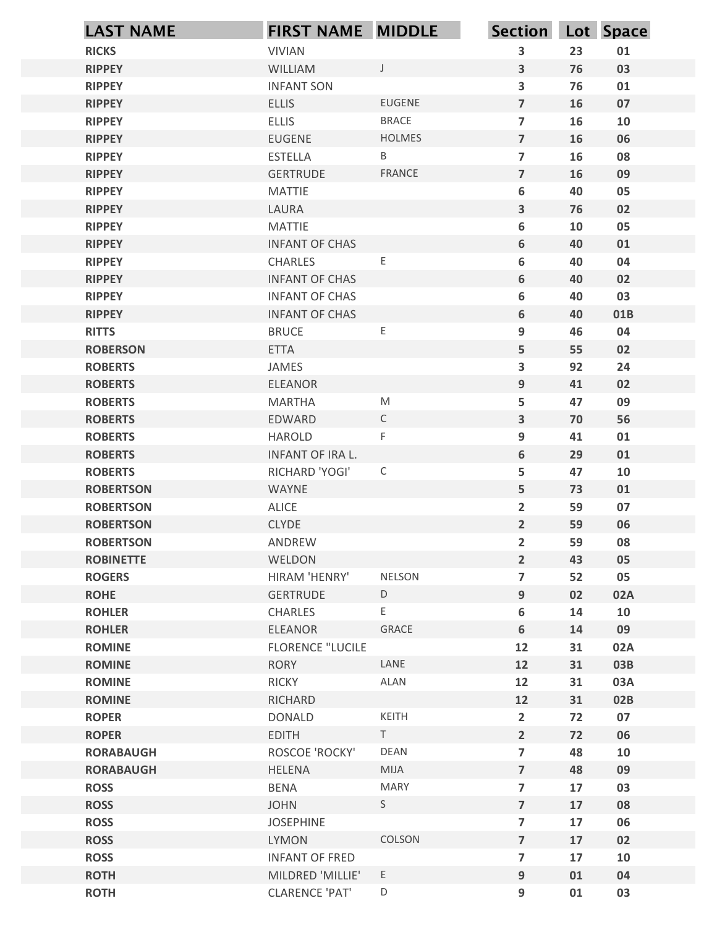|                                      | <b>LAST NAME</b> | <b>FIRST NAME MIDDLE</b>              |                    | Section Lot Space                 |          |           |
|--------------------------------------|------------------|---------------------------------------|--------------------|-----------------------------------|----------|-----------|
| <b>RICKS</b>                         |                  | <b>VIVIAN</b>                         |                    | 3                                 | 23       | 01        |
| <b>RIPPEY</b>                        |                  | <b>WILLIAM</b>                        | $\mathsf{J}$       | $\overline{\mathbf{3}}$           | 76       | 03        |
| <b>RIPPEY</b>                        |                  | <b>INFANT SON</b>                     |                    | $\overline{\mathbf{3}}$           | 76       | 01        |
| <b>RIPPEY</b>                        |                  | <b>ELLIS</b>                          | <b>EUGENE</b>      | $\overline{7}$                    | 16       | 07        |
| <b>RIPPEY</b>                        |                  | <b>ELLIS</b>                          | <b>BRACE</b>       | $\overline{7}$                    | 16       | 10        |
| <b>RIPPEY</b><br><b>RIPPEY</b>       |                  | <b>EUGENE</b><br><b>ESTELLA</b>       | <b>HOLMES</b><br>B | $\overline{7}$<br>$\overline{7}$  | 16<br>16 | 06<br>08  |
| <b>RIPPEY</b>                        |                  | <b>GERTRUDE</b>                       | <b>FRANCE</b>      | $\overline{7}$                    | 16       | 09        |
| <b>RIPPEY</b>                        |                  | <b>MATTIE</b>                         |                    | 6                                 | 40       | 05        |
| <b>RIPPEY</b>                        |                  | LAURA                                 |                    | 3                                 | 76       | 02        |
| <b>RIPPEY</b>                        |                  | <b>MATTIE</b>                         |                    | 6                                 | 10       | 05        |
| <b>RIPPEY</b>                        |                  | <b>INFANT OF CHAS</b>                 |                    | 6                                 | 40       | 01        |
| <b>RIPPEY</b>                        |                  | CHARLES                               | $\mathsf E$        | 6                                 | 40       | 04        |
| <b>RIPPEY</b>                        |                  | <b>INFANT OF CHAS</b>                 |                    | 6                                 | 40       | 02        |
| <b>RIPPEY</b>                        |                  | <b>INFANT OF CHAS</b>                 |                    | 6                                 | 40       | 03        |
| <b>RIPPEY</b><br><b>RITTS</b>        |                  | <b>INFANT OF CHAS</b><br><b>BRUCE</b> | $\mathsf E$        | 6<br>9                            | 40<br>46 | 01B<br>04 |
| <b>ROBERSON</b>                      |                  | <b>ETTA</b>                           |                    | 5                                 | 55       | 02        |
| <b>ROBERTS</b>                       |                  | JAMES                                 |                    | $\overline{\mathbf{3}}$           | 92       | 24        |
| <b>ROBERTS</b>                       |                  | ELEANOR                               |                    | 9                                 | 41       | 02        |
| <b>ROBERTS</b>                       |                  | <b>MARTHA</b>                         | ${\sf M}$          | 5                                 | 47       | 09        |
| <b>ROBERTS</b>                       |                  | EDWARD                                | $\mathsf{C}$       | $\mathbf{3}$                      | 70       | 56        |
| <b>ROBERTS</b>                       |                  | HAROLD                                | F                  | 9                                 | 41       | 01        |
| <b>ROBERTS</b>                       |                  | INFANT OF IRA L.                      |                    | 6                                 | 29       | 01        |
| <b>ROBERTS</b>                       |                  | RICHARD 'YOGI'                        | $\mathsf C$        | 5                                 | 47       | 10        |
| <b>ROBERTSON</b>                     |                  | WAYNE                                 |                    | 5                                 | 73       | 01        |
| <b>ROBERTSON</b>                     |                  | ALICE                                 |                    | $\overline{2}$                    | 59       | 07        |
| <b>ROBERTSON</b><br><b>ROBERTSON</b> |                  | <b>CLYDE</b><br>ANDREW                |                    | $2\overline{ }$<br>$\overline{2}$ | 59<br>59 | 06<br>08  |
| <b>ROBINETTE</b>                     |                  | WELDON                                |                    | $2\overline{ }$                   | 43       | 05        |
| <b>ROGERS</b>                        |                  | HIRAM 'HENRY'                         | <b>NELSON</b>      | $\overline{7}$                    | 52       | 05        |
| <b>ROHE</b>                          |                  | GERTRUDE                              | D                  | 9                                 | 02       | 02A       |
| <b>ROHLER</b>                        |                  | CHARLES                               | E                  | $\bf 6$                           | 14       | 10        |
| <b>ROHLER</b>                        |                  | ELEANOR                               | GRACE              | 6                                 | 14       | 09        |
| <b>ROMINE</b>                        |                  | <b>FLORENCE "LUCILE</b>               |                    | 12                                | 31       | 02A       |
| <b>ROMINE</b>                        |                  | <b>RORY</b>                           | LANE               | 12                                | 31       | 03B       |
| <b>ROMINE</b>                        |                  | <b>RICKY</b>                          | ALAN               | 12                                | 31       | 03A       |
| <b>ROMINE</b><br><b>ROPER</b>        |                  | RICHARD                               | KEITH              | 12                                | 31       | 02B       |
| <b>ROPER</b>                         |                  | <b>DONALD</b><br><b>EDITH</b>         | T                  | $\overline{2}$<br>$2\overline{ }$ | 72<br>72 | 07<br>06  |
| <b>RORABAUGH</b>                     |                  | ROSCOE 'ROCKY'                        | DEAN               | $\overline{7}$                    | 48       | 10        |
| <b>RORABAUGH</b>                     |                  | <b>HELENA</b>                         | MIJA               | $\overline{7}$                    | 48       | 09        |
| <b>ROSS</b>                          |                  | <b>BENA</b>                           | <b>MARY</b>        | $\overline{7}$                    | 17       | 03        |
| <b>ROSS</b>                          |                  | <b>JOHN</b>                           | S                  | $\overline{\mathbf{z}}$           | 17       | 08        |
| <b>ROSS</b>                          |                  | <b>JOSEPHINE</b>                      |                    | $\overline{7}$                    | 17       | 06        |
| <b>ROSS</b>                          |                  | LYMON                                 | COLSON             | $\overline{7}$                    | 17       | 02        |
| <b>ROSS</b>                          |                  | <b>INFANT OF FRED</b>                 |                    | $\overline{7}$                    | 17       | 10        |
| <b>ROTH</b>                          |                  | MILDRED 'MILLIE'                      | E                  | 9                                 | 01       | 04        |
| <b>ROTH</b>                          |                  | <b>CLARENCE 'PAT'</b>                 | $\mathsf D$        | 9                                 | 01       | 03        |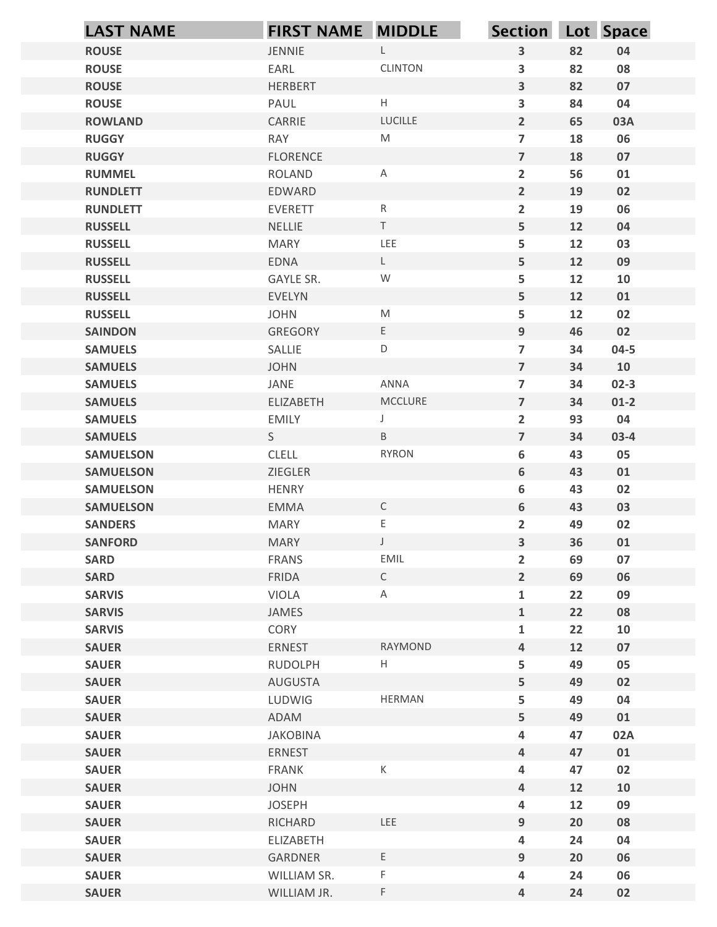| <b>ROUSE</b><br><b>ROUSE</b>         |                          |                      |                                  | Section Lot Space |          |
|--------------------------------------|--------------------------|----------------------|----------------------------------|-------------------|----------|
|                                      | JENNIE                   | $\mathsf{L}$         | $\mathbf{3}$                     | 82                | 04       |
|                                      | EARL                     | <b>CLINTON</b>       | 3                                | 82                | 08       |
| <b>ROUSE</b>                         | HERBERT                  |                      | $\overline{\mathbf{3}}$          | 82                | 07       |
| <b>ROUSE</b>                         | PAUL                     | $\mathsf{H}^-$       | 3                                | 84                | 04       |
| <b>ROWLAND</b>                       | CARRIE                   | LUCILLE<br>${\sf M}$ | $\overline{2}$<br>$\overline{7}$ | 65                | 03A      |
| <b>RUGGY</b><br><b>RUGGY</b>         | RAY<br><b>FLORENCE</b>   |                      | $\overline{7}$                   | 18<br>18          | 06<br>07 |
| <b>RUMMEL</b>                        | <b>ROLAND</b>            | A                    | $\overline{2}$                   | 56                | 01       |
| <b>RUNDLETT</b>                      | EDWARD                   |                      | $\overline{2}$                   | 19                | 02       |
| <b>RUNDLETT</b>                      | <b>EVERETT</b>           | $R_{\parallel}$      | $\overline{2}$                   | 19                | 06       |
| <b>RUSSELL</b>                       | NELLIE                   | $\mathsf T$          | 5                                | 12                | 04       |
| <b>RUSSELL</b>                       | <b>MARY</b>              | LEE                  | 5                                | 12                | 03       |
| <b>RUSSELL</b>                       | EDNA                     | $\mathsf L$          | 5                                | 12                | 09       |
| <b>RUSSELL</b><br><b>RUSSELL</b>     | GAYLE SR.<br>EVELYN      | ${\mathsf W}$        | 5<br>5                           | 12<br>12          | 10<br>01 |
| <b>RUSSELL</b>                       | <b>JOHN</b>              | M                    | 5                                | 12                | 02       |
| <b>SAINDON</b>                       | GREGORY                  | E                    | 9                                | 46                | 02       |
| <b>SAMUELS</b>                       | SALLIE                   | D                    | $\overline{7}$                   | 34                | $04 - 5$ |
| <b>SAMUELS</b>                       | <b>JOHN</b>              |                      | $\overline{7}$                   | 34                | 10       |
| <b>SAMUELS</b>                       | JANE                     | ANNA                 | $\overline{7}$                   | 34                | $02 - 3$ |
| <b>SAMUELS</b>                       | ELIZABETH                | MCCLURE              | $\overline{7}$                   | 34                | $01-2$   |
| <b>SAMUELS</b>                       | <b>EMILY</b>             |                      | $\overline{2}$                   | 93                | 04       |
| <b>SAMUELS</b>                       | S                        | $\mathsf B$          | $\overline{7}$                   | 34                | $03-4$   |
| <b>SAMUELSON</b>                     | <b>CLELL</b>             | <b>RYRON</b>         | 6<br>6                           | 43                | 05       |
| <b>SAMUELSON</b><br><b>SAMUELSON</b> | ZIEGLER<br>HENRY         |                      | 6                                | 43<br>43          | 01<br>02 |
| <b>SAMUELSON</b>                     | EMMA                     | $\mathsf C$          | $\bf 6$                          | 43                | 03       |
| <b>SANDERS</b>                       | <b>MARY</b>              | E.                   | $\overline{2}$                   | 49                | 02       |
| <b>SANFORD</b>                       | <b>MARY</b>              | $\mathsf J$          | $\mathbf{3}$                     | 36                | 01       |
| <b>SARD</b>                          | FRANS                    | EMIL                 | $\overline{2}$                   | 69                | 07       |
| <b>SARD</b>                          | FRIDA                    | $\mathsf{C}$         | $\overline{2}$                   | 69                | 06       |
| <b>SARVIS</b>                        | VIOLA                    | $\mathsf{A}$         | $\mathbf{1}$                     | 22                | 09       |
| <b>SARVIS</b>                        | JAMES                    |                      | $\mathbf{1}$                     | 22                | 08       |
| <b>SARVIS</b>                        | CORY                     | RAYMOND              | $\mathbf{1}$                     | 22                | 10       |
| <b>SAUER</b><br><b>SAUER</b>         | ERNEST<br>RUDOLPH        | H                    | $\overline{a}$<br>5              | 12<br>49          | 07<br>05 |
| <b>SAUER</b>                         | AUGUSTA                  |                      | 5                                | 49                | 02       |
| <b>SAUER</b>                         | LUDWIG                   | HERMAN               | 5                                | 49                | 04       |
| <b>SAUER</b>                         | ADAM                     |                      | 5                                | 49                | 01       |
| <b>SAUER</b>                         | JAKOBINA                 |                      | 4                                | 47                | 02A      |
| <b>SAUER</b>                         | ERNEST                   |                      | $\overline{a}$                   | 47                | 01       |
| <b>SAUER</b>                         | FRANK                    | $\mathsf K$          | 4                                | 47                | 02       |
| <b>SAUER</b>                         | <b>JOHN</b>              |                      | $\overline{a}$                   | 12                | 10       |
| <b>SAUER</b>                         | <b>JOSEPH</b><br>RICHARD | LEE                  | 4                                | 12                | 09<br>08 |
| <b>SAUER</b><br><b>SAUER</b>         | ELIZABETH                |                      | 9<br>$\overline{\mathbf{4}}$     | 20<br>24          | 04       |
| <b>SAUER</b>                         | GARDNER                  | $\mathsf{E}^-$       | 9                                | 20                | 06       |
| <b>SAUER</b>                         | WILLIAM SR.              | $\mathsf F$          | 4                                | 24                | 06       |
| <b>SAUER</b>                         | WILLIAM JR.              | $\mathsf F$          | $\overline{a}$                   | 24                | 02       |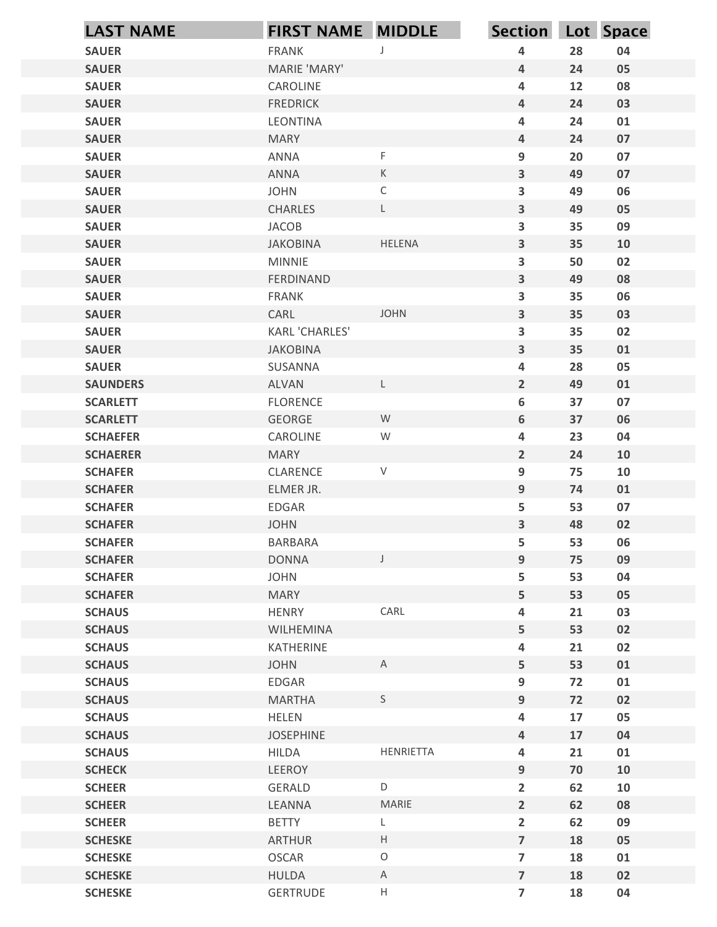| <b>SAUER</b><br><b>SAUER</b><br><b>SAUER</b><br><b>SAUER</b><br><b>SAUER</b><br><b>SAUER</b><br><b>SAUER</b><br><b>SAUER</b><br><b>SAUER</b><br><b>SAUER</b><br><b>SAUER</b><br><b>SAUER</b> | <b>FRANK</b><br><b>MARIE 'MARY'</b><br>CAROLINE<br><b>FREDRICK</b><br>LEONTINA<br><b>MARY</b><br>ANNA<br><b>ANNA</b><br><b>JOHN</b> |                                | 4<br>4<br>4<br>$\overline{\mathbf{4}}$    | 28<br>24<br>12 | 04<br>05<br>08 |
|----------------------------------------------------------------------------------------------------------------------------------------------------------------------------------------------|-------------------------------------------------------------------------------------------------------------------------------------|--------------------------------|-------------------------------------------|----------------|----------------|
|                                                                                                                                                                                              |                                                                                                                                     |                                |                                           |                |                |
|                                                                                                                                                                                              |                                                                                                                                     |                                |                                           |                |                |
|                                                                                                                                                                                              |                                                                                                                                     |                                |                                           |                |                |
|                                                                                                                                                                                              |                                                                                                                                     |                                |                                           | 24             | 03             |
|                                                                                                                                                                                              |                                                                                                                                     |                                | 4                                         | 24             | 01             |
|                                                                                                                                                                                              |                                                                                                                                     |                                | $\overline{\mathbf{4}}$                   | 24             | 07             |
|                                                                                                                                                                                              |                                                                                                                                     | $\mathsf F$                    | 9                                         | 20             | 07             |
|                                                                                                                                                                                              |                                                                                                                                     | $\mathsf K$                    | $\overline{\mathbf{3}}$                   | 49             | 07             |
|                                                                                                                                                                                              |                                                                                                                                     | $\mathsf C$                    | $\overline{\mathbf{3}}$                   | 49             | 06             |
|                                                                                                                                                                                              | <b>CHARLES</b>                                                                                                                      | L                              | $\overline{\mathbf{3}}$                   | 49             | 05             |
|                                                                                                                                                                                              | <b>JACOB</b>                                                                                                                        | <b>HELENA</b>                  | $\overline{\mathbf{3}}$                   | 35             | 09             |
| <b>SAUER</b>                                                                                                                                                                                 | <b>JAKOBINA</b><br><b>MINNIE</b>                                                                                                    |                                | $\overline{\mathbf{3}}$<br>3              | 35<br>50       | 10<br>02       |
| <b>SAUER</b>                                                                                                                                                                                 | FERDINAND                                                                                                                           |                                | 3                                         | 49             | 08             |
| <b>SAUER</b>                                                                                                                                                                                 | FRANK                                                                                                                               |                                | 3                                         | 35             | 06             |
| <b>SAUER</b>                                                                                                                                                                                 | CARL                                                                                                                                | JOHN                           | $\mathbf{3}$                              | 35             | 03             |
| <b>SAUER</b>                                                                                                                                                                                 | <b>KARL</b> 'CHARLES'                                                                                                               |                                | $\overline{\mathbf{3}}$                   | 35             | 02             |
| <b>SAUER</b>                                                                                                                                                                                 | JAKOBINA                                                                                                                            |                                | $\overline{\mathbf{3}}$                   | 35             | 01             |
| <b>SAUER</b>                                                                                                                                                                                 | SUSANNA                                                                                                                             |                                | 4                                         | 28             | 05             |
| <b>SAUNDERS</b>                                                                                                                                                                              | ALVAN                                                                                                                               | $\mathsf{L}$                   | $\overline{2}$                            | 49             | 01             |
| <b>SCARLETT</b>                                                                                                                                                                              | <b>FLORENCE</b>                                                                                                                     |                                | 6                                         | 37             | 07             |
| <b>SCARLETT</b>                                                                                                                                                                              | GEORGE                                                                                                                              | W                              | $\boldsymbol{6}$                          | $37\,$         | 06             |
| <b>SCHAEFER</b>                                                                                                                                                                              | CAROLINE                                                                                                                            | ${\mathsf W}$                  | 4                                         | 23             | ${\bf 04}$     |
| <b>SCHAERER</b>                                                                                                                                                                              | <b>MARY</b>                                                                                                                         |                                | $\overline{2}$                            | 24             | 10             |
| <b>SCHAFER</b>                                                                                                                                                                               | CLARENCE                                                                                                                            | $\vee$                         | 9                                         | 75             | 10             |
| <b>SCHAFER</b>                                                                                                                                                                               | ELMER JR.                                                                                                                           |                                | 9                                         | 74             | 01             |
| <b>SCHAFER</b>                                                                                                                                                                               | EDGAR                                                                                                                               |                                | 5                                         | 53             | ${\bf 07}$     |
| <b>SCHAFER</b>                                                                                                                                                                               | <b>JOHN</b>                                                                                                                         |                                | $\overline{\mathbf{3}}$                   | 48             | 02             |
| <b>SCHAFER</b>                                                                                                                                                                               | BARBARA                                                                                                                             |                                | 5                                         | 53             | 06             |
| <b>SCHAFER</b>                                                                                                                                                                               | <b>DONNA</b>                                                                                                                        | $\mathsf J$                    | 9                                         | 75             | 09             |
| <b>SCHAFER</b>                                                                                                                                                                               | <b>JOHN</b>                                                                                                                         |                                | 5                                         | 53             | 04             |
| <b>SCHAFER</b>                                                                                                                                                                               | <b>MARY</b>                                                                                                                         |                                | 5                                         | 53             | 05             |
| <b>SCHAUS</b>                                                                                                                                                                                | <b>HENRY</b>                                                                                                                        | $\mathsf{CARL}$                | 4                                         | 21             | 03             |
| <b>SCHAUS</b>                                                                                                                                                                                | WILHEMINA                                                                                                                           |                                | 5                                         | 53             | 02             |
| <b>SCHAUS</b>                                                                                                                                                                                | KATHERINE                                                                                                                           |                                | 4                                         | 21             | 02             |
| <b>SCHAUS</b>                                                                                                                                                                                | <b>JOHN</b>                                                                                                                         | $\mathsf{A}$                   | 5                                         | 53             | 01             |
| <b>SCHAUS</b>                                                                                                                                                                                | EDGAR                                                                                                                               |                                | 9                                         | 72             | ${\bf 01}$     |
| <b>SCHAUS</b>                                                                                                                                                                                | <b>MARTHA</b>                                                                                                                       | S                              | 9                                         | 72             | 02             |
| <b>SCHAUS</b>                                                                                                                                                                                | HELEN                                                                                                                               |                                | 4                                         | 17             | 05             |
| <b>SCHAUS</b>                                                                                                                                                                                | <b>JOSEPHINE</b>                                                                                                                    |                                | $\overline{a}$                            | 17             | 04             |
| <b>SCHAUS</b>                                                                                                                                                                                | HILDA                                                                                                                               | HENRIETTA                      | 4                                         | 21             | 01             |
| <b>SCHECK</b>                                                                                                                                                                                | LEEROY                                                                                                                              |                                | 9                                         | 70             | 10             |
| <b>SCHEER</b>                                                                                                                                                                                | GERALD                                                                                                                              | $\mathsf D$                    | $\overline{2}$                            | 62             | ${\bf 10}$     |
| <b>SCHEER</b>                                                                                                                                                                                | LEANNA                                                                                                                              | MARIE                          | $\overline{2}$                            | 62             | 08             |
| <b>SCHEER</b>                                                                                                                                                                                | <b>BETTY</b>                                                                                                                        | L<br>$\boldsymbol{\mathsf{H}}$ | $\overline{2}$                            | 62             | 09             |
| <b>SCHESKE</b>                                                                                                                                                                               | <b>ARTHUR</b>                                                                                                                       | $\mathsf O$                    | $\overline{\mathbf{z}}$<br>$\overline{7}$ | 18             | 05             |
| <b>SCHESKE</b><br><b>SCHESKE</b>                                                                                                                                                             | OSCAR<br><b>HULDA</b>                                                                                                               | $\mathsf{A}$                   | $\overline{7}$                            | 18<br>18       | 01<br>02       |
| <b>SCHESKE</b>                                                                                                                                                                               | <b>GERTRUDE</b>                                                                                                                     | $\boldsymbol{\mathsf{H}}$      | $\overline{7}$                            | 18             | ${\bf 04}$     |
|                                                                                                                                                                                              |                                                                                                                                     |                                |                                           |                |                |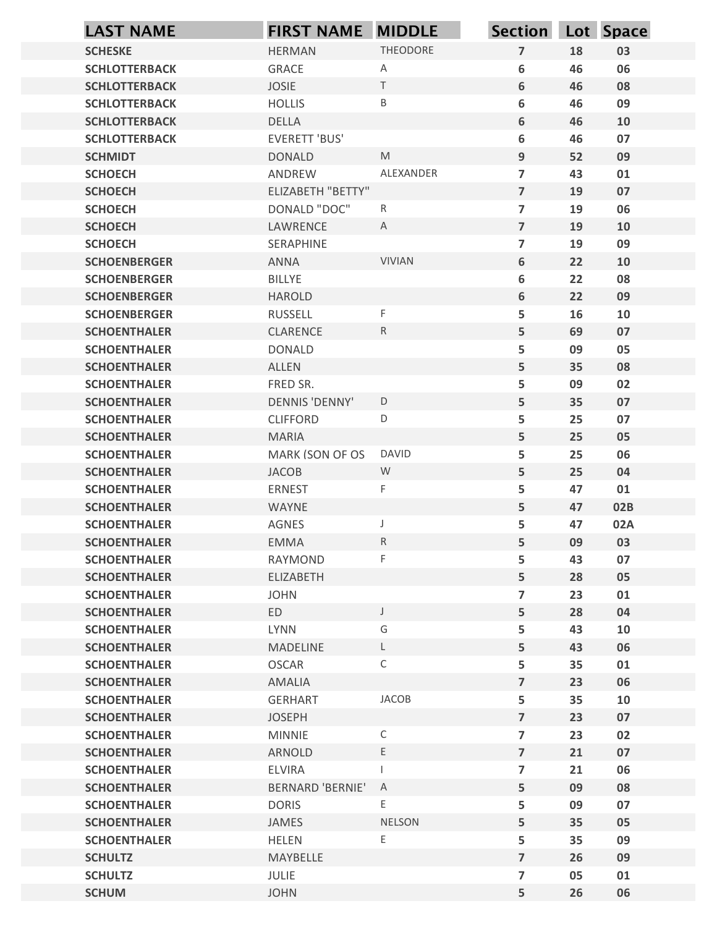| <b>LAST NAME</b>                           | <b>FIRST NAME MIDDLE</b>        |                   | Section Lot Space                |          |          |
|--------------------------------------------|---------------------------------|-------------------|----------------------------------|----------|----------|
| <b>SCHESKE</b>                             | <b>HERMAN</b>                   | THEODORE          | $\overline{7}$                   | 18       | 03       |
| <b>SCHLOTTERBACK</b>                       | <b>GRACE</b>                    | A                 | 6                                | 46       | 06       |
| <b>SCHLOTTERBACK</b>                       | <b>JOSIE</b>                    | $\top$            | 6                                | 46       | 08       |
| <b>SCHLOTTERBACK</b>                       | <b>HOLLIS</b>                   | $\sf B$           | 6                                | 46       | 09       |
| <b>SCHLOTTERBACK</b>                       | DELLA                           |                   | 6                                | 46       | 10       |
| <b>SCHLOTTERBACK</b>                       | <b>EVERETT 'BUS'</b>            | M                 | 6                                | 46       | 07       |
| <b>SCHMIDT</b><br><b>SCHOECH</b>           | <b>DONALD</b><br>ANDREW         | ALEXANDER         | 9<br>$\overline{7}$              | 52<br>43 | 09<br>01 |
| <b>SCHOECH</b>                             | <b>ELIZABETH "BETTY"</b>        |                   | $\overline{7}$                   | 19       | 07       |
| <b>SCHOECH</b>                             | DONALD "DOC"                    | $\mathsf{R}$      | $\overline{7}$                   | 19       | 06       |
| <b>SCHOECH</b>                             | LAWRENCE                        | $\mathsf{A}$      | $\overline{7}$                   | 19       | 10       |
| <b>SCHOECH</b>                             | SERAPHINE                       |                   | $\overline{7}$                   | 19       | 09       |
| <b>SCHOENBERGER</b>                        | ANNA                            | <b>VIVIAN</b>     | 6                                | 22       | 10       |
| <b>SCHOENBERGER</b>                        | <b>BILLYE</b>                   |                   | 6                                | 22       | 08       |
| <b>SCHOENBERGER</b><br><b>SCHOENBERGER</b> | <b>HAROLD</b><br><b>RUSSELL</b> | F                 | 6<br>5                           | 22<br>16 | 09<br>10 |
| <b>SCHOENTHALER</b>                        | CLARENCE                        | $R_{\parallel}$   | 5                                | 69       | 07       |
| <b>SCHOENTHALER</b>                        | <b>DONALD</b>                   |                   | 5                                | 09       | 05       |
| <b>SCHOENTHALER</b>                        | ALLEN                           |                   | 5                                | 35       | 08       |
| <b>SCHOENTHALER</b>                        | FRED SR.                        |                   | 5                                | 09       | 02       |
| <b>SCHOENTHALER</b>                        | DENNIS 'DENNY'                  | $\mathsf D$       | 5                                | 35       | 07       |
| <b>SCHOENTHALER</b>                        | <b>CLIFFORD</b>                 | D                 | 5                                | 25       | 07       |
| <b>SCHOENTHALER</b><br><b>SCHOENTHALER</b> | <b>MARIA</b><br>MARK (SON OF OS | <b>DAVID</b>      | 5<br>5                           | 25<br>25 | 05<br>06 |
| <b>SCHOENTHALER</b>                        | <b>JACOB</b>                    | W                 | 5                                | 25       | 04       |
| <b>SCHOENTHALER</b>                        | <b>ERNEST</b>                   | F                 | 5                                | 47       | 01       |
| <b>SCHOENTHALER</b>                        | WAYNE                           |                   | 5                                | 47       | 02B      |
| <b>SCHOENTHALER</b>                        | AGNES                           | J                 | 5                                | 47       | 02A      |
| <b>SCHOENTHALER</b>                        | EMMA                            | $R_{\parallel}$   | 5                                | 09       | 03       |
| <b>SCHOENTHALER</b>                        | RAYMOND                         | F                 | 5                                | 43       | 07       |
| <b>SCHOENTHALER</b>                        | ELIZABETH                       |                   | 5                                | 28       | 05       |
| <b>SCHOENTHALER</b>                        | <b>JOHN</b><br>ED               |                   | $\overline{7}$<br>5              | 23<br>28 | 01       |
| <b>SCHOENTHALER</b><br><b>SCHOENTHALER</b> | <b>LYNN</b>                     | $\mathsf{J}$<br>G | 5                                | 43       | 04<br>10 |
| <b>SCHOENTHALER</b>                        | <b>MADELINE</b>                 | L                 | 5                                | 43       | 06       |
| <b>SCHOENTHALER</b>                        | <b>OSCAR</b>                    | $\mathsf{C}$      | 5                                | 35       | 01       |
| <b>SCHOENTHALER</b>                        | AMALIA                          |                   | $\overline{7}$                   | 23       | 06       |
| <b>SCHOENTHALER</b>                        | <b>GERHART</b>                  | JACOB             | 5                                | 35       | 10       |
| <b>SCHOENTHALER</b>                        | <b>JOSEPH</b>                   |                   | $\overline{7}$                   | 23       | 07       |
| <b>SCHOENTHALER</b>                        | <b>MINNIE</b>                   | $\mathsf{C}$      | $\overline{7}$<br>$\overline{7}$ | 23       | 02<br>07 |
| <b>SCHOENTHALER</b><br><b>SCHOENTHALER</b> | ARNOLD<br>ELVIRA                | E.                | $\overline{\phantom{a}}$         | 21<br>21 | 06       |
| <b>SCHOENTHALER</b>                        | <b>BERNARD 'BERNIE'</b>         | $\overline{A}$    | 5                                | 09       | 08       |
| <b>SCHOENTHALER</b>                        | <b>DORIS</b>                    | E                 | 5                                | 09       | 07       |
| <b>SCHOENTHALER</b>                        | JAMES                           | NELSON            | 5                                | 35       | 05       |
| <b>SCHOENTHALER</b>                        | <b>HELEN</b>                    | E                 | 5                                | 35       | 09       |
| <b>SCHULTZ</b>                             | MAYBELLE                        |                   | $\overline{7}$                   | 26       | 09       |
| <b>SCHULTZ</b>                             | JULIE                           |                   | $\overline{7}$                   | 05       | 01       |
| <b>SCHUM</b>                               | <b>JOHN</b>                     |                   | 5                                | 26       | 06       |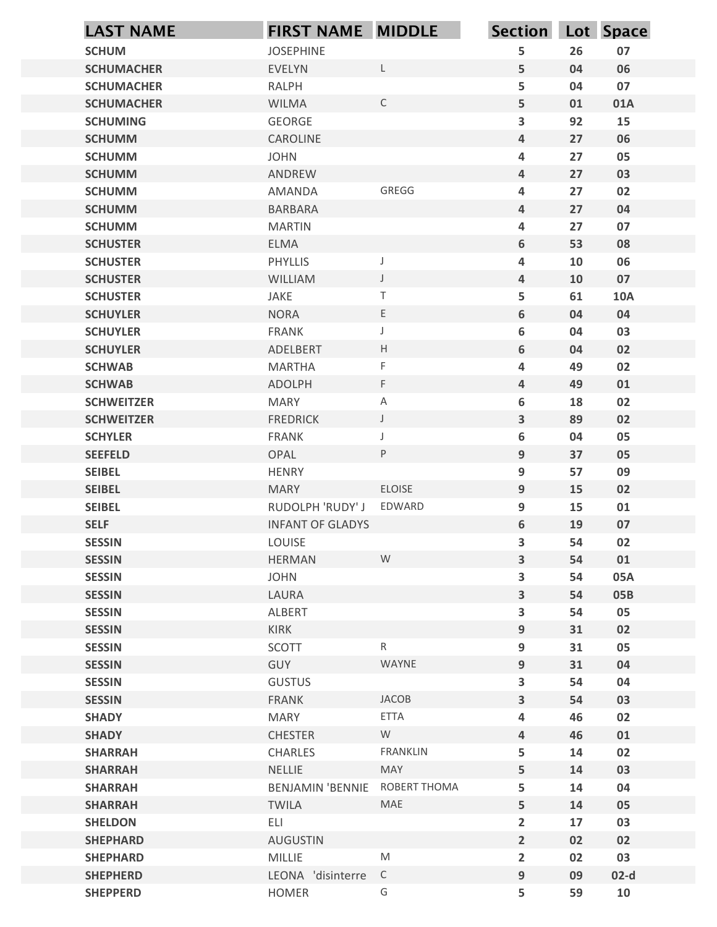| <b>SCHUM</b><br><b>JOSEPHINE</b><br>5<br>07<br>26<br><b>SCHUMACHER</b><br>06<br><b>EVELYN</b><br>L<br>5<br>04<br>5<br><b>RALPH</b><br>04<br>07<br><b>SCHUMACHER</b><br>$\mathsf C$<br>5<br><b>SCHUMACHER</b><br><b>WILMA</b><br>01<br>01A<br>$\overline{\mathbf{3}}$<br>GEORGE<br>92<br>15<br><b>SCHUMING</b><br>CAROLINE<br>27<br>06<br><b>SCHUMM</b><br>4<br>27<br><b>JOHN</b><br>4<br>05<br><b>SCHUMM</b><br>27<br><b>SCHUMM</b><br>ANDREW<br>4<br>03<br>GREGG<br>$\overline{\mathbf{4}}$<br>27<br>02<br><b>SCHUMM</b><br>AMANDA<br>27<br><b>SCHUMM</b><br><b>BARBARA</b><br>4<br>04<br>27<br><b>SCHUMM</b><br><b>MARTIN</b><br>4<br>07<br><b>SCHUSTER</b><br><b>ELMA</b><br>6<br>53<br>08<br><b>SCHUSTER</b><br>PHYLLIS<br>4<br>10<br>06<br><b>SCHUSTER</b><br><b>WILLIAM</b><br>10<br>07<br>4<br>JAKE<br>T<br>5<br>61<br><b>10A</b><br><b>SCHUSTER</b><br>E<br><b>SCHUYLER</b><br><b>NORA</b><br>6<br>04<br>04<br>6<br>03<br><b>SCHUYLER</b><br>FRANK<br>04<br>J<br>H<br>02<br><b>SCHUYLER</b><br>ADELBERT<br>6<br>04<br>F<br>02<br><b>SCHWAB</b><br><b>MARTHA</b><br>4<br>49<br>ADOLPH<br>F.<br>49<br>01<br><b>SCHWAB</b><br>$\overline{a}$<br>6<br>02<br><b>SCHWEITZER</b><br><b>MARY</b><br>$\mathsf A$<br>18<br>89<br>02<br><b>SCHWEITZER</b><br><b>FREDRICK</b><br>$\mathsf J$<br>$\overline{\mathbf{3}}$<br>6<br>05<br><b>SCHYLER</b><br>FRANK<br>04<br>J<br><b>SEEFELD</b><br>OPAL<br>P<br>9<br>37<br>05<br>9<br>57<br>09<br><b>SEIBEL</b><br><b>HENRY</b><br>ELOISE<br><b>SEIBEL</b><br>9<br>15<br>02<br><b>MARY</b><br><b>SEIBEL</b><br>EDWARD<br>9<br>15<br>RUDOLPH 'RUDY' J<br>01<br><b>SELF</b><br>6<br>19<br>07<br><b>INFANT OF GLADYS</b><br>$\overline{\mathbf{3}}$<br>02<br><b>SESSIN</b><br>LOUISE<br>54<br>W<br><b>SESSIN</b><br>HERMAN<br>3<br>54<br>01<br><b>SESSIN</b><br>3<br><b>JOHN</b><br>54<br>05A<br><b>SESSIN</b><br>LAURA<br>$\overline{\mathbf{3}}$<br>54<br>05B<br>05<br><b>SESSIN</b><br>$\overline{\mathbf{3}}$<br>54<br>ALBERT<br><b>SESSIN</b><br>KIRK<br>9<br>31<br>02<br>SCOTT<br>$\mathsf{R}$<br><b>SESSIN</b><br>9<br>31<br>05<br><b>SESSIN</b><br>GUY<br>WAYNE<br>9<br>31<br>04<br>$\overline{\mathbf{3}}$<br>54<br><b>SESSIN</b><br><b>GUSTUS</b><br>04<br><b>SESSIN</b><br>3<br>03<br><b>FRANK</b><br>JACOB<br>54<br>ETTA<br><b>SHADY</b><br><b>MARY</b><br>46<br>02<br>4<br><b>CHESTER</b><br>W<br>46<br>01<br><b>SHADY</b><br>$\overline{a}$<br>5<br><b>SHARRAH</b><br><b>FRANKLIN</b><br>14<br>02<br>CHARLES<br><b>MAY</b><br>03<br><b>SHARRAH</b><br>NELLIE<br>5<br>14<br>ROBERT THOMA<br>5<br><b>SHARRAH</b><br><b>BENJAMIN 'BENNIE</b><br>14<br>04<br>MAE<br>5<br>14<br><b>SHARRAH</b><br><b>TWILA</b><br>05<br>$\overline{2}$<br><b>SHELDON</b><br>ELI<br>17<br>03<br><b>SHEPHARD</b><br><b>AUGUSTIN</b><br>$\overline{2}$<br>02<br>02<br>${\sf M}$<br><b>MILLIE</b><br>$\overline{2}$<br>02<br>03<br><b>SHEPHARD</b><br>LEONA 'disinterre C<br><b>SHEPHERD</b><br>09<br>$02-d$<br>9 | <b>LAST NAME</b> | FIRST NAME MIDDLE |   | Section Lot Space |    |    |
|--------------------------------------------------------------------------------------------------------------------------------------------------------------------------------------------------------------------------------------------------------------------------------------------------------------------------------------------------------------------------------------------------------------------------------------------------------------------------------------------------------------------------------------------------------------------------------------------------------------------------------------------------------------------------------------------------------------------------------------------------------------------------------------------------------------------------------------------------------------------------------------------------------------------------------------------------------------------------------------------------------------------------------------------------------------------------------------------------------------------------------------------------------------------------------------------------------------------------------------------------------------------------------------------------------------------------------------------------------------------------------------------------------------------------------------------------------------------------------------------------------------------------------------------------------------------------------------------------------------------------------------------------------------------------------------------------------------------------------------------------------------------------------------------------------------------------------------------------------------------------------------------------------------------------------------------------------------------------------------------------------------------------------------------------------------------------------------------------------------------------------------------------------------------------------------------------------------------------------------------------------------------------------------------------------------------------------------------------------------------------------------------------------------------------------------------------------------------------------------------------------------------------------------------------------------------------------------------------------------------------------------------------------------------------------------------------------------------------------------------------------------------------------------------------------------------------------------------------------------------------------------------------------------------------------------------|------------------|-------------------|---|-------------------|----|----|
|                                                                                                                                                                                                                                                                                                                                                                                                                                                                                                                                                                                                                                                                                                                                                                                                                                                                                                                                                                                                                                                                                                                                                                                                                                                                                                                                                                                                                                                                                                                                                                                                                                                                                                                                                                                                                                                                                                                                                                                                                                                                                                                                                                                                                                                                                                                                                                                                                                                                                                                                                                                                                                                                                                                                                                                                                                                                                                                                            |                  |                   |   |                   |    |    |
|                                                                                                                                                                                                                                                                                                                                                                                                                                                                                                                                                                                                                                                                                                                                                                                                                                                                                                                                                                                                                                                                                                                                                                                                                                                                                                                                                                                                                                                                                                                                                                                                                                                                                                                                                                                                                                                                                                                                                                                                                                                                                                                                                                                                                                                                                                                                                                                                                                                                                                                                                                                                                                                                                                                                                                                                                                                                                                                                            |                  |                   |   |                   |    |    |
|                                                                                                                                                                                                                                                                                                                                                                                                                                                                                                                                                                                                                                                                                                                                                                                                                                                                                                                                                                                                                                                                                                                                                                                                                                                                                                                                                                                                                                                                                                                                                                                                                                                                                                                                                                                                                                                                                                                                                                                                                                                                                                                                                                                                                                                                                                                                                                                                                                                                                                                                                                                                                                                                                                                                                                                                                                                                                                                                            |                  |                   |   |                   |    |    |
|                                                                                                                                                                                                                                                                                                                                                                                                                                                                                                                                                                                                                                                                                                                                                                                                                                                                                                                                                                                                                                                                                                                                                                                                                                                                                                                                                                                                                                                                                                                                                                                                                                                                                                                                                                                                                                                                                                                                                                                                                                                                                                                                                                                                                                                                                                                                                                                                                                                                                                                                                                                                                                                                                                                                                                                                                                                                                                                                            |                  |                   |   |                   |    |    |
|                                                                                                                                                                                                                                                                                                                                                                                                                                                                                                                                                                                                                                                                                                                                                                                                                                                                                                                                                                                                                                                                                                                                                                                                                                                                                                                                                                                                                                                                                                                                                                                                                                                                                                                                                                                                                                                                                                                                                                                                                                                                                                                                                                                                                                                                                                                                                                                                                                                                                                                                                                                                                                                                                                                                                                                                                                                                                                                                            |                  |                   |   |                   |    |    |
|                                                                                                                                                                                                                                                                                                                                                                                                                                                                                                                                                                                                                                                                                                                                                                                                                                                                                                                                                                                                                                                                                                                                                                                                                                                                                                                                                                                                                                                                                                                                                                                                                                                                                                                                                                                                                                                                                                                                                                                                                                                                                                                                                                                                                                                                                                                                                                                                                                                                                                                                                                                                                                                                                                                                                                                                                                                                                                                                            |                  |                   |   |                   |    |    |
|                                                                                                                                                                                                                                                                                                                                                                                                                                                                                                                                                                                                                                                                                                                                                                                                                                                                                                                                                                                                                                                                                                                                                                                                                                                                                                                                                                                                                                                                                                                                                                                                                                                                                                                                                                                                                                                                                                                                                                                                                                                                                                                                                                                                                                                                                                                                                                                                                                                                                                                                                                                                                                                                                                                                                                                                                                                                                                                                            |                  |                   |   |                   |    |    |
|                                                                                                                                                                                                                                                                                                                                                                                                                                                                                                                                                                                                                                                                                                                                                                                                                                                                                                                                                                                                                                                                                                                                                                                                                                                                                                                                                                                                                                                                                                                                                                                                                                                                                                                                                                                                                                                                                                                                                                                                                                                                                                                                                                                                                                                                                                                                                                                                                                                                                                                                                                                                                                                                                                                                                                                                                                                                                                                                            |                  |                   |   |                   |    |    |
|                                                                                                                                                                                                                                                                                                                                                                                                                                                                                                                                                                                                                                                                                                                                                                                                                                                                                                                                                                                                                                                                                                                                                                                                                                                                                                                                                                                                                                                                                                                                                                                                                                                                                                                                                                                                                                                                                                                                                                                                                                                                                                                                                                                                                                                                                                                                                                                                                                                                                                                                                                                                                                                                                                                                                                                                                                                                                                                                            |                  |                   |   |                   |    |    |
|                                                                                                                                                                                                                                                                                                                                                                                                                                                                                                                                                                                                                                                                                                                                                                                                                                                                                                                                                                                                                                                                                                                                                                                                                                                                                                                                                                                                                                                                                                                                                                                                                                                                                                                                                                                                                                                                                                                                                                                                                                                                                                                                                                                                                                                                                                                                                                                                                                                                                                                                                                                                                                                                                                                                                                                                                                                                                                                                            |                  |                   |   |                   |    |    |
|                                                                                                                                                                                                                                                                                                                                                                                                                                                                                                                                                                                                                                                                                                                                                                                                                                                                                                                                                                                                                                                                                                                                                                                                                                                                                                                                                                                                                                                                                                                                                                                                                                                                                                                                                                                                                                                                                                                                                                                                                                                                                                                                                                                                                                                                                                                                                                                                                                                                                                                                                                                                                                                                                                                                                                                                                                                                                                                                            |                  |                   |   |                   |    |    |
|                                                                                                                                                                                                                                                                                                                                                                                                                                                                                                                                                                                                                                                                                                                                                                                                                                                                                                                                                                                                                                                                                                                                                                                                                                                                                                                                                                                                                                                                                                                                                                                                                                                                                                                                                                                                                                                                                                                                                                                                                                                                                                                                                                                                                                                                                                                                                                                                                                                                                                                                                                                                                                                                                                                                                                                                                                                                                                                                            |                  |                   |   |                   |    |    |
|                                                                                                                                                                                                                                                                                                                                                                                                                                                                                                                                                                                                                                                                                                                                                                                                                                                                                                                                                                                                                                                                                                                                                                                                                                                                                                                                                                                                                                                                                                                                                                                                                                                                                                                                                                                                                                                                                                                                                                                                                                                                                                                                                                                                                                                                                                                                                                                                                                                                                                                                                                                                                                                                                                                                                                                                                                                                                                                                            |                  |                   |   |                   |    |    |
|                                                                                                                                                                                                                                                                                                                                                                                                                                                                                                                                                                                                                                                                                                                                                                                                                                                                                                                                                                                                                                                                                                                                                                                                                                                                                                                                                                                                                                                                                                                                                                                                                                                                                                                                                                                                                                                                                                                                                                                                                                                                                                                                                                                                                                                                                                                                                                                                                                                                                                                                                                                                                                                                                                                                                                                                                                                                                                                                            |                  |                   |   |                   |    |    |
|                                                                                                                                                                                                                                                                                                                                                                                                                                                                                                                                                                                                                                                                                                                                                                                                                                                                                                                                                                                                                                                                                                                                                                                                                                                                                                                                                                                                                                                                                                                                                                                                                                                                                                                                                                                                                                                                                                                                                                                                                                                                                                                                                                                                                                                                                                                                                                                                                                                                                                                                                                                                                                                                                                                                                                                                                                                                                                                                            |                  |                   |   |                   |    |    |
|                                                                                                                                                                                                                                                                                                                                                                                                                                                                                                                                                                                                                                                                                                                                                                                                                                                                                                                                                                                                                                                                                                                                                                                                                                                                                                                                                                                                                                                                                                                                                                                                                                                                                                                                                                                                                                                                                                                                                                                                                                                                                                                                                                                                                                                                                                                                                                                                                                                                                                                                                                                                                                                                                                                                                                                                                                                                                                                                            |                  |                   |   |                   |    |    |
|                                                                                                                                                                                                                                                                                                                                                                                                                                                                                                                                                                                                                                                                                                                                                                                                                                                                                                                                                                                                                                                                                                                                                                                                                                                                                                                                                                                                                                                                                                                                                                                                                                                                                                                                                                                                                                                                                                                                                                                                                                                                                                                                                                                                                                                                                                                                                                                                                                                                                                                                                                                                                                                                                                                                                                                                                                                                                                                                            |                  |                   |   |                   |    |    |
|                                                                                                                                                                                                                                                                                                                                                                                                                                                                                                                                                                                                                                                                                                                                                                                                                                                                                                                                                                                                                                                                                                                                                                                                                                                                                                                                                                                                                                                                                                                                                                                                                                                                                                                                                                                                                                                                                                                                                                                                                                                                                                                                                                                                                                                                                                                                                                                                                                                                                                                                                                                                                                                                                                                                                                                                                                                                                                                                            |                  |                   |   |                   |    |    |
|                                                                                                                                                                                                                                                                                                                                                                                                                                                                                                                                                                                                                                                                                                                                                                                                                                                                                                                                                                                                                                                                                                                                                                                                                                                                                                                                                                                                                                                                                                                                                                                                                                                                                                                                                                                                                                                                                                                                                                                                                                                                                                                                                                                                                                                                                                                                                                                                                                                                                                                                                                                                                                                                                                                                                                                                                                                                                                                                            |                  |                   |   |                   |    |    |
|                                                                                                                                                                                                                                                                                                                                                                                                                                                                                                                                                                                                                                                                                                                                                                                                                                                                                                                                                                                                                                                                                                                                                                                                                                                                                                                                                                                                                                                                                                                                                                                                                                                                                                                                                                                                                                                                                                                                                                                                                                                                                                                                                                                                                                                                                                                                                                                                                                                                                                                                                                                                                                                                                                                                                                                                                                                                                                                                            |                  |                   |   |                   |    |    |
|                                                                                                                                                                                                                                                                                                                                                                                                                                                                                                                                                                                                                                                                                                                                                                                                                                                                                                                                                                                                                                                                                                                                                                                                                                                                                                                                                                                                                                                                                                                                                                                                                                                                                                                                                                                                                                                                                                                                                                                                                                                                                                                                                                                                                                                                                                                                                                                                                                                                                                                                                                                                                                                                                                                                                                                                                                                                                                                                            |                  |                   |   |                   |    |    |
|                                                                                                                                                                                                                                                                                                                                                                                                                                                                                                                                                                                                                                                                                                                                                                                                                                                                                                                                                                                                                                                                                                                                                                                                                                                                                                                                                                                                                                                                                                                                                                                                                                                                                                                                                                                                                                                                                                                                                                                                                                                                                                                                                                                                                                                                                                                                                                                                                                                                                                                                                                                                                                                                                                                                                                                                                                                                                                                                            |                  |                   |   |                   |    |    |
|                                                                                                                                                                                                                                                                                                                                                                                                                                                                                                                                                                                                                                                                                                                                                                                                                                                                                                                                                                                                                                                                                                                                                                                                                                                                                                                                                                                                                                                                                                                                                                                                                                                                                                                                                                                                                                                                                                                                                                                                                                                                                                                                                                                                                                                                                                                                                                                                                                                                                                                                                                                                                                                                                                                                                                                                                                                                                                                                            |                  |                   |   |                   |    |    |
|                                                                                                                                                                                                                                                                                                                                                                                                                                                                                                                                                                                                                                                                                                                                                                                                                                                                                                                                                                                                                                                                                                                                                                                                                                                                                                                                                                                                                                                                                                                                                                                                                                                                                                                                                                                                                                                                                                                                                                                                                                                                                                                                                                                                                                                                                                                                                                                                                                                                                                                                                                                                                                                                                                                                                                                                                                                                                                                                            |                  |                   |   |                   |    |    |
|                                                                                                                                                                                                                                                                                                                                                                                                                                                                                                                                                                                                                                                                                                                                                                                                                                                                                                                                                                                                                                                                                                                                                                                                                                                                                                                                                                                                                                                                                                                                                                                                                                                                                                                                                                                                                                                                                                                                                                                                                                                                                                                                                                                                                                                                                                                                                                                                                                                                                                                                                                                                                                                                                                                                                                                                                                                                                                                                            |                  |                   |   |                   |    |    |
|                                                                                                                                                                                                                                                                                                                                                                                                                                                                                                                                                                                                                                                                                                                                                                                                                                                                                                                                                                                                                                                                                                                                                                                                                                                                                                                                                                                                                                                                                                                                                                                                                                                                                                                                                                                                                                                                                                                                                                                                                                                                                                                                                                                                                                                                                                                                                                                                                                                                                                                                                                                                                                                                                                                                                                                                                                                                                                                                            |                  |                   |   |                   |    |    |
|                                                                                                                                                                                                                                                                                                                                                                                                                                                                                                                                                                                                                                                                                                                                                                                                                                                                                                                                                                                                                                                                                                                                                                                                                                                                                                                                                                                                                                                                                                                                                                                                                                                                                                                                                                                                                                                                                                                                                                                                                                                                                                                                                                                                                                                                                                                                                                                                                                                                                                                                                                                                                                                                                                                                                                                                                                                                                                                                            |                  |                   |   |                   |    |    |
|                                                                                                                                                                                                                                                                                                                                                                                                                                                                                                                                                                                                                                                                                                                                                                                                                                                                                                                                                                                                                                                                                                                                                                                                                                                                                                                                                                                                                                                                                                                                                                                                                                                                                                                                                                                                                                                                                                                                                                                                                                                                                                                                                                                                                                                                                                                                                                                                                                                                                                                                                                                                                                                                                                                                                                                                                                                                                                                                            |                  |                   |   |                   |    |    |
|                                                                                                                                                                                                                                                                                                                                                                                                                                                                                                                                                                                                                                                                                                                                                                                                                                                                                                                                                                                                                                                                                                                                                                                                                                                                                                                                                                                                                                                                                                                                                                                                                                                                                                                                                                                                                                                                                                                                                                                                                                                                                                                                                                                                                                                                                                                                                                                                                                                                                                                                                                                                                                                                                                                                                                                                                                                                                                                                            |                  |                   |   |                   |    |    |
|                                                                                                                                                                                                                                                                                                                                                                                                                                                                                                                                                                                                                                                                                                                                                                                                                                                                                                                                                                                                                                                                                                                                                                                                                                                                                                                                                                                                                                                                                                                                                                                                                                                                                                                                                                                                                                                                                                                                                                                                                                                                                                                                                                                                                                                                                                                                                                                                                                                                                                                                                                                                                                                                                                                                                                                                                                                                                                                                            |                  |                   |   |                   |    |    |
|                                                                                                                                                                                                                                                                                                                                                                                                                                                                                                                                                                                                                                                                                                                                                                                                                                                                                                                                                                                                                                                                                                                                                                                                                                                                                                                                                                                                                                                                                                                                                                                                                                                                                                                                                                                                                                                                                                                                                                                                                                                                                                                                                                                                                                                                                                                                                                                                                                                                                                                                                                                                                                                                                                                                                                                                                                                                                                                                            |                  |                   |   |                   |    |    |
|                                                                                                                                                                                                                                                                                                                                                                                                                                                                                                                                                                                                                                                                                                                                                                                                                                                                                                                                                                                                                                                                                                                                                                                                                                                                                                                                                                                                                                                                                                                                                                                                                                                                                                                                                                                                                                                                                                                                                                                                                                                                                                                                                                                                                                                                                                                                                                                                                                                                                                                                                                                                                                                                                                                                                                                                                                                                                                                                            |                  |                   |   |                   |    |    |
|                                                                                                                                                                                                                                                                                                                                                                                                                                                                                                                                                                                                                                                                                                                                                                                                                                                                                                                                                                                                                                                                                                                                                                                                                                                                                                                                                                                                                                                                                                                                                                                                                                                                                                                                                                                                                                                                                                                                                                                                                                                                                                                                                                                                                                                                                                                                                                                                                                                                                                                                                                                                                                                                                                                                                                                                                                                                                                                                            |                  |                   |   |                   |    |    |
|                                                                                                                                                                                                                                                                                                                                                                                                                                                                                                                                                                                                                                                                                                                                                                                                                                                                                                                                                                                                                                                                                                                                                                                                                                                                                                                                                                                                                                                                                                                                                                                                                                                                                                                                                                                                                                                                                                                                                                                                                                                                                                                                                                                                                                                                                                                                                                                                                                                                                                                                                                                                                                                                                                                                                                                                                                                                                                                                            |                  |                   |   |                   |    |    |
|                                                                                                                                                                                                                                                                                                                                                                                                                                                                                                                                                                                                                                                                                                                                                                                                                                                                                                                                                                                                                                                                                                                                                                                                                                                                                                                                                                                                                                                                                                                                                                                                                                                                                                                                                                                                                                                                                                                                                                                                                                                                                                                                                                                                                                                                                                                                                                                                                                                                                                                                                                                                                                                                                                                                                                                                                                                                                                                                            |                  |                   |   |                   |    |    |
|                                                                                                                                                                                                                                                                                                                                                                                                                                                                                                                                                                                                                                                                                                                                                                                                                                                                                                                                                                                                                                                                                                                                                                                                                                                                                                                                                                                                                                                                                                                                                                                                                                                                                                                                                                                                                                                                                                                                                                                                                                                                                                                                                                                                                                                                                                                                                                                                                                                                                                                                                                                                                                                                                                                                                                                                                                                                                                                                            |                  |                   |   |                   |    |    |
|                                                                                                                                                                                                                                                                                                                                                                                                                                                                                                                                                                                                                                                                                                                                                                                                                                                                                                                                                                                                                                                                                                                                                                                                                                                                                                                                                                                                                                                                                                                                                                                                                                                                                                                                                                                                                                                                                                                                                                                                                                                                                                                                                                                                                                                                                                                                                                                                                                                                                                                                                                                                                                                                                                                                                                                                                                                                                                                                            |                  |                   |   |                   |    |    |
|                                                                                                                                                                                                                                                                                                                                                                                                                                                                                                                                                                                                                                                                                                                                                                                                                                                                                                                                                                                                                                                                                                                                                                                                                                                                                                                                                                                                                                                                                                                                                                                                                                                                                                                                                                                                                                                                                                                                                                                                                                                                                                                                                                                                                                                                                                                                                                                                                                                                                                                                                                                                                                                                                                                                                                                                                                                                                                                                            |                  |                   |   |                   |    |    |
|                                                                                                                                                                                                                                                                                                                                                                                                                                                                                                                                                                                                                                                                                                                                                                                                                                                                                                                                                                                                                                                                                                                                                                                                                                                                                                                                                                                                                                                                                                                                                                                                                                                                                                                                                                                                                                                                                                                                                                                                                                                                                                                                                                                                                                                                                                                                                                                                                                                                                                                                                                                                                                                                                                                                                                                                                                                                                                                                            |                  |                   |   |                   |    |    |
|                                                                                                                                                                                                                                                                                                                                                                                                                                                                                                                                                                                                                                                                                                                                                                                                                                                                                                                                                                                                                                                                                                                                                                                                                                                                                                                                                                                                                                                                                                                                                                                                                                                                                                                                                                                                                                                                                                                                                                                                                                                                                                                                                                                                                                                                                                                                                                                                                                                                                                                                                                                                                                                                                                                                                                                                                                                                                                                                            |                  |                   |   |                   |    |    |
|                                                                                                                                                                                                                                                                                                                                                                                                                                                                                                                                                                                                                                                                                                                                                                                                                                                                                                                                                                                                                                                                                                                                                                                                                                                                                                                                                                                                                                                                                                                                                                                                                                                                                                                                                                                                                                                                                                                                                                                                                                                                                                                                                                                                                                                                                                                                                                                                                                                                                                                                                                                                                                                                                                                                                                                                                                                                                                                                            |                  |                   |   |                   |    |    |
|                                                                                                                                                                                                                                                                                                                                                                                                                                                                                                                                                                                                                                                                                                                                                                                                                                                                                                                                                                                                                                                                                                                                                                                                                                                                                                                                                                                                                                                                                                                                                                                                                                                                                                                                                                                                                                                                                                                                                                                                                                                                                                                                                                                                                                                                                                                                                                                                                                                                                                                                                                                                                                                                                                                                                                                                                                                                                                                                            |                  |                   |   |                   |    |    |
|                                                                                                                                                                                                                                                                                                                                                                                                                                                                                                                                                                                                                                                                                                                                                                                                                                                                                                                                                                                                                                                                                                                                                                                                                                                                                                                                                                                                                                                                                                                                                                                                                                                                                                                                                                                                                                                                                                                                                                                                                                                                                                                                                                                                                                                                                                                                                                                                                                                                                                                                                                                                                                                                                                                                                                                                                                                                                                                                            |                  |                   |   |                   |    |    |
|                                                                                                                                                                                                                                                                                                                                                                                                                                                                                                                                                                                                                                                                                                                                                                                                                                                                                                                                                                                                                                                                                                                                                                                                                                                                                                                                                                                                                                                                                                                                                                                                                                                                                                                                                                                                                                                                                                                                                                                                                                                                                                                                                                                                                                                                                                                                                                                                                                                                                                                                                                                                                                                                                                                                                                                                                                                                                                                                            |                  |                   |   |                   |    |    |
|                                                                                                                                                                                                                                                                                                                                                                                                                                                                                                                                                                                                                                                                                                                                                                                                                                                                                                                                                                                                                                                                                                                                                                                                                                                                                                                                                                                                                                                                                                                                                                                                                                                                                                                                                                                                                                                                                                                                                                                                                                                                                                                                                                                                                                                                                                                                                                                                                                                                                                                                                                                                                                                                                                                                                                                                                                                                                                                                            | <b>SHEPPERD</b>  | HOMER             | G | 5                 | 59 | 10 |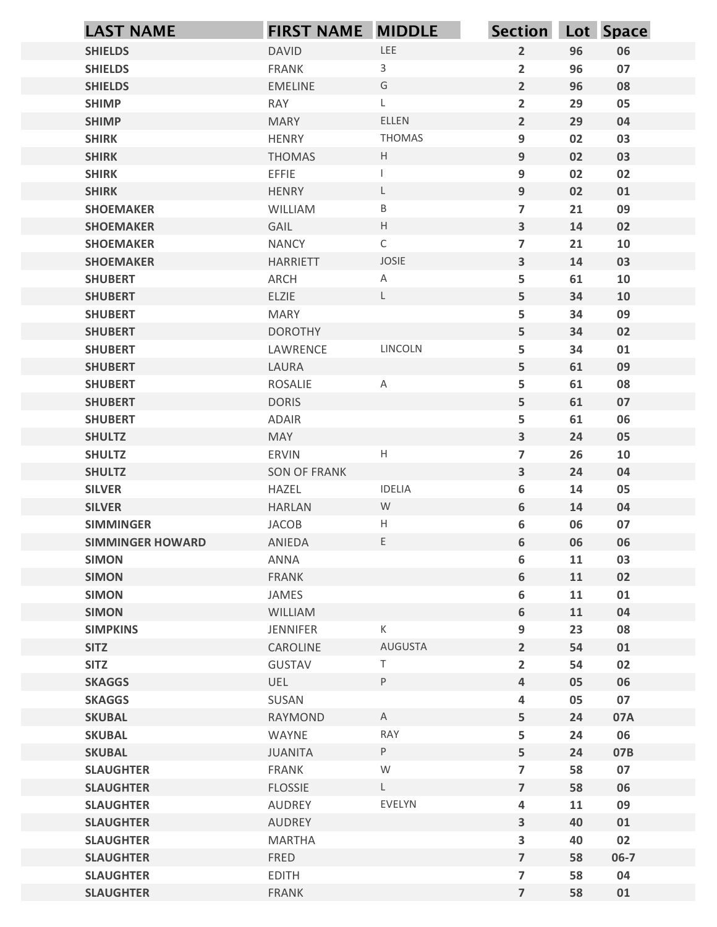| <b>LAST NAME</b>                     | <b>FIRST NAME MIDDLE</b>     |                                                     | Section Lot Space              |          |                |
|--------------------------------------|------------------------------|-----------------------------------------------------|--------------------------------|----------|----------------|
| <b>SHIELDS</b>                       | <b>DAVID</b>                 | LEE                                                 | $\overline{2}$                 | 96       | 06             |
| <b>SHIELDS</b>                       | <b>FRANK</b>                 | 3                                                   | $\overline{2}$                 | 96       | 07             |
| <b>SHIELDS</b>                       | <b>EMELINE</b>               | G                                                   | $\overline{2}$                 | 96       | 08             |
| <b>SHIMP</b>                         | RAY                          |                                                     | $\overline{\mathbf{2}}$        | 29       | 05             |
| <b>SHIMP</b>                         | <b>MARY</b>                  | ELLEN                                               | $\overline{2}$                 | 29       | 04             |
| <b>SHIRK</b>                         | <b>HENRY</b>                 | <b>THOMAS</b>                                       | 9                              | 02       | 03             |
| <b>SHIRK</b>                         | <b>THOMAS</b>                | $\mathsf{H}^-$                                      | 9                              | 02       | 03             |
| <b>SHIRK</b>                         | <b>EFFIE</b><br><b>HENRY</b> | L                                                   | 9<br>$\overline{9}$            | 02<br>02 | 02             |
| <b>SHIRK</b><br><b>SHOEMAKER</b>     | WILLIAM                      | B                                                   | $\overline{7}$                 | 21       | 01<br>09       |
| <b>SHOEMAKER</b>                     | GAIL                         | $\mathsf{H}% _{\mathsf{H}}^{\ast}(\mathcal{M}_{0})$ | $\overline{\mathbf{3}}$        | 14       | 02             |
| <b>SHOEMAKER</b>                     | <b>NANCY</b>                 | $\mathsf{C}$                                        | $\overline{7}$                 | 21       | 10             |
| <b>SHOEMAKER</b>                     | <b>HARRIETT</b>              | JOSIE                                               | $\overline{\mathbf{3}}$        | 14       | 03             |
| <b>SHUBERT</b>                       | ARCH                         | A                                                   | 5                              | 61       | 10             |
| <b>SHUBERT</b>                       | ELZIE                        |                                                     | 5                              | 34       | 10             |
| <b>SHUBERT</b>                       | <b>MARY</b>                  |                                                     | 5                              | 34       | 09             |
| <b>SHUBERT</b>                       | <b>DOROTHY</b>               |                                                     | 5                              | 34       | 02             |
| <b>SHUBERT</b>                       | LAWRENCE                     | LINCOLN                                             | 5                              | 34       | 01             |
| <b>SHUBERT</b>                       | LAURA                        |                                                     | 5                              | 61       | 09             |
| <b>SHUBERT</b>                       | ROSALIE                      | $\mathsf{A}$                                        | 5                              | 61       | 08             |
| <b>SHUBERT</b><br><b>SHUBERT</b>     | <b>DORIS</b><br>ADAIR        |                                                     | 5<br>5                         | 61<br>61 | 07<br>06       |
| <b>SHULTZ</b>                        | <b>MAY</b>                   |                                                     | $\mathbf{3}$                   | 24       | 05             |
| <b>SHULTZ</b>                        | ERVIN                        | H                                                   | $\overline{7}$                 | 26       | 10             |
| <b>SHULTZ</b>                        | SON OF FRANK                 |                                                     | $\mathbf{3}$                   | 24       | 04             |
| <b>SILVER</b>                        | HAZEL                        | <b>IDELIA</b>                                       | 6                              | 14       | 05             |
| <b>SILVER</b>                        | <b>HARLAN</b>                | W                                                   | 6                              | 14       | 04             |
| <b>SIMMINGER</b>                     | JACOB                        | H                                                   | 6                              | 06       | 07             |
| <b>SIMMINGER HOWARD</b>              | ANIEDA                       | E                                                   | 6                              | 06       | 06             |
| <b>SIMON</b>                         | ANNA                         |                                                     | 6                              | 11       | 03             |
| <b>SIMON</b>                         | FRANK                        |                                                     | 6                              | 11       | 02             |
| <b>SIMON</b>                         | JAMES                        |                                                     | 6                              | 11       | 01             |
| <b>SIMON</b>                         | WILLIAM                      |                                                     | 6                              | 11       | 04             |
| <b>SIMPKINS</b><br><b>SITZ</b>       | JENNIFER<br>CAROLINE         | $\mathsf{K}^-$<br>AUGUSTA                           | 9<br>$\overline{2}$            | 23<br>54 | 08<br>01       |
| <b>SITZ</b>                          | GUSTAV                       | T.                                                  | $\overline{2}$                 | 54       | 02             |
| <b>SKAGGS</b>                        | UEL                          | P                                                   | $\overline{a}$                 | 05       | 06             |
| <b>SKAGGS</b>                        | SUSAN                        |                                                     | 4                              | 05       | 07             |
| <b>SKUBAL</b>                        | RAYMOND                      | A                                                   | 5                              | 24       | 07A            |
| <b>SKUBAL</b>                        | WAYNE                        | RAY                                                 | 5                              | 24       | 06             |
| <b>SKUBAL</b>                        | <b>JUANITA</b>               | P                                                   | 5                              | 24       | 07B            |
| <b>SLAUGHTER</b>                     | FRANK                        | W                                                   | $\overline{7}$                 | 58       | 07             |
| <b>SLAUGHTER</b>                     | <b>FLOSSIE</b>               | L                                                   | $\overline{7}$                 | 58       | 06             |
| <b>SLAUGHTER</b>                     | <b>AUDREY</b>                | EVELYN                                              | 4                              | 11       | 09             |
| <b>SLAUGHTER</b>                     | AUDREY                       |                                                     | $\overline{\mathbf{3}}$        | 40       | 01             |
| <b>SLAUGHTER</b><br><b>SLAUGHTER</b> | <b>MARTHA</b><br>FRED        |                                                     | $\mathbf{3}$<br>$\overline{7}$ | 40<br>58 | 02<br>$06 - 7$ |
| <b>SLAUGHTER</b>                     | <b>EDITH</b>                 |                                                     | $\overline{\phantom{a}}$       | 58       | 04             |
| <b>SLAUGHTER</b>                     | FRANK                        |                                                     | $\overline{7}$                 | 58       | 01             |
|                                      |                              |                                                     |                                |          |                |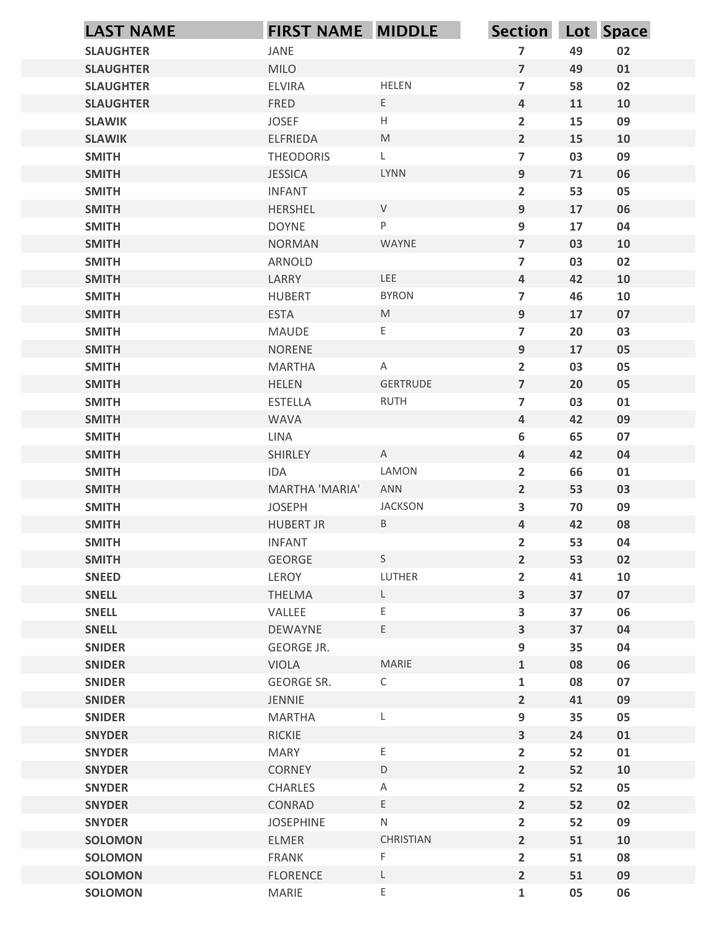| <b>LAST NAME</b>                 | <b>FIRST NAME MIDDLE</b>       |                        | Section Lot Space                |          |            |
|----------------------------------|--------------------------------|------------------------|----------------------------------|----------|------------|
| <b>SLAUGHTER</b>                 | JANE                           |                        | $\overline{7}$                   | 49       | 02         |
| <b>SLAUGHTER</b>                 | <b>MILO</b>                    |                        | $\overline{7}$                   | 49       | 01         |
| <b>SLAUGHTER</b>                 | <b>ELVIRA</b>                  | <b>HELEN</b>           | $\overline{7}$                   | 58       | 02         |
| <b>SLAUGHTER</b>                 | <b>FRED</b>                    | E                      | 4                                | 11       | 10         |
| <b>SLAWIK</b>                    | <b>JOSEF</b>                   | H                      | $\overline{2}$                   | 15       | 09         |
| <b>SLAWIK</b>                    | ELFRIEDA                       | M                      | $2^{\circ}$                      | 15       | 10         |
| <b>SMITH</b>                     | <b>THEODORIS</b>               | L                      | $\overline{7}$                   | 03       | 09         |
| <b>SMITH</b>                     | <b>JESSICA</b>                 | LYNN                   | 9                                | 71       | 06         |
| <b>SMITH</b>                     | <b>INFANT</b>                  | $\vee$                 | $\overline{2}$                   | 53       | 05         |
| <b>SMITH</b><br><b>SMITH</b>     | <b>HERSHEL</b><br><b>DOYNE</b> | P                      | 9<br>9                           | 17<br>17 | 06<br>04   |
| <b>SMITH</b>                     | <b>NORMAN</b>                  | WAYNE                  | $\overline{7}$                   | 03       | 10         |
| <b>SMITH</b>                     | ARNOLD                         |                        | $\overline{7}$                   | 03       | 02         |
| <b>SMITH</b>                     | LARRY                          | LEE                    | 4                                | 42       | 10         |
| <b>SMITH</b>                     | HUBERT                         | <b>BYRON</b>           | $\overline{\mathbf{z}}$          | 46       | ${\bf 10}$ |
| <b>SMITH</b>                     | <b>ESTA</b>                    | ${\sf M}$              | 9                                | $17$     | 07         |
| <b>SMITH</b>                     | MAUDE                          | E                      | $\overline{7}$                   | 20       | 03         |
| <b>SMITH</b>                     | NORENE                         |                        | 9                                | $17$     | 05         |
| <b>SMITH</b>                     | MARTHA                         | $\mathsf{A}$           | $\overline{2}$                   | 03       | 05         |
| <b>SMITH</b>                     | <b>HELEN</b>                   | GERTRUDE               | $\overline{7}$                   | 20       | 05         |
| <b>SMITH</b>                     | <b>ESTELLA</b>                 | RUTH                   | $\overline{7}$                   | 03       | 01         |
| <b>SMITH</b>                     | WAVA                           |                        | $\overline{4}$                   | 42       | 09         |
| <b>SMITH</b>                     | LINA                           |                        | 6                                | 65       | 07         |
| <b>SMITH</b>                     | SHIRLEY                        | $\mathsf{A}$           | $\overline{\mathbf{4}}$          | 42       | 04         |
| <b>SMITH</b>                     | IDA<br>MARTHA 'MARIA'          | LAMON<br>ANN           | $\overline{2}$                   | 66       | 01         |
| <b>SMITH</b><br><b>SMITH</b>     | JOSEPH                         | <b>JACKSON</b>         | $\overline{2}$<br>3              | 53<br>70 | 03<br>09   |
| <b>SMITH</b>                     | <b>HUBERT JR</b>               | B                      | $\overline{\mathbf{4}}$          | 42       | 08         |
| <b>SMITH</b>                     | <b>INFANT</b>                  |                        | $\overline{2}$                   | 53       | 04         |
| <b>SMITH</b>                     | GEORGE                         | S                      | $\overline{2}$                   | 53       | 02         |
| <b>SNEED</b>                     | LEROY                          | LUTHER                 | $\overline{2}$                   | 41       | ${\bf 10}$ |
| <b>SNELL</b>                     | THELMA                         | $\mathsf{L}$           | $\overline{\mathbf{3}}$          | 37       | 07         |
| <b>SNELL</b>                     | VALLEE                         | E                      | 3                                | 37       | 06         |
| <b>SNELL</b>                     | DEWAYNE                        | E.                     | $\overline{\mathbf{3}}$          | 37       | 04         |
| <b>SNIDER</b>                    | GEORGE JR.                     |                        | 9                                | 35       | ${\bf 04}$ |
| <b>SNIDER</b>                    | <b>VIOLA</b>                   | MARIE                  | $\mathbf{1}$                     | 08       | 06         |
| <b>SNIDER</b>                    | GEORGE SR.                     | $\mathsf C$            | $\mathbf{1}$                     | 08       | 07         |
| <b>SNIDER</b>                    | JENNIE                         |                        | $\overline{2}$                   | 41       | 09         |
| <b>SNIDER</b>                    | MARTHA                         | L                      | 9                                | 35       | 05         |
| <b>SNYDER</b>                    | RICKIE                         |                        | $\overline{\mathbf{3}}$          | 24       | 01         |
| <b>SNYDER</b>                    | MARY                           | $\mathsf E$            | $\overline{2}$                   | 52       | 01         |
| <b>SNYDER</b>                    | CORNEY                         | $\mathsf D$            | $\overline{2}$                   | 52       | 10         |
| <b>SNYDER</b>                    | CHARLES                        | $\mathsf{A}$           | $\overline{2}$                   | 52       | 05         |
| <b>SNYDER</b>                    | CONRAD                         | E.                     | $\overline{2}$                   | 52       | 02         |
| <b>SNYDER</b>                    | <b>JOSEPHINE</b>               | ${\sf N}$<br>CHRISTIAN | $\overline{2}$                   | 52       | 09         |
| <b>SOLOMON</b><br><b>SOLOMON</b> | ELMER<br>FRANK                 | F                      | $\overline{2}$<br>$\overline{2}$ | 51<br>51 | 10<br>08   |
| <b>SOLOMON</b>                   | <b>FLORENCE</b>                | L                      | $\overline{2}$                   | 51       | 09         |
| <b>SOLOMON</b>                   | MARIE                          | E,                     | $\mathbf{1}$                     | 05       | 06         |
|                                  |                                |                        |                                  |          |            |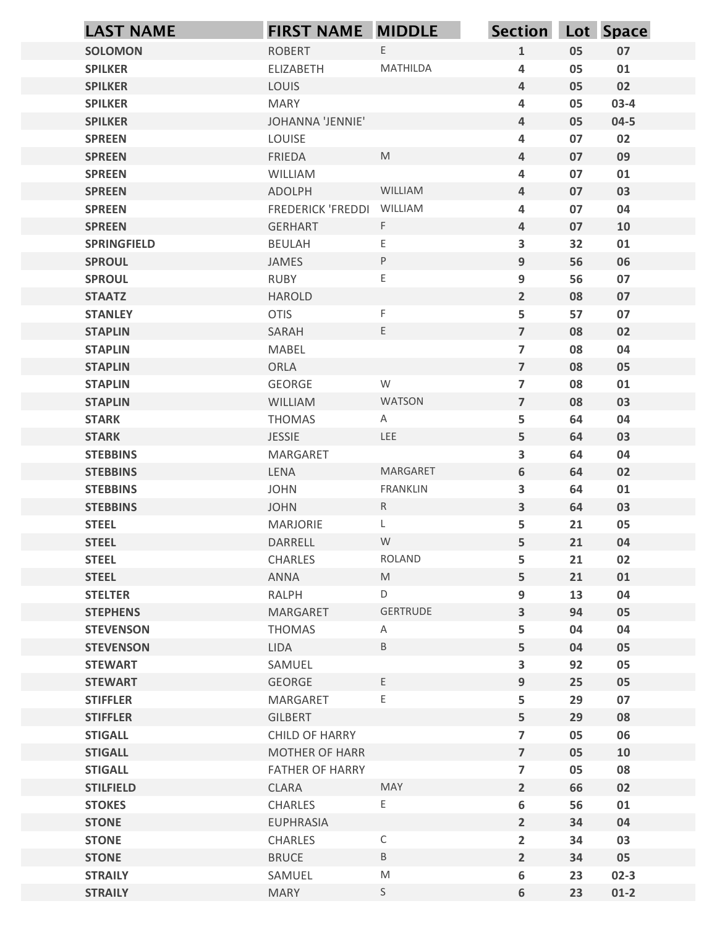|                                  | <b>FIRST NAME MIDDLE</b>          |                   | Section Lot Space                          |          |          |
|----------------------------------|-----------------------------------|-------------------|--------------------------------------------|----------|----------|
| <b>SOLOMON</b>                   | <b>ROBERT</b>                     | E                 | $\mathbf{1}$                               | 05       | 07       |
| <b>SPILKER</b>                   | ELIZABETH                         | MATHILDA          | $\overline{a}$                             | 05       | 01       |
| <b>SPILKER</b>                   | LOUIS                             |                   | $\overline{\mathbf{4}}$                    | 05       | 02       |
| <b>SPILKER</b>                   | <b>MARY</b>                       |                   | $\overline{a}$                             | 05       | $03-4$   |
| <b>SPILKER</b>                   | JOHANNA 'JENNIE'                  |                   | $\overline{\mathbf{4}}$                    | 05       | $04 - 5$ |
| <b>SPREEN</b>                    | LOUISE                            | M                 | $\overline{a}$                             | 07       | 02       |
| <b>SPREEN</b><br><b>SPREEN</b>   | FRIEDA<br>WILLIAM                 |                   | $\overline{\mathbf{4}}$<br>$\overline{a}$  | 07<br>07 | 09<br>01 |
| <b>SPREEN</b>                    | ADOLPH                            | WILLIAM           | $\overline{\mathbf{4}}$                    | 07       | 03       |
| <b>SPREEN</b>                    | <b>FREDERICK 'FREDDI</b>          | WILLIAM           | $\overline{a}$                             | 07       | 04       |
| <b>SPREEN</b>                    | <b>GERHART</b>                    | F.                | $\overline{\mathbf{4}}$                    | 07       | 10       |
| <b>SPRINGFIELD</b>               | <b>BEULAH</b>                     | Ε                 | 3                                          | 32       | 01       |
| <b>SPROUL</b>                    | JAMES                             | P                 | 9                                          | 56       | 06       |
| <b>SPROUL</b>                    | RUBY                              | E                 | $\boldsymbol{9}$                           | 56       | 07       |
| <b>STAATZ</b>                    | <b>HAROLD</b>                     |                   | $\overline{2}$                             | 08       | 07       |
| <b>STANLEY</b>                   | <b>OTIS</b>                       | F.<br>E           | 5<br>$\overline{7}$                        | 57       | 07       |
| <b>STAPLIN</b><br><b>STAPLIN</b> | SARAH<br>MABEL                    |                   | $\overline{\phantom{a}}$                   | 08<br>08 | 02<br>04 |
| <b>STAPLIN</b>                   | ORLA                              |                   | $\overline{7}$                             | 08       | 05       |
| <b>STAPLIN</b>                   | GEORGE                            | W                 | $\overline{7}$                             | 08       | 01       |
| <b>STAPLIN</b>                   | <b>WILLIAM</b>                    | WATSON            | $\overline{7}$                             | 08       | 03       |
| <b>STARK</b>                     | THOMAS                            | A                 | 5                                          | 64       | 04       |
| <b>STARK</b>                     | JESSIE                            | <b>LEE</b>        | 5                                          | 64       | 03       |
| <b>STEBBINS</b>                  | MARGARET                          |                   | 3                                          | 64       | 04       |
| <b>STEBBINS</b>                  | LENA                              | <b>MARGARET</b>   | $\boldsymbol{6}$                           | 64       | 02       |
| <b>STEBBINS</b>                  | <b>JOHN</b>                       | FRANKLIN          | 3                                          | 64       | 01       |
| <b>STEBBINS</b>                  | <b>JOHN</b>                       | R                 | $\mathbf{3}$                               | 64       | 03       |
| <b>STEEL</b>                     | MARJORIE                          | $\mathsf{L}$<br>W | 5                                          | 21       | 05       |
| <b>STEEL</b><br><b>STEEL</b>     | DARRELL<br>CHARLES                | ROLAND            | 5<br>5                                     | 21<br>21 | 04<br>02 |
| <b>STEEL</b>                     | ANNA                              | M                 | 5                                          | 21       | 01       |
| <b>STELTER</b>                   | RALPH                             | D                 | 9                                          | 13       | 04       |
| <b>STEPHENS</b>                  | MARGARET                          | GERTRUDE          | $\mathbf{3}$                               | 94       | 05       |
| <b>STEVENSON</b>                 | THOMAS                            | $\mathsf{A}$      | 5                                          | 04       | 04       |
| <b>STEVENSON</b>                 | LIDA                              | $\, {\sf B} \,$   | 5                                          | 04       | 05       |
| <b>STEWART</b>                   | SAMUEL                            |                   | $\mathbf{3}$                               | 92       | 05       |
| <b>STEWART</b>                   | GEORGE                            | E                 | $9\,$                                      | 25       | 05       |
| <b>STIFFLER</b>                  | MARGARET                          | E                 | 5                                          | 29       | 07       |
| <b>STIFFLER</b>                  | GILBERT                           |                   | 5                                          | 29       | 08       |
| <b>STIGALL</b>                   | CHILD OF HARRY                    |                   | $\overline{7}$                             | 05       | 06       |
| <b>STIGALL</b><br><b>STIGALL</b> | MOTHER OF HARR<br>FATHER OF HARRY |                   | $\overline{7}$<br>$\overline{\phantom{a}}$ | 05<br>05 | 10<br>08 |
| <b>STILFIELD</b>                 | CLARA                             | MAY               | $\overline{2}$                             | 66       | 02       |
| <b>STOKES</b>                    | CHARLES                           | E.                | 6                                          | 56       | 01       |
| <b>STONE</b>                     | <b>EUPHRASIA</b>                  |                   | $2^{\circ}$                                | 34       | 04       |
| <b>STONE</b>                     | CHARLES                           | $\mathsf C$       | $\overline{2}$                             | 34       | 03       |
| <b>STONE</b>                     | <b>BRUCE</b>                      | $\, {\sf B} \,$   | $\overline{2}$                             | 34       | 05       |
| <b>STRAILY</b>                   | SAMUEL                            | ${\sf M}$         | $\boldsymbol{6}$                           | 23       | $02-3$   |
| <b>STRAILY</b>                   | <b>MARY</b>                       | S                 | $\boldsymbol{6}$                           | 23       | $01-2$   |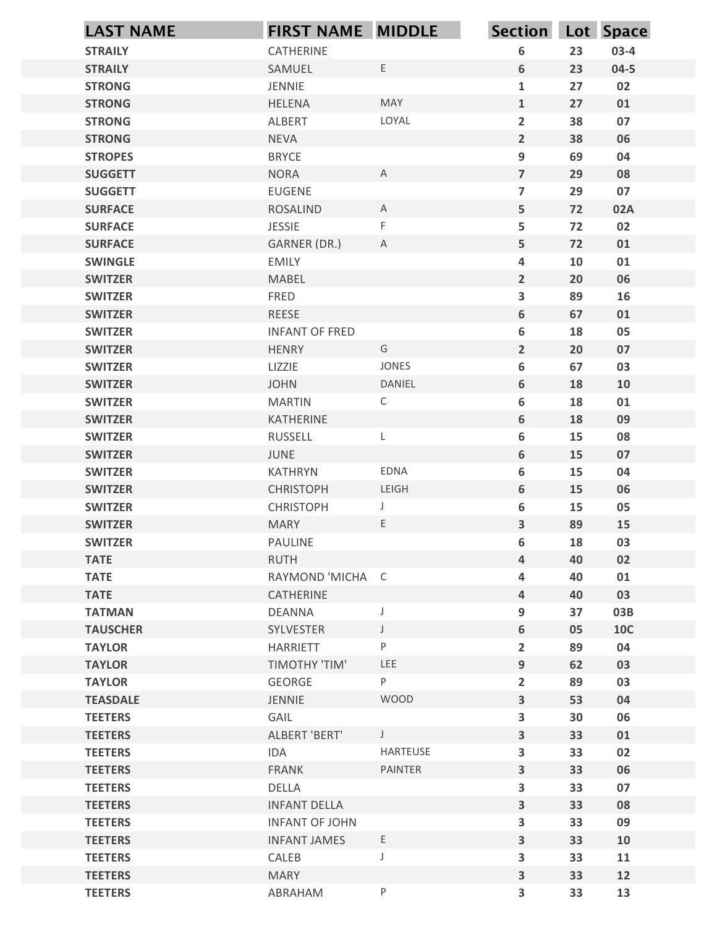| <b>LAST NAME</b>                 | <b>FIRST NAME MIDDLE</b>         |                     | Section Lot Space                  |          |                  |
|----------------------------------|----------------------------------|---------------------|------------------------------------|----------|------------------|
| <b>STRAILY</b>                   | CATHERINE                        |                     | 6                                  | 23       | $03-4$           |
| <b>STRAILY</b>                   | SAMUEL                           | E                   | 6                                  | 23       | $04 - 5$         |
| <b>STRONG</b>                    | <b>JENNIE</b>                    |                     | $\mathbf{1}$                       | 27       | 02               |
| <b>STRONG</b>                    | <b>HELENA</b>                    | <b>MAY</b>          | $\mathbf{1}$                       | 27       | 01               |
| <b>STRONG</b>                    | ALBERT                           | LOYAL               | $\overline{2}$                     | 38       | 07               |
| <b>STRONG</b>                    | <b>NEVA</b>                      |                     | $\overline{2}$                     | 38       | 06               |
| <b>STROPES</b>                   | <b>BRYCE</b>                     |                     | 9                                  | 69       | 04               |
| <b>SUGGETT</b>                   | <b>NORA</b>                      | $\mathsf{A}$        | $\overline{7}$                     | 29       | 08               |
| <b>SUGGETT</b>                   | <b>EUGENE</b>                    | $\overline{A}$      | $\overline{7}$                     | 29       | 07               |
| <b>SURFACE</b><br><b>SURFACE</b> | <b>ROSALIND</b><br><b>JESSIE</b> | F                   | 5<br>5                             | 72<br>72 | 02A<br>02        |
| <b>SURFACE</b>                   | GARNER (DR.)                     | $\mathsf{A}$        | 5                                  | 72       | 01               |
| <b>SWINGLE</b>                   | <b>EMILY</b>                     |                     | $\overline{\mathbf{4}}$            | 10       | 01               |
| <b>SWITZER</b>                   | <b>MABEL</b>                     |                     | $\overline{2}$                     | 20       | 06               |
| <b>SWITZER</b>                   | FRED                             |                     | $\mathbf{3}$                       | 89       | 16               |
| <b>SWITZER</b>                   | REESE                            |                     | $\boldsymbol{6}$                   | 67       | 01               |
| <b>SWITZER</b>                   | <b>INFANT OF FRED</b>            |                     | $\boldsymbol{6}$                   | 18       | 05               |
| <b>SWITZER</b>                   | <b>HENRY</b>                     | G                   | $\overline{2}$                     | 20       | 07               |
| <b>SWITZER</b>                   | LIZZIE                           | JONES               | $\boldsymbol{6}$                   | 67       | 03               |
| <b>SWITZER</b>                   | <b>JOHN</b>                      | DANIEL              | $\boldsymbol{6}$                   | 18       | 10               |
| <b>SWITZER</b>                   | <b>MARTIN</b>                    | $\mathsf{C}$        | $\boldsymbol{6}$                   | 18       | 01               |
| <b>SWITZER</b>                   | KATHERINE                        |                     | $\boldsymbol{6}$                   | 18       | 09               |
| <b>SWITZER</b>                   | RUSSELL                          | L                   | $\boldsymbol{6}$                   | 15       | 08               |
| <b>SWITZER</b>                   | JUNE                             |                     | $\boldsymbol{6}$                   | 15       | 07               |
| <b>SWITZER</b>                   | KATHRYN                          | EDNA                | $\boldsymbol{6}$                   | 15       | 04               |
| <b>SWITZER</b>                   | <b>CHRISTOPH</b>                 | LEIGH               | $\boldsymbol{6}$                   | 15       | 06               |
| <b>SWITZER</b>                   | <b>CHRISTOPH</b>                 | J                   | 6                                  | 15       | 05               |
| <b>SWITZER</b>                   | <b>MARY</b>                      | E.                  | $\mathbf{3}$                       | 89       | 15               |
| <b>SWITZER</b>                   | PAULINE                          |                     | $\boldsymbol{6}$                   | 18       | 03               |
| <b>TATE</b>                      | <b>RUTH</b>                      |                     | $\overline{a}$                     | 40       | 02               |
| <b>TATE</b>                      | RAYMOND 'MICHA C                 |                     | $\overline{\mathbf{4}}$            | 40       | 01               |
| <b>TATE</b>                      | CATHERINE                        |                     | $\overline{4}$                     | 40       | 03               |
| <b>TATMAN</b>                    | DEANNA                           | $\mathsf J$         | 9                                  | 37       | 03B              |
| <b>TAUSCHER</b><br><b>TAYLOR</b> | SYLVESTER<br>HARRIETT            | $\cup$<br>${\sf P}$ | $\boldsymbol{6}$<br>$\overline{2}$ | 05<br>89 | <b>10C</b><br>04 |
| <b>TAYLOR</b>                    | <b>TIMOTHY 'TIM'</b>             | LEE                 | 9                                  | 62       | 03               |
| <b>TAYLOR</b>                    | GEORGE                           | P.                  | $\overline{2}$                     | 89       | 03               |
| <b>TEASDALE</b>                  | JENNIE                           | <b>WOOD</b>         | $\mathbf{3}$                       | 53       | 04               |
| <b>TEETERS</b>                   | GAIL                             |                     | $\mathbf{3}$                       | 30       | 06               |
| <b>TEETERS</b>                   | ALBERT 'BERT'                    | $\mathsf{J}$        | $\mathbf{3}$                       | 33       | 01               |
| <b>TEETERS</b>                   | IDA                              | HARTEUSE            | 3                                  | 33       | 02               |
| <b>TEETERS</b>                   | FRANK                            | PAINTER             | $\mathbf{3}$                       | 33       | 06               |
| <b>TEETERS</b>                   | DELLA                            |                     | $\mathbf{3}$                       | 33       | 07               |
| <b>TEETERS</b>                   | <b>INFANT DELLA</b>              |                     | 3                                  | 33       | 08               |
| <b>TEETERS</b>                   | <b>INFANT OF JOHN</b>            |                     | $\mathbf{3}$                       | 33       | 09               |
| <b>TEETERS</b>                   | <b>INFANT JAMES</b>              | E                   | $\overline{\mathbf{3}}$            | 33       | 10               |
| <b>TEETERS</b>                   | CALEB                            | J                   | 3                                  | 33       | 11               |
| <b>TEETERS</b>                   | <b>MARY</b>                      |                     | $\overline{\mathbf{3}}$            | 33       | 12               |
| <b>TEETERS</b>                   | ABRAHAM                          | $\sf P$             | $\overline{\mathbf{3}}$            | 33       | 13               |
|                                  |                                  |                     |                                    |          |                  |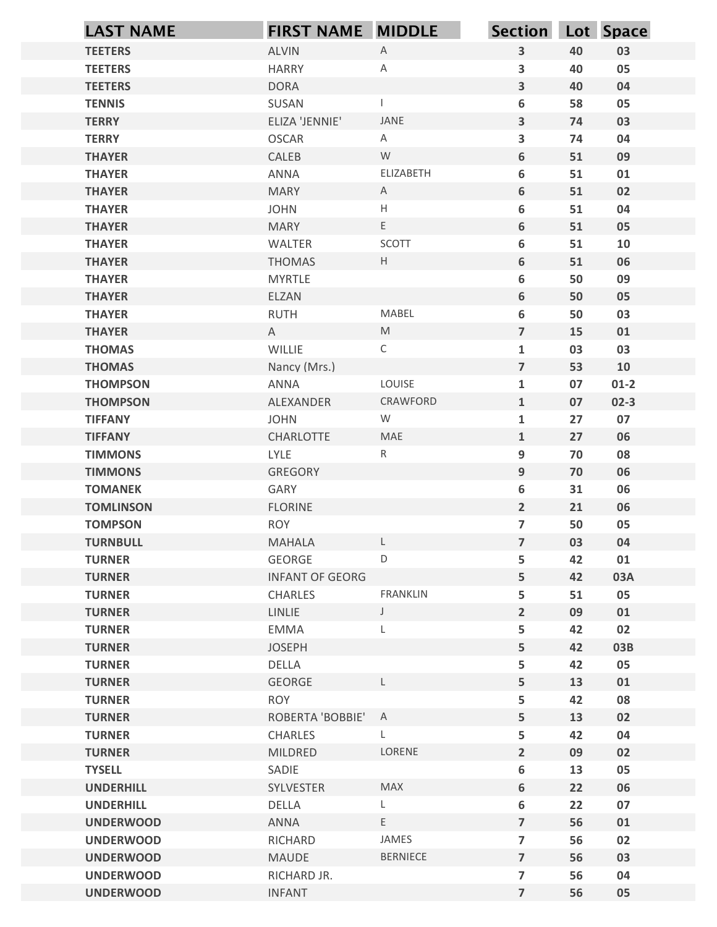|                                    | <b>FIRST NAME MIDDLE</b> |                      | <b>Section</b>          |          | Lot Space |
|------------------------------------|--------------------------|----------------------|-------------------------|----------|-----------|
| <b>LAST NAME</b><br><b>TEETERS</b> | ALVIN                    | $\mathsf A$          | $\mathbf{3}$            | 40       | 03        |
| <b>TEETERS</b>                     | <b>HARRY</b>             | $\mathsf{A}$         | 3                       | 40       | 05        |
| <b>TEETERS</b>                     | <b>DORA</b>              |                      | $\mathbf{3}$            | 40       | 04        |
| <b>TENNIS</b>                      | SUSAN                    |                      | 6                       | 58       | 05        |
| <b>TERRY</b>                       | ELIZA 'JENNIE'           | JANE                 | $\mathbf{3}$            | 74       | 03        |
| <b>TERRY</b>                       | <b>OSCAR</b>             | $\mathsf{A}$         | 3                       | 74       | 04        |
| <b>THAYER</b>                      | CALEB                    | W                    | 6                       | 51       | 09        |
| <b>THAYER</b>                      | ANNA                     | ELIZABETH            | 6                       | 51       | 01        |
| <b>THAYER</b>                      | <b>MARY</b>              | $\mathsf{A}$         | 6                       | 51       | 02        |
| <b>THAYER</b>                      | <b>JOHN</b>              | H                    | 6                       | 51       | 04        |
| <b>THAYER</b>                      | <b>MARY</b><br>WALTER    | $\mathsf E$<br>SCOTT | 6                       | 51<br>51 | 05        |
| <b>THAYER</b><br><b>THAYER</b>     | <b>THOMAS</b>            | H                    | 6<br>6                  | 51       | 10<br>06  |
| <b>THAYER</b>                      | MYRTLE                   |                      | 6                       | 50       | 09        |
| <b>THAYER</b>                      | ELZAN                    |                      | 6                       | 50       | 05        |
| <b>THAYER</b>                      | <b>RUTH</b>              | MABEL                | 6                       | 50       | 03        |
| <b>THAYER</b>                      | A                        | M                    | $\overline{7}$          | 15       | 01        |
| <b>THOMAS</b>                      | WILLIE                   | $\mathsf{C}$         | $\mathbf{1}$            | 03       | 03        |
| <b>THOMAS</b>                      | Nancy (Mrs.)             |                      | $\overline{7}$          | 53       | 10        |
| <b>THOMPSON</b>                    | ANNA                     | LOUISE               | $\mathbf{1}$            | 07       | $01-2$    |
| <b>THOMPSON</b>                    | ALEXANDER                | CRAWFORD             | $\mathbf{1}$            | 07       | $02 - 3$  |
| <b>TIFFANY</b>                     | <b>JOHN</b>              | W                    | $\mathbf{1}$            | 27       | 07        |
| <b>TIFFANY</b>                     | CHARLOTTE                | MAE                  | $\mathbf{1}$            | 27       | 06        |
| <b>TIMMONS</b><br><b>TIMMONS</b>   | LYLE<br>GREGORY          | $R_{\parallel}$      | 9<br>9                  | 70<br>70 | 08<br>06  |
| <b>TOMANEK</b>                     | GARY                     |                      | $\boldsymbol{6}$        | 31       | 06        |
| <b>TOMLINSON</b>                   | <b>FLORINE</b>           |                      | $\overline{2}$          | 21       | 06        |
| <b>TOMPSON</b>                     | <b>ROY</b>               |                      | $\overline{\mathbf{z}}$ | 50       | 05        |
| <b>TURNBULL</b>                    | <b>MAHALA</b>            | L                    | $\overline{7}$          | 03       | 04        |
| <b>TURNER</b>                      | GEORGE                   | $\mathsf D$          | 5                       | 42       | 01        |
| <b>TURNER</b>                      | <b>INFANT OF GEORG</b>   |                      | 5                       | 42       | 03A       |
| <b>TURNER</b>                      | CHARLES                  | <b>FRANKLIN</b>      | 5                       | 51       | 05        |
| <b>TURNER</b>                      | LINLIE                   | $\mathsf J$          | $2^{\circ}$             | 09       | 01        |
| <b>TURNER</b>                      | EMMA                     | L                    | 5                       | 42       | 02        |
| <b>TURNER</b><br><b>TURNER</b>     | <b>JOSEPH</b>            |                      | 5                       | 42       | 03B       |
| <b>TURNER</b>                      | DELLA<br>GEORGE          | L                    | 5<br>5                  | 42<br>13 | 05<br>01  |
| <b>TURNER</b>                      | <b>ROY</b>               |                      | 5                       | 42       | 08        |
| <b>TURNER</b>                      | ROBERTA 'BOBBIE'         | A                    | 5                       | 13       | 02        |
| <b>TURNER</b>                      | CHARLES                  | L                    | 5                       | 42       | 04        |
| <b>TURNER</b>                      | MILDRED                  | LORENE               | 2 <sup>7</sup>          | 09       | 02        |
| <b>TYSELL</b>                      | SADIE                    |                      | 6                       | 13       | 05        |
| <b>UNDERHILL</b>                   | SYLVESTER                | MAX                  | $6\phantom{a}$          | 22       | 06        |
| <b>UNDERHILL</b>                   | DELLA                    | L                    | 6                       | 22       | 07        |
| <b>UNDERWOOD</b>                   | ANNA                     | $\mathsf E$          | $\overline{7}$          | 56       | 01        |
| <b>UNDERWOOD</b>                   | RICHARD                  | JAMES                | $\overline{\mathbf{z}}$ | 56       | 02        |
| <b>UNDERWOOD</b>                   | MAUDE                    | <b>BERNIECE</b>      | $\overline{7}$          | 56       | 03        |
| <b>UNDERWOOD</b>                   | RICHARD JR.              |                      | $\overline{\mathbf{z}}$ | 56       | 04        |
| <b>UNDERWOOD</b>                   | <b>INFANT</b>            |                      | $\overline{7}$          | 56       | 05        |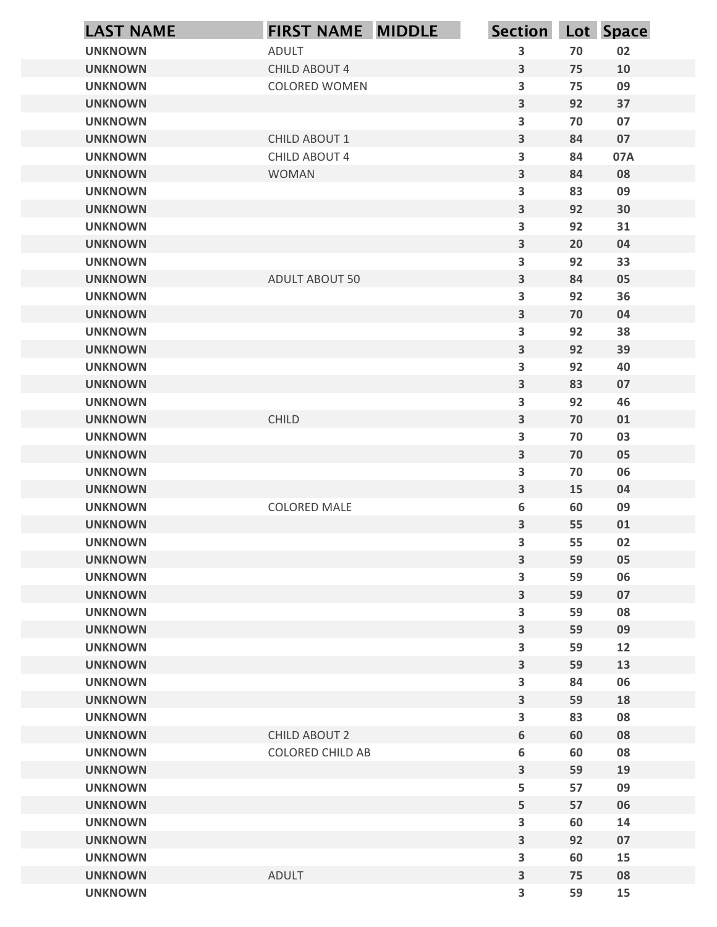| <b>LAST NAME</b>                 | <b>FIRST NAME MIDDLE</b> | Section Lot Space                                  |          |          |
|----------------------------------|--------------------------|----------------------------------------------------|----------|----------|
| <b>UNKNOWN</b>                   | ADULT                    | 3                                                  | 70       | 02       |
| <b>UNKNOWN</b>                   | CHILD ABOUT 4            | 3                                                  | 75       | 10       |
| <b>UNKNOWN</b>                   | <b>COLORED WOMEN</b>     | $\overline{\mathbf{3}}$                            | 75       | 09       |
| <b>UNKNOWN</b>                   |                          | $\overline{\mathbf{3}}$                            | 92       | 37       |
| <b>UNKNOWN</b>                   |                          | $\overline{\mathbf{3}}$                            | 70       | 07       |
| <b>UNKNOWN</b>                   | CHILD ABOUT 1            | $\overline{\mathbf{3}}$                            | 84       | 07       |
| <b>UNKNOWN</b>                   | CHILD ABOUT 4            | $\overline{\mathbf{3}}$                            | 84       | 07A      |
| <b>UNKNOWN</b><br><b>UNKNOWN</b> | <b>WOMAN</b>             | $\mathbf{3}$<br>$\overline{\mathbf{3}}$            | 84<br>83 | 08<br>09 |
| <b>UNKNOWN</b>                   |                          | $\overline{\mathbf{3}}$                            | 92       | 30       |
| <b>UNKNOWN</b>                   |                          | $\overline{\mathbf{3}}$                            | 92       | 31       |
| <b>UNKNOWN</b>                   |                          | $\overline{\mathbf{3}}$                            | 20       | 04       |
| <b>UNKNOWN</b>                   |                          | $\overline{\mathbf{3}}$                            | 92       | 33       |
| <b>UNKNOWN</b>                   | <b>ADULT ABOUT 50</b>    | $\overline{\mathbf{3}}$                            | 84       | 05       |
| <b>UNKNOWN</b>                   |                          | 3                                                  | 92       | 36       |
| <b>UNKNOWN</b>                   |                          | $\overline{\mathbf{3}}$                            | 70       | 04       |
| <b>UNKNOWN</b>                   |                          | $\mathbf{3}$                                       | 92       | 38       |
| <b>UNKNOWN</b><br><b>UNKNOWN</b> |                          | $\overline{\mathbf{3}}$<br>$\overline{\mathbf{3}}$ | 92<br>92 | 39<br>40 |
| <b>UNKNOWN</b>                   |                          | $\overline{\mathbf{3}}$                            | 83       | 07       |
| <b>UNKNOWN</b>                   |                          | $\overline{\mathbf{3}}$                            | 92       | 46       |
| <b>UNKNOWN</b>                   | CHILD                    | $\overline{\mathbf{3}}$                            | 70       | 01       |
| <b>UNKNOWN</b>                   |                          | $\overline{\mathbf{3}}$                            | 70       | 03       |
| <b>UNKNOWN</b>                   |                          | $\overline{\mathbf{3}}$                            | 70       | 05       |
| <b>UNKNOWN</b>                   |                          | $\overline{\mathbf{3}}$                            | 70       | 06       |
| <b>UNKNOWN</b>                   |                          | $\overline{\mathbf{3}}$                            | 15       | 04       |
| <b>UNKNOWN</b>                   | <b>COLORED MALE</b>      | 6                                                  | 60       | 09       |
| <b>UNKNOWN</b>                   |                          | $\overline{\mathbf{3}}$                            | 55       | 01       |
| <b>UNKNOWN</b>                   |                          | 3                                                  | 55       | 02       |
| <b>UNKNOWN</b><br><b>UNKNOWN</b> |                          | $\overline{\mathbf{3}}$<br>$\overline{\mathbf{3}}$ | 59<br>59 | 05<br>06 |
| <b>UNKNOWN</b>                   |                          | $\overline{\mathbf{3}}$                            | 59       | 07       |
| <b>UNKNOWN</b>                   |                          | $\overline{\mathbf{3}}$                            | 59       | 08       |
| <b>UNKNOWN</b>                   |                          | $\overline{\mathbf{3}}$                            | 59       | 09       |
| <b>UNKNOWN</b>                   |                          | 3                                                  | 59       | 12       |
| <b>UNKNOWN</b>                   |                          | $\overline{\mathbf{3}}$                            | 59       | 13       |
| <b>UNKNOWN</b>                   |                          | 3                                                  | 84       | 06       |
| <b>UNKNOWN</b>                   |                          | $\overline{\mathbf{3}}$                            | 59       | 18       |
| <b>UNKNOWN</b>                   |                          | 3                                                  | 83       | 08       |
| <b>UNKNOWN</b>                   | <b>CHILD ABOUT 2</b>     | $\boldsymbol{6}$                                   | 60       | 08       |
| <b>UNKNOWN</b><br><b>UNKNOWN</b> | COLORED CHILD AB         | 6<br>$\overline{\mathbf{3}}$                       | 60<br>59 | 08       |
| <b>UNKNOWN</b>                   |                          | 5                                                  | 57       | 19<br>09 |
| <b>UNKNOWN</b>                   |                          | 5                                                  | 57       | 06       |
| <b>UNKNOWN</b>                   |                          | $\overline{\mathbf{3}}$                            | 60       | 14       |
| <b>UNKNOWN</b>                   |                          | $\overline{\mathbf{3}}$                            | 92       | 07       |
| <b>UNKNOWN</b>                   |                          | 3                                                  | 60       | 15       |
| <b>UNKNOWN</b>                   | ADULT                    | $\overline{\mathbf{3}}$                            | 75       | 08       |
| <b>UNKNOWN</b>                   |                          | $\overline{\mathbf{3}}$                            | 59       | 15       |
|                                  |                          |                                                    |          |          |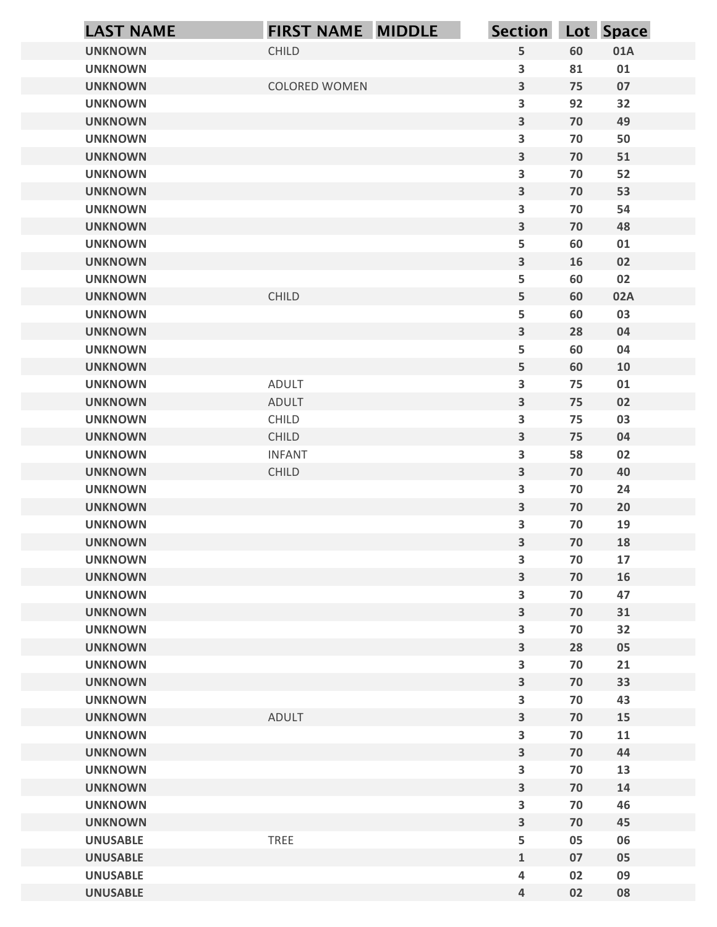| 5<br>60<br><b>UNKNOWN</b><br>CHILD<br>01A<br>$\overline{\mathbf{3}}$<br>81<br>01<br><b>UNKNOWN</b><br>$\overline{\mathbf{3}}$<br><b>COLORED WOMEN</b><br>75<br>07<br><b>UNKNOWN</b><br>$\overline{\mathbf{3}}$<br>92<br><b>UNKNOWN</b><br>32<br>$\mathbf{3}$<br>70<br>49<br><b>UNKNOWN</b><br>$\overline{\mathbf{3}}$<br>70<br>50<br><b>UNKNOWN</b><br>$\overline{\mathbf{3}}$<br>70<br><b>UNKNOWN</b><br>51<br>$\overline{\mathbf{3}}$<br>70<br>52<br><b>UNKNOWN</b><br>$\mathbf{3}$<br>70<br>53<br><b>UNKNOWN</b><br>$\overline{\mathbf{3}}$<br>70<br><b>UNKNOWN</b><br>54<br>$\overline{\mathbf{3}}$<br>70<br>48<br><b>UNKNOWN</b><br>5<br>60<br><b>UNKNOWN</b><br>01<br>$\overline{\mathbf{3}}$<br>16<br>02<br><b>UNKNOWN</b><br>5<br>60<br>02<br><b>UNKNOWN</b><br>5<br>CHILD<br><b>UNKNOWN</b><br>60<br>02A<br>5<br>60<br>03<br><b>UNKNOWN</b><br>$\mathbf{3}$<br><b>UNKNOWN</b><br>28<br>04<br>5<br><b>UNKNOWN</b><br>60<br>04<br>5 <sub>5</sub><br><b>UNKNOWN</b><br>60<br>10<br>$\mathbf{3}$<br><b>UNKNOWN</b><br>ADULT<br>75<br>${\bf 01}$<br>$\mathbf{3}$<br>75<br>02<br><b>UNKNOWN</b><br><b>ADULT</b><br>$\mathbf{3}$<br><b>UNKNOWN</b><br>CHILD<br>75<br>03<br>$\mathbf{3}$<br><b>UNKNOWN</b><br>CHILD<br>75<br>04<br>$\overline{\mathbf{3}}$<br>58<br><b>UNKNOWN</b><br><b>INFANT</b><br>02<br>$\mathbf{3}$<br><b>UNKNOWN</b><br>CHILD<br>70<br>$40\,$<br>$\overline{\mathbf{3}}$<br><b>UNKNOWN</b><br>70<br>24<br>$\mathbf{3}$<br><b>UNKNOWN</b><br>70<br>20<br>$\mathbf{3}$<br><b>UNKNOWN</b><br>70<br>19<br>$\mathbf{3}$<br>70<br><b>UNKNOWN</b><br>18<br>$\mathbf{3}$<br><b>UNKNOWN</b><br>70<br>17<br>$\mathbf{3}$<br><b>UNKNOWN</b><br>70<br>16<br>$\mathbf{3}$<br><b>UNKNOWN</b><br>70<br>47<br>$\mathbf{3}$<br><b>UNKNOWN</b><br>70<br>$31\,$<br>$\mathbf{3}$<br><b>UNKNOWN</b><br>32<br>70<br>$\mathbf{3}$<br>05<br><b>UNKNOWN</b><br>28<br>$\overline{\mathbf{3}}$<br><b>UNKNOWN</b><br>70<br>21<br>$\mathbf{3}$<br>33<br><b>UNKNOWN</b><br>70<br>$\overline{\mathbf{3}}$<br><b>UNKNOWN</b><br>43<br>70<br>$\mathbf{3}$<br>ADULT<br><b>UNKNOWN</b><br>70<br>15<br>$\overline{\mathbf{3}}$<br><b>UNKNOWN</b><br>70<br>11<br>$\mathbf{3}$<br><b>UNKNOWN</b><br>70<br>44<br>$\mathbf{3}$<br><b>UNKNOWN</b><br>13<br>70<br>$\overline{\mathbf{3}}$<br><b>UNKNOWN</b><br>70<br>14<br>$\overline{\mathbf{3}}$<br><b>UNKNOWN</b><br>70<br>46<br><b>UNKNOWN</b><br>$\mathbf{3}$<br>70<br>45<br>5<br>TREE<br><b>UNUSABLE</b><br>05<br>06<br>$\mathbf{1}$<br><b>UNUSABLE</b><br>07<br>05<br><b>UNUSABLE</b><br>02<br>09<br>4<br>$\overline{4}$<br>02<br>08<br><b>UNUSABLE</b> | <b>LAST NAME</b> | FIRST NAME MIDDLE | Section Lot Space |  |
|----------------------------------------------------------------------------------------------------------------------------------------------------------------------------------------------------------------------------------------------------------------------------------------------------------------------------------------------------------------------------------------------------------------------------------------------------------------------------------------------------------------------------------------------------------------------------------------------------------------------------------------------------------------------------------------------------------------------------------------------------------------------------------------------------------------------------------------------------------------------------------------------------------------------------------------------------------------------------------------------------------------------------------------------------------------------------------------------------------------------------------------------------------------------------------------------------------------------------------------------------------------------------------------------------------------------------------------------------------------------------------------------------------------------------------------------------------------------------------------------------------------------------------------------------------------------------------------------------------------------------------------------------------------------------------------------------------------------------------------------------------------------------------------------------------------------------------------------------------------------------------------------------------------------------------------------------------------------------------------------------------------------------------------------------------------------------------------------------------------------------------------------------------------------------------------------------------------------------------------------------------------------------------------------------------------------------------------------------------------------------------------------------------------------------------------------------------------------------------------------------------------------------------------------------------------------------------------------|------------------|-------------------|-------------------|--|
|                                                                                                                                                                                                                                                                                                                                                                                                                                                                                                                                                                                                                                                                                                                                                                                                                                                                                                                                                                                                                                                                                                                                                                                                                                                                                                                                                                                                                                                                                                                                                                                                                                                                                                                                                                                                                                                                                                                                                                                                                                                                                                                                                                                                                                                                                                                                                                                                                                                                                                                                                                                              |                  |                   |                   |  |
|                                                                                                                                                                                                                                                                                                                                                                                                                                                                                                                                                                                                                                                                                                                                                                                                                                                                                                                                                                                                                                                                                                                                                                                                                                                                                                                                                                                                                                                                                                                                                                                                                                                                                                                                                                                                                                                                                                                                                                                                                                                                                                                                                                                                                                                                                                                                                                                                                                                                                                                                                                                              |                  |                   |                   |  |
|                                                                                                                                                                                                                                                                                                                                                                                                                                                                                                                                                                                                                                                                                                                                                                                                                                                                                                                                                                                                                                                                                                                                                                                                                                                                                                                                                                                                                                                                                                                                                                                                                                                                                                                                                                                                                                                                                                                                                                                                                                                                                                                                                                                                                                                                                                                                                                                                                                                                                                                                                                                              |                  |                   |                   |  |
|                                                                                                                                                                                                                                                                                                                                                                                                                                                                                                                                                                                                                                                                                                                                                                                                                                                                                                                                                                                                                                                                                                                                                                                                                                                                                                                                                                                                                                                                                                                                                                                                                                                                                                                                                                                                                                                                                                                                                                                                                                                                                                                                                                                                                                                                                                                                                                                                                                                                                                                                                                                              |                  |                   |                   |  |
|                                                                                                                                                                                                                                                                                                                                                                                                                                                                                                                                                                                                                                                                                                                                                                                                                                                                                                                                                                                                                                                                                                                                                                                                                                                                                                                                                                                                                                                                                                                                                                                                                                                                                                                                                                                                                                                                                                                                                                                                                                                                                                                                                                                                                                                                                                                                                                                                                                                                                                                                                                                              |                  |                   |                   |  |
|                                                                                                                                                                                                                                                                                                                                                                                                                                                                                                                                                                                                                                                                                                                                                                                                                                                                                                                                                                                                                                                                                                                                                                                                                                                                                                                                                                                                                                                                                                                                                                                                                                                                                                                                                                                                                                                                                                                                                                                                                                                                                                                                                                                                                                                                                                                                                                                                                                                                                                                                                                                              |                  |                   |                   |  |
|                                                                                                                                                                                                                                                                                                                                                                                                                                                                                                                                                                                                                                                                                                                                                                                                                                                                                                                                                                                                                                                                                                                                                                                                                                                                                                                                                                                                                                                                                                                                                                                                                                                                                                                                                                                                                                                                                                                                                                                                                                                                                                                                                                                                                                                                                                                                                                                                                                                                                                                                                                                              |                  |                   |                   |  |
|                                                                                                                                                                                                                                                                                                                                                                                                                                                                                                                                                                                                                                                                                                                                                                                                                                                                                                                                                                                                                                                                                                                                                                                                                                                                                                                                                                                                                                                                                                                                                                                                                                                                                                                                                                                                                                                                                                                                                                                                                                                                                                                                                                                                                                                                                                                                                                                                                                                                                                                                                                                              |                  |                   |                   |  |
|                                                                                                                                                                                                                                                                                                                                                                                                                                                                                                                                                                                                                                                                                                                                                                                                                                                                                                                                                                                                                                                                                                                                                                                                                                                                                                                                                                                                                                                                                                                                                                                                                                                                                                                                                                                                                                                                                                                                                                                                                                                                                                                                                                                                                                                                                                                                                                                                                                                                                                                                                                                              |                  |                   |                   |  |
|                                                                                                                                                                                                                                                                                                                                                                                                                                                                                                                                                                                                                                                                                                                                                                                                                                                                                                                                                                                                                                                                                                                                                                                                                                                                                                                                                                                                                                                                                                                                                                                                                                                                                                                                                                                                                                                                                                                                                                                                                                                                                                                                                                                                                                                                                                                                                                                                                                                                                                                                                                                              |                  |                   |                   |  |
|                                                                                                                                                                                                                                                                                                                                                                                                                                                                                                                                                                                                                                                                                                                                                                                                                                                                                                                                                                                                                                                                                                                                                                                                                                                                                                                                                                                                                                                                                                                                                                                                                                                                                                                                                                                                                                                                                                                                                                                                                                                                                                                                                                                                                                                                                                                                                                                                                                                                                                                                                                                              |                  |                   |                   |  |
|                                                                                                                                                                                                                                                                                                                                                                                                                                                                                                                                                                                                                                                                                                                                                                                                                                                                                                                                                                                                                                                                                                                                                                                                                                                                                                                                                                                                                                                                                                                                                                                                                                                                                                                                                                                                                                                                                                                                                                                                                                                                                                                                                                                                                                                                                                                                                                                                                                                                                                                                                                                              |                  |                   |                   |  |
|                                                                                                                                                                                                                                                                                                                                                                                                                                                                                                                                                                                                                                                                                                                                                                                                                                                                                                                                                                                                                                                                                                                                                                                                                                                                                                                                                                                                                                                                                                                                                                                                                                                                                                                                                                                                                                                                                                                                                                                                                                                                                                                                                                                                                                                                                                                                                                                                                                                                                                                                                                                              |                  |                   |                   |  |
|                                                                                                                                                                                                                                                                                                                                                                                                                                                                                                                                                                                                                                                                                                                                                                                                                                                                                                                                                                                                                                                                                                                                                                                                                                                                                                                                                                                                                                                                                                                                                                                                                                                                                                                                                                                                                                                                                                                                                                                                                                                                                                                                                                                                                                                                                                                                                                                                                                                                                                                                                                                              |                  |                   |                   |  |
|                                                                                                                                                                                                                                                                                                                                                                                                                                                                                                                                                                                                                                                                                                                                                                                                                                                                                                                                                                                                                                                                                                                                                                                                                                                                                                                                                                                                                                                                                                                                                                                                                                                                                                                                                                                                                                                                                                                                                                                                                                                                                                                                                                                                                                                                                                                                                                                                                                                                                                                                                                                              |                  |                   |                   |  |
|                                                                                                                                                                                                                                                                                                                                                                                                                                                                                                                                                                                                                                                                                                                                                                                                                                                                                                                                                                                                                                                                                                                                                                                                                                                                                                                                                                                                                                                                                                                                                                                                                                                                                                                                                                                                                                                                                                                                                                                                                                                                                                                                                                                                                                                                                                                                                                                                                                                                                                                                                                                              |                  |                   |                   |  |
|                                                                                                                                                                                                                                                                                                                                                                                                                                                                                                                                                                                                                                                                                                                                                                                                                                                                                                                                                                                                                                                                                                                                                                                                                                                                                                                                                                                                                                                                                                                                                                                                                                                                                                                                                                                                                                                                                                                                                                                                                                                                                                                                                                                                                                                                                                                                                                                                                                                                                                                                                                                              |                  |                   |                   |  |
|                                                                                                                                                                                                                                                                                                                                                                                                                                                                                                                                                                                                                                                                                                                                                                                                                                                                                                                                                                                                                                                                                                                                                                                                                                                                                                                                                                                                                                                                                                                                                                                                                                                                                                                                                                                                                                                                                                                                                                                                                                                                                                                                                                                                                                                                                                                                                                                                                                                                                                                                                                                              |                  |                   |                   |  |
|                                                                                                                                                                                                                                                                                                                                                                                                                                                                                                                                                                                                                                                                                                                                                                                                                                                                                                                                                                                                                                                                                                                                                                                                                                                                                                                                                                                                                                                                                                                                                                                                                                                                                                                                                                                                                                                                                                                                                                                                                                                                                                                                                                                                                                                                                                                                                                                                                                                                                                                                                                                              |                  |                   |                   |  |
|                                                                                                                                                                                                                                                                                                                                                                                                                                                                                                                                                                                                                                                                                                                                                                                                                                                                                                                                                                                                                                                                                                                                                                                                                                                                                                                                                                                                                                                                                                                                                                                                                                                                                                                                                                                                                                                                                                                                                                                                                                                                                                                                                                                                                                                                                                                                                                                                                                                                                                                                                                                              |                  |                   |                   |  |
|                                                                                                                                                                                                                                                                                                                                                                                                                                                                                                                                                                                                                                                                                                                                                                                                                                                                                                                                                                                                                                                                                                                                                                                                                                                                                                                                                                                                                                                                                                                                                                                                                                                                                                                                                                                                                                                                                                                                                                                                                                                                                                                                                                                                                                                                                                                                                                                                                                                                                                                                                                                              |                  |                   |                   |  |
|                                                                                                                                                                                                                                                                                                                                                                                                                                                                                                                                                                                                                                                                                                                                                                                                                                                                                                                                                                                                                                                                                                                                                                                                                                                                                                                                                                                                                                                                                                                                                                                                                                                                                                                                                                                                                                                                                                                                                                                                                                                                                                                                                                                                                                                                                                                                                                                                                                                                                                                                                                                              |                  |                   |                   |  |
|                                                                                                                                                                                                                                                                                                                                                                                                                                                                                                                                                                                                                                                                                                                                                                                                                                                                                                                                                                                                                                                                                                                                                                                                                                                                                                                                                                                                                                                                                                                                                                                                                                                                                                                                                                                                                                                                                                                                                                                                                                                                                                                                                                                                                                                                                                                                                                                                                                                                                                                                                                                              |                  |                   |                   |  |
|                                                                                                                                                                                                                                                                                                                                                                                                                                                                                                                                                                                                                                                                                                                                                                                                                                                                                                                                                                                                                                                                                                                                                                                                                                                                                                                                                                                                                                                                                                                                                                                                                                                                                                                                                                                                                                                                                                                                                                                                                                                                                                                                                                                                                                                                                                                                                                                                                                                                                                                                                                                              |                  |                   |                   |  |
|                                                                                                                                                                                                                                                                                                                                                                                                                                                                                                                                                                                                                                                                                                                                                                                                                                                                                                                                                                                                                                                                                                                                                                                                                                                                                                                                                                                                                                                                                                                                                                                                                                                                                                                                                                                                                                                                                                                                                                                                                                                                                                                                                                                                                                                                                                                                                                                                                                                                                                                                                                                              |                  |                   |                   |  |
|                                                                                                                                                                                                                                                                                                                                                                                                                                                                                                                                                                                                                                                                                                                                                                                                                                                                                                                                                                                                                                                                                                                                                                                                                                                                                                                                                                                                                                                                                                                                                                                                                                                                                                                                                                                                                                                                                                                                                                                                                                                                                                                                                                                                                                                                                                                                                                                                                                                                                                                                                                                              |                  |                   |                   |  |
|                                                                                                                                                                                                                                                                                                                                                                                                                                                                                                                                                                                                                                                                                                                                                                                                                                                                                                                                                                                                                                                                                                                                                                                                                                                                                                                                                                                                                                                                                                                                                                                                                                                                                                                                                                                                                                                                                                                                                                                                                                                                                                                                                                                                                                                                                                                                                                                                                                                                                                                                                                                              |                  |                   |                   |  |
|                                                                                                                                                                                                                                                                                                                                                                                                                                                                                                                                                                                                                                                                                                                                                                                                                                                                                                                                                                                                                                                                                                                                                                                                                                                                                                                                                                                                                                                                                                                                                                                                                                                                                                                                                                                                                                                                                                                                                                                                                                                                                                                                                                                                                                                                                                                                                                                                                                                                                                                                                                                              |                  |                   |                   |  |
|                                                                                                                                                                                                                                                                                                                                                                                                                                                                                                                                                                                                                                                                                                                                                                                                                                                                                                                                                                                                                                                                                                                                                                                                                                                                                                                                                                                                                                                                                                                                                                                                                                                                                                                                                                                                                                                                                                                                                                                                                                                                                                                                                                                                                                                                                                                                                                                                                                                                                                                                                                                              |                  |                   |                   |  |
|                                                                                                                                                                                                                                                                                                                                                                                                                                                                                                                                                                                                                                                                                                                                                                                                                                                                                                                                                                                                                                                                                                                                                                                                                                                                                                                                                                                                                                                                                                                                                                                                                                                                                                                                                                                                                                                                                                                                                                                                                                                                                                                                                                                                                                                                                                                                                                                                                                                                                                                                                                                              |                  |                   |                   |  |
|                                                                                                                                                                                                                                                                                                                                                                                                                                                                                                                                                                                                                                                                                                                                                                                                                                                                                                                                                                                                                                                                                                                                                                                                                                                                                                                                                                                                                                                                                                                                                                                                                                                                                                                                                                                                                                                                                                                                                                                                                                                                                                                                                                                                                                                                                                                                                                                                                                                                                                                                                                                              |                  |                   |                   |  |
|                                                                                                                                                                                                                                                                                                                                                                                                                                                                                                                                                                                                                                                                                                                                                                                                                                                                                                                                                                                                                                                                                                                                                                                                                                                                                                                                                                                                                                                                                                                                                                                                                                                                                                                                                                                                                                                                                                                                                                                                                                                                                                                                                                                                                                                                                                                                                                                                                                                                                                                                                                                              |                  |                   |                   |  |
|                                                                                                                                                                                                                                                                                                                                                                                                                                                                                                                                                                                                                                                                                                                                                                                                                                                                                                                                                                                                                                                                                                                                                                                                                                                                                                                                                                                                                                                                                                                                                                                                                                                                                                                                                                                                                                                                                                                                                                                                                                                                                                                                                                                                                                                                                                                                                                                                                                                                                                                                                                                              |                  |                   |                   |  |
|                                                                                                                                                                                                                                                                                                                                                                                                                                                                                                                                                                                                                                                                                                                                                                                                                                                                                                                                                                                                                                                                                                                                                                                                                                                                                                                                                                                                                                                                                                                                                                                                                                                                                                                                                                                                                                                                                                                                                                                                                                                                                                                                                                                                                                                                                                                                                                                                                                                                                                                                                                                              |                  |                   |                   |  |
|                                                                                                                                                                                                                                                                                                                                                                                                                                                                                                                                                                                                                                                                                                                                                                                                                                                                                                                                                                                                                                                                                                                                                                                                                                                                                                                                                                                                                                                                                                                                                                                                                                                                                                                                                                                                                                                                                                                                                                                                                                                                                                                                                                                                                                                                                                                                                                                                                                                                                                                                                                                              |                  |                   |                   |  |
|                                                                                                                                                                                                                                                                                                                                                                                                                                                                                                                                                                                                                                                                                                                                                                                                                                                                                                                                                                                                                                                                                                                                                                                                                                                                                                                                                                                                                                                                                                                                                                                                                                                                                                                                                                                                                                                                                                                                                                                                                                                                                                                                                                                                                                                                                                                                                                                                                                                                                                                                                                                              |                  |                   |                   |  |
|                                                                                                                                                                                                                                                                                                                                                                                                                                                                                                                                                                                                                                                                                                                                                                                                                                                                                                                                                                                                                                                                                                                                                                                                                                                                                                                                                                                                                                                                                                                                                                                                                                                                                                                                                                                                                                                                                                                                                                                                                                                                                                                                                                                                                                                                                                                                                                                                                                                                                                                                                                                              |                  |                   |                   |  |
|                                                                                                                                                                                                                                                                                                                                                                                                                                                                                                                                                                                                                                                                                                                                                                                                                                                                                                                                                                                                                                                                                                                                                                                                                                                                                                                                                                                                                                                                                                                                                                                                                                                                                                                                                                                                                                                                                                                                                                                                                                                                                                                                                                                                                                                                                                                                                                                                                                                                                                                                                                                              |                  |                   |                   |  |
|                                                                                                                                                                                                                                                                                                                                                                                                                                                                                                                                                                                                                                                                                                                                                                                                                                                                                                                                                                                                                                                                                                                                                                                                                                                                                                                                                                                                                                                                                                                                                                                                                                                                                                                                                                                                                                                                                                                                                                                                                                                                                                                                                                                                                                                                                                                                                                                                                                                                                                                                                                                              |                  |                   |                   |  |
|                                                                                                                                                                                                                                                                                                                                                                                                                                                                                                                                                                                                                                                                                                                                                                                                                                                                                                                                                                                                                                                                                                                                                                                                                                                                                                                                                                                                                                                                                                                                                                                                                                                                                                                                                                                                                                                                                                                                                                                                                                                                                                                                                                                                                                                                                                                                                                                                                                                                                                                                                                                              |                  |                   |                   |  |
|                                                                                                                                                                                                                                                                                                                                                                                                                                                                                                                                                                                                                                                                                                                                                                                                                                                                                                                                                                                                                                                                                                                                                                                                                                                                                                                                                                                                                                                                                                                                                                                                                                                                                                                                                                                                                                                                                                                                                                                                                                                                                                                                                                                                                                                                                                                                                                                                                                                                                                                                                                                              |                  |                   |                   |  |
|                                                                                                                                                                                                                                                                                                                                                                                                                                                                                                                                                                                                                                                                                                                                                                                                                                                                                                                                                                                                                                                                                                                                                                                                                                                                                                                                                                                                                                                                                                                                                                                                                                                                                                                                                                                                                                                                                                                                                                                                                                                                                                                                                                                                                                                                                                                                                                                                                                                                                                                                                                                              |                  |                   |                   |  |
|                                                                                                                                                                                                                                                                                                                                                                                                                                                                                                                                                                                                                                                                                                                                                                                                                                                                                                                                                                                                                                                                                                                                                                                                                                                                                                                                                                                                                                                                                                                                                                                                                                                                                                                                                                                                                                                                                                                                                                                                                                                                                                                                                                                                                                                                                                                                                                                                                                                                                                                                                                                              |                  |                   |                   |  |
|                                                                                                                                                                                                                                                                                                                                                                                                                                                                                                                                                                                                                                                                                                                                                                                                                                                                                                                                                                                                                                                                                                                                                                                                                                                                                                                                                                                                                                                                                                                                                                                                                                                                                                                                                                                                                                                                                                                                                                                                                                                                                                                                                                                                                                                                                                                                                                                                                                                                                                                                                                                              |                  |                   |                   |  |
|                                                                                                                                                                                                                                                                                                                                                                                                                                                                                                                                                                                                                                                                                                                                                                                                                                                                                                                                                                                                                                                                                                                                                                                                                                                                                                                                                                                                                                                                                                                                                                                                                                                                                                                                                                                                                                                                                                                                                                                                                                                                                                                                                                                                                                                                                                                                                                                                                                                                                                                                                                                              |                  |                   |                   |  |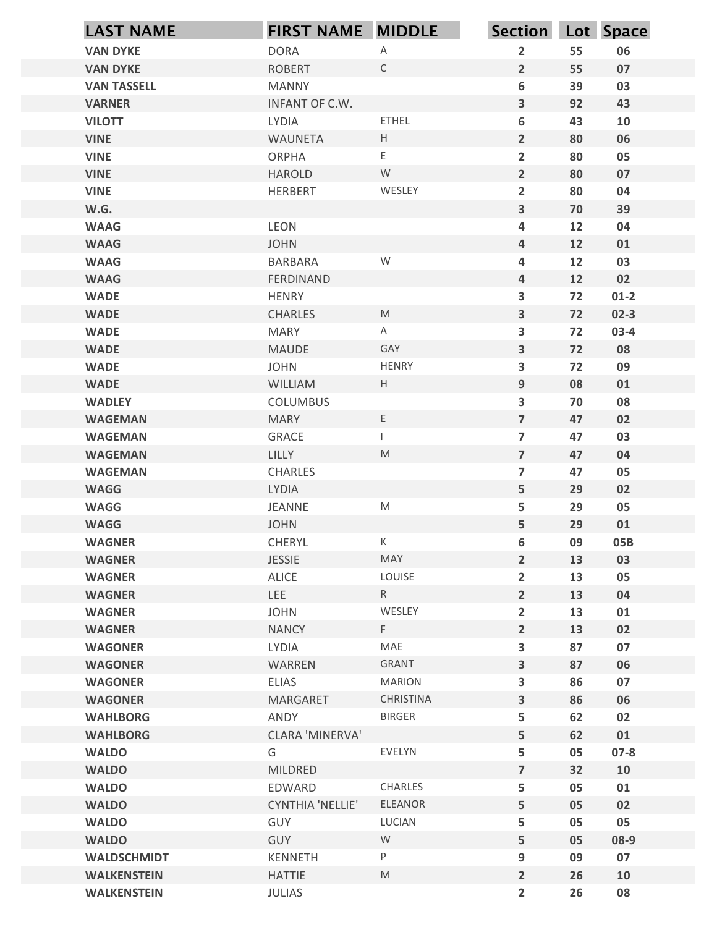| <b>LAST NAME</b>               | <b>FIRST NAME MIDDLE</b>          |                                                                                                            | Section Lot Space                         |          |            |
|--------------------------------|-----------------------------------|------------------------------------------------------------------------------------------------------------|-------------------------------------------|----------|------------|
| <b>VAN DYKE</b>                | <b>DORA</b>                       | Α                                                                                                          | $\overline{2}$                            | 55       | 06         |
| <b>VAN DYKE</b>                | <b>ROBERT</b>                     | $\mathsf{C}$                                                                                               | $\overline{2}$                            | 55       | 07         |
| <b>VAN TASSELL</b>             | <b>MANNY</b>                      |                                                                                                            | 6                                         | 39       | 03         |
| <b>VARNER</b>                  | INFANT OF C.W.                    |                                                                                                            | $\overline{\mathbf{3}}$                   | 92       | 43         |
| <b>VILOTT</b>                  | LYDIA                             | ETHEL                                                                                                      | 6                                         | 43       | 10         |
| <b>VINE</b>                    | WAUNETA                           | H                                                                                                          | $\overline{2}$                            | 80       | 06         |
| <b>VINE</b>                    | ORPHA                             | $\mathsf E$                                                                                                | $\overline{2}$                            | 80       | 05         |
| <b>VINE</b>                    | <b>HAROLD</b>                     | W<br>WESLEY                                                                                                | $\overline{2}$                            | 80       | 07         |
| <b>VINE</b><br>W.G.            | <b>HERBERT</b>                    |                                                                                                            | $\overline{2}$<br>$\overline{\mathbf{3}}$ | 80<br>70 | 04<br>39   |
| <b>WAAG</b>                    | LEON                              |                                                                                                            | 4                                         | 12       | 04         |
| <b>WAAG</b>                    | <b>JOHN</b>                       |                                                                                                            | 4                                         | 12       | 01         |
| <b>WAAG</b>                    | <b>BARBARA</b>                    | ${\mathsf W}$                                                                                              | 4                                         | 12       | 03         |
| <b>WAAG</b>                    | FERDINAND                         |                                                                                                            | 4                                         | 12       | 02         |
| <b>WADE</b>                    | HENRY                             |                                                                                                            | $\overline{\mathbf{3}}$                   | 72       | $01-2$     |
| <b>WADE</b>                    | CHARLES                           | $\mathsf{M}% _{T}=\mathsf{M}_{T}\!\left( a,b\right) ,\ \mathsf{M}_{T}=\mathsf{M}_{T}\!\left( a,b\right) ,$ | $\mathbf{3}$                              | 72       | $02-3$     |
| <b>WADE</b>                    | <b>MARY</b>                       | $\mathsf{A}$                                                                                               | 3                                         | 72       | $03-4$     |
| <b>WADE</b>                    | MAUDE                             | GAY                                                                                                        | $\mathbf{3}$                              | 72       | 08         |
| <b>WADE</b>                    | <b>JOHN</b>                       | HENRY                                                                                                      | $\mathbf{3}$                              | 72       | 09         |
| <b>WADE</b><br><b>WADLEY</b>   | <b>WILLIAM</b><br><b>COLUMBUS</b> | $\mathsf{H}^-$                                                                                             | 9 <sup>°</sup><br>$\overline{\mathbf{3}}$ | 08<br>70 | 01<br>08   |
| <b>WAGEMAN</b>                 | <b>MARY</b>                       | E                                                                                                          | $\overline{7}$                            | 47       | 02         |
| <b>WAGEMAN</b>                 | GRACE                             |                                                                                                            | $\overline{7}$                            | 47       | 03         |
| <b>WAGEMAN</b>                 | LILLY                             | $\mathsf{M}% _{T}=\mathsf{M}_{T}\!\left( a,b\right) ,\ \mathsf{M}_{T}=\mathsf{M}_{T}\!\left( a,b\right) ,$ | $\overline{7}$                            | 47       | 04         |
| <b>WAGEMAN</b>                 | CHARLES                           |                                                                                                            | $\overline{\mathbf{z}}$                   | 47       | 05         |
| <b>WAGG</b>                    | LYDIA                             |                                                                                                            | 5                                         | 29       | 02         |
| <b>WAGG</b>                    | JEANNE                            | $\mathsf{M}% _{T}=\mathsf{M}_{T}\!\left( a,b\right) ,\ \mathsf{M}_{T}=\mathsf{M}_{T}\!\left( a,b\right) ,$ | 5                                         | 29       | 05         |
| <b>WAGG</b>                    | <b>JOHN</b>                       |                                                                                                            | 5                                         | 29       | 01         |
| <b>WAGNER</b>                  | CHERYL                            | $\mathsf K$                                                                                                | 6                                         | 09       | 05B        |
| <b>WAGNER</b>                  | JESSIE                            | MAY                                                                                                        | $\overline{2}$                            | 13       | 03         |
| <b>WAGNER</b>                  | ALICE                             | LOUISE                                                                                                     | $\overline{2}$                            | 13       | 05         |
| <b>WAGNER</b><br><b>WAGNER</b> | LEE<br><b>JOHN</b>                | R<br>WESLEY                                                                                                | $\overline{2}$<br>$\overline{2}$          | 13<br>13 | 04<br>01   |
| <b>WAGNER</b>                  | <b>NANCY</b>                      | F                                                                                                          | $\overline{2}$                            | 13       | 02         |
| <b>WAGONER</b>                 | LYDIA                             | MAE                                                                                                        | $\mathbf{3}$                              | 87       | 07         |
| <b>WAGONER</b>                 | WARREN                            | GRANT                                                                                                      | $\mathbf{3}$                              | 87       | 06         |
| <b>WAGONER</b>                 | <b>ELIAS</b>                      | <b>MARION</b>                                                                                              | 3                                         | 86       | 07         |
| <b>WAGONER</b>                 | MARGARET                          | CHRISTINA                                                                                                  | 3 <sup>1</sup>                            | 86       | 06         |
| <b>WAHLBORG</b>                | ANDY                              | BIRGER                                                                                                     | 5                                         | 62       | 02         |
| <b>WAHLBORG</b>                | CLARA 'MINERVA'                   |                                                                                                            | 5                                         | 62       | 01         |
| <b>WALDO</b>                   | G                                 | EVELYN                                                                                                     | 5                                         | 05       | $07 - 8$   |
| <b>WALDO</b>                   | MILDRED                           |                                                                                                            | $\overline{7}$                            | 32       | 10         |
| <b>WALDO</b>                   | EDWARD                            | CHARLES                                                                                                    | 5                                         | 05       | ${\bf 01}$ |
| <b>WALDO</b><br><b>WALDO</b>   | <b>CYNTHIA 'NELLIE'</b><br>GUY    | ELEANOR<br>LUCIAN                                                                                          | 5<br>5                                    | 05<br>05 | 02<br>05   |
| <b>WALDO</b>                   | GUY                               | ${\mathsf W}$                                                                                              | 5                                         | 05       | 08-9       |
| <b>WALDSCHMIDT</b>             | KENNETH                           | P                                                                                                          | 9                                         | 09       | 07         |
| <b>WALKENSTEIN</b>             | <b>HATTIE</b>                     | $\mathsf{M}% _{T}=\mathsf{M}_{T}\!\left( a,b\right) ,\ \mathsf{M}_{T}=\mathsf{M}_{T}\!\left( a,b\right) ,$ | $2^{\circ}$                               | 26       | 10         |
| <b>WALKENSTEIN</b>             | JULIAS                            |                                                                                                            | $\overline{2}$                            | 26       | 08         |
|                                |                                   |                                                                                                            |                                           |          |            |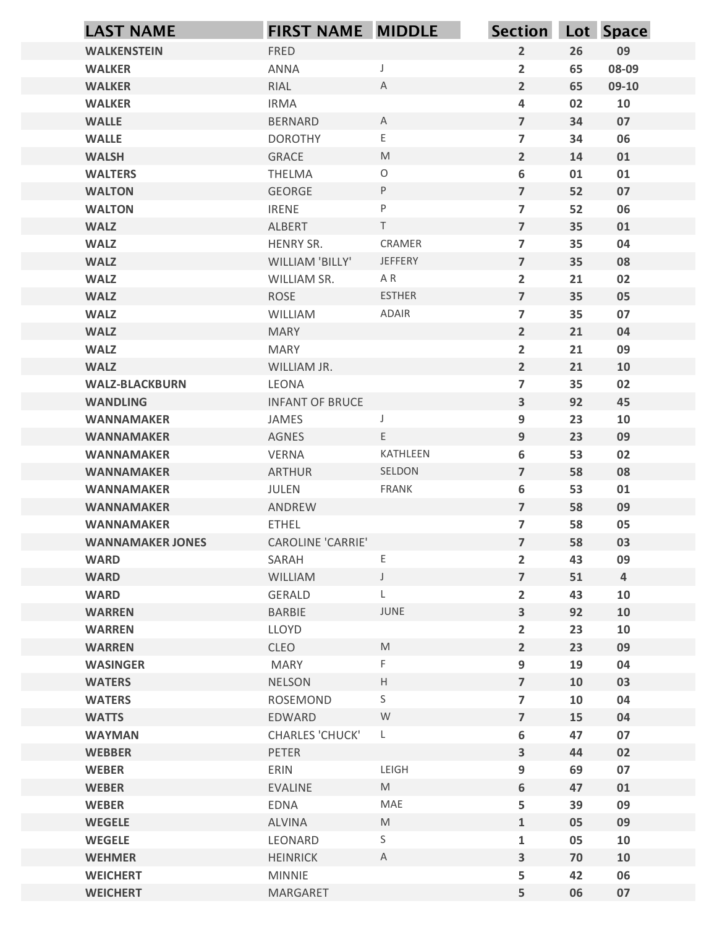| $\overline{2}$<br>09<br><b>WALKENSTEIN</b><br>FRED<br>26<br>08-09<br>$\overline{2}$<br>65<br><b>WALKER</b><br>ANNA<br>J<br>$\overline{2}$<br>RIAL<br>65<br><b>WALKER</b><br>A<br>09-10<br><b>IRMA</b><br><b>WALKER</b><br>4<br>02<br>10<br>$\overline{7}$<br>07<br><b>WALLE</b><br>34<br><b>BERNARD</b><br>$\mathsf{A}$<br>$\mathsf E$<br>06<br><b>WALLE</b><br>$\overline{\mathbf{z}}$<br><b>DOROTHY</b><br>34<br>$\overline{2}$<br><b>WALSH</b><br>M<br>01<br>GRACE<br>14<br>$\bigcirc$<br>6<br>01<br><b>WALTERS</b><br>THELMA<br>01<br>$\sf P$<br>$\overline{7}$<br>07<br><b>GEORGE</b><br>52<br><b>WALTON</b><br>P<br>06<br>$\overline{\mathbf{z}}$<br>52<br><b>WALTON</b><br><b>IRENE</b><br>$\top$<br>$\overline{7}$<br>35<br>01<br><b>WALZ</b><br>ALBERT<br>CRAMER<br><b>WALZ</b><br>HENRY SR.<br>$\overline{\mathbf{z}}$<br>35<br>04<br>$\overline{7}$<br>JEFFERY<br><b>WALZ</b><br>WILLIAM 'BILLY'<br>35<br>08<br>$\mathsf{A}\ \mathsf{R}$<br>$\overline{2}$<br>21<br>02<br><b>WALZ</b><br>WILLIAM SR.<br>ROSE<br><b>ESTHER</b><br>$\overline{7}$<br><b>WALZ</b><br>35<br>05<br>ADAIR<br>35<br>07<br><b>WALZ</b><br>$\overline{\phantom{a}}$<br>WILLIAM<br>$\overline{2}$<br><b>WALZ</b><br>21<br>04<br><b>MARY</b><br><b>WALZ</b><br>$\overline{2}$<br>21<br>09<br>MARY<br>$\overline{2}$<br><b>WALZ</b><br>21<br>10<br>WILLIAM JR.<br>LEONA<br>$\overline{\phantom{a}}$<br>35<br>02<br><b>WALZ-BLACKBURN</b><br>$\mathbf{3}$<br>92<br><b>INFANT OF BRUCE</b><br>45<br><b>WANDLING</b><br>23<br>JAMES<br>9<br>10<br><b>WANNAMAKER</b><br>E<br>$\boldsymbol{9}$<br>AGNES<br>23<br>09<br><b>WANNAMAKER</b><br>VERNA<br>KATHLEEN<br>6<br>53<br>02<br><b>WANNAMAKER</b><br>$\overline{7}$<br>SELDON<br>58<br>08<br><b>ARTHUR</b><br><b>WANNAMAKER</b><br>FRANK<br>53<br>JULEN<br>6<br>01<br><b>WANNAMAKER</b><br>$\overline{\phantom{a}}$<br>58<br>09<br>ANDREW<br><b>WANNAMAKER</b><br>$\overline{\phantom{a}}$<br>58<br>05<br><b>WANNAMAKER</b><br><b>ETHEL</b><br>$\overline{7}$<br>CAROLINE 'CARRIE'<br>58<br>03<br><b>WANNAMAKER JONES</b><br>Ε<br>$\overline{2}$<br>43<br>09<br><b>WARD</b><br>SARAH<br>$\overline{7}$<br><b>WARD</b><br>WILLIAM<br>$\cup$<br>51<br>$\overline{4}$<br>$\overline{2}$<br>43<br>10<br><b>WARD</b><br>GERALD<br>L.<br><b>BARBIE</b><br>JUNE<br>$\mathbf{3}$<br>92<br><b>WARREN</b><br>10<br>$\overline{2}$<br><b>WARREN</b><br>LLOYD<br>23<br>10<br>$\overline{2}$<br>CLEO<br>$\mathsf{M}% _{T}=\mathsf{M}_{T}\!\left( a,b\right) ,\ \mathsf{M}_{T}=\mathsf{M}_{T}\!\left( a,b\right) ,$<br>23<br>09<br><b>WARREN</b><br>$\boldsymbol{9}$<br>F.<br>19<br><b>WASINGER</b><br>MARY<br>04<br>$\mathsf H$<br>$\overline{7}$<br>10<br>03<br><b>WATERS</b><br><b>NELSON</b><br>S<br>$\overline{\mathbf{z}}$<br><b>WATERS</b><br>ROSEMOND<br>10<br>04<br>$\overline{7}$<br><b>WATTS</b><br>W<br>15<br>EDWARD<br>04<br>$\boldsymbol{6}$<br>47<br>07<br><b>WAYMAN</b><br><b>CHARLES 'CHUCK'</b><br>$\mathsf{L}$<br>$\overline{\mathbf{3}}$<br>44<br>02<br><b>WEBBER</b><br>PETER<br>LEIGH<br>9<br>07<br><b>WEBER</b><br>ERIN<br>69<br>$\boldsymbol{6}$<br>M<br><b>WEBER</b><br>EVALINE<br>47<br>01<br><b>EDNA</b><br>MAE<br>5<br>39<br>09<br><b>WEBER</b><br><b>WEGELE</b><br>${\sf M}$<br>09<br>ALVINA<br>$\mathbf{1}$<br>05<br>S<br>10<br><b>WEGELE</b><br>LEONARD<br>$\mathbf{1}$<br>05<br>$\mathsf{A}$<br><b>WEHMER</b><br>$\overline{\mathbf{3}}$<br>70<br>10<br><b>HEINRICK</b><br>5<br>06<br><b>WEICHERT</b><br><b>MINNIE</b><br>42<br>5<br><b>WEICHERT</b><br>MARGARET<br>06<br>07 | <b>LAST NAME</b> | <b>FIRST NAME MIDDLE</b> | Section Lot Space |  |
|----------------------------------------------------------------------------------------------------------------------------------------------------------------------------------------------------------------------------------------------------------------------------------------------------------------------------------------------------------------------------------------------------------------------------------------------------------------------------------------------------------------------------------------------------------------------------------------------------------------------------------------------------------------------------------------------------------------------------------------------------------------------------------------------------------------------------------------------------------------------------------------------------------------------------------------------------------------------------------------------------------------------------------------------------------------------------------------------------------------------------------------------------------------------------------------------------------------------------------------------------------------------------------------------------------------------------------------------------------------------------------------------------------------------------------------------------------------------------------------------------------------------------------------------------------------------------------------------------------------------------------------------------------------------------------------------------------------------------------------------------------------------------------------------------------------------------------------------------------------------------------------------------------------------------------------------------------------------------------------------------------------------------------------------------------------------------------------------------------------------------------------------------------------------------------------------------------------------------------------------------------------------------------------------------------------------------------------------------------------------------------------------------------------------------------------------------------------------------------------------------------------------------------------------------------------------------------------------------------------------------------------------------------------------------------------------------------------------------------------------------------------------------------------------------------------------------------------------------------------------------------------------------------------------------------------------------------------------------------------------------------------------------------------------------------------------------------------------------------------------------------------------------------------------------------------------------------------------------------------------------------------------------------------------------------------------------------------------------------------------------------------------------------------------------------------------------------------------------------------------------------------------------|------------------|--------------------------|-------------------|--|
|                                                                                                                                                                                                                                                                                                                                                                                                                                                                                                                                                                                                                                                                                                                                                                                                                                                                                                                                                                                                                                                                                                                                                                                                                                                                                                                                                                                                                                                                                                                                                                                                                                                                                                                                                                                                                                                                                                                                                                                                                                                                                                                                                                                                                                                                                                                                                                                                                                                                                                                                                                                                                                                                                                                                                                                                                                                                                                                                                                                                                                                                                                                                                                                                                                                                                                                                                                                                                                                                                                                            |                  |                          |                   |  |
|                                                                                                                                                                                                                                                                                                                                                                                                                                                                                                                                                                                                                                                                                                                                                                                                                                                                                                                                                                                                                                                                                                                                                                                                                                                                                                                                                                                                                                                                                                                                                                                                                                                                                                                                                                                                                                                                                                                                                                                                                                                                                                                                                                                                                                                                                                                                                                                                                                                                                                                                                                                                                                                                                                                                                                                                                                                                                                                                                                                                                                                                                                                                                                                                                                                                                                                                                                                                                                                                                                                            |                  |                          |                   |  |
|                                                                                                                                                                                                                                                                                                                                                                                                                                                                                                                                                                                                                                                                                                                                                                                                                                                                                                                                                                                                                                                                                                                                                                                                                                                                                                                                                                                                                                                                                                                                                                                                                                                                                                                                                                                                                                                                                                                                                                                                                                                                                                                                                                                                                                                                                                                                                                                                                                                                                                                                                                                                                                                                                                                                                                                                                                                                                                                                                                                                                                                                                                                                                                                                                                                                                                                                                                                                                                                                                                                            |                  |                          |                   |  |
|                                                                                                                                                                                                                                                                                                                                                                                                                                                                                                                                                                                                                                                                                                                                                                                                                                                                                                                                                                                                                                                                                                                                                                                                                                                                                                                                                                                                                                                                                                                                                                                                                                                                                                                                                                                                                                                                                                                                                                                                                                                                                                                                                                                                                                                                                                                                                                                                                                                                                                                                                                                                                                                                                                                                                                                                                                                                                                                                                                                                                                                                                                                                                                                                                                                                                                                                                                                                                                                                                                                            |                  |                          |                   |  |
|                                                                                                                                                                                                                                                                                                                                                                                                                                                                                                                                                                                                                                                                                                                                                                                                                                                                                                                                                                                                                                                                                                                                                                                                                                                                                                                                                                                                                                                                                                                                                                                                                                                                                                                                                                                                                                                                                                                                                                                                                                                                                                                                                                                                                                                                                                                                                                                                                                                                                                                                                                                                                                                                                                                                                                                                                                                                                                                                                                                                                                                                                                                                                                                                                                                                                                                                                                                                                                                                                                                            |                  |                          |                   |  |
|                                                                                                                                                                                                                                                                                                                                                                                                                                                                                                                                                                                                                                                                                                                                                                                                                                                                                                                                                                                                                                                                                                                                                                                                                                                                                                                                                                                                                                                                                                                                                                                                                                                                                                                                                                                                                                                                                                                                                                                                                                                                                                                                                                                                                                                                                                                                                                                                                                                                                                                                                                                                                                                                                                                                                                                                                                                                                                                                                                                                                                                                                                                                                                                                                                                                                                                                                                                                                                                                                                                            |                  |                          |                   |  |
|                                                                                                                                                                                                                                                                                                                                                                                                                                                                                                                                                                                                                                                                                                                                                                                                                                                                                                                                                                                                                                                                                                                                                                                                                                                                                                                                                                                                                                                                                                                                                                                                                                                                                                                                                                                                                                                                                                                                                                                                                                                                                                                                                                                                                                                                                                                                                                                                                                                                                                                                                                                                                                                                                                                                                                                                                                                                                                                                                                                                                                                                                                                                                                                                                                                                                                                                                                                                                                                                                                                            |                  |                          |                   |  |
|                                                                                                                                                                                                                                                                                                                                                                                                                                                                                                                                                                                                                                                                                                                                                                                                                                                                                                                                                                                                                                                                                                                                                                                                                                                                                                                                                                                                                                                                                                                                                                                                                                                                                                                                                                                                                                                                                                                                                                                                                                                                                                                                                                                                                                                                                                                                                                                                                                                                                                                                                                                                                                                                                                                                                                                                                                                                                                                                                                                                                                                                                                                                                                                                                                                                                                                                                                                                                                                                                                                            |                  |                          |                   |  |
|                                                                                                                                                                                                                                                                                                                                                                                                                                                                                                                                                                                                                                                                                                                                                                                                                                                                                                                                                                                                                                                                                                                                                                                                                                                                                                                                                                                                                                                                                                                                                                                                                                                                                                                                                                                                                                                                                                                                                                                                                                                                                                                                                                                                                                                                                                                                                                                                                                                                                                                                                                                                                                                                                                                                                                                                                                                                                                                                                                                                                                                                                                                                                                                                                                                                                                                                                                                                                                                                                                                            |                  |                          |                   |  |
|                                                                                                                                                                                                                                                                                                                                                                                                                                                                                                                                                                                                                                                                                                                                                                                                                                                                                                                                                                                                                                                                                                                                                                                                                                                                                                                                                                                                                                                                                                                                                                                                                                                                                                                                                                                                                                                                                                                                                                                                                                                                                                                                                                                                                                                                                                                                                                                                                                                                                                                                                                                                                                                                                                                                                                                                                                                                                                                                                                                                                                                                                                                                                                                                                                                                                                                                                                                                                                                                                                                            |                  |                          |                   |  |
|                                                                                                                                                                                                                                                                                                                                                                                                                                                                                                                                                                                                                                                                                                                                                                                                                                                                                                                                                                                                                                                                                                                                                                                                                                                                                                                                                                                                                                                                                                                                                                                                                                                                                                                                                                                                                                                                                                                                                                                                                                                                                                                                                                                                                                                                                                                                                                                                                                                                                                                                                                                                                                                                                                                                                                                                                                                                                                                                                                                                                                                                                                                                                                                                                                                                                                                                                                                                                                                                                                                            |                  |                          |                   |  |
|                                                                                                                                                                                                                                                                                                                                                                                                                                                                                                                                                                                                                                                                                                                                                                                                                                                                                                                                                                                                                                                                                                                                                                                                                                                                                                                                                                                                                                                                                                                                                                                                                                                                                                                                                                                                                                                                                                                                                                                                                                                                                                                                                                                                                                                                                                                                                                                                                                                                                                                                                                                                                                                                                                                                                                                                                                                                                                                                                                                                                                                                                                                                                                                                                                                                                                                                                                                                                                                                                                                            |                  |                          |                   |  |
|                                                                                                                                                                                                                                                                                                                                                                                                                                                                                                                                                                                                                                                                                                                                                                                                                                                                                                                                                                                                                                                                                                                                                                                                                                                                                                                                                                                                                                                                                                                                                                                                                                                                                                                                                                                                                                                                                                                                                                                                                                                                                                                                                                                                                                                                                                                                                                                                                                                                                                                                                                                                                                                                                                                                                                                                                                                                                                                                                                                                                                                                                                                                                                                                                                                                                                                                                                                                                                                                                                                            |                  |                          |                   |  |
|                                                                                                                                                                                                                                                                                                                                                                                                                                                                                                                                                                                                                                                                                                                                                                                                                                                                                                                                                                                                                                                                                                                                                                                                                                                                                                                                                                                                                                                                                                                                                                                                                                                                                                                                                                                                                                                                                                                                                                                                                                                                                                                                                                                                                                                                                                                                                                                                                                                                                                                                                                                                                                                                                                                                                                                                                                                                                                                                                                                                                                                                                                                                                                                                                                                                                                                                                                                                                                                                                                                            |                  |                          |                   |  |
|                                                                                                                                                                                                                                                                                                                                                                                                                                                                                                                                                                                                                                                                                                                                                                                                                                                                                                                                                                                                                                                                                                                                                                                                                                                                                                                                                                                                                                                                                                                                                                                                                                                                                                                                                                                                                                                                                                                                                                                                                                                                                                                                                                                                                                                                                                                                                                                                                                                                                                                                                                                                                                                                                                                                                                                                                                                                                                                                                                                                                                                                                                                                                                                                                                                                                                                                                                                                                                                                                                                            |                  |                          |                   |  |
|                                                                                                                                                                                                                                                                                                                                                                                                                                                                                                                                                                                                                                                                                                                                                                                                                                                                                                                                                                                                                                                                                                                                                                                                                                                                                                                                                                                                                                                                                                                                                                                                                                                                                                                                                                                                                                                                                                                                                                                                                                                                                                                                                                                                                                                                                                                                                                                                                                                                                                                                                                                                                                                                                                                                                                                                                                                                                                                                                                                                                                                                                                                                                                                                                                                                                                                                                                                                                                                                                                                            |                  |                          |                   |  |
|                                                                                                                                                                                                                                                                                                                                                                                                                                                                                                                                                                                                                                                                                                                                                                                                                                                                                                                                                                                                                                                                                                                                                                                                                                                                                                                                                                                                                                                                                                                                                                                                                                                                                                                                                                                                                                                                                                                                                                                                                                                                                                                                                                                                                                                                                                                                                                                                                                                                                                                                                                                                                                                                                                                                                                                                                                                                                                                                                                                                                                                                                                                                                                                                                                                                                                                                                                                                                                                                                                                            |                  |                          |                   |  |
|                                                                                                                                                                                                                                                                                                                                                                                                                                                                                                                                                                                                                                                                                                                                                                                                                                                                                                                                                                                                                                                                                                                                                                                                                                                                                                                                                                                                                                                                                                                                                                                                                                                                                                                                                                                                                                                                                                                                                                                                                                                                                                                                                                                                                                                                                                                                                                                                                                                                                                                                                                                                                                                                                                                                                                                                                                                                                                                                                                                                                                                                                                                                                                                                                                                                                                                                                                                                                                                                                                                            |                  |                          |                   |  |
|                                                                                                                                                                                                                                                                                                                                                                                                                                                                                                                                                                                                                                                                                                                                                                                                                                                                                                                                                                                                                                                                                                                                                                                                                                                                                                                                                                                                                                                                                                                                                                                                                                                                                                                                                                                                                                                                                                                                                                                                                                                                                                                                                                                                                                                                                                                                                                                                                                                                                                                                                                                                                                                                                                                                                                                                                                                                                                                                                                                                                                                                                                                                                                                                                                                                                                                                                                                                                                                                                                                            |                  |                          |                   |  |
|                                                                                                                                                                                                                                                                                                                                                                                                                                                                                                                                                                                                                                                                                                                                                                                                                                                                                                                                                                                                                                                                                                                                                                                                                                                                                                                                                                                                                                                                                                                                                                                                                                                                                                                                                                                                                                                                                                                                                                                                                                                                                                                                                                                                                                                                                                                                                                                                                                                                                                                                                                                                                                                                                                                                                                                                                                                                                                                                                                                                                                                                                                                                                                                                                                                                                                                                                                                                                                                                                                                            |                  |                          |                   |  |
|                                                                                                                                                                                                                                                                                                                                                                                                                                                                                                                                                                                                                                                                                                                                                                                                                                                                                                                                                                                                                                                                                                                                                                                                                                                                                                                                                                                                                                                                                                                                                                                                                                                                                                                                                                                                                                                                                                                                                                                                                                                                                                                                                                                                                                                                                                                                                                                                                                                                                                                                                                                                                                                                                                                                                                                                                                                                                                                                                                                                                                                                                                                                                                                                                                                                                                                                                                                                                                                                                                                            |                  |                          |                   |  |
|                                                                                                                                                                                                                                                                                                                                                                                                                                                                                                                                                                                                                                                                                                                                                                                                                                                                                                                                                                                                                                                                                                                                                                                                                                                                                                                                                                                                                                                                                                                                                                                                                                                                                                                                                                                                                                                                                                                                                                                                                                                                                                                                                                                                                                                                                                                                                                                                                                                                                                                                                                                                                                                                                                                                                                                                                                                                                                                                                                                                                                                                                                                                                                                                                                                                                                                                                                                                                                                                                                                            |                  |                          |                   |  |
|                                                                                                                                                                                                                                                                                                                                                                                                                                                                                                                                                                                                                                                                                                                                                                                                                                                                                                                                                                                                                                                                                                                                                                                                                                                                                                                                                                                                                                                                                                                                                                                                                                                                                                                                                                                                                                                                                                                                                                                                                                                                                                                                                                                                                                                                                                                                                                                                                                                                                                                                                                                                                                                                                                                                                                                                                                                                                                                                                                                                                                                                                                                                                                                                                                                                                                                                                                                                                                                                                                                            |                  |                          |                   |  |
|                                                                                                                                                                                                                                                                                                                                                                                                                                                                                                                                                                                                                                                                                                                                                                                                                                                                                                                                                                                                                                                                                                                                                                                                                                                                                                                                                                                                                                                                                                                                                                                                                                                                                                                                                                                                                                                                                                                                                                                                                                                                                                                                                                                                                                                                                                                                                                                                                                                                                                                                                                                                                                                                                                                                                                                                                                                                                                                                                                                                                                                                                                                                                                                                                                                                                                                                                                                                                                                                                                                            |                  |                          |                   |  |
|                                                                                                                                                                                                                                                                                                                                                                                                                                                                                                                                                                                                                                                                                                                                                                                                                                                                                                                                                                                                                                                                                                                                                                                                                                                                                                                                                                                                                                                                                                                                                                                                                                                                                                                                                                                                                                                                                                                                                                                                                                                                                                                                                                                                                                                                                                                                                                                                                                                                                                                                                                                                                                                                                                                                                                                                                                                                                                                                                                                                                                                                                                                                                                                                                                                                                                                                                                                                                                                                                                                            |                  |                          |                   |  |
|                                                                                                                                                                                                                                                                                                                                                                                                                                                                                                                                                                                                                                                                                                                                                                                                                                                                                                                                                                                                                                                                                                                                                                                                                                                                                                                                                                                                                                                                                                                                                                                                                                                                                                                                                                                                                                                                                                                                                                                                                                                                                                                                                                                                                                                                                                                                                                                                                                                                                                                                                                                                                                                                                                                                                                                                                                                                                                                                                                                                                                                                                                                                                                                                                                                                                                                                                                                                                                                                                                                            |                  |                          |                   |  |
|                                                                                                                                                                                                                                                                                                                                                                                                                                                                                                                                                                                                                                                                                                                                                                                                                                                                                                                                                                                                                                                                                                                                                                                                                                                                                                                                                                                                                                                                                                                                                                                                                                                                                                                                                                                                                                                                                                                                                                                                                                                                                                                                                                                                                                                                                                                                                                                                                                                                                                                                                                                                                                                                                                                                                                                                                                                                                                                                                                                                                                                                                                                                                                                                                                                                                                                                                                                                                                                                                                                            |                  |                          |                   |  |
|                                                                                                                                                                                                                                                                                                                                                                                                                                                                                                                                                                                                                                                                                                                                                                                                                                                                                                                                                                                                                                                                                                                                                                                                                                                                                                                                                                                                                                                                                                                                                                                                                                                                                                                                                                                                                                                                                                                                                                                                                                                                                                                                                                                                                                                                                                                                                                                                                                                                                                                                                                                                                                                                                                                                                                                                                                                                                                                                                                                                                                                                                                                                                                                                                                                                                                                                                                                                                                                                                                                            |                  |                          |                   |  |
|                                                                                                                                                                                                                                                                                                                                                                                                                                                                                                                                                                                                                                                                                                                                                                                                                                                                                                                                                                                                                                                                                                                                                                                                                                                                                                                                                                                                                                                                                                                                                                                                                                                                                                                                                                                                                                                                                                                                                                                                                                                                                                                                                                                                                                                                                                                                                                                                                                                                                                                                                                                                                                                                                                                                                                                                                                                                                                                                                                                                                                                                                                                                                                                                                                                                                                                                                                                                                                                                                                                            |                  |                          |                   |  |
|                                                                                                                                                                                                                                                                                                                                                                                                                                                                                                                                                                                                                                                                                                                                                                                                                                                                                                                                                                                                                                                                                                                                                                                                                                                                                                                                                                                                                                                                                                                                                                                                                                                                                                                                                                                                                                                                                                                                                                                                                                                                                                                                                                                                                                                                                                                                                                                                                                                                                                                                                                                                                                                                                                                                                                                                                                                                                                                                                                                                                                                                                                                                                                                                                                                                                                                                                                                                                                                                                                                            |                  |                          |                   |  |
|                                                                                                                                                                                                                                                                                                                                                                                                                                                                                                                                                                                                                                                                                                                                                                                                                                                                                                                                                                                                                                                                                                                                                                                                                                                                                                                                                                                                                                                                                                                                                                                                                                                                                                                                                                                                                                                                                                                                                                                                                                                                                                                                                                                                                                                                                                                                                                                                                                                                                                                                                                                                                                                                                                                                                                                                                                                                                                                                                                                                                                                                                                                                                                                                                                                                                                                                                                                                                                                                                                                            |                  |                          |                   |  |
|                                                                                                                                                                                                                                                                                                                                                                                                                                                                                                                                                                                                                                                                                                                                                                                                                                                                                                                                                                                                                                                                                                                                                                                                                                                                                                                                                                                                                                                                                                                                                                                                                                                                                                                                                                                                                                                                                                                                                                                                                                                                                                                                                                                                                                                                                                                                                                                                                                                                                                                                                                                                                                                                                                                                                                                                                                                                                                                                                                                                                                                                                                                                                                                                                                                                                                                                                                                                                                                                                                                            |                  |                          |                   |  |
|                                                                                                                                                                                                                                                                                                                                                                                                                                                                                                                                                                                                                                                                                                                                                                                                                                                                                                                                                                                                                                                                                                                                                                                                                                                                                                                                                                                                                                                                                                                                                                                                                                                                                                                                                                                                                                                                                                                                                                                                                                                                                                                                                                                                                                                                                                                                                                                                                                                                                                                                                                                                                                                                                                                                                                                                                                                                                                                                                                                                                                                                                                                                                                                                                                                                                                                                                                                                                                                                                                                            |                  |                          |                   |  |
|                                                                                                                                                                                                                                                                                                                                                                                                                                                                                                                                                                                                                                                                                                                                                                                                                                                                                                                                                                                                                                                                                                                                                                                                                                                                                                                                                                                                                                                                                                                                                                                                                                                                                                                                                                                                                                                                                                                                                                                                                                                                                                                                                                                                                                                                                                                                                                                                                                                                                                                                                                                                                                                                                                                                                                                                                                                                                                                                                                                                                                                                                                                                                                                                                                                                                                                                                                                                                                                                                                                            |                  |                          |                   |  |
|                                                                                                                                                                                                                                                                                                                                                                                                                                                                                                                                                                                                                                                                                                                                                                                                                                                                                                                                                                                                                                                                                                                                                                                                                                                                                                                                                                                                                                                                                                                                                                                                                                                                                                                                                                                                                                                                                                                                                                                                                                                                                                                                                                                                                                                                                                                                                                                                                                                                                                                                                                                                                                                                                                                                                                                                                                                                                                                                                                                                                                                                                                                                                                                                                                                                                                                                                                                                                                                                                                                            |                  |                          |                   |  |
|                                                                                                                                                                                                                                                                                                                                                                                                                                                                                                                                                                                                                                                                                                                                                                                                                                                                                                                                                                                                                                                                                                                                                                                                                                                                                                                                                                                                                                                                                                                                                                                                                                                                                                                                                                                                                                                                                                                                                                                                                                                                                                                                                                                                                                                                                                                                                                                                                                                                                                                                                                                                                                                                                                                                                                                                                                                                                                                                                                                                                                                                                                                                                                                                                                                                                                                                                                                                                                                                                                                            |                  |                          |                   |  |
|                                                                                                                                                                                                                                                                                                                                                                                                                                                                                                                                                                                                                                                                                                                                                                                                                                                                                                                                                                                                                                                                                                                                                                                                                                                                                                                                                                                                                                                                                                                                                                                                                                                                                                                                                                                                                                                                                                                                                                                                                                                                                                                                                                                                                                                                                                                                                                                                                                                                                                                                                                                                                                                                                                                                                                                                                                                                                                                                                                                                                                                                                                                                                                                                                                                                                                                                                                                                                                                                                                                            |                  |                          |                   |  |
|                                                                                                                                                                                                                                                                                                                                                                                                                                                                                                                                                                                                                                                                                                                                                                                                                                                                                                                                                                                                                                                                                                                                                                                                                                                                                                                                                                                                                                                                                                                                                                                                                                                                                                                                                                                                                                                                                                                                                                                                                                                                                                                                                                                                                                                                                                                                                                                                                                                                                                                                                                                                                                                                                                                                                                                                                                                                                                                                                                                                                                                                                                                                                                                                                                                                                                                                                                                                                                                                                                                            |                  |                          |                   |  |
|                                                                                                                                                                                                                                                                                                                                                                                                                                                                                                                                                                                                                                                                                                                                                                                                                                                                                                                                                                                                                                                                                                                                                                                                                                                                                                                                                                                                                                                                                                                                                                                                                                                                                                                                                                                                                                                                                                                                                                                                                                                                                                                                                                                                                                                                                                                                                                                                                                                                                                                                                                                                                                                                                                                                                                                                                                                                                                                                                                                                                                                                                                                                                                                                                                                                                                                                                                                                                                                                                                                            |                  |                          |                   |  |
|                                                                                                                                                                                                                                                                                                                                                                                                                                                                                                                                                                                                                                                                                                                                                                                                                                                                                                                                                                                                                                                                                                                                                                                                                                                                                                                                                                                                                                                                                                                                                                                                                                                                                                                                                                                                                                                                                                                                                                                                                                                                                                                                                                                                                                                                                                                                                                                                                                                                                                                                                                                                                                                                                                                                                                                                                                                                                                                                                                                                                                                                                                                                                                                                                                                                                                                                                                                                                                                                                                                            |                  |                          |                   |  |
|                                                                                                                                                                                                                                                                                                                                                                                                                                                                                                                                                                                                                                                                                                                                                                                                                                                                                                                                                                                                                                                                                                                                                                                                                                                                                                                                                                                                                                                                                                                                                                                                                                                                                                                                                                                                                                                                                                                                                                                                                                                                                                                                                                                                                                                                                                                                                                                                                                                                                                                                                                                                                                                                                                                                                                                                                                                                                                                                                                                                                                                                                                                                                                                                                                                                                                                                                                                                                                                                                                                            |                  |                          |                   |  |
|                                                                                                                                                                                                                                                                                                                                                                                                                                                                                                                                                                                                                                                                                                                                                                                                                                                                                                                                                                                                                                                                                                                                                                                                                                                                                                                                                                                                                                                                                                                                                                                                                                                                                                                                                                                                                                                                                                                                                                                                                                                                                                                                                                                                                                                                                                                                                                                                                                                                                                                                                                                                                                                                                                                                                                                                                                                                                                                                                                                                                                                                                                                                                                                                                                                                                                                                                                                                                                                                                                                            |                  |                          |                   |  |
|                                                                                                                                                                                                                                                                                                                                                                                                                                                                                                                                                                                                                                                                                                                                                                                                                                                                                                                                                                                                                                                                                                                                                                                                                                                                                                                                                                                                                                                                                                                                                                                                                                                                                                                                                                                                                                                                                                                                                                                                                                                                                                                                                                                                                                                                                                                                                                                                                                                                                                                                                                                                                                                                                                                                                                                                                                                                                                                                                                                                                                                                                                                                                                                                                                                                                                                                                                                                                                                                                                                            |                  |                          |                   |  |
|                                                                                                                                                                                                                                                                                                                                                                                                                                                                                                                                                                                                                                                                                                                                                                                                                                                                                                                                                                                                                                                                                                                                                                                                                                                                                                                                                                                                                                                                                                                                                                                                                                                                                                                                                                                                                                                                                                                                                                                                                                                                                                                                                                                                                                                                                                                                                                                                                                                                                                                                                                                                                                                                                                                                                                                                                                                                                                                                                                                                                                                                                                                                                                                                                                                                                                                                                                                                                                                                                                                            |                  |                          |                   |  |
|                                                                                                                                                                                                                                                                                                                                                                                                                                                                                                                                                                                                                                                                                                                                                                                                                                                                                                                                                                                                                                                                                                                                                                                                                                                                                                                                                                                                                                                                                                                                                                                                                                                                                                                                                                                                                                                                                                                                                                                                                                                                                                                                                                                                                                                                                                                                                                                                                                                                                                                                                                                                                                                                                                                                                                                                                                                                                                                                                                                                                                                                                                                                                                                                                                                                                                                                                                                                                                                                                                                            |                  |                          |                   |  |
|                                                                                                                                                                                                                                                                                                                                                                                                                                                                                                                                                                                                                                                                                                                                                                                                                                                                                                                                                                                                                                                                                                                                                                                                                                                                                                                                                                                                                                                                                                                                                                                                                                                                                                                                                                                                                                                                                                                                                                                                                                                                                                                                                                                                                                                                                                                                                                                                                                                                                                                                                                                                                                                                                                                                                                                                                                                                                                                                                                                                                                                                                                                                                                                                                                                                                                                                                                                                                                                                                                                            |                  |                          |                   |  |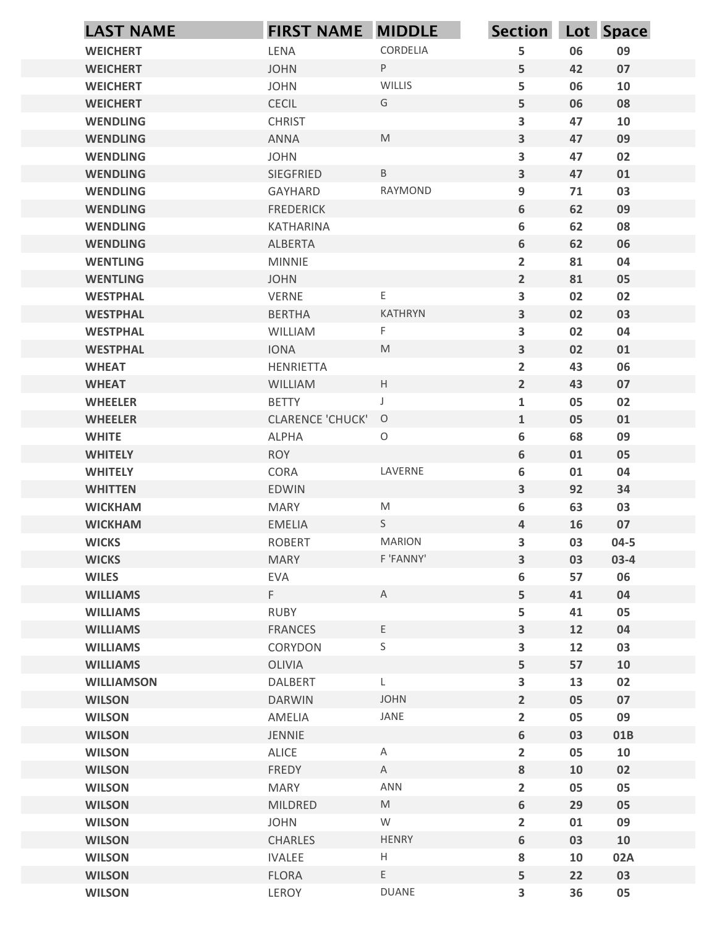| <b>WEICHERT</b><br>LENA<br><b>WEICHERT</b><br><b>JOHN</b><br><b>JOHN</b><br><b>WEICHERT</b><br><b>CECIL</b><br><b>WEICHERT</b><br><b>CHRIST</b><br><b>WENDLING</b><br><b>WENDLING</b><br><b>ANNA</b><br><b>JOHN</b><br><b>WENDLING</b> | CORDELIA<br>P<br>WILLIS                                                                                    | 5<br>5                                             | 06       | 09        |
|----------------------------------------------------------------------------------------------------------------------------------------------------------------------------------------------------------------------------------------|------------------------------------------------------------------------------------------------------------|----------------------------------------------------|----------|-----------|
|                                                                                                                                                                                                                                        |                                                                                                            |                                                    |          |           |
|                                                                                                                                                                                                                                        |                                                                                                            |                                                    | 42       | 07        |
|                                                                                                                                                                                                                                        |                                                                                                            | 5                                                  | 06       | 10        |
|                                                                                                                                                                                                                                        | G                                                                                                          | 5                                                  | 06       | 08        |
|                                                                                                                                                                                                                                        |                                                                                                            | $\overline{\mathbf{3}}$                            | 47       | 10        |
|                                                                                                                                                                                                                                        | $\mathsf{M}% _{T}=\mathsf{M}_{T}\!\left( a,b\right) ,\ \mathsf{M}_{T}=\mathsf{M}_{T}\!\left( a,b\right) ,$ | $\overline{\mathbf{3}}$                            | 47       | 09        |
| SIEGFRIED<br><b>WENDLING</b>                                                                                                                                                                                                           | $\sf B$                                                                                                    | $\overline{\mathbf{3}}$<br>3                       | 47<br>47 | 02<br>01  |
| GAYHARD<br><b>WENDLING</b>                                                                                                                                                                                                             | RAYMOND                                                                                                    | 9                                                  | 71       | 03        |
| <b>WENDLING</b><br><b>FREDERICK</b>                                                                                                                                                                                                    |                                                                                                            | $\boldsymbol{6}$                                   | 62       | 09        |
| <b>WENDLING</b><br>KATHARINA                                                                                                                                                                                                           |                                                                                                            | 6                                                  | 62       | 08        |
| <b>WENDLING</b><br>ALBERTA                                                                                                                                                                                                             |                                                                                                            | 6                                                  | 62       | 06        |
| <b>WENTLING</b><br><b>MINNIE</b>                                                                                                                                                                                                       |                                                                                                            | $\overline{\mathbf{2}}$                            | 81       | 04        |
| <b>WENTLING</b><br><b>JOHN</b>                                                                                                                                                                                                         |                                                                                                            | $\overline{2}$                                     | 81       | 05        |
| VERNE<br><b>WESTPHAL</b>                                                                                                                                                                                                               | E.                                                                                                         | 3                                                  | 02       | 02        |
| <b>BERTHA</b><br><b>WESTPHAL</b><br><b>WESTPHAL</b>                                                                                                                                                                                    | <b>KATHRYN</b><br>$\mathsf F$                                                                              | $\mathbf{3}$                                       | 02<br>02 | 03<br>04  |
| WILLIAM<br>IONA<br><b>WESTPHAL</b>                                                                                                                                                                                                     | $\mathsf{M}% _{T}=\mathsf{M}_{T}\!\left( a,b\right) ,\ \mathsf{M}_{T}=\mathsf{M}_{T}\!\left( a,b\right) ,$ | $\overline{\mathbf{3}}$<br>$\overline{\mathbf{3}}$ | 02       | 01        |
| <b>WHEAT</b><br>HENRIETTA                                                                                                                                                                                                              |                                                                                                            | $\overline{2}$                                     | 43       | 06        |
| <b>WHEAT</b><br>WILLIAM                                                                                                                                                                                                                | H                                                                                                          | $\overline{2}$                                     | 43       | 07        |
| <b>WHEELER</b><br><b>BETTY</b>                                                                                                                                                                                                         | $\mathsf J$                                                                                                | $\mathbf{1}$                                       | 05       | 02        |
| CLARENCE 'CHUCK' O<br><b>WHEELER</b>                                                                                                                                                                                                   |                                                                                                            | $\mathbf{1}$                                       | 05       | 01        |
| <b>WHITE</b><br><b>ALPHA</b>                                                                                                                                                                                                           | $\mathsf O$                                                                                                | 6                                                  | 68       | 09        |
| <b>WHITELY</b><br><b>ROY</b>                                                                                                                                                                                                           |                                                                                                            | $\boldsymbol{6}$                                   | 01       | 05        |
| <b>WHITELY</b><br>CORA                                                                                                                                                                                                                 | LAVERNE                                                                                                    | 6                                                  | 01       | 04        |
| <b>WHITTEN</b><br>EDWIN                                                                                                                                                                                                                |                                                                                                            | 3                                                  | 92       | 34        |
| <b>WICKHAM</b><br><b>MARY</b><br>EMELIA<br><b>WICKHAM</b>                                                                                                                                                                              | ${\sf M}$<br>S                                                                                             | 6<br>$\overline{4}$                                | 63<br>16 | 03<br>07  |
| <b>WICKS</b><br>ROBERT                                                                                                                                                                                                                 | <b>MARION</b>                                                                                              | $\overline{\mathbf{3}}$                            | 03       | $04 - 5$  |
| <b>WICKS</b><br><b>MARY</b>                                                                                                                                                                                                            | F 'FANNY'                                                                                                  | $\overline{\mathbf{3}}$                            | 03       | $03-4$    |
| <b>WILES</b><br>EVA                                                                                                                                                                                                                    |                                                                                                            | 6                                                  | 57       | 06        |
| <b>WILLIAMS</b><br>$\mathsf F$                                                                                                                                                                                                         | $\mathsf{A}$                                                                                               | 5                                                  | 41       | 04        |
| <b>WILLIAMS</b><br><b>RUBY</b>                                                                                                                                                                                                         |                                                                                                            | 5                                                  | 41       | 05        |
| <b>FRANCES</b><br><b>WILLIAMS</b>                                                                                                                                                                                                      | E                                                                                                          | 3                                                  | 12       | 04        |
| <b>WILLIAMS</b><br>CORYDON                                                                                                                                                                                                             | $\sf S$                                                                                                    | $\overline{\mathbf{3}}$                            | 12       | 03        |
| OLIVIA<br><b>WILLIAMS</b>                                                                                                                                                                                                              |                                                                                                            | 5                                                  | 57       | 10        |
| <b>WILLIAMSON</b><br>DALBERT                                                                                                                                                                                                           | L.                                                                                                         | $\overline{\mathbf{3}}$                            | 13       | 02        |
| <b>WILSON</b><br><b>DARWIN</b>                                                                                                                                                                                                         | <b>JOHN</b>                                                                                                | $\overline{2}$                                     | 05       | 07        |
| <b>WILSON</b><br>AMELIA<br><b>WILSON</b><br>JENNIE                                                                                                                                                                                     | JANE                                                                                                       | $\overline{2}$<br>6                                | 05<br>03 | 09<br>01B |
| <b>WILSON</b><br>ALICE                                                                                                                                                                                                                 | $\mathsf{A}$                                                                                               | $\overline{2}$                                     | 05       | 10        |
| FREDY<br><b>WILSON</b>                                                                                                                                                                                                                 | $\mathsf{A}$                                                                                               | 8                                                  | 10       | 02        |
| <b>WILSON</b><br><b>MARY</b>                                                                                                                                                                                                           | ANN                                                                                                        | $\overline{\mathbf{2}}$                            | 05       | 05        |
| <b>WILSON</b><br>MILDRED                                                                                                                                                                                                               | ${\sf M}$                                                                                                  | 6                                                  | 29       | 05        |
| <b>WILSON</b><br><b>JOHN</b>                                                                                                                                                                                                           | ${\mathsf W}$                                                                                              | $\overline{2}$                                     | 01       | 09        |
| <b>WILSON</b><br><b>CHARLES</b>                                                                                                                                                                                                        | HENRY                                                                                                      | $\boldsymbol{6}$                                   | 03       | 10        |
| <b>WILSON</b><br><b>IVALEE</b>                                                                                                                                                                                                         | H                                                                                                          | 8                                                  | 10       | 02A       |
| <b>WILSON</b><br><b>FLORA</b>                                                                                                                                                                                                          | E                                                                                                          | 5                                                  | 22       | 03        |
| <b>WILSON</b><br>LEROY                                                                                                                                                                                                                 | <b>DUANE</b>                                                                                               | $\overline{\mathbf{3}}$                            | 36       | 05        |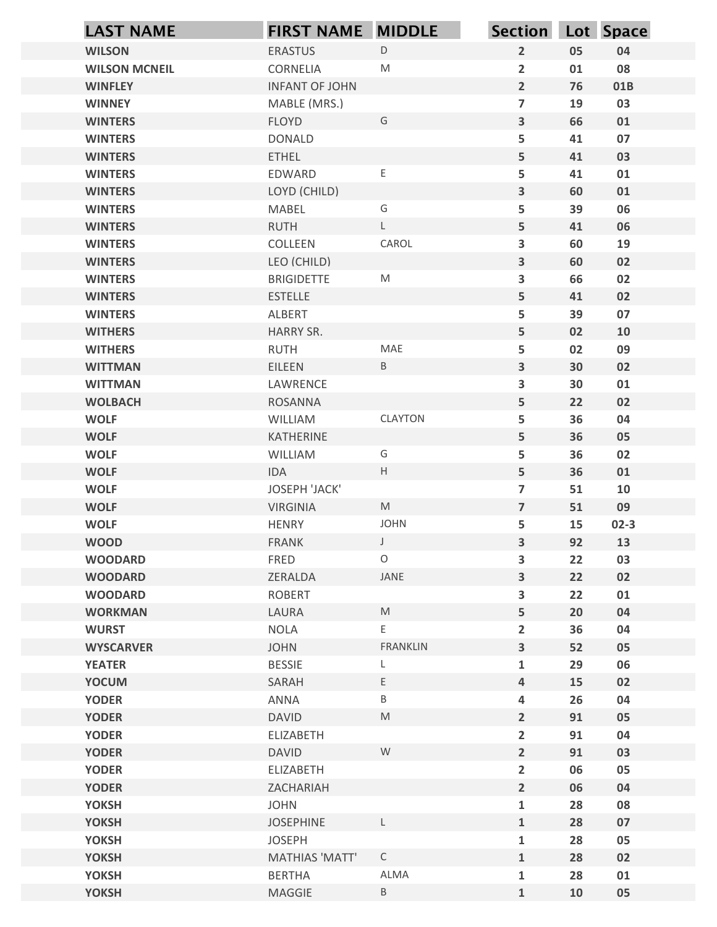| $\mathsf D$<br>$\overline{2}$<br><b>WILSON</b><br><b>ERASTUS</b><br>05<br>04<br><b>WILSON MCNEIL</b><br>CORNELIA<br>M<br>$\overline{2}$<br>08<br>01<br>$\overline{2}$<br><b>WINFLEY</b><br><b>INFANT OF JOHN</b><br>76<br>01B<br>MABLE (MRS.)<br>$\overline{\mathbf{z}}$<br>19<br>03<br><b>WINNEY</b><br><b>FLOYD</b><br>G<br>$\overline{\mathbf{3}}$<br>01<br><b>WINTERS</b><br>66<br>5<br>07<br><b>WINTERS</b><br><b>DONALD</b><br>41<br>5<br><b>ETHEL</b><br>03<br><b>WINTERS</b><br>41<br>$\mathsf E$<br>5<br>01<br><b>WINTERS</b><br>EDWARD<br>41<br>$\overline{\mathbf{3}}$<br>01<br><b>WINTERS</b><br>LOYD (CHILD)<br>60<br>G<br>06<br><b>WINTERS</b><br>MABEL<br>5<br>39<br>$\mathsf{L}$<br>5<br><b>RUTH</b><br>06<br><b>WINTERS</b><br>41<br>CAROL<br>COLLEEN<br>3<br>19<br><b>WINTERS</b><br>60<br>$\overline{\mathbf{3}}$<br>02<br>LEO (CHILD)<br>60<br><b>WINTERS</b><br>3<br>M<br>66<br>02<br><b>WINTERS</b><br><b>BRIGIDETTE</b><br>5<br><b>ESTELLE</b><br>02<br><b>WINTERS</b><br>41<br>07<br><b>WINTERS</b><br>ALBERT<br>5<br>39<br>5<br>HARRY SR.<br>02<br>10<br><b>WITHERS</b><br>MAE<br><b>WITHERS</b><br>RUTH<br>5<br>02<br>09<br>$\mathbf{3}$<br>EILEEN<br>$\, {\sf B} \,$<br>30<br>02<br><b>WITTMAN</b><br><b>WITTMAN</b><br>3<br>30<br>01<br>LAWRENCE<br>5<br><b>WOLBACH</b><br>22<br>02<br>ROSANNA<br>CLAYTON<br><b>WOLF</b><br>5<br>36<br>04<br>WILLIAM<br>5<br><b>WOLF</b><br>KATHERINE<br>36<br>05<br><b>WOLF</b><br>5<br>36<br>02<br>WILLIAM<br>G<br>$\mathsf{H}^-$<br>5<br><b>WOLF</b><br>IDA<br>36<br>01<br><b>WOLF</b><br>JOSEPH 'JACK'<br>$\overline{7}$<br>51<br>10<br>M<br>$\overline{7}$<br>51<br>09<br><b>WOLF</b><br><b>VIRGINIA</b><br><b>JOHN</b><br><b>WOLF</b><br>HENRY<br>5<br>15<br>$02-3$<br>$\mathbf{3}$<br>92<br><b>WOOD</b><br>$\int$<br>13<br><b>FRANK</b><br>$\circ$<br>FRED<br>3<br>03<br><b>WOODARD</b><br>22<br>JANE<br>3<br>22<br><b>WOODARD</b><br>ZERALDA<br>02<br>ROBERT<br>3<br>22<br>01<br><b>WOODARD</b><br>5<br>LAURA<br>$\mathsf{M}% _{T}=\mathsf{M}_{T}\!\left( a,b\right) ,\ \mathsf{M}_{T}=\mathsf{M}_{T}\!\left( a,b\right) ,$<br>20<br>04<br><b>WORKMAN</b><br><b>WURST</b><br><b>NOLA</b><br>E.<br>$\overline{\mathbf{2}}$<br>36<br>04<br>$\overline{\mathbf{3}}$<br><b>WYSCARVER</b><br><b>JOHN</b><br>FRANKLIN<br>52<br>05<br><b>YEATER</b><br>29<br>06<br><b>BESSIE</b><br>$\mathbf{1}$<br>L<br>E<br><b>YOCUM</b><br>$\overline{4}$<br>15<br>02<br>SARAH<br><b>YODER</b><br>ANNA<br>B<br>26<br>04<br>4<br>$\overline{2}$<br><b>YODER</b><br><b>DAVID</b><br>M<br>91<br>05<br>$\overline{2}$<br><b>YODER</b><br>ELIZABETH<br>91<br>04<br>W<br>$\overline{2}$<br><b>YODER</b><br><b>DAVID</b><br>91<br>03<br>$\overline{2}$<br>05<br><b>YODER</b><br>ELIZABETH<br>06<br>$\overline{2}$<br><b>YODER</b><br>06<br>04<br>ZACHARIAH<br><b>JOHN</b><br>08<br><b>YOKSH</b><br>$\mathbf{1}$<br>28<br>07<br><b>YOKSH</b><br><b>JOSEPHINE</b><br>L<br>$\mathbf{1}$<br>28<br>05<br><b>YOKSH</b><br><b>JOSEPH</b><br>$\mathbf 1$<br>28<br>$\mathsf C$<br><b>YOKSH</b><br><b>MATHIAS 'MATT'</b><br>$\mathbf{1}$<br>28<br>02<br>ALMA<br><b>YOKSH</b><br><b>BERTHA</b><br>$\mathbf 1$<br>28<br>01 | <b>LAST NAME</b> | <b>FIRST NAME MIDDLE</b> |             | Section Lot Space |    |    |
|---------------------------------------------------------------------------------------------------------------------------------------------------------------------------------------------------------------------------------------------------------------------------------------------------------------------------------------------------------------------------------------------------------------------------------------------------------------------------------------------------------------------------------------------------------------------------------------------------------------------------------------------------------------------------------------------------------------------------------------------------------------------------------------------------------------------------------------------------------------------------------------------------------------------------------------------------------------------------------------------------------------------------------------------------------------------------------------------------------------------------------------------------------------------------------------------------------------------------------------------------------------------------------------------------------------------------------------------------------------------------------------------------------------------------------------------------------------------------------------------------------------------------------------------------------------------------------------------------------------------------------------------------------------------------------------------------------------------------------------------------------------------------------------------------------------------------------------------------------------------------------------------------------------------------------------------------------------------------------------------------------------------------------------------------------------------------------------------------------------------------------------------------------------------------------------------------------------------------------------------------------------------------------------------------------------------------------------------------------------------------------------------------------------------------------------------------------------------------------------------------------------------------------------------------------------------------------------------------------------------------------------------------------------------------------------------------------------------------------------------------------------------------------------------------------------------------------------------------------------------------------------------------------------------------------------------------------------------------------------------------------------------------------------------------------------------------------------------------------------------------------------------------------|------------------|--------------------------|-------------|-------------------|----|----|
|                                                                                                                                                                                                                                                                                                                                                                                                                                                                                                                                                                                                                                                                                                                                                                                                                                                                                                                                                                                                                                                                                                                                                                                                                                                                                                                                                                                                                                                                                                                                                                                                                                                                                                                                                                                                                                                                                                                                                                                                                                                                                                                                                                                                                                                                                                                                                                                                                                                                                                                                                                                                                                                                                                                                                                                                                                                                                                                                                                                                                                                                                                                                                         |                  |                          |             |                   |    |    |
|                                                                                                                                                                                                                                                                                                                                                                                                                                                                                                                                                                                                                                                                                                                                                                                                                                                                                                                                                                                                                                                                                                                                                                                                                                                                                                                                                                                                                                                                                                                                                                                                                                                                                                                                                                                                                                                                                                                                                                                                                                                                                                                                                                                                                                                                                                                                                                                                                                                                                                                                                                                                                                                                                                                                                                                                                                                                                                                                                                                                                                                                                                                                                         |                  |                          |             |                   |    |    |
|                                                                                                                                                                                                                                                                                                                                                                                                                                                                                                                                                                                                                                                                                                                                                                                                                                                                                                                                                                                                                                                                                                                                                                                                                                                                                                                                                                                                                                                                                                                                                                                                                                                                                                                                                                                                                                                                                                                                                                                                                                                                                                                                                                                                                                                                                                                                                                                                                                                                                                                                                                                                                                                                                                                                                                                                                                                                                                                                                                                                                                                                                                                                                         |                  |                          |             |                   |    |    |
|                                                                                                                                                                                                                                                                                                                                                                                                                                                                                                                                                                                                                                                                                                                                                                                                                                                                                                                                                                                                                                                                                                                                                                                                                                                                                                                                                                                                                                                                                                                                                                                                                                                                                                                                                                                                                                                                                                                                                                                                                                                                                                                                                                                                                                                                                                                                                                                                                                                                                                                                                                                                                                                                                                                                                                                                                                                                                                                                                                                                                                                                                                                                                         |                  |                          |             |                   |    |    |
|                                                                                                                                                                                                                                                                                                                                                                                                                                                                                                                                                                                                                                                                                                                                                                                                                                                                                                                                                                                                                                                                                                                                                                                                                                                                                                                                                                                                                                                                                                                                                                                                                                                                                                                                                                                                                                                                                                                                                                                                                                                                                                                                                                                                                                                                                                                                                                                                                                                                                                                                                                                                                                                                                                                                                                                                                                                                                                                                                                                                                                                                                                                                                         |                  |                          |             |                   |    |    |
|                                                                                                                                                                                                                                                                                                                                                                                                                                                                                                                                                                                                                                                                                                                                                                                                                                                                                                                                                                                                                                                                                                                                                                                                                                                                                                                                                                                                                                                                                                                                                                                                                                                                                                                                                                                                                                                                                                                                                                                                                                                                                                                                                                                                                                                                                                                                                                                                                                                                                                                                                                                                                                                                                                                                                                                                                                                                                                                                                                                                                                                                                                                                                         |                  |                          |             |                   |    |    |
|                                                                                                                                                                                                                                                                                                                                                                                                                                                                                                                                                                                                                                                                                                                                                                                                                                                                                                                                                                                                                                                                                                                                                                                                                                                                                                                                                                                                                                                                                                                                                                                                                                                                                                                                                                                                                                                                                                                                                                                                                                                                                                                                                                                                                                                                                                                                                                                                                                                                                                                                                                                                                                                                                                                                                                                                                                                                                                                                                                                                                                                                                                                                                         |                  |                          |             |                   |    |    |
|                                                                                                                                                                                                                                                                                                                                                                                                                                                                                                                                                                                                                                                                                                                                                                                                                                                                                                                                                                                                                                                                                                                                                                                                                                                                                                                                                                                                                                                                                                                                                                                                                                                                                                                                                                                                                                                                                                                                                                                                                                                                                                                                                                                                                                                                                                                                                                                                                                                                                                                                                                                                                                                                                                                                                                                                                                                                                                                                                                                                                                                                                                                                                         |                  |                          |             |                   |    |    |
|                                                                                                                                                                                                                                                                                                                                                                                                                                                                                                                                                                                                                                                                                                                                                                                                                                                                                                                                                                                                                                                                                                                                                                                                                                                                                                                                                                                                                                                                                                                                                                                                                                                                                                                                                                                                                                                                                                                                                                                                                                                                                                                                                                                                                                                                                                                                                                                                                                                                                                                                                                                                                                                                                                                                                                                                                                                                                                                                                                                                                                                                                                                                                         |                  |                          |             |                   |    |    |
|                                                                                                                                                                                                                                                                                                                                                                                                                                                                                                                                                                                                                                                                                                                                                                                                                                                                                                                                                                                                                                                                                                                                                                                                                                                                                                                                                                                                                                                                                                                                                                                                                                                                                                                                                                                                                                                                                                                                                                                                                                                                                                                                                                                                                                                                                                                                                                                                                                                                                                                                                                                                                                                                                                                                                                                                                                                                                                                                                                                                                                                                                                                                                         |                  |                          |             |                   |    |    |
|                                                                                                                                                                                                                                                                                                                                                                                                                                                                                                                                                                                                                                                                                                                                                                                                                                                                                                                                                                                                                                                                                                                                                                                                                                                                                                                                                                                                                                                                                                                                                                                                                                                                                                                                                                                                                                                                                                                                                                                                                                                                                                                                                                                                                                                                                                                                                                                                                                                                                                                                                                                                                                                                                                                                                                                                                                                                                                                                                                                                                                                                                                                                                         |                  |                          |             |                   |    |    |
|                                                                                                                                                                                                                                                                                                                                                                                                                                                                                                                                                                                                                                                                                                                                                                                                                                                                                                                                                                                                                                                                                                                                                                                                                                                                                                                                                                                                                                                                                                                                                                                                                                                                                                                                                                                                                                                                                                                                                                                                                                                                                                                                                                                                                                                                                                                                                                                                                                                                                                                                                                                                                                                                                                                                                                                                                                                                                                                                                                                                                                                                                                                                                         |                  |                          |             |                   |    |    |
|                                                                                                                                                                                                                                                                                                                                                                                                                                                                                                                                                                                                                                                                                                                                                                                                                                                                                                                                                                                                                                                                                                                                                                                                                                                                                                                                                                                                                                                                                                                                                                                                                                                                                                                                                                                                                                                                                                                                                                                                                                                                                                                                                                                                                                                                                                                                                                                                                                                                                                                                                                                                                                                                                                                                                                                                                                                                                                                                                                                                                                                                                                                                                         |                  |                          |             |                   |    |    |
|                                                                                                                                                                                                                                                                                                                                                                                                                                                                                                                                                                                                                                                                                                                                                                                                                                                                                                                                                                                                                                                                                                                                                                                                                                                                                                                                                                                                                                                                                                                                                                                                                                                                                                                                                                                                                                                                                                                                                                                                                                                                                                                                                                                                                                                                                                                                                                                                                                                                                                                                                                                                                                                                                                                                                                                                                                                                                                                                                                                                                                                                                                                                                         |                  |                          |             |                   |    |    |
|                                                                                                                                                                                                                                                                                                                                                                                                                                                                                                                                                                                                                                                                                                                                                                                                                                                                                                                                                                                                                                                                                                                                                                                                                                                                                                                                                                                                                                                                                                                                                                                                                                                                                                                                                                                                                                                                                                                                                                                                                                                                                                                                                                                                                                                                                                                                                                                                                                                                                                                                                                                                                                                                                                                                                                                                                                                                                                                                                                                                                                                                                                                                                         |                  |                          |             |                   |    |    |
|                                                                                                                                                                                                                                                                                                                                                                                                                                                                                                                                                                                                                                                                                                                                                                                                                                                                                                                                                                                                                                                                                                                                                                                                                                                                                                                                                                                                                                                                                                                                                                                                                                                                                                                                                                                                                                                                                                                                                                                                                                                                                                                                                                                                                                                                                                                                                                                                                                                                                                                                                                                                                                                                                                                                                                                                                                                                                                                                                                                                                                                                                                                                                         |                  |                          |             |                   |    |    |
|                                                                                                                                                                                                                                                                                                                                                                                                                                                                                                                                                                                                                                                                                                                                                                                                                                                                                                                                                                                                                                                                                                                                                                                                                                                                                                                                                                                                                                                                                                                                                                                                                                                                                                                                                                                                                                                                                                                                                                                                                                                                                                                                                                                                                                                                                                                                                                                                                                                                                                                                                                                                                                                                                                                                                                                                                                                                                                                                                                                                                                                                                                                                                         |                  |                          |             |                   |    |    |
|                                                                                                                                                                                                                                                                                                                                                                                                                                                                                                                                                                                                                                                                                                                                                                                                                                                                                                                                                                                                                                                                                                                                                                                                                                                                                                                                                                                                                                                                                                                                                                                                                                                                                                                                                                                                                                                                                                                                                                                                                                                                                                                                                                                                                                                                                                                                                                                                                                                                                                                                                                                                                                                                                                                                                                                                                                                                                                                                                                                                                                                                                                                                                         |                  |                          |             |                   |    |    |
|                                                                                                                                                                                                                                                                                                                                                                                                                                                                                                                                                                                                                                                                                                                                                                                                                                                                                                                                                                                                                                                                                                                                                                                                                                                                                                                                                                                                                                                                                                                                                                                                                                                                                                                                                                                                                                                                                                                                                                                                                                                                                                                                                                                                                                                                                                                                                                                                                                                                                                                                                                                                                                                                                                                                                                                                                                                                                                                                                                                                                                                                                                                                                         |                  |                          |             |                   |    |    |
|                                                                                                                                                                                                                                                                                                                                                                                                                                                                                                                                                                                                                                                                                                                                                                                                                                                                                                                                                                                                                                                                                                                                                                                                                                                                                                                                                                                                                                                                                                                                                                                                                                                                                                                                                                                                                                                                                                                                                                                                                                                                                                                                                                                                                                                                                                                                                                                                                                                                                                                                                                                                                                                                                                                                                                                                                                                                                                                                                                                                                                                                                                                                                         |                  |                          |             |                   |    |    |
|                                                                                                                                                                                                                                                                                                                                                                                                                                                                                                                                                                                                                                                                                                                                                                                                                                                                                                                                                                                                                                                                                                                                                                                                                                                                                                                                                                                                                                                                                                                                                                                                                                                                                                                                                                                                                                                                                                                                                                                                                                                                                                                                                                                                                                                                                                                                                                                                                                                                                                                                                                                                                                                                                                                                                                                                                                                                                                                                                                                                                                                                                                                                                         |                  |                          |             |                   |    |    |
|                                                                                                                                                                                                                                                                                                                                                                                                                                                                                                                                                                                                                                                                                                                                                                                                                                                                                                                                                                                                                                                                                                                                                                                                                                                                                                                                                                                                                                                                                                                                                                                                                                                                                                                                                                                                                                                                                                                                                                                                                                                                                                                                                                                                                                                                                                                                                                                                                                                                                                                                                                                                                                                                                                                                                                                                                                                                                                                                                                                                                                                                                                                                                         |                  |                          |             |                   |    |    |
|                                                                                                                                                                                                                                                                                                                                                                                                                                                                                                                                                                                                                                                                                                                                                                                                                                                                                                                                                                                                                                                                                                                                                                                                                                                                                                                                                                                                                                                                                                                                                                                                                                                                                                                                                                                                                                                                                                                                                                                                                                                                                                                                                                                                                                                                                                                                                                                                                                                                                                                                                                                                                                                                                                                                                                                                                                                                                                                                                                                                                                                                                                                                                         |                  |                          |             |                   |    |    |
|                                                                                                                                                                                                                                                                                                                                                                                                                                                                                                                                                                                                                                                                                                                                                                                                                                                                                                                                                                                                                                                                                                                                                                                                                                                                                                                                                                                                                                                                                                                                                                                                                                                                                                                                                                                                                                                                                                                                                                                                                                                                                                                                                                                                                                                                                                                                                                                                                                                                                                                                                                                                                                                                                                                                                                                                                                                                                                                                                                                                                                                                                                                                                         |                  |                          |             |                   |    |    |
|                                                                                                                                                                                                                                                                                                                                                                                                                                                                                                                                                                                                                                                                                                                                                                                                                                                                                                                                                                                                                                                                                                                                                                                                                                                                                                                                                                                                                                                                                                                                                                                                                                                                                                                                                                                                                                                                                                                                                                                                                                                                                                                                                                                                                                                                                                                                                                                                                                                                                                                                                                                                                                                                                                                                                                                                                                                                                                                                                                                                                                                                                                                                                         |                  |                          |             |                   |    |    |
|                                                                                                                                                                                                                                                                                                                                                                                                                                                                                                                                                                                                                                                                                                                                                                                                                                                                                                                                                                                                                                                                                                                                                                                                                                                                                                                                                                                                                                                                                                                                                                                                                                                                                                                                                                                                                                                                                                                                                                                                                                                                                                                                                                                                                                                                                                                                                                                                                                                                                                                                                                                                                                                                                                                                                                                                                                                                                                                                                                                                                                                                                                                                                         |                  |                          |             |                   |    |    |
|                                                                                                                                                                                                                                                                                                                                                                                                                                                                                                                                                                                                                                                                                                                                                                                                                                                                                                                                                                                                                                                                                                                                                                                                                                                                                                                                                                                                                                                                                                                                                                                                                                                                                                                                                                                                                                                                                                                                                                                                                                                                                                                                                                                                                                                                                                                                                                                                                                                                                                                                                                                                                                                                                                                                                                                                                                                                                                                                                                                                                                                                                                                                                         |                  |                          |             |                   |    |    |
|                                                                                                                                                                                                                                                                                                                                                                                                                                                                                                                                                                                                                                                                                                                                                                                                                                                                                                                                                                                                                                                                                                                                                                                                                                                                                                                                                                                                                                                                                                                                                                                                                                                                                                                                                                                                                                                                                                                                                                                                                                                                                                                                                                                                                                                                                                                                                                                                                                                                                                                                                                                                                                                                                                                                                                                                                                                                                                                                                                                                                                                                                                                                                         |                  |                          |             |                   |    |    |
|                                                                                                                                                                                                                                                                                                                                                                                                                                                                                                                                                                                                                                                                                                                                                                                                                                                                                                                                                                                                                                                                                                                                                                                                                                                                                                                                                                                                                                                                                                                                                                                                                                                                                                                                                                                                                                                                                                                                                                                                                                                                                                                                                                                                                                                                                                                                                                                                                                                                                                                                                                                                                                                                                                                                                                                                                                                                                                                                                                                                                                                                                                                                                         |                  |                          |             |                   |    |    |
|                                                                                                                                                                                                                                                                                                                                                                                                                                                                                                                                                                                                                                                                                                                                                                                                                                                                                                                                                                                                                                                                                                                                                                                                                                                                                                                                                                                                                                                                                                                                                                                                                                                                                                                                                                                                                                                                                                                                                                                                                                                                                                                                                                                                                                                                                                                                                                                                                                                                                                                                                                                                                                                                                                                                                                                                                                                                                                                                                                                                                                                                                                                                                         |                  |                          |             |                   |    |    |
|                                                                                                                                                                                                                                                                                                                                                                                                                                                                                                                                                                                                                                                                                                                                                                                                                                                                                                                                                                                                                                                                                                                                                                                                                                                                                                                                                                                                                                                                                                                                                                                                                                                                                                                                                                                                                                                                                                                                                                                                                                                                                                                                                                                                                                                                                                                                                                                                                                                                                                                                                                                                                                                                                                                                                                                                                                                                                                                                                                                                                                                                                                                                                         |                  |                          |             |                   |    |    |
|                                                                                                                                                                                                                                                                                                                                                                                                                                                                                                                                                                                                                                                                                                                                                                                                                                                                                                                                                                                                                                                                                                                                                                                                                                                                                                                                                                                                                                                                                                                                                                                                                                                                                                                                                                                                                                                                                                                                                                                                                                                                                                                                                                                                                                                                                                                                                                                                                                                                                                                                                                                                                                                                                                                                                                                                                                                                                                                                                                                                                                                                                                                                                         |                  |                          |             |                   |    |    |
|                                                                                                                                                                                                                                                                                                                                                                                                                                                                                                                                                                                                                                                                                                                                                                                                                                                                                                                                                                                                                                                                                                                                                                                                                                                                                                                                                                                                                                                                                                                                                                                                                                                                                                                                                                                                                                                                                                                                                                                                                                                                                                                                                                                                                                                                                                                                                                                                                                                                                                                                                                                                                                                                                                                                                                                                                                                                                                                                                                                                                                                                                                                                                         |                  |                          |             |                   |    |    |
|                                                                                                                                                                                                                                                                                                                                                                                                                                                                                                                                                                                                                                                                                                                                                                                                                                                                                                                                                                                                                                                                                                                                                                                                                                                                                                                                                                                                                                                                                                                                                                                                                                                                                                                                                                                                                                                                                                                                                                                                                                                                                                                                                                                                                                                                                                                                                                                                                                                                                                                                                                                                                                                                                                                                                                                                                                                                                                                                                                                                                                                                                                                                                         |                  |                          |             |                   |    |    |
|                                                                                                                                                                                                                                                                                                                                                                                                                                                                                                                                                                                                                                                                                                                                                                                                                                                                                                                                                                                                                                                                                                                                                                                                                                                                                                                                                                                                                                                                                                                                                                                                                                                                                                                                                                                                                                                                                                                                                                                                                                                                                                                                                                                                                                                                                                                                                                                                                                                                                                                                                                                                                                                                                                                                                                                                                                                                                                                                                                                                                                                                                                                                                         |                  |                          |             |                   |    |    |
|                                                                                                                                                                                                                                                                                                                                                                                                                                                                                                                                                                                                                                                                                                                                                                                                                                                                                                                                                                                                                                                                                                                                                                                                                                                                                                                                                                                                                                                                                                                                                                                                                                                                                                                                                                                                                                                                                                                                                                                                                                                                                                                                                                                                                                                                                                                                                                                                                                                                                                                                                                                                                                                                                                                                                                                                                                                                                                                                                                                                                                                                                                                                                         |                  |                          |             |                   |    |    |
|                                                                                                                                                                                                                                                                                                                                                                                                                                                                                                                                                                                                                                                                                                                                                                                                                                                                                                                                                                                                                                                                                                                                                                                                                                                                                                                                                                                                                                                                                                                                                                                                                                                                                                                                                                                                                                                                                                                                                                                                                                                                                                                                                                                                                                                                                                                                                                                                                                                                                                                                                                                                                                                                                                                                                                                                                                                                                                                                                                                                                                                                                                                                                         |                  |                          |             |                   |    |    |
|                                                                                                                                                                                                                                                                                                                                                                                                                                                                                                                                                                                                                                                                                                                                                                                                                                                                                                                                                                                                                                                                                                                                                                                                                                                                                                                                                                                                                                                                                                                                                                                                                                                                                                                                                                                                                                                                                                                                                                                                                                                                                                                                                                                                                                                                                                                                                                                                                                                                                                                                                                                                                                                                                                                                                                                                                                                                                                                                                                                                                                                                                                                                                         |                  |                          |             |                   |    |    |
|                                                                                                                                                                                                                                                                                                                                                                                                                                                                                                                                                                                                                                                                                                                                                                                                                                                                                                                                                                                                                                                                                                                                                                                                                                                                                                                                                                                                                                                                                                                                                                                                                                                                                                                                                                                                                                                                                                                                                                                                                                                                                                                                                                                                                                                                                                                                                                                                                                                                                                                                                                                                                                                                                                                                                                                                                                                                                                                                                                                                                                                                                                                                                         |                  |                          |             |                   |    |    |
|                                                                                                                                                                                                                                                                                                                                                                                                                                                                                                                                                                                                                                                                                                                                                                                                                                                                                                                                                                                                                                                                                                                                                                                                                                                                                                                                                                                                                                                                                                                                                                                                                                                                                                                                                                                                                                                                                                                                                                                                                                                                                                                                                                                                                                                                                                                                                                                                                                                                                                                                                                                                                                                                                                                                                                                                                                                                                                                                                                                                                                                                                                                                                         |                  |                          |             |                   |    |    |
|                                                                                                                                                                                                                                                                                                                                                                                                                                                                                                                                                                                                                                                                                                                                                                                                                                                                                                                                                                                                                                                                                                                                                                                                                                                                                                                                                                                                                                                                                                                                                                                                                                                                                                                                                                                                                                                                                                                                                                                                                                                                                                                                                                                                                                                                                                                                                                                                                                                                                                                                                                                                                                                                                                                                                                                                                                                                                                                                                                                                                                                                                                                                                         |                  |                          |             |                   |    |    |
|                                                                                                                                                                                                                                                                                                                                                                                                                                                                                                                                                                                                                                                                                                                                                                                                                                                                                                                                                                                                                                                                                                                                                                                                                                                                                                                                                                                                                                                                                                                                                                                                                                                                                                                                                                                                                                                                                                                                                                                                                                                                                                                                                                                                                                                                                                                                                                                                                                                                                                                                                                                                                                                                                                                                                                                                                                                                                                                                                                                                                                                                                                                                                         |                  |                          |             |                   |    |    |
|                                                                                                                                                                                                                                                                                                                                                                                                                                                                                                                                                                                                                                                                                                                                                                                                                                                                                                                                                                                                                                                                                                                                                                                                                                                                                                                                                                                                                                                                                                                                                                                                                                                                                                                                                                                                                                                                                                                                                                                                                                                                                                                                                                                                                                                                                                                                                                                                                                                                                                                                                                                                                                                                                                                                                                                                                                                                                                                                                                                                                                                                                                                                                         |                  |                          |             |                   |    |    |
|                                                                                                                                                                                                                                                                                                                                                                                                                                                                                                                                                                                                                                                                                                                                                                                                                                                                                                                                                                                                                                                                                                                                                                                                                                                                                                                                                                                                                                                                                                                                                                                                                                                                                                                                                                                                                                                                                                                                                                                                                                                                                                                                                                                                                                                                                                                                                                                                                                                                                                                                                                                                                                                                                                                                                                                                                                                                                                                                                                                                                                                                                                                                                         |                  |                          |             |                   |    |    |
|                                                                                                                                                                                                                                                                                                                                                                                                                                                                                                                                                                                                                                                                                                                                                                                                                                                                                                                                                                                                                                                                                                                                                                                                                                                                                                                                                                                                                                                                                                                                                                                                                                                                                                                                                                                                                                                                                                                                                                                                                                                                                                                                                                                                                                                                                                                                                                                                                                                                                                                                                                                                                                                                                                                                                                                                                                                                                                                                                                                                                                                                                                                                                         | <b>YOKSH</b>     | MAGGIE                   | $\mathsf B$ | $\mathbf 1$       | 10 | 05 |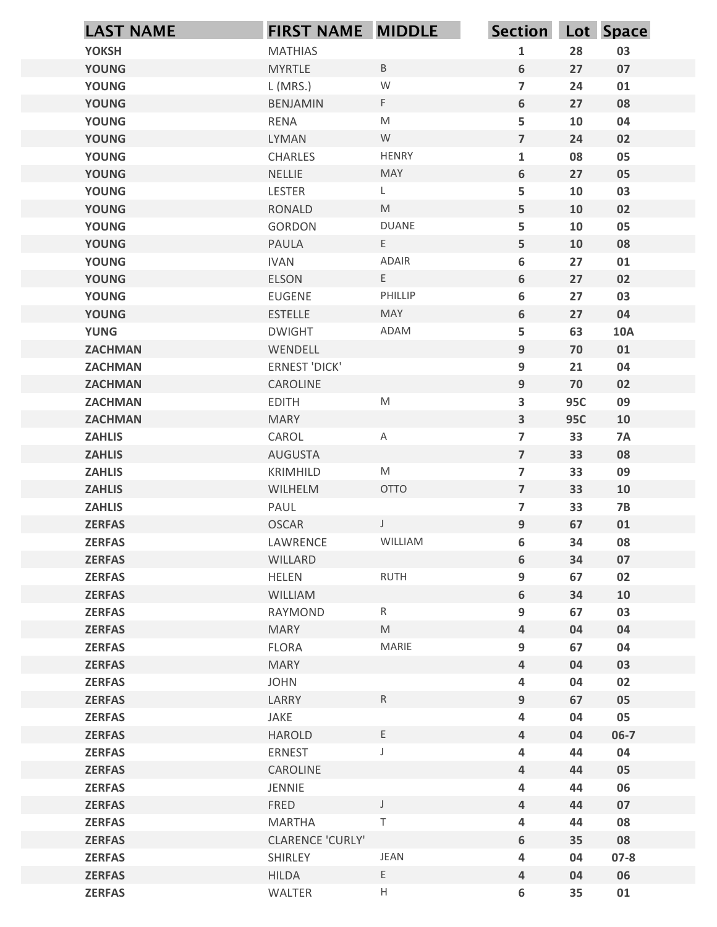| <b>YOKSH</b><br><b>MATHIAS</b><br>$\mathbf{1}$<br>28<br>03<br>$\sf B$<br>$6\phantom{1}$<br><b>YOUNG</b><br><b>MYRTLE</b><br>27<br>07<br>${\mathsf W}$<br>$\overline{7}$<br>L (MRS.)<br>24<br><b>YOUNG</b><br>01<br>$\mathsf F$<br>$6\phantom{1}$<br><b>YOUNG</b><br>27<br>08<br><b>BENJAMIN</b><br>5<br><b>YOUNG</b><br>$\mathsf{M}% _{T}=\mathsf{M}_{T}\!\left( a,b\right) ,\ \mathsf{M}_{T}=\mathsf{M}_{T}\!\left( a,b\right) ,$<br>10<br><b>RENA</b><br>04<br>W<br>$\overline{7}$<br><b>YOUNG</b><br>LYMAN<br>24<br>02<br><b>HENRY</b><br>$\mathbf{1}$<br>08<br>05<br><b>YOUNG</b><br>CHARLES<br>$6\phantom{1}$<br><b>YOUNG</b><br><b>NELLIE</b><br>MAY<br>27<br>05<br>5<br><b>YOUNG</b><br>L<br>10<br>03<br>LESTER<br>5<br>$\mathsf{M}% _{T}=\mathsf{M}_{T}\!\left( a,b\right) ,\ \mathsf{M}_{T}=\mathsf{M}_{T}\!\left( a,b\right) ,$<br><b>YOUNG</b><br><b>RONALD</b><br>10<br>02<br><b>DUANE</b><br>5<br>10<br>05<br><b>YOUNG</b><br>GORDON<br>Ε<br>5<br><b>YOUNG</b><br>10<br>08<br>PAULA<br>ADAIR<br>$\bf 6$<br>27<br><b>YOUNG</b><br><b>IVAN</b><br>01<br>6<br>Ε<br>27<br><b>YOUNG</b><br>ELSON<br>02<br>PHILLIP<br>03<br><b>YOUNG</b><br>EUGENE<br>6<br>27<br>$\boldsymbol{6}$<br>27<br>04<br><b>YOUNG</b><br><b>ESTELLE</b><br>MAY<br>5<br>63<br><b>YUNG</b><br><b>DWIGHT</b><br>ADAM<br><b>10A</b><br>$\boldsymbol{9}$<br><b>ZACHMAN</b><br>WENDELL<br>70<br>01<br>9<br>ERNEST 'DICK'<br>21<br>04<br><b>ZACHMAN</b><br>$\boldsymbol{9}$<br>70<br><b>ZACHMAN</b><br>CAROLINE<br>02<br>${\sf M}$<br>$\overline{\mathbf{3}}$<br><b>95C</b><br>09<br><b>EDITH</b><br><b>ZACHMAN</b><br>$\mathbf{3}$<br><b>ZACHMAN</b><br><b>MARY</b><br><b>95C</b><br>10<br>$\overline{7}$<br><b>ZAHLIS</b><br>CAROL<br>33<br><b>7A</b><br>$\mathsf A$<br>$\overline{7}$<br>33<br>08<br><b>ZAHLIS</b><br>AUGUSTA<br>$\overline{\mathbf{z}}$<br>33<br>09<br><b>ZAHLIS</b><br>M<br>KRIMHILD<br>OTTO<br>$\overline{7}$<br><b>ZAHLIS</b><br>WILHELM<br>33<br>10<br>$\overline{7}$<br><b>ZAHLIS</b><br>PAUL<br>33<br>$7B$<br><b>OSCAR</b><br>$\mathsf J$<br>$9\phantom{.0}$<br>67<br><b>ZERFAS</b><br>01<br>$\boldsymbol{6}$<br>08<br><b>ZERFAS</b><br>WILLIAM<br>34<br>LAWRENCE<br>$\boldsymbol{6}$<br><b>ZERFAS</b><br>WILLARD<br>34<br>07<br><b>RUTH</b><br>9<br>02<br><b>ZERFAS</b><br><b>HELEN</b><br>67<br>$\boldsymbol{6}$<br>34<br><b>ZERFAS</b><br>WILLIAM<br>10<br>R<br>$\boldsymbol{9}$<br>67<br>03<br><b>ZERFAS</b><br>RAYMOND<br>$\mathsf{M}% _{T}=\mathsf{M}_{T}\!\left( a,b\right) ,\ \mathsf{M}_{T}=\mathsf{M}_{T}\!\left( a,b\right) ,$<br><b>ZERFAS</b><br><b>MARY</b><br>$\overline{a}$<br>04<br>04<br>9<br><b>ZERFAS</b><br>MARIE<br>67<br>04<br><b>FLORA</b><br>$\overline{a}$<br><b>ZERFAS</b><br><b>MARY</b><br>04<br>03<br>$\overline{\mathbf{4}}$<br>04<br>02<br><b>ZERFAS</b><br><b>JOHN</b><br><b>ZERFAS</b><br>LARRY<br>$\mathsf{R}$<br>9<br>67<br>05<br>JAKE<br>$\overline{\mathbf{4}}$<br>05<br><b>ZERFAS</b><br>04<br><b>ZERFAS</b><br>HAROLD<br>E<br>$\overline{a}$<br>04<br>$06 - 7$<br>44<br>04<br><b>ZERFAS</b><br>ERNEST<br>$\mathsf J$<br>$\overline{\mathbf{4}}$<br><b>ZERFAS</b><br>CAROLINE<br>$\overline{\mathbf{4}}$<br>44<br>05<br>$\overline{\mathbf{4}}$<br>06<br><b>ZERFAS</b><br>JENNIE<br>44<br>FRED<br>44<br>07<br><b>ZERFAS</b><br>J<br>4<br>$\top$<br><b>ZERFAS</b><br><b>MARTHA</b><br>44<br>08<br>4<br>$\boldsymbol{6}$<br>35<br>08<br><b>ZERFAS</b><br><b>CLARENCE 'CURLY'</b><br>JEAN<br>$\overline{\mathbf{4}}$<br>$07 - 8$<br><b>ZERFAS</b><br>SHIRLEY<br>04<br>Ε<br><b>ZERFAS</b><br><b>HILDA</b><br>04<br>06<br>4<br>$\boldsymbol{\mathsf{H}}$<br>$6\phantom{a}$<br>01<br>35<br><b>ZERFAS</b><br>WALTER | <b>LAST NAME</b> | <b>FIRST NAME MIDDLE</b> | Section Lot Space |  |
|-------------------------------------------------------------------------------------------------------------------------------------------------------------------------------------------------------------------------------------------------------------------------------------------------------------------------------------------------------------------------------------------------------------------------------------------------------------------------------------------------------------------------------------------------------------------------------------------------------------------------------------------------------------------------------------------------------------------------------------------------------------------------------------------------------------------------------------------------------------------------------------------------------------------------------------------------------------------------------------------------------------------------------------------------------------------------------------------------------------------------------------------------------------------------------------------------------------------------------------------------------------------------------------------------------------------------------------------------------------------------------------------------------------------------------------------------------------------------------------------------------------------------------------------------------------------------------------------------------------------------------------------------------------------------------------------------------------------------------------------------------------------------------------------------------------------------------------------------------------------------------------------------------------------------------------------------------------------------------------------------------------------------------------------------------------------------------------------------------------------------------------------------------------------------------------------------------------------------------------------------------------------------------------------------------------------------------------------------------------------------------------------------------------------------------------------------------------------------------------------------------------------------------------------------------------------------------------------------------------------------------------------------------------------------------------------------------------------------------------------------------------------------------------------------------------------------------------------------------------------------------------------------------------------------------------------------------------------------------------------------------------------------------------------------------------------------------------------------------------------------------------------------------------------------------------------------------------------------------------------------------------------------------------------------------------------------------------------------------------------------------------------------------------------------------------------------------------------------------------------------------------------------------------------------------------------------------------------------------------------------------------------------------|------------------|--------------------------|-------------------|--|
|                                                                                                                                                                                                                                                                                                                                                                                                                                                                                                                                                                                                                                                                                                                                                                                                                                                                                                                                                                                                                                                                                                                                                                                                                                                                                                                                                                                                                                                                                                                                                                                                                                                                                                                                                                                                                                                                                                                                                                                                                                                                                                                                                                                                                                                                                                                                                                                                                                                                                                                                                                                                                                                                                                                                                                                                                                                                                                                                                                                                                                                                                                                                                                                                                                                                                                                                                                                                                                                                                                                                                                                                                                                       |                  |                          |                   |  |
|                                                                                                                                                                                                                                                                                                                                                                                                                                                                                                                                                                                                                                                                                                                                                                                                                                                                                                                                                                                                                                                                                                                                                                                                                                                                                                                                                                                                                                                                                                                                                                                                                                                                                                                                                                                                                                                                                                                                                                                                                                                                                                                                                                                                                                                                                                                                                                                                                                                                                                                                                                                                                                                                                                                                                                                                                                                                                                                                                                                                                                                                                                                                                                                                                                                                                                                                                                                                                                                                                                                                                                                                                                                       |                  |                          |                   |  |
|                                                                                                                                                                                                                                                                                                                                                                                                                                                                                                                                                                                                                                                                                                                                                                                                                                                                                                                                                                                                                                                                                                                                                                                                                                                                                                                                                                                                                                                                                                                                                                                                                                                                                                                                                                                                                                                                                                                                                                                                                                                                                                                                                                                                                                                                                                                                                                                                                                                                                                                                                                                                                                                                                                                                                                                                                                                                                                                                                                                                                                                                                                                                                                                                                                                                                                                                                                                                                                                                                                                                                                                                                                                       |                  |                          |                   |  |
|                                                                                                                                                                                                                                                                                                                                                                                                                                                                                                                                                                                                                                                                                                                                                                                                                                                                                                                                                                                                                                                                                                                                                                                                                                                                                                                                                                                                                                                                                                                                                                                                                                                                                                                                                                                                                                                                                                                                                                                                                                                                                                                                                                                                                                                                                                                                                                                                                                                                                                                                                                                                                                                                                                                                                                                                                                                                                                                                                                                                                                                                                                                                                                                                                                                                                                                                                                                                                                                                                                                                                                                                                                                       |                  |                          |                   |  |
|                                                                                                                                                                                                                                                                                                                                                                                                                                                                                                                                                                                                                                                                                                                                                                                                                                                                                                                                                                                                                                                                                                                                                                                                                                                                                                                                                                                                                                                                                                                                                                                                                                                                                                                                                                                                                                                                                                                                                                                                                                                                                                                                                                                                                                                                                                                                                                                                                                                                                                                                                                                                                                                                                                                                                                                                                                                                                                                                                                                                                                                                                                                                                                                                                                                                                                                                                                                                                                                                                                                                                                                                                                                       |                  |                          |                   |  |
|                                                                                                                                                                                                                                                                                                                                                                                                                                                                                                                                                                                                                                                                                                                                                                                                                                                                                                                                                                                                                                                                                                                                                                                                                                                                                                                                                                                                                                                                                                                                                                                                                                                                                                                                                                                                                                                                                                                                                                                                                                                                                                                                                                                                                                                                                                                                                                                                                                                                                                                                                                                                                                                                                                                                                                                                                                                                                                                                                                                                                                                                                                                                                                                                                                                                                                                                                                                                                                                                                                                                                                                                                                                       |                  |                          |                   |  |
|                                                                                                                                                                                                                                                                                                                                                                                                                                                                                                                                                                                                                                                                                                                                                                                                                                                                                                                                                                                                                                                                                                                                                                                                                                                                                                                                                                                                                                                                                                                                                                                                                                                                                                                                                                                                                                                                                                                                                                                                                                                                                                                                                                                                                                                                                                                                                                                                                                                                                                                                                                                                                                                                                                                                                                                                                                                                                                                                                                                                                                                                                                                                                                                                                                                                                                                                                                                                                                                                                                                                                                                                                                                       |                  |                          |                   |  |
|                                                                                                                                                                                                                                                                                                                                                                                                                                                                                                                                                                                                                                                                                                                                                                                                                                                                                                                                                                                                                                                                                                                                                                                                                                                                                                                                                                                                                                                                                                                                                                                                                                                                                                                                                                                                                                                                                                                                                                                                                                                                                                                                                                                                                                                                                                                                                                                                                                                                                                                                                                                                                                                                                                                                                                                                                                                                                                                                                                                                                                                                                                                                                                                                                                                                                                                                                                                                                                                                                                                                                                                                                                                       |                  |                          |                   |  |
|                                                                                                                                                                                                                                                                                                                                                                                                                                                                                                                                                                                                                                                                                                                                                                                                                                                                                                                                                                                                                                                                                                                                                                                                                                                                                                                                                                                                                                                                                                                                                                                                                                                                                                                                                                                                                                                                                                                                                                                                                                                                                                                                                                                                                                                                                                                                                                                                                                                                                                                                                                                                                                                                                                                                                                                                                                                                                                                                                                                                                                                                                                                                                                                                                                                                                                                                                                                                                                                                                                                                                                                                                                                       |                  |                          |                   |  |
|                                                                                                                                                                                                                                                                                                                                                                                                                                                                                                                                                                                                                                                                                                                                                                                                                                                                                                                                                                                                                                                                                                                                                                                                                                                                                                                                                                                                                                                                                                                                                                                                                                                                                                                                                                                                                                                                                                                                                                                                                                                                                                                                                                                                                                                                                                                                                                                                                                                                                                                                                                                                                                                                                                                                                                                                                                                                                                                                                                                                                                                                                                                                                                                                                                                                                                                                                                                                                                                                                                                                                                                                                                                       |                  |                          |                   |  |
|                                                                                                                                                                                                                                                                                                                                                                                                                                                                                                                                                                                                                                                                                                                                                                                                                                                                                                                                                                                                                                                                                                                                                                                                                                                                                                                                                                                                                                                                                                                                                                                                                                                                                                                                                                                                                                                                                                                                                                                                                                                                                                                                                                                                                                                                                                                                                                                                                                                                                                                                                                                                                                                                                                                                                                                                                                                                                                                                                                                                                                                                                                                                                                                                                                                                                                                                                                                                                                                                                                                                                                                                                                                       |                  |                          |                   |  |
|                                                                                                                                                                                                                                                                                                                                                                                                                                                                                                                                                                                                                                                                                                                                                                                                                                                                                                                                                                                                                                                                                                                                                                                                                                                                                                                                                                                                                                                                                                                                                                                                                                                                                                                                                                                                                                                                                                                                                                                                                                                                                                                                                                                                                                                                                                                                                                                                                                                                                                                                                                                                                                                                                                                                                                                                                                                                                                                                                                                                                                                                                                                                                                                                                                                                                                                                                                                                                                                                                                                                                                                                                                                       |                  |                          |                   |  |
|                                                                                                                                                                                                                                                                                                                                                                                                                                                                                                                                                                                                                                                                                                                                                                                                                                                                                                                                                                                                                                                                                                                                                                                                                                                                                                                                                                                                                                                                                                                                                                                                                                                                                                                                                                                                                                                                                                                                                                                                                                                                                                                                                                                                                                                                                                                                                                                                                                                                                                                                                                                                                                                                                                                                                                                                                                                                                                                                                                                                                                                                                                                                                                                                                                                                                                                                                                                                                                                                                                                                                                                                                                                       |                  |                          |                   |  |
|                                                                                                                                                                                                                                                                                                                                                                                                                                                                                                                                                                                                                                                                                                                                                                                                                                                                                                                                                                                                                                                                                                                                                                                                                                                                                                                                                                                                                                                                                                                                                                                                                                                                                                                                                                                                                                                                                                                                                                                                                                                                                                                                                                                                                                                                                                                                                                                                                                                                                                                                                                                                                                                                                                                                                                                                                                                                                                                                                                                                                                                                                                                                                                                                                                                                                                                                                                                                                                                                                                                                                                                                                                                       |                  |                          |                   |  |
|                                                                                                                                                                                                                                                                                                                                                                                                                                                                                                                                                                                                                                                                                                                                                                                                                                                                                                                                                                                                                                                                                                                                                                                                                                                                                                                                                                                                                                                                                                                                                                                                                                                                                                                                                                                                                                                                                                                                                                                                                                                                                                                                                                                                                                                                                                                                                                                                                                                                                                                                                                                                                                                                                                                                                                                                                                                                                                                                                                                                                                                                                                                                                                                                                                                                                                                                                                                                                                                                                                                                                                                                                                                       |                  |                          |                   |  |
|                                                                                                                                                                                                                                                                                                                                                                                                                                                                                                                                                                                                                                                                                                                                                                                                                                                                                                                                                                                                                                                                                                                                                                                                                                                                                                                                                                                                                                                                                                                                                                                                                                                                                                                                                                                                                                                                                                                                                                                                                                                                                                                                                                                                                                                                                                                                                                                                                                                                                                                                                                                                                                                                                                                                                                                                                                                                                                                                                                                                                                                                                                                                                                                                                                                                                                                                                                                                                                                                                                                                                                                                                                                       |                  |                          |                   |  |
|                                                                                                                                                                                                                                                                                                                                                                                                                                                                                                                                                                                                                                                                                                                                                                                                                                                                                                                                                                                                                                                                                                                                                                                                                                                                                                                                                                                                                                                                                                                                                                                                                                                                                                                                                                                                                                                                                                                                                                                                                                                                                                                                                                                                                                                                                                                                                                                                                                                                                                                                                                                                                                                                                                                                                                                                                                                                                                                                                                                                                                                                                                                                                                                                                                                                                                                                                                                                                                                                                                                                                                                                                                                       |                  |                          |                   |  |
|                                                                                                                                                                                                                                                                                                                                                                                                                                                                                                                                                                                                                                                                                                                                                                                                                                                                                                                                                                                                                                                                                                                                                                                                                                                                                                                                                                                                                                                                                                                                                                                                                                                                                                                                                                                                                                                                                                                                                                                                                                                                                                                                                                                                                                                                                                                                                                                                                                                                                                                                                                                                                                                                                                                                                                                                                                                                                                                                                                                                                                                                                                                                                                                                                                                                                                                                                                                                                                                                                                                                                                                                                                                       |                  |                          |                   |  |
|                                                                                                                                                                                                                                                                                                                                                                                                                                                                                                                                                                                                                                                                                                                                                                                                                                                                                                                                                                                                                                                                                                                                                                                                                                                                                                                                                                                                                                                                                                                                                                                                                                                                                                                                                                                                                                                                                                                                                                                                                                                                                                                                                                                                                                                                                                                                                                                                                                                                                                                                                                                                                                                                                                                                                                                                                                                                                                                                                                                                                                                                                                                                                                                                                                                                                                                                                                                                                                                                                                                                                                                                                                                       |                  |                          |                   |  |
|                                                                                                                                                                                                                                                                                                                                                                                                                                                                                                                                                                                                                                                                                                                                                                                                                                                                                                                                                                                                                                                                                                                                                                                                                                                                                                                                                                                                                                                                                                                                                                                                                                                                                                                                                                                                                                                                                                                                                                                                                                                                                                                                                                                                                                                                                                                                                                                                                                                                                                                                                                                                                                                                                                                                                                                                                                                                                                                                                                                                                                                                                                                                                                                                                                                                                                                                                                                                                                                                                                                                                                                                                                                       |                  |                          |                   |  |
|                                                                                                                                                                                                                                                                                                                                                                                                                                                                                                                                                                                                                                                                                                                                                                                                                                                                                                                                                                                                                                                                                                                                                                                                                                                                                                                                                                                                                                                                                                                                                                                                                                                                                                                                                                                                                                                                                                                                                                                                                                                                                                                                                                                                                                                                                                                                                                                                                                                                                                                                                                                                                                                                                                                                                                                                                                                                                                                                                                                                                                                                                                                                                                                                                                                                                                                                                                                                                                                                                                                                                                                                                                                       |                  |                          |                   |  |
|                                                                                                                                                                                                                                                                                                                                                                                                                                                                                                                                                                                                                                                                                                                                                                                                                                                                                                                                                                                                                                                                                                                                                                                                                                                                                                                                                                                                                                                                                                                                                                                                                                                                                                                                                                                                                                                                                                                                                                                                                                                                                                                                                                                                                                                                                                                                                                                                                                                                                                                                                                                                                                                                                                                                                                                                                                                                                                                                                                                                                                                                                                                                                                                                                                                                                                                                                                                                                                                                                                                                                                                                                                                       |                  |                          |                   |  |
|                                                                                                                                                                                                                                                                                                                                                                                                                                                                                                                                                                                                                                                                                                                                                                                                                                                                                                                                                                                                                                                                                                                                                                                                                                                                                                                                                                                                                                                                                                                                                                                                                                                                                                                                                                                                                                                                                                                                                                                                                                                                                                                                                                                                                                                                                                                                                                                                                                                                                                                                                                                                                                                                                                                                                                                                                                                                                                                                                                                                                                                                                                                                                                                                                                                                                                                                                                                                                                                                                                                                                                                                                                                       |                  |                          |                   |  |
|                                                                                                                                                                                                                                                                                                                                                                                                                                                                                                                                                                                                                                                                                                                                                                                                                                                                                                                                                                                                                                                                                                                                                                                                                                                                                                                                                                                                                                                                                                                                                                                                                                                                                                                                                                                                                                                                                                                                                                                                                                                                                                                                                                                                                                                                                                                                                                                                                                                                                                                                                                                                                                                                                                                                                                                                                                                                                                                                                                                                                                                                                                                                                                                                                                                                                                                                                                                                                                                                                                                                                                                                                                                       |                  |                          |                   |  |
|                                                                                                                                                                                                                                                                                                                                                                                                                                                                                                                                                                                                                                                                                                                                                                                                                                                                                                                                                                                                                                                                                                                                                                                                                                                                                                                                                                                                                                                                                                                                                                                                                                                                                                                                                                                                                                                                                                                                                                                                                                                                                                                                                                                                                                                                                                                                                                                                                                                                                                                                                                                                                                                                                                                                                                                                                                                                                                                                                                                                                                                                                                                                                                                                                                                                                                                                                                                                                                                                                                                                                                                                                                                       |                  |                          |                   |  |
|                                                                                                                                                                                                                                                                                                                                                                                                                                                                                                                                                                                                                                                                                                                                                                                                                                                                                                                                                                                                                                                                                                                                                                                                                                                                                                                                                                                                                                                                                                                                                                                                                                                                                                                                                                                                                                                                                                                                                                                                                                                                                                                                                                                                                                                                                                                                                                                                                                                                                                                                                                                                                                                                                                                                                                                                                                                                                                                                                                                                                                                                                                                                                                                                                                                                                                                                                                                                                                                                                                                                                                                                                                                       |                  |                          |                   |  |
|                                                                                                                                                                                                                                                                                                                                                                                                                                                                                                                                                                                                                                                                                                                                                                                                                                                                                                                                                                                                                                                                                                                                                                                                                                                                                                                                                                                                                                                                                                                                                                                                                                                                                                                                                                                                                                                                                                                                                                                                                                                                                                                                                                                                                                                                                                                                                                                                                                                                                                                                                                                                                                                                                                                                                                                                                                                                                                                                                                                                                                                                                                                                                                                                                                                                                                                                                                                                                                                                                                                                                                                                                                                       |                  |                          |                   |  |
|                                                                                                                                                                                                                                                                                                                                                                                                                                                                                                                                                                                                                                                                                                                                                                                                                                                                                                                                                                                                                                                                                                                                                                                                                                                                                                                                                                                                                                                                                                                                                                                                                                                                                                                                                                                                                                                                                                                                                                                                                                                                                                                                                                                                                                                                                                                                                                                                                                                                                                                                                                                                                                                                                                                                                                                                                                                                                                                                                                                                                                                                                                                                                                                                                                                                                                                                                                                                                                                                                                                                                                                                                                                       |                  |                          |                   |  |
|                                                                                                                                                                                                                                                                                                                                                                                                                                                                                                                                                                                                                                                                                                                                                                                                                                                                                                                                                                                                                                                                                                                                                                                                                                                                                                                                                                                                                                                                                                                                                                                                                                                                                                                                                                                                                                                                                                                                                                                                                                                                                                                                                                                                                                                                                                                                                                                                                                                                                                                                                                                                                                                                                                                                                                                                                                                                                                                                                                                                                                                                                                                                                                                                                                                                                                                                                                                                                                                                                                                                                                                                                                                       |                  |                          |                   |  |
|                                                                                                                                                                                                                                                                                                                                                                                                                                                                                                                                                                                                                                                                                                                                                                                                                                                                                                                                                                                                                                                                                                                                                                                                                                                                                                                                                                                                                                                                                                                                                                                                                                                                                                                                                                                                                                                                                                                                                                                                                                                                                                                                                                                                                                                                                                                                                                                                                                                                                                                                                                                                                                                                                                                                                                                                                                                                                                                                                                                                                                                                                                                                                                                                                                                                                                                                                                                                                                                                                                                                                                                                                                                       |                  |                          |                   |  |
|                                                                                                                                                                                                                                                                                                                                                                                                                                                                                                                                                                                                                                                                                                                                                                                                                                                                                                                                                                                                                                                                                                                                                                                                                                                                                                                                                                                                                                                                                                                                                                                                                                                                                                                                                                                                                                                                                                                                                                                                                                                                                                                                                                                                                                                                                                                                                                                                                                                                                                                                                                                                                                                                                                                                                                                                                                                                                                                                                                                                                                                                                                                                                                                                                                                                                                                                                                                                                                                                                                                                                                                                                                                       |                  |                          |                   |  |
|                                                                                                                                                                                                                                                                                                                                                                                                                                                                                                                                                                                                                                                                                                                                                                                                                                                                                                                                                                                                                                                                                                                                                                                                                                                                                                                                                                                                                                                                                                                                                                                                                                                                                                                                                                                                                                                                                                                                                                                                                                                                                                                                                                                                                                                                                                                                                                                                                                                                                                                                                                                                                                                                                                                                                                                                                                                                                                                                                                                                                                                                                                                                                                                                                                                                                                                                                                                                                                                                                                                                                                                                                                                       |                  |                          |                   |  |
|                                                                                                                                                                                                                                                                                                                                                                                                                                                                                                                                                                                                                                                                                                                                                                                                                                                                                                                                                                                                                                                                                                                                                                                                                                                                                                                                                                                                                                                                                                                                                                                                                                                                                                                                                                                                                                                                                                                                                                                                                                                                                                                                                                                                                                                                                                                                                                                                                                                                                                                                                                                                                                                                                                                                                                                                                                                                                                                                                                                                                                                                                                                                                                                                                                                                                                                                                                                                                                                                                                                                                                                                                                                       |                  |                          |                   |  |
|                                                                                                                                                                                                                                                                                                                                                                                                                                                                                                                                                                                                                                                                                                                                                                                                                                                                                                                                                                                                                                                                                                                                                                                                                                                                                                                                                                                                                                                                                                                                                                                                                                                                                                                                                                                                                                                                                                                                                                                                                                                                                                                                                                                                                                                                                                                                                                                                                                                                                                                                                                                                                                                                                                                                                                                                                                                                                                                                                                                                                                                                                                                                                                                                                                                                                                                                                                                                                                                                                                                                                                                                                                                       |                  |                          |                   |  |
|                                                                                                                                                                                                                                                                                                                                                                                                                                                                                                                                                                                                                                                                                                                                                                                                                                                                                                                                                                                                                                                                                                                                                                                                                                                                                                                                                                                                                                                                                                                                                                                                                                                                                                                                                                                                                                                                                                                                                                                                                                                                                                                                                                                                                                                                                                                                                                                                                                                                                                                                                                                                                                                                                                                                                                                                                                                                                                                                                                                                                                                                                                                                                                                                                                                                                                                                                                                                                                                                                                                                                                                                                                                       |                  |                          |                   |  |
|                                                                                                                                                                                                                                                                                                                                                                                                                                                                                                                                                                                                                                                                                                                                                                                                                                                                                                                                                                                                                                                                                                                                                                                                                                                                                                                                                                                                                                                                                                                                                                                                                                                                                                                                                                                                                                                                                                                                                                                                                                                                                                                                                                                                                                                                                                                                                                                                                                                                                                                                                                                                                                                                                                                                                                                                                                                                                                                                                                                                                                                                                                                                                                                                                                                                                                                                                                                                                                                                                                                                                                                                                                                       |                  |                          |                   |  |
|                                                                                                                                                                                                                                                                                                                                                                                                                                                                                                                                                                                                                                                                                                                                                                                                                                                                                                                                                                                                                                                                                                                                                                                                                                                                                                                                                                                                                                                                                                                                                                                                                                                                                                                                                                                                                                                                                                                                                                                                                                                                                                                                                                                                                                                                                                                                                                                                                                                                                                                                                                                                                                                                                                                                                                                                                                                                                                                                                                                                                                                                                                                                                                                                                                                                                                                                                                                                                                                                                                                                                                                                                                                       |                  |                          |                   |  |
|                                                                                                                                                                                                                                                                                                                                                                                                                                                                                                                                                                                                                                                                                                                                                                                                                                                                                                                                                                                                                                                                                                                                                                                                                                                                                                                                                                                                                                                                                                                                                                                                                                                                                                                                                                                                                                                                                                                                                                                                                                                                                                                                                                                                                                                                                                                                                                                                                                                                                                                                                                                                                                                                                                                                                                                                                                                                                                                                                                                                                                                                                                                                                                                                                                                                                                                                                                                                                                                                                                                                                                                                                                                       |                  |                          |                   |  |
|                                                                                                                                                                                                                                                                                                                                                                                                                                                                                                                                                                                                                                                                                                                                                                                                                                                                                                                                                                                                                                                                                                                                                                                                                                                                                                                                                                                                                                                                                                                                                                                                                                                                                                                                                                                                                                                                                                                                                                                                                                                                                                                                                                                                                                                                                                                                                                                                                                                                                                                                                                                                                                                                                                                                                                                                                                                                                                                                                                                                                                                                                                                                                                                                                                                                                                                                                                                                                                                                                                                                                                                                                                                       |                  |                          |                   |  |
|                                                                                                                                                                                                                                                                                                                                                                                                                                                                                                                                                                                                                                                                                                                                                                                                                                                                                                                                                                                                                                                                                                                                                                                                                                                                                                                                                                                                                                                                                                                                                                                                                                                                                                                                                                                                                                                                                                                                                                                                                                                                                                                                                                                                                                                                                                                                                                                                                                                                                                                                                                                                                                                                                                                                                                                                                                                                                                                                                                                                                                                                                                                                                                                                                                                                                                                                                                                                                                                                                                                                                                                                                                                       |                  |                          |                   |  |
|                                                                                                                                                                                                                                                                                                                                                                                                                                                                                                                                                                                                                                                                                                                                                                                                                                                                                                                                                                                                                                                                                                                                                                                                                                                                                                                                                                                                                                                                                                                                                                                                                                                                                                                                                                                                                                                                                                                                                                                                                                                                                                                                                                                                                                                                                                                                                                                                                                                                                                                                                                                                                                                                                                                                                                                                                                                                                                                                                                                                                                                                                                                                                                                                                                                                                                                                                                                                                                                                                                                                                                                                                                                       |                  |                          |                   |  |
|                                                                                                                                                                                                                                                                                                                                                                                                                                                                                                                                                                                                                                                                                                                                                                                                                                                                                                                                                                                                                                                                                                                                                                                                                                                                                                                                                                                                                                                                                                                                                                                                                                                                                                                                                                                                                                                                                                                                                                                                                                                                                                                                                                                                                                                                                                                                                                                                                                                                                                                                                                                                                                                                                                                                                                                                                                                                                                                                                                                                                                                                                                                                                                                                                                                                                                                                                                                                                                                                                                                                                                                                                                                       |                  |                          |                   |  |
|                                                                                                                                                                                                                                                                                                                                                                                                                                                                                                                                                                                                                                                                                                                                                                                                                                                                                                                                                                                                                                                                                                                                                                                                                                                                                                                                                                                                                                                                                                                                                                                                                                                                                                                                                                                                                                                                                                                                                                                                                                                                                                                                                                                                                                                                                                                                                                                                                                                                                                                                                                                                                                                                                                                                                                                                                                                                                                                                                                                                                                                                                                                                                                                                                                                                                                                                                                                                                                                                                                                                                                                                                                                       |                  |                          |                   |  |
|                                                                                                                                                                                                                                                                                                                                                                                                                                                                                                                                                                                                                                                                                                                                                                                                                                                                                                                                                                                                                                                                                                                                                                                                                                                                                                                                                                                                                                                                                                                                                                                                                                                                                                                                                                                                                                                                                                                                                                                                                                                                                                                                                                                                                                                                                                                                                                                                                                                                                                                                                                                                                                                                                                                                                                                                                                                                                                                                                                                                                                                                                                                                                                                                                                                                                                                                                                                                                                                                                                                                                                                                                                                       |                  |                          |                   |  |
|                                                                                                                                                                                                                                                                                                                                                                                                                                                                                                                                                                                                                                                                                                                                                                                                                                                                                                                                                                                                                                                                                                                                                                                                                                                                                                                                                                                                                                                                                                                                                                                                                                                                                                                                                                                                                                                                                                                                                                                                                                                                                                                                                                                                                                                                                                                                                                                                                                                                                                                                                                                                                                                                                                                                                                                                                                                                                                                                                                                                                                                                                                                                                                                                                                                                                                                                                                                                                                                                                                                                                                                                                                                       |                  |                          |                   |  |
|                                                                                                                                                                                                                                                                                                                                                                                                                                                                                                                                                                                                                                                                                                                                                                                                                                                                                                                                                                                                                                                                                                                                                                                                                                                                                                                                                                                                                                                                                                                                                                                                                                                                                                                                                                                                                                                                                                                                                                                                                                                                                                                                                                                                                                                                                                                                                                                                                                                                                                                                                                                                                                                                                                                                                                                                                                                                                                                                                                                                                                                                                                                                                                                                                                                                                                                                                                                                                                                                                                                                                                                                                                                       |                  |                          |                   |  |